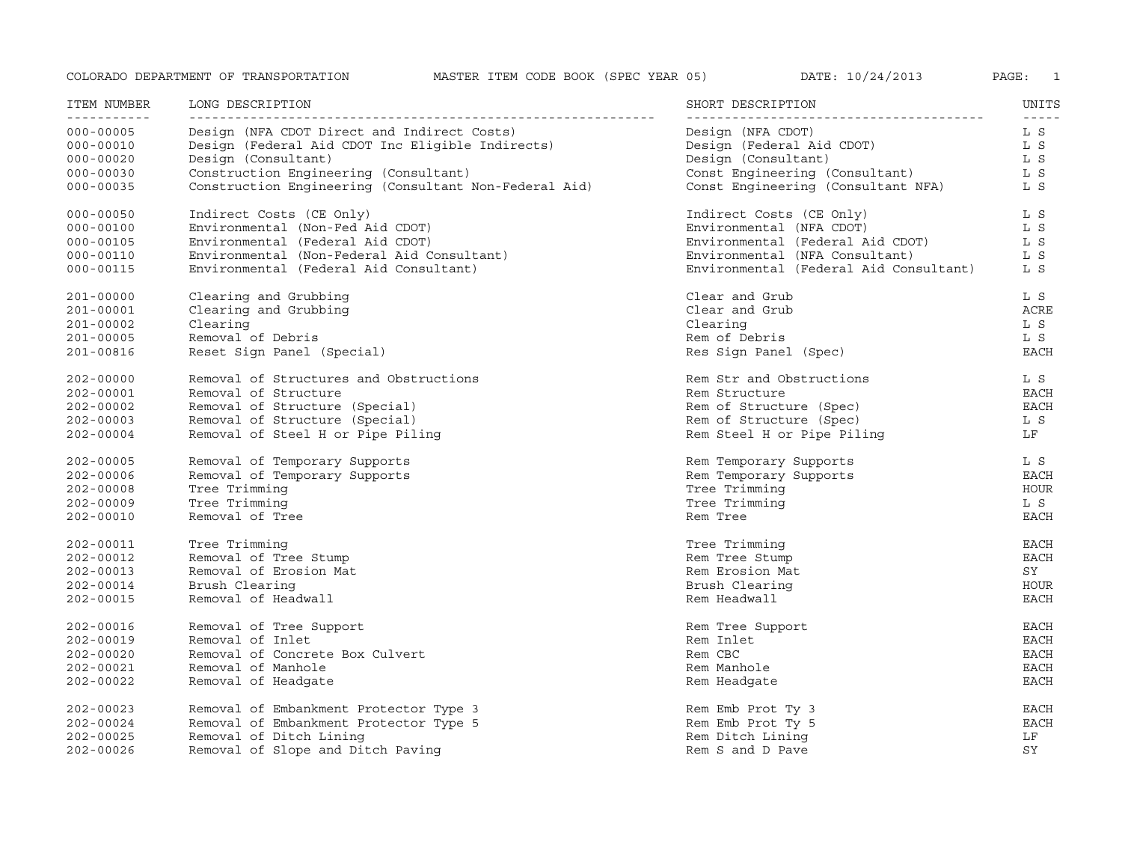| ITEM NUMBER<br>------------ | LONG DESCRIPTION                                      | SHORT DESCRIPTION                      | UNITS<br>$- - - - -$ |
|-----------------------------|-------------------------------------------------------|----------------------------------------|----------------------|
| $000 - 00005$               | Design (NFA CDOT Direct and Indirect Costs)           | Design (NFA CDOT)                      | L S                  |
| $000 - 00010$               | Design (Federal Aid CDOT Inc Eligible Indirects)      | Design (Federal Aid CDOT)              | L S                  |
| $000 - 00020$               | Design (Consultant)                                   | Design (Consultant)                    | L S                  |
| $000 - 00030$               | Construction Engineering (Consultant)                 | Const Engineering (Consultant)         | L S                  |
| $000 - 00035$               | Construction Engineering (Consultant Non-Federal Aid) | Const Engineering (Consultant NFA)     | L S                  |
| $000 - 00050$               | Indirect Costs (CE Only)                              | Indirect Costs (CE Only)               | L S                  |
| $000 - 00100$               | Environmental (Non-Fed Aid CDOT)                      | Environmental (NFA CDOT)               | L S                  |
| $000 - 00105$               | Environmental (Federal Aid CDOT)                      | Environmental (Federal Aid CDOT)       | L S                  |
| $000 - 00110$               | Environmental (Non-Federal Aid Consultant)            | Environmental (NFA Consultant)         | L S                  |
| $000 - 00115$               | Environmental (Federal Aid Consultant)                | Environmental (Federal Aid Consultant) | L S                  |
| 201-00000                   | Clearing and Grubbing                                 | Clear and Grub                         | L S                  |
| 201-00001                   | Clearing and Grubbing                                 | Clear and Grub                         | ACRE                 |
| 201-00002                   | Clearing                                              | Clearing                               | L S                  |
| 201-00005                   | Removal of Debris                                     | Rem of Debris                          | L S                  |
| 201-00816                   | Reset Sign Panel (Special)                            | Res Sign Panel (Spec)                  | <b>EACH</b>          |
| $202 - 00000$               | Removal of Structures and Obstructions                | Rem Str and Obstructions               | L S                  |
| 202-00001                   | Removal of Structure                                  | Rem Structure                          | <b>EACH</b>          |
| $202 - 00002$               | Removal of Structure (Special)                        | Rem of Structure (Spec)                | EACH                 |
| $202 - 00003$               | Removal of Structure (Special)                        | Rem of Structure (Spec)                | L S                  |
| $202 - 00004$               | Removal of Steel H or Pipe Piling                     | Rem Steel H or Pipe Piling             | LF                   |
| $202 - 00005$               | Removal of Temporary Supports                         | Rem Temporary Supports                 | L S                  |
| 202-00006                   | Removal of Temporary Supports                         | Rem Temporary Supports                 | EACH                 |
| 202-00008                   | Tree Trimming                                         | Tree Trimming                          | <b>HOUR</b>          |
| 202-00009                   | Tree Trimming                                         | Tree Trimming                          | L S                  |
| 202-00010                   | Removal of Tree                                       | Rem Tree                               | <b>EACH</b>          |
| 202-00011                   | Tree Trimming                                         | Tree Trimming                          | <b>EACH</b>          |
| 202-00012                   | Removal of Tree Stump                                 | Rem Tree Stump                         | <b>EACH</b>          |
| 202-00013                   | Removal of Erosion Mat                                | Rem Erosion Mat                        | SY                   |
| 202-00014                   | Brush Clearing                                        | Brush Clearing                         | HOUR                 |
| 202-00015                   | Removal of Headwall                                   | Rem Headwall                           | EACH                 |
| 202-00016                   | Removal of Tree Support                               | Rem Tree Support                       | EACH                 |
| 202-00019                   | Removal of Inlet                                      | Rem Inlet                              | EACH                 |
| $202 - 00020$               | Removal of Concrete Box Culvert                       | Rem CBC                                | EACH                 |
| 202-00021                   | Removal of Manhole                                    | Rem Manhole                            | <b>EACH</b>          |
| 202-00022                   | Removal of Headgate                                   | Rem Headgate                           | <b>EACH</b>          |
| 202-00023                   | Removal of Embankment Protector Type 3                | Rem Emb Prot Ty 3                      | EACH                 |
| 202-00024                   | Removal of Embankment Protector Type 5                | Rem Emb Prot Ty 5                      | <b>EACH</b>          |
| $202 - 00025$               | Removal of Ditch Lining                               | Rem Ditch Lining                       | LF                   |
| $202 - 00026$               | Removal of Slope and Ditch Paving                     | Rem S and D Pave                       | SY                   |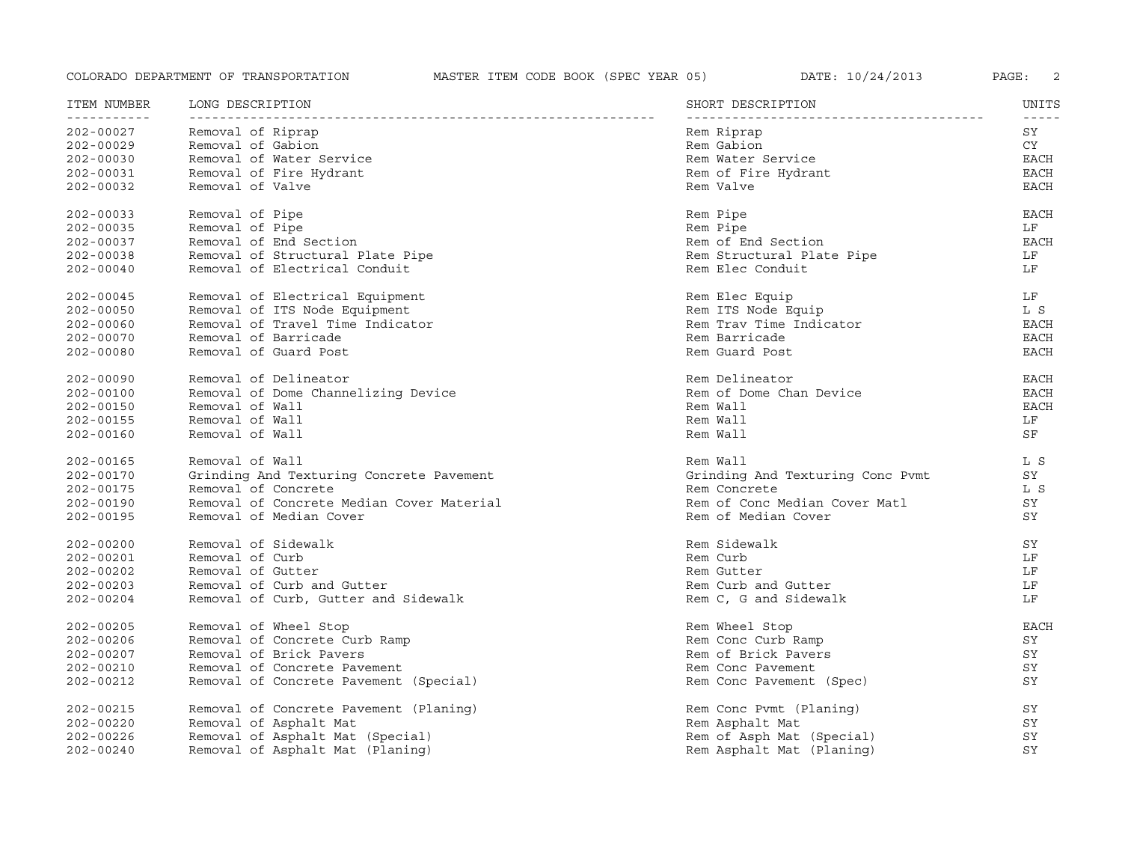| ITEM NUMBER<br>___________ | LONG DESCRIPTION<br>---------------       | SHORT DESCRIPTION                | UNITS<br>$- - - - -$ |
|----------------------------|-------------------------------------------|----------------------------------|----------------------|
| $202 - 00027$              | Removal of Riprap                         | Rem Riprap                       | SY                   |
| $202 - 00029$              | Removal of Gabion                         | Rem Gabion                       | CY                   |
| $202 - 00030$              | Removal of Water Service                  | Rem Water Service                | EACH                 |
| $202 - 00031$              | Removal of Fire Hydrant                   | Rem of Fire Hydrant              | <b>EACH</b>          |
| $202 - 00032$              | Removal of Valve                          | Rem Valve                        | <b>EACH</b>          |
| $202 - 00033$              | Removal of Pipe                           | Rem Pipe                         | <b>EACH</b>          |
| $202 - 00035$              | Removal of Pipe                           | Rem Pipe                         | LF                   |
| $202 - 00037$              | Removal of End Section                    | Rem of End Section               | EACH                 |
| $202 - 00038$              | Removal of Structural Plate Pipe          | Rem Structural Plate Pipe        | LF                   |
| $202 - 00040$              | Removal of Electrical Conduit             | Rem Elec Conduit                 | LF                   |
| 202-00045                  | Removal of Electrical Equipment           | Rem Elec Equip                   | LF                   |
| $202 - 00050$              | Removal of ITS Node Equipment             | Rem ITS Node Equip               | L S                  |
| $202 - 00060$              | Removal of Travel Time Indicator          | Rem Trav Time Indicator          | <b>EACH</b>          |
| $202 - 00070$              | Removal of Barricade                      | Rem Barricade                    | <b>EACH</b>          |
| $202 - 00080$              | Removal of Guard Post                     | Rem Guard Post                   | <b>EACH</b>          |
| $202 - 00090$              | Removal of Delineator                     | Rem Delineator                   | <b>EACH</b>          |
| $202 - 00100$              | Removal of Dome Channelizing Device       | Rem of Dome Chan Device          | $_{\rm EACH}$        |
| $202 - 00150$              | Removal of Wall                           | Rem Wall                         | <b>EACH</b>          |
| $202 - 00155$              | Removal of Wall                           | Rem Wall                         | LF                   |
| $202 - 00160$              | Removal of Wall                           | Rem Wall                         | SF                   |
| 202-00165                  | Removal of Wall                           | Rem Wall                         | L S                  |
| 202-00170                  | Grinding And Texturing Concrete Pavement  | Grinding And Texturing Conc Pvmt | SY                   |
| $202 - 00175$              | Removal of Concrete                       | Rem Concrete                     | L S                  |
| $202 - 00190$              | Removal of Concrete Median Cover Material | Rem of Conc Median Cover Matl    | SY                   |
| $202 - 00195$              | Removal of Median Cover                   | Rem of Median Cover              | SY                   |
| $202 - 00200$              | Removal of Sidewalk                       | Rem Sidewalk                     | SY                   |
| $202 - 00201$              | Removal of Curb                           | Rem Curb                         | LF                   |
| $202 - 00202$              | Removal of Gutter                         | Rem Gutter                       | LF                   |
| $202 - 00203$              | Removal of Curb and Gutter                | Rem Curb and Gutter              | LF                   |
| $202 - 00204$              | Removal of Curb, Gutter and Sidewalk      | Rem C, G and Sidewalk            | LF                   |
| $202 - 00205$              | Removal of Wheel Stop                     | Rem Wheel Stop                   | <b>EACH</b>          |
| $202 - 00206$              | Removal of Concrete Curb Ramp             | Rem Conc Curb Ramp               | SY                   |
| $202 - 00207$              | Removal of Brick Pavers                   | Rem of Brick Pavers              | SY                   |
| $202 - 00210$              | Removal of Concrete Pavement              | Rem Conc Pavement                | SY                   |
| $202 - 00212$              | Removal of Concrete Pavement (Special)    | Rem Conc Pavement (Spec)         | SY                   |
| 202-00215                  | Removal of Concrete Pavement (Planing)    | Rem Conc Pvmt (Planing)          | SY                   |
| $202 - 00220$              | Removal of Asphalt Mat                    | Rem Asphalt Mat                  | SY                   |
| $202 - 00226$              | Removal of Asphalt Mat (Special)          | Rem of Asph Mat (Special)        | SY                   |
| $202 - 00240$              | Removal of Asphalt Mat (Planing)          | Rem Asphalt Mat (Planing)        | SY                   |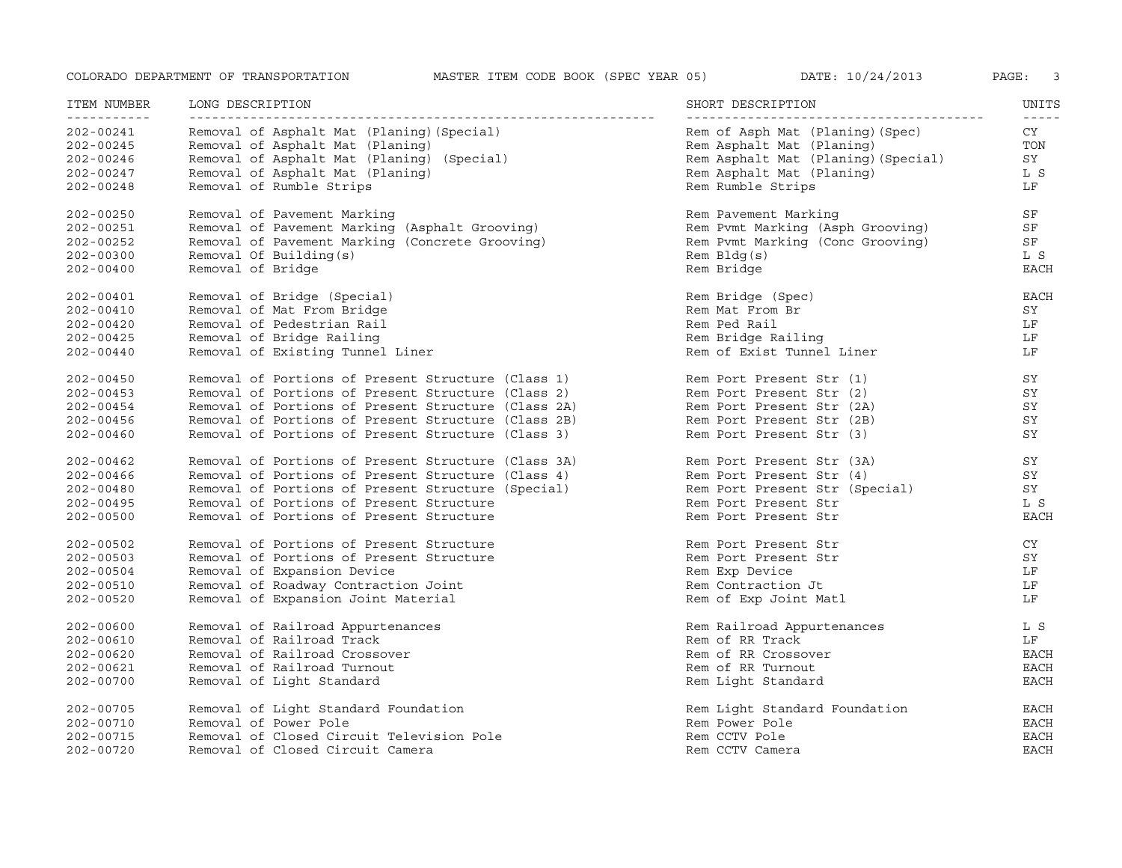| ITEM NUMBER   | LONG DESCRIPTION                                    | SHORT DESCRIPTION                   | UNITS       |
|---------------|-----------------------------------------------------|-------------------------------------|-------------|
| ___________   |                                                     |                                     | $- - - - -$ |
| $202 - 00241$ | Removal of Asphalt Mat (Planing) (Special)          | Rem of Asph Mat (Planing) (Spec)    | CY          |
| $202 - 00245$ | Removal of Asphalt Mat (Planing)                    | Rem Asphalt Mat (Planing)           | TON         |
| 202-00246     | Removal of Asphalt Mat (Planing) (Special)          | Rem Asphalt Mat (Planing) (Special) | SY          |
| $202 - 00247$ | Removal of Asphalt Mat (Planing)                    | Rem Asphalt Mat (Planing)           | L S         |
| $202 - 00248$ | Removal of Rumble Strips                            | Rem Rumble Strips                   | LF          |
| $202 - 00250$ | Removal of Pavement Marking                         | Rem Pavement Marking                | SF          |
| 202-00251     | Removal of Pavement Marking (Asphalt Grooving)      | Rem Pvmt Marking (Asph Grooving)    | SF          |
| $202 - 00252$ | Removal of Pavement Marking (Concrete Grooving)     | Rem Pvmt Marking (Conc Grooving)    | SF          |
| $202 - 00300$ | Removal Of Building(s)                              | $Rem$ $Bldq(s)$                     | L S         |
| $202 - 00400$ | Removal of Bridge                                   | Rem Bridge                          | <b>EACH</b> |
| $202 - 00401$ | Removal of Bridge (Special)                         | Rem Bridge (Spec)                   | EACH        |
| $202 - 00410$ | Removal of Mat From Bridge                          | Rem Mat From Br                     | SY          |
| $202 - 00420$ | Removal of Pedestrian Rail                          | Rem Ped Rail                        | LF          |
| $202 - 00425$ | Removal of Bridge Railing                           | Rem Bridge Railing                  | LF          |
| $202 - 00440$ | Removal of Existing Tunnel Liner                    | Rem of Exist Tunnel Liner           | LF          |
| $202 - 00450$ | Removal of Portions of Present Structure (Class 1)  | Rem Port Present Str (1)            | SY          |
| $202 - 00453$ | Removal of Portions of Present Structure (Class 2)  | Rem Port Present Str (2)            | SY          |
| $202 - 00454$ | Removal of Portions of Present Structure (Class 2A) | Rem Port Present Str (2A)           | SY          |
| $202 - 00456$ | Removal of Portions of Present Structure (Class 2B) | Rem Port Present Str (2B)           | SY          |
| $202 - 00460$ | Removal of Portions of Present Structure (Class 3)  | Rem Port Present Str (3)            | SY          |
| $202 - 00462$ | Removal of Portions of Present Structure (Class 3A) | Rem Port Present Str (3A)           | SY          |
| 202-00466     | Removal of Portions of Present Structure (Class 4)  | Rem Port Present Str (4)            | SY          |
| $202 - 00480$ | Removal of Portions of Present Structure (Special)  | Rem Port Present Str (Special)      | SY          |
| $202 - 00495$ | Removal of Portions of Present Structure            | Rem Port Present Str                | L S         |
| $202 - 00500$ | Removal of Portions of Present Structure            | Rem Port Present Str                | <b>EACH</b> |
| $202 - 00502$ | Removal of Portions of Present Structure            | Rem Port Present Str                | CY          |
| $202 - 00503$ | Removal of Portions of Present Structure            | Rem Port Present Str                | SY          |
| $202 - 00504$ | Removal of Expansion Device                         | Rem Exp Device                      | LF          |
| $202 - 00510$ | Removal of Roadway Contraction Joint                | Rem Contraction Jt                  | LF          |
| $202 - 00520$ | Removal of Expansion Joint Material                 | Rem of Exp Joint Matl               | LF          |
| $202 - 00600$ | Removal of Railroad Appurtenances                   | Rem Railroad Appurtenances          | L S         |
| $202 - 00610$ | Removal of Railroad Track                           | Rem of RR Track                     | LF          |
| $202 - 00620$ | Removal of Railroad Crossover                       | Rem of RR Crossover                 | <b>EACH</b> |
| 202-00621     | Removal of Railroad Turnout                         | Rem of RR Turnout                   | <b>EACH</b> |
| $202 - 00700$ | Removal of Light Standard                           | Rem Light Standard                  | <b>EACH</b> |
| 202-00705     | Removal of Light Standard Foundation                | Rem Light Standard Foundation       | EACH        |
| $202 - 00710$ | Removal of Power Pole                               | Rem Power Pole                      | <b>EACH</b> |
| $202 - 00715$ | Removal of Closed Circuit Television Pole           | Rem CCTV Pole                       | <b>EACH</b> |
| $202 - 00720$ | Removal of Closed Circuit Camera                    | Rem CCTV Camera                     | <b>EACH</b> |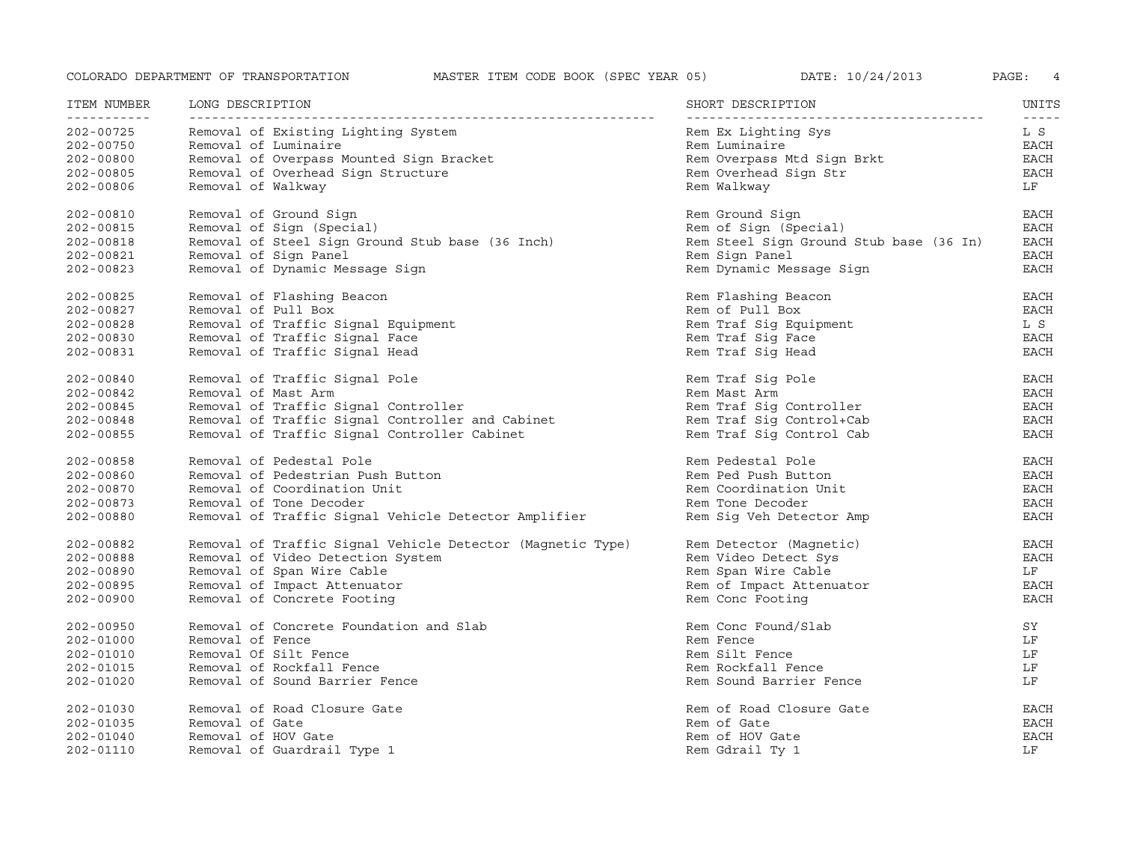| ITEM NUMBER<br>----------- | LONG DESCRIPTION                                           | SHORT DESCRIPTION                       | UNITS<br>$- - - - -$ |
|----------------------------|------------------------------------------------------------|-----------------------------------------|----------------------|
| 202-00725                  | Removal of Existing Lighting System                        | Rem Ex Lighting Sys                     | L S                  |
| $202 - 00750$              | Removal of Luminaire                                       | Rem Luminaire                           | <b>EACH</b>          |
| $202 - 00800$              | Removal of Overpass Mounted Sign Bracket                   | Rem Overpass Mtd Sign Brkt              | EACH                 |
| $202 - 00805$              | Removal of Overhead Sign Structure                         | Rem Overhead Sign Str                   | <b>EACH</b>          |
| $202 - 00806$              | Removal of Walkway                                         | Rem Walkway                             | LF                   |
| 202-00810                  | Removal of Ground Sign                                     | Rem Ground Sign                         | EACH                 |
| 202-00815                  | Removal of Sign (Special)                                  | Rem of Sign (Special)                   | <b>EACH</b>          |
| 202-00818                  | Removal of Steel Sign Ground Stub base (36 Inch)           | Rem Steel Sign Ground Stub base (36 In) | EACH                 |
| 202-00821                  | Removal of Sign Panel                                      | Rem Sign Panel                          | EACH                 |
| 202-00823                  | Removal of Dynamic Message Sign                            | Rem Dynamic Message Sign                | <b>EACH</b>          |
| 202-00825                  | Removal of Flashing Beacon                                 | Rem Flashing Beacon                     | EACH                 |
| $202 - 00827$              | Removal of Pull Box                                        | Rem of Pull Box                         | <b>EACH</b>          |
| 202-00828                  | Removal of Traffic Signal Equipment                        | Rem Traf Sig Equipment                  | L S                  |
| $202 - 00830$              | Removal of Traffic Signal Face                             | Rem Traf Sig Face                       | <b>EACH</b>          |
| 202-00831                  | Removal of Traffic Signal Head                             | Rem Traf Sig Head                       | <b>EACH</b>          |
| $202 - 00840$              | Removal of Traffic Signal Pole                             | Rem Traf Sig Pole                       | EACH                 |
| 202-00842                  | Removal of Mast Arm                                        | Rem Mast Arm                            | EACH                 |
| $202 - 00845$              | Removal of Traffic Signal Controller                       | Rem Traf Sig Controller                 | <b>EACH</b>          |
| $202 - 00848$              | Removal of Traffic Signal Controller and Cabinet           | Rem Traf Sig Control+Cab                | <b>EACH</b>          |
| $202 - 00855$              | Removal of Traffic Signal Controller Cabinet               | Rem Traf Sig Control Cab                | EACH                 |
| 202-00858                  | Removal of Pedestal Pole                                   | Rem Pedestal Pole                       | EACH                 |
| 202-00860                  | Removal of Pedestrian Push Button                          | Rem Ped Push Button                     | <b>EACH</b>          |
| 202-00870                  | Removal of Coordination Unit                               | Rem Coordination Unit                   | EACH                 |
| $202 - 00873$              | Removal of Tone Decoder                                    | Rem Tone Decoder                        | EACH                 |
| $202 - 00880$              | Removal of Traffic Signal Vehicle Detector Amplifier       | Rem Sig Veh Detector Amp                | <b>EACH</b>          |
| 202-00882                  | Removal of Traffic Signal Vehicle Detector (Magnetic Type) | Rem Detector (Magnetic)                 | EACH                 |
| 202-00888                  | Removal of Video Detection System                          | Rem Video Detect Sys                    | EACH                 |
| 202-00890                  | Removal of Span Wire Cable                                 | Rem Span Wire Cable                     | LF                   |
| 202-00895                  | Removal of Impact Attenuator                               | Rem of Impact Attenuator                | EACH                 |
| 202-00900                  | Removal of Concrete Footing                                | Rem Conc Footing                        | <b>EACH</b>          |
| $202 - 00950$              | Removal of Concrete Foundation and Slab                    | Rem Conc Found/Slab                     | SY                   |
| 202-01000                  | Removal of Fence                                           | Rem Fence                               | LF                   |
| 202-01010                  | Removal Of Silt Fence                                      | Rem Silt Fence                          | LF                   |
| 202-01015                  | Removal of Rockfall Fence                                  | Rem Rockfall Fence                      | LF                   |
| $202 - 01020$              | Removal of Sound Barrier Fence                             | Rem Sound Barrier Fence                 | LF                   |
| 202-01030                  | Removal of Road Closure Gate                               | Rem of Road Closure Gate                | EACH                 |
| 202-01035                  | Removal of Gate                                            | Rem of Gate                             | <b>EACH</b>          |
| $202 - 01040$              | Removal of HOV Gate                                        | Rem of HOV Gate                         | <b>EACH</b>          |
| 202-01110                  | Removal of Guardrail Type 1                                | Rem Gdrail Ty 1                         | LF                   |
|                            |                                                            |                                         |                      |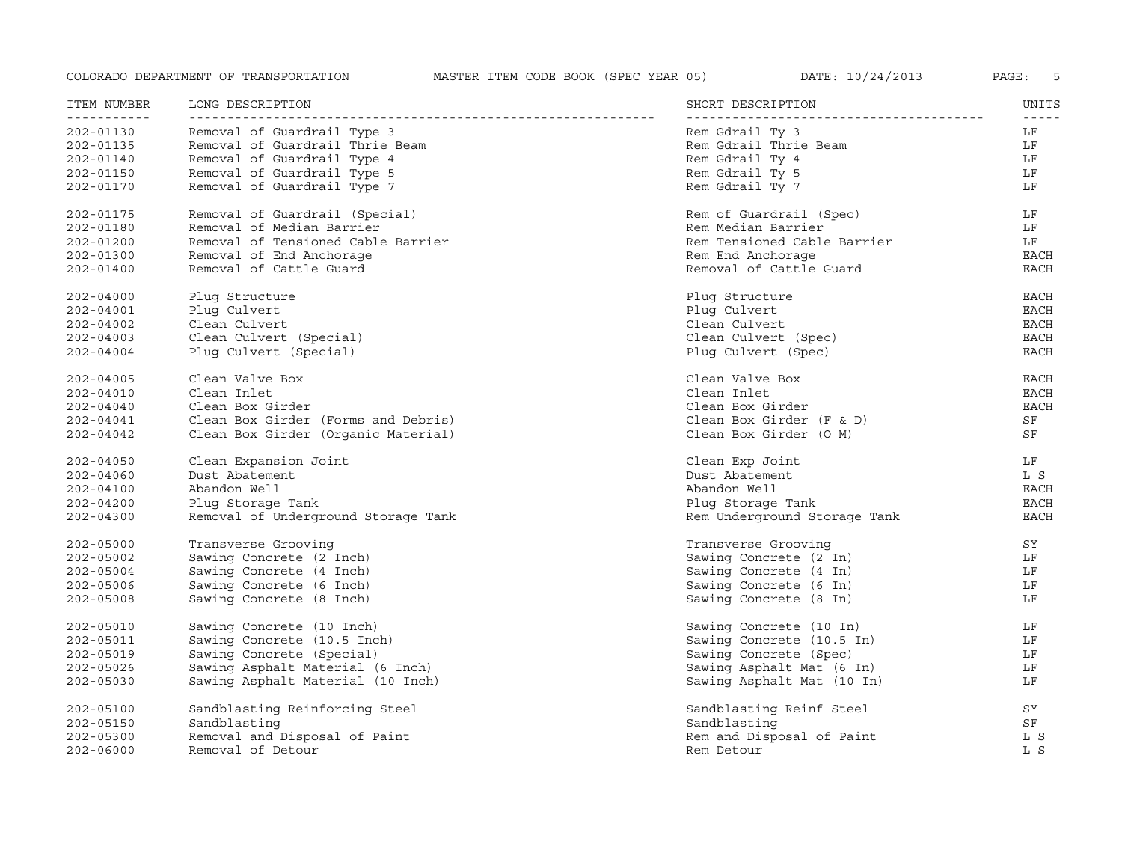| ITEM NUMBER<br>----------- | LONG DESCRIPTION                    | SHORT DESCRIPTION            | UNITS       |
|----------------------------|-------------------------------------|------------------------------|-------------|
| 202-01130                  | Removal of Guardrail Type 3         | Rem Gdrail Ty 3              | LF          |
| 202-01135                  | Removal of Guardrail Thrie Beam     | Rem Gdrail Thrie Beam        | LF          |
| $202 - 01140$              | Removal of Guardrail Type 4         | Rem Gdrail Ty 4              | LF          |
| 202-01150                  | Removal of Guardrail Type 5         | Rem Gdrail Ty 5              | LF          |
| 202-01170                  | Removal of Guardrail Type 7         | Rem Gdrail Ty 7              | LF          |
| 202-01175                  | Removal of Guardrail (Special)      | Rem of Guardrail (Spec)      | LF          |
| 202-01180                  | Removal of Median Barrier           | Rem Median Barrier           | LF          |
| $202 - 01200$              | Removal of Tensioned Cable Barrier  | Rem Tensioned Cable Barrier  | LF          |
| $202 - 01300$              | Removal of End Anchorage            | Rem End Anchorage            | <b>EACH</b> |
| $202 - 01400$              | Removal of Cattle Guard             | Removal of Cattle Guard      | <b>EACH</b> |
| $202 - 04000$              | Plug Structure                      | Plug Structure               | EACH        |
| $202 - 04001$              | Plug Culvert                        | Plug Culvert                 | EACH        |
| $202 - 04002$              | Clean Culvert                       | Clean Culvert                | <b>EACH</b> |
| $202 - 04003$              | Clean Culvert (Special)             | Clean Culvert (Spec)         | <b>EACH</b> |
| $202 - 04004$              | Plug Culvert (Special)              | Plug Culvert (Spec)          | EACH        |
| $202 - 04005$              | Clean Valve Box                     | Clean Valve Box              | EACH        |
| $202 - 04010$              | Clean Inlet                         | Clean Inlet                  | <b>EACH</b> |
| $202 - 04040$              | Clean Box Girder                    | Clean Box Girder             | EACH        |
| $202 - 04041$              | Clean Box Girder (Forms and Debris) | Clean Box Girder $(F & D)$   | SF          |
| $202 - 04042$              | Clean Box Girder (Organic Material) | Clean Box Girder (O M)       | SF          |
| $202 - 04050$              | Clean Expansion Joint               | Clean Exp Joint              | LF          |
| $202 - 04060$              | Dust Abatement                      | Dust Abatement               | L S         |
| $202 - 04100$              | Abandon Well                        | Abandon Well                 | <b>EACH</b> |
| $202 - 04200$              | Plug Storage Tank                   | Plug Storage Tank            | <b>EACH</b> |
| $202 - 04300$              | Removal of Underground Storage Tank | Rem Underground Storage Tank | <b>EACH</b> |
| $202 - 05000$              | Transverse Grooving                 | Transverse Groovinq          | SY          |
| $202 - 05002$              | Sawing Concrete (2 Inch)            | Sawing Concrete (2 In)       | LF          |
| $202 - 05004$              | Sawing Concrete (4 Inch)            | Sawing Concrete (4 In)       | LF          |
| $202 - 05006$              | Sawing Concrete (6 Inch)            | Sawing Concrete (6 In)       | LF          |
| $202 - 05008$              | Sawing Concrete (8 Inch)            | Sawing Concrete (8 In)       | LF          |
| $202 - 05010$              | Sawing Concrete (10 Inch)           | Sawing Concrete (10 In)      | LF          |
| $202 - 05011$              | Sawing Concrete (10.5 Inch)         | Sawing Concrete (10.5 In)    | LF          |
| $202 - 05019$              | Sawing Concrete (Special)           | Sawing Concrete (Spec)       | LF          |
| $202 - 05026$              | Sawing Asphalt Material (6 Inch)    | Sawing Asphalt Mat (6 In)    | LF          |
| $202 - 05030$              | Sawing Asphalt Material (10 Inch)   | Sawing Asphalt Mat (10 In)   | LF          |
| $202 - 05100$              | Sandblasting Reinforcing Steel      | Sandblasting Reinf Steel     | SY          |
| 202-05150                  | Sandblasting                        | Sandblasting                 | SF          |
| $202 - 05300$              | Removal and Disposal of Paint       | Rem and Disposal of Paint    | L S         |
| $202 - 06000$              | Removal of Detour                   | Rem Detour                   | L S         |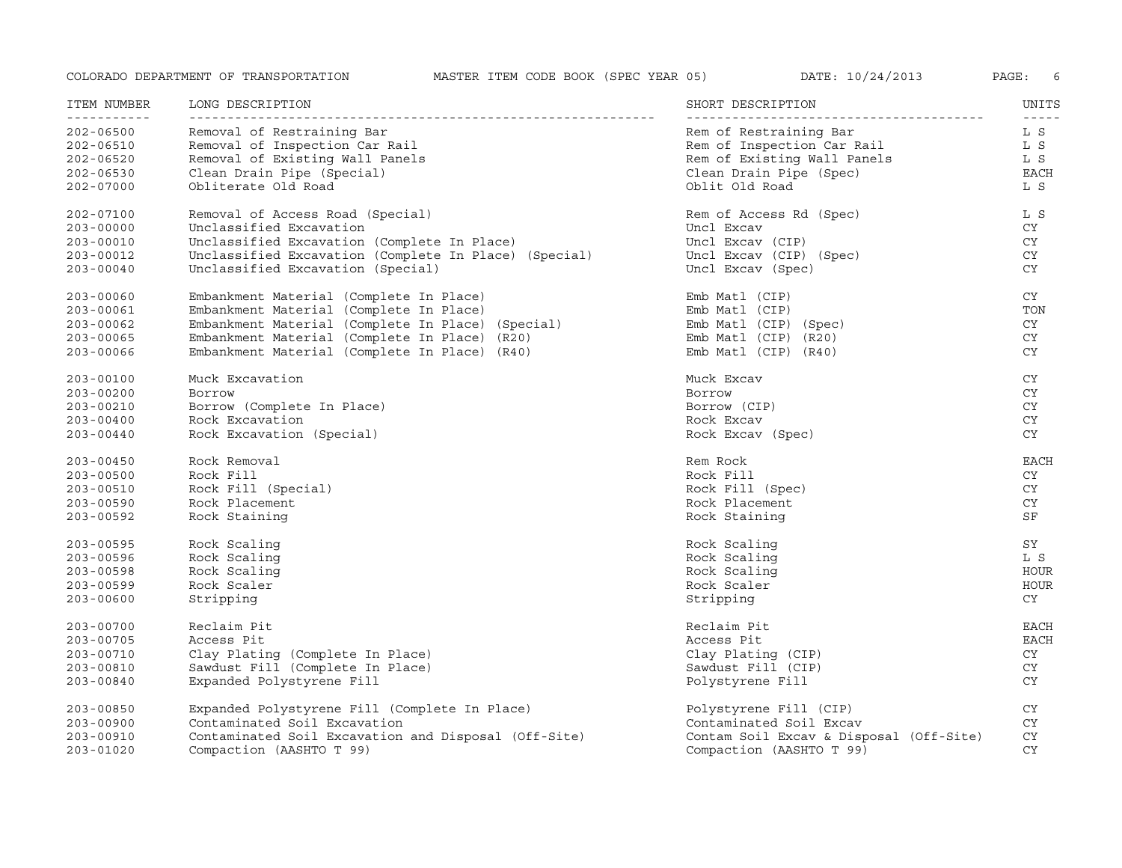| ITEM NUMBER   | LONG DESCRIPTION                                      | SHORT DESCRIPTION                       | UNITS<br>$- - - - -$ |
|---------------|-------------------------------------------------------|-----------------------------------------|----------------------|
| $202 - 06500$ | Removal of Restraining Bar                            | Rem of Restraining Bar                  | L S                  |
| 202-06510     | Removal of Inspection Car Rail                        | Rem of Inspection Car Rail              | L S                  |
| 202-06520     | Removal of Existing Wall Panels                       | Rem of Existing Wall Panels             | L S                  |
| $202 - 06530$ | Clean Drain Pipe (Special)                            | Clean Drain Pipe (Spec)                 | <b>EACH</b>          |
| $202 - 07000$ | Obliterate Old Road                                   | Oblit Old Road                          | L S                  |
| 202-07100     | Removal of Access Road (Special)                      | Rem of Access Rd (Spec)                 | L S                  |
| $203 - 00000$ | Unclassified Excavation                               | Uncl Excav                              | CY                   |
| $203 - 00010$ | Unclassified Excavation (Complete In Place)           | Uncl Excav (CIP)                        | CY                   |
| 203-00012     | Unclassified Excavation (Complete In Place) (Special) | Uncl Excav (CIP) (Spec)                 | CY                   |
| $203 - 00040$ | Unclassified Excavation (Special)                     | Uncl Excav (Spec)                       | CY.                  |
| $203 - 00060$ | Embankment Material (Complete In Place)               | Emb Matl (CIP)                          | CY.                  |
| $203 - 00061$ | Embankment Material (Complete In Place)               | Emb Matl (CIP)                          | TON                  |
| 203-00062     | Embankment Material (Complete In Place) (Special)     | Emb Matl (CIP) (Spec)                   | CY                   |
| $203 - 00065$ | Embankment Material (Complete In Place) (R20)         | Emb $Mat1$ (CIP) $(R20)$                | CY                   |
| 203-00066     | Embankment Material (Complete In Place) (R40)         | Emb $Mat1$ (CIP) $(R40)$                | CY                   |
| $203 - 00100$ | Muck Excavation                                       | Muck Excav                              | CY                   |
| $203 - 00200$ | Borrow                                                | Borrow                                  | CY                   |
| $203 - 00210$ | Borrow (Complete In Place)                            | Borrow (CIP)                            | <b>CY</b>            |
| $203 - 00400$ | Rock Excavation                                       | Rock Excav                              | CY                   |
| $203 - 00440$ | Rock Excavation (Special)                             | Rock Excav (Spec)                       | CY                   |
| $203 - 00450$ | Rock Removal                                          | Rem Rock                                | <b>EACH</b>          |
| $203 - 00500$ | Rock Fill                                             | Rock Fill                               | CY                   |
| 203-00510     | Rock Fill (Special)                                   | Rock Fill (Spec)                        | CY                   |
| $203 - 00590$ | Rock Placement                                        | Rock Placement                          | CY                   |
| 203-00592     | Rock Staining                                         | Rock Staining                           | SF                   |
| 203-00595     | Rock Scaling                                          | Rock Scaling                            | SY                   |
| 203-00596     | Rock Scaling                                          | Rock Scaling                            | L S                  |
| $203 - 00598$ | Rock Scaling                                          | Rock Scaling                            | HOUR                 |
| $203 - 00599$ | Rock Scaler                                           | Rock Scaler                             | HOUR                 |
| $203 - 00600$ | Stripping                                             | Stripping                               | CY                   |
| 203-00700     | Reclaim Pit                                           | Reclaim Pit                             | EACH                 |
| 203-00705     | Access Pit                                            | Access Pit                              | EACH                 |
| 203-00710     | Clay Plating (Complete In Place)                      | Clay Plating (CIP)                      | CY                   |
| 203-00810     | Sawdust Fill (Complete In Place)                      | Sawdust Fill (CIP)                      | CY                   |
| 203-00840     | Expanded Polystyrene Fill                             | Polystyrene Fill                        | CY.                  |
| 203-00850     | Expanded Polystyrene Fill (Complete In Place)         | Polystyrene Fill (CIP)                  | CY                   |
| $203 - 00900$ | Contaminated Soil Excavation                          | Contaminated Soil Excav                 | CY                   |
| 203-00910     | Contaminated Soil Excavation and Disposal (Off-Site)  | Contam Soil Excav & Disposal (Off-Site) | CY                   |
| $203 - 01020$ | Compaction (AASHTO T 99)                              | Compaction (AASHTO T 99)                | <b>CY</b>            |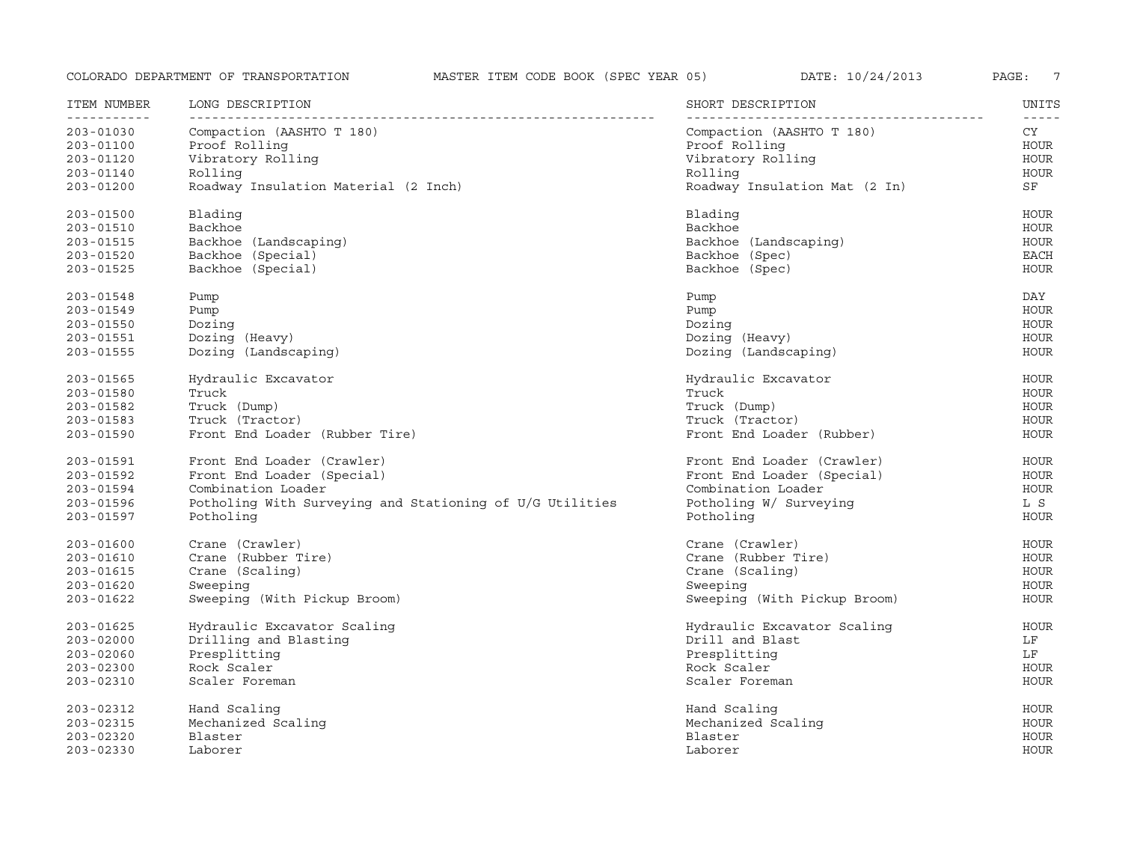| ITEM NUMBER<br>----------- | LONG DESCRIPTION                                         | SHORT DESCRIPTION             | UNITS<br>----- |
|----------------------------|----------------------------------------------------------|-------------------------------|----------------|
| $203 - 01030$              | Compaction (AASHTO T 180)                                | Compaction (AASHTO T 180)     | CY             |
| $203 - 01100$              | Proof Rolling                                            | Proof Rolling                 | <b>HOUR</b>    |
| $203 - 01120$              | Vibratory Rolling                                        | Vibratory Rolling             | <b>HOUR</b>    |
| $203 - 01140$              | Rolling                                                  | Rolling                       | <b>HOUR</b>    |
| $203 - 01200$              | Roadway Insulation Material (2 Inch)                     | Roadway Insulation Mat (2 In) | SF             |
|                            |                                                          |                               |                |
| $203 - 01500$              | Blading                                                  | Blading                       | HOUR           |
| $203 - 01510$              | Backhoe                                                  | Backhoe                       | HOUR           |
| 203-01515                  | Backhoe (Landscaping)                                    | Backhoe (Landscaping)         | HOUR           |
| $203 - 01520$              | Backhoe (Special)                                        | Backhoe (Spec)                | <b>EACH</b>    |
| $203 - 01525$              | Backhoe (Special)                                        | Backhoe (Spec)                | <b>HOUR</b>    |
| $203 - 01548$              | Pump                                                     | Pump                          | DAY            |
| $203 - 01549$              | Pump                                                     | Pump                          | <b>HOUR</b>    |
| $203 - 01550$              | Dozing                                                   | Dozing                        | HOUR           |
| $203 - 01551$              | Dozing (Heavy)                                           | Dozing (Heavy)                | <b>HOUR</b>    |
| $203 - 01555$              | Dozing (Landscaping)                                     | Dozing (Landscaping)          | <b>HOUR</b>    |
|                            |                                                          |                               |                |
| $203 - 01565$              | Hydraulic Excavator                                      | Hydraulic Excavator           | HOUR           |
| 203-01580                  | Truck                                                    | Truck                         | HOUR           |
| $203 - 01582$              | Truck (Dump)                                             | Truck (Dump)                  | HOUR           |
| $203 - 01583$              | Truck (Tractor)                                          | Truck (Tractor)               | HOUR           |
| $203 - 01590$              | Front End Loader (Rubber Tire)                           | Front End Loader (Rubber)     | <b>HOUR</b>    |
| $203 - 01591$              | Front End Loader (Crawler)                               | Front End Loader (Crawler)    | HOUR           |
| $203 - 01592$              | Front End Loader (Special)                               | Front End Loader (Special)    | <b>HOUR</b>    |
| $203 - 01594$              | Combination Loader                                       | Combination Loader            | <b>HOUR</b>    |
| 203-01596                  | Potholing With Surveying and Stationing of U/G Utilities | Potholing W/ Surveying        | L S            |
| 203-01597                  | Potholing                                                | Potholing                     | <b>HOUR</b>    |
| $203 - 01600$              | Crane (Crawler)                                          | Crane (Crawler)               | <b>HOUR</b>    |
|                            | Crane (Rubber Tire)                                      | Crane (Rubber Tire)           |                |
| 203-01610                  |                                                          |                               | HOUR           |
| 203-01615                  | Crane (Scaling)                                          | Crane (Scaling)               | <b>HOUR</b>    |
| $203 - 01620$              | Sweeping                                                 | Sweeping                      | HOUR           |
| 203-01622                  | Sweeping (With Pickup Broom)                             | Sweeping (With Pickup Broom)  | HOUR           |
| 203-01625                  | Hydraulic Excavator Scaling                              | Hydraulic Excavator Scaling   | HOUR           |
| $203 - 02000$              | Drilling and Blasting                                    | Drill and Blast               | LF             |
| $203 - 02060$              | Presplitting                                             | Presplitting                  | LF             |
| $203 - 02300$              | Rock Scaler                                              | Rock Scaler                   | <b>HOUR</b>    |
| $203 - 02310$              | Scaler Foreman                                           | Scaler Foreman                | <b>HOUR</b>    |
| 203-02312                  | Hand Scaling                                             | Hand Scaling                  | <b>HOUR</b>    |
| 203-02315                  | Mechanized Scaling                                       | Mechanized Scaling            | <b>HOUR</b>    |
| $203 - 02320$              | Blaster                                                  | Blaster                       | HOUR           |
| $203 - 02330$              | Laborer                                                  | Laborer                       | <b>HOUR</b>    |
|                            |                                                          |                               |                |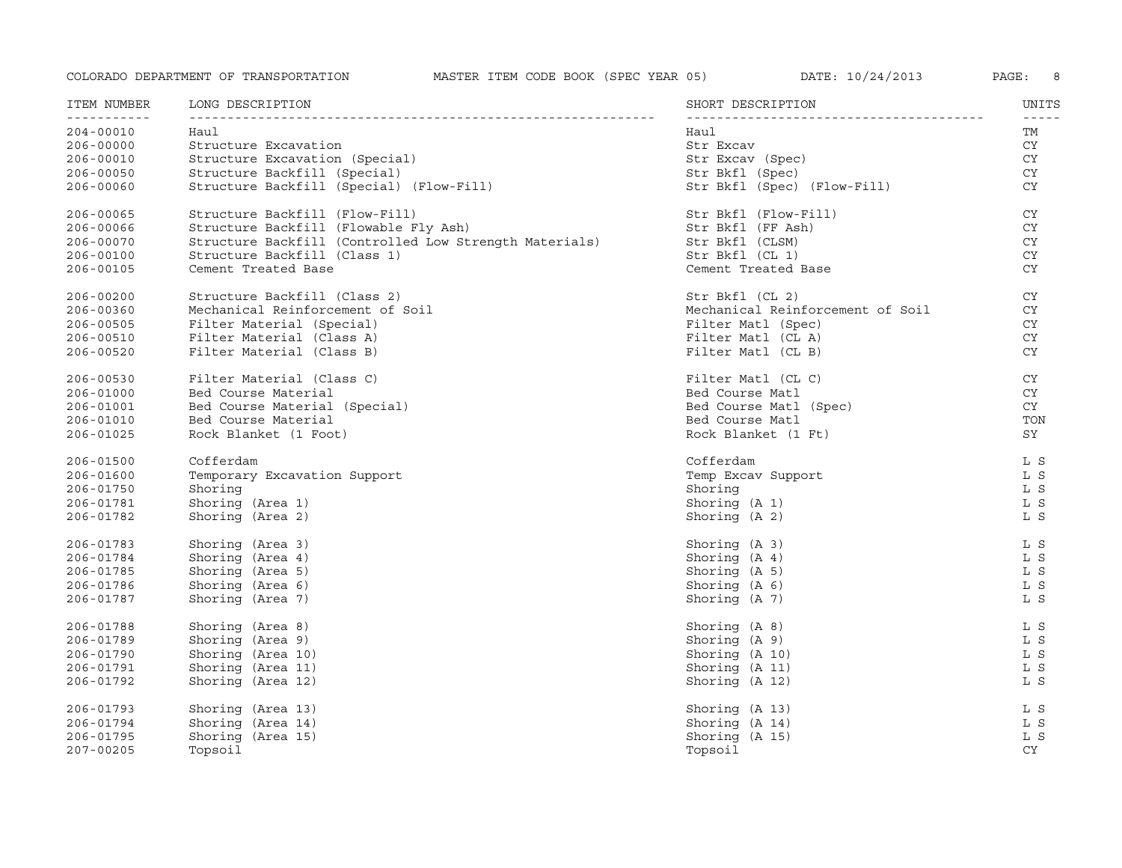| ITEM NUMBER              | LONG DESCRIPTION                                       | SHORT DESCRIPTION                | UNITS     |
|--------------------------|--------------------------------------------------------|----------------------------------|-----------|
| -----------<br>204-00010 | Haul                                                   | Haul                             | TM        |
| $206 - 00000$            | Structure Excavation                                   | Str Excav                        | CY        |
| $206 - 00010$            | Structure Excavation (Special)                         | Str Excav (Spec)                 | CY        |
| $206 - 00050$            | Structure Backfill (Special)                           | Str Bkfl (Spec)                  | CY        |
| $206 - 00060$            | Structure Backfill (Special) (Flow-Fill)               | Str Bkfl (Spec) (Flow-Fill)      | <b>CY</b> |
| 206-00065                | Structure Backfill (Flow-Fill)                         | Str Bkfl (Flow-Fill)             | CY.       |
| 206-00066                | Structure Backfill (Flowable Fly Ash)                  | Str Bkfl (FF Ash)                | CY        |
| $206 - 00070$            | Structure Backfill (Controlled Low Strength Materials) | Str Bkfl (CLSM)                  | CY        |
| 206-00100                | Structure Backfill (Class 1)                           | Str Bkfl (CL 1)                  | CY        |
| $206 - 00105$            | Cement Treated Base                                    | Cement Treated Base              | CY        |
| 206-00200                | Structure Backfill (Class 2)                           | Str Bkfl (CL 2)                  | <b>CY</b> |
| 206-00360                | Mechanical Reinforcement of Soil                       | Mechanical Reinforcement of Soil | CY        |
| 206-00505                | Filter Material (Special)                              | Filter Matl (Spec)               | <b>CY</b> |
| 206-00510                | Filter Material (Class A)                              | Filter Matl (CL A)               | <b>CY</b> |
| $206 - 00520$            | Filter Material (Class B)                              | Filter Matl (CL B)               | <b>CY</b> |
| $206 - 00530$            | Filter Material (Class C)                              | Filter Matl (CL C)               | CY        |
| 206-01000                | Bed Course Material                                    | Bed Course Matl                  | CY        |
| $206 - 01001$            | Bed Course Material (Special)                          | Bed Course Matl (Spec)           | <b>CY</b> |
| 206-01010                | Bed Course Material                                    | Bed Course Matl                  | TON       |
| 206-01025                | Rock Blanket (1 Foot)                                  | Rock Blanket (1 Ft)              | SY        |
| 206-01500                | Cofferdam                                              | Cofferdam                        | L S       |
| 206-01600                | Temporary Excavation Support                           | Temp Excav Support               | L S       |
| 206-01750                | Shoring                                                | Shoring                          | L S       |
| 206-01781                | Shoring (Area 1)                                       | Shoring $(A 1)$                  | L S       |
| 206-01782                | Shoring (Area 2)                                       | Shoring (A 2)                    | L S       |
| 206-01783                | Shoring (Area 3)                                       | Shoring (A 3)                    | L S       |
| 206-01784                | Shoring (Area 4)                                       | Shoring (A 4)                    | L S       |
| 206-01785                | Shoring (Area 5)                                       | Shoring (A 5)                    | L S       |
| 206-01786                | Shoring (Area 6)                                       | Shoring $(A \ 6)$                | L S       |
| 206-01787                | Shoring (Area 7)                                       | Shoring (A 7)                    | L S       |
| 206-01788                | Shoring (Area 8)                                       | Shoring (A 8)                    | L S       |
| 206-01789                | Shoring (Area 9)                                       | Shoring (A 9)                    | L S       |
| 206-01790                | Shoring (Area 10)                                      | Shoring (A 10)                   | L S       |
| 206-01791                | Shoring (Area 11)                                      | Shoring (A 11)                   | L S       |
| 206-01792                | Shoring (Area 12)                                      | Shoring (A 12)                   | L S       |
| 206-01793                | Shoring (Area 13)                                      | Shoring (A 13)                   | L S       |
| 206-01794                | Shoring (Area 14)                                      | Shoring (A 14)                   | L S       |
| 206-01795                | Shoring (Area 15)                                      | Shoring (A 15)                   | L S       |
| $207 - 00205$            | Topsoil                                                | Topsoil                          | <b>CY</b> |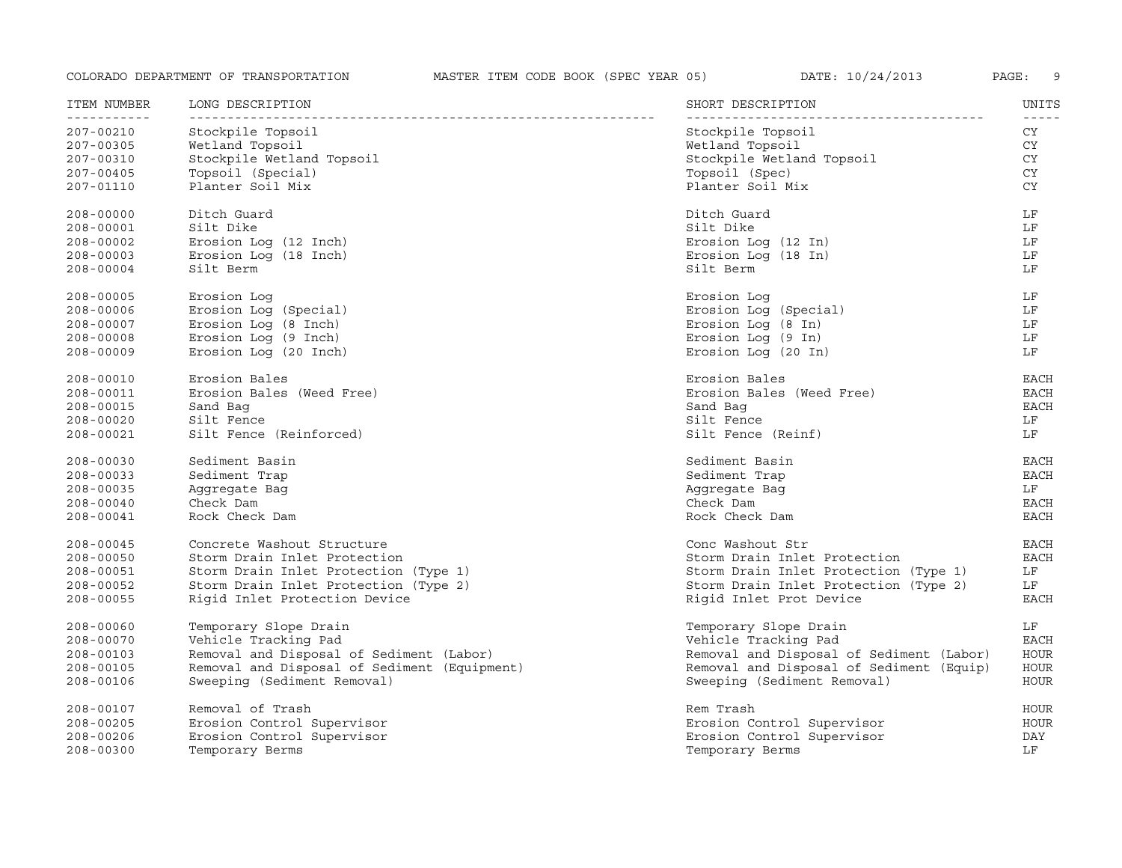| ITEM NUMBER   | LONG DESCRIPTION                             | SHORT DESCRIPTION                        | UNITS             |
|---------------|----------------------------------------------|------------------------------------------|-------------------|
| $207 - 00210$ | Stockpile Topsoil                            | Stockpile Topsoil                        | $- - - - -$<br>CY |
| 207-00305     | Wetland Topsoil                              | Wetland Topsoil                          | <b>CY</b>         |
| 207-00310     | Stockpile Wetland Topsoil                    | Stockpile Wetland Topsoil                | CY                |
| $207 - 00405$ | Topsoil (Special)                            | Topsoil (Spec)                           | CY                |
| 207-01110     | Planter Soil Mix                             | Planter Soil Mix                         | <b>CY</b>         |
| $208 - 00000$ | Ditch Guard                                  | Ditch Guard                              | LF                |
| $208 - 00001$ | Silt Dike                                    | Silt Dike                                | LF                |
| $208 - 00002$ | Erosion Log (12 Inch)                        | Erosion Log (12 In)                      | LF                |
| $208 - 00003$ | Erosion Log (18 Inch)                        | Erosion Log (18 In)                      | LF                |
| $208 - 00004$ | Silt Berm                                    | Silt Berm                                | LF                |
| $208 - 00005$ | Erosion Log                                  | Erosion Loq                              | LF                |
| 208-00006     | Erosion Log (Special)                        | Erosion Log (Special)                    | LF                |
| $208 - 00007$ | Erosion Log (8 Inch)                         | Erosion Log (8 In)                       | LF                |
| $208 - 00008$ | Erosion Log (9 Inch)                         | Erosion Log (9 In)                       | LF                |
| $208 - 00009$ | Erosion Log (20 Inch)                        | Erosion Log (20 In)                      | LF                |
| $208 - 00010$ | Erosion Bales                                | Erosion Bales                            | EACH              |
| 208-00011     | Erosion Bales (Weed Free)                    | Erosion Bales (Weed Free)                | <b>EACH</b>       |
| 208-00015     | Sand Baq                                     | Sand Baq                                 | <b>EACH</b>       |
| $208 - 00020$ | Silt Fence                                   | Silt Fence                               | LF                |
| $208 - 00021$ | Silt Fence (Reinforced)                      | Silt Fence (Reinf)                       | LF                |
| $208 - 00030$ | Sediment Basin                               | Sediment Basin                           | EACH              |
| $208 - 00033$ | Sediment Trap                                | Sediment Trap                            | <b>EACH</b>       |
| 208-00035     | Aggregate Bag                                | Aggregate Bag                            | LF                |
| $208 - 00040$ | Check Dam                                    | Check Dam                                | <b>EACH</b>       |
| $208 - 00041$ | Rock Check Dam                               | Rock Check Dam                           | <b>EACH</b>       |
| $208 - 00045$ | Concrete Washout Structure                   | Conc Washout Str                         | <b>EACH</b>       |
| $208 - 00050$ | Storm Drain Inlet Protection                 | Storm Drain Inlet Protection             | <b>EACH</b>       |
| 208-00051     | Storm Drain Inlet Protection (Type 1)        | Storm Drain Inlet Protection (Type 1)    | LF                |
| 208-00052     | Storm Drain Inlet Protection (Type 2)        | Storm Drain Inlet Protection (Type 2)    | LF                |
| $208 - 00055$ | Rigid Inlet Protection Device                | Rigid Inlet Prot Device                  | EACH              |
| 208-00060     | Temporary Slope Drain                        | Temporary Slope Drain                    | LF                |
| 208-00070     | Vehicle Tracking Pad                         | Vehicle Tracking Pad                     | <b>EACH</b>       |
| 208-00103     | Removal and Disposal of Sediment (Labor)     | Removal and Disposal of Sediment (Labor) | <b>HOUR</b>       |
| 208-00105     | Removal and Disposal of Sediment (Equipment) | Removal and Disposal of Sediment (Equip) | HOUR              |
| 208-00106     | Sweeping (Sediment Removal)                  | Sweeping (Sediment Removal)              | <b>HOUR</b>       |
| 208-00107     | Removal of Trash                             | Rem Trash                                | HOUR              |
| $208 - 00205$ | Erosion Control Supervisor                   | Erosion Control Supervisor               | HOUR              |
| $208 - 00206$ | Erosion Control Supervisor                   | Erosion Control Supervisor               | DAY               |
| $208 - 00300$ | Temporary Berms                              | Temporary Berms                          | LF                |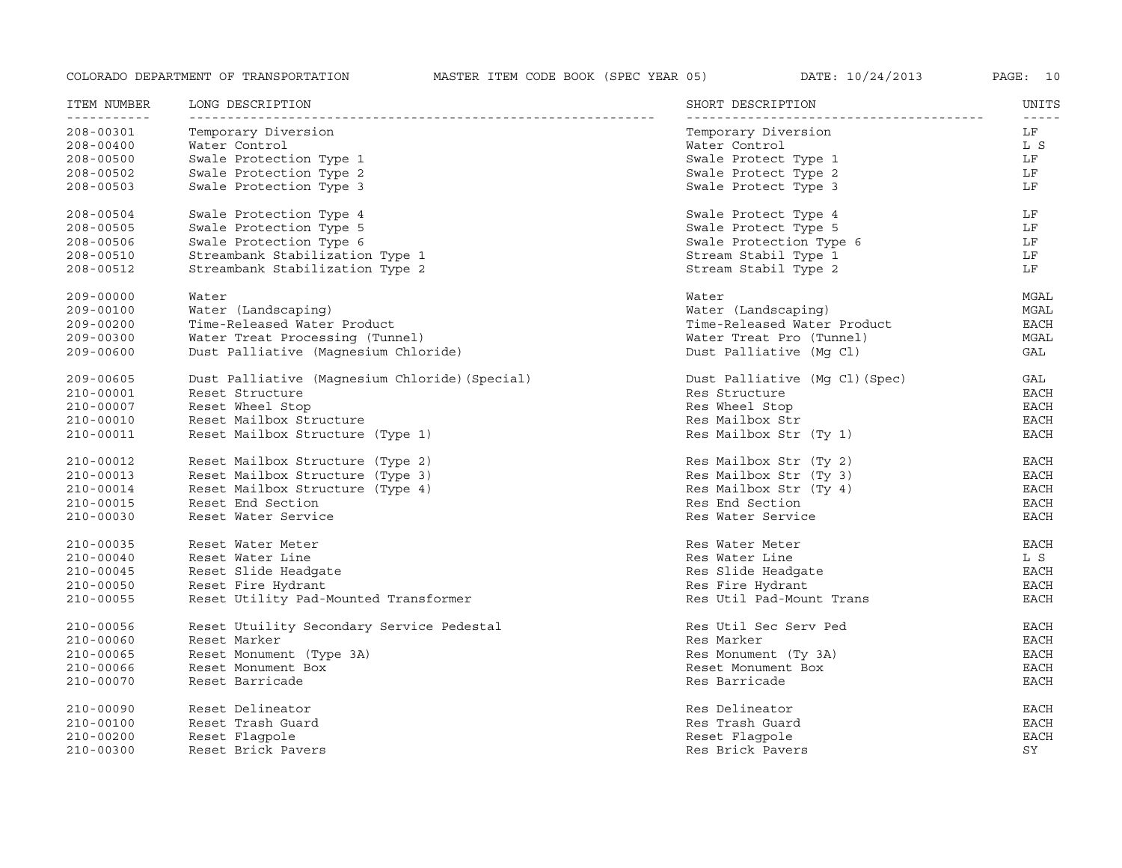| ITEM NUMBER<br>----------- | LONG DESCRIPTION                               | SHORT DESCRIPTION<br>- - - - - - - - - - - | UNITS<br>$- - - - -$ |
|----------------------------|------------------------------------------------|--------------------------------------------|----------------------|
| 208-00301                  | Temporary Diversion                            | Temporary Diversion                        | LF                   |
| $208 - 00400$              | Water Control                                  | Water Control                              | L S                  |
| $208 - 00500$              | Swale Protection Type 1                        | Swale Protect Type 1                       | LF                   |
| 208-00502                  | Swale Protection Type 2                        | Swale Protect Type 2                       | LF                   |
| $208 - 00503$              | Swale Protection Type 3                        | Swale Protect Type 3                       | LF                   |
| 208-00504                  | Swale Protection Type 4                        | Swale Protect Type 4                       | LF                   |
| $208 - 00505$              | Swale Protection Type 5                        | Swale Protect Type 5                       | LF                   |
| 208-00506                  | Swale Protection Type 6                        | Swale Protection Type 6                    | LF                   |
| 208-00510                  | Streambank Stabilization Type 1                | Stream Stabil Type 1                       | LF                   |
| 208-00512                  | Streambank Stabilization Type 2                | Stream Stabil Type 2                       | LF                   |
| 209-00000                  | Water                                          | Water                                      | MGAL                 |
| 209-00100                  | Water (Landscaping)                            | Water (Landscaping)                        | MGAL                 |
| 209-00200                  | Time-Released Water Product                    | Time-Released Water Product                | <b>EACH</b>          |
| 209-00300                  | Water Treat Processing (Tunnel)                | Water Treat Pro (Tunnel)                   | MGAL                 |
| 209-00600                  | Dust Palliative (Magnesium Chloride)           | Dust Palliative (Mg Cl)                    | GAL                  |
| 209-00605                  | Dust Palliative (Magnesium Chloride) (Special) | Dust Palliative (Mg Cl) (Spec)             | GAL                  |
| 210-00001                  | Reset Structure                                | Res Structure                              | EACH                 |
| 210-00007                  | Reset Wheel Stop                               | Res Wheel Stop                             | EACH                 |
| 210-00010                  | Reset Mailbox Structure                        | Res Mailbox Str                            | EACH                 |
| 210-00011                  | Reset Mailbox Structure (Type 1)               | Res Mailbox Str (Ty 1)                     | <b>EACH</b>          |
| 210-00012                  | Reset Mailbox Structure (Type 2)               | Res Mailbox Str (Ty 2)                     | EACH                 |
| 210-00013                  | Reset Mailbox Structure (Type 3)               | Res Mailbox Str (Ty 3)                     | EACH                 |
| 210-00014                  | Reset Mailbox Structure (Type 4)               | Res Mailbox Str (Ty 4)                     | EACH                 |
| 210-00015                  | Reset End Section                              | Res End Section                            | <b>EACH</b>          |
| 210-00030                  | Reset Water Service                            | Res Water Service                          | <b>EACH</b>          |
| 210-00035                  | Reset Water Meter                              | Res Water Meter                            | EACH                 |
| $210 - 00040$              | Reset Water Line                               | Res Water Line                             | L S                  |
| 210-00045                  | Reset Slide Headqate                           | Res Slide Headqate                         | EACH                 |
| 210-00050                  | Reset Fire Hydrant                             | Res Fire Hydrant                           | <b>EACH</b>          |
| 210-00055                  | Reset Utility Pad-Mounted Transformer          | Res Util Pad-Mount Trans                   | <b>EACH</b>          |
| 210-00056                  | Reset Utuility Secondary Service Pedestal      | Res Util Sec Serv Ped                      | EACH                 |
| 210-00060                  | Reset Marker                                   | Res Marker                                 | EACH                 |
| 210-00065                  | Reset Monument (Type 3A)                       | Res Monument (Ty 3A)                       | <b>EACH</b>          |
| 210-00066                  | Reset Monument Box                             | Reset Monument Box                         | <b>EACH</b>          |
| 210-00070                  | Reset Barricade                                | Res Barricade                              | EACH                 |
| 210-00090                  | Reset Delineator                               | Res Delineator                             | <b>EACH</b>          |
| 210-00100                  | Reset Trash Guard                              | Res Trash Guard                            | <b>EACH</b>          |
| 210-00200                  | Reset Flagpole                                 | Reset Flagpole                             | <b>EACH</b>          |
| $210 - 00300$              | Reset Brick Pavers                             | Res Brick Pavers                           | SY                   |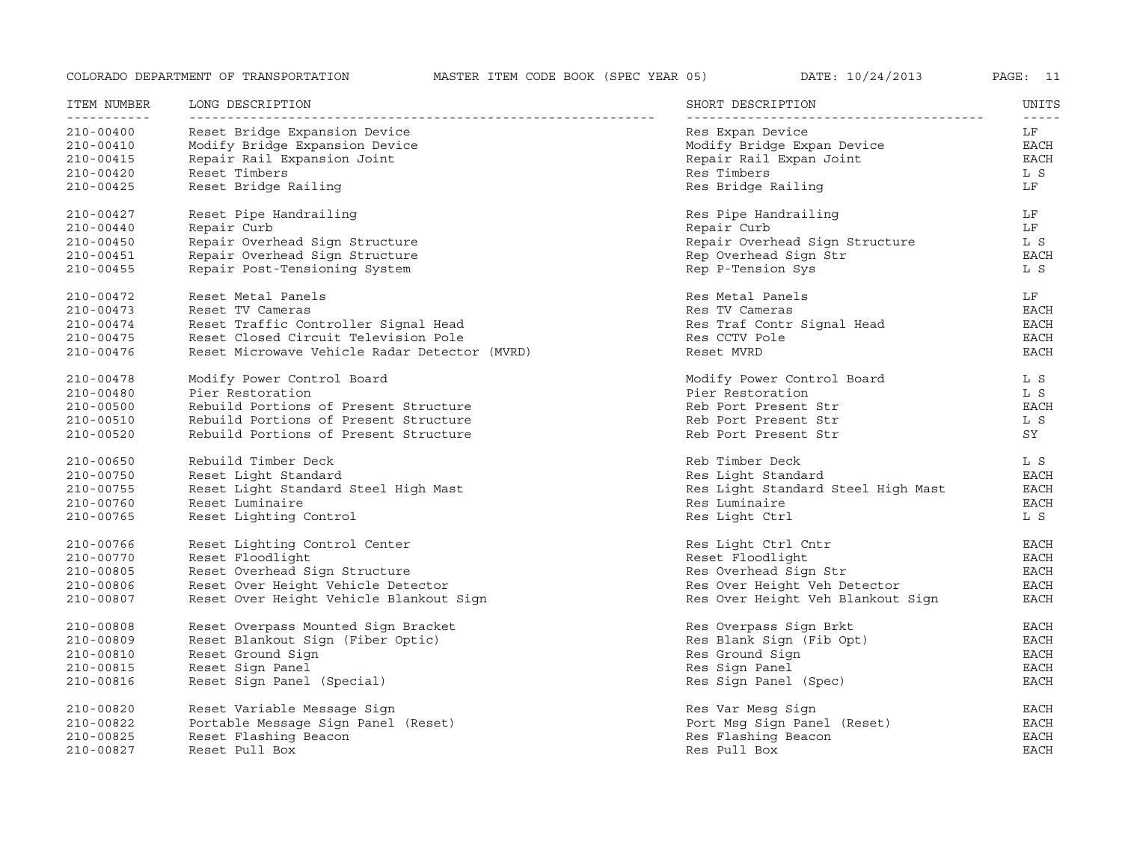| ITEM NUMBER<br>----------- | LONG DESCRIPTION                              | SHORT DESCRIPTION<br>------------  | UNITS               |
|----------------------------|-----------------------------------------------|------------------------------------|---------------------|
| 210-00400                  | Reset Bridge Expansion Device                 | Res Expan Device                   | $- - - - - -$<br>LF |
| 210-00410                  | Modify Bridge Expansion Device                | Modify Bridge Expan Device         | EACH                |
| 210-00415                  | Repair Rail Expansion Joint                   | Repair Rail Expan Joint            | EACH                |
| 210-00420                  | Reset Timbers                                 | Res Timbers                        | L S                 |
| 210-00425                  | Reset Bridge Railing                          | Res Bridge Railing                 | LF                  |
| 210-00427                  | Reset Pipe Handrailing                        | Res Pipe Handrailing               | LF                  |
| 210-00440                  | Repair Curb                                   | Repair Curb                        | LF                  |
| 210-00450                  | Repair Overhead Sign Structure                | Repair Overhead Sign Structure     | L S                 |
| 210-00451                  | Repair Overhead Sign Structure                | Rep Overhead Sign Str              | EACH                |
| 210-00455                  | Repair Post-Tensioning System                 | Rep P-Tension Sys                  | L S                 |
| 210-00472                  | Reset Metal Panels                            | Res Metal Panels                   | LF                  |
| 210-00473                  | Reset TV Cameras                              | Res TV Cameras                     | <b>EACH</b>         |
| 210-00474                  | Reset Traffic Controller Signal Head          | Res Traf Contr Signal Head         | EACH                |
| 210-00475                  | Reset Closed Circuit Television Pole          | Res CCTV Pole                      | <b>EACH</b>         |
| 210-00476                  | Reset Microwave Vehicle Radar Detector (MVRD) | Reset MVRD                         | <b>EACH</b>         |
| 210-00478                  | Modify Power Control Board                    | Modify Power Control Board         | L S                 |
| 210-00480                  | Pier Restoration                              | Pier Restoration                   | L S                 |
| 210-00500                  | Rebuild Portions of Present Structure         | Reb Port Present Str               | EACH                |
| 210-00510                  | Rebuild Portions of Present Structure         | Reb Port Present Str               | L S                 |
| 210-00520                  | Rebuild Portions of Present Structure         | Reb Port Present Str               | SY                  |
| 210-00650                  | Rebuild Timber Deck                           | Reb Timber Deck                    | L S                 |
| 210-00750                  | Reset Light Standard                          | Res Light Standard                 | EACH                |
| 210-00755                  | Reset Light Standard Steel High Mast          | Res Light Standard Steel High Mast | EACH                |
| 210-00760                  | Reset Luminaire                               | Res Luminaire                      | EACH                |
| 210-00765                  | Reset Lighting Control                        | Res Light Ctrl                     | L S                 |
| 210-00766                  | Reset Lighting Control Center                 | Res Light Ctrl Cntr                | EACH                |
| 210-00770                  | Reset Floodlight                              | Reset Floodlight                   | <b>EACH</b>         |
| 210-00805                  | Reset Overhead Sign Structure                 | Res Overhead Sign Str              | EACH                |
| 210-00806                  | Reset Over Height Vehicle Detector            | Res Over Height Veh Detector       | <b>EACH</b>         |
| 210-00807                  | Reset Over Height Vehicle Blankout Sign       | Res Over Height Veh Blankout Sign  | EACH                |
| 210-00808                  | Reset Overpass Mounted Sign Bracket           | Res Overpass Sign Brkt             | EACH                |
| 210-00809                  | Reset Blankout Sign (Fiber Optic)             | Res Blank Sign (Fib Opt)           | <b>EACH</b>         |
| 210-00810                  | Reset Ground Sign                             | Res Ground Sign                    | EACH                |
| 210-00815                  | Reset Sign Panel                              | Res Sign Panel                     | EACH                |
| 210-00816                  | Reset Sign Panel (Special)                    | Res Sign Panel (Spec)              | <b>EACH</b>         |
| 210-00820                  | Reset Variable Message Sign                   | Res Var Mesg Sign                  | EACH                |
| 210-00822                  | Portable Message Sign Panel (Reset)           | Port Msg Sign Panel (Reset)        | EACH                |
| 210-00825                  | Reset Flashing Beacon                         | Res Flashing Beacon                | <b>EACH</b>         |
| 210-00827                  | Reset Pull Box                                | Res Pull Box                       | <b>EACH</b>         |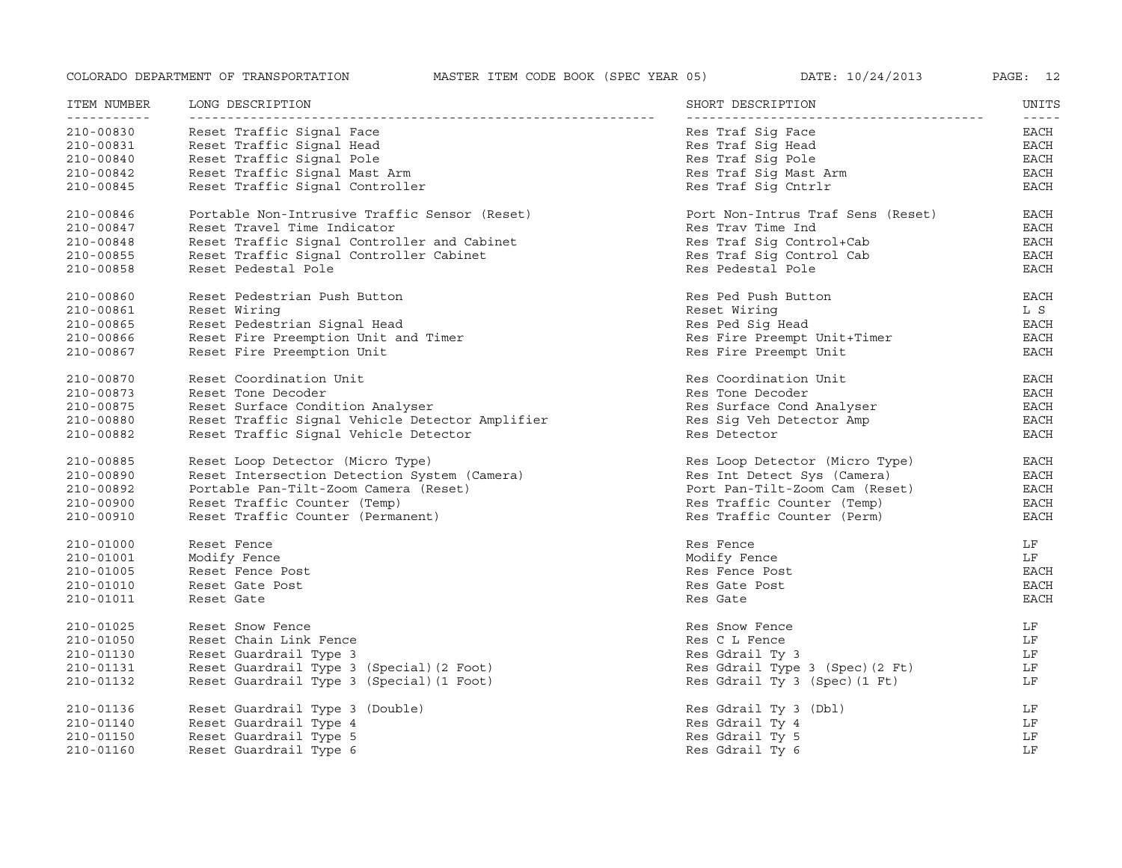| ITEM NUMBER | LONG DESCRIPTION                                | SHORT DESCRIPTION                 | UNITS                 |
|-------------|-------------------------------------------------|-----------------------------------|-----------------------|
| 210-00830   | Reset Traffic Signal Face                       | Res Traf Sig Face                 | $- - - - - -$<br>EACH |
| 210-00831   | Reset Traffic Signal Head                       | Res Traf Sig Head                 | EACH                  |
| 210-00840   | Reset Traffic Signal Pole                       | Res Traf Sig Pole                 | EACH                  |
| 210-00842   | Reset Traffic Signal Mast Arm                   | Res Traf Sig Mast Arm             | EACH                  |
| 210-00845   | Reset Traffic Signal Controller                 | Res Traf Sig Cntrlr               | EACH                  |
| 210-00846   | Portable Non-Intrusive Traffic Sensor (Reset)   | Port Non-Intrus Traf Sens (Reset) | EACH                  |
| 210-00847   | Reset Travel Time Indicator                     | Res Trav Time Ind                 | EACH                  |
| 210-00848   | Reset Traffic Signal Controller and Cabinet     | Res Traf Sig Control+Cab          | EACH                  |
| 210-00855   | Reset Traffic Signal Controller Cabinet         | Res Traf Sig Control Cab          | EACH                  |
| 210-00858   | Reset Pedestal Pole                             | Res Pedestal Pole                 | <b>EACH</b>           |
| 210-00860   | Reset Pedestrian Push Button                    | Res Ped Push Button               | EACH                  |
| 210-00861   | Reset Wiring                                    | Reset Wiring                      | L S                   |
| 210-00865   | Reset Pedestrian Signal Head                    | Res Ped Sig Head                  | EACH                  |
| 210-00866   | Reset Fire Preemption Unit and Timer            | Res Fire Preempt Unit+Timer       | EACH                  |
| 210-00867   | Reset Fire Preemption Unit                      | Res Fire Preempt Unit             | <b>EACH</b>           |
| 210-00870   | Reset Coordination Unit                         | Res Coordination Unit             | EACH                  |
| 210-00873   | Reset Tone Decoder                              | Res Tone Decoder                  | EACH                  |
| 210-00875   | Reset Surface Condition Analyser                | Res Surface Cond Analyser         | <b>EACH</b>           |
| 210-00880   | Reset Traffic Signal Vehicle Detector Amplifier | Res Sig Veh Detector Amp          | <b>EACH</b>           |
| 210-00882   | Reset Traffic Signal Vehicle Detector           | Res Detector                      | <b>EACH</b>           |
| 210-00885   | Reset Loop Detector (Micro Type)                | Res Loop Detector (Micro Type)    | <b>EACH</b>           |
| 210-00890   | Reset Intersection Detection System (Camera)    | Res Int Detect Sys (Camera)       | EACH                  |
| 210-00892   | Portable Pan-Tilt-Zoom Camera (Reset)           | Port Pan-Tilt-Zoom Cam (Reset)    | <b>EACH</b>           |
| 210-00900   | Reset Traffic Counter (Temp)                    | Res Traffic Counter (Temp)        | EACH                  |
| 210-00910   | Reset Traffic Counter (Permanent)               | Res Traffic Counter (Perm)        | <b>EACH</b>           |
| 210-01000   | Reset Fence                                     | Res Fence                         | LF                    |
| 210-01001   | Modify Fence                                    | Modify Fence                      | LF                    |
| 210-01005   | Reset Fence Post                                | Res Fence Post                    | EACH                  |
| 210-01010   | Reset Gate Post                                 | Res Gate Post                     | <b>EACH</b>           |
| 210-01011   | Reset Gate                                      | Res Gate                          | <b>EACH</b>           |
| 210-01025   | Reset Snow Fence                                | Res Snow Fence                    | LF                    |
| 210-01050   | Reset Chain Link Fence                          | Res C L Fence                     | LF                    |
| 210-01130   | Reset Guardrail Type 3                          | Res Gdrail Ty 3                   | LF                    |
| 210-01131   | Reset Guardrail Type 3 (Special) (2 Foot)       | Res Gdrail Type 3 (Spec) (2 Ft)   | LF                    |
| 210-01132   | Reset Guardrail Type 3 (Special) (1 Foot)       | Res Gdrail Ty 3 (Spec) (1 Ft)     | LF                    |
| 210-01136   | Reset Guardrail Type 3 (Double)                 | Res Gdrail Ty 3 (Dbl)             | LF                    |
| 210-01140   | Reset Guardrail Type 4                          | Res Gdrail Ty 4                   | LF                    |
| 210-01150   | Reset Guardrail Type 5                          | Res Gdrail Ty 5                   | LF                    |
| 210-01160   | Reset Guardrail Type 6                          | Res Gdrail Ty 6                   | LF                    |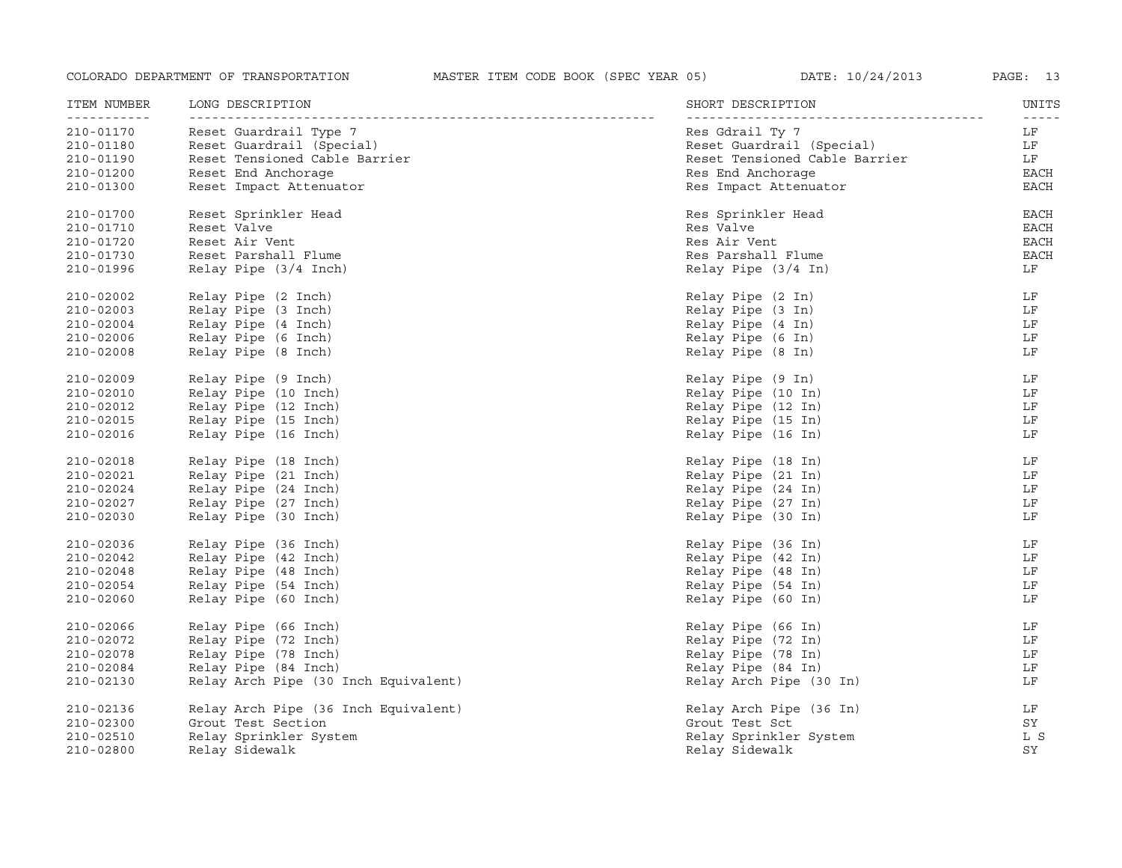| ITEM NUMBER             | LONG DESCRIPTION                     | SHORT DESCRIPTION             | UNITS               |
|-------------------------|--------------------------------------|-------------------------------|---------------------|
| ----------<br>210-01170 | Reset Guardrail Type 7               | Res Gdrail Ty 7               | $- - - - - -$<br>LF |
| 210-01180               | Reset Guardrail (Special)            | Reset Guardrail (Special)     | LF                  |
| 210-01190               | Reset Tensioned Cable Barrier        | Reset Tensioned Cable Barrier | LF                  |
| 210-01200               | Reset End Anchorage                  | Res End Anchorage             | EACH                |
| 210-01300               | Reset Impact Attenuator              | Res Impact Attenuator         | EACH                |
| 210-01700               | Reset Sprinkler Head                 | Res Sprinkler Head            | <b>EACH</b>         |
| 210-01710               | Reset Valve                          | Res Valve                     | <b>EACH</b>         |
| 210-01720               | Reset Air Vent                       | Res Air Vent                  | <b>EACH</b>         |
| 210-01730               | Reset Parshall Flume                 | Res Parshall Flume            | <b>EACH</b>         |
| 210-01996               | Relay Pipe (3/4 Inch)                | Relay Pipe (3/4 In)           | LF                  |
| 210-02002               | Relay Pipe (2 Inch)                  | Relay Pipe (2 In)             | LF                  |
| 210-02003               | Relay Pipe (3 Inch)                  | Relay Pipe (3 In)             | LF                  |
| 210-02004               | Relay Pipe (4 Inch)                  | Relay Pipe (4 In)             | LF                  |
| 210-02006               | Relay Pipe (6 Inch)                  | Relay Pipe (6 In)             | LF                  |
| 210-02008               | Relay Pipe (8 Inch)                  | Relay Pipe (8 In)             | LF                  |
| 210-02009               | Relay Pipe (9 Inch)                  | Relay Pipe (9 In)             | LF                  |
| 210-02010               | Relay Pipe (10 Inch)                 | Relay Pipe (10 In)            | LF                  |
| 210-02012               | Relay Pipe (12 Inch)                 | Relay Pipe (12 In)            | LF                  |
| 210-02015               | Relay Pipe (15 Inch)                 | Relay Pipe (15 In)            | LF                  |
| 210-02016               | Relay Pipe (16 Inch)                 | Relay Pipe (16 In)            | LF                  |
| 210-02018               | Relay Pipe (18 Inch)                 | Relay Pipe (18 In)            | LF                  |
| 210-02021               | Relay Pipe (21 Inch)                 | Relay Pipe (21 In)            | LF                  |
| 210-02024               | Relay Pipe (24 Inch)                 | Relay Pipe (24 In)            | LF                  |
| 210-02027               | Relay Pipe (27 Inch)                 | Relay Pipe (27 In)            | LF                  |
| 210-02030               | Relay Pipe (30 Inch)                 | Relay Pipe (30 In)            | LF                  |
| 210-02036               | Relay Pipe (36 Inch)                 | Relay Pipe (36 In)            | LF                  |
| 210-02042               | Relay Pipe (42 Inch)                 | Relay Pipe (42 In)            | LF                  |
| 210-02048               | Relay Pipe (48 Inch)                 | Relay Pipe (48 In)            | LF                  |
| 210-02054               | Relay Pipe (54 Inch)                 | Relay Pipe (54 In)            | LF                  |
| 210-02060               | Relay Pipe (60 Inch)                 | Relay Pipe (60 In)            | LF                  |
| 210-02066               | Relay Pipe (66 Inch)                 | Relay Pipe (66 In)            | LF                  |
| 210-02072               | Relay Pipe (72 Inch)                 | Relay Pipe (72 In)            | LF                  |
| 210-02078               | Relay Pipe (78 Inch)                 | Relay Pipe (78 In)            | LF                  |
| 210-02084               | Relay Pipe (84 Inch)                 | Relay Pipe (84 In)            | LF                  |
| 210-02130               | Relay Arch Pipe (30 Inch Equivalent) | Relay Arch Pipe (30 In)       | LF                  |
| 210-02136               | Relay Arch Pipe (36 Inch Equivalent) | Relay Arch Pipe (36 In)       | LF                  |
| 210-02300               | Grout Test Section                   | Grout Test Sct                | SY                  |
| 210-02510               | Relay Sprinkler System               | Relay Sprinkler System        | L S                 |
| 210-02800               | Relay Sidewalk                       | Relay Sidewalk                | SY                  |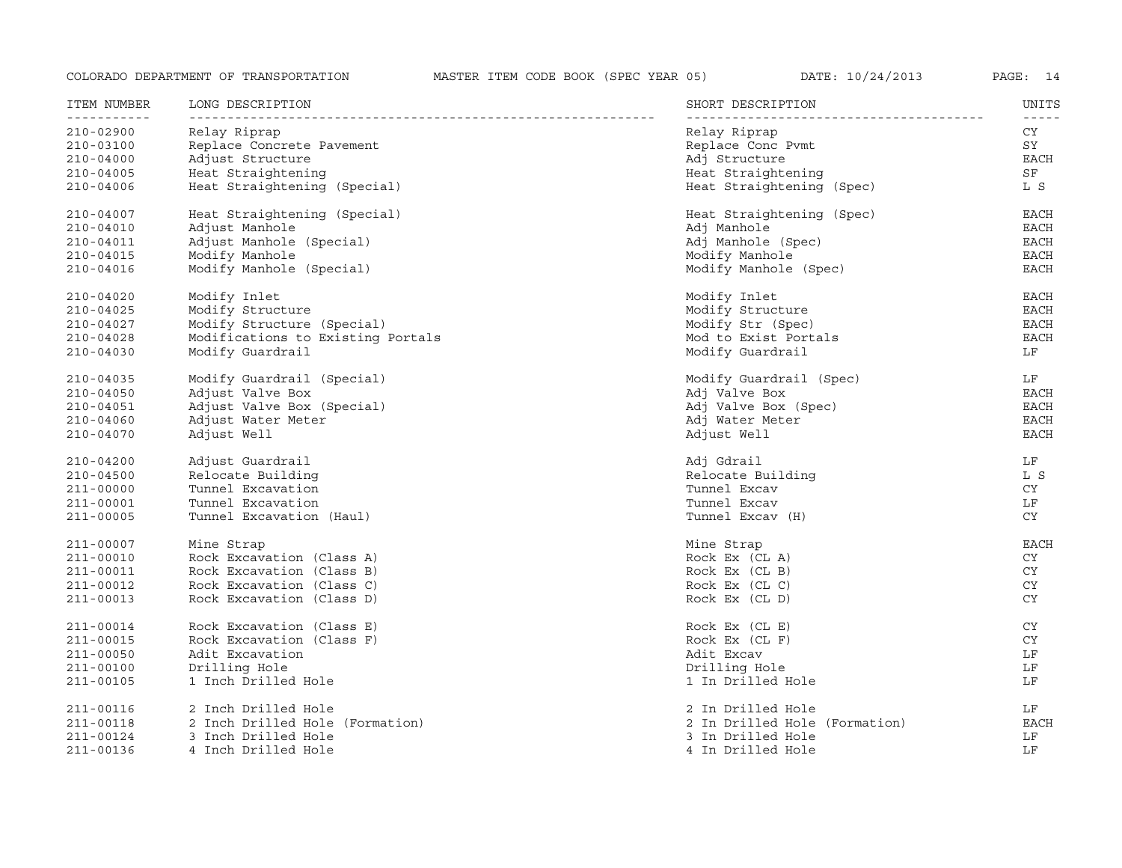| ITEM NUMBER              | LONG DESCRIPTION                  | SHORT DESCRIPTION             | UNITS<br>$- - - - - -$ |
|--------------------------|-----------------------------------|-------------------------------|------------------------|
| -----------<br>210-02900 | Relay Riprap                      | Relay Riprap                  | CY                     |
| 210-03100                | Replace Concrete Pavement         | Replace Conc Pvmt             | SY                     |
| $210 - 04000$            | Adjust Structure                  | Adj Structure                 | EACH                   |
| 210-04005                | Heat Straightening                | Heat Straightening            | ${\rm SF}$             |
| 210-04006                | Heat Straightening (Special)      | Heat Straightening (Spec)     | L S                    |
| 210-04007                | Heat Straightening (Special)      | Heat Straightening (Spec)     | <b>EACH</b>            |
| $210 - 04010$            | Adjust Manhole                    | Adj Manhole                   | <b>EACH</b>            |
| 210-04011                | Adjust Manhole (Special)          | Adj Manhole (Spec)            | <b>EACH</b>            |
| 210-04015                | Modify Manhole                    | Modify Manhole                | EACH                   |
| 210-04016                | Modify Manhole (Special)          | Modify Manhole (Spec)         | <b>EACH</b>            |
| 210-04020                | Modify Inlet                      | Modify Inlet                  | EACH                   |
| 210-04025                | Modify Structure                  | Modify Structure              | <b>EACH</b>            |
| 210-04027                | Modify Structure (Special)        | Modify Str (Spec)             | EACH                   |
| $210 - 04028$            | Modifications to Existing Portals | Mod to Exist Portals          | <b>EACH</b>            |
| 210-04030                | Modify Guardrail                  | Modify Guardrail              | LF                     |
| 210-04035                | Modify Guardrail (Special)        | Modify Guardrail (Spec)       | LF                     |
| $210 - 04050$            | Adjust Valve Box                  | Adj Valve Box                 | EACH                   |
| 210-04051                | Adjust Valve Box (Special)        | Adj Valve Box (Spec)          | <b>EACH</b>            |
| 210-04060                | Adjust Water Meter                | Adj Water Meter               | EACH                   |
| 210-04070                | Adjust Well                       | Adjust Well                   | <b>EACH</b>            |
| $210 - 04200$            | Adjust Guardrail                  | Adj Gdrail                    | LF                     |
| $210 - 04500$            | Relocate Building                 | Relocate Building             | L S                    |
| 211-00000                | Tunnel Excavation                 | Tunnel Excav                  | CY                     |
| 211-00001                | Tunnel Excavation                 | Tunnel Excav                  | LF                     |
| 211-00005                | Tunnel Excavation (Haul)          | Tunnel Excav (H)              | <b>CY</b>              |
| 211-00007                | Mine Strap                        | Mine Strap                    | <b>EACH</b>            |
| 211-00010                | Rock Excavation (Class A)         | Rock $Ex$ $(CL A)$            | CY                     |
| 211-00011                | Rock Excavation (Class B)         | Rock Ex (CL B)                | CY                     |
| 211-00012                | Rock Excavation (Class C)         | Rock Ex (CL C)                | <b>CY</b>              |
| 211-00013                | Rock Excavation (Class D)         | Rock Ex (CL D)                | <b>CY</b>              |
| 211-00014                | Rock Excavation (Class E)         | Rock Ex (CL E)                | CY                     |
| 211-00015                | Rock Excavation (Class F)         | Rock Ex (CL F)                | CY                     |
| 211-00050                | Adit Excavation                   | Adit Excav                    | LF                     |
| 211-00100                | Drilling Hole                     | Drilling Hole                 | LF                     |
| 211-00105                | 1 Inch Drilled Hole               | 1 In Drilled Hole             | LF                     |
| 211-00116                | 2 Inch Drilled Hole               | 2 In Drilled Hole             | LF                     |
| 211-00118                | 2 Inch Drilled Hole (Formation)   | 2 In Drilled Hole (Formation) | <b>EACH</b>            |
| 211-00124                | 3 Inch Drilled Hole               | 3 In Drilled Hole             | LF                     |
| 211-00136                | 4 Inch Drilled Hole               | 4 In Drilled Hole             | LF                     |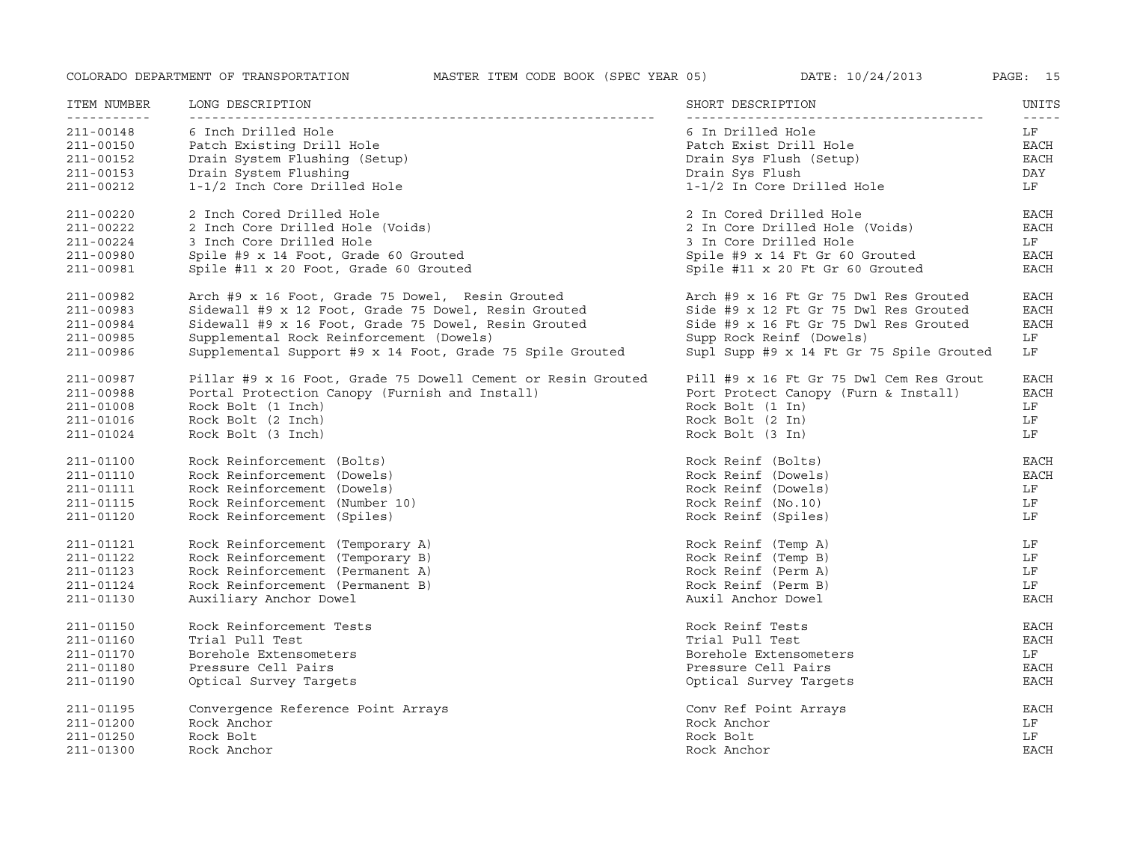| ITEM NUMBER                                                   | LONG DESCRIPTION                                                                                                                           | SHORT DESCRIPTION                                                                                                       | UNITS                                                 |
|---------------------------------------------------------------|--------------------------------------------------------------------------------------------------------------------------------------------|-------------------------------------------------------------------------------------------------------------------------|-------------------------------------------------------|
| 211-00148<br>211-00150<br>211-00152<br>211-00153<br>211-00212 | 6 Inch Drilled Hole<br>Patch Existing Drill Hole<br>Drain System Flushing (Setup)<br>Drain System Flushing<br>1-1/2 Inch Core Drilled Hole | 6 In Drilled Hole<br>Patch Exist Drill Hole<br>Drain Sys Flush (Setup)<br>Drain Sys Flush<br>1-1/2 In Core Drilled Hole | $- - - - -$<br>LF<br>EACH<br><b>EACH</b><br>DAY<br>LF |
| 211-00220                                                     | 2 Inch Cored Drilled Hole                                                                                                                  | 2 In Cored Drilled Hole                                                                                                 | <b>EACH</b>                                           |
| 211-00222                                                     | 2 Inch Core Drilled Hole (Voids)                                                                                                           | 2 In Core Drilled Hole (Voids)                                                                                          | <b>EACH</b>                                           |
| 211-00224                                                     | 3 Inch Core Drilled Hole                                                                                                                   | 3 In Core Drilled Hole                                                                                                  | LF                                                    |
| 211-00980                                                     | Spile #9 x 14 Foot, Grade 60 Grouted                                                                                                       | Spile #9 x 14 Ft Gr 60 Grouted                                                                                          | EACH                                                  |
| 211-00981                                                     | Spile #11 x 20 Foot, Grade 60 Grouted                                                                                                      | Spile #11 x 20 Ft Gr 60 Grouted                                                                                         | <b>EACH</b>                                           |
| 211-00982                                                     | Arch #9 x 16 Foot, Grade 75 Dowel, Resin Grouted                                                                                           | Arch #9 x 16 Ft Gr 75 Dwl Res Grouted                                                                                   | EACH                                                  |
| 211-00983                                                     | Sidewall #9 x 12 Foot, Grade 75 Dowel, Resin Grouted                                                                                       | Side #9 x 12 Ft Gr 75 Dwl Res Grouted                                                                                   | <b>EACH</b>                                           |
| 211-00984                                                     | Sidewall #9 x 16 Foot, Grade 75 Dowel, Resin Grouted                                                                                       | Side #9 x 16 Ft Gr 75 Dwl Res Grouted                                                                                   | <b>EACH</b>                                           |
| 211-00985                                                     | Supplemental Rock Reinforcement (Dowels)                                                                                                   | Supp Rock Reinf (Dowels)                                                                                                | LF                                                    |
| 211-00986                                                     | Supplemental Support #9 x 14 Foot, Grade 75 Spile Grouted                                                                                  | Supl Supp #9 x 14 Ft Gr 75 Spile Grouted                                                                                | LF                                                    |
| 211-00987                                                     | Pillar #9 x 16 Foot, Grade 75 Dowell Cement or Resin Grouted                                                                               | Pill #9 x 16 Ft Gr 75 Dwl Cem Res Grout                                                                                 | EACH                                                  |
| 211-00988                                                     | Portal Protection Canopy (Furnish and Install)                                                                                             | Port Protect Canopy (Furn & Install)                                                                                    | <b>EACH</b>                                           |
| 211-01008                                                     | Rock Bolt (1 Inch)                                                                                                                         | Rock Bolt (1 In)                                                                                                        | LF                                                    |
| 211-01016                                                     | Rock Bolt (2 Inch)                                                                                                                         | Rock Bolt (2 In)                                                                                                        | LF                                                    |
| 211-01024                                                     | Rock Bolt (3 Inch)                                                                                                                         | Rock Bolt (3 In)                                                                                                        | LF                                                    |
| 211-01100                                                     | Rock Reinforcement (Bolts)                                                                                                                 | Rock Reinf (Bolts)                                                                                                      | <b>EACH</b>                                           |
| 211-01110                                                     | Rock Reinforcement (Dowels)                                                                                                                | Rock Reinf (Dowels)                                                                                                     | <b>EACH</b>                                           |
| 211-01111                                                     | Rock Reinforcement (Dowels)                                                                                                                | Rock Reinf (Dowels)                                                                                                     | LF                                                    |
| 211-01115                                                     | Rock Reinforcement (Number 10)                                                                                                             | Rock Reinf (No.10)                                                                                                      | LF                                                    |
| 211-01120                                                     | Rock Reinforcement (Spiles)                                                                                                                | Rock Reinf (Spiles)                                                                                                     | LF                                                    |
| 211-01121                                                     | Rock Reinforcement (Temporary A)                                                                                                           | Rock Reinf (Temp A)                                                                                                     | LF                                                    |
| 211-01122                                                     | Rock Reinforcement (Temporary B)                                                                                                           | Rock Reinf (Temp B)                                                                                                     | LF                                                    |
| 211-01123                                                     | Rock Reinforcement (Permanent A)                                                                                                           | Rock Reinf (Perm A)                                                                                                     | LF                                                    |
| 211-01124                                                     | Rock Reinforcement (Permanent B)                                                                                                           | Rock Reinf (Perm B)                                                                                                     | LF                                                    |
| 211-01130                                                     | Auxiliary Anchor Dowel                                                                                                                     | Auxil Anchor Dowel                                                                                                      | <b>EACH</b>                                           |
| 211-01150                                                     | Rock Reinforcement Tests                                                                                                                   | Rock Reinf Tests                                                                                                        | EACH                                                  |
| 211-01160                                                     | Trial Pull Test                                                                                                                            | Trial Pull Test                                                                                                         | <b>EACH</b>                                           |
| 211-01170                                                     | Borehole Extensometers                                                                                                                     | Borehole Extensometers                                                                                                  | LF                                                    |
| 211-01180                                                     | Pressure Cell Pairs                                                                                                                        | Pressure Cell Pairs                                                                                                     | <b>EACH</b>                                           |
| 211-01190                                                     | Optical Survey Targets                                                                                                                     | Optical Survey Targets                                                                                                  | <b>EACH</b>                                           |
| 211-01195                                                     | Convergence Reference Point Arrays                                                                                                         | Conv Ref Point Arrays                                                                                                   | <b>EACH</b>                                           |
| 211-01200                                                     | Rock Anchor                                                                                                                                | Rock Anchor                                                                                                             | LF                                                    |
| 211-01250                                                     | Rock Bolt                                                                                                                                  | Rock Bolt                                                                                                               | LF                                                    |
| 211-01300                                                     | Rock Anchor                                                                                                                                | Rock Anchor                                                                                                             | <b>EACH</b>                                           |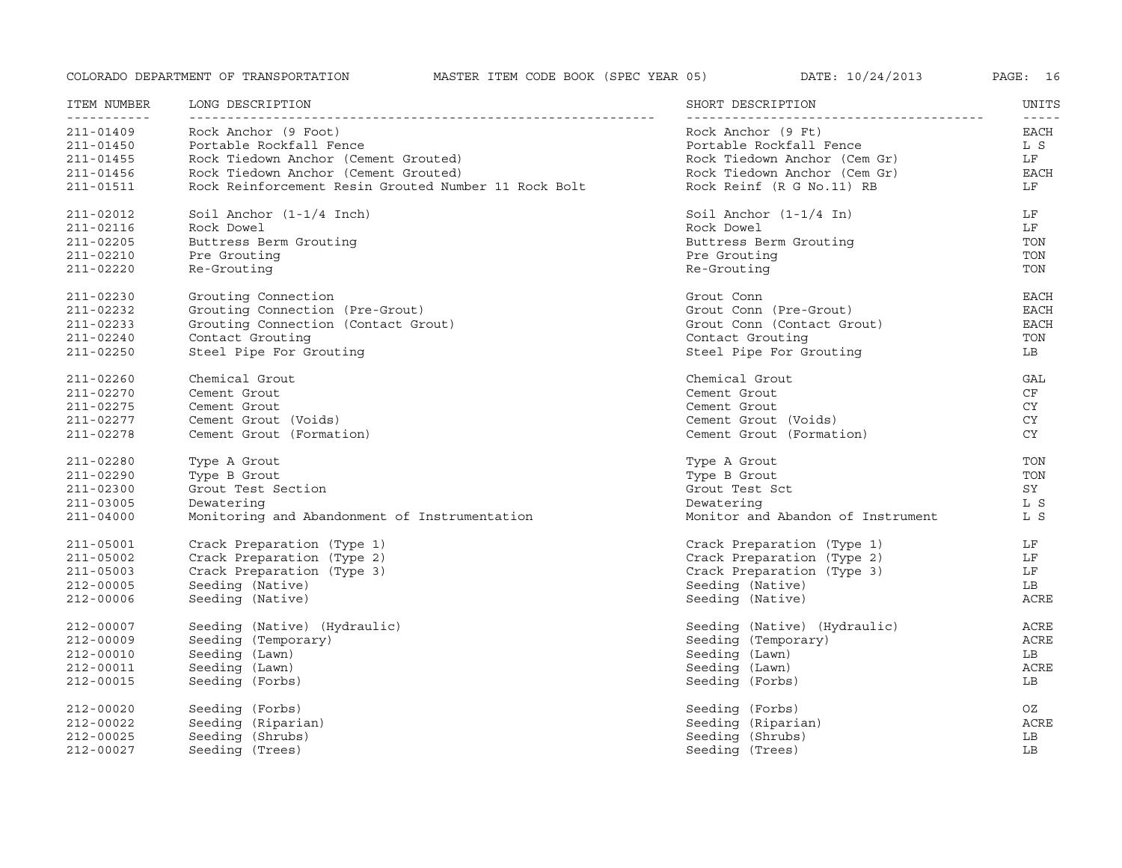| ITEM NUMBER<br>------------ | LONG DESCRIPTION                                     | SHORT DESCRIPTION                 | UNITS               |
|-----------------------------|------------------------------------------------------|-----------------------------------|---------------------|
| 211-01409                   | Rock Anchor (9 Foot)                                 | Rock Anchor (9 Ft)                | $- - - - -$<br>EACH |
| 211-01450                   | Portable Rockfall Fence                              | Portable Rockfall Fence           | L S                 |
| 211-01455                   | Rock Tiedown Anchor (Cement Grouted)                 | Rock Tiedown Anchor (Cem Gr)      | LF                  |
| 211-01456                   | Rock Tiedown Anchor (Cement Grouted)                 | Rock Tiedown Anchor (Cem Gr)      | EACH                |
| 211-01511                   | Rock Reinforcement Resin Grouted Number 11 Rock Bolt | Rock Reinf (R G No.11) RB         | LF                  |
| 211-02012                   | Soil Anchor (1-1/4 Inch)                             | Soil Anchor $(1-1/4 \text{ In})$  | LF                  |
| 211-02116                   | Rock Dowel                                           | Rock Dowel                        | LF                  |
| 211-02205                   | Buttress Berm Grouting                               | Buttress Berm Grouting            | TON                 |
| 211-02210                   | Pre Grouting                                         | Pre Grouting                      | TON                 |
| 211-02220                   | Re-Grouting                                          | Re-Grouting                       | TON                 |
| 211-02230                   | Grouting Connection                                  | Grout Conn                        | EACH                |
| 211-02232                   | Grouting Connection (Pre-Grout)                      | Grout Conn (Pre-Grout)            | <b>EACH</b>         |
| 211-02233                   | Grouting Connection (Contact Grout)                  | Grout Conn (Contact Grout)        | <b>EACH</b>         |
| 211-02240                   | Contact Grouting                                     | Contact Grouting                  | TON                 |
| 211-02250                   | Steel Pipe For Grouting                              | Steel Pipe For Grouting           | LB                  |
| 211-02260                   | Chemical Grout                                       | Chemical Grout                    | GAL                 |
| 211-02270                   | Cement Grout                                         | Cement Grout                      | CF                  |
| 211-02275                   | Cement Grout                                         | Cement Grout                      | CY.                 |
| 211-02277                   | Cement Grout (Voids)                                 | Cement Grout (Voids)              | CY.                 |
| 211-02278                   | Cement Grout (Formation)                             | Cement Grout (Formation)          | <b>CY</b>           |
| 211-02280                   | Type A Grout                                         | Type A Grout                      | TON                 |
| 211-02290                   | Type B Grout                                         | Type B Grout                      | TON                 |
| 211-02300                   | Grout Test Section                                   | Grout Test Sct                    | SY                  |
| 211-03005                   | Dewatering                                           | Dewatering                        | L S                 |
| 211-04000                   | Monitoring and Abandonment of Instrumentation        | Monitor and Abandon of Instrument | L S                 |
| 211-05001                   | Crack Preparation (Type 1)                           | Crack Preparation (Type 1)        | LF                  |
| 211-05002                   | Crack Preparation (Type 2)                           | Crack Preparation (Type 2)        | LF                  |
| 211-05003                   | Crack Preparation (Type 3)                           | Crack Preparation (Type 3)        | LF                  |
| 212-00005                   | Seeding (Native)                                     | Seeding (Native)                  | LB                  |
| $212 - 00006$               | Seeding (Native)                                     | Seeding (Native)                  | ACRE                |
| 212-00007                   | Seeding (Native) (Hydraulic)                         | Seeding (Native) (Hydraulic)      | ACRE                |
| 212-00009                   | Seeding (Temporary)                                  | Seeding (Temporary)               | ACRE                |
| 212-00010                   | Seeding (Lawn)                                       | Seeding (Lawn)                    | LB                  |
| 212-00011                   | Seeding (Lawn)                                       | Seeding (Lawn)                    | ACRE                |
| 212-00015                   | Seeding (Forbs)                                      | Seeding (Forbs)                   | LB                  |
| 212-00020                   | Seeding (Forbs)                                      | Seeding (Forbs)                   | OZ                  |
| 212-00022                   | Seeding (Riparian)                                   | Seeding (Riparian)                | ACRE                |
| $212 - 00025$               | Seeding (Shrubs)                                     | Seeding (Shrubs)                  | LB                  |
| 212-00027                   | Seeding (Trees)                                      | Seeding (Trees)                   | LB                  |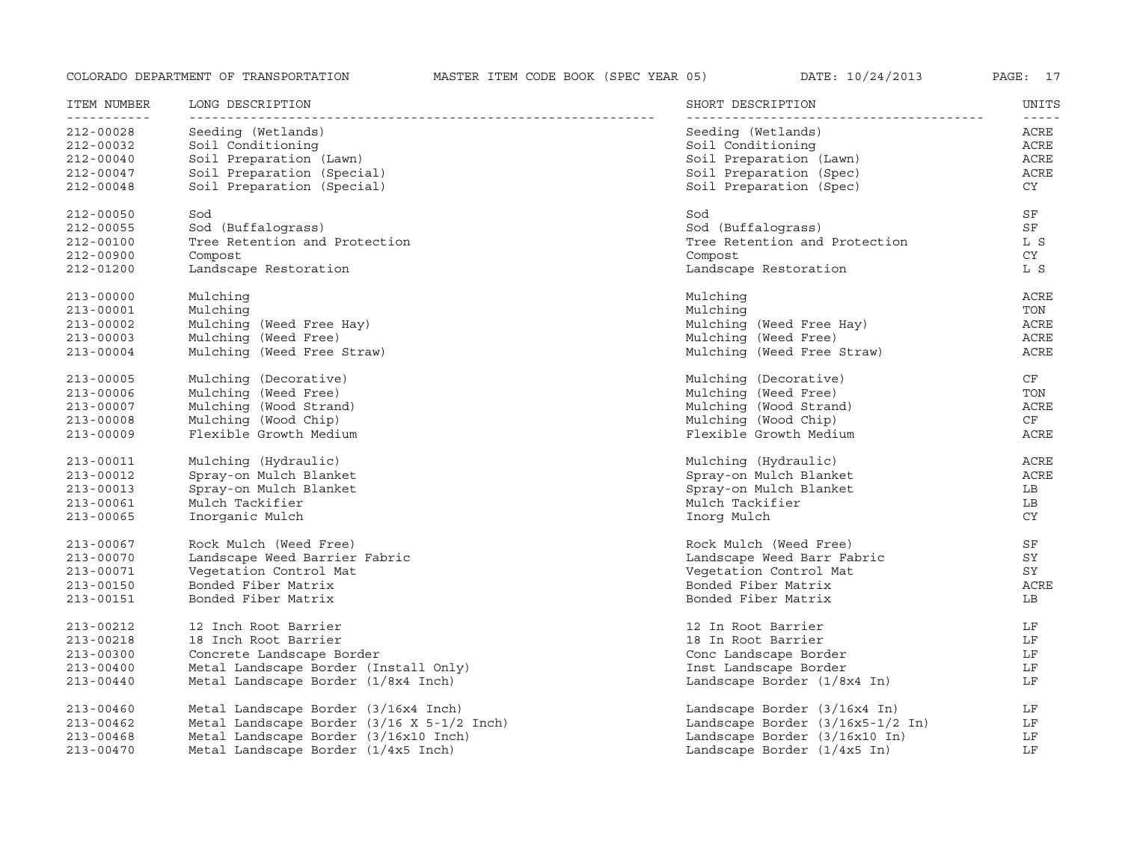| ITEM NUMBER<br>----------- | LONG DESCRIPTION                           | SHORT DESCRIPTION                | UNITS<br>$- - - - -$ |
|----------------------------|--------------------------------------------|----------------------------------|----------------------|
| 212-00028                  | Seeding (Wetlands)                         | Seeding (Wetlands)               | ACRE                 |
| 212-00032                  | Soil Conditioning                          | Soil Conditioning                | ACRE                 |
| $212 - 00040$              | Soil Preparation (Lawn)                    | Soil Preparation (Lawn)          | ACRE                 |
| $212 - 00047$              | Soil Preparation (Special)                 | Soil Preparation (Spec)          | ACRE                 |
| $212 - 00048$              | Soil Preparation (Special)                 | Soil Preparation (Spec)          | CY .                 |
| $212 - 00050$              | Sod                                        | Sod                              | SF                   |
| 212-00055                  | Sod (Buffalograss)                         | Sod (Buffalograss)               | SF                   |
| 212-00100                  | Tree Retention and Protection              | Tree Retention and Protection    | L S                  |
| 212-00900                  | Compost                                    | Compost                          | CY                   |
| 212-01200                  | Landscape Restoration                      | Landscape Restoration            | L S                  |
| $213 - 00000$              | Mulching                                   | Mulching                         | ACRE                 |
| $213 - 00001$              | Mulching                                   | Mulching                         | TON                  |
| $213 - 00002$              | Mulching (Weed Free Hay)                   | Mulching (Weed Free Hay)         | ACRE                 |
| $213 - 00003$              | Mulching (Weed Free)                       | Mulching (Weed Free)             | ACRE                 |
| $213 - 00004$              | Mulching (Weed Free Straw)                 | Mulching (Weed Free Straw)       | ACRE                 |
| $213 - 00005$              | Mulching (Decorative)                      | Mulching (Decorative)            | CF                   |
| $213 - 00006$              | Mulching (Weed Free)                       | Mulching (Weed Free)             | TON                  |
| $213 - 00007$              | Mulching (Wood Strand)                     | Mulching (Wood Strand)           | ACRE                 |
| $213 - 00008$              | Mulching (Wood Chip)                       | Mulching (Wood Chip)             | CF                   |
| $213 - 00009$              | Flexible Growth Medium                     | Flexible Growth Medium           | ACRE                 |
| $213 - 00011$              | Mulching (Hydraulic)                       | Mulching (Hydraulic)             | ACRE                 |
| 213-00012                  | Spray-on Mulch Blanket                     | Spray-on Mulch Blanket           | ACRE                 |
| 213-00013                  | Spray-on Mulch Blanket                     | Spray-on Mulch Blanket           | LB                   |
| $213 - 00061$              | Mulch Tackifier                            | Mulch Tackifier                  | LB                   |
| $213 - 00065$              | Inorganic Mulch                            | Inorg Mulch                      | CY                   |
| 213-00067                  | Rock Mulch (Weed Free)                     | Rock Mulch (Weed Free)           | SF                   |
| $213 - 00070$              | Landscape Weed Barrier Fabric              | Landscape Weed Barr Fabric       | SY                   |
| $213 - 00071$              | Vegetation Control Mat                     | Vegetation Control Mat           | SY                   |
| $213 - 00150$              | Bonded Fiber Matrix                        | Bonded Fiber Matrix              | ACRE                 |
| 213-00151                  | Bonded Fiber Matrix                        | Bonded Fiber Matrix              | LB                   |
| 213-00212                  | 12 Inch Root Barrier                       | 12 In Root Barrier               | LF                   |
| 213-00218                  | 18 Inch Root Barrier                       | 18 In Root Barrier               | LF                   |
| $213 - 00300$              | Concrete Landscape Border                  | Conc Landscape Border            | LF                   |
| $213 - 00400$              | Metal Landscape Border (Install Only)      | Inst Landscape Border            | LF                   |
| $213 - 00440$              | Metal Landscape Border (1/8x4 Inch)        | Landscape Border (1/8x4 In)      | LF                   |
| $213 - 00460$              | Metal Landscape Border (3/16x4 Inch)       | Landscape Border (3/16x4 In)     | LF                   |
| $213 - 00462$              | Metal Landscape Border (3/16 X 5-1/2 Inch) | Landscape Border (3/16x5-1/2 In) | LF                   |
| $213 - 00468$              | Metal Landscape Border (3/16x10 Inch)      | Landscape Border (3/16x10 In)    | LF                   |
| $213 - 00470$              | Metal Landscape Border (1/4x5 Inch)        | Landscape Border (1/4x5 In)      | LF                   |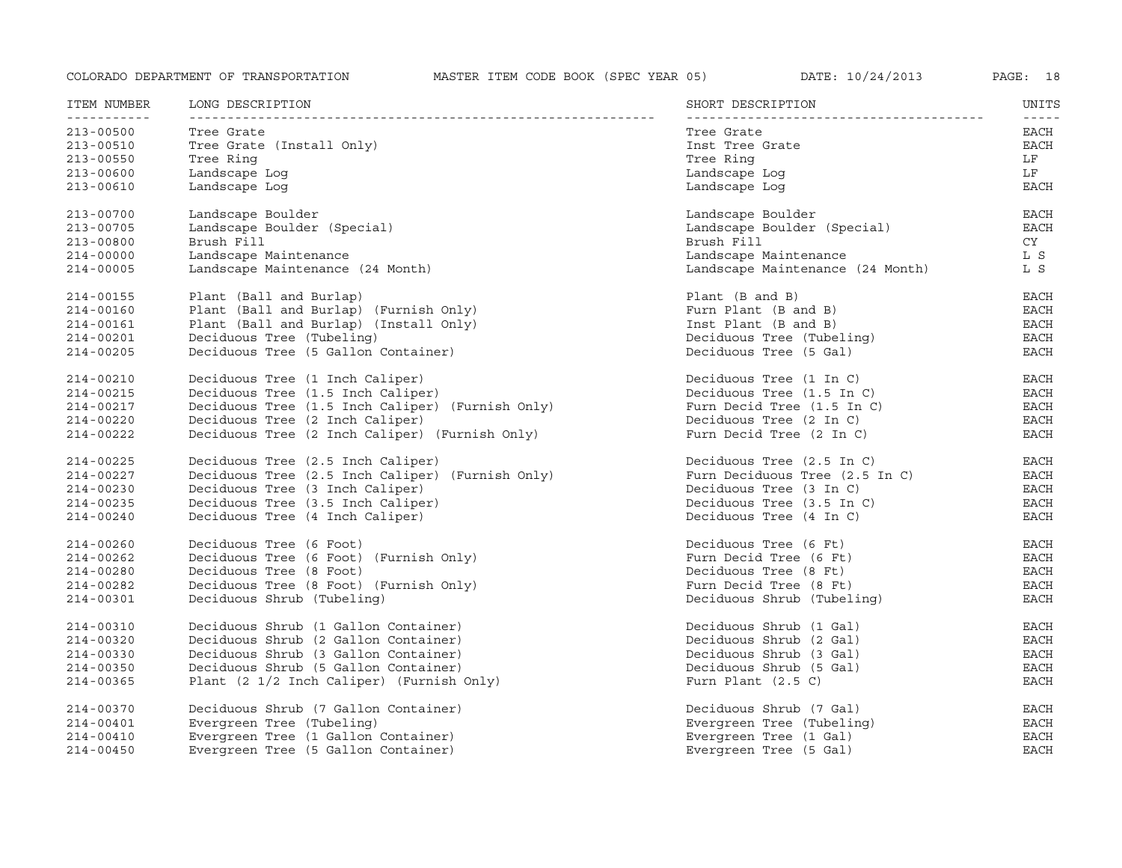| ITEM NUMBER<br><u>___________</u> | LONG DESCRIPTION                                 | SHORT DESCRIPTION                | UNITS               |
|-----------------------------------|--------------------------------------------------|----------------------------------|---------------------|
| $213 - 00500$                     | Tree Grate                                       | Tree Grate                       | $- - - - -$<br>EACH |
| 213-00510                         | Tree Grate (Install Only)                        | Inst Tree Grate                  | EACH                |
| $213 - 00550$                     | Tree Ring                                        | Tree Ring                        | LF                  |
| 213-00600                         | Landscape Log                                    | Landscape Log                    | LF                  |
| $213 - 00610$                     | Landscape Log                                    | Landscape Log                    | <b>EACH</b>         |
| 213-00700                         | Landscape Boulder                                | Landscape Boulder                | EACH                |
| 213-00705                         | Landscape Boulder (Special)                      | Landscape Boulder (Special)      | <b>EACH</b>         |
| $213 - 00800$                     | Brush Fill                                       | Brush Fill                       | <b>CY</b>           |
| $214 - 00000$                     | Landscape Maintenance                            | Landscape Maintenance            | L S                 |
| $214 - 00005$                     | Landscape Maintenance (24 Month)                 | Landscape Maintenance (24 Month) | L S                 |
| 214-00155                         | Plant (Ball and Burlap)                          | Plant (B and B)                  | EACH                |
| 214-00160                         | Plant (Ball and Burlap) (Furnish Only)           | Furn Plant (B and B)             | <b>EACH</b>         |
| 214-00161                         | Plant (Ball and Burlap) (Install Only)           | Inst Plant (B and B)             | <b>EACH</b>         |
| 214-00201                         | Deciduous Tree (Tubeling)                        | Deciduous Tree (Tubeling)        | <b>EACH</b>         |
| $214 - 00205$                     | Deciduous Tree (5 Gallon Container)              | Deciduous Tree (5 Gal)           | <b>EACH</b>         |
| 214-00210                         | Deciduous Tree (1 Inch Caliper)                  | Deciduous Tree (1 In C)          | EACH                |
| 214-00215                         | Deciduous Tree (1.5 Inch Caliper)                | Deciduous Tree (1.5 In C)        | EACH                |
| 214-00217                         | Deciduous Tree (1.5 Inch Caliper) (Furnish Only) | Furn Decid Tree (1.5 In C)       | EACH                |
| 214-00220                         | Deciduous Tree (2 Inch Caliper)                  | Deciduous Tree (2 In C)          | <b>EACH</b>         |
| 214-00222                         | Deciduous Tree (2 Inch Caliper) (Furnish Only)   | Furn Decid Tree (2 In C)         | <b>EACH</b>         |
| 214-00225                         | Deciduous Tree (2.5 Inch Caliper)                | Deciduous Tree (2.5 In C)        | EACH                |
| 214-00227                         | Deciduous Tree (2.5 Inch Caliper) (Furnish Only) | Furn Deciduous Tree (2.5 In C)   | EACH                |
| 214-00230                         | Deciduous Tree (3 Inch Caliper)                  | Deciduous Tree (3 In C)          | <b>EACH</b>         |
| 214-00235                         | Deciduous Tree (3.5 Inch Caliper)                | Deciduous Tree (3.5 In C)        | EACH                |
| 214-00240                         | Deciduous Tree (4 Inch Caliper)                  | Deciduous Tree (4 In C)          | <b>EACH</b>         |
| 214-00260                         | Deciduous Tree (6 Foot)                          | Deciduous Tree (6 Ft)            | <b>EACH</b>         |
| $214 - 00262$                     | Deciduous Tree (6 Foot) (Furnish Only)           | Furn Decid Tree (6 Ft)           | <b>EACH</b>         |
| 214-00280                         | Deciduous Tree (8 Foot)                          | Deciduous Tree (8 Ft)            | <b>EACH</b>         |
| 214-00282                         | Deciduous Tree (8 Foot) (Furnish Only)           | Furn Decid Tree (8 Ft)           | <b>EACH</b>         |
| 214-00301                         | Deciduous Shrub (Tubeling)                       | Deciduous Shrub (Tubeling)       | <b>EACH</b>         |
| 214-00310                         | Deciduous Shrub (1 Gallon Container)             | Deciduous Shrub (1 Gal)          | <b>EACH</b>         |
| 214-00320                         | Deciduous Shrub (2 Gallon Container)             | Deciduous Shrub (2 Gal)          | EACH                |
| 214-00330                         | Deciduous Shrub (3 Gallon Container)             | Deciduous Shrub (3 Gal)          | <b>EACH</b>         |
| 214-00350                         | Deciduous Shrub (5 Gallon Container)             | Deciduous Shrub (5 Gal)          | <b>EACH</b>         |
| 214-00365                         | Plant (2 1/2 Inch Caliper) (Furnish Only)        | Furn Plant $(2.5 C)$             | <b>EACH</b>         |
| 214-00370                         | Deciduous Shrub (7 Gallon Container)             | Deciduous Shrub (7 Gal)          | EACH                |
| $214 - 00401$                     | Evergreen Tree (Tubeling)                        | Evergreen Tree (Tubeling)        | <b>EACH</b>         |
| $214 - 00410$                     | Evergreen Tree (1 Gallon Container)              | Evergreen Tree (1 Gal)           | <b>EACH</b>         |
| $214 - 00450$                     | Evergreen Tree (5 Gallon Container)              | Evergreen Tree (5 Gal)           | <b>EACH</b>         |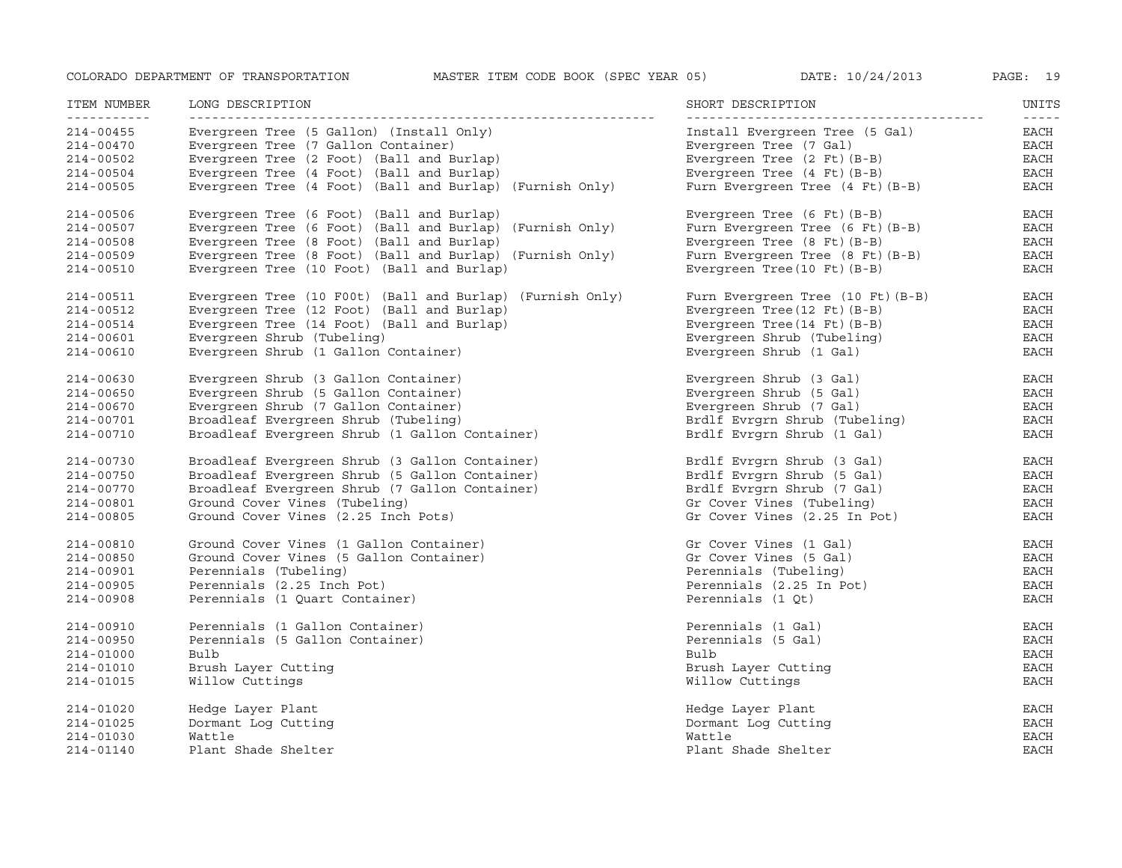| Evergreen Tree (5 Gallon) (Install Only)<br>EACH<br>$214 - 00455$<br>Install Evergreen Tree (5 Gal)<br>Evergreen Tree (7 Gallon Container)<br>Evergreen Tree (7 Gal)<br>EACH<br>$214 - 00470$<br>EACH<br>Evergreen Tree (2 Foot) (Ball and Burlap)<br>Evergreen Tree (2 Ft) (B-B)<br>$214 - 00502$<br>Evergreen Tree (4 Foot) (Ball and Burlap)<br>Evergreen Tree (4 Ft) (B-B)<br>EACH<br>$214 - 00504$<br>Evergreen Tree (4 Foot) (Ball and Burlap) (Furnish Only)<br>EACH<br>$214 - 00505$<br>Furn Evergreen Tree (4 Ft) (B-B)<br>EACH<br>214-00506<br>Evergreen Tree (6 Foot) (Ball and Burlap)<br>Evergreen Tree $(6$ Ft $)(B-B)$<br>Evergreen Tree (6 Foot) (Ball and Burlap) (Furnish Only)<br>EACH<br>Furn Evergreen Tree $(6$ Ft $)(B-B)$<br>214-00507<br>Evergreen Tree (8 Foot) (Ball and Burlap)<br>Evergreen Tree $(8$ Ft $)(B-B)$<br>EACH<br>$214 - 00508$<br>Evergreen Tree (8 Foot) (Ball and Burlap) (Furnish Only)<br>Furn Evergreen Tree (8 Ft) (B-B)<br>EACH<br>$214 - 00509$<br>Evergreen Tree (10 Foot) (Ball and Burlap)<br><b>EACH</b><br>$214 - 00510$<br>Evergreen Tree (10 Ft) (B-B)<br>EACH<br>214-00511<br>Evergreen Tree (10 F00t) (Ball and Burlap) (Furnish Only)<br>Furn Evergreen Tree (10 Ft) (B-B)<br>Evergreen Tree (12 Foot) (Ball and Burlap)<br>Evergreen Tree (12 Ft) (B-B)<br>EACH<br>214-00512<br>Evergreen Tree (14 Foot) (Ball and Burlap)<br><b>EACH</b><br>Evergreen Tree (14 Ft) (B-B)<br>214-00514<br><b>EACH</b><br>Evergreen Shrub (Tubeling)<br>Evergreen Shrub (Tubeling)<br>214-00601<br>EACH<br>Evergreen Shrub (1 Gallon Container)<br>Evergreen Shrub (1 Gal)<br>214-00610<br>Evergreen Shrub (3 Gallon Container)<br>Evergreen Shrub (3 Gal)<br><b>EACH</b><br>$214 - 00630$<br>Evergreen Shrub (5 Gallon Container)<br>Evergreen Shrub (5 Gal)<br>EACH<br>$214 - 00650$<br>$_{\rm EACH}$<br>Evergreen Shrub (7 Gallon Container)<br>Evergreen Shrub (7 Gal)<br>214-00670<br>Broadleaf Evergreen Shrub (Tubeling)<br>Brdlf Evrgrn Shrub (Tubeling)<br>EACH<br>214-00701<br>Brdlf Evrgrn Shrub (1 Gal)<br>Broadleaf Evergreen Shrub (1 Gallon Container)<br>EACH<br>$214 - 00710$<br>Broadleaf Evergreen Shrub (3 Gallon Container)<br>Brdlf Evrgrn Shrub (3 Gal)<br>EACH<br>214-00730<br>Broadleaf Evergreen Shrub (5 Gallon Container)<br>Brdlf Evrgrn Shrub (5 Gal)<br>EACH<br>214-00750<br>Broadleaf Evergreen Shrub (7 Gallon Container)<br>Brdlf Evrgrn Shrub (7 Gal)<br>EACH<br>214-00770<br>Ground Cover Vines (Tubeling)<br>Gr Cover Vines (Tubeling)<br>EACH<br>214-00801<br>Ground Cover Vines (2.25 Inch Pots)<br>Gr Cover Vines (2.25 In Pot)<br><b>EACH</b><br>214-00805<br>Ground Cover Vines (1 Gallon Container)<br>Gr Cover Vines (1 Gal)<br>EACH<br>214-00810<br>Ground Cover Vines (5 Gallon Container)<br>Gr Cover Vines (5 Gal)<br><b>EACH</b><br>214-00850<br>Perennials (Tubeling)<br><b>EACH</b><br>Perennials (Tubeling)<br>214-00901<br>EACH<br>Perennials (2.25 Inch Pot)<br>Perennials (2.25 In Pot)<br>214-00905<br>Perennials (1 Quart Container)<br>Perennials (1 Qt)<br>EACH<br>214-00908<br>Perennials (1 Gallon Container)<br>Perennials (1 Gal)<br><b>EACH</b><br>214-00910<br>Perennials (5 Gallon Container)<br>Perennials (5 Gal)<br>EACH<br>214-00950<br>Bulb<br><b>EACH</b><br>214-01000<br>Bulb<br>Brush Layer Cutting<br>Brush Layer Cutting<br>EACH<br>214-01010<br><b>EACH</b><br>Willow Cuttings<br>Willow Cuttings<br>214-01015<br>EACH<br>Hedge Layer Plant<br>Hedge Layer Plant<br>214-01020<br><b>EACH</b><br>Dormant Log Cutting<br>Dormant Log Cutting<br>214-01025<br>Wattle<br><b>EACH</b><br>214-01030<br>Wattle<br><b>EACH</b><br>$214 - 01140$<br>Plant Shade Shelter<br>Plant Shade Shelter | ITEM NUMBER<br>- - - - - - - - - - - | LONG DESCRIPTION | SHORT DESCRIPTION | UNITS<br>$- - - - -$ |
|---------------------------------------------------------------------------------------------------------------------------------------------------------------------------------------------------------------------------------------------------------------------------------------------------------------------------------------------------------------------------------------------------------------------------------------------------------------------------------------------------------------------------------------------------------------------------------------------------------------------------------------------------------------------------------------------------------------------------------------------------------------------------------------------------------------------------------------------------------------------------------------------------------------------------------------------------------------------------------------------------------------------------------------------------------------------------------------------------------------------------------------------------------------------------------------------------------------------------------------------------------------------------------------------------------------------------------------------------------------------------------------------------------------------------------------------------------------------------------------------------------------------------------------------------------------------------------------------------------------------------------------------------------------------------------------------------------------------------------------------------------------------------------------------------------------------------------------------------------------------------------------------------------------------------------------------------------------------------------------------------------------------------------------------------------------------------------------------------------------------------------------------------------------------------------------------------------------------------------------------------------------------------------------------------------------------------------------------------------------------------------------------------------------------------------------------------------------------------------------------------------------------------------------------------------------------------------------------------------------------------------------------------------------------------------------------------------------------------------------------------------------------------------------------------------------------------------------------------------------------------------------------------------------------------------------------------------------------------------------------------------------------------------------------------------------------------------------------------------------------------------------------------------------------------------------------------------------------------------------------------------------------------------------------------------------------------------------------------------------------------------------------------------------------------------------------------------------------------------------------------------------------------------------------------------------------------------------------------------------------------------------------------------------------------------------------------------------|--------------------------------------|------------------|-------------------|----------------------|
|                                                                                                                                                                                                                                                                                                                                                                                                                                                                                                                                                                                                                                                                                                                                                                                                                                                                                                                                                                                                                                                                                                                                                                                                                                                                                                                                                                                                                                                                                                                                                                                                                                                                                                                                                                                                                                                                                                                                                                                                                                                                                                                                                                                                                                                                                                                                                                                                                                                                                                                                                                                                                                                                                                                                                                                                                                                                                                                                                                                                                                                                                                                                                                                                                                                                                                                                                                                                                                                                                                                                                                                                                                                                                                               |                                      |                  |                   |                      |
|                                                                                                                                                                                                                                                                                                                                                                                                                                                                                                                                                                                                                                                                                                                                                                                                                                                                                                                                                                                                                                                                                                                                                                                                                                                                                                                                                                                                                                                                                                                                                                                                                                                                                                                                                                                                                                                                                                                                                                                                                                                                                                                                                                                                                                                                                                                                                                                                                                                                                                                                                                                                                                                                                                                                                                                                                                                                                                                                                                                                                                                                                                                                                                                                                                                                                                                                                                                                                                                                                                                                                                                                                                                                                                               |                                      |                  |                   |                      |
|                                                                                                                                                                                                                                                                                                                                                                                                                                                                                                                                                                                                                                                                                                                                                                                                                                                                                                                                                                                                                                                                                                                                                                                                                                                                                                                                                                                                                                                                                                                                                                                                                                                                                                                                                                                                                                                                                                                                                                                                                                                                                                                                                                                                                                                                                                                                                                                                                                                                                                                                                                                                                                                                                                                                                                                                                                                                                                                                                                                                                                                                                                                                                                                                                                                                                                                                                                                                                                                                                                                                                                                                                                                                                                               |                                      |                  |                   |                      |
|                                                                                                                                                                                                                                                                                                                                                                                                                                                                                                                                                                                                                                                                                                                                                                                                                                                                                                                                                                                                                                                                                                                                                                                                                                                                                                                                                                                                                                                                                                                                                                                                                                                                                                                                                                                                                                                                                                                                                                                                                                                                                                                                                                                                                                                                                                                                                                                                                                                                                                                                                                                                                                                                                                                                                                                                                                                                                                                                                                                                                                                                                                                                                                                                                                                                                                                                                                                                                                                                                                                                                                                                                                                                                                               |                                      |                  |                   |                      |
|                                                                                                                                                                                                                                                                                                                                                                                                                                                                                                                                                                                                                                                                                                                                                                                                                                                                                                                                                                                                                                                                                                                                                                                                                                                                                                                                                                                                                                                                                                                                                                                                                                                                                                                                                                                                                                                                                                                                                                                                                                                                                                                                                                                                                                                                                                                                                                                                                                                                                                                                                                                                                                                                                                                                                                                                                                                                                                                                                                                                                                                                                                                                                                                                                                                                                                                                                                                                                                                                                                                                                                                                                                                                                                               |                                      |                  |                   |                      |
|                                                                                                                                                                                                                                                                                                                                                                                                                                                                                                                                                                                                                                                                                                                                                                                                                                                                                                                                                                                                                                                                                                                                                                                                                                                                                                                                                                                                                                                                                                                                                                                                                                                                                                                                                                                                                                                                                                                                                                                                                                                                                                                                                                                                                                                                                                                                                                                                                                                                                                                                                                                                                                                                                                                                                                                                                                                                                                                                                                                                                                                                                                                                                                                                                                                                                                                                                                                                                                                                                                                                                                                                                                                                                                               |                                      |                  |                   |                      |
|                                                                                                                                                                                                                                                                                                                                                                                                                                                                                                                                                                                                                                                                                                                                                                                                                                                                                                                                                                                                                                                                                                                                                                                                                                                                                                                                                                                                                                                                                                                                                                                                                                                                                                                                                                                                                                                                                                                                                                                                                                                                                                                                                                                                                                                                                                                                                                                                                                                                                                                                                                                                                                                                                                                                                                                                                                                                                                                                                                                                                                                                                                                                                                                                                                                                                                                                                                                                                                                                                                                                                                                                                                                                                                               |                                      |                  |                   |                      |
|                                                                                                                                                                                                                                                                                                                                                                                                                                                                                                                                                                                                                                                                                                                                                                                                                                                                                                                                                                                                                                                                                                                                                                                                                                                                                                                                                                                                                                                                                                                                                                                                                                                                                                                                                                                                                                                                                                                                                                                                                                                                                                                                                                                                                                                                                                                                                                                                                                                                                                                                                                                                                                                                                                                                                                                                                                                                                                                                                                                                                                                                                                                                                                                                                                                                                                                                                                                                                                                                                                                                                                                                                                                                                                               |                                      |                  |                   |                      |
|                                                                                                                                                                                                                                                                                                                                                                                                                                                                                                                                                                                                                                                                                                                                                                                                                                                                                                                                                                                                                                                                                                                                                                                                                                                                                                                                                                                                                                                                                                                                                                                                                                                                                                                                                                                                                                                                                                                                                                                                                                                                                                                                                                                                                                                                                                                                                                                                                                                                                                                                                                                                                                                                                                                                                                                                                                                                                                                                                                                                                                                                                                                                                                                                                                                                                                                                                                                                                                                                                                                                                                                                                                                                                                               |                                      |                  |                   |                      |
|                                                                                                                                                                                                                                                                                                                                                                                                                                                                                                                                                                                                                                                                                                                                                                                                                                                                                                                                                                                                                                                                                                                                                                                                                                                                                                                                                                                                                                                                                                                                                                                                                                                                                                                                                                                                                                                                                                                                                                                                                                                                                                                                                                                                                                                                                                                                                                                                                                                                                                                                                                                                                                                                                                                                                                                                                                                                                                                                                                                                                                                                                                                                                                                                                                                                                                                                                                                                                                                                                                                                                                                                                                                                                                               |                                      |                  |                   |                      |
|                                                                                                                                                                                                                                                                                                                                                                                                                                                                                                                                                                                                                                                                                                                                                                                                                                                                                                                                                                                                                                                                                                                                                                                                                                                                                                                                                                                                                                                                                                                                                                                                                                                                                                                                                                                                                                                                                                                                                                                                                                                                                                                                                                                                                                                                                                                                                                                                                                                                                                                                                                                                                                                                                                                                                                                                                                                                                                                                                                                                                                                                                                                                                                                                                                                                                                                                                                                                                                                                                                                                                                                                                                                                                                               |                                      |                  |                   |                      |
|                                                                                                                                                                                                                                                                                                                                                                                                                                                                                                                                                                                                                                                                                                                                                                                                                                                                                                                                                                                                                                                                                                                                                                                                                                                                                                                                                                                                                                                                                                                                                                                                                                                                                                                                                                                                                                                                                                                                                                                                                                                                                                                                                                                                                                                                                                                                                                                                                                                                                                                                                                                                                                                                                                                                                                                                                                                                                                                                                                                                                                                                                                                                                                                                                                                                                                                                                                                                                                                                                                                                                                                                                                                                                                               |                                      |                  |                   |                      |
|                                                                                                                                                                                                                                                                                                                                                                                                                                                                                                                                                                                                                                                                                                                                                                                                                                                                                                                                                                                                                                                                                                                                                                                                                                                                                                                                                                                                                                                                                                                                                                                                                                                                                                                                                                                                                                                                                                                                                                                                                                                                                                                                                                                                                                                                                                                                                                                                                                                                                                                                                                                                                                                                                                                                                                                                                                                                                                                                                                                                                                                                                                                                                                                                                                                                                                                                                                                                                                                                                                                                                                                                                                                                                                               |                                      |                  |                   |                      |
|                                                                                                                                                                                                                                                                                                                                                                                                                                                                                                                                                                                                                                                                                                                                                                                                                                                                                                                                                                                                                                                                                                                                                                                                                                                                                                                                                                                                                                                                                                                                                                                                                                                                                                                                                                                                                                                                                                                                                                                                                                                                                                                                                                                                                                                                                                                                                                                                                                                                                                                                                                                                                                                                                                                                                                                                                                                                                                                                                                                                                                                                                                                                                                                                                                                                                                                                                                                                                                                                                                                                                                                                                                                                                                               |                                      |                  |                   |                      |
|                                                                                                                                                                                                                                                                                                                                                                                                                                                                                                                                                                                                                                                                                                                                                                                                                                                                                                                                                                                                                                                                                                                                                                                                                                                                                                                                                                                                                                                                                                                                                                                                                                                                                                                                                                                                                                                                                                                                                                                                                                                                                                                                                                                                                                                                                                                                                                                                                                                                                                                                                                                                                                                                                                                                                                                                                                                                                                                                                                                                                                                                                                                                                                                                                                                                                                                                                                                                                                                                                                                                                                                                                                                                                                               |                                      |                  |                   |                      |
|                                                                                                                                                                                                                                                                                                                                                                                                                                                                                                                                                                                                                                                                                                                                                                                                                                                                                                                                                                                                                                                                                                                                                                                                                                                                                                                                                                                                                                                                                                                                                                                                                                                                                                                                                                                                                                                                                                                                                                                                                                                                                                                                                                                                                                                                                                                                                                                                                                                                                                                                                                                                                                                                                                                                                                                                                                                                                                                                                                                                                                                                                                                                                                                                                                                                                                                                                                                                                                                                                                                                                                                                                                                                                                               |                                      |                  |                   |                      |
|                                                                                                                                                                                                                                                                                                                                                                                                                                                                                                                                                                                                                                                                                                                                                                                                                                                                                                                                                                                                                                                                                                                                                                                                                                                                                                                                                                                                                                                                                                                                                                                                                                                                                                                                                                                                                                                                                                                                                                                                                                                                                                                                                                                                                                                                                                                                                                                                                                                                                                                                                                                                                                                                                                                                                                                                                                                                                                                                                                                                                                                                                                                                                                                                                                                                                                                                                                                                                                                                                                                                                                                                                                                                                                               |                                      |                  |                   |                      |
|                                                                                                                                                                                                                                                                                                                                                                                                                                                                                                                                                                                                                                                                                                                                                                                                                                                                                                                                                                                                                                                                                                                                                                                                                                                                                                                                                                                                                                                                                                                                                                                                                                                                                                                                                                                                                                                                                                                                                                                                                                                                                                                                                                                                                                                                                                                                                                                                                                                                                                                                                                                                                                                                                                                                                                                                                                                                                                                                                                                                                                                                                                                                                                                                                                                                                                                                                                                                                                                                                                                                                                                                                                                                                                               |                                      |                  |                   |                      |
|                                                                                                                                                                                                                                                                                                                                                                                                                                                                                                                                                                                                                                                                                                                                                                                                                                                                                                                                                                                                                                                                                                                                                                                                                                                                                                                                                                                                                                                                                                                                                                                                                                                                                                                                                                                                                                                                                                                                                                                                                                                                                                                                                                                                                                                                                                                                                                                                                                                                                                                                                                                                                                                                                                                                                                                                                                                                                                                                                                                                                                                                                                                                                                                                                                                                                                                                                                                                                                                                                                                                                                                                                                                                                                               |                                      |                  |                   |                      |
|                                                                                                                                                                                                                                                                                                                                                                                                                                                                                                                                                                                                                                                                                                                                                                                                                                                                                                                                                                                                                                                                                                                                                                                                                                                                                                                                                                                                                                                                                                                                                                                                                                                                                                                                                                                                                                                                                                                                                                                                                                                                                                                                                                                                                                                                                                                                                                                                                                                                                                                                                                                                                                                                                                                                                                                                                                                                                                                                                                                                                                                                                                                                                                                                                                                                                                                                                                                                                                                                                                                                                                                                                                                                                                               |                                      |                  |                   |                      |
|                                                                                                                                                                                                                                                                                                                                                                                                                                                                                                                                                                                                                                                                                                                                                                                                                                                                                                                                                                                                                                                                                                                                                                                                                                                                                                                                                                                                                                                                                                                                                                                                                                                                                                                                                                                                                                                                                                                                                                                                                                                                                                                                                                                                                                                                                                                                                                                                                                                                                                                                                                                                                                                                                                                                                                                                                                                                                                                                                                                                                                                                                                                                                                                                                                                                                                                                                                                                                                                                                                                                                                                                                                                                                                               |                                      |                  |                   |                      |
|                                                                                                                                                                                                                                                                                                                                                                                                                                                                                                                                                                                                                                                                                                                                                                                                                                                                                                                                                                                                                                                                                                                                                                                                                                                                                                                                                                                                                                                                                                                                                                                                                                                                                                                                                                                                                                                                                                                                                                                                                                                                                                                                                                                                                                                                                                                                                                                                                                                                                                                                                                                                                                                                                                                                                                                                                                                                                                                                                                                                                                                                                                                                                                                                                                                                                                                                                                                                                                                                                                                                                                                                                                                                                                               |                                      |                  |                   |                      |
|                                                                                                                                                                                                                                                                                                                                                                                                                                                                                                                                                                                                                                                                                                                                                                                                                                                                                                                                                                                                                                                                                                                                                                                                                                                                                                                                                                                                                                                                                                                                                                                                                                                                                                                                                                                                                                                                                                                                                                                                                                                                                                                                                                                                                                                                                                                                                                                                                                                                                                                                                                                                                                                                                                                                                                                                                                                                                                                                                                                                                                                                                                                                                                                                                                                                                                                                                                                                                                                                                                                                                                                                                                                                                                               |                                      |                  |                   |                      |
|                                                                                                                                                                                                                                                                                                                                                                                                                                                                                                                                                                                                                                                                                                                                                                                                                                                                                                                                                                                                                                                                                                                                                                                                                                                                                                                                                                                                                                                                                                                                                                                                                                                                                                                                                                                                                                                                                                                                                                                                                                                                                                                                                                                                                                                                                                                                                                                                                                                                                                                                                                                                                                                                                                                                                                                                                                                                                                                                                                                                                                                                                                                                                                                                                                                                                                                                                                                                                                                                                                                                                                                                                                                                                                               |                                      |                  |                   |                      |
|                                                                                                                                                                                                                                                                                                                                                                                                                                                                                                                                                                                                                                                                                                                                                                                                                                                                                                                                                                                                                                                                                                                                                                                                                                                                                                                                                                                                                                                                                                                                                                                                                                                                                                                                                                                                                                                                                                                                                                                                                                                                                                                                                                                                                                                                                                                                                                                                                                                                                                                                                                                                                                                                                                                                                                                                                                                                                                                                                                                                                                                                                                                                                                                                                                                                                                                                                                                                                                                                                                                                                                                                                                                                                                               |                                      |                  |                   |                      |
|                                                                                                                                                                                                                                                                                                                                                                                                                                                                                                                                                                                                                                                                                                                                                                                                                                                                                                                                                                                                                                                                                                                                                                                                                                                                                                                                                                                                                                                                                                                                                                                                                                                                                                                                                                                                                                                                                                                                                                                                                                                                                                                                                                                                                                                                                                                                                                                                                                                                                                                                                                                                                                                                                                                                                                                                                                                                                                                                                                                                                                                                                                                                                                                                                                                                                                                                                                                                                                                                                                                                                                                                                                                                                                               |                                      |                  |                   |                      |
|                                                                                                                                                                                                                                                                                                                                                                                                                                                                                                                                                                                                                                                                                                                                                                                                                                                                                                                                                                                                                                                                                                                                                                                                                                                                                                                                                                                                                                                                                                                                                                                                                                                                                                                                                                                                                                                                                                                                                                                                                                                                                                                                                                                                                                                                                                                                                                                                                                                                                                                                                                                                                                                                                                                                                                                                                                                                                                                                                                                                                                                                                                                                                                                                                                                                                                                                                                                                                                                                                                                                                                                                                                                                                                               |                                      |                  |                   |                      |
|                                                                                                                                                                                                                                                                                                                                                                                                                                                                                                                                                                                                                                                                                                                                                                                                                                                                                                                                                                                                                                                                                                                                                                                                                                                                                                                                                                                                                                                                                                                                                                                                                                                                                                                                                                                                                                                                                                                                                                                                                                                                                                                                                                                                                                                                                                                                                                                                                                                                                                                                                                                                                                                                                                                                                                                                                                                                                                                                                                                                                                                                                                                                                                                                                                                                                                                                                                                                                                                                                                                                                                                                                                                                                                               |                                      |                  |                   |                      |
|                                                                                                                                                                                                                                                                                                                                                                                                                                                                                                                                                                                                                                                                                                                                                                                                                                                                                                                                                                                                                                                                                                                                                                                                                                                                                                                                                                                                                                                                                                                                                                                                                                                                                                                                                                                                                                                                                                                                                                                                                                                                                                                                                                                                                                                                                                                                                                                                                                                                                                                                                                                                                                                                                                                                                                                                                                                                                                                                                                                                                                                                                                                                                                                                                                                                                                                                                                                                                                                                                                                                                                                                                                                                                                               |                                      |                  |                   |                      |
|                                                                                                                                                                                                                                                                                                                                                                                                                                                                                                                                                                                                                                                                                                                                                                                                                                                                                                                                                                                                                                                                                                                                                                                                                                                                                                                                                                                                                                                                                                                                                                                                                                                                                                                                                                                                                                                                                                                                                                                                                                                                                                                                                                                                                                                                                                                                                                                                                                                                                                                                                                                                                                                                                                                                                                                                                                                                                                                                                                                                                                                                                                                                                                                                                                                                                                                                                                                                                                                                                                                                                                                                                                                                                                               |                                      |                  |                   |                      |
|                                                                                                                                                                                                                                                                                                                                                                                                                                                                                                                                                                                                                                                                                                                                                                                                                                                                                                                                                                                                                                                                                                                                                                                                                                                                                                                                                                                                                                                                                                                                                                                                                                                                                                                                                                                                                                                                                                                                                                                                                                                                                                                                                                                                                                                                                                                                                                                                                                                                                                                                                                                                                                                                                                                                                                                                                                                                                                                                                                                                                                                                                                                                                                                                                                                                                                                                                                                                                                                                                                                                                                                                                                                                                                               |                                      |                  |                   |                      |
|                                                                                                                                                                                                                                                                                                                                                                                                                                                                                                                                                                                                                                                                                                                                                                                                                                                                                                                                                                                                                                                                                                                                                                                                                                                                                                                                                                                                                                                                                                                                                                                                                                                                                                                                                                                                                                                                                                                                                                                                                                                                                                                                                                                                                                                                                                                                                                                                                                                                                                                                                                                                                                                                                                                                                                                                                                                                                                                                                                                                                                                                                                                                                                                                                                                                                                                                                                                                                                                                                                                                                                                                                                                                                                               |                                      |                  |                   |                      |
|                                                                                                                                                                                                                                                                                                                                                                                                                                                                                                                                                                                                                                                                                                                                                                                                                                                                                                                                                                                                                                                                                                                                                                                                                                                                                                                                                                                                                                                                                                                                                                                                                                                                                                                                                                                                                                                                                                                                                                                                                                                                                                                                                                                                                                                                                                                                                                                                                                                                                                                                                                                                                                                                                                                                                                                                                                                                                                                                                                                                                                                                                                                                                                                                                                                                                                                                                                                                                                                                                                                                                                                                                                                                                                               |                                      |                  |                   |                      |
|                                                                                                                                                                                                                                                                                                                                                                                                                                                                                                                                                                                                                                                                                                                                                                                                                                                                                                                                                                                                                                                                                                                                                                                                                                                                                                                                                                                                                                                                                                                                                                                                                                                                                                                                                                                                                                                                                                                                                                                                                                                                                                                                                                                                                                                                                                                                                                                                                                                                                                                                                                                                                                                                                                                                                                                                                                                                                                                                                                                                                                                                                                                                                                                                                                                                                                                                                                                                                                                                                                                                                                                                                                                                                                               |                                      |                  |                   |                      |
|                                                                                                                                                                                                                                                                                                                                                                                                                                                                                                                                                                                                                                                                                                                                                                                                                                                                                                                                                                                                                                                                                                                                                                                                                                                                                                                                                                                                                                                                                                                                                                                                                                                                                                                                                                                                                                                                                                                                                                                                                                                                                                                                                                                                                                                                                                                                                                                                                                                                                                                                                                                                                                                                                                                                                                                                                                                                                                                                                                                                                                                                                                                                                                                                                                                                                                                                                                                                                                                                                                                                                                                                                                                                                                               |                                      |                  |                   |                      |
|                                                                                                                                                                                                                                                                                                                                                                                                                                                                                                                                                                                                                                                                                                                                                                                                                                                                                                                                                                                                                                                                                                                                                                                                                                                                                                                                                                                                                                                                                                                                                                                                                                                                                                                                                                                                                                                                                                                                                                                                                                                                                                                                                                                                                                                                                                                                                                                                                                                                                                                                                                                                                                                                                                                                                                                                                                                                                                                                                                                                                                                                                                                                                                                                                                                                                                                                                                                                                                                                                                                                                                                                                                                                                                               |                                      |                  |                   |                      |
|                                                                                                                                                                                                                                                                                                                                                                                                                                                                                                                                                                                                                                                                                                                                                                                                                                                                                                                                                                                                                                                                                                                                                                                                                                                                                                                                                                                                                                                                                                                                                                                                                                                                                                                                                                                                                                                                                                                                                                                                                                                                                                                                                                                                                                                                                                                                                                                                                                                                                                                                                                                                                                                                                                                                                                                                                                                                                                                                                                                                                                                                                                                                                                                                                                                                                                                                                                                                                                                                                                                                                                                                                                                                                                               |                                      |                  |                   |                      |
|                                                                                                                                                                                                                                                                                                                                                                                                                                                                                                                                                                                                                                                                                                                                                                                                                                                                                                                                                                                                                                                                                                                                                                                                                                                                                                                                                                                                                                                                                                                                                                                                                                                                                                                                                                                                                                                                                                                                                                                                                                                                                                                                                                                                                                                                                                                                                                                                                                                                                                                                                                                                                                                                                                                                                                                                                                                                                                                                                                                                                                                                                                                                                                                                                                                                                                                                                                                                                                                                                                                                                                                                                                                                                                               |                                      |                  |                   |                      |
|                                                                                                                                                                                                                                                                                                                                                                                                                                                                                                                                                                                                                                                                                                                                                                                                                                                                                                                                                                                                                                                                                                                                                                                                                                                                                                                                                                                                                                                                                                                                                                                                                                                                                                                                                                                                                                                                                                                                                                                                                                                                                                                                                                                                                                                                                                                                                                                                                                                                                                                                                                                                                                                                                                                                                                                                                                                                                                                                                                                                                                                                                                                                                                                                                                                                                                                                                                                                                                                                                                                                                                                                                                                                                                               |                                      |                  |                   |                      |
|                                                                                                                                                                                                                                                                                                                                                                                                                                                                                                                                                                                                                                                                                                                                                                                                                                                                                                                                                                                                                                                                                                                                                                                                                                                                                                                                                                                                                                                                                                                                                                                                                                                                                                                                                                                                                                                                                                                                                                                                                                                                                                                                                                                                                                                                                                                                                                                                                                                                                                                                                                                                                                                                                                                                                                                                                                                                                                                                                                                                                                                                                                                                                                                                                                                                                                                                                                                                                                                                                                                                                                                                                                                                                                               |                                      |                  |                   |                      |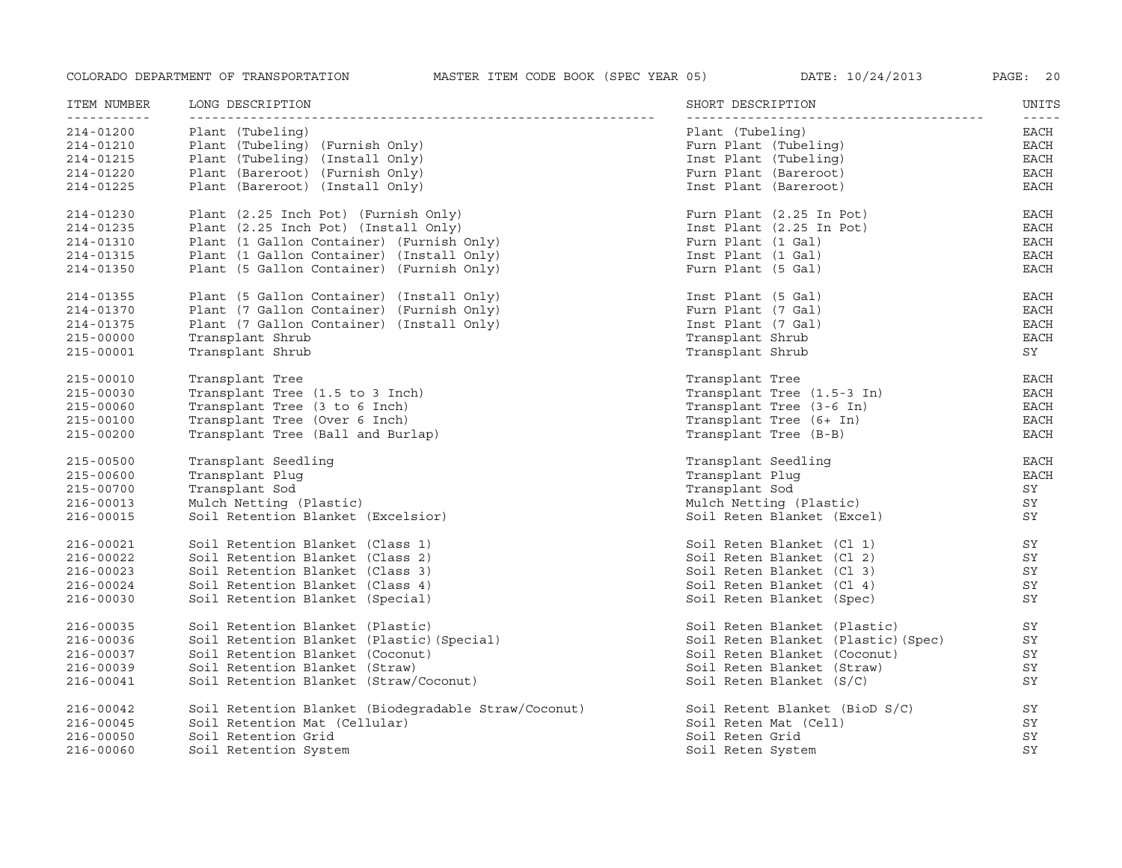| ITEM NUMBER   | LONG DESCRIPTION                                     | SHORT DESCRIPTION                   | UNITS<br>$- - - - -$ |
|---------------|------------------------------------------------------|-------------------------------------|----------------------|
| 214-01200     | Plant (Tubeling)                                     | Plant (Tubeling)                    | EACH                 |
| 214-01210     | Plant (Tubeling) (Furnish Only)                      | Furn Plant (Tubeling)               | EACH                 |
| 214-01215     | Plant (Tubeling) (Install Only)                      | Inst Plant (Tubeling)               | $_{\rm EACH}$        |
| 214-01220     | Plant (Bareroot) (Furnish Only)                      | Furn Plant (Bareroot)               | EACH                 |
| 214-01225     | Plant (Bareroot) (Install Only)                      | Inst Plant (Bareroot)               | EACH                 |
| 214-01230     | Plant (2.25 Inch Pot) (Furnish Only)                 | Furn Plant (2.25 In Pot)            | <b>EACH</b>          |
| 214-01235     | Plant (2.25 Inch Pot) (Install Only)                 | Inst Plant (2.25 In Pot)            | EACH                 |
| 214-01310     | Plant (1 Gallon Container) (Furnish Only)            | Furn Plant (1 Gal)                  | EACH                 |
| 214-01315     | Plant (1 Gallon Container) (Install Only)            | Inst Plant (1 Gal)                  | <b>EACH</b>          |
| 214-01350     | Plant (5 Gallon Container) (Furnish Only)            | Furn Plant (5 Gal)                  | <b>EACH</b>          |
| 214-01355     | Plant (5 Gallon Container) (Install Only)            | Inst Plant (5 Gal)                  | <b>EACH</b>          |
| 214-01370     | Plant (7 Gallon Container) (Furnish Only)            | Furn Plant (7 Gal)                  | <b>EACH</b>          |
| 214-01375     | Plant (7 Gallon Container) (Install Only)            | Inst Plant (7 Gal)                  | <b>EACH</b>          |
| $215 - 00000$ | Transplant Shrub                                     | Transplant Shrub                    | <b>EACH</b>          |
| 215-00001     | Transplant Shrub                                     | Transplant Shrub                    | SY                   |
| 215-00010     | Transplant Tree                                      | Transplant Tree                     | EACH                 |
| 215-00030     | Transplant Tree (1.5 to 3 Inch)                      | Transplant Tree (1.5-3 In)          | EACH                 |
| 215-00060     | Transplant Tree (3 to 6 Inch)                        | Transplant Tree (3-6 In)            | <b>EACH</b>          |
| 215-00100     | Transplant Tree (Over 6 Inch)                        | Transplant Tree (6+ In)             | <b>EACH</b>          |
| 215-00200     | Transplant Tree (Ball and Burlap)                    | Transplant Tree (B-B)               | <b>EACH</b>          |
| 215-00500     | Transplant Seedling                                  | Transplant Seedling                 | <b>EACH</b>          |
| 215-00600     | Transplant Plug                                      | Transplant Plug                     | <b>EACH</b>          |
| 215-00700     | Transplant Sod                                       | Transplant Sod                      | SY                   |
| 216-00013     | Mulch Netting (Plastic)                              | Mulch Netting (Plastic)             | SY                   |
| 216-00015     | Soil Retention Blanket (Excelsior)                   | Soil Reten Blanket (Excel)          | SY                   |
| 216-00021     | Soil Retention Blanket (Class 1)                     | Soil Reten Blanket (Cl 1)           | SY                   |
| 216-00022     | Soil Retention Blanket (Class 2)                     | Soil Reten Blanket (Cl 2)           | SY                   |
| 216-00023     | Soil Retention Blanket (Class 3)                     | Soil Reten Blanket (Cl 3)           | SY                   |
| 216-00024     | Soil Retention Blanket (Class 4)                     | Soil Reten Blanket (Cl 4)           | SY                   |
| 216-00030     | Soil Retention Blanket (Special)                     | Soil Reten Blanket (Spec)           | SY                   |
| 216-00035     | Soil Retention Blanket (Plastic)                     | Soil Reten Blanket (Plastic)        | SY                   |
| 216-00036     | Soil Retention Blanket (Plastic) (Special)           | Soil Reten Blanket (Plastic) (Spec) | SY                   |
| 216-00037     | Soil Retention Blanket (Coconut)                     | Soil Reten Blanket (Coconut)        | SY                   |
| 216-00039     | Soil Retention Blanket (Straw)                       | Soil Reten Blanket (Straw)          | SY                   |
| 216-00041     | Soil Retention Blanket (Straw/Coconut)               | Soil Reten Blanket $(S/C)$          | SY                   |
| 216-00042     | Soil Retention Blanket (Biodegradable Straw/Coconut) | Soil Retent Blanket (BioD S/C)      | SY                   |
| 216-00045     | Soil Retention Mat (Cellular)                        | Soil Reten Mat (Cell)               | SY                   |
| 216-00050     | Soil Retention Grid                                  | Soil Reten Grid                     | SY                   |
| 216-00060     | Soil Retention System                                | Soil Reten System                   | SY                   |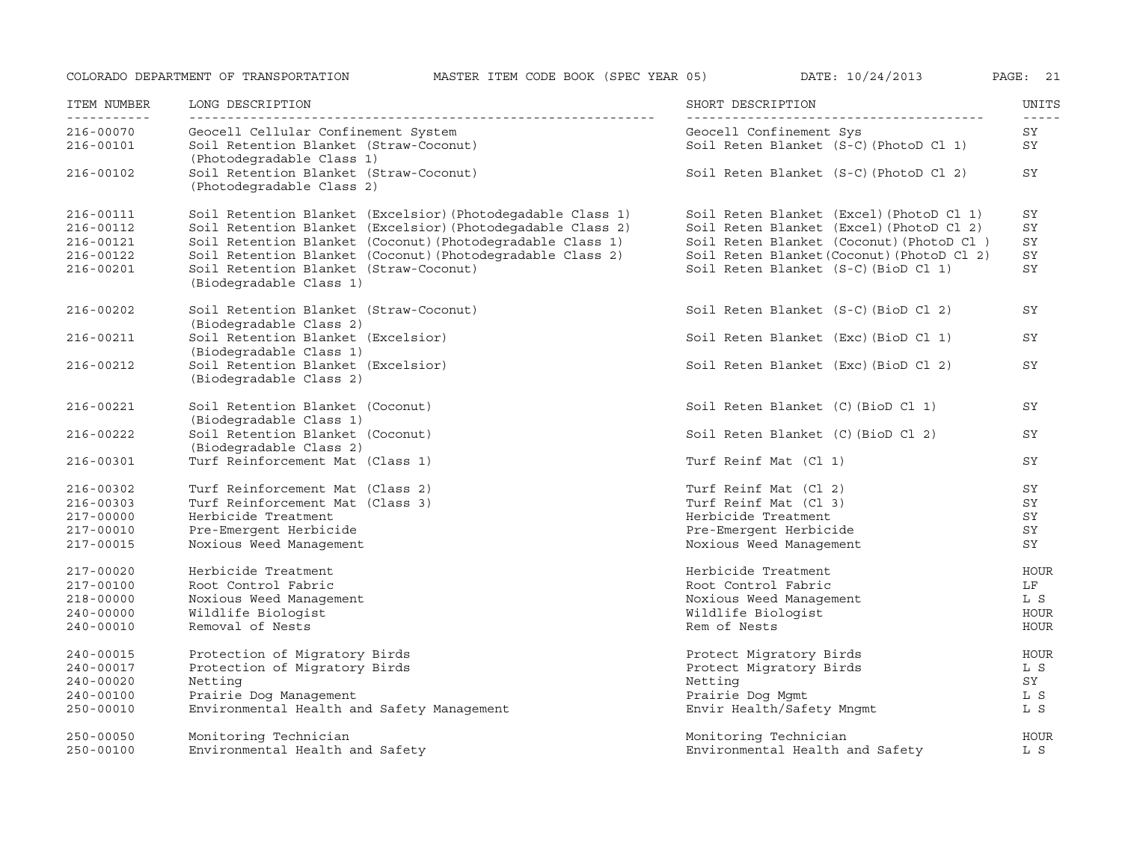COLORADO DEPARTMENT OF TRANSPORTATION MASTER ITEM CODE BOOK (SPEC YEAR 05) DATE: 10/24/2013 PAGE: <sup>21</sup> ITEM NUMBER LONG DESCRIPTION SHORT DESCRIPTION UNITS

| - - - - - - - - - - - -<br>$216 - 00070$ | Geocell Cellular Confinement System                                 | Geocell Confinement Sys                    | SY          |
|------------------------------------------|---------------------------------------------------------------------|--------------------------------------------|-------------|
| $216 - 00101$                            | Soil Retention Blanket (Straw-Coconut)<br>(Photodegradable Class 1) | Soil Reten Blanket (S-C) (PhotoD Cl 1)     | SY          |
| 216-00102                                | Soil Retention Blanket (Straw-Coconut)<br>(Photodegradable Class 2) | Soil Reten Blanket (S-C) (PhotoD Cl 2)     | SY          |
| 216-00111                                | Soil Retention Blanket (Excelsior) (Photodegadable Class 1)         | Soil Reten Blanket (Excel) (PhotoD Cl 1)   | SY          |
| 216-00112                                | Soil Retention Blanket (Excelsior) (Photodegadable Class 2)         | Soil Reten Blanket (Excel) (PhotoD Cl 2)   | SY          |
| 216-00121                                | Soil Retention Blanket (Coconut) (Photodegradable Class 1)          | Soil Reten Blanket (Coconut) (PhotoD Cl)   | SY          |
| 216-00122                                | Soil Retention Blanket (Coconut) (Photodegradable Class 2)          | Soil Reten Blanket (Coconut) (PhotoD Cl 2) | SY          |
| 216-00201                                | Soil Retention Blanket (Straw-Coconut)<br>(Biodegradable Class 1)   | Soil Reten Blanket (S-C) (BioD Cl 1)       | SY          |
| 216-00202                                | Soil Retention Blanket (Straw-Coconut)                              | Soil Reten Blanket (S-C) (BioD Cl 2)       | SY          |
|                                          | (Biodegradable Class 2)                                             |                                            |             |
| $216 - 00211$                            | Soil Retention Blanket (Excelsior)<br>(Biodegradable Class 1)       | Soil Reten Blanket (Exc) (BioD Cl 1)       | SY          |
| $216 - 00212$                            | Soil Retention Blanket (Excelsior)                                  | Soil Reten Blanket (Exc) (BioD Cl 2)       | SY          |
|                                          | (Biodegradable Class 2)                                             |                                            |             |
| $216 - 00221$                            | Soil Retention Blanket (Coconut)                                    | Soil Reten Blanket (C) (BioD Cl 1)         | SY          |
|                                          | (Biodegradable Class 1)                                             |                                            |             |
| $216 - 00222$                            | Soil Retention Blanket (Coconut)                                    | Soil Reten Blanket (C) (BioD Cl 2)         | SY          |
|                                          | (Biodegradable Class 2)                                             |                                            |             |
| 216-00301                                | Turf Reinforcement Mat (Class 1)                                    | Turf Reinf Mat (Cl 1)                      | SY          |
| 216-00302                                | Turf Reinforcement Mat (Class 2)                                    | Turf Reinf Mat (Cl 2)                      | SY          |
| 216-00303                                | Turf Reinforcement Mat (Class 3)                                    | Turf Reinf Mat (Cl 3)                      | SY          |
| 217-00000                                | Herbicide Treatment                                                 | Herbicide Treatment                        | SY          |
| 217-00010                                | Pre-Emergent Herbicide                                              | Pre-Emergent Herbicide                     | SY          |
| 217-00015                                | Noxious Weed Management                                             | Noxious Weed Management                    | SY          |
| 217-00020                                | Herbicide Treatment                                                 | Herbicide Treatment                        | HOUR        |
| 217-00100                                | Root Control Fabric                                                 | Root Control Fabric                        | LF          |
| 218-00000                                | Noxious Weed Management                                             | Noxious Weed Management                    | L S         |
| $240 - 00000$                            | Wildlife Biologist                                                  | Wildlife Biologist                         | <b>HOUR</b> |
| 240-00010                                | Removal of Nests                                                    | Rem of Nests                               | HOUR        |
| 240-00015                                | Protection of Migratory Birds                                       | Protect Migratory Birds                    | HOUR        |
| 240-00017                                | Protection of Migratory Birds                                       | Protect Migratory Birds                    | L S         |
| $240 - 00020$                            | Netting                                                             | Netting                                    | SY          |
| 240-00100                                | Prairie Dog Management                                              | Prairie Dog Mgmt                           | L S         |
| 250-00010                                | Environmental Health and Safety Management                          | Envir Health/Safety Mngmt                  | L S         |
| 250-00050                                | Monitoring Technician                                               | Monitoring Technician                      | HOUR        |
| $250 - 00100$                            | Environmental Health and Safety                                     | Environmental Health and Safety            | L S         |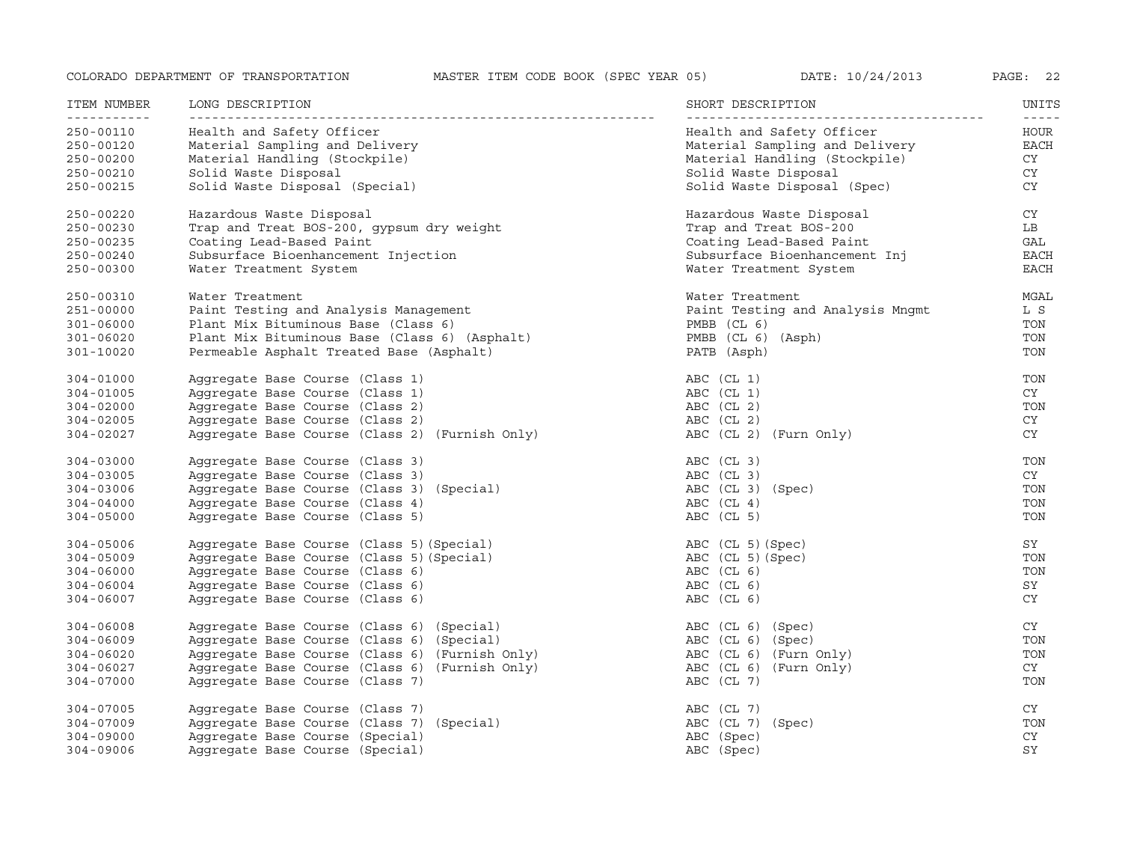| ITEM NUMBER<br><u> - - - - - - - - - - -</u> | LONG DESCRIPTION                               | SHORT DESCRIPTION                | UNITS<br>$- - - - -$ |
|----------------------------------------------|------------------------------------------------|----------------------------------|----------------------|
| 250-00110                                    | Health and Safety Officer                      | Health and Safety Officer        | HOUR                 |
| 250-00120                                    | Material Sampling and Delivery                 | Material Sampling and Delivery   | <b>EACH</b>          |
| 250-00200                                    | Material Handling (Stockpile)                  | Material Handling (Stockpile)    | CY                   |
| 250-00210                                    | Solid Waste Disposal                           | Solid Waste Disposal             | CY                   |
| 250-00215                                    | Solid Waste Disposal (Special)                 | Solid Waste Disposal (Spec)      | <b>CY</b>            |
|                                              |                                                |                                  |                      |
| 250-00220                                    | Hazardous Waste Disposal                       | Hazardous Waste Disposal         | CY                   |
| $250 - 00230$                                | Trap and Treat BOS-200, gypsum dry weight      | Trap and Treat BOS-200           | LB                   |
| 250-00235                                    | Coating Lead-Based Paint                       | Coating Lead-Based Paint         | GAL                  |
| 250-00240                                    | Subsurface Bioenhancement Injection            | Subsurface Bioenhancement Inj    | <b>EACH</b>          |
| 250-00300                                    | Water Treatment System                         | Water Treatment System           | <b>EACH</b>          |
| 250-00310                                    | Water Treatment                                | Water Treatment                  | MGAL                 |
| 251-00000                                    | Paint Testing and Analysis Management          | Paint Testing and Analysis Mngmt | L S                  |
| 301-06000                                    | Plant Mix Bituminous Base (Class 6)            | $PMBB$ (CL 6)                    | TON                  |
| 301-06020                                    | Plant Mix Bituminous Base (Class 6) (Asphalt)  | PMBB (CL 6) (Asph)               | TON                  |
| 301-10020                                    | Permeable Asphalt Treated Base (Asphalt)       | PATB (Asph)                      | TON                  |
|                                              |                                                |                                  |                      |
| $304 - 01000$                                | Aggregate Base Course (Class 1)                | ABC (CL 1)                       | TON                  |
| 304-01005                                    | Aggregate Base Course (Class 1)                | ABC (CL 1)                       | CY                   |
| $304 - 02000$                                | Aggregate Base Course (Class 2)                | ABC (CL 2)                       | TON                  |
| $304 - 02005$                                | Aggregate Base Course (Class 2)                | $ABC$ (CL 2)                     | CY                   |
| 304-02027                                    | Aggregate Base Course (Class 2) (Furnish Only) | ABC (CL 2) (Furn Only)           | CY                   |
|                                              |                                                |                                  |                      |
| $304 - 03000$                                | Aggregate Base Course (Class 3)                | ABC (CL 3)                       | TON                  |
| 304-03005                                    | Aggregate Base Course (Class 3)                | ABC (CL 3)                       | CY                   |
| 304-03006                                    | Aggregate Base Course (Class 3) (Special)      | ABC (CL 3) (Spec)                | TON                  |
| $304 - 04000$                                | Aggregate Base Course (Class 4)                | $ABC$ (CL 4)                     | TON                  |
| $304 - 05000$                                | Aggregate Base Course (Class 5)                | ABC (CL 5)                       | TON                  |
| 304-05006                                    | Aggregate Base Course (Class 5) (Special)      | ABC (CL 5) (Spec)                | SY                   |
| $304 - 05009$                                | Aggregate Base Course (Class 5) (Special)      | ABC (CL 5) (Spec)                | TON                  |
| $304 - 06000$                                | Aggregate Base Course (Class 6)                | ABC (CL 6)                       | TON                  |
| $304 - 06004$                                | Aggregate Base Course (Class 6)                | $ABC$ (CL $6$ )                  | SY                   |
| 304-06007                                    | Aggregate Base Course (Class 6)                | ABC (CL 6)                       | <b>CY</b>            |
|                                              |                                                |                                  |                      |
| 304-06008                                    | Aggregate Base Course (Class 6) (Special)      | ABC (CL 6) (Spec)                | CY                   |
| $304 - 06009$                                | Aggregate Base Course (Class 6) (Special)      | ABC (CL 6) (Spec)                | TON                  |
| $304 - 06020$                                | Aggregate Base Course (Class 6) (Furnish Only) | ABC (CL 6) (Furn Only)           | TON                  |
| $304 - 06027$                                | Aggregate Base Course (Class 6) (Furnish Only) | ABC (CL 6) (Furn Only)           | CY                   |
| 304-07000                                    | Aggregate Base Course (Class 7)                | ABC (CL 7)                       | TON                  |
|                                              |                                                |                                  |                      |
| 304-07005                                    | Aggregate Base Course (Class 7)                | ABC (CL 7)                       | CY                   |
| 304-07009                                    | Aggregate Base Course (Class 7) (Special)      | ABC (CL 7) (Spec)                | TON                  |
| $304 - 09000$                                | Aggregate Base Course (Special)                | ABC (Spec)                       | <b>CY</b>            |
| 304-09006                                    | Aggregate Base Course (Special)                | ABC (Spec)                       | SY                   |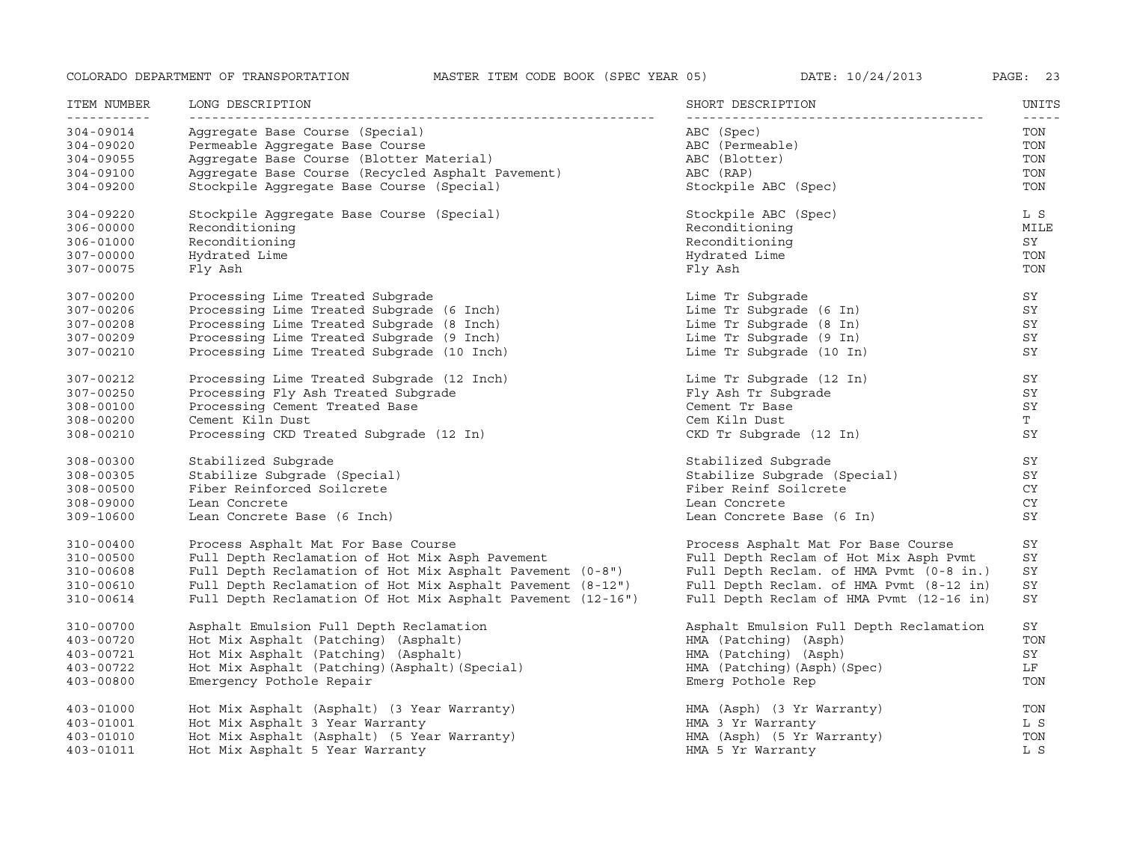| ITEM NUMBER<br><u> - - - - - - - - - - -</u> | LONG DESCRIPTION                                            | SHORT DESCRIPTION                        | UNITS |
|----------------------------------------------|-------------------------------------------------------------|------------------------------------------|-------|
| 304-09014                                    | Aggregate Base Course (Special)                             | ABC (Spec)                               | TON   |
| 304-09020                                    | Permeable Aqqreqate Base Course                             | ABC (Permeable)                          | TON   |
| $304 - 09055$                                | Aggregate Base Course (Blotter Material)                    | ABC (Blotter)                            | TON   |
| 304-09100                                    | Aggregate Base Course (Recycled Asphalt Pavement)           | ABC (RAP)                                | TON   |
| 304-09200                                    | Stockpile Aggregate Base Course (Special)                   | Stockpile ABC (Spec)                     | TON   |
| 304-09220                                    | Stockpile Aggregate Base Course (Special)                   | Stockpile ABC (Spec)                     | L S   |
| 306-00000                                    | Reconditioning                                              | Reconditioning                           | MILE  |
| 306-01000                                    | Reconditioning                                              | Reconditioning                           | SY    |
| 307-00000                                    | Hydrated Lime                                               | Hydrated Lime                            | TON   |
| 307-00075                                    | Fly Ash                                                     | Fly Ash                                  | TON   |
| 307-00200                                    | Processing Lime Treated Subgrade                            | Lime Tr Subgrade                         | SY    |
| 307-00206                                    | Processing Lime Treated Subgrade (6 Inch)                   | Lime Tr Subgrade (6 In)                  | SY    |
| 307-00208                                    | Processing Lime Treated Subgrade (8 Inch)                   | Lime Tr Subgrade (8 In)                  | SY    |
| 307-00209                                    | Processing Lime Treated Subgrade (9 Inch)                   | Lime Tr Subgrade (9 In)                  | SΥ    |
| 307-00210                                    | Processing Lime Treated Subgrade (10 Inch)                  | Lime Tr Subgrade (10 In)                 | SY    |
| 307-00212                                    | Processing Lime Treated Subgrade (12 Inch)                  | Lime Tr Subgrade (12 In)                 | SΥ    |
| 307-00250                                    | Processing Fly Ash Treated Subgrade                         | Fly Ash Tr Subgrade                      | SΥ    |
| 308-00100                                    | Processing Cement Treated Base                              | Cement Tr Base                           | SY    |
| 308-00200                                    | Cement Kiln Dust                                            | Cem Kiln Dust                            | T     |
| 308-00210                                    | Processing CKD Treated Subgrade (12 In)                     | CKD Tr Subgrade (12 In)                  | SY    |
| 308-00300                                    | Stabilized Subgrade                                         | Stabilized Subgrade                      | SΥ    |
| 308-00305                                    | Stabilize Subgrade (Special)                                | Stabilize Subgrade (Special)             | SY    |
| $308 - 00500$                                | Fiber Reinforced Soilcrete                                  | Fiber Reinf Soilcrete                    | CY.   |
| 308-09000                                    | Lean Concrete                                               | Lean Concrete                            | CY    |
| 309-10600                                    | Lean Concrete Base (6 Inch)                                 | Lean Concrete Base (6 In)                | SY    |
| 310-00400                                    | Process Asphalt Mat For Base Course                         | Process Asphalt Mat For Base Course      | SY    |
| 310-00500                                    | Full Depth Reclamation of Hot Mix Asph Pavement             | Full Depth Reclam of Hot Mix Asph Pvmt   | SY    |
| 310-00608                                    | Full Depth Reclamation of Hot Mix Asphalt Pavement (0-8")   | Full Depth Reclam. of HMA Pvmt (0-8 in.) | SY    |
| 310-00610                                    | Full Depth Reclamation of Hot Mix Asphalt Pavement (8-12")  | Full Depth Reclam. of HMA Pvmt (8-12 in) | SY    |
| 310-00614                                    | Full Depth Reclamation Of Hot Mix Asphalt Pavement (12-16") | Full Depth Reclam of HMA Pvmt (12-16 in) | SY    |
| 310-00700                                    | Asphalt Emulsion Full Depth Reclamation                     | Asphalt Emulsion Full Depth Reclamation  | SY    |
| 403-00720                                    | Hot Mix Asphalt (Patching) (Asphalt)                        | HMA (Patching) (Asph)                    | TON   |
| 403-00721                                    | Hot Mix Asphalt (Patching) (Asphalt)                        | HMA (Patching) (Asph)                    | SY    |
| 403-00722                                    | Hot Mix Asphalt (Patching) (Asphalt) (Special)              | HMA (Patching) (Asph) (Spec)             | LF    |
| $403 - 00800$                                | Emergency Pothole Repair                                    | Emerg Pothole Rep                        | TON   |
| $403 - 01000$                                | Hot Mix Asphalt (Asphalt) (3 Year Warranty)                 | HMA (Asph) (3 Yr Warranty)               | TON   |
| $403 - 01001$                                | Hot Mix Asphalt 3 Year Warranty                             | HMA 3 Yr Warranty                        | L S   |
| 403-01010                                    | Hot Mix Asphalt (Asphalt) (5 Year Warranty)                 | HMA (Asph) (5 Yr Warranty)               | TON   |
| 403-01011                                    | Hot Mix Asphalt 5 Year Warranty                             | HMA 5 Yr Warranty                        | L S   |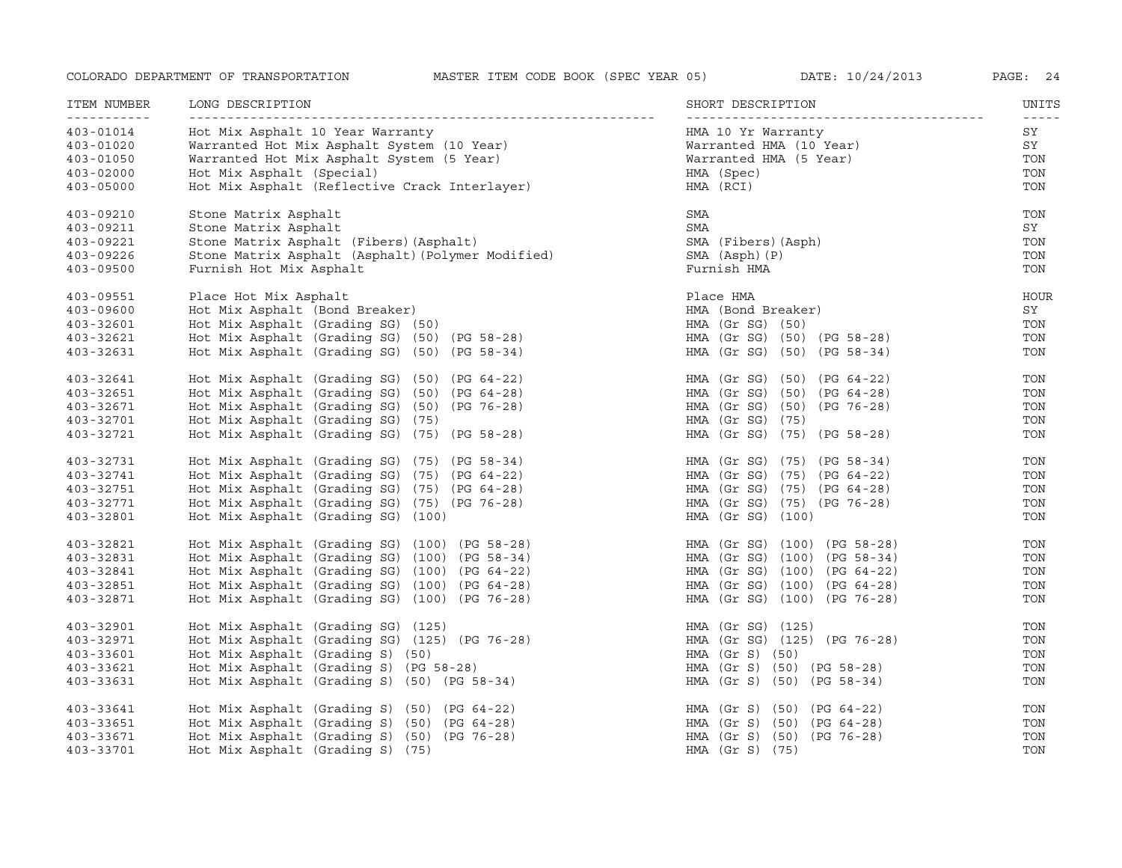| DATE: | 10/24/201 |  |
|-------|-----------|--|
|-------|-----------|--|

| ITEM NUMBER<br><u>___________</u> | LONG DESCRIPTION                                  | SHORT DESCRIPTION            | UNITS<br>$- - - - -$ |
|-----------------------------------|---------------------------------------------------|------------------------------|----------------------|
| $403 - 01014$                     | Hot Mix Asphalt 10 Year Warranty                  | HMA 10 Yr Warranty           | SY                   |
| $403 - 01020$                     | Warranted Hot Mix Asphalt System (10 Year)        | Warranted HMA (10 Year)      | SY                   |
| $403 - 01050$                     | Warranted Hot Mix Asphalt System (5 Year)         | Warranted HMA (5 Year)       | TON                  |
| $403 - 02000$                     | Hot Mix Asphalt (Special)                         | HMA (Spec)                   | TON                  |
| $403 - 05000$                     | Hot Mix Asphalt (Reflective Crack Interlayer)     | HMA (RCI)                    | TON                  |
| 403-09210                         | Stone Matrix Asphalt                              | SMA                          | TON                  |
| 403-09211                         | Stone Matrix Asphalt                              | SMA                          | SY                   |
| 403-09221                         | Stone Matrix Asphalt (Fibers) (Asphalt)           | SMA (Fibers) (Asph)          | TON                  |
| 403-09226                         | Stone Matrix Asphalt (Asphalt) (Polymer Modified) | SMA (Asph) (P)               | TON                  |
| $403 - 09500$                     | Furnish Hot Mix Asphalt                           | Furnish HMA                  | TON                  |
| 403-09551                         | Place Hot Mix Asphalt                             | Place HMA                    | <b>HOUR</b>          |
| $403 - 09600$                     | Hot Mix Asphalt (Bond Breaker)                    | HMA (Bond Breaker)           | SY                   |
| 403-32601                         | Hot Mix Asphalt (Grading SG) (50)                 | $HMA$ (Gr SG) $(50)$         | TON                  |
| 403-32621                         | Hot Mix Asphalt (Grading SG) (50) (PG 58-28)      | HMA (Gr SG) (50) (PG 58-28)  | TON                  |
| 403-32631                         | Hot Mix Asphalt (Grading SG) (50) (PG 58-34)      | HMA (Gr SG) (50) (PG 58-34)  | TON                  |
| 403-32641                         | Hot Mix Asphalt (Grading SG) (50) (PG 64-22)      | HMA (Gr SG) (50) (PG 64-22)  | TON                  |
| 403-32651                         | Hot Mix Asphalt (Grading SG) (50) (PG 64-28)      | HMA (Gr SG) (50) (PG 64-28)  | TON                  |
| 403-32671                         | Hot Mix Asphalt (Grading SG) (50) (PG 76-28)      | HMA (Gr SG) (50) (PG 76-28)  | TON                  |
| 403-32701                         | Hot Mix Asphalt (Grading SG) (75)                 | HMA (Gr SG) (75)             | TON                  |
| 403-32721                         | Hot Mix Asphalt (Grading SG) (75) (PG 58-28)      | HMA (Gr SG) (75) (PG 58-28)  | TON                  |
| 403-32731                         | Hot Mix Asphalt (Grading SG) (75) (PG 58-34)      | HMA (Gr SG) (75) (PG 58-34)  | TON                  |
| 403-32741                         | Hot Mix Asphalt (Grading SG) (75) (PG 64-22)      | HMA (Gr SG) (75) (PG 64-22)  | TON                  |
| 403-32751                         | Hot Mix Asphalt (Grading SG) (75) (PG 64-28)      | HMA (Gr SG) (75) (PG 64-28)  | TON                  |
| 403-32771                         | Hot Mix Asphalt (Grading SG) (75) (PG 76-28)      | HMA (Gr SG) (75) (PG 76-28)  | TON                  |
| 403-32801                         | Hot Mix Asphalt (Grading SG) (100)                | HMA (Gr SG) (100)            | TON                  |
| 403-32821                         | Hot Mix Asphalt (Grading SG) (100) (PG 58-28)     | HMA (Gr SG) (100) (PG 58-28) | TON                  |
| 403-32831                         | Hot Mix Asphalt (Grading SG) (100) (PG 58-34)     | HMA (Gr SG) (100) (PG 58-34) | TON                  |
| 403-32841                         | Hot Mix Asphalt (Grading SG) (100) (PG 64-22)     | HMA (Gr SG) (100) (PG 64-22) | TON                  |
| 403-32851                         | Hot Mix Asphalt (Grading SG) (100) (PG 64-28)     | HMA (Gr SG) (100) (PG 64-28) | TON                  |
| 403-32871                         | Hot Mix Asphalt (Grading SG) (100) (PG 76-28)     | HMA (Gr SG) (100) (PG 76-28) | TON                  |
| 403-32901                         | Hot Mix Asphalt (Grading SG) (125)                | HMA (Gr SG) (125)            | TON                  |
| 403-32971                         | Hot Mix Asphalt (Grading SG) (125) (PG 76-28)     | HMA (Gr SG) (125) (PG 76-28) | TON                  |
| 403-33601                         | Hot Mix Asphalt (Grading S) (50)                  | HMA (Gr S) (50)              | TON                  |
| 403-33621                         | Hot Mix Asphalt (Grading S) (PG 58-28)            | HMA (Gr S) (50) (PG 58-28)   | TON                  |
| 403-33631                         | Hot Mix Asphalt (Grading S) (50) (PG 58-34)       | HMA (Gr S) (50) (PG 58-34)   | TON                  |
| 403-33641                         | Hot Mix Asphalt (Grading S) (50) (PG 64-22)       | HMA (Gr S) (50) (PG 64-22)   | TON                  |
| 403-33651                         | Hot Mix Asphalt (Grading S) (50) (PG 64-28)       | HMA (Gr S) (50) (PG 64-28)   | TON                  |
| 403-33671                         | Hot Mix Asphalt (Grading S) (50) (PG 76-28)       | HMA (Gr S) (50) (PG 76-28)   | TON                  |
| 403-33701                         | Hot Mix Asphalt (Grading S) (75)                  | HMA (Gr S) (75)              | TON                  |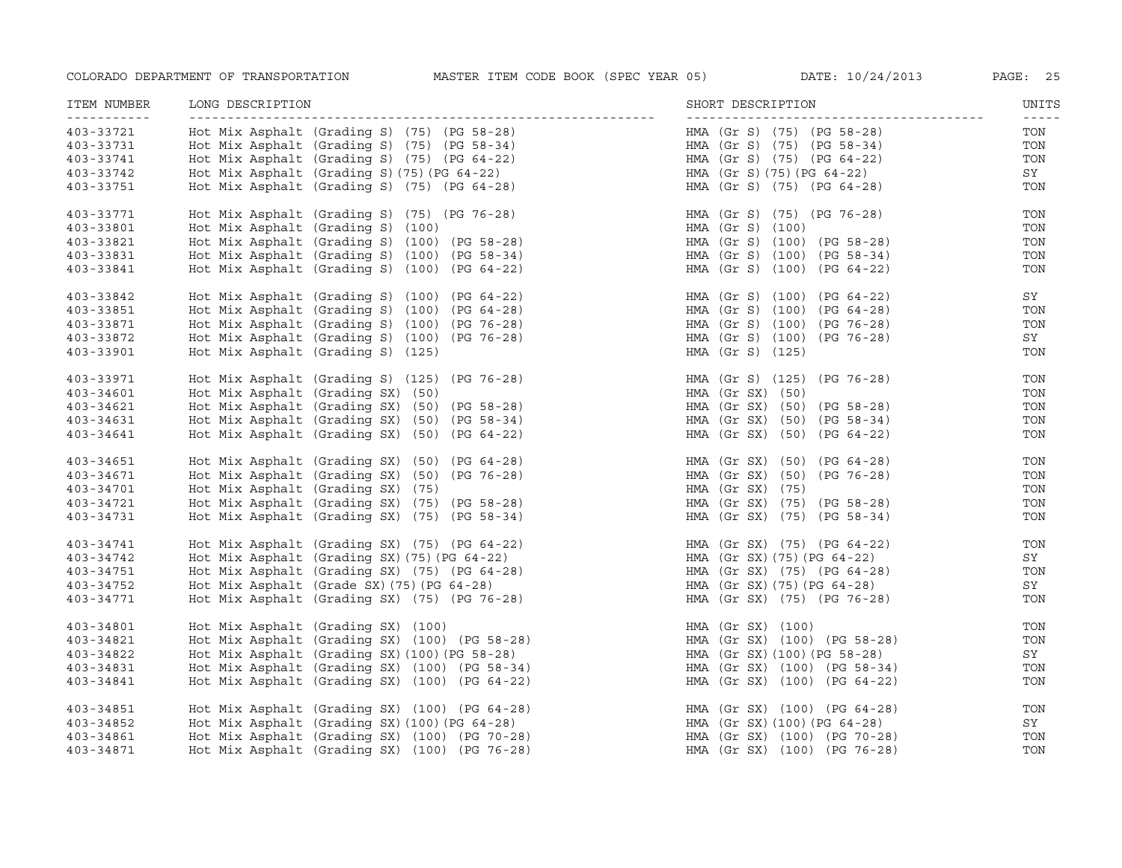| ITEM NUMBER                          | LONG DESCRIPTION                                                                           | SHORT DESCRIPTION            | UNITS                |
|--------------------------------------|--------------------------------------------------------------------------------------------|------------------------------|----------------------|
| - - - - - - - - - - - -<br>403-33721 | Hot Mix Asphalt (Grading S) (75) (PG 58-28)                                                | HMA (Gr S) (75) (PG 58-28)   | $- - - - - -$<br>TON |
| 403-33731                            | Hot Mix Asphalt (Grading S) (75) (PG 58-34)                                                | HMA (Gr S) (75) (PG 58-34)   | TON                  |
| 403-33741                            | Hot Mix Asphalt (Grading S) (75) (PG 64-22)<br>Hot Mix Asphalt (Grading S) (75) (PG 64-22) | HMA (Gr S) (75) (PG 64-22)   | TON                  |
| 403-33742                            |                                                                                            | HMA (Gr S)(75)(PG 64-22)     | SY                   |
| 403-33751                            | Hot Mix Asphalt (Grading S) (75) (PG 64-28)                                                | HMA (Gr S) (75) (PG 64-28)   | TON                  |
| 403-33771                            | Hot Mix Asphalt (Grading S) $(75)$ (PG 76-28)                                              | HMA (Gr S) (75) (PG 76-28)   | TON                  |
| 403-33801                            | Hot Mix Asphalt (Grading S) (100)                                                          | HMA (Gr S) (100)             | TON                  |
| 403-33821                            | Hot Mix Asphalt (Grading S) (100) (PG 58-28)                                               | HMA (Gr S) (100) (PG 58-28)  | TON                  |
| 403-33831                            | Hot Mix Asphalt (Grading S) (100) (PG 58-34)                                               | HMA (Gr S) (100) (PG 58-34)  | TON                  |
| 403-33841                            | Hot Mix Asphalt (Grading S) (100) (PG 64-22)                                               | HMA (Gr S) (100) (PG 64-22)  | TON                  |
| 403-33842                            | Hot Mix Asphalt (Grading S) (100) (PG 64-22)                                               | HMA (Gr S) (100) (PG 64-22)  | SY                   |
| 403-33851                            | Hot Mix Asphalt (Grading S) (100) (PG 64-28)                                               | HMA (Gr S) (100) (PG 64-28)  | TON                  |
| 403-33871                            | Hot Mix Asphalt (Grading S) (100) (PG 76-28)                                               | HMA (Gr S) (100) (PG 76-28)  | TON                  |
| 403-33872                            | Hot Mix Asphalt (Grading S) (100) (PG 76-28)                                               | HMA (Gr S) (100) (PG 76-28)  | SY                   |
| 403-33901                            | Hot Mix Asphalt (Grading S) (125)                                                          | HMA (Gr S) (125)             | TON                  |
| 403-33971                            | Hot Mix Asphalt (Grading S) (125) (PG 76-28)                                               | HMA (Gr S) (125) (PG 76-28)  | TON                  |
| 403-34601                            | Hot Mix Asphalt (Grading SX) (50)                                                          | $HMA$ (Gr SX) (50)           | TON                  |
| 403-34621                            | Hot Mix Asphalt (Grading SX) (50) (PG 58-28)                                               | HMA (Gr SX) (50) (PG 58-28)  | TON                  |
| 403-34631                            | Hot Mix Asphalt (Grading SX) (50) (PG 58-34)                                               | HMA (Gr SX) (50) (PG 58-34)  | TON                  |
| $403 - 34641$                        | Hot Mix Asphalt (Grading SX) (50) (PG 64-22)                                               | HMA (Gr SX) (50) (PG 64-22)  | TON                  |
| 403-34651                            | Hot Mix Asphalt (Grading SX) $(50)$ (PG 64-28)                                             | HMA (Gr SX) (50) (PG 64-28)  | TON                  |
| 403-34671                            | Hot Mix Asphalt (Grading SX) (50) (PG 76-28)                                               | HMA (Gr SX) (50) (PG 76-28)  | TON                  |
| 403-34701                            | Hot Mix Asphalt (Grading SX) (75)                                                          | HMA (Gr SX) (75)             | TON                  |
| 403-34721                            | Hot Mix Asphalt (Grading SX) (75) (PG 58-28)                                               | HMA (Gr SX) (75) (PG 58-28)  | TON                  |
| 403-34731                            | Hot Mix Asphalt (Grading SX) (75) (PG 58-34)                                               | HMA (Gr SX) (75) (PG 58-34)  | TON                  |
| 403-34741                            | Hot Mix Asphalt (Grading SX) (75) (PG 64-22)                                               | HMA (Gr SX) (75) (PG 64-22)  | TON                  |
| 403-34742                            | Hot Mix Asphalt (Grading SX) (75) (PG 64-22)                                               | HMA (Gr SX) (75) (PG 64-22)  | SY                   |
| 403-34751                            | Hot Mix Asphalt (Grading SX) (75) (PG 64-28)                                               | HMA (Gr SX) (75) (PG 64-28)  | TON                  |
| 403-34752                            | Hot Mix Asphalt (Grade SX) (75) (PG 64-28)                                                 | HMA (Gr SX) (75) (PG 64-28)  | SY                   |
| 403-34771                            | Hot Mix Asphalt (Grading SX) (75) (PG 76-28)                                               | HMA (Gr SX) (75) (PG 76-28)  | TON                  |
| 403-34801                            | Hot Mix Asphalt (Grading SX) (100)                                                         | HMA (Gr SX) (100)            | TON                  |
| 403-34821                            | Hot Mix Asphalt (Grading SX) (100) (PG 58-28)                                              | HMA (Gr SX) (100) (PG 58-28) | TON                  |
| 403-34822                            | Hot Mix Asphalt (Grading SX) (100) (PG 58-28)                                              | HMA (Gr SX) (100) (PG 58-28) | SY                   |
| 403-34831                            | Hot Mix Asphalt (Grading SX) (100) (PG 58-34)                                              | HMA (Gr SX) (100) (PG 58-34) | TON                  |
| 403-34841                            | Hot Mix Asphalt (Grading SX) (100) (PG 64-22)                                              | HMA (Gr SX) (100) (PG 64-22) | TON                  |
| 403-34851                            | Hot Mix Asphalt (Grading SX) (100) (PG 64-28)                                              | HMA (Gr SX) (100) (PG 64-28) | TON                  |
| 403-34852                            | Hot Mix Asphalt (Grading SX) (100) (PG 64-28)                                              | HMA (Gr SX) (100) (PG 64-28) | SY                   |
| 403-34861                            | Hot Mix Asphalt (Grading SX) (100) (PG 70-28)                                              | HMA (Gr SX) (100) (PG 70-28) | TON                  |
| 403-34871                            | Hot Mix Asphalt (Grading SX) (100) (PG 76-28)                                              | HMA (Gr SX) (100) (PG 76-28) | TON                  |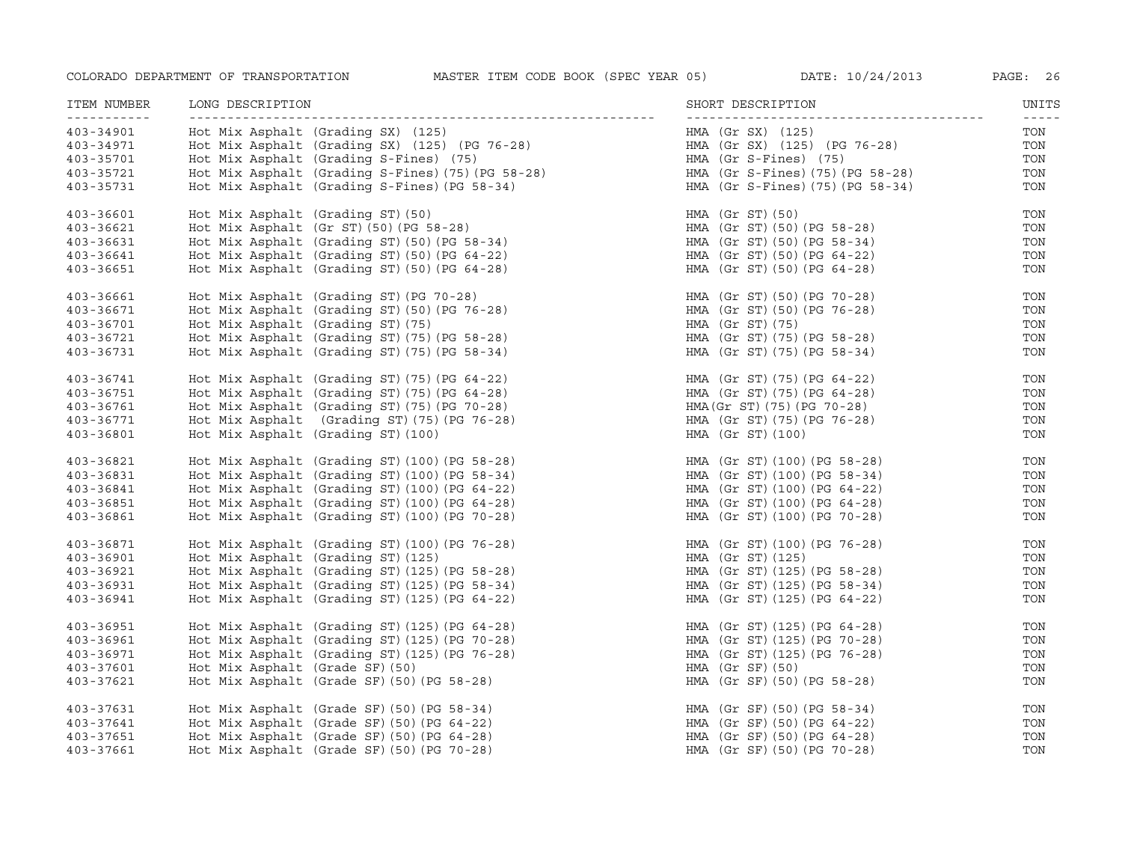| ITEM NUMBER<br>-----------                                    | LONG DESCRIPTION                                                                                                                                                                                                                   | SHORT DESCRIPTION                                                                                                                                | UNITS<br>$\frac{1}{2}$          |
|---------------------------------------------------------------|------------------------------------------------------------------------------------------------------------------------------------------------------------------------------------------------------------------------------------|--------------------------------------------------------------------------------------------------------------------------------------------------|---------------------------------|
| 403-34901<br>403-34971<br>403-35701<br>403-35721<br>403-35731 | Hot Mix Asphalt (Grading SX) (125)<br>Hot Mix Asphalt (Grading SX) (125) (PG 76-28)<br>Hot Mix Asphalt (Grading S-Fines) (75)<br>Hot Mix Asphalt (Grading S-Fines) (75) (PG 58-28)<br>Hot Mix Asphalt (Grading S-Fines) (PG 58-34) | HMA (Gr SX) (125)<br>HMA (Gr SX) (125) (PG 76-28)<br>HMA (Gr S-Fines) (75)<br>HMA (Gr S-Fines)(75)(PG 58-28)<br>HMA (Gr S-Fines) (75) (PG 58-34) | TON<br>TON<br>TON<br>TON<br>TON |
| 403-36601                                                     | Hot Mix Asphalt (Grading ST) (50)                                                                                                                                                                                                  | HMA (Gr ST) (50)                                                                                                                                 | TON                             |
| 403-36621                                                     | Hot Mix Asphalt $(Gr ST) (50) (PG 58-28)$                                                                                                                                                                                          | HMA (Gr ST) (50) (PG 58-28)                                                                                                                      | TON                             |
| 403-36631                                                     | Hot Mix Asphalt (Grading ST) (50) (PG 58-34)                                                                                                                                                                                       | HMA (Gr ST)(50)(PG 58-34)                                                                                                                        | TON                             |
| 403-36641                                                     | Hot Mix Asphalt (Grading ST) (50) (PG 64-22)                                                                                                                                                                                       | HMA (Gr ST) (50) (PG 64-22)                                                                                                                      | TON                             |
| 403-36651                                                     | Hot Mix Asphalt (Grading ST) (50) (PG 64-28)                                                                                                                                                                                       | HMA (Gr ST)(50)(PG 64-28)                                                                                                                        | TON                             |
| 403-36661                                                     | Hot Mix Asphalt (Grading ST) (PG 70-28)                                                                                                                                                                                            | HMA (Gr ST) (50) (PG 70-28)                                                                                                                      | TON                             |
| 403-36671                                                     | Hot Mix Asphalt (Grading ST) (50) (PG 76-28)                                                                                                                                                                                       | HMA (Gr ST) (50) (PG 76-28)                                                                                                                      | TON                             |
| 403-36701                                                     | Hot Mix Asphalt (Grading ST) (75)                                                                                                                                                                                                  | HMA (Gr ST) (75)                                                                                                                                 | TON                             |
| 403-36721                                                     | Hot Mix Asphalt (Grading ST) (75) (PG 58-28)                                                                                                                                                                                       | HMA (Gr ST)(75)(PG 58-28)                                                                                                                        | TON                             |
| 403-36731                                                     | Hot Mix Asphalt (Grading ST) (75) (PG 58-34)                                                                                                                                                                                       | HMA (Gr ST) (75) (PG 58-34)                                                                                                                      | TON                             |
| 403-36741                                                     | Hot Mix Asphalt (Grading ST) (75) (PG 64-22)                                                                                                                                                                                       | HMA (Gr ST) (75) (PG 64-22)                                                                                                                      | TON                             |
| 403-36751                                                     | Hot Mix Asphalt (Grading ST) (75) (PG 64-28)                                                                                                                                                                                       | HMA (Gr ST)(75)(PG 64-28)                                                                                                                        | TON                             |
| 403-36761                                                     | Hot Mix Asphalt (Grading ST) (75) (PG 70-28)                                                                                                                                                                                       | HMA (Gr ST) (75) (PG 70-28)                                                                                                                      | TON                             |
| 403-36771                                                     | Hot Mix Asphalt (Grading ST) (75) (PG 76-28)                                                                                                                                                                                       | HMA (Gr ST) (75) (PG 76-28)                                                                                                                      | TON                             |
| 403-36801                                                     | Hot Mix Asphalt (Grading ST) (100)                                                                                                                                                                                                 | HMA (Gr ST) (100)                                                                                                                                | TON                             |
| 403-36821                                                     | Hot Mix Asphalt (Grading ST) (100) (PG 58-28)                                                                                                                                                                                      | HMA (Gr ST) (100) (PG 58-28)                                                                                                                     | TON                             |
| 403-36831                                                     | Hot Mix Asphalt (Grading ST) (100) (PG 58-34)                                                                                                                                                                                      | HMA (Gr ST) (100) (PG 58-34)                                                                                                                     | TON                             |
| 403-36841                                                     | Hot Mix Asphalt (Grading ST) $(100)$ (PG 64-22)                                                                                                                                                                                    | HMA (Gr ST)(100)(PG 64-22)                                                                                                                       | TON                             |
| 403-36851                                                     | Hot Mix Asphalt (Grading ST) (100) (PG 64-28)                                                                                                                                                                                      | HMA (Gr ST)(100)(PG 64-28)                                                                                                                       | TON                             |
| 403-36861                                                     | Hot Mix Asphalt (Grading ST) (100) (PG 70-28)                                                                                                                                                                                      | HMA (Gr ST)(100)(PG 70-28)                                                                                                                       | TON                             |
| 403-36871                                                     | Hot Mix Asphalt (Grading ST) (100) (PG 76-28)                                                                                                                                                                                      | HMA (Gr ST) (100) (PG 76-28)                                                                                                                     | TON                             |
| 403-36901                                                     | Hot Mix Asphalt (Grading ST) (125)                                                                                                                                                                                                 | HMA (Gr ST) (125)                                                                                                                                | TON                             |
| 403-36921                                                     | Hot Mix Asphalt (Grading ST) (125) (PG 58-28)                                                                                                                                                                                      | HMA (Gr ST) (125) (PG 58-28)                                                                                                                     | TON                             |
| 403-36931                                                     | Hot Mix Asphalt (Grading ST) (125) (PG 58-34)                                                                                                                                                                                      | HMA (Gr ST) (125) (PG 58-34)                                                                                                                     | TON                             |
| 403-36941                                                     | Hot Mix Asphalt (Grading ST) (125) (PG 64-22)                                                                                                                                                                                      | HMA (Gr ST) (125) (PG 64-22)                                                                                                                     | TON                             |
| 403-36951                                                     | Hot Mix Asphalt (Grading ST) (125) (PG 64-28)                                                                                                                                                                                      | HMA (Gr ST) (125) (PG 64-28)                                                                                                                     | TON                             |
| 403-36961                                                     | Hot Mix Asphalt (Grading ST) (125) (PG 70-28)                                                                                                                                                                                      | HMA (Gr ST) (125) (PG 70-28)                                                                                                                     | TON                             |
| 403-36971                                                     | Hot Mix Asphalt (Grading ST) (125) (PG 76-28)                                                                                                                                                                                      | HMA (Gr ST) (125) (PG 76-28)                                                                                                                     | TON                             |
| 403-37601                                                     | Hot Mix Asphalt (Grade SF) (50)                                                                                                                                                                                                    | $HMA$ (Gr SF) (50)                                                                                                                               | TON                             |
| 403-37621                                                     | Hot Mix Asphalt (Grade SF) (50) (PG 58-28)                                                                                                                                                                                         | HMA (Gr SF) (50) (PG 58-28)                                                                                                                      | TON                             |
| 403-37631                                                     | Hot Mix Asphalt (Grade SF) (50) (PG 58-34)                                                                                                                                                                                         | HMA (Gr SF)(50)(PG 58-34)                                                                                                                        | TON                             |
| 403-37641                                                     | Hot Mix Asphalt (Grade SF) (50) (PG 64-22)                                                                                                                                                                                         | HMA (Gr SF) (50) (PG 64-22)                                                                                                                      | TON                             |
| 403-37651                                                     | Hot Mix Asphalt (Grade SF) (50) (PG 64-28)                                                                                                                                                                                         | HMA (Gr SF) (50) (PG 64-28)                                                                                                                      | TON                             |
| 403-37661                                                     | Hot Mix Asphalt (Grade SF) (50) (PG 70-28)                                                                                                                                                                                         | HMA (Gr SF) (50) (PG 70-28)                                                                                                                      | TON                             |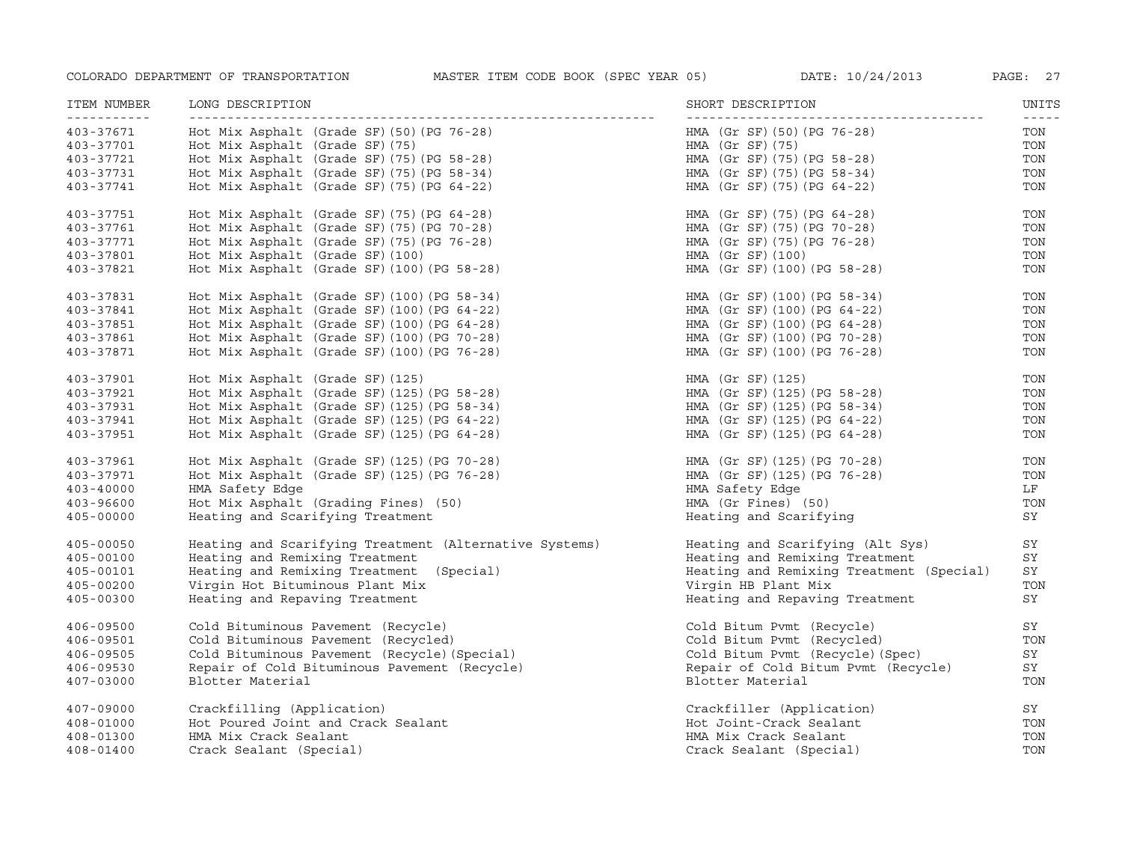| ITEM NUMBER<br>----------- | LONG DESCRIPTION                                       | SHORT DESCRIPTION                        | UNITS |
|----------------------------|--------------------------------------------------------|------------------------------------------|-------|
| 403-37671                  | Hot Mix Asphalt (Grade SF) $(50)$ (PG 76-28)           | HMA (Gr SF)(50)(PG 76-28)                | TON   |
| 403-37701                  | Hot Mix Asphalt (Grade SF) (75)                        | HMA (Gr SF)(75)                          | TON   |
| 403-37721                  | Hot Mix Asphalt (Grade SF) (75) (PG 58-28)             | HMA (Gr SF) (75) (PG 58-28)              | TON   |
| 403-37731                  | Hot Mix Asphalt (Grade SF) (75) (PG 58-34)             | HMA (Gr SF) (75) (PG 58-34)              | TON   |
| 403-37741                  | Hot Mix Asphalt (Grade SF) (75) (PG 64-22)             | HMA (Gr SF) (75) (PG 64-22)              | TON   |
| 403-37751                  | Hot Mix Asphalt (Grade SF) $(75)$ (PG 64-28)           | HMA (Gr SF) (75) (PG 64-28)              | TON   |
| 403-37761                  | Hot Mix Asphalt (Grade SF) (75) (PG 70-28)             | HMA (Gr SF) (75) (PG 70-28)              | TON   |
| 403-37771                  | Hot Mix Asphalt (Grade SF) (75) (PG 76-28)             | HMA (Gr SF)(75)(PG 76-28)                | TON   |
| 403-37801                  | Hot Mix Asphalt (Grade SF) (100)                       | HMA (Gr SF) (100)                        | TON   |
| 403-37821                  | Hot Mix Asphalt (Grade SF) (100) (PG 58-28)            | HMA (Gr SF) (100) (PG 58-28)             | TON   |
| 403-37831                  | Hot Mix Asphalt (Grade SF) (100) (PG 58-34)            | HMA (Gr SF) (100) (PG 58-34)             | TON   |
| 403-37841                  | Hot Mix Asphalt (Grade SF) (100) (PG 64-22)            | HMA (Gr SF) (100) (PG 64-22)             | TON   |
| 403-37851                  | Hot Mix Asphalt (Grade SF) (100) (PG 64-28)            | HMA (Gr SF) (100) (PG 64-28)             | TON   |
| 403-37861                  | Hot Mix Asphalt (Grade SF) (100) (PG 70-28)            | HMA (Gr SF) (100) (PG 70-28)             | TON   |
| 403-37871                  | Hot Mix Asphalt (Grade SF) (100) (PG 76-28)            | HMA (Gr SF) (100) (PG 76-28)             | TON   |
| 403-37901                  | Hot Mix Asphalt (Grade SF) (125)                       | HMA (Gr SF) (125)                        | TON   |
| 403-37921                  | Hot Mix Asphalt (Grade SF) $(125)$ (PG 58-28)          | HMA (Gr SF) (125) (PG 58-28)             | TON   |
| 403-37931                  | Hot Mix Asphalt (Grade SF) $(125)$ (PG 58-34)          | HMA (Gr SF) (125) (PG 58-34)             | TON   |
| 403-37941                  | Hot Mix Asphalt (Grade SF) (125) (PG 64-22)            | HMA (Gr SF) (125) (PG 64-22)             | TON   |
| 403-37951                  | Hot Mix Asphalt (Grade SF) (125) (PG 64-28)            | HMA (Gr SF) (125) (PG 64-28)             | TON   |
| 403-37961                  | Hot Mix Asphalt (Grade SF) $(125)$ (PG 70-28)          | HMA (Gr SF)(125)(PG 70-28)               | TON   |
| 403-37971                  | Hot Mix Asphalt (Grade SF) (125) (PG 76-28)            | HMA (Gr SF) (125) (PG 76-28)             | TON   |
| 403-40000                  | HMA Safety Edge                                        | HMA Safety Edge                          | LF    |
| $403 - 96600$              | Hot Mix Asphalt (Grading Fines) (50)                   | HMA (Gr Fines) (50)                      | TON   |
| $405 - 00000$              | Heating and Scarifying Treatment                       | Heating and Scarifying                   | SY    |
| $405 - 00050$              | Heating and Scarifying Treatment (Alternative Systems) | Heating and Scarifying (Alt Sys)         | SY    |
| 405-00100                  | Heating and Remixing Treatment                         | Heating and Remixing Treatment           | SY    |
| 405-00101                  | Heating and Remixing Treatment (Special)               | Heating and Remixing Treatment (Special) | SY    |
| $405 - 00200$              | Virgin Hot Bituminous Plant Mix                        | Virgin HB Plant Mix                      | TON   |
| 405-00300                  | Heating and Repaving Treatment                         | Heating and Repaving Treatment           | SY    |
| 406-09500                  | Cold Bituminous Pavement (Recycle)                     | Cold Bitum Pvmt (Recycle)                | SY    |
| 406-09501                  | Cold Bituminous Pavement (Recycled)                    | Cold Bitum Pymt (Recycled)               | TON   |
| 406-09505                  | Cold Bituminous Pavement (Recycle) (Special)           | Cold Bitum Pvmt (Recycle) (Spec)         | SY    |
| 406-09530                  | Repair of Cold Bituminous Pavement (Recycle)           | Repair of Cold Bitum Pvmt (Recycle)      | SY    |
| 407-03000                  | Blotter Material                                       | Blotter Material                         | TON   |
| 407-09000                  | Crackfilling (Application)                             | Crackfiller (Application)                | SY    |
| 408-01000                  | Hot Poured Joint and Crack Sealant                     | Hot Joint-Crack Sealant                  | TON   |
| 408-01300                  | HMA Mix Crack Sealant                                  | HMA Mix Crack Sealant                    | TON   |
| 408-01400                  | Crack Sealant (Special)                                | Crack Sealant (Special)                  | TON   |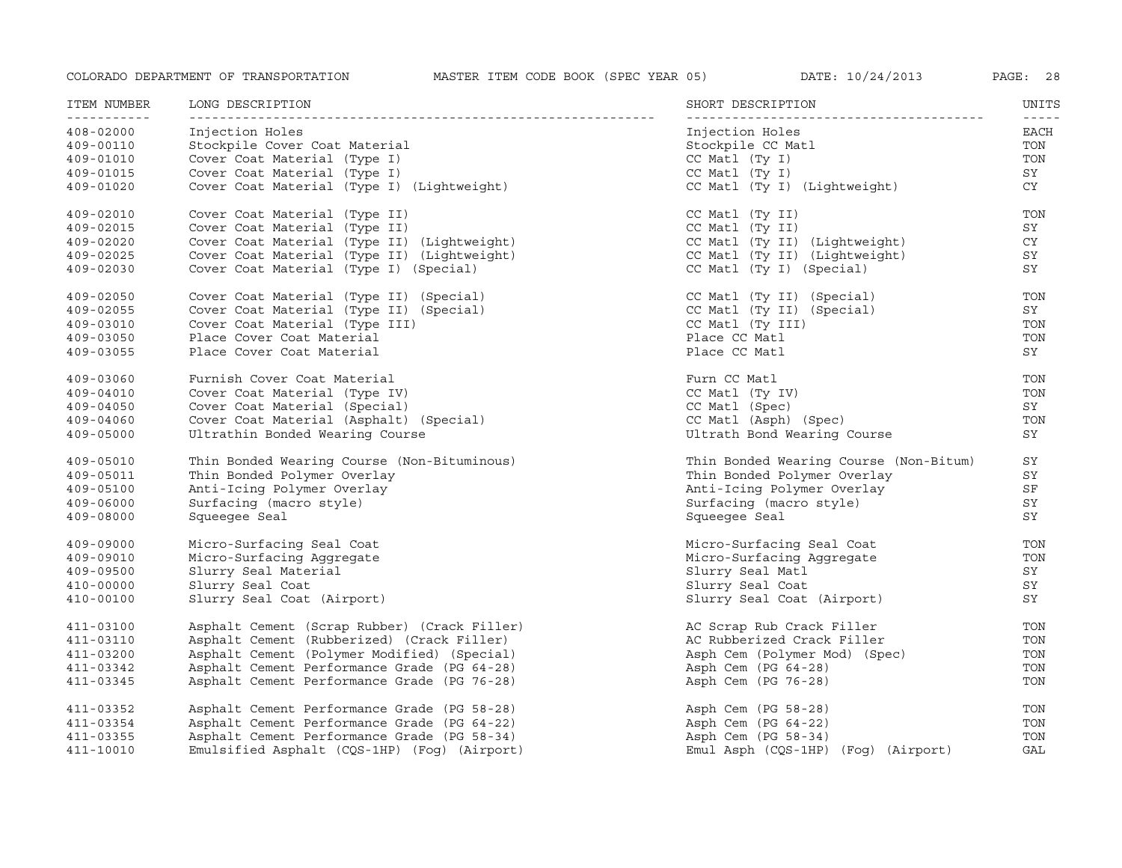| ITEM NUMBER<br>----------- | LONG DESCRIPTION                             | SHORT DESCRIPTION                      | UNITS |
|----------------------------|----------------------------------------------|----------------------------------------|-------|
| 408-02000                  | Injection Holes                              | Injection Holes                        | EACH  |
| 409-00110                  | Stockpile Cover Coat Material                | Stockpile CC Matl                      | TON   |
| 409-01010                  | Cover Coat Material (Type I)                 | CC Matl (Ty I)                         | TON   |
| 409-01015                  | Cover Coat Material (Type I)                 | $CC$ Matl $(Ty I)$                     | SY    |
| 409-01020                  | Cover Coat Material (Type I) (Lightweight)   | CC Matl (Ty I) (Lightweight)           | CY .  |
| 409-02010                  | Cover Coat Material (Type II)                | CC Matl (Ty II)                        | TON   |
| 409-02015                  | Cover Coat Material (Type II)                | CC Matl (Ty II)                        | SY    |
| 409-02020                  | Cover Coat Material (Type II) (Lightweight)  | CC Matl (Ty II) (Lightweight)          | CY    |
| 409-02025                  | Cover Coat Material (Type II) (Lightweight)  | CC Matl (Ty II) (Lightweight)          | SY    |
| 409-02030                  | Cover Coat Material (Type I) (Special)       | CC Matl (Ty I) (Special)               | SY    |
| 409-02050                  | Cover Coat Material (Type II) (Special)      | CC Matl (Ty II) (Special)              | TON   |
| 409-02055                  | Cover Coat Material (Type II) (Special)      | CC Matl (Ty II) (Special)              | SY    |
| 409-03010                  | Cover Coat Material (Type III)               | CC Matl (Ty III)                       | TON   |
| 409-03050                  | Place Cover Coat Material                    | Place CC Matl                          | TON   |
| 409-03055                  | Place Cover Coat Material                    | Place CC Matl                          | SY    |
| 409-03060                  | Furnish Cover Coat Material                  | Furn CC Matl                           | TON   |
| 409-04010                  | Cover Coat Material (Type IV)                | CC Matl (Ty IV)                        | TON   |
| $409 - 04050$              | Cover Coat Material (Special)                | CC Matl (Spec)                         | SY    |
| 409-04060                  | Cover Coat Material (Asphalt) (Special)      | CC Matl (Asph) (Spec)                  | TON   |
| $409 - 05000$              | Ultrathin Bonded Wearing Course              | Ultrath Bond Wearing Course            | SY    |
| 409-05010                  | Thin Bonded Wearing Course (Non-Bituminous)  | Thin Bonded Wearing Course (Non-Bitum) | SY    |
| 409-05011                  | Thin Bonded Polymer Overlay                  | Thin Bonded Polymer Overlay            | SY    |
| 409-05100                  | Anti-Icing Polymer Overlay                   | Anti-Icing Polymer Overlay             | SF    |
| 409-06000                  | Surfacing (macro style)                      | Surfacing (macro style)                | SY    |
| 409-08000                  | Squeeqee Seal                                | Squeeqee Seal                          | SY    |
| 409-09000                  | Micro-Surfacing Seal Coat                    | Micro-Surfacing Seal Coat              | TON   |
| 409-09010                  | Micro-Surfacing Aggregate                    | Micro-Surfacing Aggregate              | TON   |
| 409-09500                  | Slurry Seal Material                         | Slurry Seal Matl                       | SY    |
| 410-00000                  | Slurry Seal Coat                             | Slurry Seal Coat                       | SY    |
| 410-00100                  | Slurry Seal Coat (Airport)                   | Slurry Seal Coat (Airport)             | SY    |
| 411-03100                  | Asphalt Cement (Scrap Rubber) (Crack Filler) | AC Scrap Rub Crack Filler              | TON   |
| 411-03110                  | Asphalt Cement (Rubberized) (Crack Filler)   | AC Rubberized Crack Filler             | TON   |
| 411-03200                  | Asphalt Cement (Polymer Modified) (Special)  | Asph Cem (Polymer Mod) (Spec)          | TON   |
| 411-03342                  | Asphalt Cement Performance Grade (PG 64-28)  | Asph Cem $(PG 64-28)$                  | TON   |
| 411-03345                  | Asphalt Cement Performance Grade (PG 76-28)  | Asph Cem (PG 76-28)                    | TON   |
| 411-03352                  | Asphalt Cement Performance Grade (PG 58-28)  | Asph Cem (PG 58-28)                    | TON   |
| 411-03354                  | Asphalt Cement Performance Grade (PG 64-22)  | Asph Cem $(PG 64-22)$                  | TON   |
| 411-03355                  | Asphalt Cement Performance Grade (PG 58-34)  | Asph Cem (PG 58-34)                    | TON   |
| 411-10010                  | Emulsified Asphalt (CQS-1HP) (Foq) (Airport) | Emul Asph (CQS-1HP) (Fog) (Airport)    | GAL   |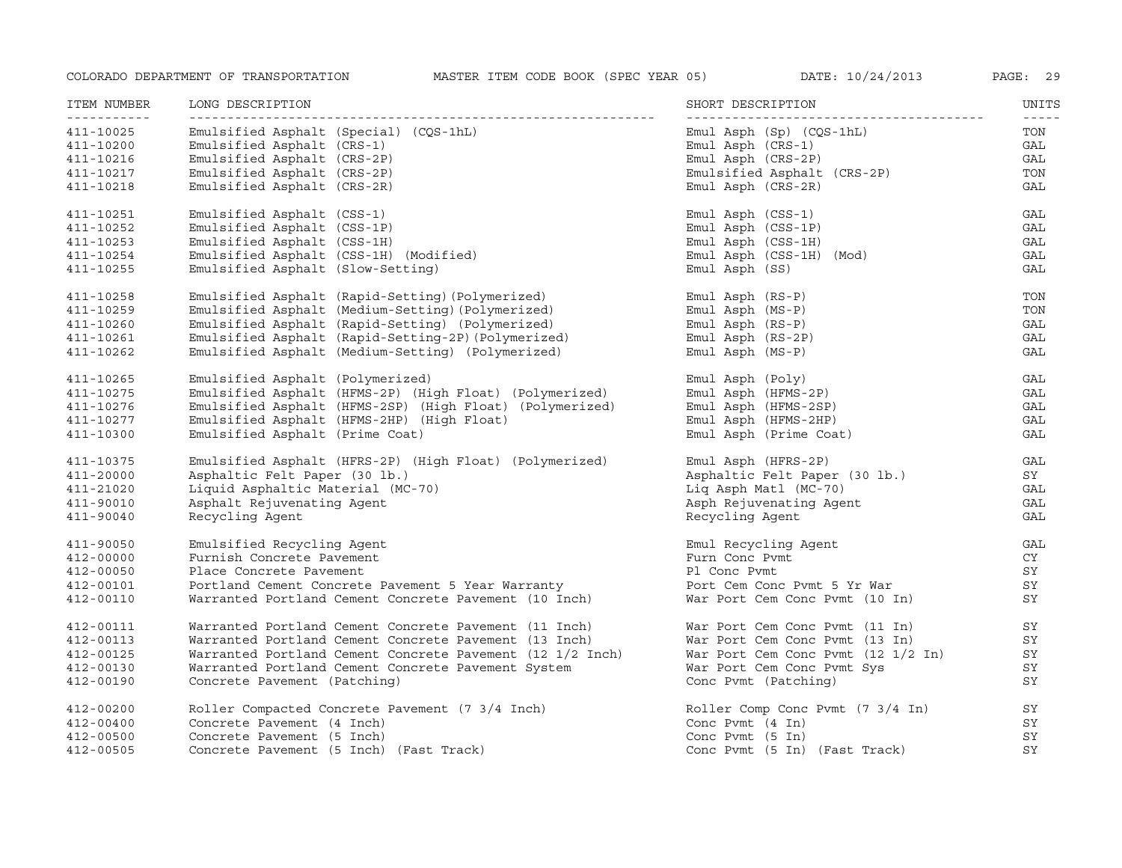| ITEM NUMBER | LONG DESCRIPTION                                          | SHORT DESCRIPTION                  | UNITS                                                                                                                                                                                                                                                                                                                                                                                               |
|-------------|-----------------------------------------------------------|------------------------------------|-----------------------------------------------------------------------------------------------------------------------------------------------------------------------------------------------------------------------------------------------------------------------------------------------------------------------------------------------------------------------------------------------------|
| 411-10025   | Emulsified Asphalt (Special) (CQS-1hL)                    | $Emul$ Asph $(Sp)$ $(CQS-1hL)$     | $\frac{1}{2} \frac{1}{2} \frac{1}{2} \frac{1}{2} \frac{1}{2} \frac{1}{2} \frac{1}{2} \frac{1}{2} \frac{1}{2} \frac{1}{2} \frac{1}{2} \frac{1}{2} \frac{1}{2} \frac{1}{2} \frac{1}{2} \frac{1}{2} \frac{1}{2} \frac{1}{2} \frac{1}{2} \frac{1}{2} \frac{1}{2} \frac{1}{2} \frac{1}{2} \frac{1}{2} \frac{1}{2} \frac{1}{2} \frac{1}{2} \frac{1}{2} \frac{1}{2} \frac{1}{2} \frac{1}{2} \frac{$<br>TON |
| 411-10200   | Emulsified Asphalt (CRS-1)                                | Emul Asph (CRS-1)                  | GAL                                                                                                                                                                                                                                                                                                                                                                                                 |
| 411-10216   | Emulsified Asphalt (CRS-2P)                               | $Emul$ Asph $(CRS-2P)$             | GAL                                                                                                                                                                                                                                                                                                                                                                                                 |
| 411-10217   | Emulsified Asphalt (CRS-2P)                               | Emulsified Asphalt (CRS-2P)        | TON                                                                                                                                                                                                                                                                                                                                                                                                 |
| 411-10218   | Emulsified Asphalt (CRS-2R)                               | $Emul$ Asph $(CRS-2R)$             | GAL                                                                                                                                                                                                                                                                                                                                                                                                 |
| 411-10251   | Emulsified Asphalt (CSS-1)                                | Emul Asph (CSS-1)                  | GAL                                                                                                                                                                                                                                                                                                                                                                                                 |
| 411-10252   | Emulsified Asphalt (CSS-1P)                               | Emul Asph (CSS-1P)                 | GAL                                                                                                                                                                                                                                                                                                                                                                                                 |
| 411-10253   | Emulsified Asphalt (CSS-1H)                               | $Emul$ Asph $(CSS-1H)$             | GAL                                                                                                                                                                                                                                                                                                                                                                                                 |
| 411-10254   | Emulsified Asphalt (CSS-1H) (Modified)                    | Emul Asph (CSS-1H) (Mod)           | GAL                                                                                                                                                                                                                                                                                                                                                                                                 |
| 411-10255   | Emulsified Asphalt (Slow-Setting)                         | Emul Asph (SS)                     | GAL                                                                                                                                                                                                                                                                                                                                                                                                 |
| 411-10258   | Emulsified Asphalt (Rapid-Setting) (Polymerized)          | Emul Asph (RS-P)                   | TON                                                                                                                                                                                                                                                                                                                                                                                                 |
| 411-10259   | Emulsified Asphalt (Medium-Setting) (Polymerized)         | $Emul$ Asph $(MS-P)$               | TON                                                                                                                                                                                                                                                                                                                                                                                                 |
| 411-10260   | Emulsified Asphalt (Rapid-Setting) (Polymerized)          | $Emul$ Asph $(RS-P)$               | GAL                                                                                                                                                                                                                                                                                                                                                                                                 |
| 411-10261   | Emulsified Asphalt (Rapid-Setting-2P) (Polymerized)       | $Emul$ Asph $(RS-2P)$              | GAL                                                                                                                                                                                                                                                                                                                                                                                                 |
| 411-10262   | Emulsified Asphalt (Medium-Setting) (Polymerized)         | $Emul$ Asph $(MS-P)$               | GAL                                                                                                                                                                                                                                                                                                                                                                                                 |
| 411-10265   | Emulsified Asphalt (Polymerized)                          | Emul Asph (Poly)                   | GAL                                                                                                                                                                                                                                                                                                                                                                                                 |
| 411-10275   | Emulsified Asphalt (HFMS-2P) (High Float) (Polymerized)   | Emul Asph (HFMS-2P)                | GAL                                                                                                                                                                                                                                                                                                                                                                                                 |
| 411-10276   | Emulsified Asphalt (HFMS-2SP) (High Float) (Polymerized)  | Emul Asph (HFMS-2SP)               | GAL                                                                                                                                                                                                                                                                                                                                                                                                 |
| 411-10277   | Emulsified Asphalt (HFMS-2HP) (High Float)                | Emul Asph (HFMS-2HP)               | GAL                                                                                                                                                                                                                                                                                                                                                                                                 |
| 411-10300   | Emulsified Asphalt (Prime Coat)                           | Emul Asph (Prime Coat)             | GAL                                                                                                                                                                                                                                                                                                                                                                                                 |
| 411-10375   | Emulsified Asphalt (HFRS-2P) (High Float) (Polymerized)   | Emul Asph (HFRS-2P)                | GAL                                                                                                                                                                                                                                                                                                                                                                                                 |
| 411-20000   | Asphaltic Felt Paper (30 lb.)                             | Asphaltic Felt Paper (30 lb.)      | SY                                                                                                                                                                                                                                                                                                                                                                                                  |
| 411-21020   | Liquid Asphaltic Material (MC-70)                         | Liq Asph Matl (MC-70)              | GAL                                                                                                                                                                                                                                                                                                                                                                                                 |
| 411-90010   | Asphalt Rejuvenating Agent                                | Asph Rejuvenating Agent            | GAL                                                                                                                                                                                                                                                                                                                                                                                                 |
| 411-90040   | Recycling Agent                                           | Recycling Agent                    | GAL                                                                                                                                                                                                                                                                                                                                                                                                 |
| 411-90050   | Emulsified Recycling Agent                                | Emul Recycling Agent               | GAL                                                                                                                                                                                                                                                                                                                                                                                                 |
| 412-00000   | Furnish Concrete Pavement                                 | Furn Conc Pvmt                     | CY                                                                                                                                                                                                                                                                                                                                                                                                  |
| 412-00050   | Place Concrete Pavement                                   | Pl Conc Pvmt                       | SY                                                                                                                                                                                                                                                                                                                                                                                                  |
| 412-00101   | Portland Cement Concrete Pavement 5 Year Warranty         | Port Cem Conc Pvmt 5 Yr War        | SY                                                                                                                                                                                                                                                                                                                                                                                                  |
| 412-00110   | Warranted Portland Cement Concrete Pavement (10 Inch)     | War Port Cem Conc Pvmt (10 In)     | SY                                                                                                                                                                                                                                                                                                                                                                                                  |
| 412-00111   | Warranted Portland Cement Concrete Pavement (11 Inch)     | War Port Cem Conc Pvmt (11 In)     | SY                                                                                                                                                                                                                                                                                                                                                                                                  |
| 412-00113   | Warranted Portland Cement Concrete Pavement (13 Inch)     | War Port Cem Conc Pvmt (13 In)     | SY                                                                                                                                                                                                                                                                                                                                                                                                  |
| 412-00125   | Warranted Portland Cement Concrete Pavement (12 1/2 Inch) | War Port Cem Conc Pvmt (12 1/2 In) | SY                                                                                                                                                                                                                                                                                                                                                                                                  |
| 412-00130   | Warranted Portland Cement Concrete Pavement System        | War Port Cem Conc Pvmt Sys         | SY                                                                                                                                                                                                                                                                                                                                                                                                  |
| 412-00190   | Concrete Pavement (Patching)                              | Conc Pvmt (Patching)               | SY                                                                                                                                                                                                                                                                                                                                                                                                  |
| 412-00200   | Roller Compacted Concrete Pavement (7 3/4 Inch)           | Roller Comp Conc Pvmt (7 3/4 In)   | SY                                                                                                                                                                                                                                                                                                                                                                                                  |
| 412-00400   | Concrete Pavement (4 Inch)                                | Conc Pvmt $(4 \text{ In})$         | SY                                                                                                                                                                                                                                                                                                                                                                                                  |
| 412-00500   | Concrete Pavement (5 Inch)                                | Conc Pymt $(5 \text{ In})$         | SY                                                                                                                                                                                                                                                                                                                                                                                                  |
| 412-00505   | Concrete Pavement (5 Inch) (Fast Track)                   | Conc Pvmt (5 In) (Fast Track)      | SY                                                                                                                                                                                                                                                                                                                                                                                                  |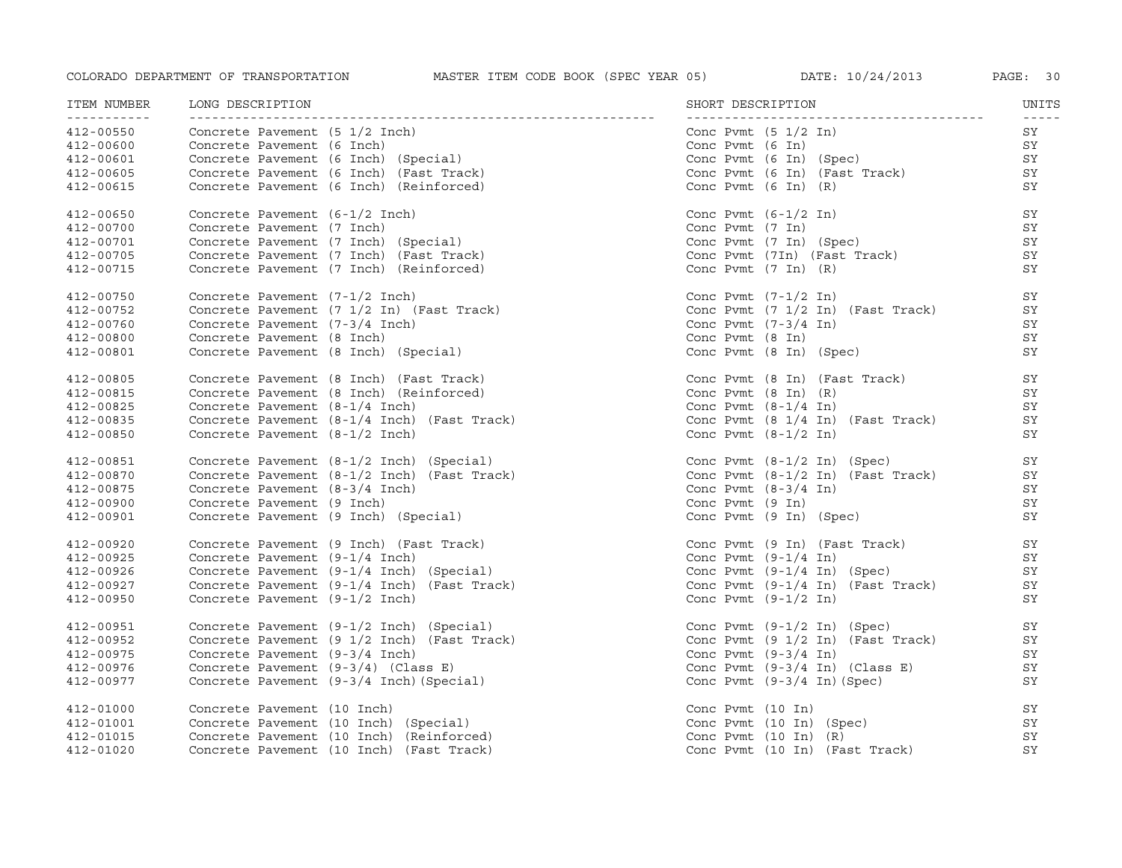| ITEM NUMBER<br>------------ | LONG DESCRIPTION<br>------------------------------                                                                                                                                                          |                                                                                      | UNITS<br>$- - - - -$ |
|-----------------------------|-------------------------------------------------------------------------------------------------------------------------------------------------------------------------------------------------------------|--------------------------------------------------------------------------------------|----------------------|
| 412-00550<br>412-00600      | Concrete Pavement (5 1/2 Inch)<br>Concrete Pavement (6 Inch)<br>Concrete Pavement (6 Inch) (Special)<br>Concrete Pavement (6 Inch) (Fast Track)                                                             | Conc Pvmt $(5 \t1/2 \t1n)$                                                           | SY                   |
| 412-00600                   |                                                                                                                                                                                                             | Conc Pvmt $(6 In)$                                                                   | SY                   |
| 412-00601                   |                                                                                                                                                                                                             | Conc Pvmt (6 In) (Spec)<br>Conc Pvmt (6 In) (Fast Track)<br>Conc Pvmt (6 In) (R)     | SY                   |
| 412-00605                   |                                                                                                                                                                                                             |                                                                                      | SY                   |
| 412-00615                   |                                                                                                                                                                                                             |                                                                                      | SY                   |
| 412-00650                   | Concrete Pavement (6-1/2 Inch)<br>Concrete Pavement (7 Inch)<br>Concrete Pavement (7 Inch) (Special)<br>Concrete Pavement (7 Inch) (Fast Track)<br>Concrete Pavement (7 Inch) (Reinforced)                  | Conc Pvmt (6-1/2 In)<br>Conc Pvmt (7 In)<br>Conc Pvmt (7 In) (Spec)                  | SY                   |
| $412 - 00700$               |                                                                                                                                                                                                             |                                                                                      | SY                   |
| 412-00701                   |                                                                                                                                                                                                             |                                                                                      | SY                   |
| $412 - 00705$               |                                                                                                                                                                                                             | Conc Pymt $(7In)$ (Fast Track)                                                       | SY                   |
| 412-00715                   | Concrete Pavement (7 Inch) (Reinforced)                                                                                                                                                                     | Conc Pvmt $(7 \text{ In})$ $(R)$                                                     | SY                   |
| 412-00750                   | Concrete Pavement $(7-1/2 \text{ Inch})$<br>Concrete Pavement $(7\ 1/2 \text{ In})$ (Fast Track)                                                                                                            | Conc Pvmt (7-1/2 In)<br>Conc Pvmt (7 1/2 In) (Fast Track)                            | SY                   |
| $412 - 00752$               |                                                                                                                                                                                                             |                                                                                      | SY                   |
| 412-00760                   | Concrete Pavement (7-3/4 Inch)                                                                                                                                                                              | Conc Pvmt (7-3/4 In)<br>Conc Pvmt (8 In)                                             | SY                   |
| 412-00800                   | Concrete Pavement (8 Inch)                                                                                                                                                                                  |                                                                                      | SY                   |
| 412-00801                   | Concrete Pavement (8 Inch) (Special)                                                                                                                                                                        | Conc Pvmt (8 In) (Spec)                                                              | SY                   |
| 412-00805                   | Concrete Pavement (8 Inch) (Fast Track)<br>Concrete Pavement (8 Inch) (Reinforced)<br>Concrete Pavement (8-1/4 Inch)<br>Concrete Pavement (8-1/4 Inch) (Fast Track)                                         | Conc Pvmt (8 In) (Fast Track)                                                        | SY                   |
| 412-00815                   |                                                                                                                                                                                                             | Conc Pvmt $(8 \text{ In})$ $(R)$                                                     | SY                   |
| 412-00825                   |                                                                                                                                                                                                             | Conc Pvmt $(8-1/4 \text{ In})$                                                       | SY                   |
| 412-00835                   |                                                                                                                                                                                                             | Conc Pvmt $(8 \t1/4 \tIn)$ (Fast Track)                                              | SY                   |
| 412-00850                   | Concrete Pavement (8-1/2 Inch)                                                                                                                                                                              | Conc Pymt $(8-1/2 \text{ In})$                                                       | SY                   |
| 412-00851                   | Concrete Pavement (8-1/2 Inch) (Special)<br>Concrete Pavement (8-1/2 Inch) (Fast Track)<br>Concrete Pavement (8-3/4 Inch)<br>Concrete Pavement (9 Inch)<br>Concrete Pavement (9 Inch) (Special)             | Conc Pvmt $(8-1/2 \text{ In})$ (Spec)                                                | SY                   |
| 412-00870                   |                                                                                                                                                                                                             | Conc Pvmt $(8-1/2 \text{ In})$ (Fast Track)                                          | SY                   |
| 412-00875                   |                                                                                                                                                                                                             | Conc Pvmt $(8-3/4 \text{ In})$                                                       | SY                   |
| 412-00900                   |                                                                                                                                                                                                             |                                                                                      | SY                   |
| 412-00901                   |                                                                                                                                                                                                             | Conc Pvmt (9 In)<br>Conc Pvmt (9 In) (Spec)                                          | SY                   |
| 412-00920                   | Concrete Pavement (9 Inch) (Fast Track)<br>Concrete Pavement (9-1/4 Inch)<br>Concrete Pavement (9-1/4 Inch) (Special)<br>Concrete Pavement (9-1/4 Inch) (Fast Track)                                        | Conc Pvmt (9 In) (Fast Track)<br>Conc Pvmt (9-1/4 In)                                | SY                   |
| 412-00925                   |                                                                                                                                                                                                             |                                                                                      | SY                   |
| 412-00926                   |                                                                                                                                                                                                             | Conc Pvmt $(9-1/4 \text{ In})$ (Spec)<br>Conc Pvmt $(9-1/4 \text{ In})$ (Fast Track) | SY                   |
| 412-00927                   |                                                                                                                                                                                                             |                                                                                      | SY                   |
| 412-00950                   | Concrete Pavement (9-1/2 Inch)                                                                                                                                                                              | Conc Pvmt $(9-1/2 \text{ In})$                                                       | SY                   |
| 412-00951                   | Concrete Pavement (9-1/2 Inch) (Special)<br>Concrete Pavement (9 1/2 Inch) (Fast Track)<br>Concrete Pavement (9-3/4 Inch)<br>Concrete Pavement (9-3/4) (Class E)<br>Concrete Pavement (9-3/4 Inch)(Special) | Conc Pvmt (9-1/2 In) (Spec)<br>Conc Pvmt (9 1/2 In) (Fast Track)                     | SY                   |
| 412-00952                   |                                                                                                                                                                                                             |                                                                                      | SY                   |
| 412-00975                   |                                                                                                                                                                                                             | Conc Pymt $(9-3/4 \text{ In})$                                                       | SY                   |
| 412-00976                   |                                                                                                                                                                                                             |                                                                                      | SY                   |
| 412-00977                   |                                                                                                                                                                                                             | Conc Pvmt $(9-3/4 \text{ In})$ (Class E)<br>Conc Pvmt $(9-3/4 \text{ In})$ (Spec)    | SY                   |
| 412-01000                   | Concrete Pavement (10 Inch)                                                                                                                                                                                 | Conc Pvmt $(10 \text{ In})$                                                          | SY                   |
| 412-01001                   | Concrete Pavement (10 Inch) (Special)                                                                                                                                                                       | Conc Pymt $(10 \text{ In})$ (Spec)                                                   | SY                   |
| 412-01015                   | Concrete Pavement (10 Inch) (Reinforced)                                                                                                                                                                    | Conc Pvmt $(10 \text{ In})$ $(R)$                                                    | SY                   |
| 412-01020                   | Concrete Pavement (10 Inch) (Fast Track)                                                                                                                                                                    | Conc Pymt (10 In) (Fast Track)                                                       | SY                   |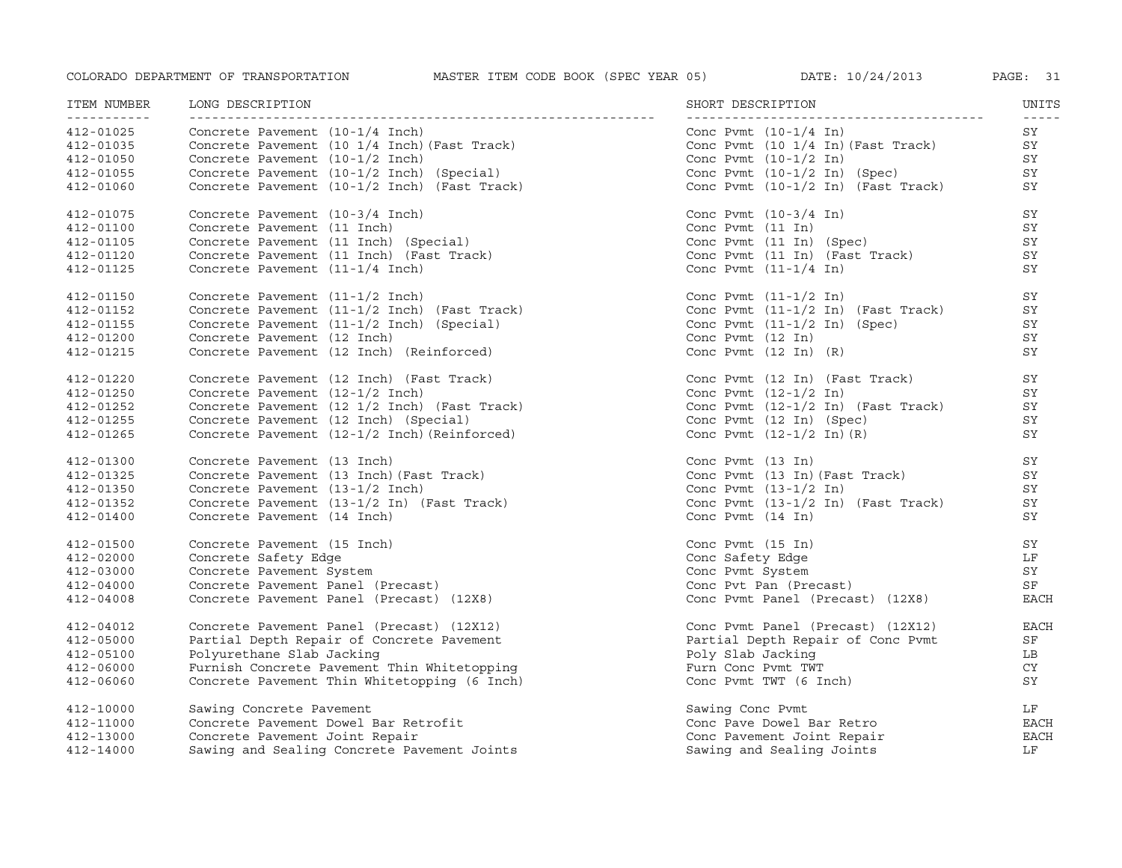| ITEM NUMBER<br>----------- | LONG DESCRIPTION<br>-----------------------------------                                                                                                                                   | SHORT DESCRIPTION                                                     | UNITS               |
|----------------------------|-------------------------------------------------------------------------------------------------------------------------------------------------------------------------------------------|-----------------------------------------------------------------------|---------------------|
| 412-01025                  | ----------------------------<br>Concrete Pavement (10-1/4 Inch)                                                                                                                           | Conc Pymt $(10-1/4 \text{ In})$                                       | $- - - - - -$<br>SY |
| 412-01035                  |                                                                                                                                                                                           | Conc Pvmt (10 1/4 In) (Fast Track)                                    | SY                  |
| 412-01050                  |                                                                                                                                                                                           | Conc Pvmt $(10-1/2 \text{ In})$                                       | SY                  |
| 412-01055                  |                                                                                                                                                                                           | Conc Pvmt $(10-1/2 \text{ In})$ (Spec)                                | SY                  |
| 412-01060                  | Concrete Pavement (10 1/4 Inch) (Fast Track)<br>Concrete Pavement (10 1/4 Inch) (Fast Track)<br>Concrete Pavement (10-1/2 Inch) (Special)<br>Concrete Pavement (10-1/2 Inch) (Fast Track) | Conc Pvmt $(10-1/2 \text{ In})$ $(\text{Fast} \text{ Track})$         | SY                  |
| 412-01075                  | Concrete Pavement (10-3/4 Inch)<br>Concrete Pavement (11 Inch)<br>Concrete Pavement (11 Inch) (Special)<br>Concrete Pavement (11 Inch) (Fast Track)                                       | Conc Pvmt $(10-3/4 \text{ In})$                                       | SY                  |
| 412-01100                  |                                                                                                                                                                                           | Conc Pvmt $(11 \; \text{In})$                                         | SY                  |
| 412-01105                  |                                                                                                                                                                                           | Conc Pvmt (11 In) (Spec)                                              | SY                  |
| 412-01120                  |                                                                                                                                                                                           | Conc Pymt $(11 \t In)$ (Fast Track)                                   | SY                  |
| 412-01125                  | Concrete Pavement (11-1/4 Inch)                                                                                                                                                           | Conc Pvmt $(11-1/4 \text{ In})$                                       | SY                  |
| 412-01150                  | Concrete Pavement (11-1/2 Inch)                                                                                                                                                           | Conc Pvmt $(11-1/2 \text{ In})$                                       | SY                  |
| 412-01152                  | Concrete Pavement (11-1/2 Inch) (Fast Track)                                                                                                                                              | Conc Pvmt (11-1/2 In) (Fast Track)                                    | SY                  |
| 412-01155                  | Concrete Pavement (11-1/2 Inch) (Special)                                                                                                                                                 | Conc Pvmt $(11-1/2 \text{ In})$ (Spec)<br>Conc Pvmt $(12 \text{ In})$ | SY                  |
| 412-01200                  | Concrete Pavement (12 Inch)                                                                                                                                                               |                                                                       | SY                  |
| 412-01215                  | Concrete Pavement (12 Inch) (Reinforced)                                                                                                                                                  | Conc Pymt $(12 \text{ In})$ $(R)$                                     | SY                  |
| 412-01220                  | Concrete Pavement (12 Inch) (Fast Track)                                                                                                                                                  | Conc Pvmt (12 In) (Fast Track)                                        | SY                  |
| 412-01250                  | Concrete Pavement (12-1/2 Inch)                                                                                                                                                           | Conc Pvmt $(12-1/2 \text{ In})$                                       | SY                  |
| 412-01252                  | Concrete Pavement (12 1/2 1994)<br>Concrete Pavement (12 1/2 Inch) (Fast Track)<br>Concrete Pavement (12 Inch) (Special)                                                                  | Conc Pvmt $(12-1/2 \text{ In})$ (Fast Track)                          | SY                  |
| 412-01255                  |                                                                                                                                                                                           | Conc Pvmt (12 In) (Spec)                                              | SY                  |
| 412-01265                  | Concrete Pavement (12-1/2 Inch) (Reinforced)                                                                                                                                              | Conc Pvmt $(12-1/2 \text{ In}) (R)$                                   | SY                  |
| 412-01300                  | Concrete Pavement (13 Inch)                                                                                                                                                               | Conc Pvmt (13 In)                                                     | SY                  |
| 412-01325                  | Concrete Pavement (13 Inch) (Fast Track)                                                                                                                                                  | Conc Pvmt (13 In) (Fast Track)                                        | SY                  |
| 412-01350                  | Concrete Pavement (13-1/2 Inch)                                                                                                                                                           | Conc Pymt $(13-1/2 \text{ In})$                                       | SY                  |
| 412-01352                  | Concrete Pavement (13-1/2 In) (Fast Track)                                                                                                                                                | Conc Pvmt $(13-1/2 \text{ In})$ (Fast Track)                          | SY                  |
| 412-01400                  | Concrete Pavement (14 Inch)                                                                                                                                                               | Conc Pvmt $(14 \; \text{In})$                                         | SY                  |
| 412-01500                  | Concrete Pavement (15 Inch)                                                                                                                                                               | Conc Pvmt $(15 \; \text{In})$                                         | SY                  |
| 412-02000                  | Concrete Safety Edge                                                                                                                                                                      | Conc Safety Edge                                                      | LF                  |
| 412-03000                  | Concrete Pavement System                                                                                                                                                                  | Conc Pvmt System                                                      | SY                  |
| $412 - 04000$              | Concrete Pavement Panel (Precast)                                                                                                                                                         | Conc Pvt Pan (Precast)                                                | SF                  |
| 412-04008                  | Concrete Pavement Panel (Precast) (12X8)                                                                                                                                                  | Conc Pvmt Panel (Precast) (12X8)                                      | <b>EACH</b>         |
| 412-04012                  | Concrete Pavement Panel (Precast) (12X12)                                                                                                                                                 | Conc Pvmt Panel (Precast) (12X12)                                     | EACH                |
| 412-05000                  | Partial Depth Repair of Concrete Pavement                                                                                                                                                 | Partial Depth Repair of Conc Pvmt                                     | SF                  |
| 412-05100                  | Polyurethane Slab Jacking                                                                                                                                                                 | Poly Slab Jacking                                                     | LB                  |
| 412-06000                  | Furnish Concrete Pavement Thin Whitetopping                                                                                                                                               | Furn Conc Pvmt TWT                                                    | CY                  |
| 412-06060                  | Concrete Pavement Thin Whitetopping (6 Inch)                                                                                                                                              | Conc Pvmt TWT (6 Inch)                                                | SY                  |
| 412-10000                  | Sawing Concrete Pavement                                                                                                                                                                  | Sawing Conc Pvmt                                                      | LF                  |
| 412-11000                  | Concrete Pavement Dowel Bar Retrofit                                                                                                                                                      | Conc Pave Dowel Bar Retro                                             | EACH                |
| 412-13000                  | Concrete Pavement Joint Repair                                                                                                                                                            | Conc Pavement Joint Repair                                            | <b>EACH</b>         |
| 412-14000                  | Sawing and Sealing Concrete Pavement Joints                                                                                                                                               | Sawing and Sealing Joints                                             | LF.                 |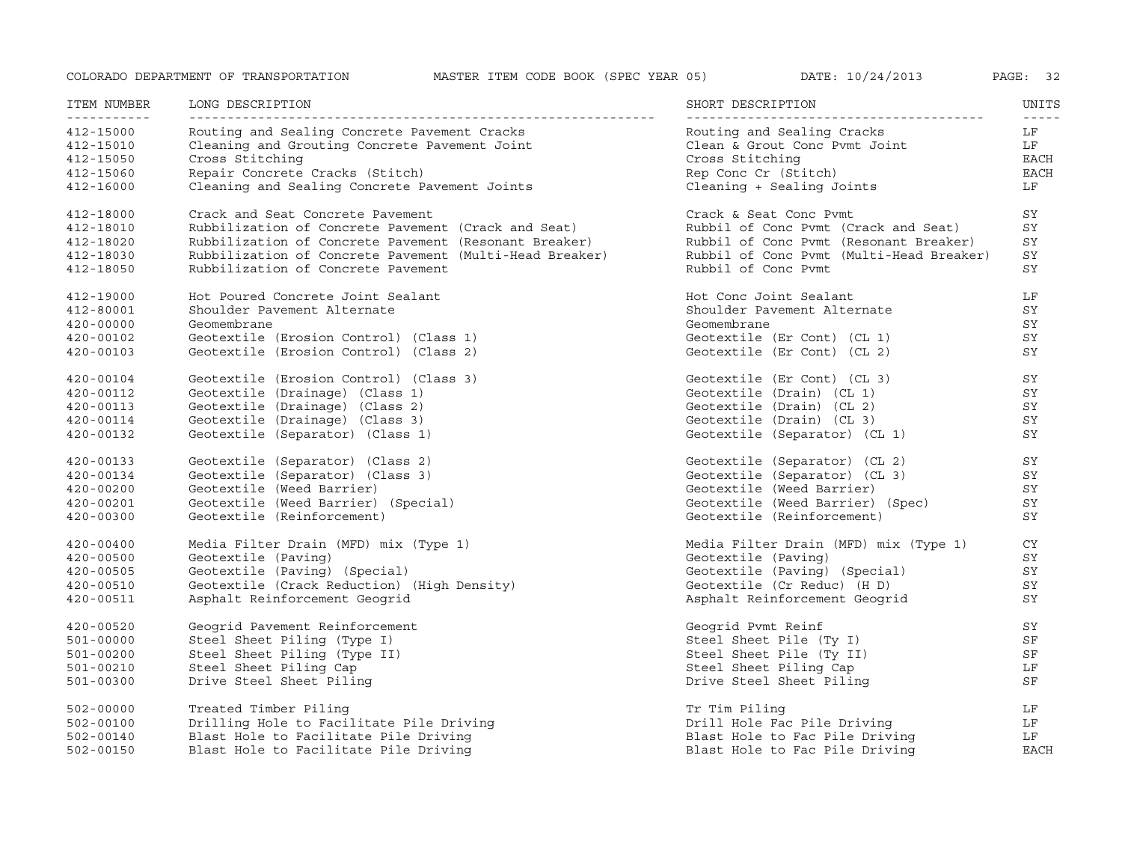| ITEM NUMBER                                | LONG DESCRIPTION                                                                 | SHORT DESCRIPTION                                 | UNITS             |
|--------------------------------------------|----------------------------------------------------------------------------------|---------------------------------------------------|-------------------|
| <u> - - - - - - - - - - -</u><br>412-15000 | Routing and Sealing Concrete Pavement Cracks                                     | Routing and Sealing Cracks                        | $- - - - -$<br>LF |
| 412-15010                                  | Cleaning and Grouting Concrete Pavement Joint                                    | Clean & Grout Conc Pvmt Joint                     | LF                |
| 412-15050                                  | Cross Stitching                                                                  | Cross Stitching                                   | EACH<br>EACH      |
| 412-15060<br>412-16000                     | Repair Concrete Cracks (Stitch)<br>Cleaning and Sealing Concrete Pavement Joints | Rep Conc Cr (Stitch)<br>Cleaning + Sealing Joints | LF                |
|                                            |                                                                                  |                                                   |                   |
| 412-18000                                  | Crack and Seat Concrete Pavement                                                 | Crack & Seat Conc Pymt                            | SY                |
| 412-18010                                  | Rubbilization of Concrete Pavement (Crack and Seat)                              | Rubbil of Conc Pymt (Crack and Seat)              | SY                |
| 412-18020                                  | Rubbilization of Concrete Pavement (Resonant Breaker)                            | Rubbil of Conc Pymt (Resonant Breaker)            | SY                |
| 412-18030                                  | Rubbilization of Concrete Pavement (Multi-Head Breaker)                          | Rubbil of Conc Pymt (Multi-Head Breaker)          | SY                |
| 412-18050                                  | Rubbilization of Concrete Pavement                                               | Rubbil of Conc Pymt                               | SY                |
| 412-19000                                  | Hot Poured Concrete Joint Sealant                                                | Hot Conc Joint Sealant                            | LF                |
| 412-80001                                  | Shoulder Pavement Alternate                                                      | Shoulder Pavement Alternate                       | SΥ                |
| $420 - 00000$                              | Geomembrane                                                                      | Geomembrane                                       | SY                |
| 420-00102                                  | Geotextile (Erosion Control) (Class 1)                                           | Geotextile (Er Cont) (CL 1)                       | SY                |
| 420-00103                                  | Geotextile (Erosion Control) (Class 2)                                           | Geotextile (Er Cont) (CL 2)                       | SY                |
| $420 - 00104$                              | Geotextile (Erosion Control) (Class 3)                                           | Geotextile (Er Cont) (CL 3)                       | SY                |
| 420-00112                                  | Geotextile (Drainage) (Class 1)                                                  | Geotextile (Drain) (CL 1)                         | SY                |
| 420-00113                                  | Geotextile (Drainage) (Class 2)                                                  | Geotextile (Drain) (CL 2)                         | SY                |
| 420-00114                                  | Geotextile (Drainage) (Class 3)                                                  | Geotextile (Drain) (CL 3)                         | SY                |
| 420-00132                                  | Geotextile (Separator) (Class 1)                                                 | Geotextile (Separator) (CL 1)                     | SY                |
| 420-00133                                  | Geotextile (Separator) (Class 2)                                                 | Geotextile (Separator) (CL 2)                     | SY                |
| 420-00134                                  | Geotextile (Separator) (Class 3)                                                 | Geotextile (Separator) (CL 3)                     | SY                |
| $420 - 00200$                              | Geotextile (Weed Barrier)                                                        | Geotextile (Weed Barrier)                         | SY                |
| 420-00201                                  | Geotextile (Weed Barrier) (Special)                                              | Geotextile (Weed Barrier) (Spec)                  | SY                |
| 420-00300                                  | Geotextile (Reinforcement)                                                       | Geotextile (Reinforcement)                        | SY                |
| $420 - 00400$                              | Media Filter Drain (MFD) mix (Type 1)                                            | Media Filter Drain (MFD) mix (Type 1)             | CY                |
| $420 - 00500$                              | Geotextile (Paving)                                                              | Geotextile (Paving)                               | SY                |
| 420-00505                                  | Geotextile (Paving) (Special)                                                    | Geotextile (Paving) (Special)                     | SY                |
| 420-00510                                  | Geotextile (Crack Reduction) (High Density)                                      | Geotextile (Cr Reduc) (H D)                       | SY                |
| 420-00511                                  | Asphalt Reinforcement Geogrid                                                    | Asphalt Reinforcement Geogrid                     | SY                |
| 420-00520                                  | Geogrid Pavement Reinforcement                                                   | Geogrid Pvmt Reinf                                | SY                |
| 501-00000                                  | Steel Sheet Piling (Type I)                                                      | Steel Sheet Pile (Ty I)                           | SF                |
| 501-00200                                  | Steel Sheet Piling (Type II)                                                     | Steel Sheet Pile (Ty II)                          | SF                |
| 501-00210                                  | Steel Sheet Piling Cap                                                           | Steel Sheet Piling Cap                            | LF                |
| 501-00300                                  | Drive Steel Sheet Piling                                                         | Drive Steel Sheet Piling                          | SF                |
| $502 - 00000$                              | Treated Timber Piling                                                            | Tr Tim Piling                                     | LF                |
| 502-00100                                  | Drilling Hole to Facilitate Pile Driving                                         | Drill Hole Fac Pile Driving                       | LF                |
| $502 - 00140$                              | Blast Hole to Facilitate Pile Driving                                            | Blast Hole to Fac Pile Driving                    | LF                |
| $502 - 00150$                              | Blast Hole to Facilitate Pile Driving                                            | Blast Hole to Fac Pile Driving                    | <b>EACH</b>       |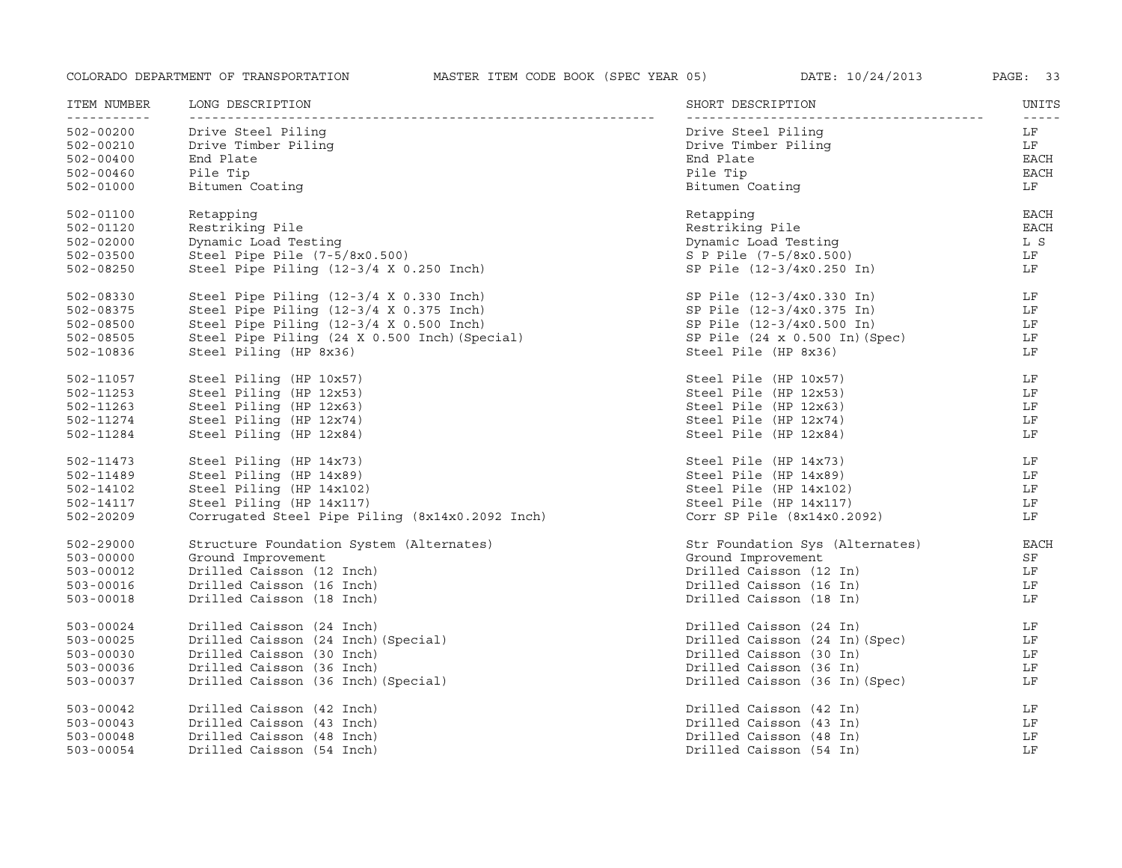| ITEM NUMBER              | LONG DESCRIPTION                                | SHORT DESCRIPTION               | UNITS<br>$- - - - -$ |
|--------------------------|-------------------------------------------------|---------------------------------|----------------------|
| -----------<br>502-00200 | Drive Steel Piling                              | Drive Steel Piling              | LF                   |
| 502-00210                | Drive Timber Piling                             | Drive Timber Piling             | LF                   |
| $502 - 00400$            | End Plate                                       | End Plate                       | EACH                 |
| $502 - 00460$            | Pile Tip                                        | Pile Tip                        | EACH                 |
| $502 - 01000$            | Bitumen Coating                                 | Bitumen Coating                 | LF                   |
| $502 - 01100$            | Retapping                                       | Retapping                       | <b>EACH</b>          |
| 502-01120                | Restriking Pile                                 | Restriking Pile                 | <b>EACH</b>          |
| $502 - 02000$            | Dynamic Load Testing                            | Dynamic Load Testing            | L S                  |
| $502 - 03500$            | Steel Pipe Pile $(7-5/8x0.500)$                 | S P Pile (7-5/8x0.500)          | LF                   |
| 502-08250                | Steel Pipe Piling (12-3/4 X 0.250 Inch)         | SP Pile (12-3/4x0.250 In)       | LF                   |
| 502-08330                | Steel Pipe Piling (12-3/4 X 0.330 Inch)         | SP Pile (12-3/4x0.330 In)       | LF                   |
| 502-08375                | Steel Pipe Piling (12-3/4 X 0.375 Inch)         | SP Pile (12-3/4x0.375 In)       | LF                   |
| $502 - 08500$            | Steel Pipe Piling (12-3/4 X 0.500 Inch)         | SP Pile (12-3/4x0.500 In)       | LF                   |
| $502 - 08505$            | Steel Pipe Piling (24 X 0.500 Inch) (Special)   | SP Pile (24 x 0.500 In) (Spec)  | LF                   |
| 502-10836                | Steel Piling (HP 8x36)                          | Steel Pile (HP 8x36)            | LF                   |
| 502-11057                | Steel Piling (HP 10x57)                         | Steel Pile (HP 10x57)           | LF                   |
| 502-11253                | Steel Piling (HP 12x53)                         | Steel Pile (HP 12x53)           | LF                   |
| 502-11263                | Steel Piling (HP 12x63)                         | Steel Pile (HP 12x63)           | LF                   |
| 502-11274                | Steel Piling (HP 12x74)                         | Steel Pile (HP 12x74)           | LF                   |
| 502-11284                | Steel Piling (HP 12x84)                         | Steel Pile (HP 12x84)           | LF                   |
| 502-11473                | Steel Piling (HP 14x73)                         | Steel Pile (HP 14x73)           | LF                   |
| 502-11489                | Steel Piling (HP 14x89)                         | Steel Pile (HP 14x89)           | LF                   |
| 502-14102                | Steel Piling (HP 14x102)                        | Steel Pile (HP 14x102)          | LF                   |
| 502-14117                | Steel Piling (HP 14x117)                        | Steel Pile (HP 14x117)          | LF                   |
| 502-20209                | Corrugated Steel Pipe Piling (8x14x0.2092 Inch) | Corr SP Pile $(8x14x0.2092)$    | LF                   |
| 502-29000                | Structure Foundation System (Alternates)        | Str Foundation Sys (Alternates) | <b>EACH</b>          |
| $503 - 00000$            | Ground Improvement                              | Ground Improvement              | SF                   |
| 503-00012                | Drilled Caisson (12 Inch)                       | Drilled Caisson (12 In)         | LF                   |
| 503-00016                | Drilled Caisson (16 Inch)                       | Drilled Caisson (16 In)         | LF                   |
| 503-00018                | Drilled Caisson (18 Inch)                       | Drilled Caisson (18 In)         | LF                   |
| 503-00024                | Drilled Caisson (24 Inch)                       | Drilled Caisson (24 In)         | LF                   |
| $503 - 00025$            | Drilled Caisson (24 Inch) (Special)             | Drilled Caisson (24 In) (Spec)  | LF                   |
| $503 - 00030$            | Drilled Caisson (30 Inch)                       | Drilled Caisson (30 In)         | LF                   |
| $503 - 00036$            | Drilled Caisson (36 Inch)                       | Drilled Caisson (36 In)         | LF                   |
| 503-00037                | Drilled Caisson (36 Inch) (Special)             | Drilled Caisson (36 In) (Spec)  | LF                   |
| $503 - 00042$            | Drilled Caisson (42 Inch)                       | Drilled Caisson (42 In)         | LF                   |
| $503 - 00043$            | Drilled Caisson (43 Inch)                       | Drilled Caisson (43 In)         | LF                   |
| $503 - 00048$            | Drilled Caisson (48 Inch)                       | Drilled Caisson (48 In)         | LF                   |
| $503 - 00054$            | Drilled Caisson (54 Inch)                       | Drilled Caisson (54 In)         | LF                   |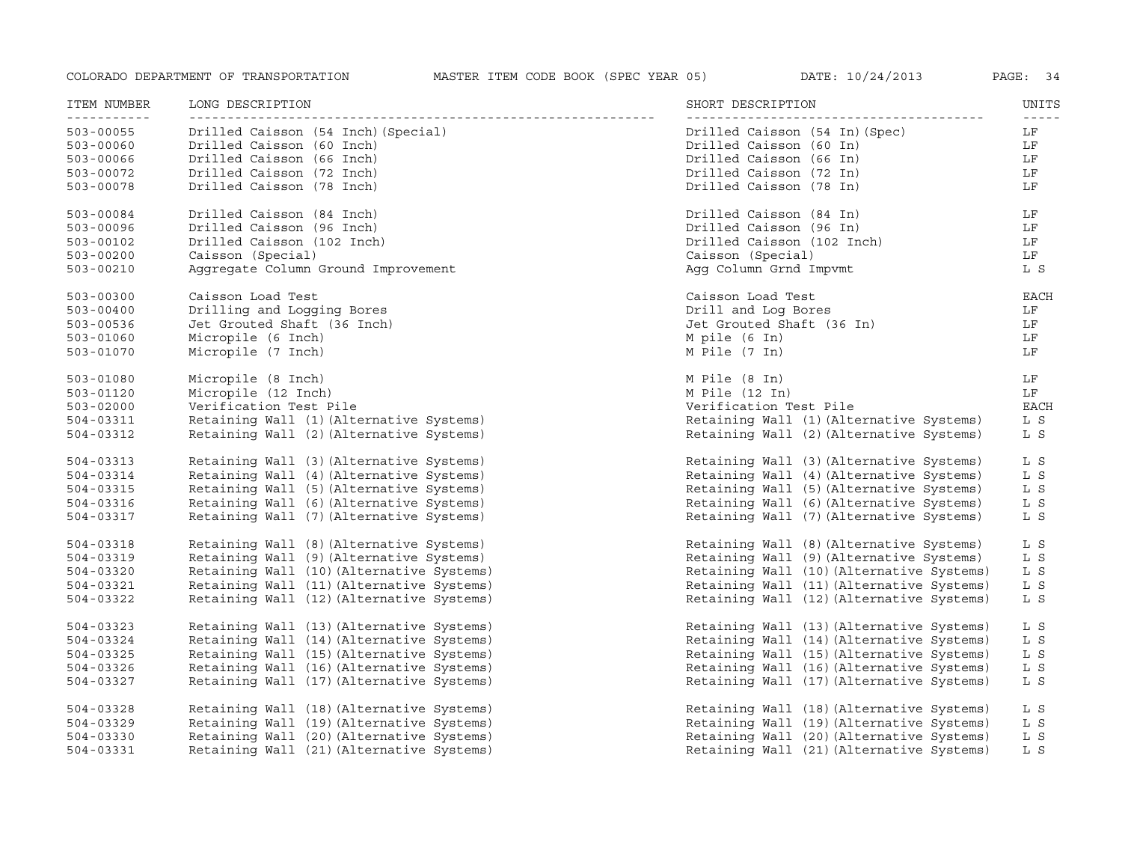| ITEM NUMBER<br><u> - - - - - - - - - -</u> | LONG DESCRIPTION                          | SHORT DESCRIPTION                         | UNITS<br>$- - - - -$ |
|--------------------------------------------|-------------------------------------------|-------------------------------------------|----------------------|
| $503 - 00055$                              | Drilled Caisson (54 Inch) (Special)       | Drilled Caisson (54 In)(Spec)             | LF                   |
| $503 - 00060$                              | Drilled Caisson (60 Inch)                 | Drilled Caisson (60 In)                   | LF                   |
| $503 - 00066$                              | Drilled Caisson (66 Inch)                 | Drilled Caisson (66 In)                   | LF                   |
| 503-00072                                  | Drilled Caisson (72 Inch)                 | Drilled Caisson (72 In)                   | LF                   |
| $503 - 00078$                              | Drilled Caisson (78 Inch)                 | Drilled Caisson (78 In)                   | LF                   |
| $503 - 00084$                              | Drilled Caisson (84 Inch)                 | Drilled Caisson (84 In)                   | LF                   |
| 503-00096                                  | Drilled Caisson (96 Inch)                 | Drilled Caisson (96 In)                   | LF                   |
| $503 - 00102$                              | Drilled Caisson (102 Inch)                | Drilled Caisson (102 Inch)                | LF                   |
| $503 - 00200$                              | Caisson (Special)                         | Caisson (Special)                         | LF                   |
| $503 - 00210$                              | Aggregate Column Ground Improvement       | Agg Column Grnd Impvmt                    | L S                  |
| $503 - 00300$                              | Caisson Load Test                         | Caisson Load Test                         | <b>EACH</b>          |
| $503 - 00400$                              | Drilling and Logging Bores                | Drill and Log Bores                       | LF                   |
| $503 - 00536$                              | Jet Grouted Shaft (36 Inch)               | Jet Grouted Shaft (36 In)                 | LF                   |
| $503 - 01060$                              | Micropile (6 Inch)                        | M pile (6 In)                             | LF                   |
| $503 - 01070$                              | Micropile (7 Inch)                        | M Pile (7 In)                             | LF                   |
| $503 - 01080$                              | Micropile (8 Inch)                        | M Pile (8 In)                             | LF                   |
| $503 - 01120$                              | Micropile (12 Inch)                       | M Pile (12 In)                            | LF                   |
| $503 - 02000$                              | Verification Test Pile                    | Verification Test Pile                    | <b>EACH</b>          |
| $504 - 03311$                              | Retaining Wall (1) (Alternative Systems)  | Retaining Wall (1) (Alternative Systems)  | L S                  |
| $504 - 03312$                              | Retaining Wall (2) (Alternative Systems)  | Retaining Wall (2) (Alternative Systems)  | L S                  |
| $504 - 03313$                              | Retaining Wall (3) (Alternative Systems)  | Retaining Wall (3) (Alternative Systems)  | L S                  |
| 504-03314                                  | Retaining Wall (4) (Alternative Systems)  | Retaining Wall (4) (Alternative Systems)  | L S                  |
| 504-03315                                  | Retaining Wall (5) (Alternative Systems)  | Retaining Wall (5) (Alternative Systems)  | L S                  |
| 504-03316                                  | Retaining Wall (6) (Alternative Systems)  | Retaining Wall (6) (Alternative Systems)  | L S                  |
| 504-03317                                  | Retaining Wall (7) (Alternative Systems)  | Retaining Wall (7) (Alternative Systems)  | L S                  |
| 504-03318                                  | Retaining Wall (8) (Alternative Systems)  | Retaining Wall (8) (Alternative Systems)  | L S                  |
| 504-03319                                  | Retaining Wall (9) (Alternative Systems)  | Retaining Wall (9) (Alternative Systems)  | L S                  |
| 504-03320                                  | Retaining Wall (10) (Alternative Systems) | Retaining Wall (10) (Alternative Systems) | L S                  |
| 504-03321                                  | Retaining Wall (11) (Alternative Systems) | Retaining Wall (11) (Alternative Systems) | L S                  |
| 504-03322                                  | Retaining Wall (12) (Alternative Systems) | Retaining Wall (12) (Alternative Systems) | L S                  |
| 504-03323                                  | Retaining Wall (13) (Alternative Systems) | Retaining Wall (13) (Alternative Systems) | L S                  |
| 504-03324                                  | Retaining Wall (14) (Alternative Systems) | Retaining Wall (14) (Alternative Systems) | L S                  |
| 504-03325                                  | Retaining Wall (15) (Alternative Systems) | Retaining Wall (15) (Alternative Systems) | L S                  |
| 504-03326                                  | Retaining Wall (16) (Alternative Systems) | Retaining Wall (16) (Alternative Systems) | L S                  |
| 504-03327                                  | Retaining Wall (17) (Alternative Systems) | Retaining Wall (17) (Alternative Systems) | L S                  |
| 504-03328                                  | Retaining Wall (18) (Alternative Systems) | Retaining Wall (18) (Alternative Systems) | L S                  |
| 504-03329                                  | Retaining Wall (19) (Alternative Systems) | Retaining Wall (19) (Alternative Systems) | L S                  |
| $504 - 03330$                              | Retaining Wall (20) (Alternative Systems) | Retaining Wall (20) (Alternative Systems) | L S                  |
| 504-03331                                  | Retaining Wall (21) (Alternative Systems) | Retaining Wall (21) (Alternative Systems) | L S                  |
|                                            |                                           |                                           |                      |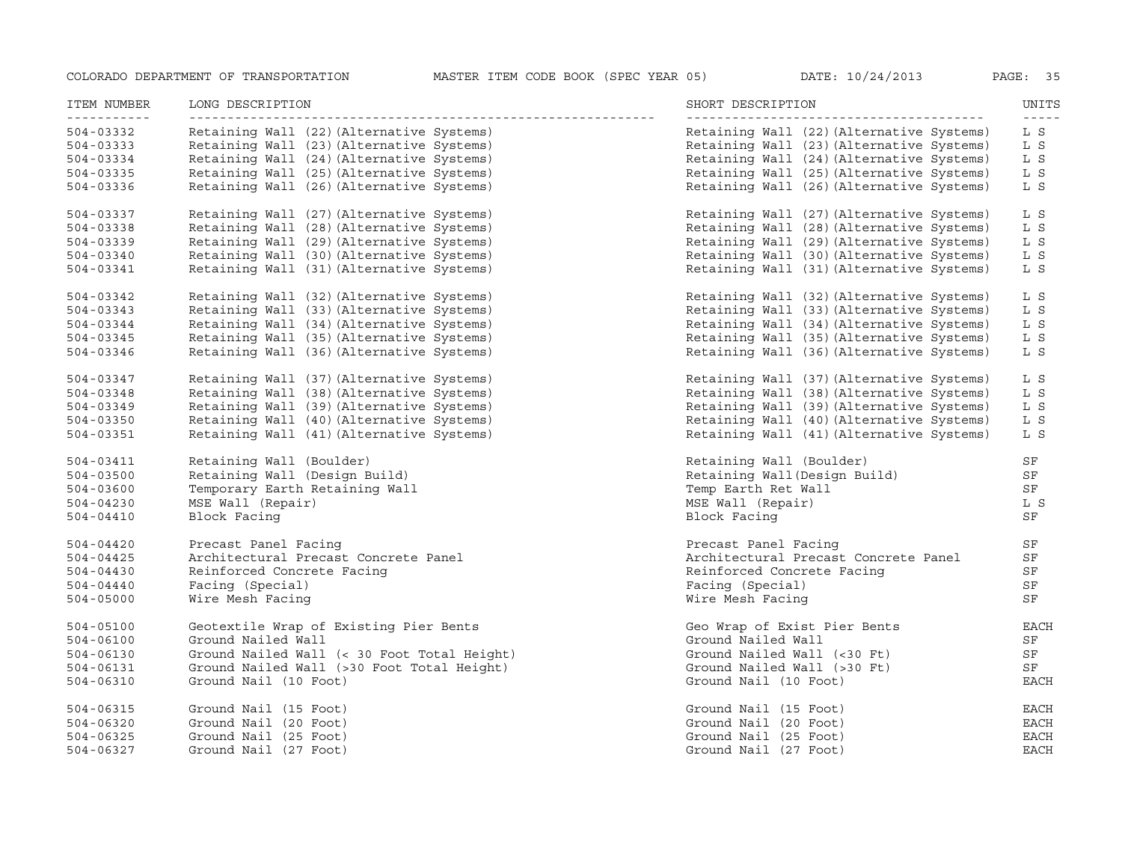| ITEM NUMBER<br><u>___________</u> | LONG DESCRIPTION                            | SHORT DESCRIPTION                         | UNITS<br>$- - - - -$ |
|-----------------------------------|---------------------------------------------|-------------------------------------------|----------------------|
| 504-03332                         | Retaining Wall (22) (Alternative Systems)   | Retaining Wall (22) (Alternative Systems) | L S                  |
| 504-03333                         | Retaining Wall (23) (Alternative Systems)   | Retaining Wall (23) (Alternative Systems) | L S                  |
| 504-03334                         | Retaining Wall (24) (Alternative Systems)   | Retaining Wall (24) (Alternative Systems) | L S                  |
| $504 - 03335$                     | Retaining Wall (25) (Alternative Systems)   | Retaining Wall (25) (Alternative Systems) | L S                  |
| 504-03336                         | Retaining Wall (26) (Alternative Systems)   | Retaining Wall (26) (Alternative Systems) | L S                  |
| 504-03337                         | Retaining Wall (27) (Alternative Systems)   | Retaining Wall (27) (Alternative Systems) | L S                  |
| 504-03338                         | Retaining Wall (28) (Alternative Systems)   | Retaining Wall (28) (Alternative Systems) | L S                  |
| 504-03339                         | Retaining Wall (29) (Alternative Systems)   | Retaining Wall (29) (Alternative Systems) | L S                  |
| 504-03340                         | Retaining Wall (30) (Alternative Systems)   | Retaining Wall (30) (Alternative Systems) | L S                  |
| $504 - 03341$                     | Retaining Wall (31) (Alternative Systems)   | Retaining Wall (31) (Alternative Systems) | L S                  |
| 504-03342                         | Retaining Wall (32) (Alternative Systems)   | Retaining Wall (32) (Alternative Systems) | L S                  |
| 504-03343                         | Retaining Wall (33) (Alternative Systems)   | Retaining Wall (33) (Alternative Systems) | L S                  |
| 504-03344                         | Retaining Wall (34) (Alternative Systems)   | Retaining Wall (34) (Alternative Systems) | L S                  |
| $504 - 03345$                     | Retaining Wall (35) (Alternative Systems)   | Retaining Wall (35) (Alternative Systems) | L S                  |
| 504-03346                         | Retaining Wall (36) (Alternative Systems)   | Retaining Wall (36) (Alternative Systems) | L S                  |
| 504-03347                         | Retaining Wall (37) (Alternative Systems)   | Retaining Wall (37) (Alternative Systems) | L S                  |
| 504-03348                         | Retaining Wall (38) (Alternative Systems)   | Retaining Wall (38) (Alternative Systems) | L S                  |
| 504-03349                         | Retaining Wall (39) (Alternative Systems)   | Retaining Wall (39) (Alternative Systems) | L S                  |
| $504 - 03350$                     | Retaining Wall (40) (Alternative Systems)   | Retaining Wall (40) (Alternative Systems) | L S                  |
| $504 - 03351$                     | Retaining Wall (41) (Alternative Systems)   | Retaining Wall (41) (Alternative Systems) | L S                  |
| 504-03411                         | Retaining Wall (Boulder)                    | Retaining Wall (Boulder)                  | SF                   |
| 504-03500                         | Retaining Wall (Design Build)               | Retaining Wall (Design Build)             | SF                   |
| 504-03600                         | Temporary Earth Retaining Wall              | Temp Earth Ret Wall                       | SF                   |
| $504 - 04230$                     | MSE Wall (Repair)                           | MSE Wall (Repair)                         | L S                  |
| $504 - 04410$                     | Block Facing                                | Block Facing                              | SF                   |
| 504-04420                         | Precast Panel Facing                        | Precast Panel Facing                      | SF                   |
| $504 - 04425$                     | Architectural Precast Concrete Panel        | Architectural Precast Concrete Panel      | SF                   |
| $504 - 04430$                     | Reinforced Concrete Facing                  | Reinforced Concrete Facing                | SF                   |
| $504 - 04440$                     | Facing (Special)                            | Facing (Special)                          | SF                   |
| $504 - 05000$                     | Wire Mesh Facing                            | Wire Mesh Facing                          | SF                   |
| 504-05100                         | Geotextile Wrap of Existing Pier Bents      | Geo Wrap of Exist Pier Bents              | EACH                 |
| 504-06100                         | Ground Nailed Wall                          | Ground Nailed Wall                        | SF                   |
| $504 - 06130$                     | Ground Nailed Wall (< 30 Foot Total Height) | Ground Nailed Wall (<30 Ft)               | SF                   |
| 504-06131                         | Ground Nailed Wall (>30 Foot Total Height)  | Ground Nailed Wall (>30 Ft)               | SF                   |
| 504-06310                         | Ground Nail (10 Foot)                       | Ground Nail (10 Foot)                     | <b>EACH</b>          |
| 504-06315                         | Ground Nail (15 Foot)                       | Ground Nail (15 Foot)                     | <b>EACH</b>          |
| $504 - 06320$                     | Ground Nail (20 Foot)                       | Ground Nail (20 Foot)                     | <b>EACH</b>          |
| 504-06325                         | Ground Nail (25 Foot)                       | Ground Nail (25 Foot)                     | <b>EACH</b>          |
| $504 - 06327$                     | Ground Nail (27 Foot)                       | Ground Nail (27 Foot)                     | <b>EACH</b>          |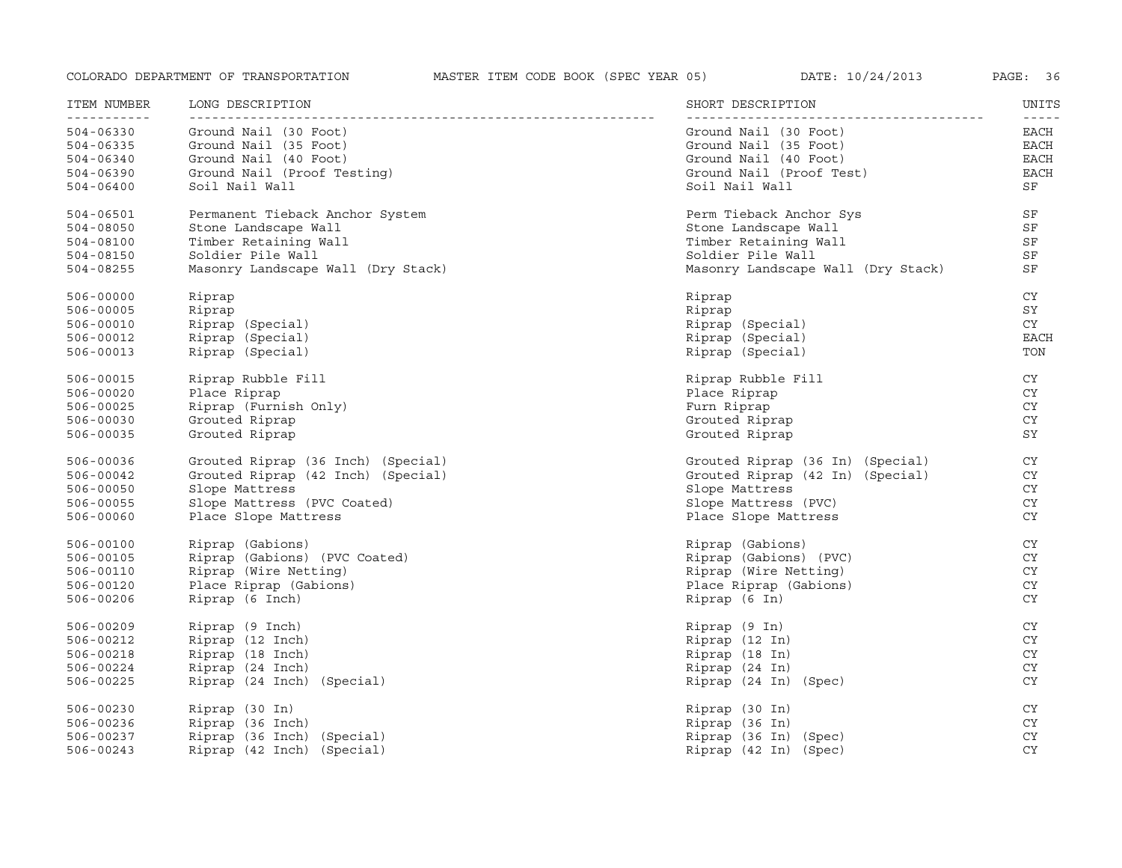| ITEM NUMBER                  | LONG DESCRIPTION                   | SHORT DESCRIPTION                  | UNITS<br>$- - - - - -$ |
|------------------------------|------------------------------------|------------------------------------|------------------------|
| -----------<br>$504 - 06330$ | Ground Nail (30 Foot)              | Ground Nail (30 Foot)              | EACH                   |
| 504-06335                    | Ground Nail (35 Foot)              | Ground Nail (35 Foot)              | <b>EACH</b>            |
| $504 - 06340$                | Ground Nail (40 Foot)              | Ground Nail (40 Foot)              | <b>EACH</b>            |
| 504-06390                    | Ground Nail (Proof Testing)        | Ground Nail (Proof Test)           | <b>EACH</b>            |
| $504 - 06400$                | Soil Nail Wall                     | Soil Nail Wall                     | SF                     |
| 504-06501                    | Permanent Tieback Anchor System    | Perm Tieback Anchor Sys            | SF                     |
| $504 - 08050$                | Stone Landscape Wall               | Stone Landscape Wall               | SF                     |
| 504-08100                    | Timber Retaining Wall              | Timber Retaining Wall              | SF                     |
| 504-08150                    | Soldier Pile Wall                  | Soldier Pile Wall                  | SF                     |
| 504-08255                    | Masonry Landscape Wall (Dry Stack) | Masonry Landscape Wall (Dry Stack) | SF                     |
| $506 - 00000$                | Riprap                             | Riprap                             | CY                     |
| 506-00005                    | Riprap                             | Riprap                             | SY                     |
| 506-00010                    | Riprap (Special)                   | Riprap (Special)                   | CY                     |
| 506-00012                    | Riprap (Special)                   | Riprap (Special)                   | <b>EACH</b>            |
| $506 - 00013$                | Riprap (Special)                   | Riprap (Special)                   | TON                    |
| 506-00015                    | Riprap Rubble Fill                 | Riprap Rubble Fill                 | CY                     |
| 506-00020                    | Place Riprap                       | Place Riprap                       | CY                     |
| 506-00025                    | Riprap (Furnish Only)              | Furn Riprap                        | <b>CY</b>              |
| 506-00030                    | Grouted Riprap                     | Grouted Riprap                     | CY                     |
| 506-00035                    | Grouted Riprap                     | Grouted Riprap                     | SY                     |
| 506-00036                    | Grouted Riprap (36 Inch) (Special) | Grouted Riprap (36 In) (Special)   | CY                     |
| 506-00042                    | Grouted Riprap (42 Inch) (Special) | Grouted Riprap (42 In) (Special)   | CY                     |
| 506-00050                    | Slope Mattress                     | Slope Mattress                     | CY                     |
| 506-00055                    | Slope Mattress (PVC Coated)        | Slope Mattress (PVC)               | CY                     |
| 506-00060                    | Place Slope Mattress               | Place Slope Mattress               | <b>CY</b>              |
| 506-00100                    | Riprap (Gabions)                   | Riprap (Gabions)                   | CY                     |
| 506-00105                    | Riprap (Gabions) (PVC Coated)      | Riprap (Gabions) (PVC)             | CY                     |
| 506-00110                    | Riprap (Wire Netting)              | Riprap (Wire Netting)              | CY                     |
| 506-00120                    | Place Riprap (Gabions)             | Place Riprap (Gabions)             | <b>CY</b>              |
| 506-00206                    | Riprap (6 Inch)                    | Riprap (6 In)                      | CY                     |
| 506-00209                    | Riprap (9 Inch)                    | Riprap (9 In)                      | <b>CY</b>              |
| 506-00212                    | Riprap (12 Inch)                   | Riprap (12 In)                     | CY                     |
| 506-00218                    | Riprap (18 Inch)                   | Riprap (18 In)                     | CY                     |
| 506-00224                    | Riprap (24 Inch)                   | Riprap (24 In)                     | CY                     |
| 506-00225                    | Riprap (24 Inch) (Special)         | Riprap (24 In) (Spec)              | CY                     |
| 506-00230                    | Riprap (30 In)                     | Riprap (30 In)                     | CY                     |
| 506-00236                    | Riprap (36 Inch)                   | Riprap (36 In)                     | CY                     |
| 506-00237                    | Riprap (36 Inch) (Special)         | Riprap (36 In) (Spec)              | <b>CY</b>              |
| $506 - 00243$                | Riprap (42 Inch) (Special)         | Riprap (42 In) (Spec)              | <b>CY</b>              |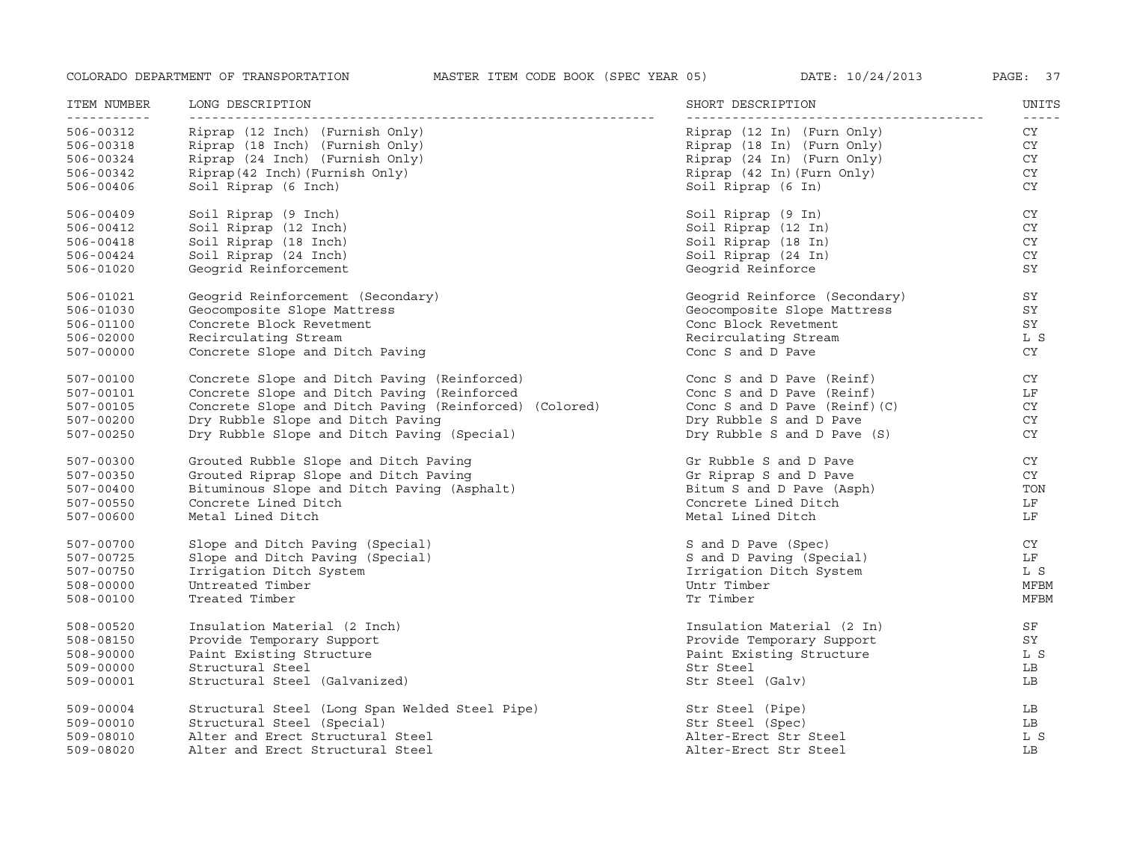| ITEM NUMBER<br>----------- | LONG DESCRIPTION                                       | SHORT DESCRIPTION              | UNITS<br>$- - - - - -$ |
|----------------------------|--------------------------------------------------------|--------------------------------|------------------------|
| 506-00312                  | Riprap (12 Inch) (Furnish Only)                        | Riprap (12 In) (Furn Only)     | CY                     |
| 506-00318                  | Riprap (18 Inch) (Furnish Only)                        | Riprap (18 In) (Furn Only)     | CY                     |
| 506-00324                  | Riprap (24 Inch) (Furnish Only)                        | Riprap (24 In) (Furn Only)     | CY                     |
| 506-00342                  | Riprap (42 Inch) (Furnish Only)                        | Riprap (42 In) (Furn Only)     | CY                     |
| 506-00406                  | Soil Riprap (6 Inch)                                   | Soil Riprap (6 In)             | <b>CY</b>              |
| 506-00409                  | Soil Riprap (9 Inch)                                   | Soil Riprap (9 In)             | CY.                    |
| 506-00412                  | Soil Riprap (12 Inch)                                  | Soil Riprap (12 In)            | CY                     |
| 506-00418                  | Soil Riprap (18 Inch)                                  | Soil Riprap (18 In)            | CY                     |
| $506 - 00424$              | Soil Riprap (24 Inch)                                  | Soil Riprap (24 In)            | CY                     |
| 506-01020                  | Geogrid Reinforcement                                  | Geogrid Reinforce              | SY                     |
| 506-01021                  | Geogrid Reinforcement (Secondary)                      | Geogrid Reinforce (Secondary)  | SY                     |
| 506-01030                  | Geocomposite Slope Mattress                            | Geocomposite Slope Mattress    | SY                     |
| 506-01100                  | Concrete Block Revetment                               | Conc Block Revetment           | SY                     |
| 506-02000                  | Recirculating Stream                                   | Recirculating Stream           | L S                    |
| 507-00000                  | Concrete Slope and Ditch Paving                        | Conc S and D Pave              | <b>CY</b>              |
| 507-00100                  | Concrete Slope and Ditch Paving (Reinforced)           | Conc S and D Pave (Reinf)      | CY                     |
| 507-00101                  | Concrete Slope and Ditch Paving (Reinforced            | Conc S and D Pave (Reinf)      | LF                     |
| 507-00105                  | Concrete Slope and Ditch Paving (Reinforced) (Colored) | Conc S and D Pave $(Reinf)(C)$ | CY                     |
| $507 - 00200$              | Dry Rubble Slope and Ditch Paving                      | Dry Rubble S and D Pave        | CY                     |
| 507-00250                  | Dry Rubble Slope and Ditch Paving (Special)            | Dry Rubble S and D Pave (S)    | CY.                    |
| 507-00300                  | Grouted Rubble Slope and Ditch Paving                  | Gr Rubble S and D Pave         | CY                     |
| 507-00350                  | Grouted Riprap Slope and Ditch Paving                  | Gr Riprap S and D Pave         | CY                     |
| $507 - 00400$              | Bituminous Slope and Ditch Paving (Asphalt)            | Bitum S and D Pave (Asph)      | TON                    |
| 507-00550                  | Concrete Lined Ditch                                   | Concrete Lined Ditch           | LF                     |
| 507-00600                  | Metal Lined Ditch                                      | Metal Lined Ditch              | LF                     |
| 507-00700                  | Slope and Ditch Paving (Special)                       | S and D Pave (Spec)            | CY                     |
| 507-00725                  | Slope and Ditch Paving (Special)                       | S and D Paving (Special)       | LF                     |
| 507-00750                  | Irrigation Ditch System                                | Irrigation Ditch System        | L S                    |
| 508-00000                  | Untreated Timber                                       | Untr Timber                    | MFBM                   |
| 508-00100                  | Treated Timber                                         | Tr Timber                      | MFBM                   |
| 508-00520                  | Insulation Material (2 Inch)                           | Insulation Material (2 In)     | SF                     |
| 508-08150                  | Provide Temporary Support                              | Provide Temporary Support      | SY                     |
| 508-90000                  | Paint Existing Structure                               | Paint Existing Structure       | L S                    |
| 509-00000                  | Structural Steel                                       | Str Steel                      | LB                     |
| 509-00001                  | Structural Steel (Galvanized)                          | Str Steel (Galv)               | LB                     |
| 509-00004                  | Structural Steel (Long Span Welded Steel Pipe)         | Str Steel (Pipe)               | LB                     |
| 509-00010                  | Structural Steel (Special)                             | Str Steel (Spec)               | LB                     |
| 509-08010                  | Alter and Erect Structural Steel                       | Alter-Erect Str Steel          | L S                    |
| 509-08020                  | Alter and Erect Structural Steel                       | Alter-Erect Str Steel          | LB                     |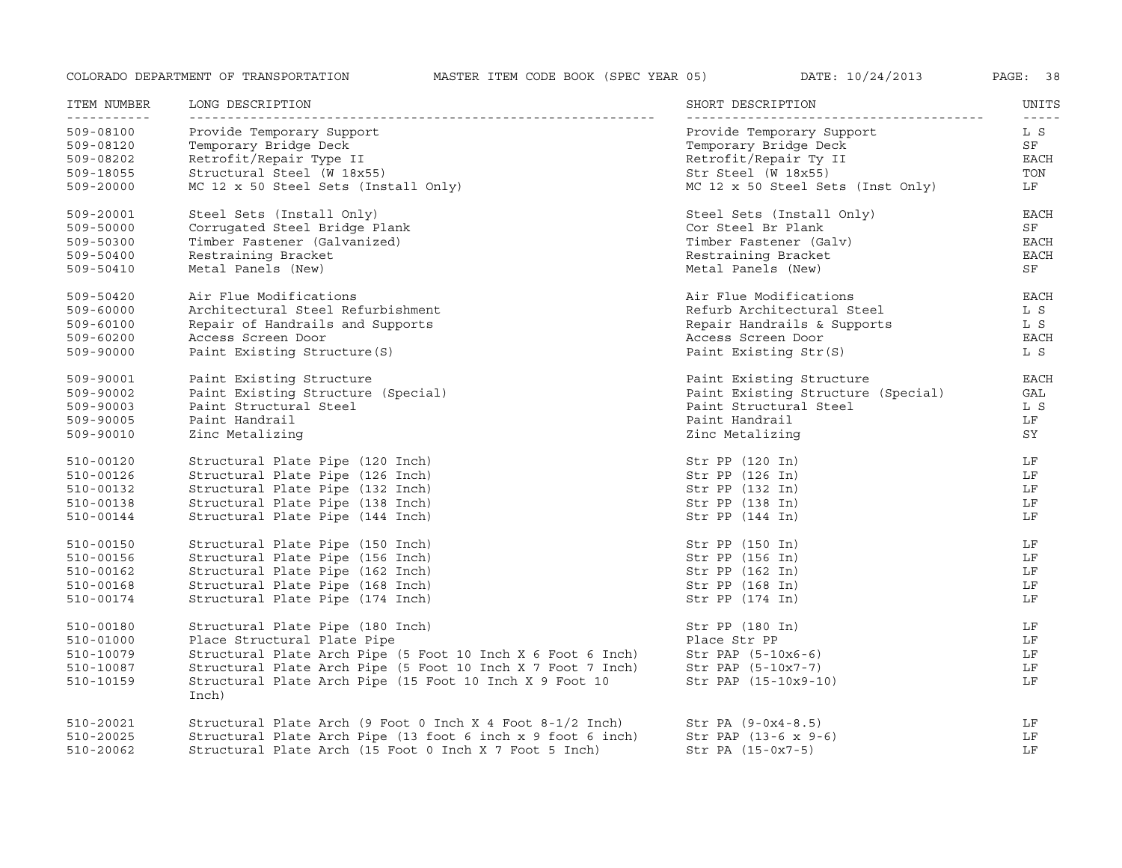| ITEM NUMBER              | LONG DESCRIPTION                                                 | SHORT DESCRIPTION                  | UNITS              |
|--------------------------|------------------------------------------------------------------|------------------------------------|--------------------|
| ___________<br>509-08100 | -----------------<br>Provide Temporary Support                   | Provide Temporary Support          | $- - - - -$<br>L S |
| 509-08120                | Temporary Bridge Deck                                            | Temporary Bridge Deck              | SF                 |
| 509-08202                | Retrofit/Repair Type II                                          | Retrofit/Repair Ty II              | EACH               |
| 509-18055                | Structural Steel (W 18x55)                                       | Str Steel (W 18x55)                | TON                |
| 509-20000                | MC 12 x 50 Steel Sets (Install Only)                             | MC 12 x 50 Steel Sets (Inst Only)  | LF                 |
| 509-20001                | Steel Sets (Install Only)                                        | Steel Sets (Install Only)          | <b>EACH</b>        |
| 509-50000                | Corrugated Steel Bridge Plank                                    | Cor Steel Br Plank                 | ${\rm SF}$         |
| 509-50300                | Timber Fastener (Galvanized)                                     | Timber Fastener (Galv)             | <b>EACH</b>        |
| 509-50400                | Restraining Bracket                                              | Restraining Bracket                | EACH               |
| 509-50410                | Metal Panels (New)                                               | Metal Panels (New)                 | ${\rm SF}$         |
| 509-50420                | Air Flue Modifications                                           | Air Flue Modifications             | <b>EACH</b>        |
| 509-60000                | Architectural Steel Refurbishment                                | Refurb Architectural Steel         | L S                |
| 509-60100                | Repair of Handrails and Supports                                 | Repair Handrails & Supports        | L S                |
| 509-60200                | Access Screen Door                                               | Access Screen Door                 | EACH               |
| 509-90000                | Paint Existing Structure (S)                                     | Paint Existing Str(S)              | L S                |
| 509-90001                | Paint Existing Structure                                         | Paint Existing Structure           | <b>EACH</b>        |
| 509-90002                | Paint Existing Structure (Special)                               | Paint Existing Structure (Special) | GAL                |
| 509-90003                | Paint Structural Steel                                           | Paint Structural Steel             | L S                |
| 509-90005                | Paint Handrail                                                   | Paint Handrail                     | LF                 |
| 509-90010                | Zinc Metalizing                                                  | Zinc Metalizing                    | SY                 |
| 510-00120                | Structural Plate Pipe (120 Inch)                                 | Str PP (120 In)                    | LF                 |
| 510-00126                | Structural Plate Pipe (126 Inch)                                 | Str PP(126 In)                     | LF                 |
| 510-00132                | Structural Plate Pipe (132 Inch)                                 | Str PP (132 In)                    | LF                 |
| 510-00138                | Structural Plate Pipe (138 Inch)                                 | Str PP(138 In)                     | LF                 |
| 510-00144                | Structural Plate Pipe (144 Inch)                                 | Str PP(144 In)                     | LF                 |
| 510-00150                | Structural Plate Pipe (150 Inch)                                 | Str PP (150 In)                    | LF                 |
| 510-00156                | Structural Plate Pipe (156 Inch)                                 | Str PP (156 In)                    | LF                 |
| 510-00162                | Structural Plate Pipe (162 Inch)                                 | Str PP(162 In)                     | LF                 |
| 510-00168                | Structural Plate Pipe (168 Inch)                                 | Str PP (168 In)                    | LF                 |
| 510-00174                | Structural Plate Pipe (174 Inch)                                 | Str PP (174 In)                    | LF                 |
| 510-00180                | Structural Plate Pipe (180 Inch)                                 | Str PP(180 In)                     | LF                 |
| 510-01000                | Place Structural Plate Pipe                                      | Place Str PP                       | LF                 |
| 510-10079                | Structural Plate Arch Pipe (5 Foot 10 Inch X 6 Foot 6 Inch)      | $Str$ PAP $(5-10x6-6)$             | LF                 |
| 510-10087                | Structural Plate Arch Pipe (5 Foot 10 Inch X 7 Foot 7 Inch)      | Str PAP (5-10x7-7)                 | LF                 |
| 510-10159                | Structural Plate Arch Pipe (15 Foot 10 Inch X 9 Foot 10<br>Inch) | Str PAP (15-10x9-10)               | LF                 |
| 510-20021                | Structural Plate Arch (9 Foot 0 Inch X 4 Foot $8-1/2$ Inch)      | $Str PA (9-0x4-8.5)$               | LF                 |
| 510-20025                | Structural Plate Arch Pipe (13 foot 6 inch x 9 foot 6 inch)      | Str PAP $(13-6 \times 9-6)$        | LF                 |
| 510-20062                | Structural Plate Arch (15 Foot 0 Inch X 7 Foot 5 Inch)           | $Str PA (15-0x7-5)$                | LF                 |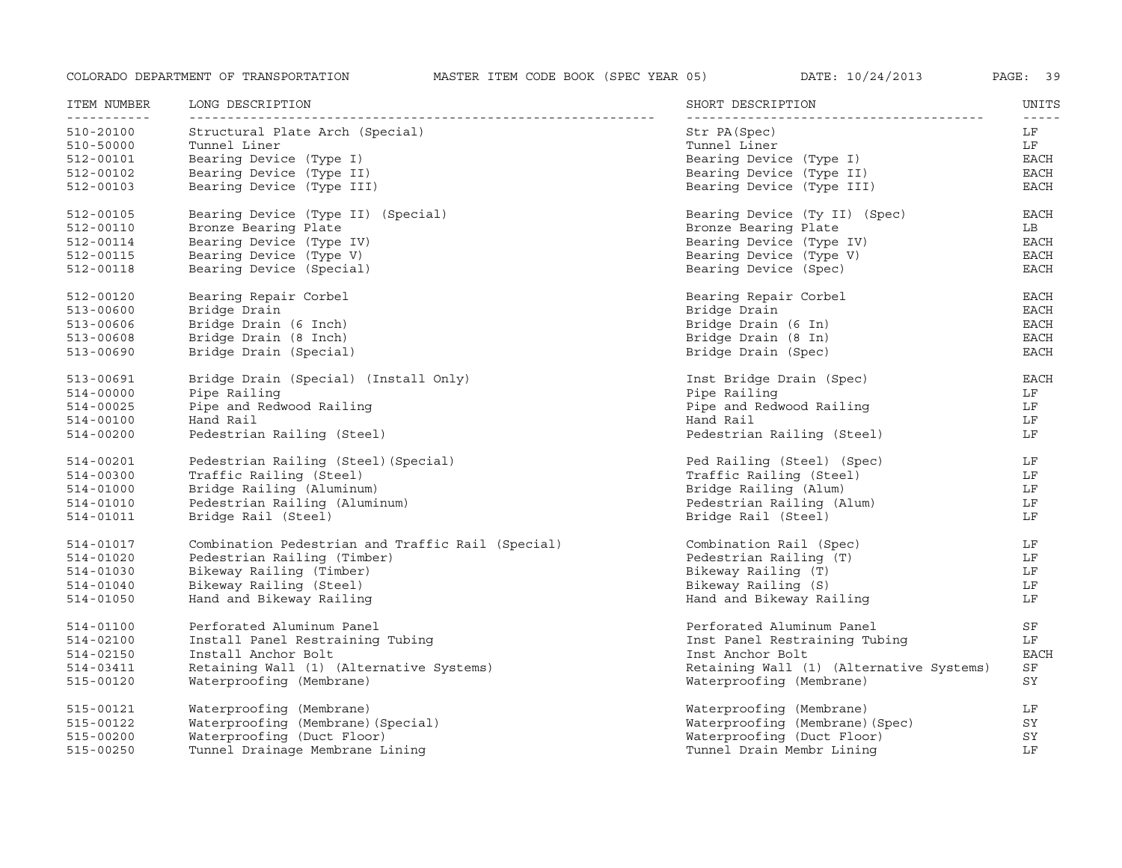| ITEM NUMBER<br><u> - - - - - - - - - - -</u> | LONG DESCRIPTION                                  | SHORT DESCRIPTION                        | UNITS<br>$- - - - -$ |
|----------------------------------------------|---------------------------------------------------|------------------------------------------|----------------------|
| 510-20100                                    | Structural Plate Arch (Special)                   | Str PA (Spec)                            | LF                   |
| 510-50000                                    | Tunnel Liner                                      | Tunnel Liner                             | LF                   |
| 512-00101                                    | Bearing Device (Type I)                           | Bearing Device (Type I)                  | EACH                 |
| 512-00102                                    | Bearing Device (Type II)                          | Bearing Device (Type II)                 | EACH                 |
| 512-00103                                    | Bearing Device (Type III)                         | Bearing Device (Type III)                | EACH                 |
| 512-00105                                    | Bearing Device (Type II) (Special)                | Bearing Device (Ty II) (Spec)            | <b>EACH</b>          |
| 512-00110                                    | Bronze Bearing Plate                              | Bronze Bearing Plate                     | LB                   |
| 512-00114                                    | Bearing Device (Type IV)                          | Bearing Device (Type IV)                 | EACH                 |
| 512-00115                                    | Bearing Device (Type V)                           | Bearing Device (Type V)                  | EACH                 |
| 512-00118                                    | Bearing Device (Special)                          | Bearing Device (Spec)                    | EACH                 |
| 512-00120                                    | Bearing Repair Corbel                             | Bearing Repair Corbel                    | EACH                 |
| 513-00600                                    | Bridge Drain                                      | Bridge Drain                             | <b>EACH</b>          |
| 513-00606                                    | Bridge Drain (6 Inch)                             | Bridge Drain (6 In)                      | <b>EACH</b>          |
| 513-00608                                    | Bridge Drain (8 Inch)                             | Bridge Drain (8 In)                      | <b>EACH</b>          |
| 513-00690                                    | Bridge Drain (Special)                            | Bridge Drain (Spec)                      | <b>EACH</b>          |
| 513-00691                                    | Bridge Drain (Special) (Install Only)             | Inst Bridge Drain (Spec)                 | EACH                 |
| 514-00000                                    | Pipe Railing                                      | Pipe Railing                             | LF                   |
| 514-00025                                    | Pipe and Redwood Railing                          | Pipe and Redwood Railing                 | LF                   |
| 514-00100                                    | Hand Rail                                         | Hand Rail                                | LF                   |
| 514-00200                                    | Pedestrian Railing (Steel)                        | Pedestrian Railing (Steel)               | LF                   |
| 514-00201                                    | Pedestrian Railing (Steel) (Special)              | Ped Railing (Steel) (Spec)               | LF                   |
| 514-00300                                    | Traffic Railing (Steel)                           | Traffic Railing (Steel)                  | LF                   |
| 514-01000                                    | Bridge Railing (Aluminum)                         | Bridge Railing (Alum)                    | LF                   |
| 514-01010                                    | Pedestrian Railing (Aluminum)                     | Pedestrian Railing (Alum)                | LF                   |
| 514-01011                                    | Bridge Rail (Steel)                               | Bridge Rail (Steel)                      | LF                   |
| 514-01017                                    | Combination Pedestrian and Traffic Rail (Special) | Combination Rail (Spec)                  | LF                   |
| 514-01020                                    | Pedestrian Railing (Timber)                       | Pedestrian Railing (T)                   | LF                   |
| 514-01030                                    | Bikeway Railing (Timber)                          | Bikeway Railing (T)                      | LF                   |
| 514-01040                                    | Bikeway Railing (Steel)                           | Bikeway Railing (S)                      | LF                   |
| 514-01050                                    | Hand and Bikeway Railing                          | Hand and Bikeway Railing                 | LF                   |
| 514-01100                                    | Perforated Aluminum Panel                         | Perforated Aluminum Panel                | SF                   |
| 514-02100                                    | Install Panel Restraining Tubing                  | Inst Panel Restraining Tubing            | LF                   |
| 514-02150                                    | Install Anchor Bolt                               | Inst Anchor Bolt                         | <b>EACH</b>          |
| 514-03411                                    | Retaining Wall (1) (Alternative Systems)          | Retaining Wall (1) (Alternative Systems) | SF                   |
| 515-00120                                    | Waterproofing (Membrane)                          | Waterproofing (Membrane)                 | SY                   |
| 515-00121                                    | Waterproofing (Membrane)                          | Waterproofing (Membrane)                 | LF                   |
| 515-00122                                    | Waterproofing (Membrane) (Special)                | Waterproofing (Membrane) (Spec)          | SY                   |
| 515-00200                                    | Waterproofing (Duct Floor)                        | Waterproofing (Duct Floor)               | SY                   |
| 515-00250                                    | Tunnel Drainage Membrane Lining                   | Tunnel Drain Membr Lining                | LF                   |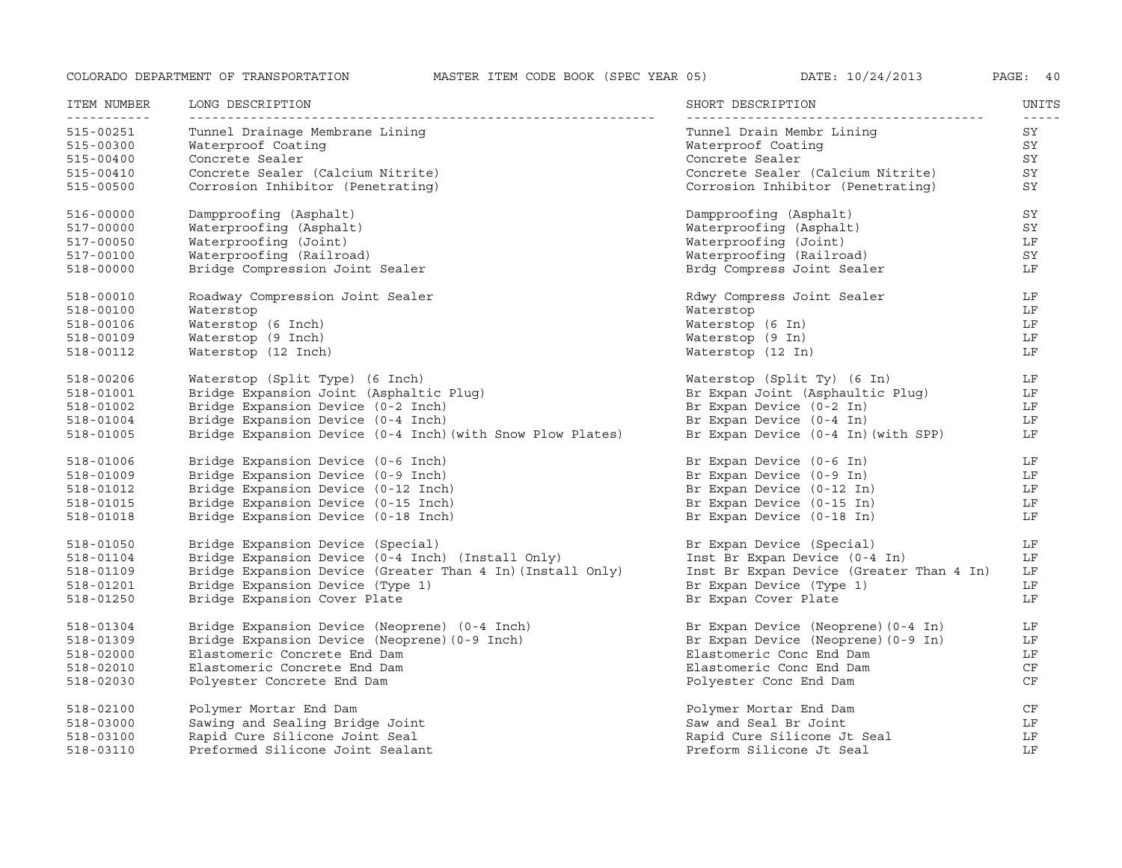| ITEM NUMBER   | LONG DESCRIPTION                                           | SHORT DESCRIPTION                        | UNITS |
|---------------|------------------------------------------------------------|------------------------------------------|-------|
| 515-00251     | Tunnel Drainage Membrane Lining                            | Tunnel Drain Membr Lining                | SY    |
| 515-00300     | Waterproof Coating                                         | Waterproof Coating                       | SY    |
| 515-00400     | Concrete Sealer                                            | Concrete Sealer                          | SY    |
| 515-00410     | Concrete Sealer (Calcium Nitrite)                          | Concrete Sealer (Calcium Nitrite)        | SY    |
| 515-00500     | Corrosion Inhibitor (Penetrating)                          | Corrosion Inhibitor (Penetrating)        | SY    |
| $516 - 00000$ | Dampproofing (Asphalt)                                     | Dampproofing (Asphalt)                   | SY    |
| 517-00000     | Waterproofing (Asphalt)                                    | Waterproofing (Asphalt)                  | SY    |
| 517-00050     | Waterproofing (Joint)                                      | Waterproofing (Joint)                    | LF    |
| 517-00100     | Waterproofing (Railroad)                                   | Waterproofing (Railroad)                 | SY    |
| 518-00000     | Bridge Compression Joint Sealer                            | Brdg Compress Joint Sealer               | LF    |
| 518-00010     | Roadway Compression Joint Sealer                           | Rdwy Compress Joint Sealer               | LF    |
| 518-00100     | Waterstop                                                  | Waterstop                                | LF    |
| 518-00106     | Waterstop (6 Inch)                                         | Waterstop (6 In)                         | LF    |
| 518-00109     | Waterstop (9 Inch)                                         | Waterstop (9 In)                         | LF    |
| 518-00112     | Waterstop (12 Inch)                                        | Waterstop (12 In)                        | LF    |
| 518-00206     | Waterstop (Split Type) (6 Inch)                            | Waterstop (Split Ty) (6 In)              | LF    |
| 518-01001     | Bridge Expansion Joint (Asphaltic Plug)                    | Br Expan Joint (Asphaultic Plug)         | LF    |
| 518-01002     | Bridge Expansion Device (0-2 Inch)                         | Br Expan Device (0-2 In)                 | LF    |
| 518-01004     | Bridge Expansion Device (0-4 Inch)                         | Br Expan Device (0-4 In)                 | LF    |
| 518-01005     | Bridge Expansion Device (0-4 Inch) (with Snow Plow Plates) | Br Expan Device (0-4 In) (with SPP)      | LF    |
| 518-01006     | Bridge Expansion Device (0-6 Inch)                         | Br Expan Device (0-6 In)                 | LF    |
| 518-01009     | Bridge Expansion Device (0-9 Inch)                         | Br Expan Device (0-9 In)                 | LF    |
| 518-01012     | Bridge Expansion Device (0-12 Inch)                        | Br Expan Device (0-12 In)                | LF    |
| 518-01015     | Bridge Expansion Device (0-15 Inch)                        | Br Expan Device (0-15 In)                | LF    |
| 518-01018     | Bridge Expansion Device (0-18 Inch)                        | Br Expan Device (0-18 In)                | LF    |
| 518-01050     | Bridge Expansion Device (Special)                          | Br Expan Device (Special)                | LF    |
| 518-01104     | Bridge Expansion Device (0-4 Inch) (Install Only)          | Inst Br Expan Device (0-4 In)            | LF    |
| 518-01109     | Bridge Expansion Device (Greater Than 4 In) (Install Only) | Inst Br Expan Device (Greater Than 4 In) | LF    |
| 518-01201     | Bridge Expansion Device (Type 1)                           | Br Expan Device (Type 1)                 | LF    |
| 518-01250     | Bridge Expansion Cover Plate                               | Br Expan Cover Plate                     | LF    |
| 518-01304     | Bridge Expansion Device (Neoprene) (0-4 Inch)              | Br Expan Device (Neoprene) (0-4 In)      | LF    |
| 518-01309     | Bridge Expansion Device (Neoprene) (0-9 Inch)              | Br Expan Device (Neoprene) (0-9 In)      | LF    |
| 518-02000     | Elastomeric Concrete End Dam                               | Elastomeric Conc End Dam                 | LF    |
| 518-02010     | Elastomeric Concrete End Dam                               | Elastomeric Conc End Dam                 | CF    |
| 518-02030     | Polyester Concrete End Dam                                 | Polyester Conc End Dam                   | CF    |
| 518-02100     | Polymer Mortar End Dam                                     | Polymer Mortar End Dam                   | CF    |
| 518-03000     | Sawing and Sealing Bridge Joint                            | Saw and Seal Br Joint                    | LF    |
| 518-03100     | Rapid Cure Silicone Joint Seal                             | Rapid Cure Silicone Jt Seal              | LF    |
| 518-03110     | Preformed Silicone Joint Sealant                           | Preform Silicone Jt Seal                 | LF    |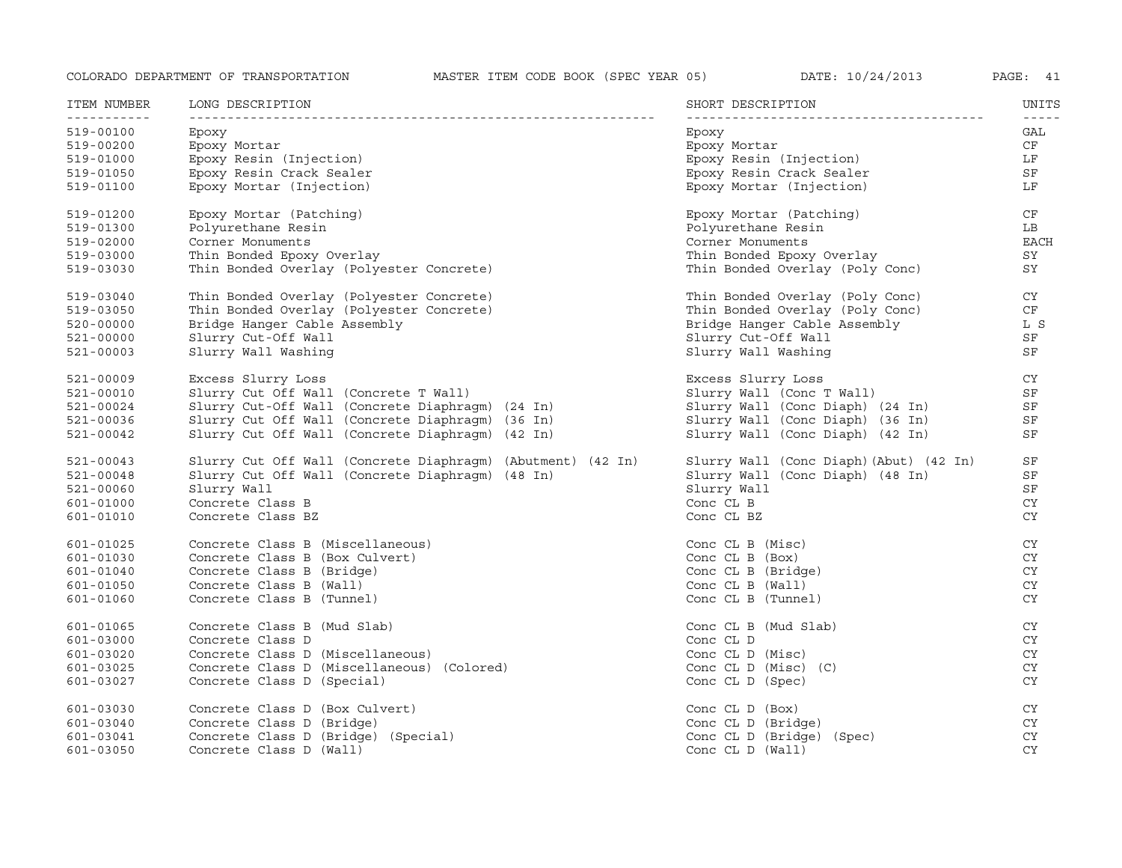| ITEM NUMBER<br>----------- | LONG DESCRIPTION                                            | SHORT DESCRIPTION                      | UNITS<br>$- - - - -$ |
|----------------------------|-------------------------------------------------------------|----------------------------------------|----------------------|
| 519-00100                  | Epoxy                                                       | Epoxy                                  | GAL                  |
| 519-00200                  | Epoxy Mortar                                                | Epoxy Mortar                           | CF                   |
| 519-01000                  | Epoxy Resin (Injection)                                     | Epoxy Resin (Injection)                | LF                   |
| 519-01050                  | Epoxy Resin Crack Sealer                                    | Epoxy Resin Crack Sealer               | SF                   |
| 519-01100                  | Epoxy Mortar (Injection)                                    | Epoxy Mortar (Injection)               | LF                   |
| 519-01200                  | Epoxy Mortar (Patching)                                     | Epoxy Mortar (Patching)                | CF                   |
| 519-01300                  | Polyurethane Resin                                          | Polyurethane Resin                     | LB                   |
| 519-02000                  | Corner Monuments                                            | Corner Monuments                       | <b>EACH</b>          |
| 519-03000                  | Thin Bonded Epoxy Overlay                                   | Thin Bonded Epoxy Overlay              | SY                   |
| 519-03030                  | Thin Bonded Overlay (Polyester Concrete)                    | Thin Bonded Overlay (Poly Conc)        | SY                   |
| 519-03040                  | Thin Bonded Overlay (Polyester Concrete)                    | Thin Bonded Overlay (Poly Conc)        | CY                   |
| 519-03050                  | Thin Bonded Overlay (Polyester Concrete)                    | Thin Bonded Overlay (Poly Conc)        | CF                   |
| 520-00000                  | Bridge Hanger Cable Assembly                                | Bridge Hanger Cable Assembly           | L S                  |
| 521-00000                  | Slurry Cut-Off Wall                                         | Slurry Cut-Off Wall                    | SF                   |
| 521-00003                  | Slurry Wall Washing                                         | Slurry Wall Washing                    | SF                   |
| 521-00009                  | Excess Slurry Loss                                          | Excess Slurry Loss                     | CY                   |
| 521-00010                  | Slurry Cut Off Wall (Concrete T Wall)                       | Slurry Wall (Conc T Wall)              | SF                   |
| 521-00024                  | Slurry Cut-Off Wall (Concrete Diaphragm) (24 In)            | Slurry Wall (Conc Diaph) (24 In)       | SF                   |
| 521-00036                  | Slurry Cut Off Wall (Concrete Diaphragm) (36 In)            | Slurry Wall (Conc Diaph) (36 In)       | SF                   |
| 521-00042                  | Slurry Cut Off Wall (Concrete Diaphragm) (42 In)            | Slurry Wall (Conc Diaph) (42 In)       | SF                   |
| 521-00043                  | Slurry Cut Off Wall (Concrete Diaphragm) (Abutment) (42 In) | Slurry Wall (Conc Diaph)(Abut) (42 In) | SF                   |
| 521-00048                  | Slurry Cut Off Wall (Concrete Diaphragm) (48 In)            | Slurry Wall (Conc Diaph) (48 In)       | SF                   |
| 521-00060                  | Slurry Wall                                                 | Slurry Wall                            | SF                   |
| 601-01000                  | Concrete Class B                                            | Conc CL B                              | CY                   |
| 601-01010                  | Concrete Class BZ                                           | Conc CL BZ                             | <b>CY</b>            |
| 601-01025                  | Concrete Class B (Miscellaneous)                            | Conc CL B (Misc)                       | CY                   |
| 601-01030                  | Concrete Class B (Box Culvert)                              | Conc CL B (Box)                        | CY                   |
| 601-01040                  | Concrete Class B (Bridge)                                   | Conc CL B (Bridge)                     | CY                   |
| 601-01050                  | Concrete Class B (Wall)                                     | Conc CL B (Wall)                       | CY                   |
| 601-01060                  | Concrete Class B (Tunnel)                                   | Conc CL B (Tunnel)                     | CY                   |
| 601-01065                  | Concrete Class B (Mud Slab)                                 | Conc CL B (Mud Slab)                   | <b>CY</b>            |
| 601-03000                  | Concrete Class D                                            | Conc CL D                              | <b>CY</b>            |
| 601-03020                  | Concrete Class D (Miscellaneous)                            | Conc CL D (Misc)                       | <b>CY</b>            |
| 601-03025                  | Concrete Class D (Miscellaneous) (Colored)                  | Conc $CL D (Misc) (C)$                 | CY.                  |
| 601-03027                  | Concrete Class D (Special)                                  | Conc CL D (Spec)                       | <b>CY</b>            |
| 601-03030                  | Concrete Class D (Box Culvert)                              | Conc $CL$ $D$ $(Box)$                  | CY                   |
| 601-03040                  | Concrete Class D (Bridge)                                   | Conc CL D (Bridge)                     | CY                   |
| 601-03041                  | Concrete Class D (Bridge) (Special)                         | Conc CL D (Bridge) (Spec)              | <b>CY</b>            |
| 601-03050                  | Concrete Class D (Wall)                                     | Conc CL D (Wall)                       | <b>CY</b>            |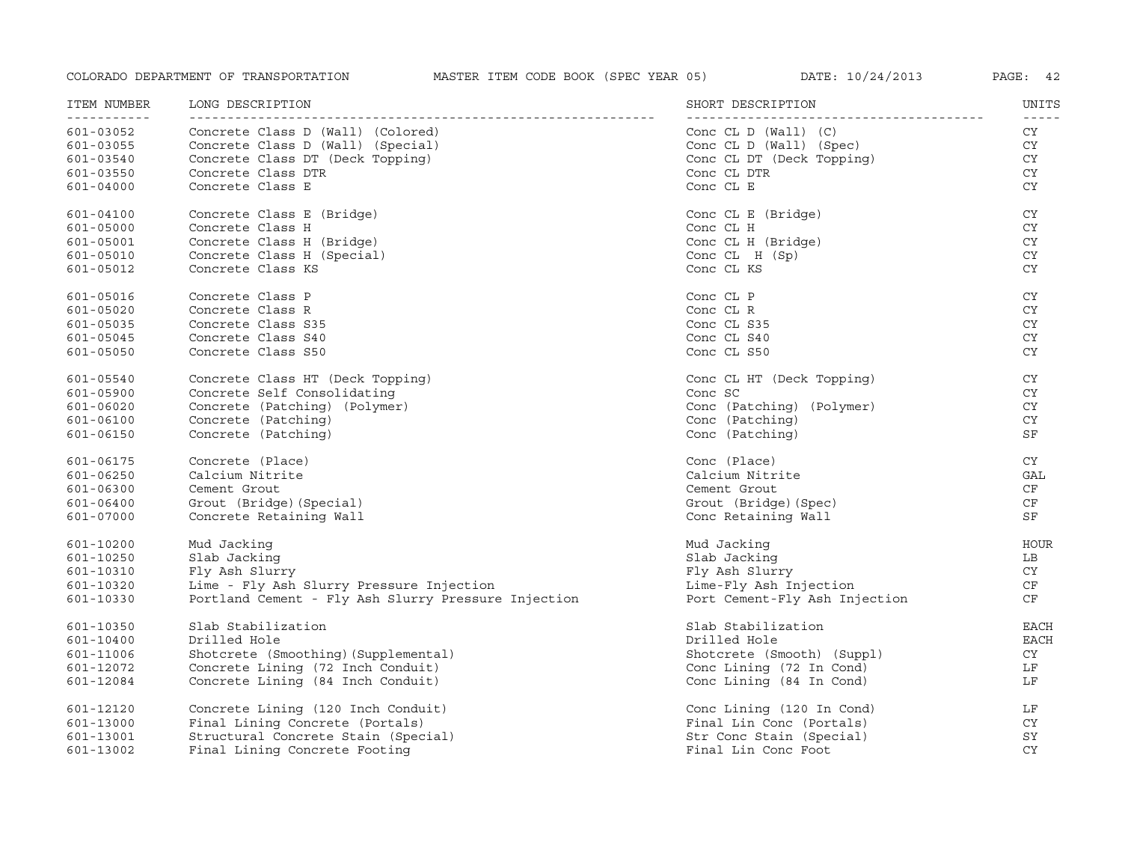| ITEM NUMBER<br>----------- | LONG DESCRIPTION                                    | SHORT DESCRIPTION             | UNITS<br>$- - - - - -$ |
|----------------------------|-----------------------------------------------------|-------------------------------|------------------------|
| 601-03052                  | Concrete Class D (Wall) (Colored)                   | Conc $CL D (Wall) (C)$        | CY                     |
| 601-03055                  | Concrete Class D (Wall) (Special)                   | Conc CL D (Wall) (Spec)       | CY                     |
| 601-03540                  | Concrete Class DT (Deck Topping)                    | Conc CL DT (Deck Topping)     | CY                     |
| 601-03550                  | Concrete Class DTR                                  | Conc CL DTR                   | CY                     |
| 601-04000                  | Concrete Class E                                    | Conc CL E                     | CY.                    |
| 601-04100                  | Concrete Class E (Bridge)                           | Conc CL E (Bridge)            | CY                     |
| 601-05000                  | Concrete Class H                                    | Conc CL H                     | CY                     |
| 601-05001                  | Concrete Class H (Bridge)                           | Conc CL H (Bridge)            | CY                     |
| 601-05010                  | Concrete Class H (Special)                          | Conc $CL$ $H(Sp)$             | CY                     |
| 601-05012                  | Concrete Class KS                                   | Conc CL KS                    | CY.                    |
| 601-05016                  | Concrete Class P                                    | Conc CL P                     | CY                     |
| 601-05020                  | Concrete Class R                                    | Conc CL R                     | CY                     |
| 601-05035                  | Concrete Class S35                                  | Conc CL S35                   | CY                     |
| 601-05045                  | Concrete Class S40                                  | Conc CL S40                   | CY.                    |
| 601-05050                  | Concrete Class S50                                  | Conc CL S50                   | CY.                    |
| 601-05540                  | Concrete Class HT (Deck Topping)                    | Conc CL HT (Deck Topping)     | CY                     |
| 601-05900                  | Concrete Self Consolidating                         | Conc SC                       | CY                     |
| 601-06020                  | Concrete (Patching) (Polymer)                       | Conc (Patching) (Polymer)     | CY                     |
| 601-06100                  | Concrete (Patching)                                 | Conc (Patching)               | <b>CY</b>              |
| 601-06150                  | Concrete (Patching)                                 | Conc (Patching)               | SF                     |
| 601-06175                  | Concrete (Place)                                    | Conc (Place)                  | CY                     |
| 601-06250                  | Calcium Nitrite                                     | Calcium Nitrite               | GAL                    |
| 601-06300                  | Cement Grout                                        | Cement Grout                  | CF                     |
| 601-06400                  | Grout (Bridge) (Special)                            | Grout (Bridge) (Spec)         | CF                     |
| 601-07000                  | Concrete Retaining Wall                             | Conc Retaining Wall           | SF                     |
| 601-10200                  | Mud Jacking                                         | Mud Jacking                   | HOUR                   |
| 601-10250                  | Slab Jacking                                        | Slab Jacking                  | LB                     |
| 601-10310                  | Fly Ash Slurry                                      | Fly Ash Slurry                | CY                     |
| 601-10320                  | Lime - Fly Ash Slurry Pressure Injection            | Lime-Fly Ash Injection        | CF                     |
| 601-10330                  | Portland Cement - Fly Ash Slurry Pressure Injection | Port Cement-Fly Ash Injection | CF                     |
| 601-10350                  | Slab Stabilization                                  | Slab Stabilization            | EACH                   |
| 601-10400                  | Drilled Hole                                        | Drilled Hole                  | <b>EACH</b>            |
| 601-11006                  | Shotcrete (Smoothing) (Supplemental)                | Shotcrete (Smooth) (Suppl)    | CY                     |
| 601-12072                  | Concrete Lining (72 Inch Conduit)                   | Conc Lining (72 In Cond)      | LF                     |
| 601-12084                  | Concrete Lining (84 Inch Conduit)                   | Conc Lining (84 In Cond)      | LF                     |
| 601-12120                  | Concrete Lining (120 Inch Conduit)                  | Conc Lining (120 In Cond)     | LF                     |
| 601-13000                  | Final Lining Concrete (Portals)                     | Final Lin Conc (Portals)      | CY.                    |
| 601-13001                  | Structural Concrete Stain (Special)                 | Str Conc Stain (Special)      | SY                     |
| 601-13002                  | Final Lining Concrete Footing                       | Final Lin Conc Foot           | <b>CY</b>              |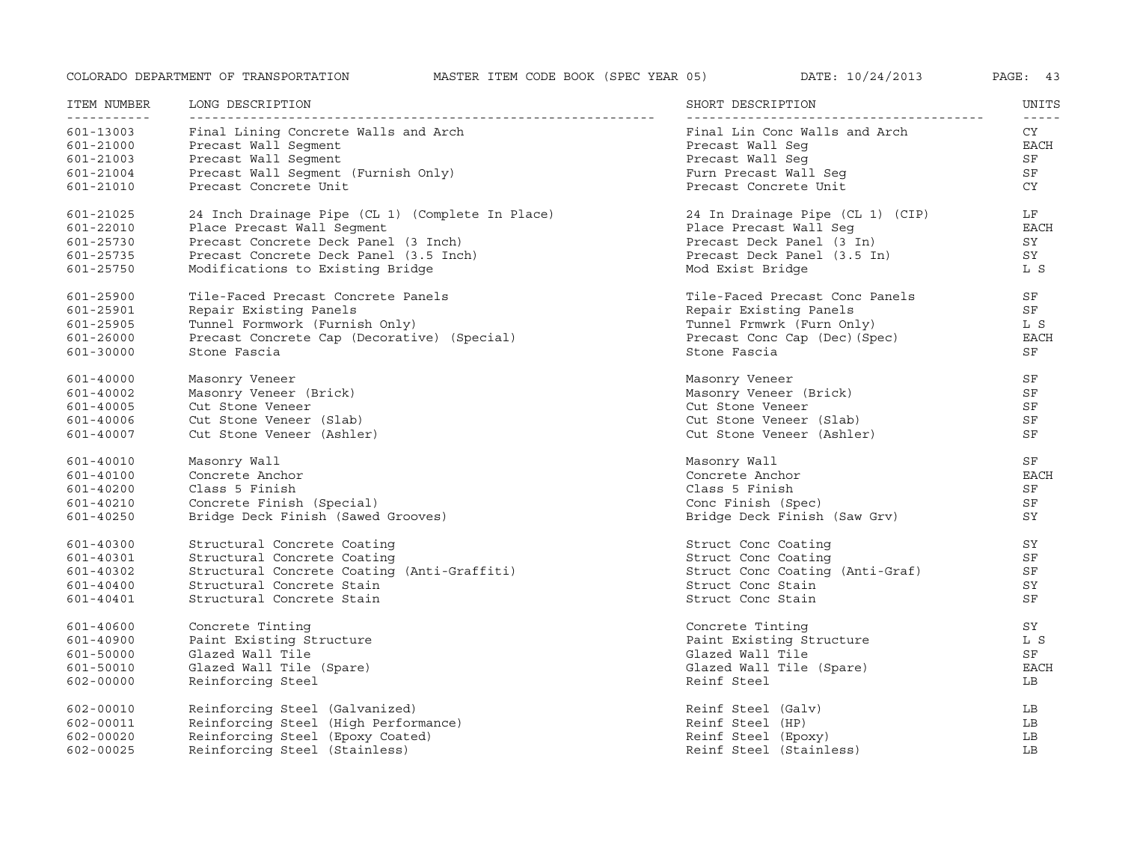| ITEM NUMBER<br>- - - - - - - - - - - - | LONG DESCRIPTION                                                              | SHORT DESCRIPTION                                          | UNITS                     |
|----------------------------------------|-------------------------------------------------------------------------------|------------------------------------------------------------|---------------------------|
| 601-13003<br>601-21000                 | Final Lining Concrete Walls and Arch<br>Precast Wall Segment                  | Final Lin Conc Walls and Arch<br>Precast Wall Seq          | $- - - - -$<br>CY<br>EACH |
| 601-21003                              | Precast Wall Segment                                                          | Precast Wall Seg                                           | SF                        |
| 601-21004                              | Precast Wall Segment (Furnish Only)                                           | Furn Precast Wall Seq                                      | SF                        |
| 601-21010                              | Precast Concrete Unit                                                         | Precast Concrete Unit                                      | CY                        |
| 601-21025                              | 24 Inch Drainage Pipe (CL 1) (Complete In Place)                              | 24 In Drainage Pipe (CL 1) (CIP)                           | LF                        |
| 601-22010                              | Place Precast Wall Seqment                                                    | Place Precast Wall Seq                                     | <b>EACH</b>               |
| 601-25730                              | Precast Concrete Deck Panel (3 Inch)                                          | Precast Deck Panel (3 In)                                  | SY<br>SY                  |
| 601-25735<br>601-25750                 | Precast Concrete Deck Panel (3.5 Inch)<br>Modifications to Existing Bridge    | Precast Deck Panel (3.5 In)<br>Mod Exist Bridge            | L S                       |
|                                        |                                                                               |                                                            |                           |
| 601-25900                              | Tile-Faced Precast Concrete Panels                                            | Tile-Faced Precast Conc Panels                             | SF                        |
| 601-25901                              | Repair Existing Panels                                                        | Repair Existing Panels                                     | SF                        |
| 601-25905<br>601-26000                 | Tunnel Formwork (Furnish Only)<br>Precast Concrete Cap (Decorative) (Special) | Tunnel Frmwrk (Furn Only)<br>Precast Conc Cap (Dec) (Spec) | L S<br><b>EACH</b>        |
| 601-30000                              | Stone Fascia                                                                  | Stone Fascia                                               | SF                        |
|                                        |                                                                               |                                                            |                           |
| 601-40000                              | Masonry Veneer                                                                | Masonry Veneer                                             | SF                        |
| 601-40002                              | Masonry Veneer (Brick)                                                        | Masonry Veneer (Brick)                                     | SF                        |
| 601-40005                              | Cut Stone Veneer                                                              | Cut Stone Veneer                                           | SF                        |
| 601-40006                              | Cut Stone Veneer (Slab)                                                       | Cut Stone Veneer (Slab)                                    | SF                        |
| 601-40007                              | Cut Stone Veneer (Ashler)                                                     | Cut Stone Veneer (Ashler)                                  | SF                        |
| 601-40010                              | Masonry Wall                                                                  | Masonry Wall                                               | SF                        |
| 601-40100                              | Concrete Anchor                                                               | Concrete Anchor                                            | <b>EACH</b>               |
| 601-40200                              | Class 5 Finish                                                                | Class 5 Finish                                             | SF                        |
| 601-40210                              | Concrete Finish (Special)                                                     | Conc Finish (Spec)                                         | SF                        |
| 601-40250                              | Bridge Deck Finish (Sawed Grooves)                                            | Bridge Deck Finish (Saw Grv)                               | SY                        |
| 601-40300                              | Structural Concrete Coating                                                   | Struct Conc Coating                                        | SY                        |
| 601-40301                              | Structural Concrete Coating                                                   | Struct Conc Coating                                        | SF                        |
| 601-40302                              | Structural Concrete Coating (Anti-Graffiti)                                   | Struct Conc Coating (Anti-Graf)                            | SF                        |
| 601-40400                              | Structural Concrete Stain                                                     | Struct Conc Stain                                          | SY                        |
| 601-40401                              | Structural Concrete Stain                                                     | Struct Conc Stain                                          | SF                        |
| 601-40600                              | Concrete Tinting                                                              | Concrete Tinting                                           | SY                        |
| 601-40900                              | Paint Existing Structure                                                      | Paint Existing Structure                                   | L S                       |
| 601-50000                              | Glazed Wall Tile                                                              | Glazed Wall Tile                                           | SF                        |
| 601-50010                              | Glazed Wall Tile (Spare)                                                      | Glazed Wall Tile (Spare)                                   | <b>EACH</b>               |
| 602-00000                              | Reinforcing Steel                                                             | Reinf Steel                                                | LB                        |
| 602-00010                              | Reinforcing Steel (Galvanized)                                                | Reinf Steel (Galv)                                         | LB                        |
| 602-00011                              | Reinforcing Steel (High Performance)                                          | Reinf Steel (HP)                                           | LB                        |
| $602 - 00020$                          | Reinforcing Steel (Epoxy Coated)                                              | Reinf Steel (Epoxy)                                        | LB                        |
| $602 - 00025$                          | Reinforcing Steel (Stainless)                                                 | Reinf Steel (Stainless)                                    | LB                        |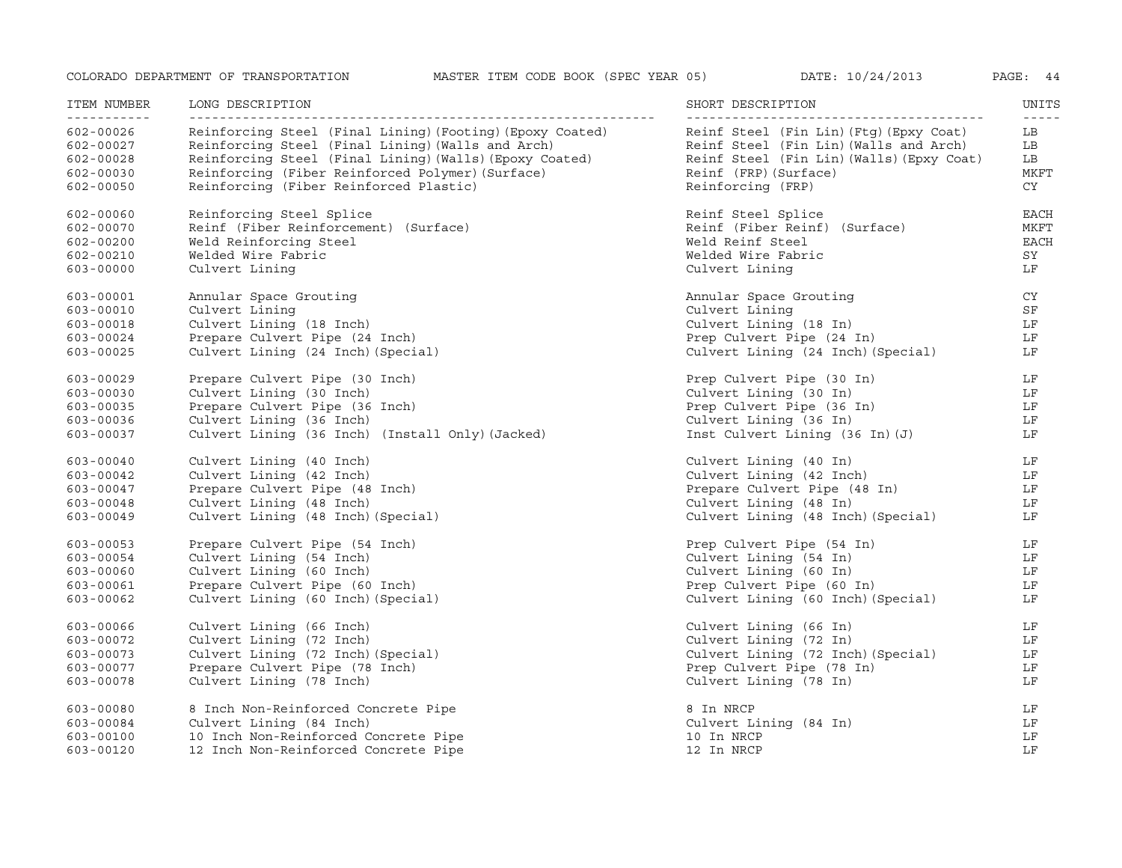| ITEM NUMBER                             | LONG DESCRIPTION                                                                                                                                                          | SHORT DESCRIPTION                                                                                                              | UNITS<br>$\frac{1}{2} \frac{1}{2} \frac{1}{2} \frac{1}{2} \frac{1}{2} \frac{1}{2} \frac{1}{2} \frac{1}{2} \frac{1}{2} \frac{1}{2} \frac{1}{2} \frac{1}{2} \frac{1}{2} \frac{1}{2} \frac{1}{2} \frac{1}{2} \frac{1}{2} \frac{1}{2} \frac{1}{2} \frac{1}{2} \frac{1}{2} \frac{1}{2} \frac{1}{2} \frac{1}{2} \frac{1}{2} \frac{1}{2} \frac{1}{2} \frac{1}{2} \frac{1}{2} \frac{1}{2} \frac{1}{2} \frac{$ |
|-----------------------------------------|---------------------------------------------------------------------------------------------------------------------------------------------------------------------------|--------------------------------------------------------------------------------------------------------------------------------|-------------------------------------------------------------------------------------------------------------------------------------------------------------------------------------------------------------------------------------------------------------------------------------------------------------------------------------------------------------------------------------------------------|
| 602-00026<br>602-00027<br>$602 - 00028$ | Reinforcing Steel (Final Lining) (Footing) (Epoxy Coated)<br>Reinforcing Steel (Final Lining) (Walls and Arch)<br>Reinforcing Steel (Final Lining) (Walls) (Epoxy Coated) | Reinf Steel (Fin Lin) (Ftg) (Epxy Coat)<br>Reinf Steel (Fin Lin) (Walls and Arch)<br>Reinf Steel (Fin Lin) (Walls) (Epxy Coat) | LB<br>LB<br>LB                                                                                                                                                                                                                                                                                                                                                                                        |
| $602 - 00030$<br>$602 - 00050$          | Reinforcing (Fiber Reinforced Polymer) (Surface)<br>Reinforcing (Fiber Reinforced Plastic)                                                                                | Reinf (FRP) (Surface)<br>Reinforcing (FRP)                                                                                     | MKFT<br>CY                                                                                                                                                                                                                                                                                                                                                                                            |
| 602-00060                               | Reinforcing Steel Splice                                                                                                                                                  | Reinf Steel Splice                                                                                                             | EACH                                                                                                                                                                                                                                                                                                                                                                                                  |
| 602-00070                               | Reinf (Fiber Reinforcement) (Surface)                                                                                                                                     | Reinf (Fiber Reinf) (Surface)                                                                                                  | MKFT                                                                                                                                                                                                                                                                                                                                                                                                  |
| $602 - 00200$                           | Weld Reinforcing Steel<br>Welded Wire Fabric                                                                                                                              | Weld Reinf Steel<br>Welded Wire Fabric                                                                                         | <b>EACH</b><br>SY                                                                                                                                                                                                                                                                                                                                                                                     |
| 602-00210<br>603-00000                  | Culvert Lining                                                                                                                                                            | Culvert Lining                                                                                                                 | LF                                                                                                                                                                                                                                                                                                                                                                                                    |
|                                         |                                                                                                                                                                           |                                                                                                                                | CY                                                                                                                                                                                                                                                                                                                                                                                                    |
| 603-00001<br>603-00010                  | Annular Space Grouting<br>Culvert Lining                                                                                                                                  | Annular Space Grouting<br>Culvert Lining                                                                                       | SF                                                                                                                                                                                                                                                                                                                                                                                                    |
| 603-00018                               | Culvert Lining (18 Inch)                                                                                                                                                  | Culvert Lining (18 In)                                                                                                         | LF                                                                                                                                                                                                                                                                                                                                                                                                    |
| 603-00024                               | Prepare Culvert Pipe (24 Inch)                                                                                                                                            | Prep Culvert Pipe (24 In)                                                                                                      | LF                                                                                                                                                                                                                                                                                                                                                                                                    |
| 603-00025                               | Culvert Lining (24 Inch) (Special)                                                                                                                                        | Culvert Lining (24 Inch) (Special)                                                                                             | LF                                                                                                                                                                                                                                                                                                                                                                                                    |
| 603-00029                               | Prepare Culvert Pipe (30 Inch)                                                                                                                                            | Prep Culvert Pipe (30 In)                                                                                                      | LF                                                                                                                                                                                                                                                                                                                                                                                                    |
| $603 - 00030$                           | Culvert Lining (30 Inch)                                                                                                                                                  | Culvert Lining (30 In)                                                                                                         | LF                                                                                                                                                                                                                                                                                                                                                                                                    |
| 603-00035                               | Prepare Culvert Pipe (36 Inch)                                                                                                                                            | Prep Culvert Pipe $(36 \text{ In})$                                                                                            | LF                                                                                                                                                                                                                                                                                                                                                                                                    |
| 603-00036                               | Culvert Lining (36 Inch)                                                                                                                                                  | Culvert Lining (36 In)                                                                                                         | LF                                                                                                                                                                                                                                                                                                                                                                                                    |
| 603-00037                               | Culvert Lining (36 Inch) (Install Only) (Jacked)                                                                                                                          | Inst Culvert Lining (36 In) (J)                                                                                                | LF                                                                                                                                                                                                                                                                                                                                                                                                    |
| $603 - 00040$                           | Culvert Lining (40 Inch)                                                                                                                                                  | Culvert Lining (40 In)                                                                                                         | LF                                                                                                                                                                                                                                                                                                                                                                                                    |
| $603 - 00042$                           | Culvert Lining (42 Inch)                                                                                                                                                  | Culvert Lining (42 Inch)                                                                                                       | LF                                                                                                                                                                                                                                                                                                                                                                                                    |
| 603-00047                               | Prepare Culvert Pipe (48 Inch)                                                                                                                                            | Prepare Culvert Pipe (48 In)                                                                                                   | $L_F$                                                                                                                                                                                                                                                                                                                                                                                                 |
| $603 - 00048$                           | Culvert Lining (48 Inch)                                                                                                                                                  | Culvert Lining (48 In)<br>Culvert Lining (48 Inch) (Special)                                                                   | LF<br>LF                                                                                                                                                                                                                                                                                                                                                                                              |
| $603 - 00049$                           | Culvert Lining (48 Inch) (Special)                                                                                                                                        |                                                                                                                                |                                                                                                                                                                                                                                                                                                                                                                                                       |
| $603 - 00053$                           | Prepare Culvert Pipe (54 Inch)                                                                                                                                            | Prep Culvert Pipe (54 In)                                                                                                      | LF                                                                                                                                                                                                                                                                                                                                                                                                    |
| 603-00054                               | Culvert Lining (54 Inch)                                                                                                                                                  | Culvert Lining (54 In)                                                                                                         | LF                                                                                                                                                                                                                                                                                                                                                                                                    |
| 603-00060                               | Culvert Lining (60 Inch)<br>Prepare Culvert Pipe (60 Inch)                                                                                                                | Culvert Lining (60 In)<br>Prep Culvert Pipe (60 In)                                                                            | LF<br>LF                                                                                                                                                                                                                                                                                                                                                                                              |
| 603-00061<br>603-00062                  | Culvert Lining (60 Inch) (Special)                                                                                                                                        | Culvert Lining (60 Inch) (Special)                                                                                             | LF                                                                                                                                                                                                                                                                                                                                                                                                    |
|                                         |                                                                                                                                                                           |                                                                                                                                |                                                                                                                                                                                                                                                                                                                                                                                                       |
| 603-00066                               | Culvert Lining (66 Inch)                                                                                                                                                  | Culvert Lining (66 In)                                                                                                         | LF                                                                                                                                                                                                                                                                                                                                                                                                    |
| 603-00072                               | Culvert Lining (72 Inch)                                                                                                                                                  | Culvert Lining (72 In)                                                                                                         | LF                                                                                                                                                                                                                                                                                                                                                                                                    |
| 603-00073                               | Culvert Lining (72 Inch) (Special)                                                                                                                                        | Culvert Lining (72 Inch) (Special)                                                                                             | LF                                                                                                                                                                                                                                                                                                                                                                                                    |
| 603-00077                               | Prepare Culvert Pipe (78 Inch)                                                                                                                                            | Prep Culvert Pipe (78 In)                                                                                                      | LF                                                                                                                                                                                                                                                                                                                                                                                                    |
| 603-00078                               | Culvert Lining (78 Inch)                                                                                                                                                  | Culvert Lining (78 In)                                                                                                         | LF                                                                                                                                                                                                                                                                                                                                                                                                    |
| 603-00080                               | 8 Inch Non-Reinforced Concrete Pipe                                                                                                                                       | 8 In NRCP                                                                                                                      | LF                                                                                                                                                                                                                                                                                                                                                                                                    |
| 603-00084                               | Culvert Lining (84 Inch)                                                                                                                                                  | Culvert Lining (84 In)                                                                                                         | LF                                                                                                                                                                                                                                                                                                                                                                                                    |
| $603 - 00100$                           | 10 Inch Non-Reinforced Concrete Pipe                                                                                                                                      | 10 In NRCP                                                                                                                     | LF                                                                                                                                                                                                                                                                                                                                                                                                    |
| $603 - 00120$                           | 12 Inch Non-Reinforced Concrete Pipe                                                                                                                                      | 12 In NRCP                                                                                                                     | LF                                                                                                                                                                                                                                                                                                                                                                                                    |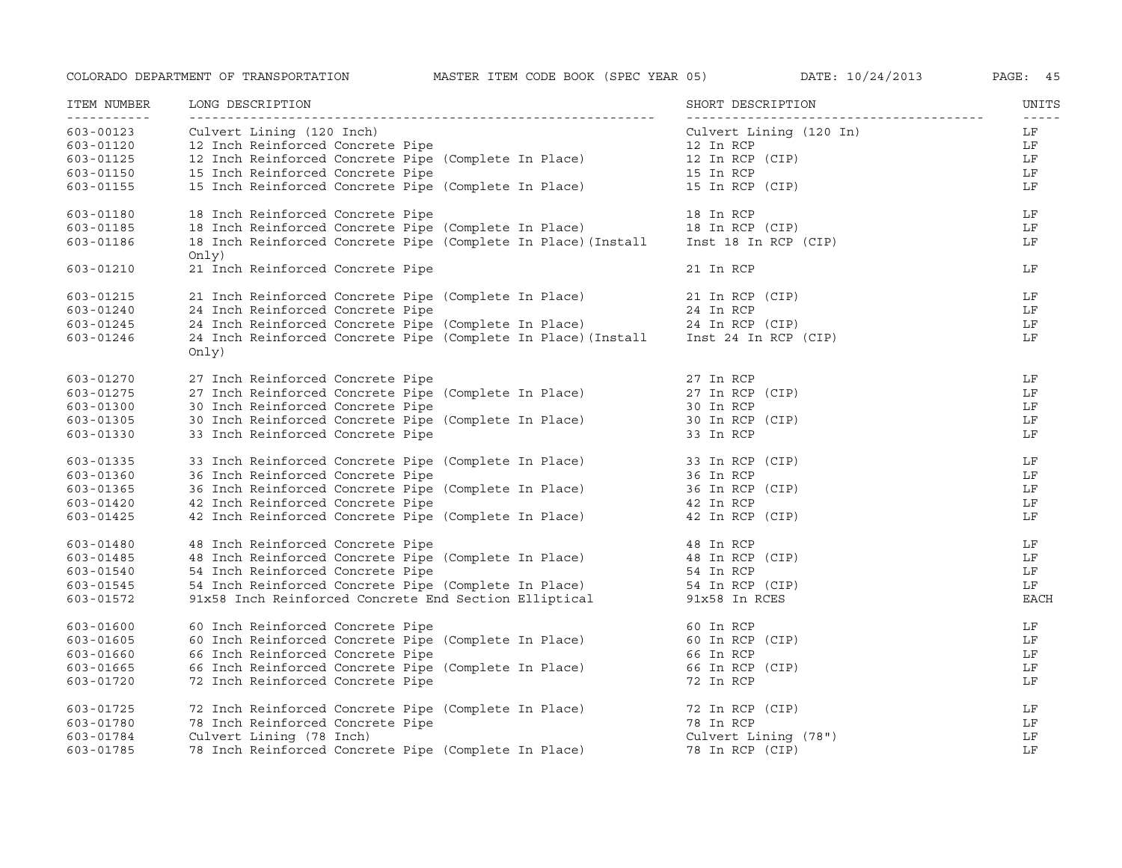| ITEM NUMBER<br>------------ | LONG DESCRIPTION                                                                                                                                                                                                                        | SHORT DESCRIPTION            | UNITS               |
|-----------------------------|-----------------------------------------------------------------------------------------------------------------------------------------------------------------------------------------------------------------------------------------|------------------------------|---------------------|
| 603-00123                   | Culvert Lining (120 Inch)                                                                                                                                                                                                               | Culvert Lining (120 In)      | $- - - - - -$<br>LF |
| 603-01120                   | 12 Inch Reinforced Concrete Pipe                                                                                                                                                                                                        | 12 In RCP                    | LF                  |
| 603-01125                   | 12 Inch Reinforced Concrete Pipe (Complete In Place)<br>15 Inch Reinforced Concrete Pipe (Complete In Place)<br>15 Inch Reinforced Concrete Pipe (Complete In Place) 15 In RCP (CIP)                                                    |                              | LF                  |
| 603-01150                   |                                                                                                                                                                                                                                         |                              | LF                  |
| 603-01155                   | 15 Inch Reinforced Concrete Pipe (Complete In Place) 15 In RCP (CIP)                                                                                                                                                                    |                              | LF                  |
| 603-01180                   | 18 Inch Reinforced Concrete Pipe                                                                                                                                                                                                        | 18 In RCP                    | LF                  |
| 603-01185                   |                                                                                                                                                                                                                                         |                              | LF                  |
| 603-01186                   | 18 Inch Reinforced Concrete Pipe (Complete In Place) 18 In RCP<br>18 Inch Reinforced Concrete Pipe (Complete In Place) 18 In RCP (CIP)<br>18 Inch Reinforced Concrete Pipe (Complete In Place)(Install Inst 18 In RCP (CIP)<br>Only)    |                              | LF                  |
| 603-01210                   | 21 Inch Reinforced Concrete Pipe                                                                                                                                                                                                        | 21 In RCP                    | LF                  |
| 603-01215                   | 21 Inch Reinforced Concrete Pipe (Complete In Place)                                                                                                                                                                                    | 21 In RCP (CIP)              | LF                  |
| 603-01240                   | 24 Inch Reinforced Concrete Pipe                                                                                                                                                                                                        | 24 In RCP                    | LF                  |
| 603-01245                   |                                                                                                                                                                                                                                         |                              | LF                  |
| 603-01246                   | 24 Inch Reinforced Concrete Pipe (Complete In Place) 24 In RCP (CIP)<br>24 Inch Reinforced Concrete Pipe (Complete In Place) (Install Inst 24 In RCP (CIP)<br>Only)                                                                     |                              | LF                  |
| 603-01270                   | 27 Inch Reinforced Concrete Pipe                                                                                                                                                                                                        | 27 In RCP                    | LF                  |
| 603-01275                   | 27 Inch Reinforced Concrete Pipe<br>27 Inch Reinforced Concrete Pipe (Complete In Place)                                                                                                                                                | $27$ In RCP (CIP)            | LF                  |
| 603-01300                   | 30 Inch Reinforced Concrete Pipe                                                                                                                                                                                                        |                              | LF                  |
| 603-01305                   | 30 Inch Reinforced Concrete Pipe<br>30 Inch Reinforced Concrete Pipe (Complete In Place)                                                                                                                                                | 30 In RCP<br>30 In RCP (CIP) | LF                  |
| 603-01330                   | 33 Inch Reinforced Concrete Pipe                                                                                                                                                                                                        | 33 In RCP                    | LF                  |
| 603-01335                   | 33 Inch Reinforced Concrete Pipe (Complete In Place) 33 In RCP (CIP)<br>36 Inch Reinforced Concrete Pipe 36 In RCP 36 In RCP<br>42 Inch Reinforced Concrete Pipe 42 In RCP 42 In RCP 42 In RCP<br>42 Inch Reinforced Concrete Pipe (Com |                              | LF                  |
| 603-01360                   |                                                                                                                                                                                                                                         |                              | LF                  |
| 603-01365                   |                                                                                                                                                                                                                                         |                              | LF                  |
| 603-01420                   |                                                                                                                                                                                                                                         |                              | LF                  |
| 603-01425                   |                                                                                                                                                                                                                                         |                              | LF                  |
| 603-01480                   | 48 Inch Reinforced Concrete Pipe                                                                                                                                                                                                        | 48 In RCP                    | LF                  |
| $603 - 01485$               | 48 Inch Reinforced Concrete Pipe (Complete In Place) 48 In RCP (CIP)                                                                                                                                                                    |                              | LF                  |
| 603-01540                   | 54 Inch Reinforced Concrete Pipe (Complete In Place) 54 In RCP<br>54 Inch Reinforced Concrete Pipe (Complete In Place) 54 In RCP (CIP)                                                                                                  |                              | LF                  |
| 603-01545                   |                                                                                                                                                                                                                                         |                              | LF                  |
| 603-01572                   | 91x58 Inch Reinforced Concrete End Section Elliptical 91x58 In RCES                                                                                                                                                                     |                              | <b>EACH</b>         |
| 603-01600                   | 60 Inch Reinforced Concrete Pipe<br>60 Inch Reinforced Concrete Pipe (Complete In Place) 60 In RCP (CIP)                                                                                                                                |                              | LF                  |
| 603-01605                   |                                                                                                                                                                                                                                         |                              | LF                  |
| 603-01660                   | 66 Inch Reinforced Concrete Pipe                                                                                                                                                                                                        |                              | LF                  |
| 603-01665                   | 66 Inch Reinforced Concrete Pipe (Complete In Place)                                                                                                                                                                                    | 66 In RCP<br>66 In RCP (CIP) | LF                  |
| 603-01720                   | 72 Inch Reinforced Concrete Pipe                                                                                                                                                                                                        | 72 In RCP                    | LF                  |
| 603-01725                   | 72 Inch Reinforced Concrete Pipe (Complete In Place)                                                                                                                                                                                    | 72 In RCP (CIP)              | LF                  |
| 603-01780                   | 78 Inch Reinforced Concrete Pipe                                                                                                                                                                                                        | 78 In RCP                    | LF                  |
| 603-01784                   | Culvert Lining (78 Inch)                                                                                                                                                                                                                | Culvert Lining (78")         | LF                  |
| 603-01785                   | 78 Inch Reinforced Concrete Pipe (Complete In Place)                                                                                                                                                                                    | 78 In RCP (CIP)              | LF                  |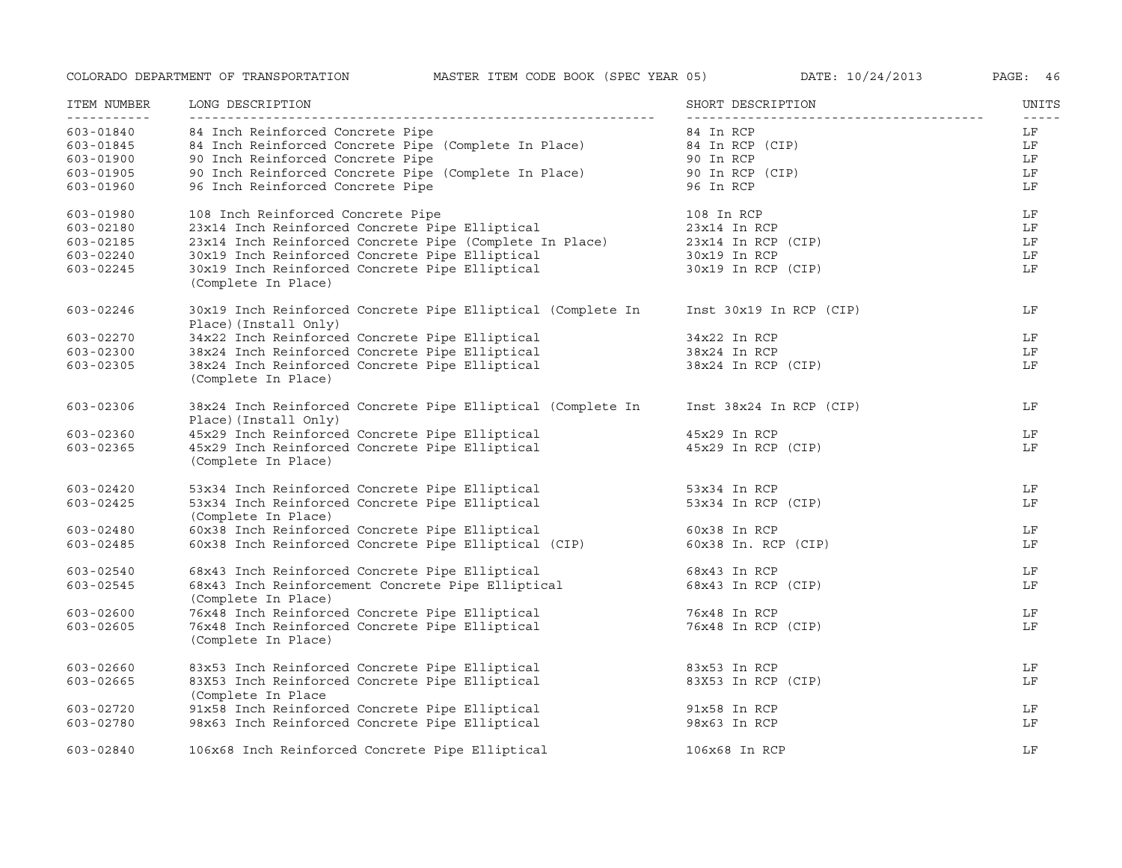| ITEM NUMBER<br>----------- | LONG DESCRIPTION                                                                                                                                                                     | SHORT DESCRIPTION       | UNITS |
|----------------------------|--------------------------------------------------------------------------------------------------------------------------------------------------------------------------------------|-------------------------|-------|
| 603-01840                  | 84 Inch Reinforced Concrete Pipe                                                                                                                                                     | 84 In RCP               | LF    |
| 603-01845                  | 84 Inch Reinforced Concrete Pipe (Complete In Place) 84 In RCP (CIP)                                                                                                                 |                         | LF    |
| 603-01900                  | 90 Inch Reinforced Concrete Pipe<br>90 Inch Reinforced Concrete Pipe (Complete In Place)<br>96 Inch Boinforced Concrete Pipe (Complete In Place)<br>96 Inch Boinforced Concrete Pipe |                         | LF    |
| 603-01905                  |                                                                                                                                                                                      |                         | LF    |
| 603-01960                  | 96 Inch Reinforced Concrete Pipe                                                                                                                                                     | 96 In RCP               | LF    |
| 603-01980                  | 108 Inch Reinforced Concrete Pipe                                                                                                                                                    | 108 In RCP              | LF    |
| 603-02180                  | 23x14 Inch Reinforced Concrete Pipe Elliptical                                                                                                                                       | 23x14 In RCP            | LF    |
| 603-02185                  | 23x14 Inch Reinforced Concrete Pipe (Complete In Place)                                                                                                                              | $23x14$ In RCP (CIP)    | LF    |
| $603 - 02240$              | 30x19 Inch Reinforced Concrete Pipe Elliptical                                                                                                                                       | $30x19 \text{ In } RCP$ | LF    |
| 603-02245                  | 30x19 Inch Reinforced Concrete Pipe Elliptical<br>(Complete In Place)                                                                                                                | 30x19 In RCP (CIP)      | LF    |
| 603-02246                  | 30x19 Inch Reinforced Concrete Pipe Elliptical (Complete In<br>Place) (Install Only)                                                                                                 | Inst 30x19 In RCP (CIP) | LF    |
| 603-02270                  | 34x22 Inch Reinforced Concrete Pipe Elliptical                                                                                                                                       | 34x22 In RCP            | LF    |
| 603-02300                  | 34x22 Inch Reinforced Concrete Pipe Elliptical<br>38x24 Inch Reinforced Concrete Pipe Elliptical<br>20x24 Inch Peinforced Concrete Pipe Elliptical                                   | 38x24 In RCP            | LF    |
| 603-02305                  | 38x24 Inch Reinforced Concrete Pipe Elliptical<br>(Complete In Place)                                                                                                                | 38x24 In RCP (CIP)      | LF    |
| 603-02306                  | 38x24 Inch Reinforced Concrete Pipe Elliptical (Complete In<br>Place) (Install Only)                                                                                                 | Inst 38x24 In RCP (CIP) | LF    |
| 603-02360                  | 45x29 Inch Reinforced Concrete Pipe Elliptical                                                                                                                                       | 45x29 In RCP            | LF    |
| 603-02365                  | 45x29 Inch Reinforced Concrete Pipe Elliptical<br>(Complete In Place)                                                                                                                | 45x29 In RCP (CIP)      | LF    |
| $603 - 02420$              | 53x34 Inch Reinforced Concrete Pipe Elliptical                                                                                                                                       | 53x34 In RCP            | LF    |
| $603 - 02425$              | 53x34 Inch Reinforced Concrete Pipe Elliptical<br>(Complete In Place)                                                                                                                | 53x34 In RCP (CIP)      | LF    |
| $603 - 02480$              | 60x38 Inch Reinforced Concrete Pipe Elliptical                                                                                                                                       | 60x38 In RCP            | LF    |
| 603-02485                  | 60x38 Inch Reinforced Concrete Pipe Elliptical (CIP)                                                                                                                                 | 60x38 In. RCP (CIP)     | LF    |
| $603 - 02540$              | 68x43 Inch Reinforced Concrete Pipe Elliptical                                                                                                                                       | 68x43 In RCP            | LF    |
| 603-02545                  | 68x43 Inch Reinforcement Concrete Pipe Elliptical<br>(Complete In Place)                                                                                                             | 68x43 In RCP (CIP)      | LF    |
| 603-02600                  | 76x48 Inch Reinforced Concrete Pipe Elliptical                                                                                                                                       | 76x48 In RCP            | LF    |
| 603-02605                  | 76x48 Inch Reinforced Concrete Pipe Elliptical<br>(Complete In Place)                                                                                                                | 76x48 In RCP (CIP)      | LF    |
| 603-02660                  | 83x53 Inch Reinforced Concrete Pipe Elliptical                                                                                                                                       | 83x53 In RCP            | LF    |
| 603-02665                  | 83X53 Inch Reinforced Concrete Pipe Elliptical<br>(Complete In Place                                                                                                                 | 83X53 In RCP (CIP)      | LF    |
| 603-02720                  | 91x58 Inch Reinforced Concrete Pipe Elliptical                                                                                                                                       | 91x58 In RCP            | LF    |
| 603-02780                  | 98x63 Inch Reinforced Concrete Pipe Elliptical                                                                                                                                       | 98x63 In RCP            | LF    |
| 603-02840                  | 106x68 Inch Reinforced Concrete Pipe Elliptical                                                                                                                                      | 106x68 In RCP           | LF    |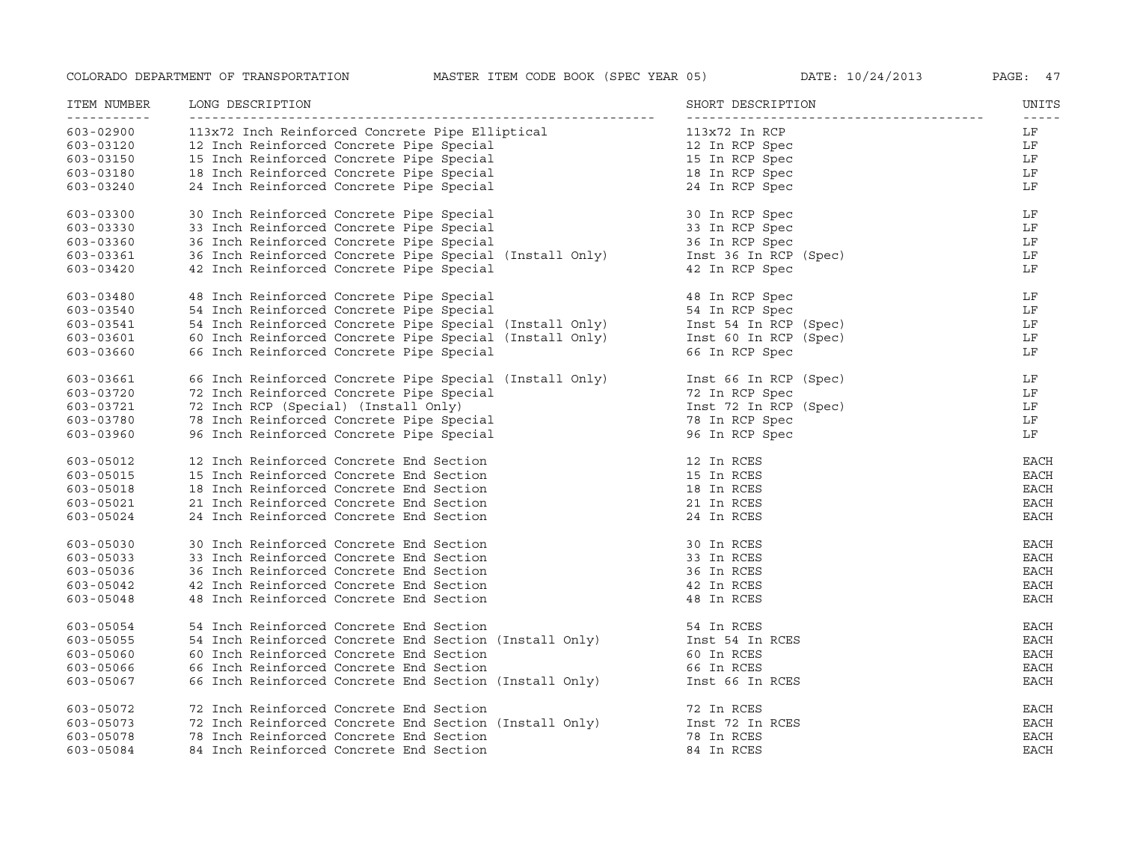| ITEM NUMBER<br>----------- | LONG DESCRIPTION                                        | SHORT DESCRIPTION     | UNITS       |
|----------------------------|---------------------------------------------------------|-----------------------|-------------|
| 603-02900                  | 113x72 Inch Reinforced Concrete Pipe Elliptical         | 113x72 In RCP         | LF          |
| 603-03120                  | 12 Inch Reinforced Concrete Pipe Special                | 12 In RCP Spec        | LF          |
| 603-03150                  | 15 Inch Reinforced Concrete Pipe Special                | 15 In RCP Spec        | LF          |
| 603-03180                  | 18 Inch Reinforced Concrete Pipe Special                | 18 In RCP Spec        | LF          |
| 603-03240                  | 24 Inch Reinforced Concrete Pipe Special                | 24 In RCP Spec        | LF          |
| 603-03300                  | 30 Inch Reinforced Concrete Pipe Special                | 30 In RCP Spec        | LF          |
| 603-03330                  | 33 Inch Reinforced Concrete Pipe Special                | 33 In RCP Spec        | LF          |
| 603-03360                  | 36 Inch Reinforced Concrete Pipe Special                | 36 In RCP Spec        | LF          |
| 603-03361                  | 36 Inch Reinforced Concrete Pipe Special (Install Only) | Inst 36 In RCP (Spec) | LF          |
| 603-03420                  | 42 Inch Reinforced Concrete Pipe Special                | 42 In RCP Spec        | LF          |
| 603-03480                  | 48 Inch Reinforced Concrete Pipe Special                | 48 In RCP Spec        | LF          |
| 603-03540                  | 54 Inch Reinforced Concrete Pipe Special                | 54 In RCP Spec        | LF          |
| 603-03541                  | 54 Inch Reinforced Concrete Pipe Special (Install Only) | Inst 54 In RCP (Spec) | LF          |
| 603-03601                  | 60 Inch Reinforced Concrete Pipe Special (Install Only) | Inst 60 In RCP (Spec) | LF          |
| 603-03660                  | 66 Inch Reinforced Concrete Pipe Special                | 66 In RCP Spec        | LF          |
| 603-03661                  | 66 Inch Reinforced Concrete Pipe Special (Install Only) | Inst 66 In RCP (Spec) | LF          |
| 603-03720                  | 72 Inch Reinforced Concrete Pipe Special                | 72 In RCP Spec        | LF          |
| 603-03721                  | 72 Inch RCP (Special) (Install Only)                    | Inst 72 In RCP (Spec) | LF          |
| 603-03780                  | 78 Inch Reinforced Concrete Pipe Special                | 78 In RCP Spec        | LF          |
| 603-03960                  | 96 Inch Reinforced Concrete Pipe Special                | 96 In RCP Spec        | LF          |
| 603-05012                  | 12 Inch Reinforced Concrete End Section                 | 12 In RCES            | EACH        |
| 603-05015                  | 15 Inch Reinforced Concrete End Section                 | 15 In RCES            | <b>EACH</b> |
| 603-05018                  | 18 Inch Reinforced Concrete End Section                 | 18 In RCES            | <b>EACH</b> |
| $603 - 05021$              | 21 Inch Reinforced Concrete End Section                 | 21 In RCES            | <b>EACH</b> |
| 603-05024                  | 24 Inch Reinforced Concrete End Section                 | 24 In RCES            | <b>EACH</b> |
| $603 - 05030$              | 30 Inch Reinforced Concrete End Section                 | 30 In RCES            | <b>EACH</b> |
| $603 - 05033$              | 33 Inch Reinforced Concrete End Section                 | 33 In RCES            | <b>EACH</b> |
| 603-05036                  | 36 Inch Reinforced Concrete End Section                 | 36 In RCES            | EACH        |
| 603-05042                  | 42 Inch Reinforced Concrete End Section                 | 42 In RCES            | <b>EACH</b> |
| 603-05048                  | 48 Inch Reinforced Concrete End Section                 | 48 In RCES            | <b>EACH</b> |
| $603 - 05054$              | 54 Inch Reinforced Concrete End Section                 | 54 In RCES            | EACH        |
| $603 - 05055$              | 54 Inch Reinforced Concrete End Section (Install Only)  | Inst 54 In RCES       | <b>EACH</b> |
| 603-05060                  | 60 Inch Reinforced Concrete End Section                 | 60 In RCES            | <b>EACH</b> |
| 603-05066                  | 66 Inch Reinforced Concrete End Section                 | 66 In RCES            | EACH        |
| 603-05067                  | 66 Inch Reinforced Concrete End Section (Install Only)  | Inst 66 In RCES       | <b>EACH</b> |
| 603-05072                  | 72 Inch Reinforced Concrete End Section                 | 72 In RCES            | EACH        |
| 603-05073                  | 72 Inch Reinforced Concrete End Section (Install Only)  | Inst 72 In RCES       | <b>EACH</b> |
| 603-05078                  | 78 Inch Reinforced Concrete End Section                 | 78 In RCES            | <b>EACH</b> |
| 603-05084                  | 84 Inch Reinforced Concrete End Section                 | 84 In RCES            | <b>EACH</b> |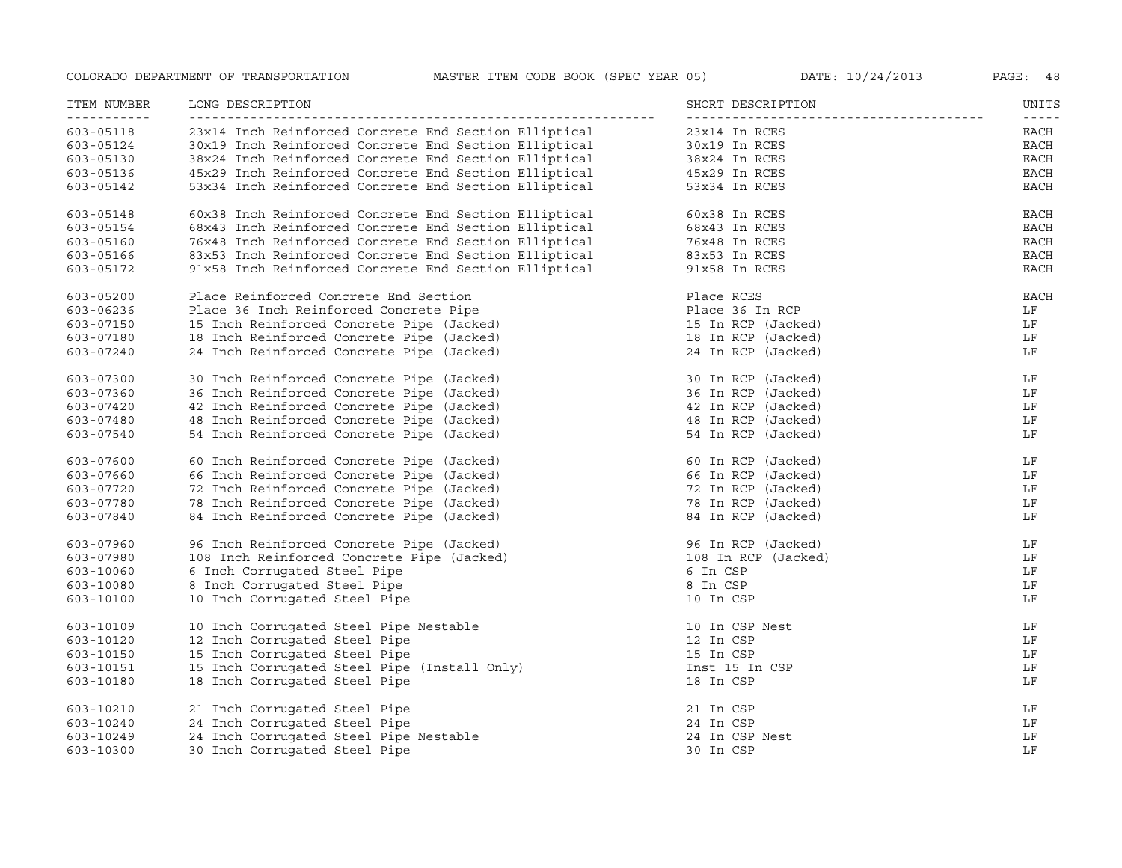| ITEM NUMBER<br>___________ | LONG DESCRIPTION                                      | SHORT DESCRIPTION   | UNITS<br>$- - - - -$ |
|----------------------------|-------------------------------------------------------|---------------------|----------------------|
| 603-05118                  | 23x14 Inch Reinforced Concrete End Section Elliptical | 23x14 In RCES       | EACH                 |
| 603-05124                  | 30x19 Inch Reinforced Concrete End Section Elliptical | 30x19 In RCES       | EACH                 |
| $603 - 05130$              | 38x24 Inch Reinforced Concrete End Section Elliptical | 38x24 In RCES       | EACH                 |
| 603-05136                  | 45x29 Inch Reinforced Concrete End Section Elliptical | 45x29 In RCES       | <b>EACH</b>          |
| $603 - 05142$              | 53x34 Inch Reinforced Concrete End Section Elliptical | 53x34 In RCES       | EACH                 |
| 603-05148                  | 60x38 Inch Reinforced Concrete End Section Elliptical | 60x38 In RCES       | <b>EACH</b>          |
| 603-05154                  | 68x43 Inch Reinforced Concrete End Section Elliptical | 68x43 In RCES       | $_{\rm EACH}$        |
| 603-05160                  | 76x48 Inch Reinforced Concrete End Section Elliptical | 76x48 In RCES       | EACH                 |
| 603-05166                  | 83x53 Inch Reinforced Concrete End Section Elliptical | 83x53 In RCES       | <b>EACH</b>          |
| 603-05172                  | 91x58 Inch Reinforced Concrete End Section Elliptical | 91x58 In RCES       | <b>EACH</b>          |
| 603-05200                  | Place Reinforced Concrete End Section                 | Place RCES          | EACH                 |
| 603-06236                  | Place 36 Inch Reinforced Concrete Pipe                | Place 36 In RCP     | LF                   |
| 603-07150                  | 15 Inch Reinforced Concrete Pipe (Jacked)             | 15 In RCP (Jacked)  | LF                   |
| 603-07180                  | 18 Inch Reinforced Concrete Pipe (Jacked)             | 18 In RCP (Jacked)  | LF                   |
| 603-07240                  | 24 Inch Reinforced Concrete Pipe (Jacked)             | 24 In RCP (Jacked)  | LF                   |
| 603-07300                  | 30 Inch Reinforced Concrete Pipe (Jacked)             | 30 In RCP (Jacked)  | LF                   |
| $603 - 07360$              | 36 Inch Reinforced Concrete Pipe (Jacked)             | 36 In RCP (Jacked)  | LF                   |
| 603-07420                  | 42 Inch Reinforced Concrete Pipe (Jacked)             | 42 In RCP (Jacked)  | LF                   |
| 603-07480                  | 48 Inch Reinforced Concrete Pipe (Jacked)             | 48 In RCP (Jacked)  | LF                   |
| $603 - 07540$              | 54 Inch Reinforced Concrete Pipe (Jacked)             | 54 In RCP (Jacked)  | LF                   |
| 603-07600                  | 60 Inch Reinforced Concrete Pipe (Jacked)             | 60 In RCP (Jacked)  | LF                   |
| 603-07660                  | 66 Inch Reinforced Concrete Pipe (Jacked)             | 66 In RCP (Jacked)  | LF                   |
| 603-07720                  | 72 Inch Reinforced Concrete Pipe (Jacked)             | 72 In RCP (Jacked)  | LF                   |
| 603-07780                  | 78 Inch Reinforced Concrete Pipe (Jacked)             | 78 In RCP (Jacked)  | LF                   |
| 603-07840                  | 84 Inch Reinforced Concrete Pipe (Jacked)             | 84 In RCP (Jacked)  | LF                   |
| 603-07960                  | 96 Inch Reinforced Concrete Pipe (Jacked)             | 96 In RCP (Jacked)  | LF                   |
| 603-07980                  | 108 Inch Reinforced Concrete Pipe (Jacked)            | 108 In RCP (Jacked) | LF                   |
| 603-10060                  | 6 Inch Corrugated Steel Pipe                          | 6 In CSP            | LF                   |
| 603-10080                  | 8 Inch Corrugated Steel Pipe                          | 8 In CSP            | LF                   |
| 603-10100                  | 10 Inch Corrugated Steel Pipe                         | 10 In CSP           | LF                   |
| 603-10109                  | 10 Inch Corrugated Steel Pipe Nestable                | 10 In CSP Nest      | LF                   |
| 603-10120                  | 12 Inch Corrugated Steel Pipe                         | 12 In CSP           | LF                   |
| 603-10150                  | 15 Inch Corrugated Steel Pipe                         | 15 In CSP           | LF                   |
| 603-10151                  | 15 Inch Corrugated Steel Pipe (Install Only)          | Inst 15 In CSP      | LF                   |
| 603-10180                  | 18 Inch Corrugated Steel Pipe                         | 18 In CSP           | LF                   |
| 603-10210                  | 21 Inch Corrugated Steel Pipe                         | 21 In CSP           | LF                   |
| 603-10240                  | 24 Inch Corrugated Steel Pipe                         | 24 In CSP           | LF                   |
| 603-10249                  | 24 Inch Corrugated Steel Pipe Nestable                | 24 In CSP Nest      | LF                   |
| 603-10300                  | 30 Inch Corrugated Steel Pipe                         | 30 In CSP           | LF                   |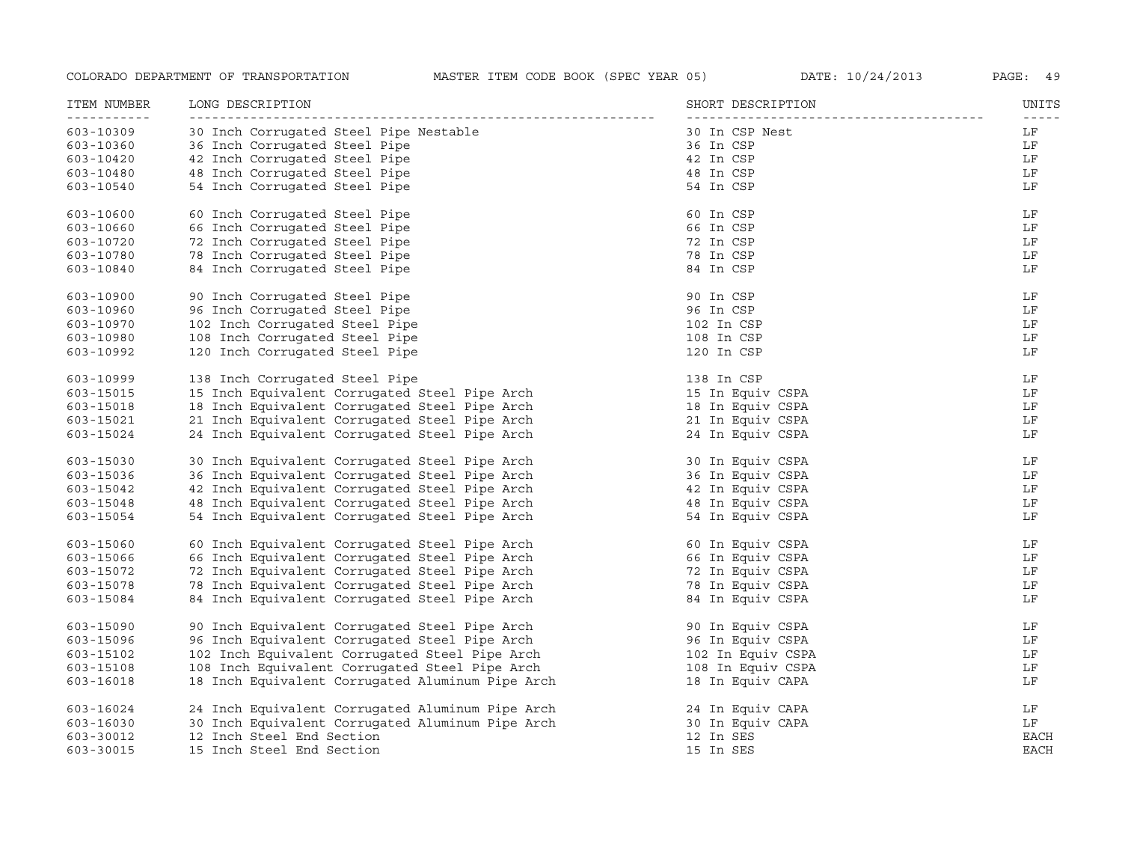| ITEM NUMBER              | LONG DESCRIPTION                                 | SHORT DESCRIPTION | UNITS               |
|--------------------------|--------------------------------------------------|-------------------|---------------------|
| -----------<br>603-10309 | 30 Inch Corrugated Steel Pipe Nestable           | 30 In CSP Nest    | $- - - - - -$<br>LF |
| 603-10360                | 36 Inch Corrugated Steel Pipe                    | 36 In CSP         | LF                  |
| 603-10420                | 42 Inch Corrugated Steel Pipe                    | 42 In CSP         | LF                  |
| 603-10480                | 48 Inch Corrugated Steel Pipe                    | 48 In CSP         | LF                  |
| 603-10540                | 54 Inch Corrugated Steel Pipe                    | 54 In CSP         | LF                  |
| 603-10600                | 60 Inch Corrugated Steel Pipe                    | 60 In CSP         | LF                  |
| 603-10660                | 66 Inch Corrugated Steel Pipe                    | 66 In CSP         | LF                  |
| 603-10720                | 72 Inch Corrugated Steel Pipe                    | 72 In CSP         | LF                  |
| 603-10780                | 78 Inch Corrugated Steel Pipe                    | 78 In CSP         | LF                  |
| 603-10840                | 84 Inch Corrugated Steel Pipe                    | 84 In CSP         | LF                  |
| 603-10900                | 90 Inch Corrugated Steel Pipe                    | 90 In CSP         | LF                  |
| 603-10960                | 96 Inch Corrugated Steel Pipe                    | 96 In CSP         | LF                  |
| 603-10970                | 102 Inch Corrugated Steel Pipe                   | 102 In CSP        | LF                  |
| 603-10980                | 108 Inch Corrugated Steel Pipe                   | 108 In CSP        | LF                  |
| 603-10992                | 120 Inch Corrugated Steel Pipe                   | 120 In CSP        | LF                  |
| 603-10999                | 138 Inch Corrugated Steel Pipe                   | 138 In CSP        | LF                  |
| 603-15015                | 15 Inch Equivalent Corrugated Steel Pipe Arch    | 15 In Equiv CSPA  | LF                  |
| 603-15018                | 18 Inch Equivalent Corrugated Steel Pipe Arch    | 18 In Equiv CSPA  | LF                  |
| 603-15021                | 21 Inch Equivalent Corrugated Steel Pipe Arch    | 21 In Equiv CSPA  | LF                  |
| 603-15024                | 24 Inch Equivalent Corrugated Steel Pipe Arch    | 24 In Equiv CSPA  | LF                  |
| 603-15030                | 30 Inch Equivalent Corrugated Steel Pipe Arch    | 30 In Equiv CSPA  | LF                  |
| 603-15036                | 36 Inch Equivalent Corrugated Steel Pipe Arch    | 36 In Equiv CSPA  | LF                  |
| 603-15042                | 42 Inch Equivalent Corrugated Steel Pipe Arch    | 42 In Equiv CSPA  | LF                  |
| 603-15048                | 48 Inch Equivalent Corrugated Steel Pipe Arch    | 48 In Equiv CSPA  | LF                  |
| 603-15054                | 54 Inch Equivalent Corrugated Steel Pipe Arch    | 54 In Equiv CSPA  | LF                  |
| 603-15060                | 60 Inch Equivalent Corrugated Steel Pipe Arch    | 60 In Equiv CSPA  | LF                  |
| 603-15066                | 66 Inch Equivalent Corrugated Steel Pipe Arch    | 66 In Equiv CSPA  | LF                  |
| 603-15072                | 72 Inch Equivalent Corrugated Steel Pipe Arch    | 72 In Equiv CSPA  | LF                  |
| 603-15078                | 78 Inch Equivalent Corrugated Steel Pipe Arch    | 78 In Equiv CSPA  | LF                  |
| 603-15084                | 84 Inch Equivalent Corrugated Steel Pipe Arch    | 84 In Equiv CSPA  | LF                  |
| 603-15090                | 90 Inch Equivalent Corrugated Steel Pipe Arch    | 90 In Equiv CSPA  | LF                  |
| 603-15096                | 96 Inch Equivalent Corrugated Steel Pipe Arch    | 96 In Equiv CSPA  | LF                  |
| 603-15102                | 102 Inch Equivalent Corrugated Steel Pipe Arch   | 102 In Equiv CSPA | LF                  |
| 603-15108                | 108 Inch Equivalent Corrugated Steel Pipe Arch   | 108 In Equiv CSPA | LF                  |
| 603-16018                | 18 Inch Equivalent Corrugated Aluminum Pipe Arch | 18 In Equiv CAPA  | LF                  |
| 603-16024                | 24 Inch Equivalent Corrugated Aluminum Pipe Arch | 24 In Equiv CAPA  | LF                  |
| 603-16030                | 30 Inch Equivalent Corrugated Aluminum Pipe Arch | 30 In Equiv CAPA  | LF                  |
| 603-30012                | 12 Inch Steel End Section                        | 12 In SES         | <b>EACH</b>         |
| 603-30015                | 15 Inch Steel End Section                        | 15 In SES         | <b>EACH</b>         |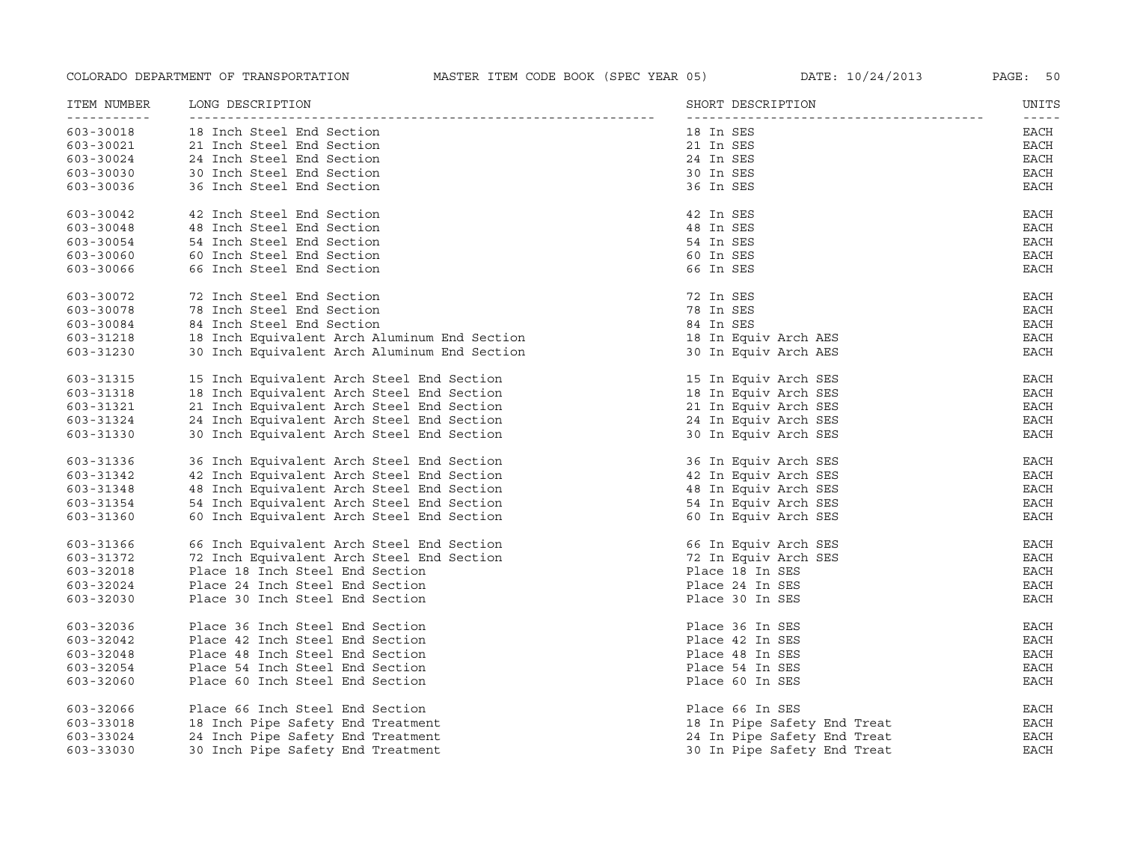| ITEM NUMBER | LONG DESCRIPTION                             | SHORT DESCRIPTION           | UNITS                 |
|-------------|----------------------------------------------|-----------------------------|-----------------------|
| 603-30018   | 18 Inch Steel End Section                    | 18 In SES                   | $- - - - - -$<br>EACH |
| 603-30021   | 21 Inch Steel End Section                    | 21 In SES                   | <b>EACH</b>           |
| 603-30024   | 24 Inch Steel End Section                    | 24 In SES                   | <b>EACH</b>           |
| 603-30030   | 30 Inch Steel End Section                    | 30 In SES                   | <b>EACH</b>           |
| 603-30036   | 36 Inch Steel End Section                    | 36 In SES                   | <b>EACH</b>           |
| 603-30042   | 42 Inch Steel End Section                    | 42 In SES                   | EACH                  |
| 603-30048   | 48 Inch Steel End Section                    | 48 In SES                   | <b>EACH</b>           |
| 603-30054   | 54 Inch Steel End Section                    | 54 In SES                   | <b>EACH</b>           |
| 603-30060   | 60 Inch Steel End Section                    | 60 In SES                   | EACH                  |
| 603-30066   | 66 Inch Steel End Section                    | 66 In SES                   | EACH                  |
| 603-30072   | 72 Inch Steel End Section                    | 72 In SES                   | EACH                  |
| 603-30078   | 78 Inch Steel End Section                    | 78 In SES                   | <b>EACH</b>           |
| 603-30084   | 84 Inch Steel End Section                    | 84 In SES                   | EACH                  |
| 603-31218   | 18 Inch Equivalent Arch Aluminum End Section | 18 In Equiv Arch AES        | <b>EACH</b>           |
| 603-31230   | 30 Inch Equivalent Arch Aluminum End Section | 30 In Equiv Arch AES        | EACH                  |
| 603-31315   | 15 Inch Equivalent Arch Steel End Section    | 15 In Equiv Arch SES        | EACH                  |
| 603-31318   | 18 Inch Equivalent Arch Steel End Section    | 18 In Equiv Arch SES        | EACH                  |
| 603-31321   | 21 Inch Equivalent Arch Steel End Section    | 21 In Equiv Arch SES        | <b>EACH</b>           |
| 603-31324   | 24 Inch Equivalent Arch Steel End Section    | 24 In Equiv Arch SES        | <b>EACH</b>           |
| 603-31330   | 30 Inch Equivalent Arch Steel End Section    | 30 In Equiv Arch SES        | <b>EACH</b>           |
| 603-31336   | 36 Inch Equivalent Arch Steel End Section    | 36 In Equiv Arch SES        | <b>EACH</b>           |
| 603-31342   | 42 Inch Equivalent Arch Steel End Section    | 42 In Equiv Arch SES        | <b>EACH</b>           |
| 603-31348   | 48 Inch Equivalent Arch Steel End Section    | 48 In Equiv Arch SES        | <b>EACH</b>           |
| 603-31354   | 54 Inch Equivalent Arch Steel End Section    | 54 In Equiv Arch SES        | EACH                  |
| 603-31360   | 60 Inch Equivalent Arch Steel End Section    | 60 In Equiv Arch SES        | EACH                  |
| 603-31366   | 66 Inch Equivalent Arch Steel End Section    | 66 In Equiv Arch SES        | EACH                  |
| 603-31372   | 72 Inch Equivalent Arch Steel End Section    | 72 In Equiv Arch SES        | EACH                  |
| 603-32018   | Place 18 Inch Steel End Section              | Place 18 In SES             | EACH                  |
| 603-32024   | Place 24 Inch Steel End Section              | Place 24 In SES             | <b>EACH</b>           |
| 603-32030   | Place 30 Inch Steel End Section              | Place 30 In SES             | EACH                  |
| 603-32036   | Place 36 Inch Steel End Section              | Place 36 In SES             | EACH                  |
| 603-32042   | Place 42 Inch Steel End Section              | Place 42 In SES             | EACH                  |
| 603-32048   | Place 48 Inch Steel End Section              | Place 48 In SES             | EACH                  |
| 603-32054   | Place 54 Inch Steel End Section              | Place 54 In SES             | <b>EACH</b>           |
| 603-32060   | Place 60 Inch Steel End Section              | Place 60 In SES             | EACH                  |
| 603-32066   | Place 66 Inch Steel End Section              | Place 66 In SES             | EACH                  |
| 603-33018   | 18 Inch Pipe Safety End Treatment            | 18 In Pipe Safety End Treat | EACH                  |
| 603-33024   | 24 Inch Pipe Safety End Treatment            | 24 In Pipe Safety End Treat | <b>EACH</b>           |
| 603-33030   | 30 Inch Pipe Safety End Treatment            | 30 In Pipe Safety End Treat | <b>EACH</b>           |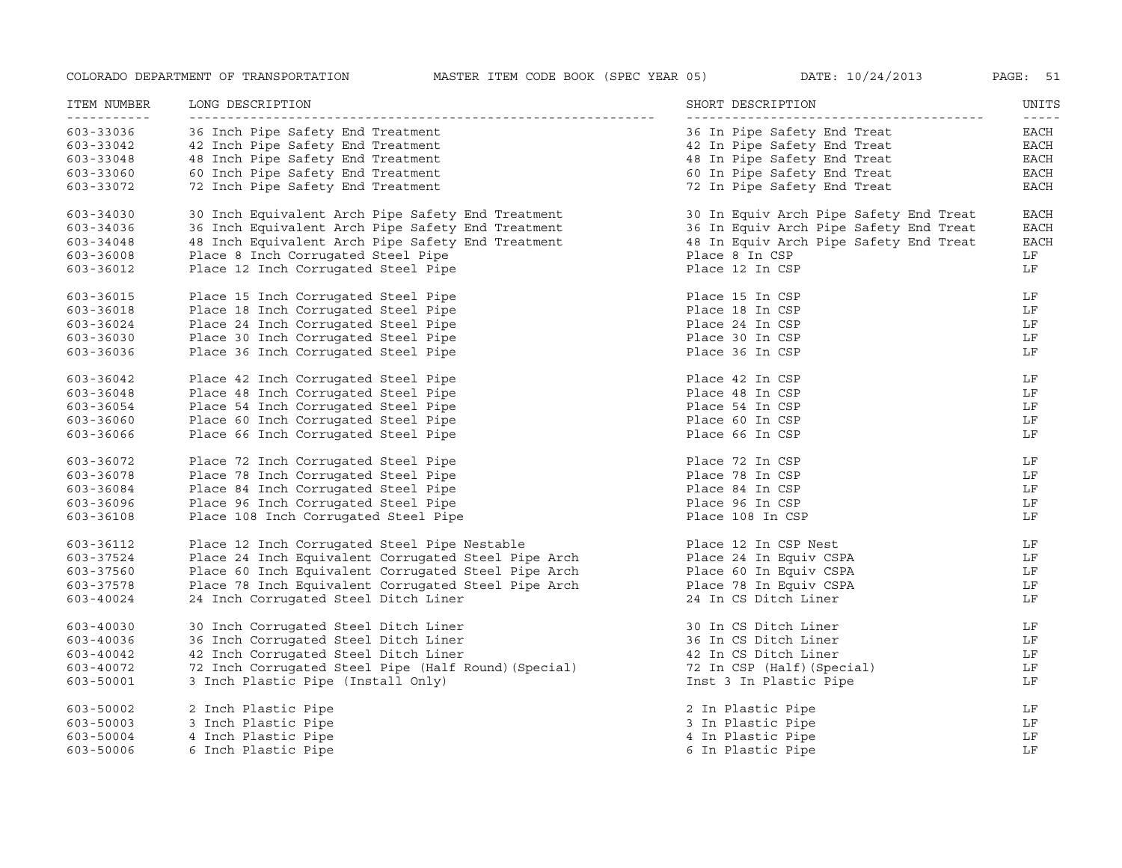| ITEM NUMBER<br><u>__________</u> | LONG DESCRIPTION                                     | SHORT DESCRIPTION                      | UNITS<br>$- - - - -$ |
|----------------------------------|------------------------------------------------------|----------------------------------------|----------------------|
| 603-33036                        | 36 Inch Pipe Safety End Treatment                    | 36 In Pipe Safety End Treat            | EACH                 |
| 603-33042                        | 42 Inch Pipe Safety End Treatment                    | 42 In Pipe Safety End Treat            | EACH                 |
| 603-33048                        | 48 Inch Pipe Safety End Treatment                    | 48 In Pipe Safety End Treat            | EACH                 |
| 603-33060                        | 60 Inch Pipe Safety End Treatment                    | 60 In Pipe Safety End Treat            | EACH                 |
| 603-33072                        | 72 Inch Pipe Safety End Treatment                    | 72 In Pipe Safety End Treat            | EACH                 |
| 603-34030                        | 30 Inch Equivalent Arch Pipe Safety End Treatment    | 30 In Equiv Arch Pipe Safety End Treat | <b>EACH</b>          |
| 603-34036                        | 36 Inch Equivalent Arch Pipe Safety End Treatment    | 36 In Equiv Arch Pipe Safety End Treat | <b>EACH</b>          |
| 603-34048                        | 48 Inch Equivalent Arch Pipe Safety End Treatment    | 48 In Equiv Arch Pipe Safety End Treat | <b>EACH</b>          |
| 603-36008                        | Place 8 Inch Corrugated Steel Pipe                   | Place 8 In CSP                         | LF                   |
| 603-36012                        | Place 12 Inch Corrugated Steel Pipe                  | Place 12 In CSP                        | LF                   |
| 603-36015                        | Place 15 Inch Corrugated Steel Pipe                  | Place 15 In CSP                        | LF                   |
| 603-36018                        | Place 18 Inch Corrugated Steel Pipe                  | Place 18 In CSP                        | LF                   |
| 603-36024                        | Place 24 Inch Corrugated Steel Pipe                  | Place 24 In CSP                        | LF                   |
| 603-36030                        | Place 30 Inch Corrugated Steel Pipe                  | Place 30 In CSP                        | LF                   |
| 603-36036                        | Place 36 Inch Corrugated Steel Pipe                  | Place 36 In CSP                        | LF                   |
| 603-36042                        | Place 42 Inch Corrugated Steel Pipe                  | Place 42 In CSP                        | LF                   |
| 603-36048                        | Place 48 Inch Corrugated Steel Pipe                  | Place 48 In CSP                        | LF                   |
| 603-36054                        | Place 54 Inch Corrugated Steel Pipe                  | Place 54 In CSP                        | LF                   |
| 603-36060                        | Place 60 Inch Corrugated Steel Pipe                  | Place 60 In CSP                        | LF                   |
| 603-36066                        | Place 66 Inch Corrugated Steel Pipe                  | Place 66 In CSP                        | LF                   |
| 603-36072                        | Place 72 Inch Corrugated Steel Pipe                  | Place 72 In CSP                        | LF                   |
| 603-36078                        | Place 78 Inch Corrugated Steel Pipe                  | Place 78 In CSP                        | LF                   |
| 603-36084                        | Place 84 Inch Corrugated Steel Pipe                  | Place 84 In CSP                        | LF                   |
| 603-36096                        | Place 96 Inch Corrugated Steel Pipe                  | Place 96 In CSP                        | LF                   |
| 603-36108                        | Place 108 Inch Corrugated Steel Pipe                 | Place 108 In CSP                       | LF                   |
| 603-36112                        | Place 12 Inch Corrugated Steel Pipe Nestable         | Place 12 In CSP Nest                   | LF                   |
| 603-37524                        | Place 24 Inch Equivalent Corrugated Steel Pipe Arch  | Place 24 In Equiv CSPA                 | LF                   |
| 603-37560                        | Place 60 Inch Equivalent Corrugated Steel Pipe Arch  | Place 60 In Equiv CSPA                 | LF                   |
| 603-37578                        | Place 78 Inch Equivalent Corrugated Steel Pipe Arch  | Place 78 In Equiv CSPA                 | LF                   |
| 603-40024                        | 24 Inch Corrugated Steel Ditch Liner                 | 24 In CS Ditch Liner                   | LF                   |
| 603-40030                        | 30 Inch Corrugated Steel Ditch Liner                 | 30 In CS Ditch Liner                   | LF                   |
| 603-40036                        | 36 Inch Corrugated Steel Ditch Liner                 | 36 In CS Ditch Liner                   | LF                   |
| 603-40042                        | 42 Inch Corrugated Steel Ditch Liner                 | 42 In CS Ditch Liner                   | LF                   |
| 603-40072                        | 72 Inch Corrugated Steel Pipe (Half Round) (Special) | 72 In CSP (Half) (Special)             | LF                   |
| 603-50001                        | 3 Inch Plastic Pipe (Install Only)                   | Inst 3 In Plastic Pipe                 | LF                   |
| 603-50002                        | 2 Inch Plastic Pipe                                  | 2 In Plastic Pipe                      | LF                   |
| 603-50003                        | 3 Inch Plastic Pipe                                  | 3 In Plastic Pipe                      | LF                   |
| 603-50004                        | 4 Inch Plastic Pipe                                  | 4 In Plastic Pipe                      | LF                   |
| 603-50006                        | 6 Inch Plastic Pipe                                  | 6 In Plastic Pipe                      | LF                   |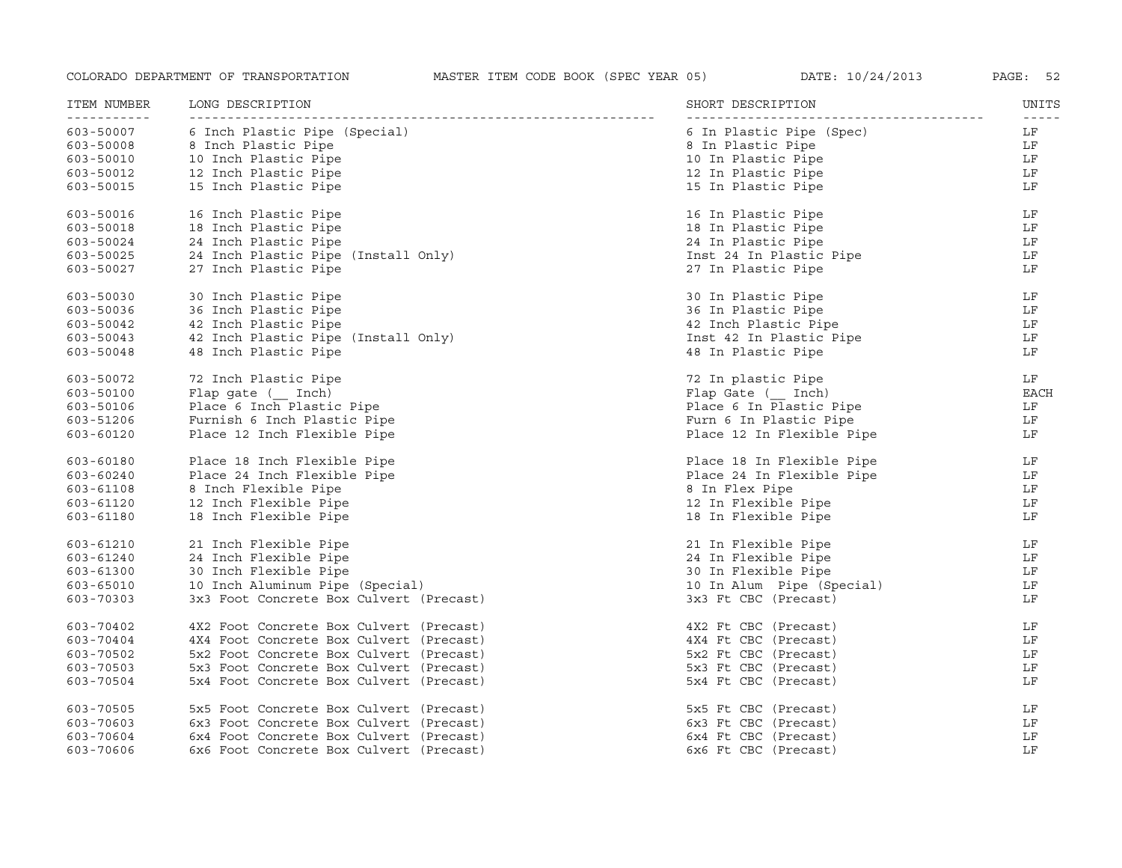| ITEM NUMBER<br>-----------          | LONG DESCRIPTION                        | SHORT DESCRIPTION         | UNITS<br>$\frac{1}{2} \frac{1}{2} \frac{1}{2} \frac{1}{2} \frac{1}{2} \frac{1}{2} \frac{1}{2} \frac{1}{2} \frac{1}{2} \frac{1}{2} \frac{1}{2} \frac{1}{2} \frac{1}{2} \frac{1}{2} \frac{1}{2} \frac{1}{2} \frac{1}{2} \frac{1}{2} \frac{1}{2} \frac{1}{2} \frac{1}{2} \frac{1}{2} \frac{1}{2} \frac{1}{2} \frac{1}{2} \frac{1}{2} \frac{1}{2} \frac{1}{2} \frac{1}{2} \frac{1}{2} \frac{1}{2} \frac{$ |
|-------------------------------------|-----------------------------------------|---------------------------|-------------------------------------------------------------------------------------------------------------------------------------------------------------------------------------------------------------------------------------------------------------------------------------------------------------------------------------------------------------------------------------------------------|
| 603-50007                           | 6 Inch Plastic Pipe (Special)           | 6 In Plastic Pipe (Spec)  | LF                                                                                                                                                                                                                                                                                                                                                                                                    |
| 603-50008<br>603-50010<br>603-50012 | 8 Inch Plastic Pipe                     | 8 In Plastic Pipe         | LF                                                                                                                                                                                                                                                                                                                                                                                                    |
|                                     | 10 Inch Plastic Pipe                    | 10 In Plastic Pipe        | LF                                                                                                                                                                                                                                                                                                                                                                                                    |
| 603-50012                           | 12 Inch Plastic Pipe                    | 12 In Plastic Pipe        | LF                                                                                                                                                                                                                                                                                                                                                                                                    |
| 603-50015                           | 15 Inch Plastic Pipe                    | 15 In Plastic Pipe        | LF                                                                                                                                                                                                                                                                                                                                                                                                    |
| 603-50016                           | 16 Inch Plastic Pipe                    | 16 In Plastic Pipe        | LF                                                                                                                                                                                                                                                                                                                                                                                                    |
| 603-50018                           | 18 Inch Plastic Pipe                    | 18 In Plastic Pipe        | LF                                                                                                                                                                                                                                                                                                                                                                                                    |
| 603-50024                           | 24 Inch Plastic Pipe                    | 24 In Plastic Pipe        | LF                                                                                                                                                                                                                                                                                                                                                                                                    |
| 603-50025                           | 24 Inch Plastic Pipe (Install Only)     | Inst 24 In Plastic Pipe   | LF                                                                                                                                                                                                                                                                                                                                                                                                    |
| 603-50027                           | 27 Inch Plastic Pipe                    | 27 In Plastic Pipe        | LF                                                                                                                                                                                                                                                                                                                                                                                                    |
| $603 - 50030$                       | 30 Inch Plastic Pipe                    | 30 In Plastic Pipe        | LF                                                                                                                                                                                                                                                                                                                                                                                                    |
| 603-50036                           | 36 Inch Plastic Pipe                    | 36 In Plastic Pipe        | LF                                                                                                                                                                                                                                                                                                                                                                                                    |
| 603-50042                           | 42 Inch Plastic Pipe                    | 42 Inch Plastic Pipe      | LF                                                                                                                                                                                                                                                                                                                                                                                                    |
| 603-50043                           | 42 Inch Plastic Pipe (Install Only)     | Inst 42 In Plastic Pipe   | LF                                                                                                                                                                                                                                                                                                                                                                                                    |
| $603 - 50048$                       | 48 Inch Plastic Pipe                    | 48 In Plastic Pipe        | LF                                                                                                                                                                                                                                                                                                                                                                                                    |
| 603-50072                           | 72 Inch Plastic Pipe                    | 72 In plastic Pipe        | LF                                                                                                                                                                                                                                                                                                                                                                                                    |
| 603-50100                           | Flap gate ( Inch)                       | Flap Gate ( Inch)         | <b>EACH</b>                                                                                                                                                                                                                                                                                                                                                                                           |
| 603-50106                           | Place 6 Inch Plastic Pipe               | Place 6 In Plastic Pipe   | LF                                                                                                                                                                                                                                                                                                                                                                                                    |
| 603-51206                           | Furnish 6 Inch Plastic Pipe             | Furn 6 In Plastic Pipe    | LF                                                                                                                                                                                                                                                                                                                                                                                                    |
| 603-60120                           | Place 12 Inch Flexible Pipe             | Place 12 In Flexible Pipe | LF                                                                                                                                                                                                                                                                                                                                                                                                    |
| 603-60180                           | Place 18 Inch Flexible Pipe             | Place 18 In Flexible Pipe | LF                                                                                                                                                                                                                                                                                                                                                                                                    |
| 603-60240                           | Place 24 Inch Flexible Pipe             | Place 24 In Flexible Pipe | LF                                                                                                                                                                                                                                                                                                                                                                                                    |
| 603-61108                           | 8 Inch Flexible Pipe                    | 8 In Flex Pipe            | LF                                                                                                                                                                                                                                                                                                                                                                                                    |
| 603-61120                           | 12 Inch Flexible Pipe                   | 12 In Flexible Pipe       | LF                                                                                                                                                                                                                                                                                                                                                                                                    |
| 603-61180                           | 18 Inch Flexible Pipe                   | 18 In Flexible Pipe       | LF                                                                                                                                                                                                                                                                                                                                                                                                    |
| 603-61210                           | 21 Inch Flexible Pipe                   | 21 In Flexible Pipe       | LF                                                                                                                                                                                                                                                                                                                                                                                                    |
| 603-61240                           | 24 Inch Flexible Pipe                   | 24 In Flexible Pipe       | LF                                                                                                                                                                                                                                                                                                                                                                                                    |
| 603-61300                           | 30 Inch Flexible Pipe                   | 30 In Flexible Pipe       | LF                                                                                                                                                                                                                                                                                                                                                                                                    |
| 603-65010                           | 10 Inch Aluminum Pipe (Special)         | 10 In Alum Pipe (Special) | LF                                                                                                                                                                                                                                                                                                                                                                                                    |
| 603-70303                           | 3x3 Foot Concrete Box Culvert (Precast) | 3x3 Ft CBC (Precast)      | LF                                                                                                                                                                                                                                                                                                                                                                                                    |
| 603-70402                           | 4X2 Foot Concrete Box Culvert (Precast) | 4X2 Ft CBC (Precast)      | LF                                                                                                                                                                                                                                                                                                                                                                                                    |
| 603-70404                           | 4X4 Foot Concrete Box Culvert (Precast) | 4X4 Ft CBC (Precast)      | LF                                                                                                                                                                                                                                                                                                                                                                                                    |
| 603-70502                           | 5x2 Foot Concrete Box Culvert (Precast) | 5x2 Ft CBC (Precast)      | LF                                                                                                                                                                                                                                                                                                                                                                                                    |
| 603-70503                           | 5x3 Foot Concrete Box Culvert (Precast) | 5x3 Ft CBC (Precast)      | LF                                                                                                                                                                                                                                                                                                                                                                                                    |
| 603-70504                           | 5x4 Foot Concrete Box Culvert (Precast) | 5x4 Ft CBC (Precast)      | LF                                                                                                                                                                                                                                                                                                                                                                                                    |
| 603-70505                           | 5x5 Foot Concrete Box Culvert (Precast) | 5x5 Ft CBC (Precast)      | LF                                                                                                                                                                                                                                                                                                                                                                                                    |
| 603-70603                           | 6x3 Foot Concrete Box Culvert (Precast) | 6x3 Ft CBC (Precast)      | LF                                                                                                                                                                                                                                                                                                                                                                                                    |
| 603-70604                           | 6x4 Foot Concrete Box Culvert (Precast) | 6x4 Ft CBC (Precast)      | LF                                                                                                                                                                                                                                                                                                                                                                                                    |
| 603-70606                           | 6x6 Foot Concrete Box Culvert (Precast) | 6x6 Ft CBC (Precast)      | LF                                                                                                                                                                                                                                                                                                                                                                                                    |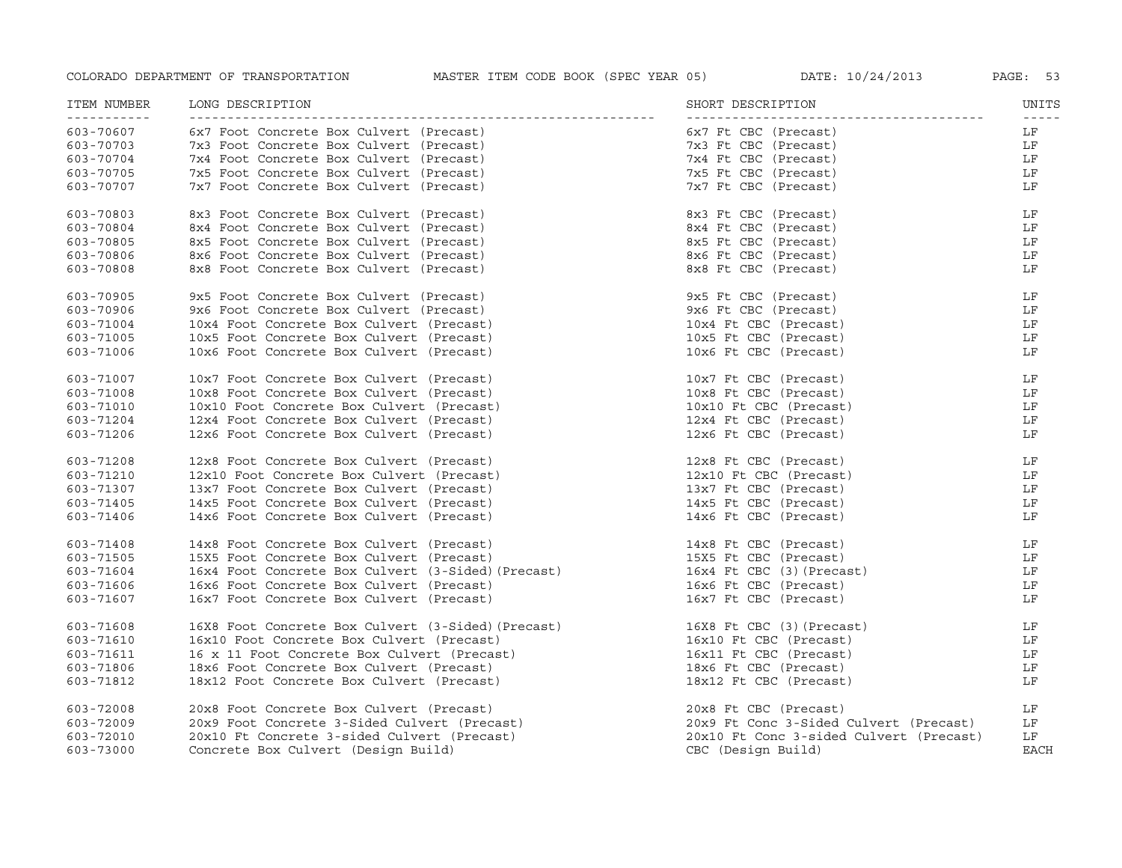| ITEM NUMBER | LONG DESCRIPTION                                   | SHORT DESCRIPTION                       | UNITS<br>$- - - - - -$ |
|-------------|----------------------------------------------------|-----------------------------------------|------------------------|
| 603-70607   | 6x7 Foot Concrete Box Culvert (Precast)            | 6x7 Ft CBC (Precast)                    | LF                     |
| 603-70703   | 7x3 Foot Concrete Box Culvert (Precast)            | 7x3 Ft CBC (Precast)                    | LF                     |
| 603-70704   | 7x4 Foot Concrete Box Culvert (Precast)            | 7x4 Ft CBC (Precast)                    | LF                     |
| 603-70705   | 7x5 Foot Concrete Box Culvert (Precast)            | 7x5 Ft CBC (Precast)                    | LF                     |
| 603-70707   | 7x7 Foot Concrete Box Culvert (Precast)            | 7x7 Ft CBC (Precast)                    | LF                     |
| 603-70803   | 8x3 Foot Concrete Box Culvert (Precast)            | 8x3 Ft CBC (Precast)                    | LF                     |
| 603-70804   | 8x4 Foot Concrete Box Culvert (Precast)            | 8x4 Ft CBC (Precast)                    | LF                     |
| 603-70805   | 8x5 Foot Concrete Box Culvert (Precast)            | 8x5 Ft CBC (Precast)                    | LF                     |
| 603-70806   | 8x6 Foot Concrete Box Culvert (Precast)            | 8x6 Ft CBC (Precast)                    | LF                     |
| 603-70808   | 8x8 Foot Concrete Box Culvert (Precast)            | 8x8 Ft CBC (Precast)                    | LF                     |
| 603-70905   | 9x5 Foot Concrete Box Culvert (Precast)            | 9x5 Ft CBC (Precast)                    | LF                     |
| 603-70906   | 9x6 Foot Concrete Box Culvert (Precast)            | 9x6 Ft CBC (Precast)                    | LF                     |
| 603-71004   | 10x4 Foot Concrete Box Culvert (Precast)           | 10x4 Ft CBC (Precast)                   | LF                     |
| 603-71005   | 10x5 Foot Concrete Box Culvert (Precast)           | 10x5 Ft CBC (Precast)                   | LF                     |
| 603-71006   | 10x6 Foot Concrete Box Culvert (Precast)           | 10x6 Ft CBC (Precast)                   | LF                     |
| 603-71007   | 10x7 Foot Concrete Box Culvert (Precast)           | 10x7 Ft CBC (Precast)                   | LF                     |
| 603-71008   | 10x8 Foot Concrete Box Culvert (Precast)           | 10x8 Ft CBC (Precast)                   | LF                     |
| 603-71010   | 10x10 Foot Concrete Box Culvert (Precast)          | 10x10 Ft CBC (Precast)                  | LF                     |
| 603-71204   | 12x4 Foot Concrete Box Culvert (Precast)           | 12x4 Ft CBC (Precast)                   | LF                     |
| 603-71206   | 12x6 Foot Concrete Box Culvert (Precast)           | 12x6 Ft CBC (Precast)                   | LF                     |
| 603-71208   | 12x8 Foot Concrete Box Culvert (Precast)           | 12x8 Ft CBC (Precast)                   | LF                     |
| 603-71210   | 12x10 Foot Concrete Box Culvert (Precast)          | 12x10 Ft CBC (Precast)                  | LF                     |
| 603-71307   | 13x7 Foot Concrete Box Culvert (Precast)           | 13x7 Ft CBC (Precast)                   | LF                     |
| 603-71405   | 14x5 Foot Concrete Box Culvert (Precast)           | 14x5 Ft CBC (Precast)                   | LF                     |
| 603-71406   | 14x6 Foot Concrete Box Culvert (Precast)           | 14x6 Ft CBC (Precast)                   | LF                     |
| 603-71408   | 14x8 Foot Concrete Box Culvert (Precast)           | 14x8 Ft CBC (Precast)                   | LF                     |
| 603-71505   | 15X5 Foot Concrete Box Culvert (Precast)           | 15X5 Ft CBC (Precast)                   | LF                     |
| 603-71604   | 16x4 Foot Concrete Box Culvert (3-Sided) (Precast) | 16x4 Ft CBC (3) (Precast)               | LF                     |
| 603-71606   | 16x6 Foot Concrete Box Culvert (Precast)           | 16x6 Ft CBC (Precast)                   | LF                     |
| 603-71607   | 16x7 Foot Concrete Box Culvert (Precast)           | 16x7 Ft CBC (Precast)                   | LF                     |
| 603-71608   | 16X8 Foot Concrete Box Culvert (3-Sided) (Precast) | 16X8 Ft CBC (3) (Precast)               | LF                     |
| 603-71610   | 16x10 Foot Concrete Box Culvert (Precast)          | 16x10 Ft CBC (Precast)                  | LF                     |
| 603-71611   | 16 x 11 Foot Concrete Box Culvert (Precast)        | 16x11 Ft CBC (Precast)                  | LF                     |
| 603-71806   | 18x6 Foot Concrete Box Culvert (Precast)           | 18x6 Ft CBC (Precast)                   | LF                     |
| 603-71812   | 18x12 Foot Concrete Box Culvert (Precast)          | 18x12 Ft CBC (Precast)                  | LF                     |
| 603-72008   | 20x8 Foot Concrete Box Culvert (Precast)           | 20x8 Ft CBC (Precast)                   | LF                     |
| 603-72009   | 20x9 Foot Concrete 3-Sided Culvert (Precast)       | 20x9 Ft Conc 3-Sided Culvert (Precast)  | LF                     |
| 603-72010   | 20x10 Ft Concrete 3-sided Culvert (Precast)        | 20x10 Ft Conc 3-sided Culvert (Precast) | LF                     |
| 603-73000   | Concrete Box Culvert (Design Build)                | CBC (Design Build)                      | <b>EACH</b>            |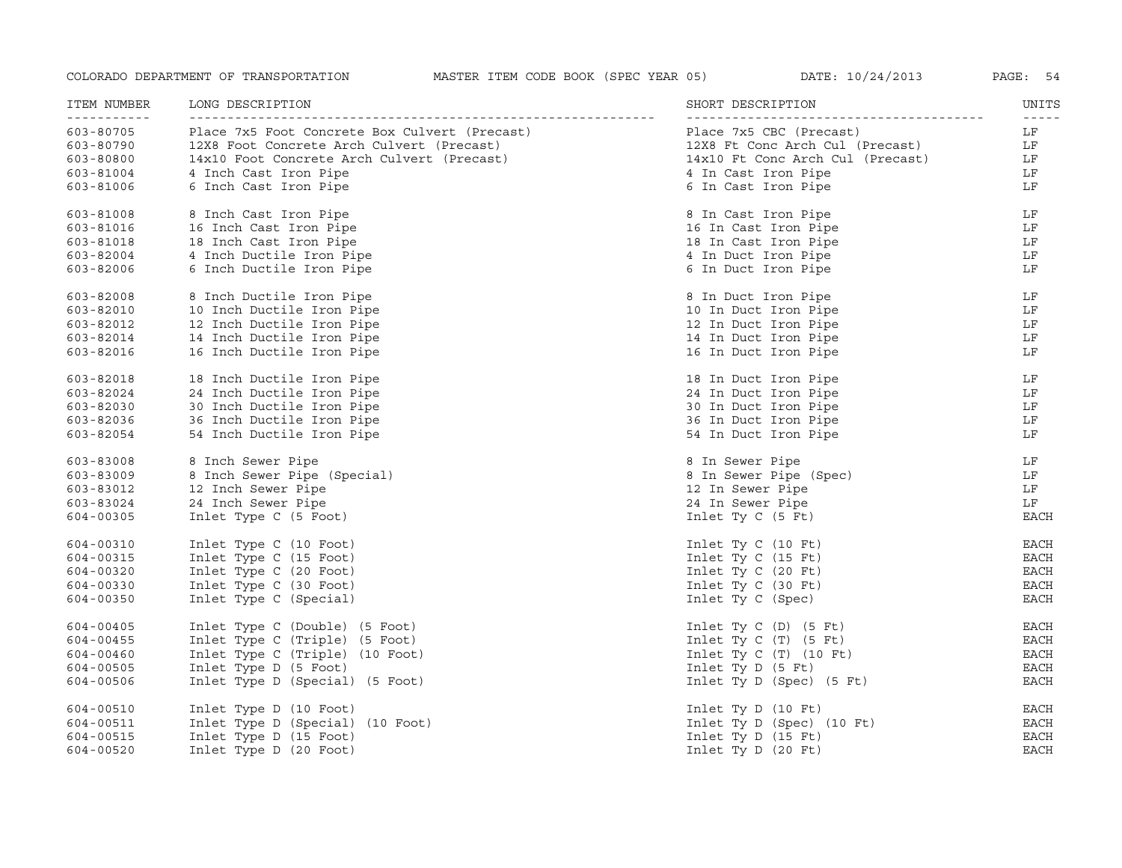| ITEM NUMBER              | LONG DESCRIPTION                              | SHORT DESCRIPTION                | UNITS                            |
|--------------------------|-----------------------------------------------|----------------------------------|----------------------------------|
| -----------<br>603-80705 | Place 7x5 Foot Concrete Box Culvert (Precast) | Place 7x5 CBC (Precast)          | $\omega = \omega = \omega$<br>LF |
| 603-80790                | 12X8 Foot Concrete Arch Culvert (Precast)     | 12X8 Ft Conc Arch Cul (Precast)  | LF                               |
| 603-80800                | 14x10 Foot Concrete Arch Culvert (Precast)    | 14x10 Ft Conc Arch Cul (Precast) | LF                               |
| 603-81004                | 4 Inch Cast Iron Pipe                         | 4 In Cast Iron Pipe              | LF                               |
| 603-81006                | 6 Inch Cast Iron Pipe                         | 6 In Cast Iron Pipe              | LF                               |
| 603-81008                | 8 Inch Cast Iron Pipe                         | 8 In Cast Iron Pipe              | LF                               |
| 603-81016                | 16 Inch Cast Iron Pipe                        | 16 In Cast Iron Pipe             | LF                               |
| 603-81018                | 18 Inch Cast Iron Pipe                        | 18 In Cast Iron Pipe             | LF                               |
| 603-82004                | 4 Inch Ductile Iron Pipe                      | 4 In Duct Iron Pipe              | LF                               |
| 603-82006                | 6 Inch Ductile Iron Pipe                      | 6 In Duct Iron Pipe              | LF                               |
| 603-82008                | 8 Inch Ductile Iron Pipe                      | 8 In Duct Iron Pipe              | LF                               |
| 603-82010                | 10 Inch Ductile Iron Pipe                     | 10 In Duct Iron Pipe             | LF                               |
| 603-82012                | 12 Inch Ductile Iron Pipe                     | 12 In Duct Iron Pipe             | LF                               |
| 603-82014                | 14 Inch Ductile Iron Pipe                     | 14 In Duct Iron Pipe             | LF                               |
| 603-82016                | 16 Inch Ductile Iron Pipe                     | 16 In Duct Iron Pipe             | LF                               |
| 603-82018                | 18 Inch Ductile Iron Pipe                     | 18 In Duct Iron Pipe             | LF                               |
| 603-82024                | 24 Inch Ductile Iron Pipe                     | 24 In Duct Iron Pipe             | LF                               |
| 603-82030                | 30 Inch Ductile Iron Pipe                     | 30 In Duct Iron Pipe             | LF                               |
| 603-82036                | 36 Inch Ductile Iron Pipe                     | 36 In Duct Iron Pipe             | LF                               |
| 603-82054                | 54 Inch Ductile Iron Pipe                     | 54 In Duct Iron Pipe             | LF                               |
| 603-83008                | 8 Inch Sewer Pipe                             | 8 In Sewer Pipe                  | LF                               |
| 603-83009                | 8 Inch Sewer Pipe (Special)                   | 8 In Sewer Pipe (Spec)           | LF                               |
| 603-83012                | 12 Inch Sewer Pipe                            | 12 In Sewer Pipe                 | LF                               |
| 603-83024                | 24 Inch Sewer Pipe                            | 24 In Sewer Pipe                 | LF                               |
| 604-00305                | Inlet Type C (5 Foot)                         | Inlet Ty $C$ (5 Ft)              | <b>EACH</b>                      |
| 604-00310                | Inlet Type C (10 Foot)                        | Inlet Ty $C(10 Ft)$              | EACH                             |
| 604-00315                | Inlet Type C (15 Foot)                        | Inlet Ty $C(15$ Ft)              | <b>EACH</b>                      |
| 604-00320                | Inlet Type C (20 Foot)                        | Inlet Ty $C(20 Ft)$              | EACH                             |
| 604-00330                | Inlet Type C (30 Foot)                        | Inlet Ty $C$ (30 Ft)             | <b>EACH</b>                      |
| 604-00350                | Inlet Type C (Special)                        | Inlet Ty C (Spec)                | EACH                             |
| 604-00405                | Inlet Type C (Double) (5 Foot)                | Inlet Ty $C(D)$ (5 Ft)           | EACH                             |
| 604-00455                | Inlet Type C (Triple) (5 Foot)                | Inlet Ty $C(T)$ (5 Ft)           | EACH                             |
| 604-00460                | Inlet Type C (Triple) (10 Foot)               | Inlet Ty $C(T)$ (10 Ft)          | EACH                             |
| 604-00505                | Inlet Type D (5 Foot)                         | Inlet Ty $D$ (5 Ft)              | EACH                             |
| 604-00506                | Inlet Type D (Special) (5 Foot)               | Inlet Ty D (Spec) (5 Ft)         | EACH                             |
| 604-00510                | Inlet Type D (10 Foot)                        | Inlet Ty $D(10 Ft)$              | EACH                             |
| 604-00511                | Inlet Type D (Special) (10 Foot)              | Inlet Ty D (Spec) (10 Ft)        | EACH                             |
| 604-00515                | Inlet Type D (15 Foot)                        | Inlet Ty $D$ (15 Ft)             | <b>EACH</b>                      |
| 604-00520                | Inlet Type D (20 Foot)                        | Inlet Ty $D(20 Ft)$              | <b>EACH</b>                      |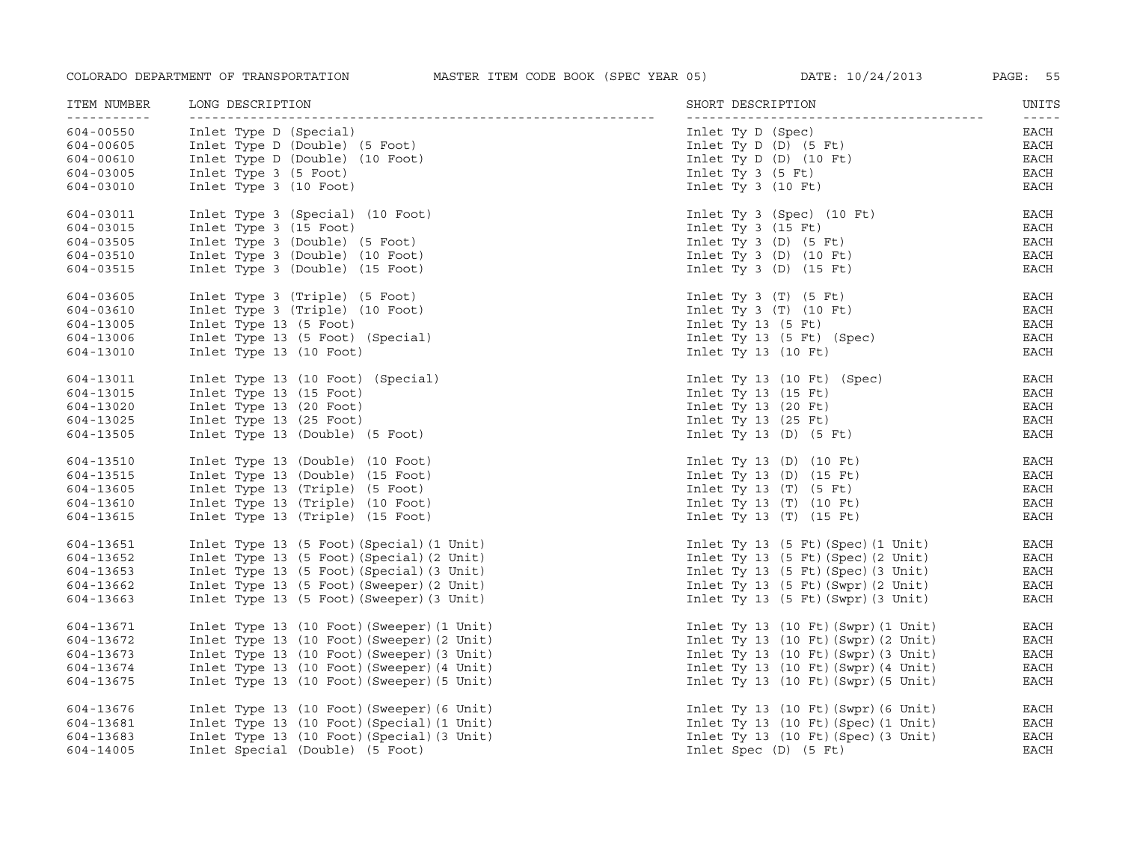| ITEM NUMBER              | LONG DESCRIPTION                           | SHORT DESCRIPTION                                         | UNITS<br>$\frac{1}{2} \frac{1}{2} \frac{1}{2} \frac{1}{2} \frac{1}{2} \frac{1}{2} \frac{1}{2} \frac{1}{2} \frac{1}{2} \frac{1}{2} \frac{1}{2} \frac{1}{2} \frac{1}{2} \frac{1}{2} \frac{1}{2} \frac{1}{2} \frac{1}{2} \frac{1}{2} \frac{1}{2} \frac{1}{2} \frac{1}{2} \frac{1}{2} \frac{1}{2} \frac{1}{2} \frac{1}{2} \frac{1}{2} \frac{1}{2} \frac{1}{2} \frac{1}{2} \frac{1}{2} \frac{1}{2} \frac{$ |
|--------------------------|--------------------------------------------|-----------------------------------------------------------|-------------------------------------------------------------------------------------------------------------------------------------------------------------------------------------------------------------------------------------------------------------------------------------------------------------------------------------------------------------------------------------------------------|
| -----------<br>604-00550 | Inlet Type D (Special)                     | Inlet Ty D (Spec)                                         | EACH                                                                                                                                                                                                                                                                                                                                                                                                  |
| 604-00605                | Inlet Type D (Double) (5 Foot)             | Inlet Ty $D(D)$ (5 Ft)                                    | EACH                                                                                                                                                                                                                                                                                                                                                                                                  |
| 604-00610                | Inlet Type D (Double) (10 Foot)            | Inlet Ty D $(D)$ $(10$ Ft)                                | $_{\rm EACH}$                                                                                                                                                                                                                                                                                                                                                                                         |
| 604-03005                | Inlet Type 3 (5 Foot)                      | Inlet Ty $3$ (5 Ft)                                       | <b>EACH</b>                                                                                                                                                                                                                                                                                                                                                                                           |
| 604-03010                | Inlet Type 3 (10 Foot)                     | Inlet Ty $3$ (10 Ft)                                      | EACH                                                                                                                                                                                                                                                                                                                                                                                                  |
| 604-03011                | Inlet Type 3 (Special) (10 Foot)           | Inlet Ty 3 (Spec) $(10$ Ft)                               | EACH                                                                                                                                                                                                                                                                                                                                                                                                  |
| 604-03015                | Inlet Type 3 (15 Foot)                     | Inlet Ty 3 $(15$ Ft)                                      | EACH                                                                                                                                                                                                                                                                                                                                                                                                  |
| 604-03505                | Inlet Type 3 (Double) (5 Foot)             | Inlet Ty 3 $(D)$ $(5$ Ft)                                 | $_{\rm EACH}$                                                                                                                                                                                                                                                                                                                                                                                         |
| 604-03510                | Inlet Type 3 (Double) (10 Foot)            | Inlet Ty 3 $(D)$ (10 Ft)                                  | EACH                                                                                                                                                                                                                                                                                                                                                                                                  |
| 604-03515                | Inlet Type 3 (Double) (15 Foot)            | Inlet Ty 3 $(D)$ $(15$ Ft)                                | $_{\rm EACH}$                                                                                                                                                                                                                                                                                                                                                                                         |
| 604-03605                | Inlet Type 3 (Triple) (5 Foot)             | Inlet Ty 3 $(T)$ $(5$ Ft)                                 | EACH                                                                                                                                                                                                                                                                                                                                                                                                  |
| 604-03610                | Inlet Type 3 (Triple) (10 Foot)            | Inlet Ty 3 $(T)$ (10 Ft)                                  | EACH                                                                                                                                                                                                                                                                                                                                                                                                  |
| 604-13005                | Inlet Type 13 (5 Foot)                     | Inlet Ty 13 $(5$ Ft)                                      | EACH                                                                                                                                                                                                                                                                                                                                                                                                  |
| 604-13006                | Inlet Type 13 (5 Foot) (Special)           | Inlet Ty 13 (5 Ft) (Spec)                                 | EACH                                                                                                                                                                                                                                                                                                                                                                                                  |
| 604-13010                | Inlet Type 13 (10 Foot)                    | Inlet Ty 13 $(10$ Ft)                                     | $_{\rm EACH}$                                                                                                                                                                                                                                                                                                                                                                                         |
| 604-13011                | Inlet Type 13 (10 Foot) (Special)          | Inlet Ty 13 $(10 \text{ Ft})$ $(Spec)$                    | EACH                                                                                                                                                                                                                                                                                                                                                                                                  |
| 604-13015                | Inlet Type 13 (15 Foot)                    | Inlet Ty 13 $(15$ Ft)                                     | EACH                                                                                                                                                                                                                                                                                                                                                                                                  |
| 604-13020                | Inlet Type 13 (20 Foot)                    | Inlet Ty 13 $(20$ Ft)                                     | $_{\rm EACH}$                                                                                                                                                                                                                                                                                                                                                                                         |
| 604-13025                | Inlet Type 13 (25 Foot)                    | Inlet Ty 13 $(25$ Ft)                                     | <b>EACH</b>                                                                                                                                                                                                                                                                                                                                                                                           |
| 604-13505                | Inlet Type 13 (Double) (5 Foot)            | Inlet Ty 13 $(D)$ $(5$ Ft)                                | EACH                                                                                                                                                                                                                                                                                                                                                                                                  |
| 604-13510                | Inlet Type 13 (Double) (10 Foot)           | Inlet Ty 13 $(D)$ $(10$ Ft)                               | $_{\rm EACH}$                                                                                                                                                                                                                                                                                                                                                                                         |
| 604-13515                | Inlet Type 13 (Double) (15 Foot)           | Inlet Ty 13 (D) (15 Ft)                                   | $_{\rm EACH}$                                                                                                                                                                                                                                                                                                                                                                                         |
| 604-13605                | Inlet Type 13 (Triple) (5 Foot)            | Inlet Ty 13 $(T)$ $(5$ Ft)                                | $_{\rm EACH}$                                                                                                                                                                                                                                                                                                                                                                                         |
| 604-13610                | Inlet Type 13 (Triple) (10 Foot)           | Inlet Ty 13 $(T)$ (10 Ft)                                 | EACH                                                                                                                                                                                                                                                                                                                                                                                                  |
| 604-13615                | Inlet Type 13 (Triple) (15 Foot)           | Inlet Ty 13 $(T)$ (15 Ft)                                 | $_{\rm EACH}$                                                                                                                                                                                                                                                                                                                                                                                         |
| 604-13651                | Inlet Type 13 (5 Foot) (Special) (1 Unit)  | Inlet Ty 13 $(5$ Ft $)$ (Spec) $(1$ Unit)                 | EACH                                                                                                                                                                                                                                                                                                                                                                                                  |
| 604-13652                | Inlet Type 13 (5 Foot) (Special) (2 Unit)  | Inlet Ty 13 $(5$ Ft) $(Spec)$ $(2$ Unit)                  | EACH                                                                                                                                                                                                                                                                                                                                                                                                  |
| 604-13653                | Inlet Type 13 (5 Foot) (Special) (3 Unit)  | Inlet Ty 13 $(5$ Ft $)$ (Spec) $(3$ Unit)                 | $_{\rm EACH}$                                                                                                                                                                                                                                                                                                                                                                                         |
| 604-13662                | Inlet Type 13 (5 Foot) (Sweeper) (2 Unit)  | Inlet Ty 13 $(5$ Ft $)$ (Swpr) $(2$ Unit)                 | $_{\rm EACH}$                                                                                                                                                                                                                                                                                                                                                                                         |
| 604-13663                | Inlet Type 13 (5 Foot) (Sweeper) (3 Unit)  | Inlet Ty 13 $(5$ Ft) $(Swpr)$ $(3$ Unit)                  | EACH                                                                                                                                                                                                                                                                                                                                                                                                  |
| 604-13671                | Inlet Type 13 (10 Foot) (Sweeper) (1 Unit) | Inlet Ty 13 $(10 \text{ Ft})$ (Swpr) $(1 \text{ Unit})$   | EACH                                                                                                                                                                                                                                                                                                                                                                                                  |
| 604-13672                | Inlet Type 13 (10 Foot) (Sweeper) (2 Unit) | Inlet Ty 13 $(10 \text{ Ft})$ $(Swpr)$ $(2 \text{ Unit})$ | EACH                                                                                                                                                                                                                                                                                                                                                                                                  |
| 604-13673                | Inlet Type 13 (10 Foot) (Sweeper) (3 Unit) | Inlet Ty 13 $(10 \text{ Ft})$ $(Swpr)$ $(3 \text{ Unit})$ | EACH                                                                                                                                                                                                                                                                                                                                                                                                  |
| 604-13674                | Inlet Type 13 (10 Foot) (Sweeper) (4 Unit) | Inlet Ty 13 $(10 \text{ Ft})$ $(Swpr)$ $(4 \text{ Unit})$ | EACH                                                                                                                                                                                                                                                                                                                                                                                                  |
| 604-13675                | Inlet Type 13 (10 Foot) (Sweeper) (5 Unit) | Inlet Ty 13 (10 Ft) (Swpr) (5 Unit)                       | $_{\rm EACH}$                                                                                                                                                                                                                                                                                                                                                                                         |
| 604-13676                | Inlet Type 13 (10 Foot) (Sweeper) (6 Unit) | Inlet Ty 13 $(10 \text{ Ft})$ (Swpr) $(6 \text{ Unit})$   | EACH                                                                                                                                                                                                                                                                                                                                                                                                  |
| 604-13681                | Inlet Type 13 (10 Foot) (Special) (1 Unit) | Inlet Ty 13 (10 Ft) (Spec) (1 Unit)                       | EACH                                                                                                                                                                                                                                                                                                                                                                                                  |
| 604-13683                | Inlet Type 13 (10 Foot) (Special) (3 Unit) | Inlet Ty 13 (10 Ft) (Spec) (3 Unit)                       | $_{\rm EACH}$                                                                                                                                                                                                                                                                                                                                                                                         |
| 604-14005                | Inlet Special (Double) (5 Foot)            | Inlet Spec $(D)$ $(5$ Ft)                                 | <b>EACH</b>                                                                                                                                                                                                                                                                                                                                                                                           |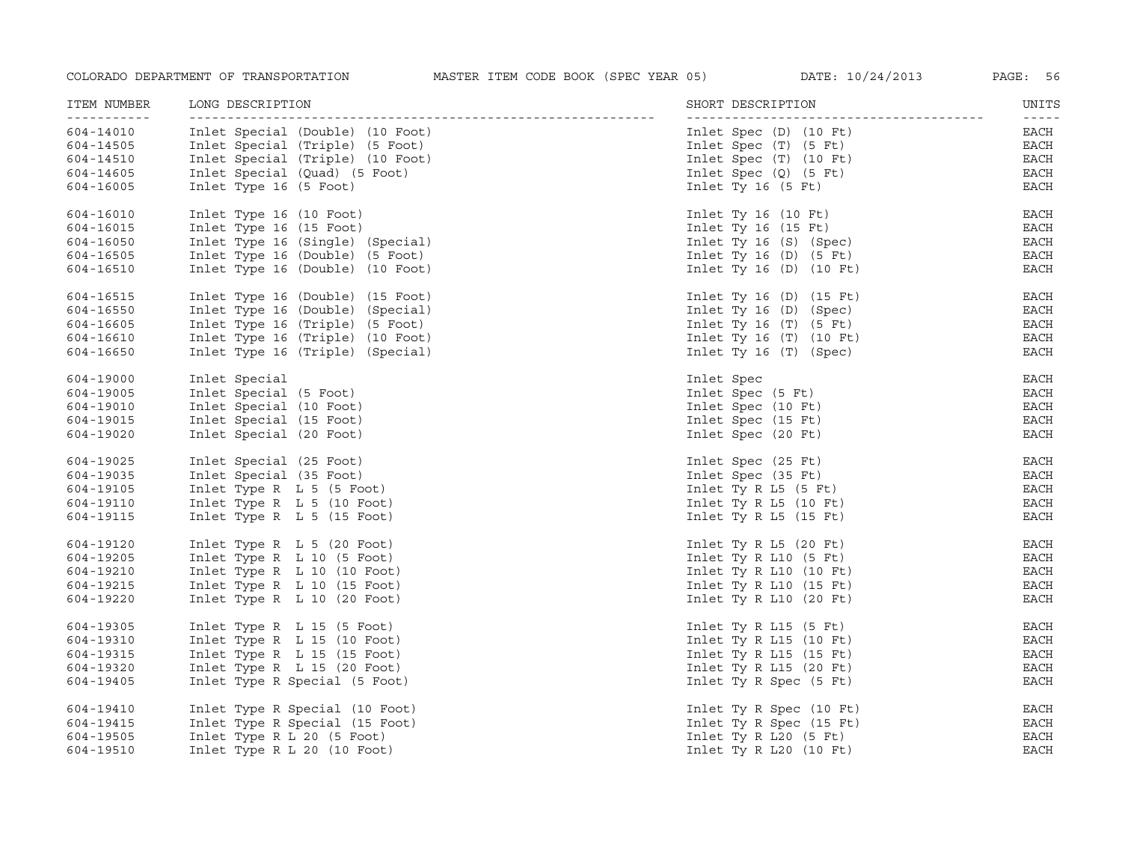| ITEM NUMBER<br>----------- | LONG DESCRIPTION                 | SHORT DESCRIPTION          | UNITS<br>$- - - - - -$ |
|----------------------------|----------------------------------|----------------------------|------------------------|
| 604-14010                  | Inlet Special (Double) (10 Foot) | Inlet Spec (D) (10 Ft)     | EACH                   |
| 604-14505                  | Inlet Special (Triple) (5 Foot)  | Inlet Spec (T) (5 Ft)      | $_{\rm EACH}$          |
| 604-14510                  | Inlet Special (Triple) (10 Foot) | Inlet $Spec (T) (10 Ft)$   | EACH                   |
| 604-14605                  | Inlet Special (Quad) (5 Foot)    | Inlet Spec $(Q)$ (5 Ft)    | EACH                   |
| 604-16005                  | Inlet Type 16 (5 Foot)           | Inlet Ty 16 $(5$ Ft)       | EACH                   |
| 604-16010                  | Inlet Type 16 (10 Foot)          | Inlet Ty 16 $(10$ Ft)      | EACH                   |
| 604-16015                  | Inlet Type 16 (15 Foot)          | Inlet Ty $16$ (15 Ft)      | EACH                   |
| 604-16050                  | Inlet Type 16 (Single) (Special) | Inlet Ty 16 (S) (Spec)     | EACH                   |
| 604-16505                  | Inlet Type 16 (Double) (5 Foot)  | Inlet Ty 16 $(D)$ $(5$ Ft) | EACH                   |
| 604-16510                  | Inlet Type 16 (Double) (10 Foot) | Inlet Ty $16(D)$ (10 Ft)   | EACH                   |
| 604-16515                  | Inlet Type 16 (Double) (15 Foot) | Inlet Ty 16 $(D)$ (15 Ft)  | EACH                   |
| 604-16550                  | Inlet Type 16 (Double) (Special) | Inlet Ty $16$ (D) (Spec)   | EACH                   |
| 604-16605                  | Inlet Type 16 (Triple) (5 Foot)  | Inlet Ty 16 $(T)$ $(5$ Ft) | EACH                   |
| 604-16610                  | Inlet Type 16 (Triple) (10 Foot) | Inlet Ty 16 $(T)$ (10 Ft)  | EACH                   |
| 604-16650                  | Inlet Type 16 (Triple) (Special) | Inlet Ty 16 (T) (Spec)     | EACH                   |
| 604-19000                  | Inlet Special                    | Inlet Spec                 | EACH                   |
| 604-19005                  | Inlet Special (5 Foot)           | Inlet Spec (5 Ft)          | EACH                   |
| 604-19010                  | Inlet Special (10 Foot)          | Inlet Spec (10 Ft)         | EACH                   |
| 604-19015                  | Inlet Special (15 Foot)          | Inlet Spec (15 Ft)         | EACH                   |
| 604-19020                  | Inlet Special (20 Foot)          | Inlet Spec (20 Ft)         | EACH                   |
| 604-19025                  | Inlet Special (25 Foot)          | Inlet Spec (25 Ft)         | <b>EACH</b>            |
| 604-19035                  | Inlet Special (35 Foot)          | Inlet Spec (35 Ft)         | EACH                   |
| 604-19105                  | Inlet Type R $L$ 5 (5 Foot)      | Inlet Ty R $L5$ (5 Ft)     | EACH                   |
| 604-19110                  | Inlet Type R L 5 (10 Foot)       | Inlet Ty R $L5$ (10 Ft)    | EACH                   |
| 604-19115                  | Inlet Type R L 5 (15 Foot)       | Inlet Ty R $L5$ (15 Ft)    | EACH                   |
| 604-19120                  | Inlet Type R $L$ 5 (20 Foot)     | Inlet Ty R $L5$ (20 Ft)    | EACH                   |
| 604-19205                  | Inlet Type R $L$ 10 (5 Foot)     | Inlet Ty R $L10$ (5 Ft)    | EACH                   |
| 604-19210                  | Inlet Type R L 10 (10 Foot)      | Inlet Ty R $L10$ (10 Ft)   | EACH                   |
| 604-19215                  | Inlet Type R L 10 (15 Foot)      | Inlet Ty R $L10$ (15 Ft)   | EACH                   |
| 604-19220                  | Inlet Type R L 10 (20 Foot)      | Inlet Ty R $L10$ (20 Ft)   | EACH                   |
| 604-19305                  | Inlet Type R L 15 (5 Foot)       | Inlet Ty R $L15$ (5 Ft)    | EACH                   |
| 604-19310                  | Inlet Type R L 15 (10 Foot)      | Inlet Ty R $L15$ (10 Ft)   | EACH                   |
| 604-19315                  | Inlet Type R L 15 (15 Foot)      | Inlet Ty R $L15$ (15 Ft)   | EACH                   |
| 604-19320                  | Inlet Type R $L$ 15 (20 Foot)    | Inlet Ty R $L15$ (20 Ft)   | EACH                   |
| 604-19405                  | Inlet Type R Special (5 Foot)    | Inlet Ty R Spec (5 Ft)     | EACH                   |
| 604-19410                  | Inlet Type R Special (10 Foot)   | Inlet Ty R Spec (10 Ft)    | EACH                   |
| 604-19415                  | Inlet Type R Special (15 Foot)   | Inlet Ty R Spec (15 Ft)    | EACH                   |
| 604-19505                  | Inlet Type R L 20 (5 Foot)       | Inlet Ty R $L20$ (5 Ft)    | EACH                   |
| 604-19510                  | Inlet Type R L 20 $(10$ Foot)    | Inlet Ty R $L20$ (10 Ft)   | EACH                   |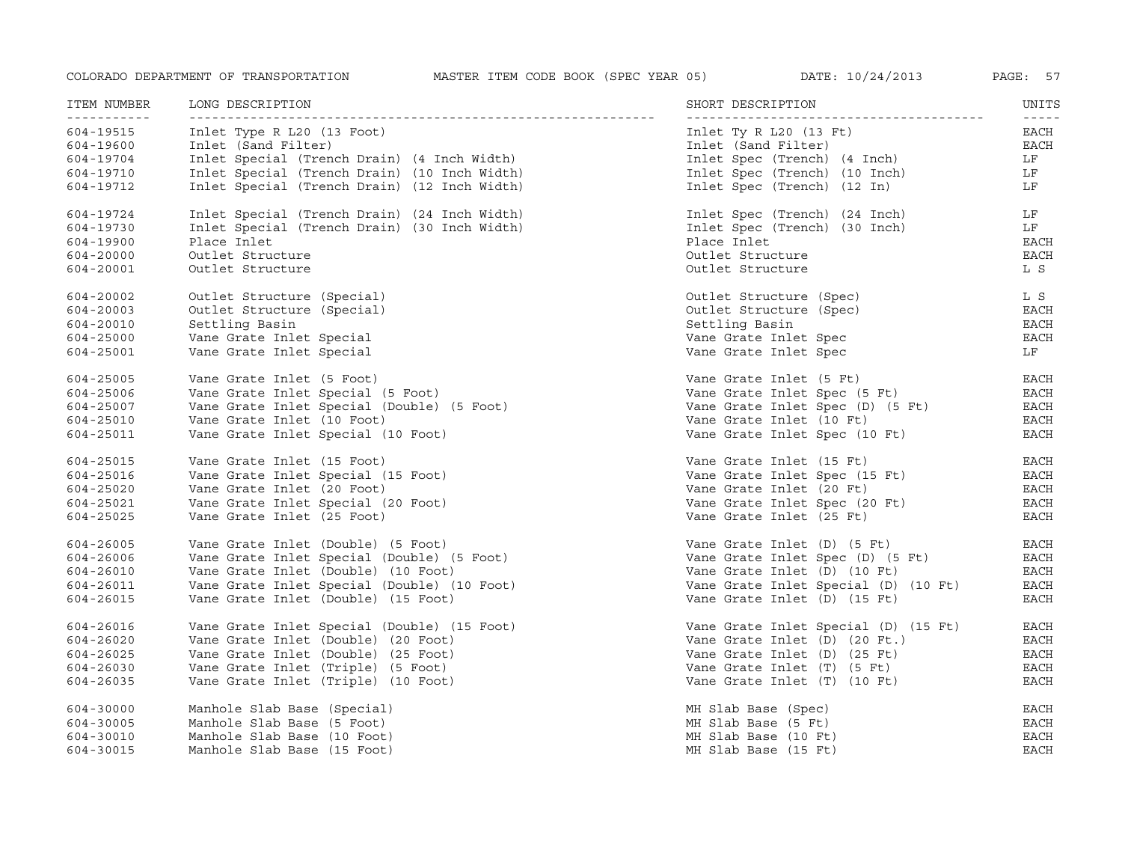| ITEM NUMBER                   | LONG DESCRIPTION                             | SHORT DESCRIPTION                    | UNITS         |
|-------------------------------|----------------------------------------------|--------------------------------------|---------------|
| <u> - - - - - - - - - - -</u> | <u>________________________</u>              |                                      | $- - - - -$   |
| 604-19515                     | Inlet Type R L20 (13 Foot)                   | Inlet Ty R $L20$ (13 Ft)             | EACH          |
| 604-19600                     | Inlet (Sand Filter)                          | Inlet (Sand Filter)                  | <b>EACH</b>   |
| 604-19704                     | Inlet Special (Trench Drain) (4 Inch Width)  | Inlet Spec (Trench) (4 Inch)         | LF            |
| 604-19710                     | Inlet Special (Trench Drain) (10 Inch Width) | Inlet Spec (Trench) (10 Inch)        | LF            |
| 604-19712                     | Inlet Special (Trench Drain) (12 Inch Width) | Inlet Spec (Trench) (12 In)          | LF            |
| 604-19724                     | Inlet Special (Trench Drain) (24 Inch Width) | Inlet Spec (Trench) (24 Inch)        | LF            |
| 604-19730                     | Inlet Special (Trench Drain) (30 Inch Width) | Inlet Spec (Trench) (30 Inch)        | LF            |
| 604-19900                     | Place Inlet                                  | Place Inlet                          | <b>EACH</b>   |
| 604-20000                     | Outlet Structure                             | Outlet Structure                     | EACH          |
| 604-20001                     | Outlet Structure                             | Outlet Structure                     | L S           |
| 604-20002                     | Outlet Structure (Special)                   | Outlet Structure (Spec)              | L S           |
| 604-20003                     | Outlet Structure (Special)                   | Outlet Structure (Spec)              | <b>EACH</b>   |
| 604-20010                     | Settling Basin                               | Settling Basin                       | <b>EACH</b>   |
| 604-25000                     | Vane Grate Inlet Special                     | Vane Grate Inlet Spec                | <b>EACH</b>   |
| 604-25001                     | Vane Grate Inlet Special                     | Vane Grate Inlet Spec                | LF            |
| 604-25005                     | Vane Grate Inlet (5 Foot)                    | Vane Grate Inlet (5 Ft)              | EACH          |
| 604-25006                     | Vane Grate Inlet Special (5 Foot)            | Vane Grate Inlet Spec (5 Ft)         | EACH          |
| 604-25007                     | Vane Grate Inlet Special (Double) (5 Foot)   | Vane Grate Inlet Spec (D) (5 Ft)     | EACH          |
| 604-25010                     | Vane Grate Inlet (10 Foot)                   | Vane Grate Inlet (10 Ft)             | <b>EACH</b>   |
| 604-25011                     | Vane Grate Inlet Special (10 Foot)           | Vane Grate Inlet Spec (10 Ft)        | <b>EACH</b>   |
| 604-25015                     | Vane Grate Inlet (15 Foot)                   | Vane Grate Inlet (15 Ft)             | EACH          |
| 604-25016                     | Vane Grate Inlet Special (15 Foot)           | Vane Grate Inlet Spec (15 Ft)        | <b>EACH</b>   |
| 604-25020                     | Vane Grate Inlet (20 Foot)                   | Vane Grate Inlet (20 Ft)             | EACH          |
| 604-25021                     | Vane Grate Inlet Special (20 Foot)           | Vane Grate Inlet Spec (20 Ft)        | EACH          |
| 604-25025                     | Vane Grate Inlet (25 Foot)                   | Vane Grate Inlet (25 Ft)             | EACH          |
| 604-26005                     | Vane Grate Inlet (Double) (5 Foot)           | Vane Grate Inlet (D) (5 Ft)          | EACH          |
| 604-26006                     | Vane Grate Inlet Special (Double) (5 Foot)   | Vane Grate Inlet Spec (D) (5 Ft)     | EACH          |
| 604-26010                     | Vane Grate Inlet (Double) (10 Foot)          | Vane Grate Inlet (D) (10 Ft)         | EACH          |
| 604-26011                     | Vane Grate Inlet Special (Double) (10 Foot)  | Vane Grate Inlet Special (D) (10 Ft) | <b>EACH</b>   |
| 604-26015                     | Vane Grate Inlet (Double) (15 Foot)          | Vane Grate Inlet (D) (15 Ft)         | <b>EACH</b>   |
| 604-26016                     | Vane Grate Inlet Special (Double) (15 Foot)  | Vane Grate Inlet Special (D) (15 Ft) | <b>EACH</b>   |
| 604-26020                     | Vane Grate Inlet (Double) (20 Foot)          | Vane Grate Inlet (D) (20 Ft.)        | <b>EACH</b>   |
| 604-26025                     | Vane Grate Inlet (Double) (25 Foot)          | Vane Grate Inlet (D) (25 Ft)         | $_{\rm EACH}$ |
| 604-26030                     | Vane Grate Inlet (Triple) (5 Foot)           | Vane Grate Inlet (T) (5 Ft)          | EACH          |
| 604-26035                     | Vane Grate Inlet (Triple) (10 Foot)          | Vane Grate Inlet (T) (10 Ft)         | EACH          |
| 604-30000                     | Manhole Slab Base (Special)                  | MH Slab Base (Spec)                  | EACH          |
| 604-30005                     | Manhole Slab Base (5 Foot)                   | MH Slab Base (5 Ft)                  | <b>EACH</b>   |
| 604-30010                     | Manhole Slab Base (10 Foot)                  | MH Slab Base (10 Ft)                 | <b>EACH</b>   |
| 604-30015                     | Manhole Slab Base (15 Foot)                  | MH Slab Base (15 Ft)                 | <b>EACH</b>   |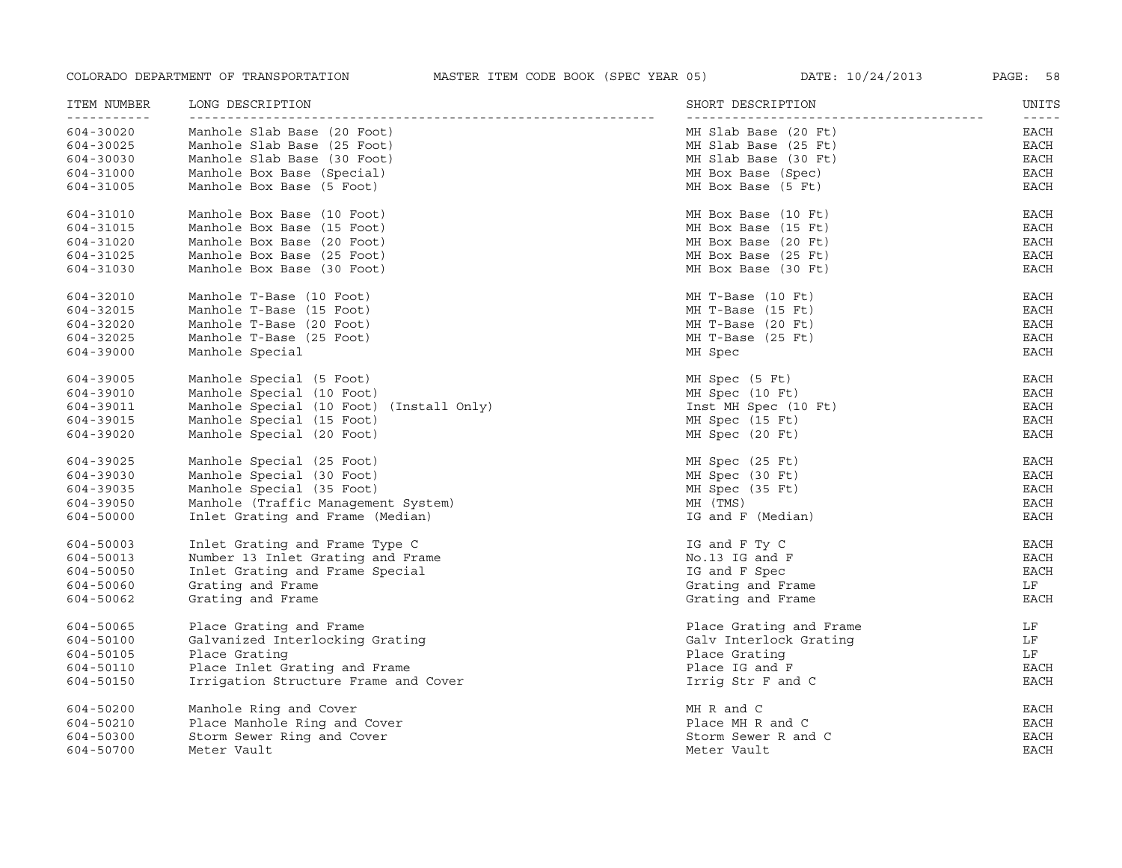| ITEM NUMBER<br>----------- | LONG DESCRIPTION<br>---------------      | SHORT DESCRIPTION<br>----------- | UNITS<br>$- - - - -$ |
|----------------------------|------------------------------------------|----------------------------------|----------------------|
| 604-30020                  | Manhole Slab Base (20 Foot)              | MH Slab Base (20 Ft)             | EACH                 |
| 604-30025                  | Manhole Slab Base (25 Foot)              | MH Slab Base (25 Ft)             | EACH                 |
| 604-30030                  | Manhole Slab Base (30 Foot)              | MH Slab Base (30 Ft)             | EACH                 |
| 604-31000                  | Manhole Box Base (Special)               | MH Box Base (Spec)               | EACH                 |
| 604-31005                  | Manhole Box Base (5 Foot)                | MH Box Base (5 Ft)               | <b>EACH</b>          |
| 604-31010                  | Manhole Box Base (10 Foot)               | MH Box Base (10 Ft)              | EACH                 |
| 604-31015                  | Manhole Box Base (15 Foot)               | MH Box Base (15 Ft)              | EACH                 |
| 604-31020                  | Manhole Box Base (20 Foot)               | MH Box Base (20 Ft)              | EACH                 |
| 604-31025                  | Manhole Box Base (25 Foot)               | MH Box Base (25 Ft)              | EACH                 |
| 604-31030                  | Manhole Box Base (30 Foot)               | MH Box Base (30 Ft)              | <b>EACH</b>          |
| 604-32010                  | Manhole T-Base (10 Foot)                 | MH T-Base (10 Ft)                | EACH                 |
| 604-32015                  | Manhole T-Base (15 Foot)                 | MH T-Base (15 Ft)                | EACH                 |
| 604-32020                  | Manhole T-Base (20 Foot)                 | MH T-Base (20 Ft)                | <b>EACH</b>          |
| 604-32025                  | Manhole T-Base (25 Foot)                 | MH T-Base (25 Ft)                | EACH                 |
| 604-39000                  | Manhole Special                          | MH Spec                          | EACH                 |
| 604-39005                  | Manhole Special (5 Foot)                 | MH Spec (5 Ft)                   | EACH                 |
| 604-39010                  | Manhole Special (10 Foot)                | MH Spec (10 Ft)                  | EACH                 |
| 604-39011                  | Manhole Special (10 Foot) (Install Only) | Inst MH Spec (10 Ft)             | EACH                 |
| 604-39015                  | Manhole Special (15 Foot)                | MH Spec (15 Ft)                  | EACH                 |
| 604-39020                  | Manhole Special (20 Foot)                | MH Spec (20 Ft)                  | EACH                 |
| 604-39025                  | Manhole Special (25 Foot)                | MH Spec (25 Ft)                  | <b>EACH</b>          |
| 604-39030                  | Manhole Special (30 Foot)                | MH Spec (30 Ft)                  | EACH                 |
| 604-39035                  | Manhole Special (35 Foot)                | MH Spec (35 Ft)                  | EACH                 |
| 604-39050                  | Manhole (Traffic Management System)      | MH (TMS)                         | EACH                 |
| 604-50000                  | Inlet Grating and Frame (Median)         | IG and F (Median)                | <b>EACH</b>          |
| 604-50003                  | Inlet Grating and Frame Type C           | IG and F Ty C                    | EACH                 |
| 604-50013                  | Number 13 Inlet Grating and Frame        | No.13 IG and F                   | <b>EACH</b>          |
| 604-50050                  | Inlet Grating and Frame Special          | IG and F Spec                    | EACH                 |
| 604-50060                  | Grating and Frame                        | Grating and Frame                | LF                   |
| 604-50062                  | Grating and Frame                        | Grating and Frame                | EACH                 |
| 604-50065                  | Place Grating and Frame                  | Place Grating and Frame          | LF                   |
| 604-50100                  | Galvanized Interlocking Grating          | Galv Interlock Grating           | LF                   |
| 604-50105                  | Place Grating                            | Place Grating                    | LF                   |
| 604-50110                  | Place Inlet Grating and Frame            | Place IG and F                   | EACH                 |
| 604-50150                  | Irrigation Structure Frame and Cover     | Irrig Str F and C                | <b>EACH</b>          |
| 604-50200                  | Manhole Ring and Cover                   | MH R and C                       | EACH                 |
| 604-50210                  | Place Manhole Ring and Cover             | Place MH R and C                 | EACH                 |
| 604-50300                  | Storm Sewer Ring and Cover               | Storm Sewer R and C              | <b>EACH</b>          |
| 604-50700                  | Meter Vault                              | Meter Vault                      | <b>EACH</b>          |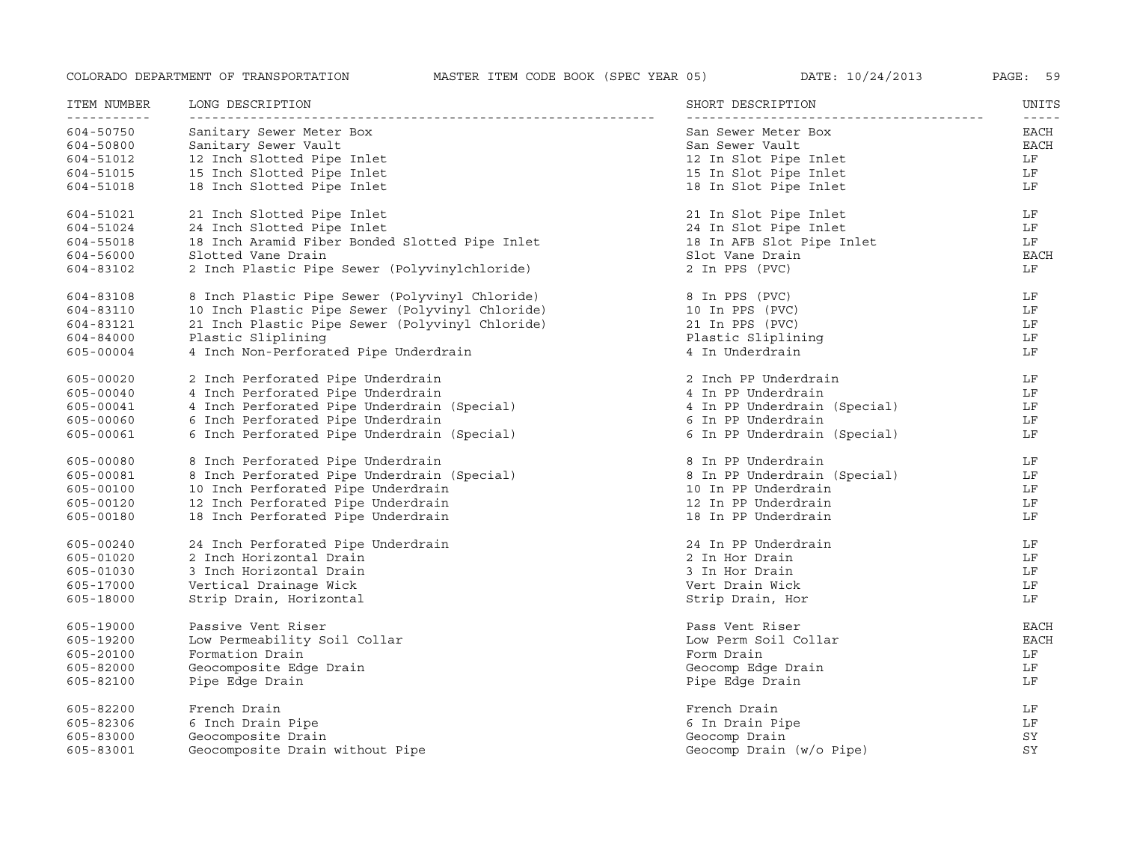| ITEM NUMBER              | LONG DESCRIPTION                                | SHORT DESCRIPTION            | UNITS                        |
|--------------------------|-------------------------------------------------|------------------------------|------------------------------|
| -----------<br>604-50750 | Sanitary Sewer Meter Box                        | San Sewer Meter Box          | $- - - - - -$<br><b>EACH</b> |
| 604-50800                | Sanitary Sewer Vault                            | San Sewer Vault              | <b>EACH</b>                  |
| 604-51012                | 12 Inch Slotted Pipe Inlet                      | 12 In Slot Pipe Inlet        | LF                           |
| 604-51015                | 15 Inch Slotted Pipe Inlet                      | 15 In Slot Pipe Inlet        | LF                           |
| 604-51018                | 18 Inch Slotted Pipe Inlet                      | 18 In Slot Pipe Inlet        | LF                           |
| 604-51021                | 21 Inch Slotted Pipe Inlet                      | 21 In Slot Pipe Inlet        | LF                           |
| 604-51024                | 24 Inch Slotted Pipe Inlet                      | 24 In Slot Pipe Inlet        | LF                           |
| 604-55018                | 18 Inch Aramid Fiber Bonded Slotted Pipe Inlet  | 18 In AFB Slot Pipe Inlet    | LF                           |
| 604-56000                | Slotted Vane Drain                              | Slot Vane Drain              | <b>EACH</b>                  |
| 604-83102                | 2 Inch Plastic Pipe Sewer (Polyvinylchloride)   | 2 In PPS (PVC)               | LF                           |
| 604-83108                | 8 Inch Plastic Pipe Sewer (Polyvinyl Chloride)  | 8 In PPS (PVC)               | LF                           |
| 604-83110                | 10 Inch Plastic Pipe Sewer (Polyvinyl Chloride) | 10 In PPS (PVC)              | LF                           |
| 604-83121                | 21 Inch Plastic Pipe Sewer (Polyvinyl Chloride) | 21 In PPS (PVC)              | LF                           |
| 604-84000                | Plastic Sliplining                              | Plastic Sliplining           | LF                           |
| 605-00004                | 4 Inch Non-Perforated Pipe Underdrain           | 4 In Underdrain              | LF                           |
| 605-00020                | 2 Inch Perforated Pipe Underdrain               | 2 Inch PP Underdrain         | LF                           |
| 605-00040                | 4 Inch Perforated Pipe Underdrain               | 4 In PP Underdrain           | LF                           |
| 605-00041                | 4 Inch Perforated Pipe Underdrain (Special)     | 4 In PP Underdrain (Special) | LF                           |
| 605-00060                | 6 Inch Perforated Pipe Underdrain               | 6 In PP Underdrain           | LF                           |
| 605-00061                | 6 Inch Perforated Pipe Underdrain (Special)     | 6 In PP Underdrain (Special) | LF                           |
| 605-00080                | 8 Inch Perforated Pipe Underdrain               | 8 In PP Underdrain           | LF                           |
| 605-00081                | 8 Inch Perforated Pipe Underdrain (Special)     | 8 In PP Underdrain (Special) | LF                           |
| 605-00100                | 10 Inch Perforated Pipe Underdrain              | 10 In PP Underdrain          | LF                           |
| 605-00120                | 12 Inch Perforated Pipe Underdrain              | 12 In PP Underdrain          | LF                           |
| 605-00180                | 18 Inch Perforated Pipe Underdrain              | 18 In PP Underdrain          | LF                           |
| 605-00240                | 24 Inch Perforated Pipe Underdrain              | 24 In PP Underdrain          | LF                           |
| 605-01020                | 2 Inch Horizontal Drain                         | 2 In Hor Drain               | LF                           |
| 605-01030                | 3 Inch Horizontal Drain                         | 3 In Hor Drain               | LF                           |
| 605-17000                | Vertical Drainage Wick                          | Vert Drain Wick              | LF                           |
| 605-18000                | Strip Drain, Horizontal                         | Strip Drain, Hor             | LF                           |
| 605-19000                | Passive Vent Riser                              | Pass Vent Riser              | EACH                         |
| 605-19200                | Low Permeability Soil Collar                    | Low Perm Soil Collar         | EACH                         |
| 605-20100                | Formation Drain                                 | Form Drain                   | LF                           |
| 605-82000                | Geocomposite Edge Drain                         | Geocomp Edge Drain           | LF                           |
| 605-82100                | Pipe Edge Drain                                 | Pipe Edge Drain              | LF                           |
| 605-82200                | French Drain                                    | French Drain                 | LF                           |
| 605-82306                | 6 Inch Drain Pipe                               | 6 In Drain Pipe              | LF                           |
| 605-83000                | Geocomposite Drain                              | Geocomp Drain                | SY                           |
| 605-83001                | Geocomposite Drain without Pipe                 | Geocomp Drain (w/o Pipe)     | SY                           |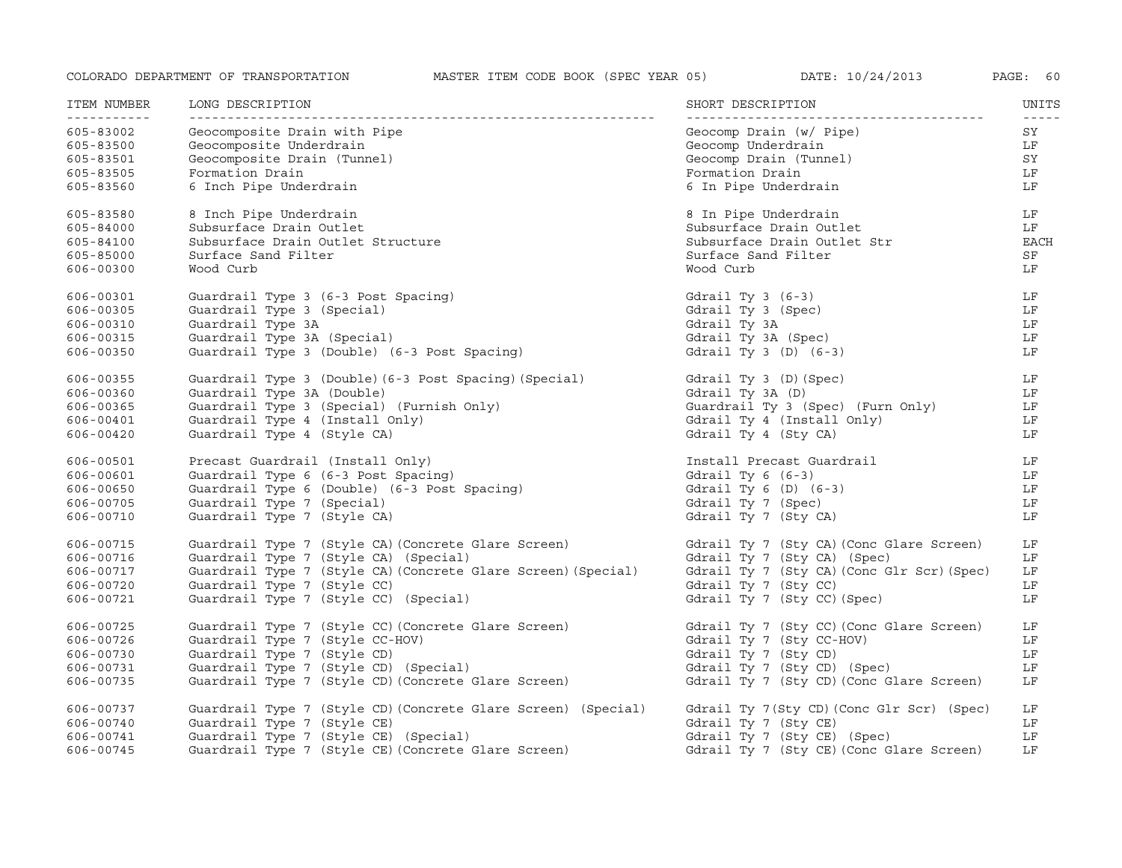| ITEM NUMBER                                         | LONG DESCRIPTION                                                                                          | SHORT DESCRIPTION                                                                          | UNITS                                 |
|-----------------------------------------------------|-----------------------------------------------------------------------------------------------------------|--------------------------------------------------------------------------------------------|---------------------------------------|
| ------------<br>605-83002<br>605-83500<br>605-83501 | Geocomposite Drain with Pipe<br>Geocomposite Underdrain<br>Geocomposite Drain (Tunnel)<br>Formation Drain | Geocomp Drain (w/ Pipe)<br>Geocomp Underdrain<br>Geocomp Drain (Tunnel)<br>Formation Drain | $- - - - - -$<br>SY<br>LF<br>SY<br>LF |
| 605-83505<br>605-83560                              | 6 Inch Pipe Underdrain                                                                                    | 6 In Pipe Underdrain                                                                       | LF                                    |
| 605-83580                                           | 8 Inch Pipe Underdrain                                                                                    | 8 In Pipe Underdrain                                                                       | LF                                    |
| 605-84000                                           | Subsurface Drain Outlet                                                                                   | Subsurface Drain Outlet                                                                    | LF                                    |
| 605-84100                                           | Subsurface Drain Outlet Structure                                                                         | Subsurface Drain Outlet Str                                                                | EACH                                  |
| 605-85000                                           | Surface Sand Filter                                                                                       | Surface Sand Filter                                                                        | SF                                    |
| 606-00300                                           | Wood Curb                                                                                                 | Wood Curb                                                                                  | LF                                    |
| 606-00301                                           | Guardrail Type 3 (6-3 Post Spacing)                                                                       | Gdrail Ty 3 $(6-3)$                                                                        | LF                                    |
| 606-00305                                           | Guardrail Type 3 (Special)                                                                                | Gdrail Ty 3 (Spec)                                                                         | LF                                    |
| 606-00310                                           | Guardrail Type 3A                                                                                         | Gdrail Ty 3A                                                                               | LF                                    |
| 606-00315                                           | Guardrail Type 3A (Special)                                                                               | Gdrail Ty 3A (Spec)                                                                        | LF                                    |
| 606-00350                                           | Guardrail Type 3 (Double) (6-3 Post Spacing)                                                              | Gdrail Ty 3 $(D)$ $(6-3)$                                                                  | LF                                    |
| 606-00355                                           | Guardrail Type 3 (Double) (6-3 Post Spacing) (Special)                                                    | Gdrail Ty 3 (D) (Spec)                                                                     | LF                                    |
| 606-00360                                           | Guardrail Type 3A (Double)                                                                                | Gdrail Ty 3A (D)                                                                           | LF                                    |
| 606-00365                                           | Guardrail Type 3 (Special) (Furnish Only)                                                                 | Guardrail Ty 3 (Spec) (Furn Only)                                                          | LF                                    |
| 606-00401                                           | Guardrail Type 4 (Install Only)                                                                           | Gdrail Ty 4 (Install Only)                                                                 | LF                                    |
| 606-00420                                           | Guardrail Type 4 (Style CA)                                                                               | Gdrail Ty 4 (Sty CA)                                                                       | LF                                    |
| 606-00501                                           | Precast Guardrail (Install Only)                                                                          | Install Precast Guardrail                                                                  | LF                                    |
| 606-00601                                           | Guardrail Type 6 (6-3 Post Spacing)                                                                       | Gdrail Ty $6(6-3)$                                                                         | LF                                    |
| 606-00650                                           | Guardrail Type 6 (Double) (6-3 Post Spacing)                                                              | Gdrail Ty $6(D)$ $(6-3)$                                                                   | LF                                    |
| 606-00705                                           | Guardrail Type 7 (Special)                                                                                | Gdrail Ty 7 (Spec)                                                                         | LF                                    |
| 606-00710                                           | Guardrail Type 7 (Style CA)                                                                               | Gdrail Ty 7 (Sty CA)                                                                       | LF                                    |
| 606-00715                                           | Guardrail Type 7 (Style CA) (Concrete Glare Screen)                                                       | Gdrail Ty 7 (Sty CA) (Conc Glare Screen)                                                   | LF                                    |
| 606-00716                                           | Guardrail Type 7 (Style CA) (Special)                                                                     | Gdrail Ty 7 (Sty CA) (Spec)                                                                | LF                                    |
| 606-00717                                           | Guardrail Type 7 (Style CA) (Concrete Glare Screen) (Special)                                             | Gdrail Ty 7 (Sty CA) (Conc Glr Scr) (Spec)                                                 | LF                                    |
| 606-00720                                           | Guardrail Type 7 (Style CC)                                                                               | Gdrail Ty 7 (Sty CC)                                                                       | LF                                    |
| 606-00721                                           | Guardrail Type 7 (Style CC) (Special)                                                                     | Gdrail Ty 7 (Sty CC) (Spec)                                                                | LF                                    |
| 606-00725                                           | Guardrail Type 7 (Style CC) (Concrete Glare Screen)                                                       | Gdrail Ty 7 (Sty CC) (Conc Glare Screen)                                                   | LF                                    |
| 606-00726                                           | Guardrail Type 7 (Style CC-HOV)                                                                           | Gdrail Ty 7 (Sty CC-HOV)                                                                   | LF                                    |
| 606-00730                                           | Guardrail Type 7 (Style CD)                                                                               | Gdrail Ty 7 (Sty CD)                                                                       | LF                                    |
| 606-00731                                           | Guardrail Type 7 (Style CD) (Special)                                                                     | Gdrail Ty 7 (Sty CD) (Spec)                                                                | LF                                    |
| 606-00735                                           | Guardrail Type 7 (Style CD) (Concrete Glare Screen)                                                       | Gdrail Ty 7 (Sty CD) (Conc Glare Screen)                                                   | LF                                    |
| 606-00737                                           | Guardrail Type 7 (Style CD) (Concrete Glare Screen) (Special)                                             | Gdrail Ty 7(Sty CD) (Conc Glr Scr) (Spec)                                                  | LF                                    |
| 606-00740                                           | Guardrail Type 7 (Style CE)                                                                               | Gdrail Ty 7 (Sty CE)                                                                       | LF                                    |
| 606-00741                                           | Guardrail Type 7 (Style CE) (Special)                                                                     | Gdrail Ty 7 (Sty CE) (Spec)                                                                | LF                                    |
| 606-00745                                           | Guardrail Type 7 (Style CE) (Concrete Glare Screen)                                                       | Gdrail Ty 7 (Sty CE) (Conc Glare Screen)                                                   | LF                                    |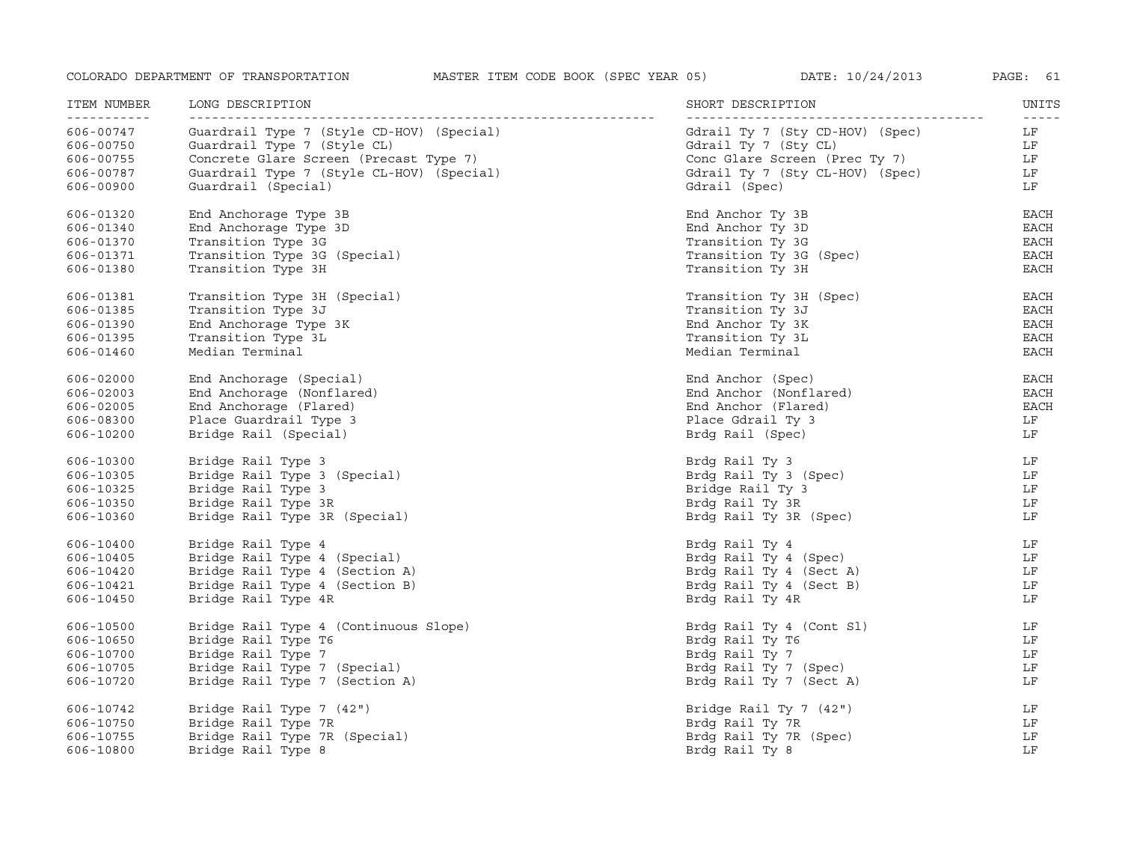| ITEM NUMBER<br>------------ | LONG DESCRIPTION                          | SHORT DESCRIPTION               | UNITS<br>$- - - - - -$ |
|-----------------------------|-------------------------------------------|---------------------------------|------------------------|
| 606-00747                   | Guardrail Type 7 (Style CD-HOV) (Special) | Gdrail Ty 7 (Sty CD-HOV) (Spec) | LF                     |
| 606-00750                   | Guardrail Type 7 (Style CL)               | Gdrail Ty 7 (Sty CL)            | LF                     |
| 606-00755                   | Concrete Glare Screen (Precast Type 7)    | Conc Glare Screen (Prec Ty 7)   | LF                     |
| 606-00787                   | Guardrail Type 7 (Style CL-HOV) (Special) | Gdrail Ty 7 (Sty CL-HOV) (Spec) | LF                     |
| 606-00900                   | Guardrail (Special)                       | Gdrail (Spec)                   | LF                     |
| 606-01320                   | End Anchorage Type 3B                     | End Anchor Ty 3B                | EACH                   |
| 606-01340                   | End Anchorage Type 3D                     | End Anchor Ty 3D                | $_{\rm EACH}$          |
| 606-01370                   | Transition Type 3G                        | Transition Ty 3G                | EACH                   |
| 606-01371                   | Transition Type 3G (Special)              | Transition Ty 3G (Spec)         | EACH                   |
| 606-01380                   | Transition Type 3H                        | Transition Ty 3H                | EACH                   |
| 606-01381                   | Transition Type 3H (Special)              | Transition Ty 3H (Spec)         | EACH                   |
| 606-01385                   | Transition Type 3J                        | Transition Ty 3J                | EACH                   |
| 606-01390                   | End Anchorage Type 3K                     | End Anchor Ty 3K                | EACH                   |
| 606-01395                   | Transition Type 3L                        | Transition Ty 3L                | EACH                   |
| 606-01460                   | Median Terminal                           | Median Terminal                 | EACH                   |
| 606-02000                   | End Anchorage (Special)                   | End Anchor (Spec)               | EACH                   |
| 606-02003                   | End Anchorage (Nonflared)                 | End Anchor (Nonflared)          | EACH                   |
| 606-02005                   | End Anchorage (Flared)                    | End Anchor (Flared)             | EACH                   |
| 606-08300                   | Place Guardrail Type 3                    | Place Gdrail Ty 3               | LF                     |
| 606-10200                   | Bridge Rail (Special)                     | Brdg Rail (Spec)                | LF                     |
| 606-10300                   | Bridge Rail Type 3                        | Brdg Rail Ty 3                  | LF                     |
| 606-10305                   | Bridge Rail Type 3 (Special)              | Brdg Rail Ty 3 (Spec)           | LF                     |
| 606-10325                   | Bridge Rail Type 3                        | Bridge Rail Ty 3                | LF                     |
| 606-10350                   | Bridge Rail Type 3R                       | Brdg Rail Ty 3R                 | LF                     |
| 606-10360                   | Bridge Rail Type 3R (Special)             | Brdg Rail Ty 3R (Spec)          | LF                     |
| 606-10400                   | Bridge Rail Type 4                        | Brdg Rail Ty 4                  | LF                     |
| 606-10405                   | Bridge Rail Type 4 (Special)              | Brdg Rail Ty 4 (Spec)           | LF                     |
| 606-10420                   | Bridge Rail Type 4 (Section A)            | Brdg Rail Ty 4 (Sect A)         | LF                     |
| 606-10421                   | Bridge Rail Type 4 (Section B)            | Brdg Rail Ty 4 (Sect B)         | LF                     |
| 606-10450                   | Bridge Rail Type 4R                       | Brdg Rail Ty 4R                 | LF                     |
| 606-10500                   | Bridge Rail Type 4 (Continuous Slope)     | Brdg Rail Ty 4 (Cont Sl)        | LF                     |
| 606-10650                   | Bridge Rail Type T6                       | Brdg Rail Ty T6                 | LF                     |
| 606-10700                   | Bridge Rail Type 7                        | Brdg Rail Ty 7                  | LF                     |
| 606-10705                   | Bridge Rail Type 7 (Special)              | Brdg Rail Ty 7 (Spec)           | LF                     |
| 606-10720                   | Bridge Rail Type 7 (Section A)            | Brdg Rail Ty 7 (Sect A)         | LF                     |
| 606-10742                   | Bridge Rail Type 7 (42")                  | Bridge Rail Ty 7 (42")          | LF                     |
| 606-10750                   | Bridge Rail Type 7R                       | Brdg Rail Ty 7R                 | LF                     |
| 606-10755                   | Bridge Rail Type 7R (Special)             | Brdg Rail Ty 7R (Spec)          | LF                     |
| 606-10800                   | Bridge Rail Type 8                        | Brdg Rail Ty 8                  | LF                     |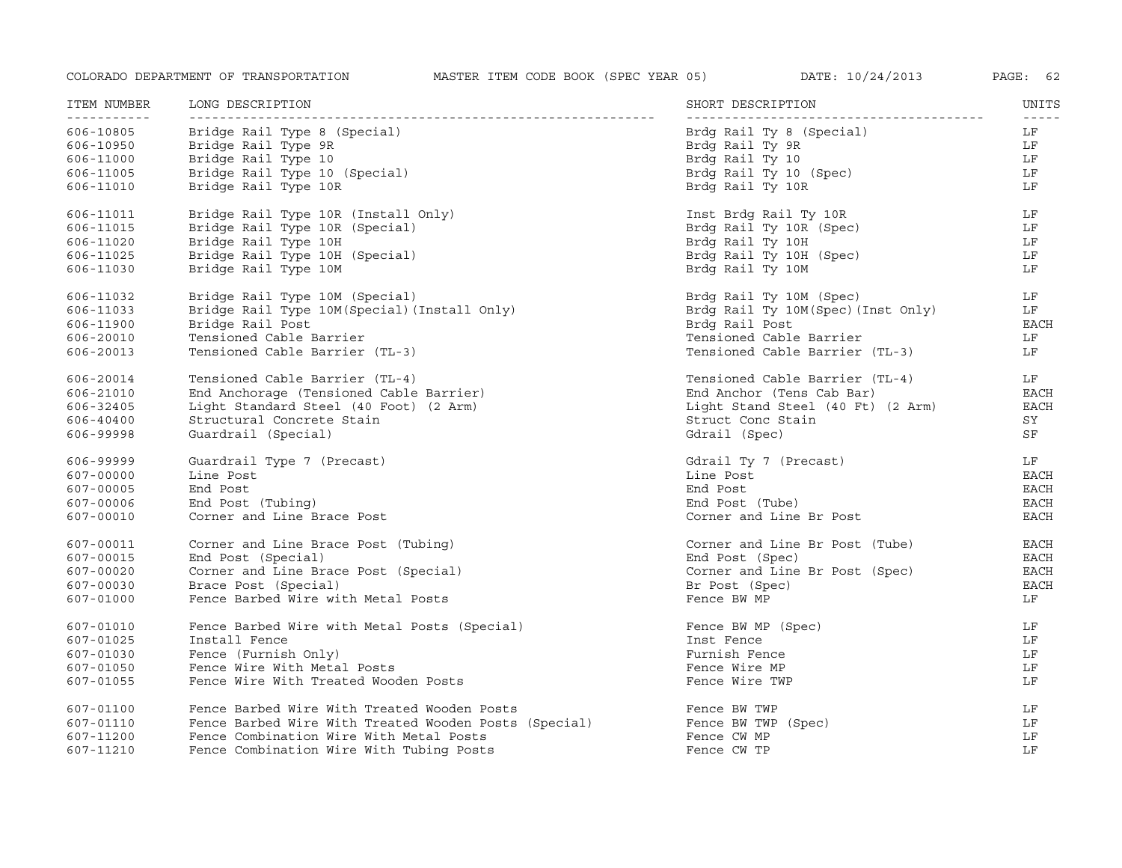| ITEM NUMBER<br>----------- | LONG DESCRIPTION                                      | SHORT DESCRIPTION                  | UNITS<br>$- - - - - -$ |
|----------------------------|-------------------------------------------------------|------------------------------------|------------------------|
| 606-10805                  | Bridge Rail Type 8 (Special)                          | Brdg Rail Ty 8 (Special)           | LF                     |
| 606-10950                  | Bridge Rail Type 9R                                   | Brdg Rail Ty 9R                    | LF                     |
| 606-11000                  | Bridge Rail Type 10                                   | Brdg Rail Ty 10                    | LF                     |
| 606-11005                  | Bridge Rail Type 10 (Special)                         | Brdg Rail Ty 10 (Spec)             | LF                     |
| 606-11010                  | Bridge Rail Type 10R                                  | Brdg Rail Ty 10R                   | LF                     |
| 606-11011                  | Bridge Rail Type 10R (Install Only)                   | Inst Brdg Rail Ty 10R              | LF                     |
| 606-11015                  | Bridge Rail Type 10R (Special)                        | Brdg Rail Ty 10R (Spec)            | LF                     |
| 606-11020                  | Bridge Rail Type 10H                                  | Brdg Rail Ty 10H                   | LF                     |
| 606-11025                  | Bridge Rail Type 10H (Special)                        | Brdg Rail Ty 10H (Spec)            | LF                     |
| 606-11030                  | Bridge Rail Type 10M                                  | Brdg Rail Ty 10M                   | LF                     |
| 606-11032                  | Bridge Rail Type 10M (Special)                        | Brdg Rail Ty 10M (Spec)            | LF                     |
| 606-11033                  | Bridge Rail Type 10M (Special) (Install Only)         | Brdg Rail Ty 10M(Spec) (Inst Only) | LF                     |
| 606-11900                  | Bridge Rail Post                                      | Brdg Rail Post                     | <b>EACH</b>            |
| 606-20010                  | Tensioned Cable Barrier                               | Tensioned Cable Barrier            | LF                     |
| 606-20013                  | Tensioned Cable Barrier (TL-3)                        | Tensioned Cable Barrier (TL-3)     | LF                     |
| 606-20014                  | Tensioned Cable Barrier (TL-4)                        | Tensioned Cable Barrier (TL-4)     | LF                     |
| 606-21010                  | End Anchorage (Tensioned Cable Barrier)               | End Anchor (Tens Cab Bar)          | EACH                   |
| 606-32405                  | Light Standard Steel (40 Foot) (2 Arm)                | Light Stand Steel (40 Ft) (2 Arm)  | EACH                   |
| 606-40400                  | Structural Concrete Stain                             | Struct Conc Stain                  | SY                     |
| 606-99998                  | Guardrail (Special)                                   | Gdrail (Spec)                      | SF                     |
| 606-99999                  | Guardrail Type 7 (Precast)                            | Gdrail Ty 7 (Precast)              | LF                     |
| 607-00000                  | Line Post                                             | Line Post                          | EACH                   |
| 607-00005                  | End Post                                              | End Post                           | EACH                   |
| 607-00006                  | End Post (Tubing)                                     | End Post (Tube)                    | EACH                   |
| 607-00010                  | Corner and Line Brace Post                            | Corner and Line Br Post            | EACH                   |
| 607-00011                  | Corner and Line Brace Post (Tubing)                   | Corner and Line Br Post (Tube)     | EACH                   |
| 607-00015                  | End Post (Special)                                    | End Post (Spec)                    | <b>EACH</b>            |
| 607-00020                  | Corner and Line Brace Post (Special)                  | Corner and Line Br Post (Spec)     | <b>EACH</b>            |
| 607-00030                  | Brace Post (Special)                                  | Br Post (Spec)                     | <b>EACH</b>            |
| 607-01000                  | Fence Barbed Wire with Metal Posts                    | Fence BW MP                        | LF                     |
| 607-01010                  | Fence Barbed Wire with Metal Posts (Special)          | Fence BW MP (Spec)                 | LF                     |
| 607-01025                  | Install Fence                                         | Inst Fence                         | LF                     |
| 607-01030                  | Fence (Furnish Only)                                  | Furnish Fence                      | LF                     |
| 607-01050                  | Fence Wire With Metal Posts                           | Fence Wire MP                      | LF                     |
| 607-01055                  | Fence Wire With Treated Wooden Posts                  | Fence Wire TWP                     | LF                     |
| 607-01100                  | Fence Barbed Wire With Treated Wooden Posts           | Fence BW TWP                       | LF                     |
| 607-01110                  | Fence Barbed Wire With Treated Wooden Posts (Special) | Fence BW TWP (Spec)                | LF                     |
| 607-11200                  | Fence Combination Wire With Metal Posts               | Fence CW MP                        | LF                     |
| 607-11210                  | Fence Combination Wire With Tubing Posts              | Fence CW TP                        | LF                     |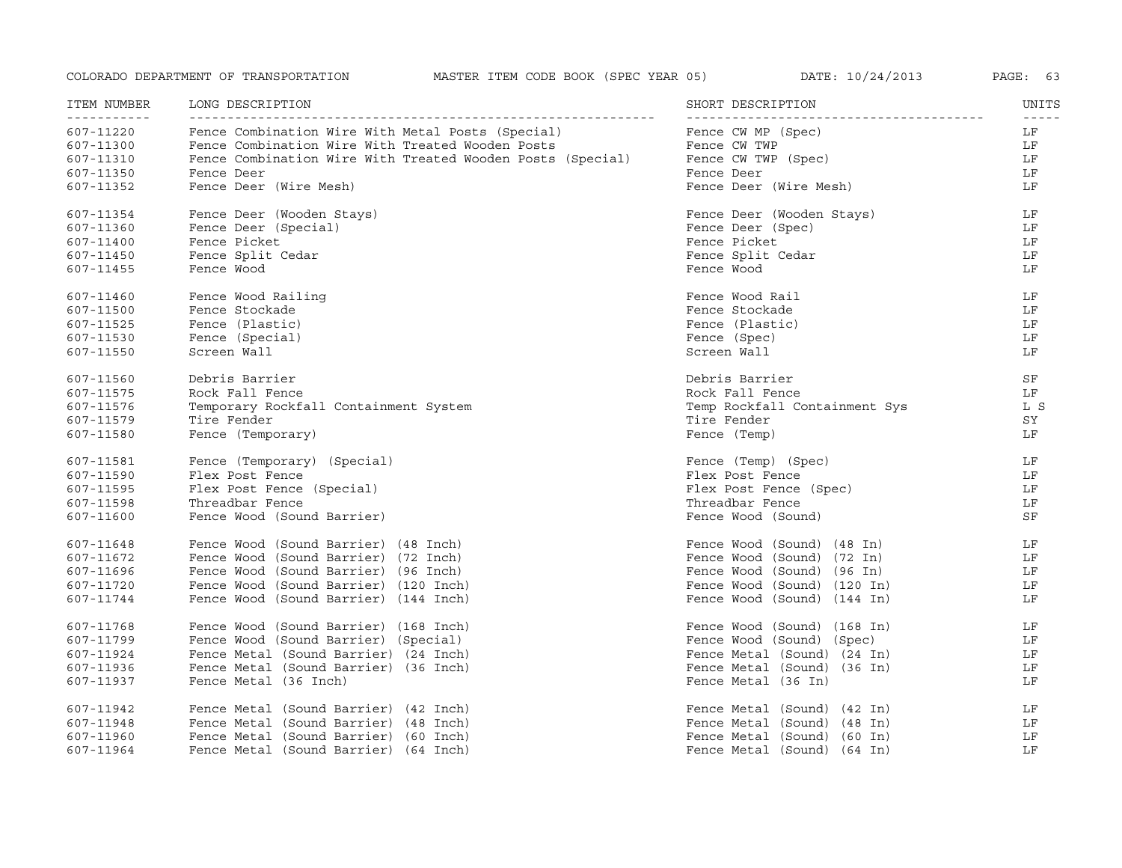|  | DATE: |  |  | 10/24/201 |
|--|-------|--|--|-----------|
|--|-------|--|--|-----------|

| ITEM NUMBER                          | LONG DESCRIPTION                                           | SHORT DESCRIPTION             | UNITS             |
|--------------------------------------|------------------------------------------------------------|-------------------------------|-------------------|
| - - - - - - - - - - - -<br>607-11220 | Fence Combination Wire With Metal Posts (Special)          | Fence CW MP (Spec)            | $- - - - -$<br>LF |
| 607-11300                            | Fence Combination Wire With Treated Wooden Posts           | Fence CW TWP                  | LF                |
| 607-11310                            | Fence Combination Wire With Treated Wooden Posts (Special) | Fence CW TWP (Spec)           | LF                |
| 607-11350                            | Fence Deer                                                 | Fence Deer                    | LF                |
| 607-11352                            | Fence Deer (Wire Mesh)                                     | Fence Deer (Wire Mesh)        | LF                |
| 607-11354                            | Fence Deer (Wooden Stays)                                  | Fence Deer (Wooden Stays)     | LF                |
| 607-11360                            | Fence Deer (Special)                                       | Fence Deer (Spec)             | LF                |
| 607-11400                            | Fence Picket                                               | Fence Picket                  | LF                |
| 607-11450                            | Fence Split Cedar                                          | Fence Split Cedar             | LF                |
| 607-11455                            | Fence Wood                                                 | Fence Wood                    | LF                |
| 607-11460                            | Fence Wood Railing                                         | Fence Wood Rail               | LF                |
| 607-11500                            | Fence Stockade                                             | Fence Stockade                | LF                |
| 607-11525                            | Fence (Plastic)                                            | Fence (Plastic)               | LF                |
| 607-11530                            | Fence (Special)                                            | Fence (Spec)                  | LF                |
| 607-11550                            | Screen Wall                                                | Screen Wall                   | LF                |
| 607-11560                            | Debris Barrier                                             | Debris Barrier                | SF                |
| 607-11575                            | Rock Fall Fence                                            | Rock Fall Fence               | LF                |
| 607-11576                            | Temporary Rockfall Containment System                      | Temp Rockfall Containment Sys | L S               |
| 607-11579                            | Tire Fender                                                | Tire Fender                   | SY                |
| 607-11580                            | Fence (Temporary)                                          | Fence (Temp)                  | LF                |
| 607-11581                            | Fence (Temporary) (Special)                                | Fence (Temp) (Spec)           | LF                |
| 607-11590                            | Flex Post Fence                                            | Flex Post Fence               | LF                |
| 607-11595                            | Flex Post Fence (Special)                                  | Flex Post Fence (Spec)        | LF                |
| 607-11598                            | Threadbar Fence                                            | Threadbar Fence               | LF                |
| 607-11600                            | Fence Wood (Sound Barrier)                                 | Fence Wood (Sound)            | SF                |
| 607-11648                            | Fence Wood (Sound Barrier) (48 Inch)                       | Fence Wood (Sound) (48 In)    | LF                |
| 607-11672                            | Fence Wood (Sound Barrier) (72 Inch)                       | Fence Wood (Sound) (72 In)    | LF                |
| 607-11696                            | Fence Wood (Sound Barrier) (96 Inch)                       | Fence Wood (Sound) (96 In)    | LF                |
| 607-11720                            | Fence Wood (Sound Barrier) (120 Inch)                      | Fence Wood (Sound) (120 In)   | LF                |
| 607-11744                            | Fence Wood (Sound Barrier) (144 Inch)                      | Fence Wood (Sound) (144 In)   | LF                |
| 607-11768                            | Fence Wood (Sound Barrier) (168 Inch)                      | Fence Wood (Sound) (168 In)   | LF                |
| 607-11799                            | Fence Wood (Sound Barrier) (Special)                       | Fence Wood (Sound) (Spec)     | LF                |
| 607-11924                            | Fence Metal (Sound Barrier) (24 Inch)                      | Fence Metal (Sound) (24 In)   | LF                |
| 607-11936                            | Fence Metal (Sound Barrier) (36 Inch)                      | Fence Metal (Sound) (36 In)   | LF                |
| 607-11937                            | Fence Metal (36 Inch)                                      | Fence Metal (36 In)           | LF                |
| 607-11942                            | Fence Metal (Sound Barrier) (42 Inch)                      | Fence Metal (Sound) (42 In)   | LF                |
| 607-11948                            | Fence Metal (Sound Barrier) (48 Inch)                      | Fence Metal (Sound) (48 In)   | LF                |
| 607-11960                            | Fence Metal (Sound Barrier) (60 Inch)                      | Fence Metal (Sound) (60 In)   | LF                |
| 607-11964                            | Fence Metal (Sound Barrier) (64 Inch)                      | Fence Metal (Sound) (64 In)   | LF                |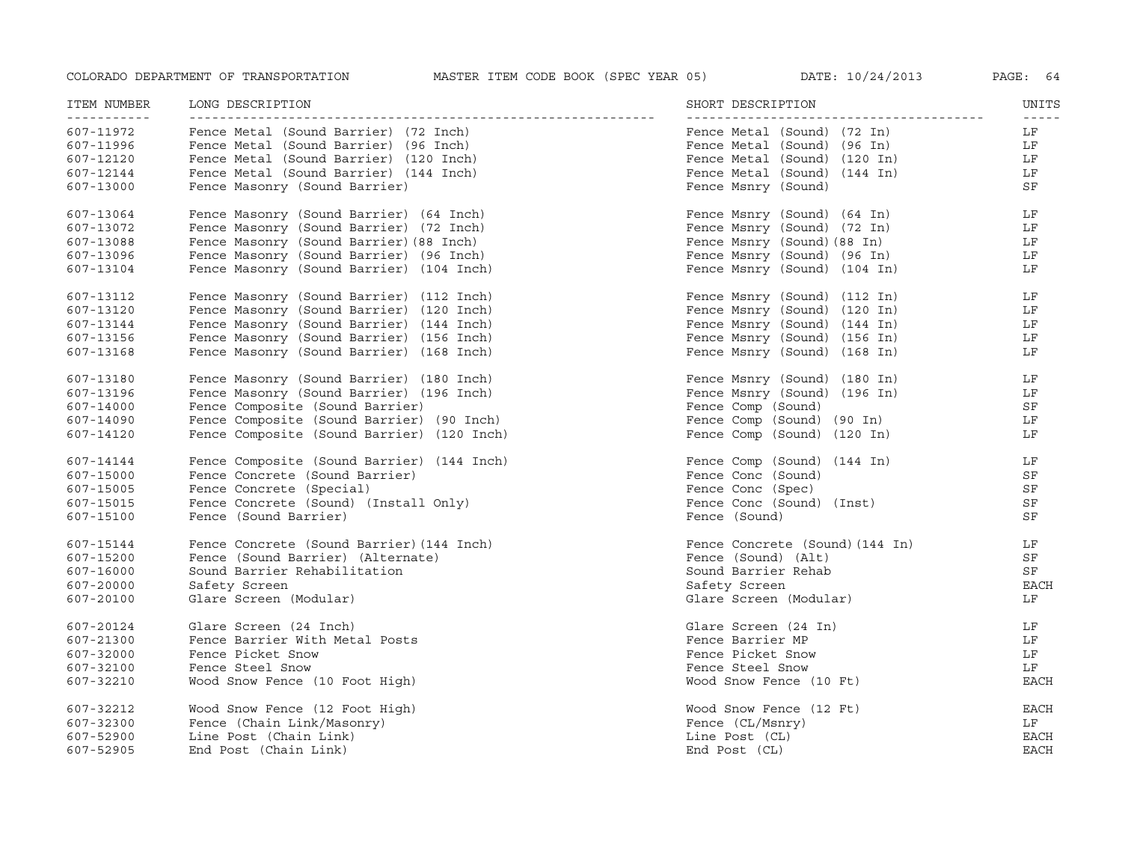| ITEM NUMBER<br>___________ | LONG DESCRIPTION                           | SHORT DESCRIPTION               | UNITS<br>$- - - - -$ |
|----------------------------|--------------------------------------------|---------------------------------|----------------------|
| 607-11972                  | Fence Metal (Sound Barrier) (72 Inch)      | Fence Metal (Sound) (72 In)     | LF                   |
| 607-11996                  | Fence Metal (Sound Barrier) (96 Inch)      | Fence Metal (Sound) (96 In)     | LF                   |
| 607-12120                  | Fence Metal (Sound Barrier) (120 Inch)     | Fence Metal (Sound) (120 In)    | LF                   |
| 607-12144                  | Fence Metal (Sound Barrier) (144 Inch)     | Fence Metal (Sound) (144 In)    | LF                   |
| 607-13000                  | Fence Masonry (Sound Barrier)              | Fence Msnry (Sound)             | SF                   |
| 607-13064                  | Fence Masonry (Sound Barrier) (64 Inch)    | Fence Msnry (Sound) (64 In)     | LF                   |
| 607-13072                  | Fence Masonry (Sound Barrier) (72 Inch)    | Fence Msnry (Sound) (72 In)     | LF                   |
| 607-13088                  | Fence Masonry (Sound Barrier) (88 Inch)    | Fence Msnry (Sound) (88 In)     | LF                   |
| 607-13096                  | Fence Masonry (Sound Barrier) (96 Inch)    | Fence Msnry (Sound) (96 In)     | LF                   |
| 607-13104                  | Fence Masonry (Sound Barrier) (104 Inch)   | Fence Msnry (Sound) (104 In)    | LF                   |
| 607-13112                  | Fence Masonry (Sound Barrier) (112 Inch)   | Fence Msnry (Sound) (112 In)    | LF                   |
| 607-13120                  | Fence Masonry (Sound Barrier) (120 Inch)   | Fence Msnry (Sound) (120 In)    | LF                   |
| 607-13144                  | Fence Masonry (Sound Barrier) (144 Inch)   | Fence Msnry (Sound) (144 In)    | LF                   |
| 607-13156                  | Fence Masonry (Sound Barrier) (156 Inch)   | Fence Msnry (Sound) (156 In)    | LF                   |
| 607-13168                  | Fence Masonry (Sound Barrier) (168 Inch)   | Fence Msnry (Sound) (168 In)    | LF                   |
| 607-13180                  | Fence Masonry (Sound Barrier) (180 Inch)   | Fence Msnry (Sound) (180 In)    | LF                   |
| 607-13196                  | Fence Masonry (Sound Barrier) (196 Inch)   | Fence Msnry (Sound) (196 In)    | LF                   |
| 607-14000                  | Fence Composite (Sound Barrier)            | Fence Comp (Sound)              | SF                   |
| 607-14090                  | Fence Composite (Sound Barrier) (90 Inch)  | Fence Comp (Sound) (90 In)      | LF                   |
| 607-14120                  | Fence Composite (Sound Barrier) (120 Inch) | Fence Comp (Sound) (120 In)     | LF                   |
| 607-14144                  | Fence Composite (Sound Barrier) (144 Inch) | Fence Comp (Sound) (144 In)     | LF                   |
| 607-15000                  | Fence Concrete (Sound Barrier)             | Fence Conc (Sound)              | SF                   |
| 607-15005                  | Fence Concrete (Special)                   | Fence Conc (Spec)               | SF                   |
| 607-15015                  | Fence Concrete (Sound) (Install Only)      | Fence Conc (Sound) (Inst)       | SF                   |
| 607-15100                  | Fence (Sound Barrier)                      | Fence (Sound)                   | SF                   |
| 607-15144                  | Fence Concrete (Sound Barrier) (144 Inch)  | Fence Concrete (Sound) (144 In) | LF                   |
| 607-15200                  | Fence (Sound Barrier) (Alternate)          | Fence (Sound) (Alt)             | SF                   |
| 607-16000                  | Sound Barrier Rehabilitation               | Sound Barrier Rehab             | SF                   |
| 607-20000                  | Safety Screen                              | Safety Screen                   | <b>EACH</b>          |
| 607-20100                  | Glare Screen (Modular)                     | Glare Screen (Modular)          | LF                   |
| 607-20124                  | Glare Screen (24 Inch)                     | Glare Screen (24 In)            | LF                   |
| 607-21300                  | Fence Barrier With Metal Posts             | Fence Barrier MP                | LF                   |
| 607-32000                  | Fence Picket Snow                          | Fence Picket Snow               | LF                   |
| 607-32100                  | Fence Steel Snow                           | Fence Steel Snow                | LF                   |
| 607-32210                  | Wood Snow Fence (10 Foot High)             | Wood Snow Fence (10 Ft)         | <b>EACH</b>          |
| 607-32212                  | Wood Snow Fence (12 Foot High)             | Wood Snow Fence (12 Ft)         | <b>EACH</b>          |
| 607-32300                  | Fence (Chain Link/Masonry)                 | Fence (CL/Msnry)                | LF                   |
| 607-52900                  | Line Post (Chain Link)                     | Line Post (CL)                  | EACH                 |
| 607-52905                  | End Post (Chain Link)                      | End Post (CL)                   | <b>EACH</b>          |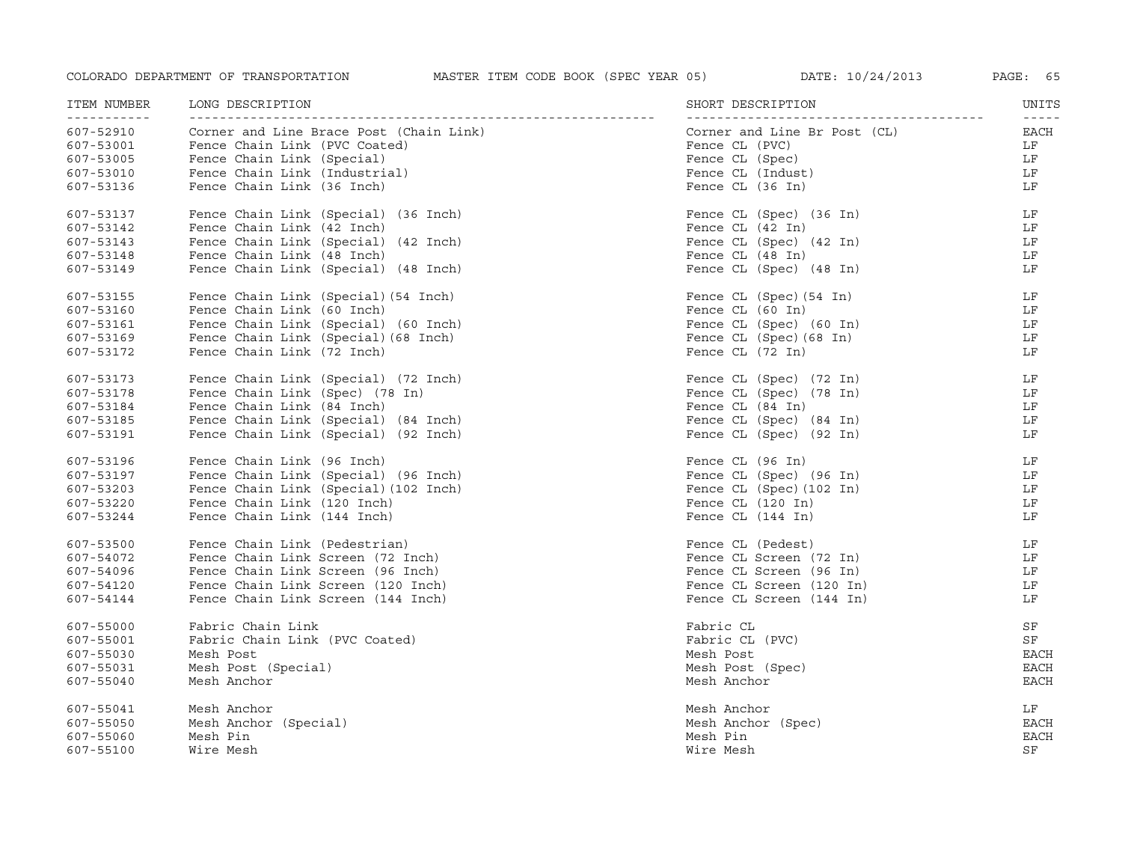| ITEM NUMBER<br>------------ | LONG DESCRIPTION                        | SHORT DESCRIPTION                                  | UNITS<br>$- - - - - -$ |
|-----------------------------|-----------------------------------------|----------------------------------------------------|------------------------|
| 607-52910                   | Corner and Line Brace Post (Chain Link) | Corner and Line Br Post (CL)                       | EACH                   |
| 607-53001                   | Fence Chain Link (PVC Coated)           | Fence CL (PVC)                                     | LF                     |
| 607-53005                   | Fence Chain Link (Special)              | Fence CL (Spec)                                    | LF                     |
| 607-53010                   | Fence Chain Link (Industrial)           | Fence CL (Indust)                                  | LF                     |
| 607-53136                   | Fence Chain Link (36 Inch)              | Fence CL (36 In)                                   | LF                     |
| 607-53137                   | Fence Chain Link (Special) (36 Inch)    | Fence CL (Spec) (36 In)                            | LF                     |
| 607-53142                   | Fence Chain Link (42 Inch)              | Fence CL (42 In)                                   | LF                     |
| 607-53143                   | Fence Chain Link (Special) (42 Inch)    | Fence CL (Spec) (42 In)                            | LF                     |
| 607-53148                   | Fence Chain Link (48 Inch)              | Fence CL (48 In)                                   | LF                     |
| 607-53149                   | Fence Chain Link (Special) (48 Inch)    | Fence CL (Spec) (48 In)                            | LF                     |
| 607-53155                   | Fence Chain Link (Special) (54 Inch)    | Fence CL (Spec) (54 In)                            | LF                     |
| 607-53160                   | Fence Chain Link (60 Inch)              | Fence CL (60 In)                                   | LF                     |
| 607-53161                   | Fence Chain Link (Special) (60 Inch)    | Fence CL (Spec) (60 In)<br>Fence CL (Spec) (60 In) | LF                     |
| 607-53169                   | Fence Chain Link (Special) (68 Inch)    | Fence CL (Spec) (68 In)                            | LF                     |
| 607-53172                   | Fence Chain Link (72 Inch)              | Fence CL (72 In)                                   | LF                     |
| 607-53173                   | Fence Chain Link (Special) (72 Inch)    | Fence CL (Spec) (72 In)                            | LF                     |
| 607-53178                   | Fence Chain Link (Spec) (78 In)         | Fence CL (Spec) (78 In)                            | LF                     |
| 607-53184                   | Fence Chain Link (84 Inch)              | Fence CL (84 In)                                   | LF                     |
| 607-53185                   | Fence Chain Link (Special) (84 Inch)    | Fence CL (Spec) (84 In)                            | LF                     |
| 607-53191                   | Fence Chain Link (Special) (92 Inch)    | Fence CL (Spec) (92 In)                            | LF                     |
| 607-53196                   | Fence Chain Link (96 Inch)              | Fence CL (96 In)                                   | LF                     |
| 607-53197                   | Fence Chain Link (Special) (96 Inch)    | Fence CL (Spec) (96 In)                            | LF                     |
| 607-53203                   | Fence Chain Link (Special) (102 Inch)   | Fence CL (Spec) (102 In)                           | LF                     |
| 607-53220                   | Fence Chain Link (120 Inch)             | Fence $CL$ $(120$ In)                              | LF                     |
| 607-53244                   | Fence Chain Link (144 Inch)             | Fence $CL$ $(144 \; In)$                           | LF                     |
| 607-53500                   | Fence Chain Link (Pedestrian)           | Fence CL (Pedest)                                  | LF                     |
| 607-54072                   | Fence Chain Link Screen (72 Inch)       | Fence CL Screen (72 In)                            | LF                     |
| 607-54096                   | Fence Chain Link Screen (96 Inch)       | Fence CL Screen (96 In)                            | LF                     |
| 607-54120                   | Fence Chain Link Screen (120 Inch)      | Fence CL Screen (120 In)                           | LF                     |
| 607-54144                   | Fence Chain Link Screen (144 Inch)      | Fence CL Screen (144 In)                           | LF                     |
| 607-55000                   | Fabric Chain Link                       | Fabric CL                                          | SF                     |
| 607-55001                   | Fabric Chain Link (PVC Coated)          | Fabric CL (PVC)                                    | SF                     |
| 607-55030                   | Mesh Post                               | Mesh Post                                          | EACH                   |
| 607-55031                   | Mesh Post (Special)                     | Mesh Post (Spec)                                   | EACH                   |
| 607-55040                   | Mesh Anchor                             | Mesh Anchor                                        | EACH                   |
| 607-55041                   | Mesh Anchor                             | Mesh Anchor                                        | LF                     |
| 607-55050                   | Mesh Anchor (Special)                   | Mesh Anchor (Spec)                                 | EACH                   |
| 607-55060                   | Mesh Pin                                | Mesh Pin                                           | <b>EACH</b>            |
| 607-55100                   | Wire Mesh                               | Wire Mesh                                          | SF                     |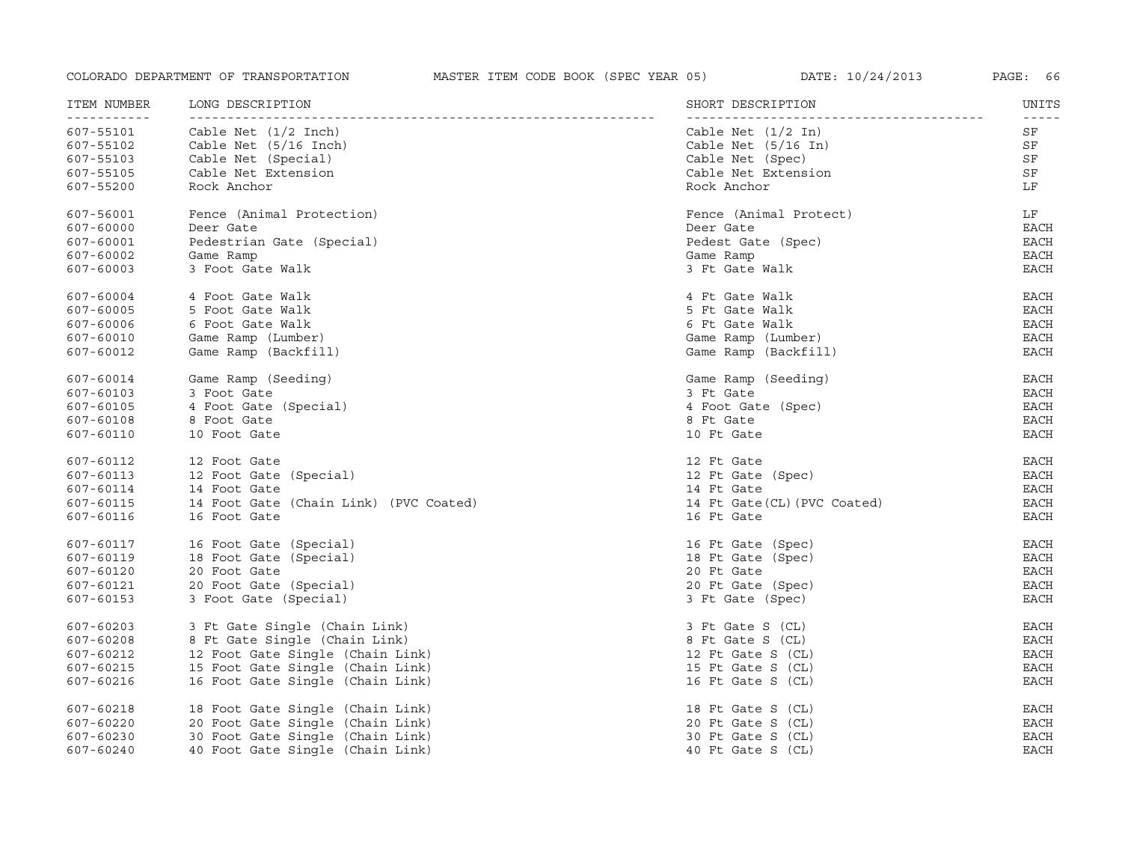| ITEM NUMBER<br>----------- | LONG DESCRIPTION                       | SHORT DESCRIPTION            | UNITS         |
|----------------------------|----------------------------------------|------------------------------|---------------|
| 607-55101                  | Cable Net $(1/2$ Inch)                 | Cable Net $(1/2 \text{ In})$ | SF            |
| 607-55102                  | Cable Net (5/16 Inch)                  | Cable Net $(5/16$ In)        | SF            |
| 607-55103                  | Cable Net (Special)                    | Cable Net (Spec)             | SF            |
| 607-55105                  | Cable Net Extension                    | Cable Net Extension          | SF            |
| 607-55200                  | Rock Anchor                            | Rock Anchor                  | LF            |
| 607-56001                  | Fence (Animal Protection)              | Fence (Animal Protect)       | LF            |
| 607-60000                  | Deer Gate                              | Deer Gate                    | <b>EACH</b>   |
| 607-60001                  | Pedestrian Gate (Special)              | Pedest Gate (Spec)           | <b>EACH</b>   |
| 607-60002                  | Game Ramp                              | Game Ramp                    | <b>EACH</b>   |
| 607-60003                  | 3 Foot Gate Walk                       | 3 Ft Gate Walk               | <b>EACH</b>   |
| 607-60004                  | 4 Foot Gate Walk                       | 4 Ft Gate Walk               | <b>EACH</b>   |
| 607-60005                  | 5 Foot Gate Walk                       | 5 Ft Gate Walk               | EACH          |
| 607-60006                  | 6 Foot Gate Walk                       | 6 Ft Gate Walk               | <b>EACH</b>   |
| 607-60010                  | Game Ramp (Lumber)                     | Game Ramp (Lumber)           | EACH          |
| 607-60012                  | Game Ramp (Backfill)                   | Game Ramp (Backfill)         | <b>EACH</b>   |
| 607-60014                  | Game Ramp (Seeding)                    | Game Ramp (Seeding)          | EACH          |
| 607-60103                  | 3 Foot Gate                            | 3 Ft Gate                    | <b>EACH</b>   |
| 607-60105                  | 4 Foot Gate (Special)                  | 4 Foot Gate (Spec)           | <b>EACH</b>   |
| 607-60108                  | 8 Foot Gate                            | 8 Ft Gate                    | <b>EACH</b>   |
| 607-60110                  | 10 Foot Gate                           | 10 Ft Gate                   | <b>EACH</b>   |
| 607-60112                  | 12 Foot Gate                           | 12 Ft Gate                   | EACH          |
| 607-60113                  | 12 Foot Gate (Special)                 | 12 Ft Gate (Spec)            | EACH          |
| 607-60114                  | 14 Foot Gate                           | 14 Ft Gate                   | <b>EACH</b>   |
| 607-60115                  | 14 Foot Gate (Chain Link) (PVC Coated) | 14 Ft Gate (CL) (PVC Coated) | <b>EACH</b>   |
| 607-60116                  | 16 Foot Gate                           | 16 Ft Gate                   | <b>EACH</b>   |
| 607-60117                  | 16 Foot Gate (Special)                 | 16 Ft Gate (Spec)            | <b>EACH</b>   |
| 607-60119                  | 18 Foot Gate (Special)                 | 18 Ft Gate (Spec)            | <b>EACH</b>   |
| 607-60120                  | 20 Foot Gate                           | 20 Ft Gate                   | $_{\rm EACH}$ |
| 607-60121                  | 20 Foot Gate (Special)                 | 20 Ft Gate (Spec)            | <b>EACH</b>   |
| 607-60153                  | 3 Foot Gate (Special)                  | 3 Ft Gate (Spec)             | <b>EACH</b>   |
| 607-60203                  | 3 Ft Gate Single (Chain Link)          | 3 Ft Gate S (CL)             | EACH          |
| 607-60208                  | 8 Ft Gate Single (Chain Link)          | 8 Ft Gate S (CL)             | <b>EACH</b>   |
| 607-60212                  | 12 Foot Gate Single (Chain Link)       | 12 Ft Gate S (CL)            | EACH          |
| 607-60215                  | 15 Foot Gate Single (Chain Link)       | 15 Ft Gate S (CL)            | <b>EACH</b>   |
| 607-60216                  | 16 Foot Gate Single (Chain Link)       | 16 Ft Gate S (CL)            | <b>EACH</b>   |
| 607-60218                  | 18 Foot Gate Single (Chain Link)       | 18 Ft Gate S (CL)            | <b>EACH</b>   |
| 607-60220                  | 20 Foot Gate Single (Chain Link)       | 20 Ft Gate S (CL)            | <b>EACH</b>   |
| 607-60230                  | 30 Foot Gate Single (Chain Link)       | 30 Ft Gate S (CL)            | <b>EACH</b>   |
| 607-60240                  | 40 Foot Gate Single (Chain Link)       | 40 Ft Gate S (CL)            | <b>EACH</b>   |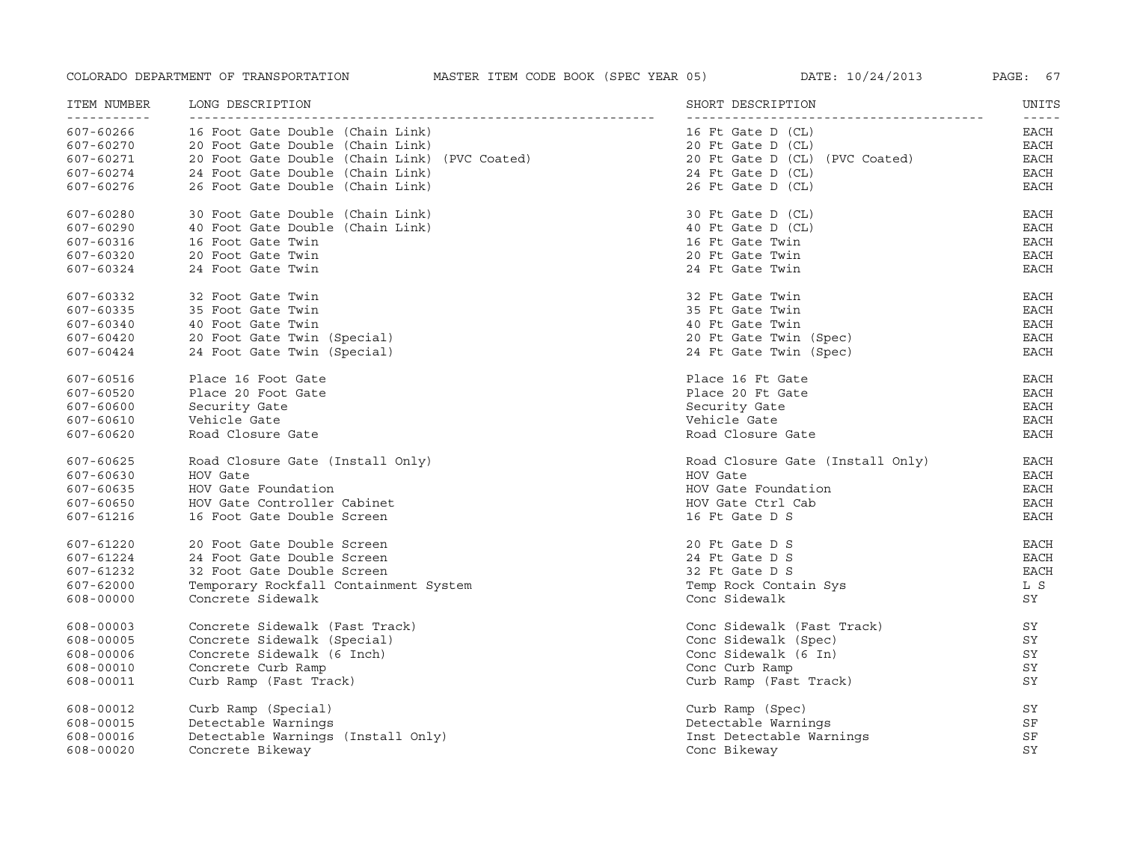| ITEM NUMBER<br><u> - - - - - - - - - - -</u> | LONG DESCRIPTION                              | SHORT DESCRIPTION                | UNITS<br>$- - - - - -$ |
|----------------------------------------------|-----------------------------------------------|----------------------------------|------------------------|
| 607-60266                                    | 16 Foot Gate Double (Chain Link)              | 16 Ft Gate D (CL)                | EACH                   |
| 607-60270                                    | 20 Foot Gate Double (Chain Link)              | 20 Ft Gate D (CL)                | EACH                   |
| 607-60271                                    | 20 Foot Gate Double (Chain Link) (PVC Coated) | 20 Ft Gate D (CL) (PVC Coated)   | <b>EACH</b>            |
| 607-60274                                    | 24 Foot Gate Double (Chain Link)              | 24 Ft Gate D (CL)                | EACH                   |
| 607-60276                                    | 26 Foot Gate Double (Chain Link)              | 26 Ft Gate D (CL)                | EACH                   |
| 607-60280                                    | 30 Foot Gate Double (Chain Link)              | 30 Ft Gate D (CL)                | <b>EACH</b>            |
| 607-60290                                    | 40 Foot Gate Double (Chain Link)              | 40 Ft Gate D (CL)                | <b>EACH</b>            |
| 607-60316                                    | 16 Foot Gate Twin                             | 16 Ft Gate Twin                  | <b>EACH</b>            |
| 607-60320                                    | 20 Foot Gate Twin                             | 20 Ft Gate Twin                  | <b>EACH</b>            |
| 607-60324                                    | 24 Foot Gate Twin                             | 24 Ft Gate Twin                  | <b>EACH</b>            |
| 607-60332                                    | 32 Foot Gate Twin                             | 32 Ft Gate Twin                  | <b>EACH</b>            |
| 607-60335                                    | 35 Foot Gate Twin                             | 35 Ft Gate Twin                  | EACH                   |
| 607-60340                                    | 40 Foot Gate Twin                             | 40 Ft Gate Twin                  | <b>EACH</b>            |
| 607-60420                                    | 20 Foot Gate Twin (Special)                   | 20 Ft Gate Twin (Spec)           | <b>EACH</b>            |
| 607-60424                                    | 24 Foot Gate Twin (Special)                   | 24 Ft Gate Twin (Spec)           | <b>EACH</b>            |
| 607-60516                                    | Place 16 Foot Gate                            | Place 16 Ft Gate                 | <b>EACH</b>            |
| 607-60520                                    | Place 20 Foot Gate                            | Place 20 Ft Gate                 | <b>EACH</b>            |
| 607-60600                                    | Security Gate                                 | Security Gate                    | <b>EACH</b>            |
| 607-60610                                    | Vehicle Gate                                  | Vehicle Gate                     | <b>EACH</b>            |
| 607-60620                                    | Road Closure Gate                             | Road Closure Gate                | <b>EACH</b>            |
| 607-60625                                    | Road Closure Gate (Install Only)              | Road Closure Gate (Install Only) | EACH                   |
| 607-60630                                    | HOV Gate                                      | HOV Gate                         | <b>EACH</b>            |
| 607-60635                                    | HOV Gate Foundation                           | HOV Gate Foundation              | <b>EACH</b>            |
| 607-60650                                    | HOV Gate Controller Cabinet                   | HOV Gate Ctrl Cab                | <b>EACH</b>            |
| 607-61216                                    | 16 Foot Gate Double Screen                    | 16 Ft Gate D S                   | <b>EACH</b>            |
| 607-61220                                    | 20 Foot Gate Double Screen                    | 20 Ft Gate D S                   | EACH                   |
| 607-61224                                    | 24 Foot Gate Double Screen                    | 24 Ft Gate D S                   | <b>EACH</b>            |
| 607-61232                                    | 32 Foot Gate Double Screen                    | 32 Ft Gate D S                   | <b>EACH</b>            |
| 607-62000                                    | Temporary Rockfall Containment System         | Temp Rock Contain Sys            | L S                    |
| 608-00000                                    | Concrete Sidewalk                             | Conc Sidewalk                    | SY                     |
| 608-00003                                    | Concrete Sidewalk (Fast Track)                | Conc Sidewalk (Fast Track)       | SY                     |
| 608-00005                                    | Concrete Sidewalk (Special)                   | Conc Sidewalk (Spec)             | SY                     |
| 608-00006                                    | Concrete Sidewalk (6 Inch)                    | Conc Sidewalk (6 In)             | SY                     |
| 608-00010                                    | Concrete Curb Ramp                            | Conc Curb Ramp                   | SY                     |
| 608-00011                                    | Curb Ramp (Fast Track)                        | Curb Ramp (Fast Track)           | SY                     |
| 608-00012                                    | Curb Ramp (Special)                           | Curb Ramp (Spec)                 | SΥ                     |
| 608-00015                                    | Detectable Warnings                           | Detectable Warnings              | SF                     |
| 608-00016                                    | Detectable Warnings (Install Only)            | Inst Detectable Warnings         | SF                     |
| 608-00020                                    | Concrete Bikeway                              | Conc Bikeway                     | SY                     |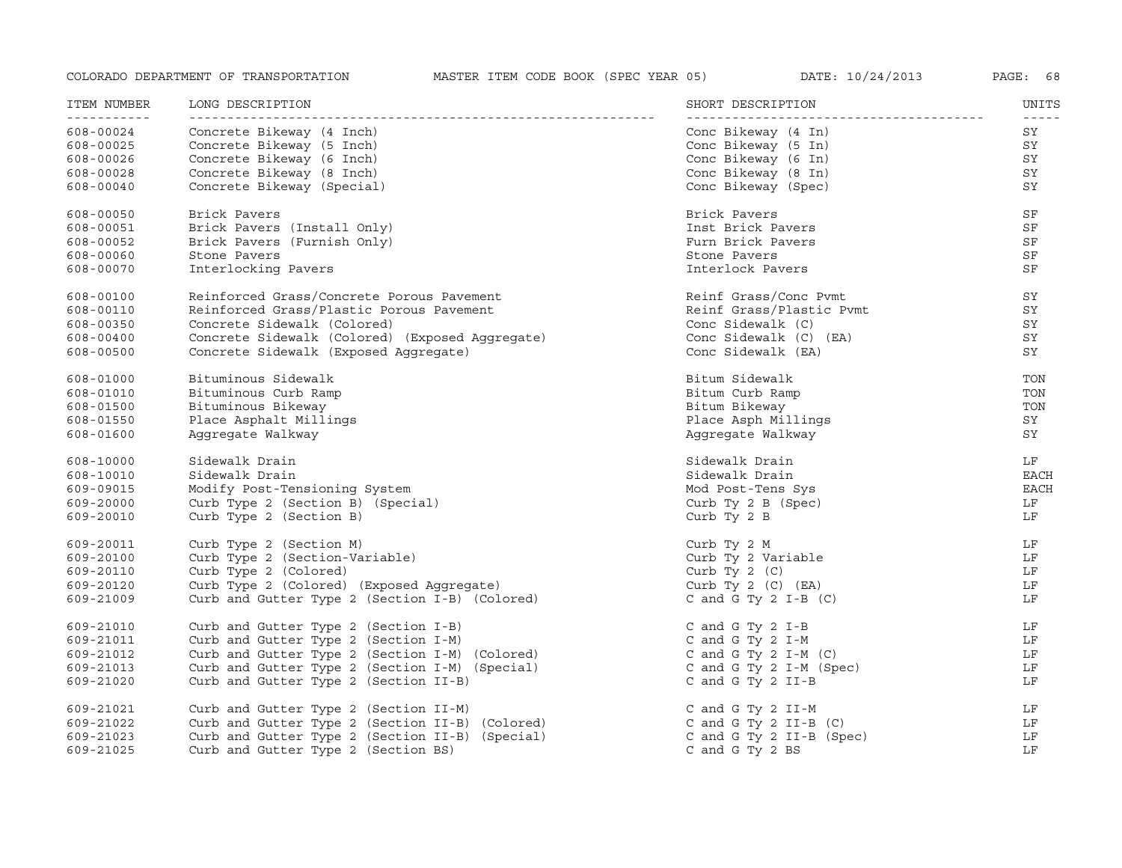| ITEM NUMBER<br><u> - - - - - - - - - - -</u> | LONG DESCRIPTION                                | SHORT DESCRIPTION        | UNITS<br>$- - - - -$ |
|----------------------------------------------|-------------------------------------------------|--------------------------|----------------------|
| 608-00024                                    | Concrete Bikeway (4 Inch)                       | Conc Bikeway (4 In)      | SY                   |
| 608-00025                                    | Concrete Bikeway (5 Inch)                       | Conc Bikeway (5 In)      | SY                   |
| 608-00026                                    | Concrete Bikeway (6 Inch)                       | Conc Bikeway (6 In)      | SY                   |
| 608-00028                                    | Concrete Bikeway (8 Inch)                       | Conc Bikeway (8 In)      | SY                   |
| 608-00040                                    | Concrete Bikeway (Special)                      | Conc Bikeway (Spec)      | SY                   |
| 608-00050                                    | Brick Pavers                                    | Brick Pavers             | SF                   |
| 608-00051                                    | Brick Pavers (Install Only)                     | Inst Brick Pavers        | SF                   |
| 608-00052                                    | Brick Pavers (Furnish Only)                     | Furn Brick Pavers        | SF                   |
| 608-00060                                    | Stone Pavers                                    | Stone Pavers             | SF                   |
| 608-00070                                    | Interlocking Pavers                             | Interlock Pavers         | SF                   |
| 608-00100                                    | Reinforced Grass/Concrete Porous Pavement       | Reinf Grass/Conc Pymt    | SY                   |
| 608-00110                                    | Reinforced Grass/Plastic Porous Pavement        | Reinf Grass/Plastic Pymt | SY                   |
| 608-00350                                    | Concrete Sidewalk (Colored)                     | Conc Sidewalk (C)        | SY                   |
| 608-00400                                    | Concrete Sidewalk (Colored) (Exposed Aqqreqate) | Conc Sidewalk (C) (EA)   | SY                   |
| 608-00500                                    | Concrete Sidewalk (Exposed Aggregate)           | Conc Sidewalk (EA)       | SY                   |
| 608-01000                                    | Bituminous Sidewalk                             | Bitum Sidewalk           | TON                  |
| 608-01010                                    | Bituminous Curb Ramp                            | Bitum Curb Ramp          | TON                  |
| 608-01500                                    | Bituminous Bikeway                              | Bitum Bikeway            | TON                  |
| 608-01550                                    | Place Asphalt Millings                          | Place Asph Millings      | SY                   |
| 608-01600                                    | Aggregate Walkway                               | Aggregate Walkway        | SY                   |
| 608-10000                                    | Sidewalk Drain                                  | Sidewalk Drain           | LF                   |
| 608-10010                                    | Sidewalk Drain                                  | Sidewalk Drain           | <b>EACH</b>          |
| 609-09015                                    | Modify Post-Tensioning System                   | Mod Post-Tens Sys        | <b>EACH</b>          |
| 609-20000                                    | Curb Type 2 (Section B) (Special)               | Curb Ty $2 B (Spec)$     | LF                   |
| 609-20010                                    | Curb Type 2 (Section B)                         | Curb Ty 2 B              | LF                   |
| 609-20011                                    | Curb Type 2 (Section M)                         | Curb Ty 2 M              | LF                   |
| 609-20100                                    | Curb Type 2 (Section-Variable)                  | Curb Ty 2 Variable       | LF                   |
| 609-20110                                    | Curb Type 2 (Colored)                           | Curb Ty $2$ (C)          | LF                   |
| 609-20120                                    | Curb Type 2 (Colored) (Exposed Aqqreqate)       | Curb Ty 2 $(C)$ $(EA)$   | LF                   |
| 609-21009                                    | Curb and Gutter Type 2 (Section I-B) (Colored)  | C and G Ty 2 I-B $(C)$   | LF                   |
| 609-21010                                    | Curb and Gutter Type 2 (Section I-B)            | C and G Ty $2$ I-B       | LF                   |
| 609-21011                                    | Curb and Gutter Type 2 (Section I-M)            | C and G Ty 2 I-M         | LF                   |
| 609-21012                                    | Curb and Gutter Type 2 (Section I-M) (Colored)  | C and G Ty $2$ I-M (C)   | LF                   |
| 609-21013                                    | Curb and Gutter Type 2 (Section I-M) (Special)  | C and G Ty 2 I-M (Spec)  | LF                   |
| 609-21020                                    | Curb and Gutter Type 2 (Section II-B)           | C and G Ty 2 II-B        | LF                   |
| 609-21021                                    | Curb and Gutter Type 2 (Section II-M)           | C and G Ty 2 II-M        | LF                   |
| 609-21022                                    | Curb and Gutter Type 2 (Section II-B) (Colored) | C and G Ty 2 II-B $(C)$  | LF                   |
| 609-21023                                    | Curb and Gutter Type 2 (Section II-B) (Special) | C and G Ty 2 II-B (Spec) | LF                   |
| 609-21025                                    | Curb and Gutter Type 2 (Section BS)             | C and G Ty 2 BS          | LF                   |
|                                              |                                                 |                          |                      |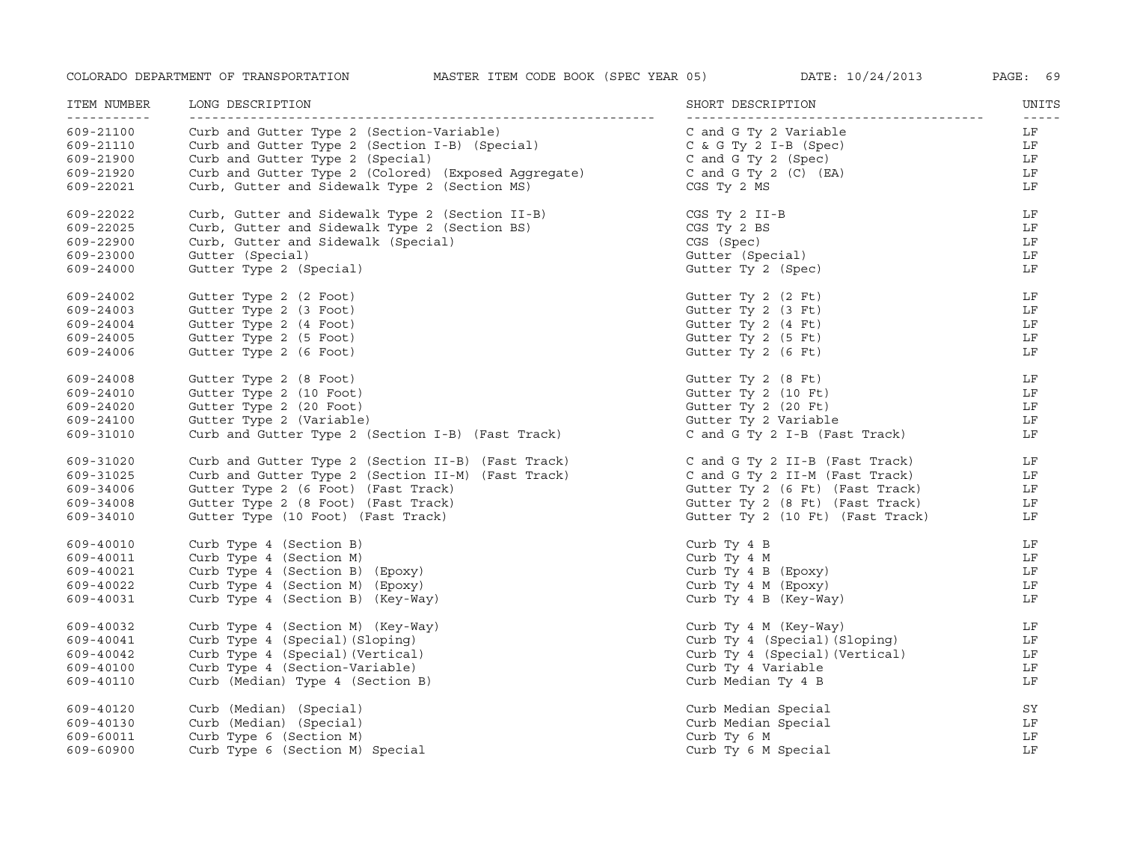| ITEM NUMBER<br>----------- | LONG DESCRIPTION                                     | SHORT DESCRIPTION                | UNITS<br>$- - - - -$ |
|----------------------------|------------------------------------------------------|----------------------------------|----------------------|
| 609-21100                  | Curb and Gutter Type 2 (Section-Variable)            | C and G Ty 2 Variable            | LF                   |
| 609-21110                  | Curb and Gutter Type 2 (Section I-B) (Special)       | $C$ & $G$ Ty $2$ I-B (Spec)      | LF                   |
| 609-21900                  | Curb and Gutter Type 2 (Special)                     | C and G Ty 2 (Spec)              | LF                   |
| 609-21920                  | Curb and Gutter Type 2 (Colored) (Exposed Aggregate) | C and G Ty 2 $(C)$ $(EA)$        | LF                   |
| 609-22021                  | Curb, Gutter and Sidewalk Type 2 (Section MS)        | CGS Ty 2 MS                      | LF                   |
| 609-22022                  | Curb, Gutter and Sidewalk Type 2 (Section II-B)      | CGS Ty 2 II-B                    | LF                   |
| 609-22025                  | Curb, Gutter and Sidewalk Type 2 (Section BS)        | CGS Ty 2 BS                      | LF                   |
| 609-22900                  | Curb, Gutter and Sidewalk (Special)                  | CGS (Spec)                       | LF                   |
| 609-23000                  | Gutter (Special)                                     | Gutter (Special)                 | LF                   |
| 609-24000                  | Gutter Type 2 (Special)                              | Gutter Ty 2 (Spec)               | LF                   |
| 609-24002                  | Gutter Type 2 (2 Foot)                               | Gutter Ty 2 (2 Ft)               | LF                   |
| 609-24003                  | Gutter Type 2 (3 Foot)                               | Gutter Ty 2 (3 Ft)               | LF                   |
| 609-24004                  | Gutter Type 2 (4 Foot)                               | Gutter Ty 2 (4 Ft)               | LF                   |
| 609-24005                  | Gutter Type 2 (5 Foot)                               | Gutter Ty 2 (5 Ft)               | LF                   |
| 609-24006                  | Gutter Type 2 (6 Foot)                               | Gutter Ty 2 (6 Ft)               | LF                   |
| 609-24008                  | Gutter Type 2 (8 Foot)                               | Gutter Ty 2 (8 Ft)               | LF                   |
| 609-24010                  | Gutter Type 2 (10 Foot)                              | Gutter Ty 2 (10 Ft)              | LF                   |
| 609-24020                  | Gutter Type 2 (20 Foot)                              | Gutter Ty 2 (20 Ft)              | LF                   |
| 609-24100                  | Gutter Type 2 (Variable)                             | Gutter Ty 2 Variable             | LF                   |
| 609-31010                  | Curb and Gutter Type 2 (Section I-B) (Fast Track)    | C and G Ty 2 I-B (Fast Track)    | LF                   |
| 609-31020                  | Curb and Gutter Type 2 (Section II-B) (Fast Track)   | C and G Ty 2 II-B (Fast Track)   | LF                   |
| 609-31025                  | Curb and Gutter Type 2 (Section II-M) (Fast Track)   | C and G Ty 2 II-M (Fast Track)   | LF                   |
| 609-34006                  | Gutter Type 2 (6 Foot) (Fast Track)                  | Gutter Ty 2 (6 Ft) (Fast Track)  | LF                   |
| 609-34008                  | Gutter Type 2 (8 Foot) (Fast Track)                  | Gutter Ty 2 (8 Ft) (Fast Track)  | LF                   |
| 609-34010                  | Gutter Type (10 Foot) (Fast Track)                   | Gutter Ty 2 (10 Ft) (Fast Track) | LF                   |
| 609-40010                  | Curb Type 4 (Section B)                              | Curb Ty 4 B                      | LF                   |
| 609-40011                  | Curb Type 4 (Section M)                              | Curb Ty 4 M                      | LF                   |
| 609-40021                  | Curb Type 4 (Section B) (Epoxy)                      | Curb Ty 4 B (Epoxy)              | LF                   |
| 609-40022                  | Curb Type 4 (Section M) (Epoxy)                      | Curb Ty 4 M (Epoxy)              | LF                   |
| 609-40031                  | Curb Type 4 (Section B) (Key-Way)                    | Curb Ty 4 B (Key-Way)            | LF                   |
| 609-40032                  | Curb Type 4 (Section M) (Key-Way)                    | Curb Ty 4 M (Key-Way)            | LF                   |
| 609-40041                  | Curb Type 4 (Special) (Sloping)                      | Curb Ty 4 (Special) (Sloping)    | LF                   |
| 609-40042                  | Curb Type 4 (Special) (Vertical)                     | Curb Ty 4 (Special) (Vertical)   | LF                   |
| 609-40100                  | Curb Type 4 (Section-Variable)                       | Curb Ty 4 Variable               | LF                   |
| 609-40110                  | Curb (Median) Type 4 (Section B)                     | Curb Median Ty 4 B               | LF                   |
| 609-40120                  | Curb (Median) (Special)                              | Curb Median Special              | SY                   |
| 609-40130                  | Curb (Median) (Special)                              | Curb Median Special              | LF                   |
| 609-60011                  | Curb Type 6 (Section M)                              | Curb Ty 6 M                      | LF                   |
| 609-60900                  | Curb Type 6 (Section M) Special                      | Curb Ty 6 M Special              | LF                   |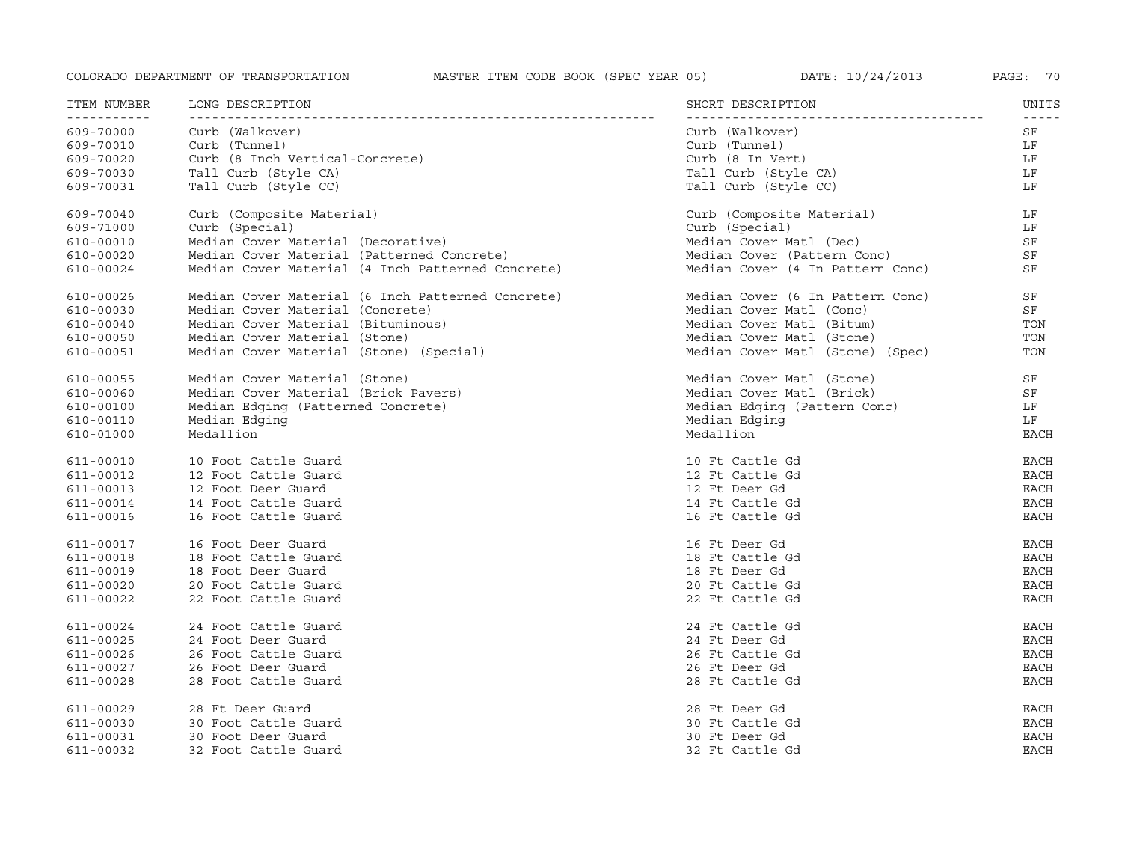| ITEM NUMBER               | LONG DESCRIPTION                                  | SHORT DESCRIPTION                | UNITS       |
|---------------------------|---------------------------------------------------|----------------------------------|-------------|
| ------------<br>609-70000 | Curb (Walkover)                                   | Curb (Walkover)                  | SF          |
| 609-70010                 | Curb (Tunnel)                                     | Curb (Tunnel)                    | LF          |
| 609-70020                 | Curb (8 Inch Vertical-Concrete)                   | Curb (8 In Vert)                 | LF          |
| 609-70030                 | Tall Curb (Style CA)                              | Tall Curb (Style CA)             | LF          |
| 609-70031                 | Tall Curb (Style CC)                              | Tall Curb (Style CC)             | LF          |
| 609-70040                 | Curb (Composite Material)                         | Curb (Composite Material)        | LF          |
| 609-71000                 | Curb (Special)                                    | Curb (Special)                   | LF          |
| 610-00010                 | Median Cover Material (Decorative)                | Median Cover Matl (Dec)          | SF          |
| 610-00020                 | Median Cover Material (Patterned Concrete)        | Median Cover (Pattern Conc)      | SF          |
| 610-00024                 | Median Cover Material (4 Inch Patterned Concrete) | Median Cover (4 In Pattern Conc) | SF          |
| 610-00026                 | Median Cover Material (6 Inch Patterned Concrete) | Median Cover (6 In Pattern Conc) | SF          |
| 610-00030                 | Median Cover Material (Concrete)                  | Median Cover Matl (Conc)         | SF          |
| 610-00040                 | Median Cover Material (Bituminous)                | Median Cover Matl (Bitum)        | TON         |
| 610-00050                 | Median Cover Material (Stone)                     | Median Cover Matl (Stone)        | TON         |
| 610-00051                 | Median Cover Material (Stone) (Special)           | Median Cover Matl (Stone) (Spec) | TON         |
| 610-00055                 | Median Cover Material (Stone)                     | Median Cover Matl (Stone)        | SF          |
| 610-00060                 | Median Cover Material (Brick Pavers)              | Median Cover Matl (Brick)        | SF          |
| 610-00100                 | Median Edging (Patterned Concrete)                | Median Edging (Pattern Conc)     | LF          |
| 610-00110                 | Median Edging                                     | Median Edging                    | LF          |
| 610-01000                 | Medallion                                         | Medallion                        | <b>EACH</b> |
| 611-00010                 | 10 Foot Cattle Guard                              | 10 Ft Cattle Gd                  | <b>EACH</b> |
| 611-00012                 | 12 Foot Cattle Guard                              | 12 Ft Cattle Gd                  | <b>EACH</b> |
| 611-00013                 | 12 Foot Deer Guard                                | 12 Ft Deer Gd                    | <b>EACH</b> |
| 611-00014                 | 14 Foot Cattle Guard                              | 14 Ft Cattle Gd                  | <b>EACH</b> |
| 611-00016                 | 16 Foot Cattle Guard                              | 16 Ft Cattle Gd                  | <b>EACH</b> |
| 611-00017                 | 16 Foot Deer Guard                                | 16 Ft Deer Gd                    | <b>EACH</b> |
| 611-00018                 | 18 Foot Cattle Guard                              | 18 Ft Cattle Gd                  | <b>EACH</b> |
| 611-00019                 | 18 Foot Deer Guard                                | 18 Ft Deer Gd                    | <b>EACH</b> |
| 611-00020                 | 20 Foot Cattle Guard                              | 20 Ft Cattle Gd                  | <b>EACH</b> |
| 611-00022                 | 22 Foot Cattle Guard                              | 22 Ft Cattle Gd                  | <b>EACH</b> |
| 611-00024                 | 24 Foot Cattle Guard                              | 24 Ft Cattle Gd                  | <b>EACH</b> |
| 611-00025                 | 24 Foot Deer Guard                                | 24 Ft Deer Gd                    | <b>EACH</b> |
| 611-00026                 | 26 Foot Cattle Guard                              | 26 Ft Cattle Gd                  | <b>EACH</b> |
| 611-00027                 | 26 Foot Deer Guard                                | 26 Ft Deer Gd                    | <b>EACH</b> |
| 611-00028                 | 28 Foot Cattle Guard                              | 28 Ft Cattle Gd                  | <b>EACH</b> |
| 611-00029                 | 28 Ft Deer Guard                                  | 28 Ft Deer Gd                    | EACH        |
| 611-00030                 | 30 Foot Cattle Guard                              | 30 Ft Cattle Gd                  | <b>EACH</b> |
| 611-00031                 | 30 Foot Deer Guard                                | 30 Ft Deer Gd                    | <b>EACH</b> |
| 611-00032                 | 32 Foot Cattle Guard                              | 32 Ft Cattle Gd                  | <b>EACH</b> |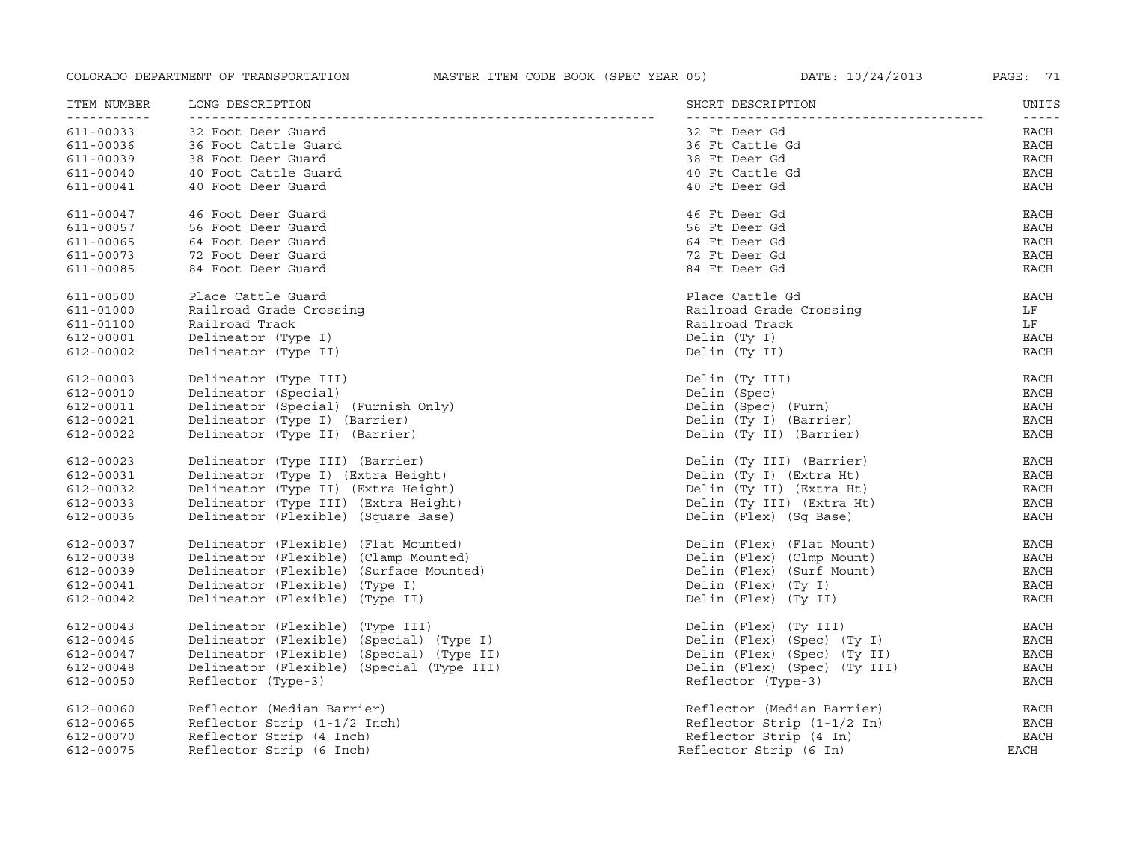| ITEM NUMBER | LONG DESCRIPTION                          | SHORT DESCRIPTION            | UNITS                                                                                                                                                                                                                                                                                                                                                                                                |
|-------------|-------------------------------------------|------------------------------|------------------------------------------------------------------------------------------------------------------------------------------------------------------------------------------------------------------------------------------------------------------------------------------------------------------------------------------------------------------------------------------------------|
| 611-00033   | 32 Foot Deer Guard                        | 32 Ft Deer Gd                | $\frac{1}{2} \frac{1}{2} \frac{1}{2} \frac{1}{2} \frac{1}{2} \frac{1}{2} \frac{1}{2} \frac{1}{2} \frac{1}{2} \frac{1}{2} \frac{1}{2} \frac{1}{2} \frac{1}{2} \frac{1}{2} \frac{1}{2} \frac{1}{2} \frac{1}{2} \frac{1}{2} \frac{1}{2} \frac{1}{2} \frac{1}{2} \frac{1}{2} \frac{1}{2} \frac{1}{2} \frac{1}{2} \frac{1}{2} \frac{1}{2} \frac{1}{2} \frac{1}{2} \frac{1}{2} \frac{1}{2} \frac{$<br>EACH |
| 611-00036   | 36 Foot Cattle Guard                      | 36 Ft Cattle Gd              | EACH                                                                                                                                                                                                                                                                                                                                                                                                 |
| 611-00039   | 38 Foot Deer Guard                        | 38 Ft Deer Gd                | $_{\rm EACH}$                                                                                                                                                                                                                                                                                                                                                                                        |
| 611-00040   | 40 Foot Cattle Guard                      | 40 Ft Cattle Gd              | $_{\rm EACH}$                                                                                                                                                                                                                                                                                                                                                                                        |
| 611-00041   | 40 Foot Deer Guard                        | 40 Ft Deer Gd                | EACH                                                                                                                                                                                                                                                                                                                                                                                                 |
| 611-00047   | 46 Foot Deer Guard                        | 46 Ft Deer Gd                | EACH                                                                                                                                                                                                                                                                                                                                                                                                 |
| 611-00057   | 56 Foot Deer Guard                        | 56 Ft Deer Gd                | EACH                                                                                                                                                                                                                                                                                                                                                                                                 |
| 611-00065   | 64 Foot Deer Guard                        | 64 Ft Deer Gd                | EACH                                                                                                                                                                                                                                                                                                                                                                                                 |
| 611-00073   | 72 Foot Deer Guard                        | 72 Ft Deer Gd                | <b>EACH</b>                                                                                                                                                                                                                                                                                                                                                                                          |
| 611-00085   | 84 Foot Deer Guard                        | 84 Ft Deer Gd                | <b>EACH</b>                                                                                                                                                                                                                                                                                                                                                                                          |
| 611-00500   | Place Cattle Guard                        | Place Cattle Gd              | EACH                                                                                                                                                                                                                                                                                                                                                                                                 |
| 611-01000   | Railroad Grade Crossing                   | Railroad Grade Crossing      | LF                                                                                                                                                                                                                                                                                                                                                                                                   |
| 611-01100   | Railroad Track                            | Railroad Track               | LF                                                                                                                                                                                                                                                                                                                                                                                                   |
| 612-00001   | Delineator (Type I)                       | Delin (Ty I)                 | EACH                                                                                                                                                                                                                                                                                                                                                                                                 |
| 612-00002   | Delineator (Type II)                      | Delin (Ty II)                | <b>EACH</b>                                                                                                                                                                                                                                                                                                                                                                                          |
| 612-00003   | Delineator (Type III)                     | Delin (Ty III)               | EACH                                                                                                                                                                                                                                                                                                                                                                                                 |
| 612-00010   | Delineator (Special)                      | Delin (Spec)                 | EACH                                                                                                                                                                                                                                                                                                                                                                                                 |
| 612-00011   | Delineator (Special) (Furnish Only)       | Delin (Spec) (Furn)          | <b>EACH</b>                                                                                                                                                                                                                                                                                                                                                                                          |
| 612-00021   | Delineator (Type I) (Barrier)             | Delin (Ty I) (Barrier)       | <b>EACH</b>                                                                                                                                                                                                                                                                                                                                                                                          |
| 612-00022   | Delineator (Type II) (Barrier)            | Delin (Ty II) (Barrier)      | <b>EACH</b>                                                                                                                                                                                                                                                                                                                                                                                          |
| 612-00023   | Delineator (Type III) (Barrier)           | Delin (Ty III) (Barrier)     | EACH                                                                                                                                                                                                                                                                                                                                                                                                 |
| 612-00031   | Delineator (Type I) (Extra Height)        | Delin (Ty I) (Extra Ht)      | EACH                                                                                                                                                                                                                                                                                                                                                                                                 |
| 612-00032   | Delineator (Type II) (Extra Height)       | Delin (Ty II) (Extra Ht)     | <b>EACH</b>                                                                                                                                                                                                                                                                                                                                                                                          |
| 612-00033   | Delineator (Type III) (Extra Height)      | Delin (Ty III) (Extra Ht)    | EACH                                                                                                                                                                                                                                                                                                                                                                                                 |
| 612-00036   | Delineator (Flexible) (Square Base)       | Delin (Flex) (Sq Base)       | <b>EACH</b>                                                                                                                                                                                                                                                                                                                                                                                          |
| 612-00037   | Delineator (Flexible) (Flat Mounted)      | Delin (Flex) (Flat Mount)    | EACH                                                                                                                                                                                                                                                                                                                                                                                                 |
| 612-00038   | Delineator (Flexible) (Clamp Mounted)     | Delin (Flex) (Clmp Mount)    | <b>EACH</b>                                                                                                                                                                                                                                                                                                                                                                                          |
| 612-00039   | Delineator (Flexible) (Surface Mounted)   | Delin (Flex) (Surf Mount)    | EACH                                                                                                                                                                                                                                                                                                                                                                                                 |
| 612-00041   | Delineator (Flexible) (Type I)            | Delin (Flex) (Ty I)          | <b>EACH</b>                                                                                                                                                                                                                                                                                                                                                                                          |
| 612-00042   | Delineator (Flexible) (Type II)           | Delin (Flex) (Ty II)         | <b>EACH</b>                                                                                                                                                                                                                                                                                                                                                                                          |
| 612-00043   | Delineator (Flexible) (Type III)          | Delin (Flex) (Ty III)        | EACH                                                                                                                                                                                                                                                                                                                                                                                                 |
| 612-00046   | Delineator (Flexible) (Special) (Type I)  | Delin (Flex) (Spec) (Ty I)   | EACH                                                                                                                                                                                                                                                                                                                                                                                                 |
| 612-00047   | Delineator (Flexible) (Special) (Type II) | Delin (Flex) (Spec) (Ty II)  | <b>EACH</b>                                                                                                                                                                                                                                                                                                                                                                                          |
| 612-00048   | Delineator (Flexible) (Special (Type III) | Delin (Flex) (Spec) (Ty III) | <b>EACH</b>                                                                                                                                                                                                                                                                                                                                                                                          |
| 612-00050   | Reflector (Type-3)                        | Reflector (Type-3)           | <b>EACH</b>                                                                                                                                                                                                                                                                                                                                                                                          |
| 612-00060   | Reflector (Median Barrier)                | Reflector (Median Barrier)   | EACH                                                                                                                                                                                                                                                                                                                                                                                                 |
| 612-00065   | Reflector Strip (1-1/2 Inch)              | Reflector Strip $(1-1/2$ In) | <b>EACH</b>                                                                                                                                                                                                                                                                                                                                                                                          |
| 612-00070   | Reflector Strip (4 Inch)                  | Reflector Strip (4 In)       | <b>EACH</b>                                                                                                                                                                                                                                                                                                                                                                                          |
| 612-00075   | Reflector Strip (6 Inch)                  | Reflector Strip (6 In)       | EACH                                                                                                                                                                                                                                                                                                                                                                                                 |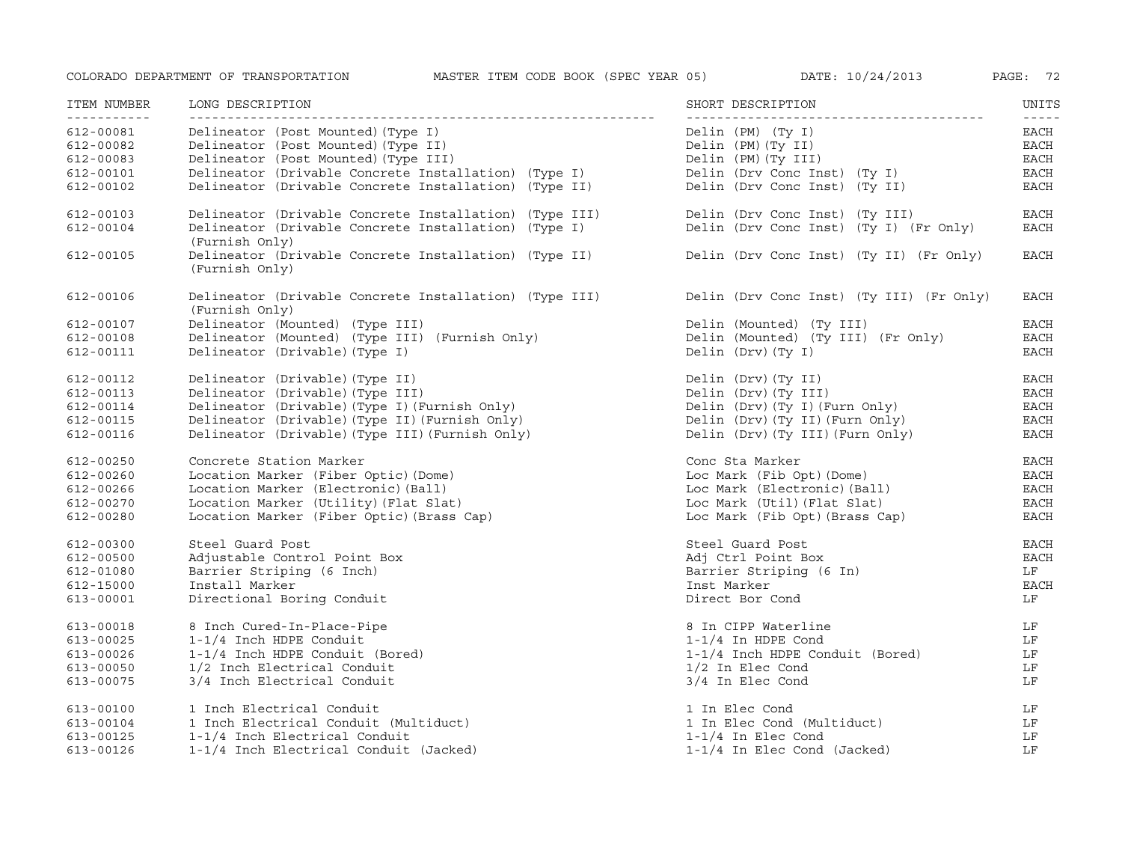| ITEM NUMBER                   | LONG DESCRIPTION                                                                                                                 | SHORT DESCRIPTION                                                        | UNITS                      |
|-------------------------------|----------------------------------------------------------------------------------------------------------------------------------|--------------------------------------------------------------------------|----------------------------|
| <u> - - - - - - - - - - -</u> |                                                                                                                                  |                                                                          | $- - - - -$                |
| 612-00081                     | Delineator (Post Mounted) (Type I)                                                                                               | Delin (PM) (Ty I)                                                        | EACH                       |
| 612-00082                     | Delineator (Post Mounted) (Type II)                                                                                              | Delin (PM) (Ty II)                                                       | EACH                       |
| 612-00083                     | Delineator (Post Mounted) (Type III)                                                                                             | Delin (PM) (Ty III)                                                      | EACH                       |
| 612-00101                     | Delineator (Drivable Concrete Installation) (Type I)                                                                             | Delin (Drv Conc Inst) (Ty I)                                             | $_{\rm EACH}$              |
| 612-00102                     | Delineator (Drivable Concrete Installation) (Type II)                                                                            | Delin (Drv Conc Inst) (Ty II)                                            | EACH                       |
| 612-00103<br>612-00104        | Delineator (Drivable Concrete Installation) (Type III)<br>Delineator (Drivable Concrete Installation) (Type I)<br>(Furnish Only) | Delin (Drv Conc Inst) (Ty III)<br>Delin (Drv Conc Inst) (Ty I) (Fr Only) | <b>EACH</b><br><b>EACH</b> |
| 612-00105                     | Delineator (Drivable Concrete Installation) (Type II)<br>(Furnish Only)                                                          | Delin (Drv Conc Inst) (Ty II) (Fr Only)                                  | EACH                       |
| 612-00106                     | Delineator (Drivable Concrete Installation) (Type III)<br>(Furnish Only)                                                         | Delin (Drv Conc Inst) (Ty III) (Fr Only)                                 | EACH                       |
| 612-00107                     | Delineator (Mounted) (Type III)                                                                                                  | Delin (Mounted) (Ty III)                                                 | EACH                       |
| 612-00108                     | Delineator (Mounted) (Type III) (Furnish Only)                                                                                   | Delin (Mounted) (Ty III) (Fr Only)                                       | EACH                       |
| 612-00111                     | Delineator (Drivable) (Type I)                                                                                                   | Delin (Drv) (Ty I)                                                       | <b>EACH</b>                |
| 612-00112                     | Delineator (Drivable) (Type II)                                                                                                  | Delin (Drv) (Ty II)                                                      | EACH                       |
| 612-00113                     | Delineator (Drivable) (Type III)                                                                                                 | Delin (Drv) (Ty III)                                                     | EACH                       |
| 612-00114                     | Delineator (Drivable) (Type I) (Furnish Only)                                                                                    | Delin (Drv) (Ty I) (Furn Only)                                           | EACH                       |
| 612-00115                     | Delineator (Drivable) (Type II) (Furnish Only)                                                                                   | Delin (Drv) (Ty II) (Furn Only)                                          | EACH                       |
| 612-00116                     | Delineator (Drivable) (Type III) (Furnish Only)                                                                                  | Delin (Drv) (Ty III) (Furn Only)                                         | EACH                       |
| 612-00250                     | Concrete Station Marker                                                                                                          | Conc Sta Marker                                                          | EACH                       |
| 612-00260                     | Location Marker (Fiber Optic) (Dome)                                                                                             | Loc Mark (Fib Opt) (Dome)                                                | EACH                       |
| 612-00266                     | Location Marker (Electronic) (Ball)                                                                                              | Loc Mark (Electronic) (Ball)                                             | <b>EACH</b>                |
| 612-00270                     | Location Marker (Utility) (Flat Slat)                                                                                            | Loc Mark (Util) (Flat Slat)                                              | $_{\rm EACH}$              |
| 612-00280                     | Location Marker (Fiber Optic) (Brass Cap)                                                                                        | Loc Mark (Fib Opt)(Brass Cap)                                            | EACH                       |
| 612-00300                     | Steel Guard Post                                                                                                                 | Steel Guard Post                                                         | EACH                       |
| 612-00500                     | Adjustable Control Point Box                                                                                                     | Adj Ctrl Point Box                                                       | EACH                       |
| 612-01080                     | Barrier Striping (6 Inch)                                                                                                        | Barrier Striping (6 In)                                                  | LF                         |
| 612-15000                     | Install Marker                                                                                                                   | Inst Marker                                                              | <b>EACH</b>                |
| 613-00001                     | Directional Boring Conduit                                                                                                       | Direct Bor Cond                                                          | LF                         |
| 613-00018                     | 8 Inch Cured-In-Place-Pipe                                                                                                       | 8 In CIPP Waterline                                                      | LF                         |
| 613-00025                     | 1-1/4 Inch HDPE Conduit                                                                                                          | $1-1/4$ In HDPE Cond                                                     | LF                         |
| 613-00026                     | 1-1/4 Inch HDPE Conduit (Bored)                                                                                                  | 1-1/4 Inch HDPE Conduit (Bored)                                          | LF                         |
| 613-00050                     | 1/2 Inch Electrical Conduit                                                                                                      | $1/2$ In Elec Cond                                                       | LF                         |
| 613-00075                     | 3/4 Inch Electrical Conduit                                                                                                      | 3/4 In Elec Cond                                                         | LF                         |
| 613-00100                     | 1 Inch Electrical Conduit                                                                                                        | 1 In Elec Cond                                                           | LF                         |
| 613-00104                     | 1 Inch Electrical Conduit (Multiduct)                                                                                            | 1 In Elec Cond (Multiduct)                                               | LF                         |
| 613-00125                     | 1-1/4 Inch Electrical Conduit                                                                                                    | $1-1/4$ In Elec Cond                                                     | LF                         |
| 613-00126                     | 1-1/4 Inch Electrical Conduit (Jacked)                                                                                           | 1-1/4 In Elec Cond (Jacked)                                              | LF                         |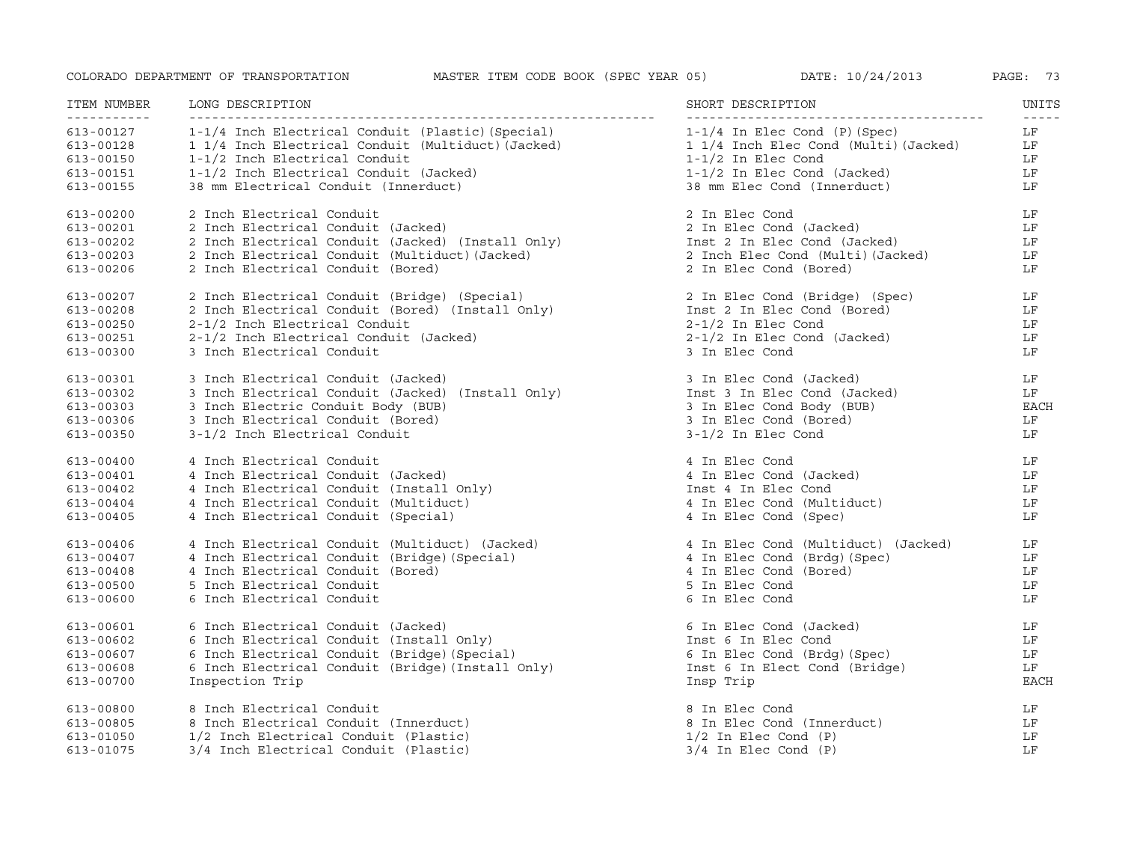| ITEM NUMBER                                  | LONG DESCRIPTION                                                                                                                                                            | SHORT DESCRIPTION                                             | UNITS                   |
|----------------------------------------------|-----------------------------------------------------------------------------------------------------------------------------------------------------------------------------|---------------------------------------------------------------|-------------------------|
| <u>___________</u><br>613-00127<br>613-00128 | 1-1/4 Inch Electrical Conduit (Plastic) (Special) 1-1/4 In Elec Cond (P) (Spec)<br>1 1/4 Inch Electrical Conduit (Multiduct) (Jacked) 1 1/4 Inch Elec Cond (Multi) (Jacked) |                                                               | $- - - - -$<br>LF<br>LF |
| 613-00150                                    | 1-1/2 Inch Electrical Conduit                                                                                                                                               | $1-1/2$ In Elec Cond                                          | LF                      |
| 613-00151                                    | 1-1/2 Inch Electrical Conduit (Jacked)                                                                                                                                      | $1-1/2$ In Elec Cond (Jacked)                                 | LF                      |
| 613-00155                                    | 38 mm Electrical Conduit (Innerduct)                                                                                                                                        | 38 mm Elec Cond (Innerduct)                                   | LF                      |
| 613-00200                                    | 2 Inch Electrical Conduit<br>2 Inch Electrical Conduit (Jacked)<br>2 Inch Electrical Conduit (Jacked) (Install Only)<br>2 Inch Electrical Conduit (Multiduct)(Jacked)       | 2 In Elec Cond                                                | LF                      |
| $613 - 00201$                                |                                                                                                                                                                             | 2 In Elec Cond (Jacked)                                       | LF                      |
| 613-00202                                    |                                                                                                                                                                             | Inst 2 In Elec Cond (Jacked)                                  | LF                      |
| 613-00203                                    |                                                                                                                                                                             | 2 Inch Elec Cond (Multi)(Jacked)                              | LF                      |
| 613-00206                                    | 2 Inch Electrical Conduit (Bored)                                                                                                                                           | 2 In Elec Cond (Bored)                                        | LF                      |
| 613-00207                                    | 2 Inch Electrical Conduit (Bored) (Special)<br>2-1/2 Inch Electrical Conduit (Bored) (Install Only)<br>2-1/2 Inch Electrical Conduit                                        | 2 In Elec Cond (Bridge) (Spec)<br>Inst 2 In Elec Cond (Bored) | LF                      |
| 613-00208                                    |                                                                                                                                                                             |                                                               | LF                      |
| 613-00250                                    |                                                                                                                                                                             | 2-1/2 In Elec Cond (Jacked)<br>3 In Elec Cond (Jacked)        | LF                      |
| 613-00251                                    | 2-1/2 Inch Electrical Conduit (Jacked)                                                                                                                                      |                                                               | LF                      |
| 613-00300                                    | 3 Inch Electrical Conduit                                                                                                                                                   | 3 In Elec Cond                                                | LF                      |
| 613-00301                                    |                                                                                                                                                                             | 3 In Elec Cond (Jacked)                                       | LF                      |
| 613-00302                                    |                                                                                                                                                                             | Inst 3 In Elec Cond (Jacked)                                  | LF                      |
| $613 - 00303$                                | 3 Inch Electrical Conduit (Jacked) (Install Only)<br>3 Inch Electrical Conduit (Jacked) (Install Only)                                                                      | 3 In Elec Cond Body (BUB)                                     | EACH                    |
| 613-00306                                    | 3 Inch Electrical Conduit (Bored)                                                                                                                                           | 3 In Elec Cond (Bored)                                        | LF                      |
| 613-00350                                    | 3-1/2 Inch Electrical Conduit                                                                                                                                               | 3-1/2 In Elec Cond                                            | LF                      |
| $613 - 00400$                                | 4 Inch Electrical Conduit                                                                                                                                                   | 4 In Elec Cond                                                | LF                      |
| 613-00401                                    | 4 Inch Electrical Conduit (Jacked)                                                                                                                                          | 4 In Elec Cond (Jacked)                                       | LF                      |
| $613 - 00402$                                | 4 Inch Electrical Conduit (Install Only)                                                                                                                                    | Inst 4 In Elec Cond                                           | LF                      |
| 613-00404                                    | 4 Inch Electrical Conduit (Multiduct)                                                                                                                                       | 4 In Elec Cond (Multiduct)                                    | LF                      |
| $613 - 00405$                                | 4 Inch Electrical Conduit (Special)                                                                                                                                         | 4 In Elec Cond (Spec)                                         | LF                      |
| 613-00406                                    | 4 Inch Electrical Conduit (Multiduct) (Jacked)                                                                                                                              | 4 In Elec Cond (Multiduct) (Jacked)                           | LF                      |
| 613-00407                                    | 4 Inch Electrical Conduit (Bridge) (Special)                                                                                                                                | 4 In Elec Cond (Brdg) (Spec)                                  | LF                      |
| $613 - 00408$                                | 4 Inch Electrical Conduit (Bored)                                                                                                                                           | 4 In Elec Cond (Bored)                                        | LF                      |
| 613-00500                                    | 5 Inch Electrical Conduit                                                                                                                                                   | 5 In Elec Cond                                                | LF                      |
| 613-00600                                    | 6 Inch Electrical Conduit                                                                                                                                                   | 6 In Elec Cond                                                | LF                      |
| 613-00601                                    | 6 Inch Electrical Conduit (Jacked)                                                                                                                                          | 6 In Elec Cond (Jacked)                                       | LF                      |
| 613-00602                                    | 6 Inch Electrical Conduit (Install Only)                                                                                                                                    | Inst 6 In Elec Cond                                           | LF.                     |
| 613-00607                                    | 6 Inch Electrical Conduit (Initial Control of The Marshall School (Special)<br>6 Inch Electrical Conduit (Bridge) (Install Only)                                            | 6 In Elec Cond (Brdg) (Spec)                                  | LF                      |
| 613-00608                                    |                                                                                                                                                                             | Inst 6 In Elect Cond (Bridge)                                 | LF                      |
| 613-00700                                    | Inspection Trip                                                                                                                                                             | Insp Trip                                                     | <b>EACH</b>             |
| 613-00800                                    | 8 Inch Electrical Conduit                                                                                                                                                   | 8 In Elec Cond                                                | LF                      |
| 613-00805                                    | 8 Inch Electrical Conduit (Innerduct)                                                                                                                                       | 8 In Elec Cond (Innerduct)                                    | LF                      |
| 613-01050                                    | 1/2 Inch Electrical Conduit (Plastic)                                                                                                                                       | $1/2$ In Elec Cond $(P)$                                      | LF                      |
| 613-01075                                    | 3/4 Inch Electrical Conduit (Plastic)                                                                                                                                       | $3/4$ In Elec Cond $(P)$                                      | LF                      |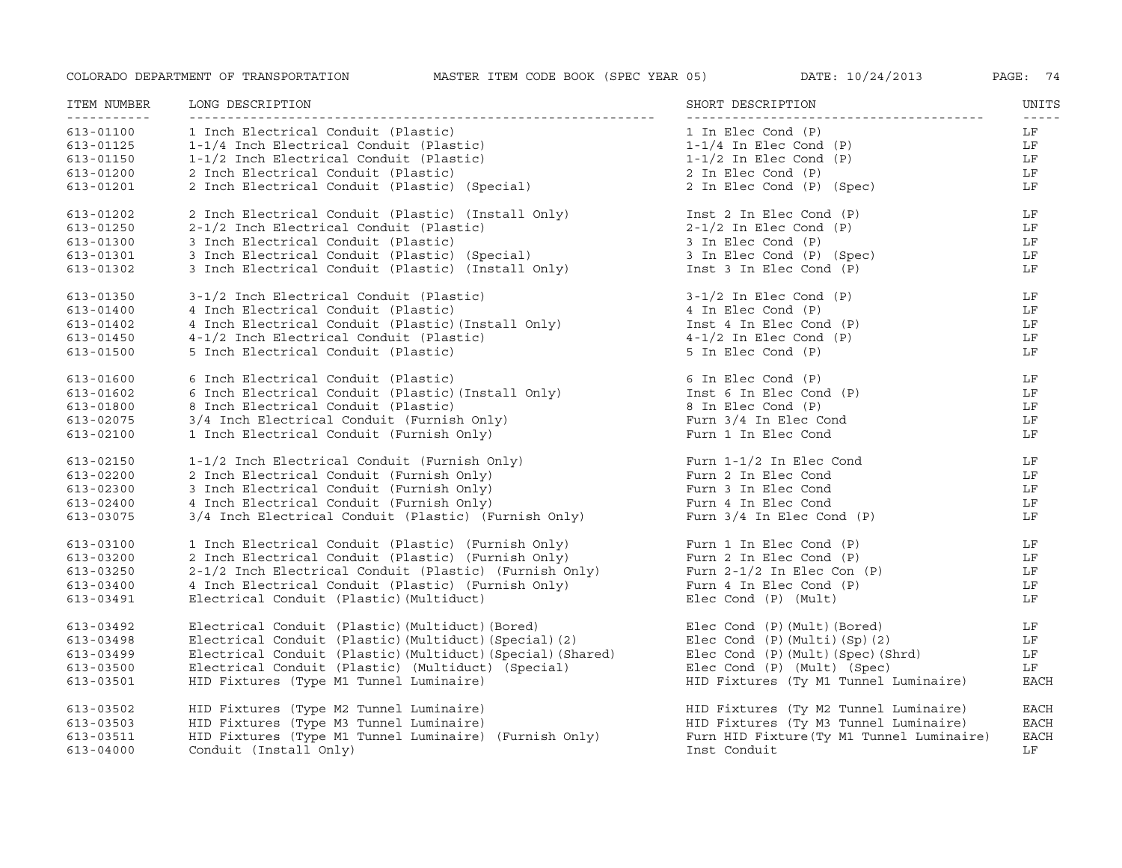| ITEM NUMBER   | LONG DESCRIPTION                                                                                         | SHORT DESCRIPTION                         | UNITS                                                                                                                                                                                                                                                                                                                                                                                              |
|---------------|----------------------------------------------------------------------------------------------------------|-------------------------------------------|----------------------------------------------------------------------------------------------------------------------------------------------------------------------------------------------------------------------------------------------------------------------------------------------------------------------------------------------------------------------------------------------------|
| 613-01100     | 1 Inch Electrical Conduit (Plastic)                                                                      | 1 In Elec Cond (P)                        | $\frac{1}{2} \frac{1}{2} \frac{1}{2} \frac{1}{2} \frac{1}{2} \frac{1}{2} \frac{1}{2} \frac{1}{2} \frac{1}{2} \frac{1}{2} \frac{1}{2} \frac{1}{2} \frac{1}{2} \frac{1}{2} \frac{1}{2} \frac{1}{2} \frac{1}{2} \frac{1}{2} \frac{1}{2} \frac{1}{2} \frac{1}{2} \frac{1}{2} \frac{1}{2} \frac{1}{2} \frac{1}{2} \frac{1}{2} \frac{1}{2} \frac{1}{2} \frac{1}{2} \frac{1}{2} \frac{1}{2} \frac{$<br>LF |
| 613-01125     | 1-1/4 Inch Electrical Conduit (Plastic)                                                                  | $1-1/4$ In Elec Cond (P)                  | LF                                                                                                                                                                                                                                                                                                                                                                                                 |
| 613-01150     | 1-1/2 Inch Electrical Conduit (Plastic)                                                                  | $1-1/2$ In Elec Cond $(P)$                | LF                                                                                                                                                                                                                                                                                                                                                                                                 |
| 613-01200     | 2 Inch Electrical Conduit (Plastic)                                                                      | 2 In Elec Cond (P)                        | LF                                                                                                                                                                                                                                                                                                                                                                                                 |
| 613-01201     | 2 Inch Electrical Conduit (Plastic) (Special)                                                            | 2 In Elec Cond (P) (Spec)                 | LF                                                                                                                                                                                                                                                                                                                                                                                                 |
| 613-01202     | 2 Inch Electrical Conduit (Plastic) (Install Only)                                                       | Inst 2 In Elec Cond (P)                   | LF                                                                                                                                                                                                                                                                                                                                                                                                 |
| 613-01250     | 2-1/2 Inch Electrical Conduit (Plastic)                                                                  | $2-1/2$ In Elec Cond $(P)$                | LF                                                                                                                                                                                                                                                                                                                                                                                                 |
| 613-01300     | 3 Inch Electrical Conduit (Plastic)                                                                      | 3 In Elec Cond (P)                        | LF                                                                                                                                                                                                                                                                                                                                                                                                 |
| 613-01301     | 3 Inch Electrical Conduit (Plastic) (Special)                                                            | 3 In Elec Cond (P) (Spec)                 | LF                                                                                                                                                                                                                                                                                                                                                                                                 |
| 613-01302     | 3 Inch Electrical Conduit (Plastic) (Install Only)                                                       | Inst 3 In Elec Cond (P)                   | LF                                                                                                                                                                                                                                                                                                                                                                                                 |
|               |                                                                                                          |                                           |                                                                                                                                                                                                                                                                                                                                                                                                    |
| 613-01350     | 3-1/2 Inch Electrical Conduit (Plastic)                                                                  | $3-1/2$ In Elec Cond (P)                  | LF                                                                                                                                                                                                                                                                                                                                                                                                 |
| 613-01400     | 4 Inch Electrical Conduit (Plastic)                                                                      | 4 In Elec Cond (P)                        | LF                                                                                                                                                                                                                                                                                                                                                                                                 |
| 613-01402     | 4 Inch Electrical Conduit (Plastic) (Install Only)                                                       | Inst 4 In Elec Cond (P)                   | LF                                                                                                                                                                                                                                                                                                                                                                                                 |
| $613 - 01450$ | 4-1/2 Inch Electrical Conduit (Plastic)                                                                  | $4-1/2$ In Elec Cond $(P)$                | LF                                                                                                                                                                                                                                                                                                                                                                                                 |
| 613-01500     | 5 Inch Electrical Conduit (Plastic)                                                                      | 5 In Elec Cond (P)                        | LF                                                                                                                                                                                                                                                                                                                                                                                                 |
| 613-01600     | 6 Inch Electrical Conduit (Plastic)                                                                      | 6 In Elec Cond (P)                        | LF                                                                                                                                                                                                                                                                                                                                                                                                 |
| 613-01602     | 6 Inch Electrical Conduit (Plastic) (Install Only)<br>8 Inch Electrical Conduit (Plastic) (Install Only) | Inst 6 In Elec Cond (P)                   | LF                                                                                                                                                                                                                                                                                                                                                                                                 |
| 613-01800     | 8 Inch Electrical Conduit (Plastic)                                                                      | 8 In Elec Cond (P)                        | LF                                                                                                                                                                                                                                                                                                                                                                                                 |
| 613-02075     | 3/4 Inch Electrical Conduit (Furnish Only)                                                               | Furn 3/4 In Elec Cond                     | LF                                                                                                                                                                                                                                                                                                                                                                                                 |
| $613 - 02100$ | 1 Inch Electrical Conduit (Furnish Only)                                                                 | Furn 1 In Elec Cond                       | LF                                                                                                                                                                                                                                                                                                                                                                                                 |
| $613 - 02150$ | 1-1/2 Inch Electrical Conduit (Furnish Only)                                                             | Furn $1-1/2$ In Elec Cond                 | LF                                                                                                                                                                                                                                                                                                                                                                                                 |
| 613-02200     | 2 Inch Electrical Conduit (Furnish Only)                                                                 | Furn 2 In Elec Cond                       | LF                                                                                                                                                                                                                                                                                                                                                                                                 |
| 613-02300     | 3 Inch Electrical Conduit (Furnish Only)                                                                 | Furn 3 In Elec Cond                       | LF                                                                                                                                                                                                                                                                                                                                                                                                 |
| 613-02400     | 4 Inch Electrical Conduit (Furnish Only)                                                                 | Furn 4 In Elec Cond                       | LF                                                                                                                                                                                                                                                                                                                                                                                                 |
| 613-03075     | 3/4 Inch Electrical Conduit (Plastic) (Furnish Only)                                                     | Furn $3/4$ In Elec Cond $(P)$             | LF                                                                                                                                                                                                                                                                                                                                                                                                 |
| 613-03100     | 1 Inch Electrical Conduit (Plastic) (Furnish Only)                                                       | Furn 1 In Elec Cond (P)                   | LF                                                                                                                                                                                                                                                                                                                                                                                                 |
| 613-03200     | 2 Inch Electrical Conduit (Plastic) (Furnish Only)                                                       | Furn 2 In Elec Cond (P)                   | LF                                                                                                                                                                                                                                                                                                                                                                                                 |
| 613-03250     | 2-1/2 Inch Electrical Conduit (Plastic) (Furnish Only)                                                   | Furn $2-1/2$ In Elec Con (P)              | LF                                                                                                                                                                                                                                                                                                                                                                                                 |
| 613-03400     | 4 Inch Electrical Conduit (Plastic) (Furnish Only)                                                       | Furn 4 In Elec Cond (P)                   | LF                                                                                                                                                                                                                                                                                                                                                                                                 |
|               | Electrical Conduit (Plastic) (Multiduct)                                                                 |                                           | LF                                                                                                                                                                                                                                                                                                                                                                                                 |
| 613-03491     |                                                                                                          | Elec Cond (P) (Mult)                      |                                                                                                                                                                                                                                                                                                                                                                                                    |
| 613-03492     | Electrical Conduit (Plastic) (Multiduct) (Bored)                                                         | Elec Cond (P)(Mult)(Bored)                | LF                                                                                                                                                                                                                                                                                                                                                                                                 |
| 613-03498     | Electrical Conduit (Plastic) (Multiduct) (Special) (2)                                                   | Elec Cond $(P)$ (Multi) $(Sp)$ $(2)$      | LF                                                                                                                                                                                                                                                                                                                                                                                                 |
| 613-03499     | Electrical Conduit (Plastic) (Multiduct) (Special) (Shared)                                              | Elec Cond (P) (Mult) (Spec) (Shrd)        | LF                                                                                                                                                                                                                                                                                                                                                                                                 |
| 613-03500     | Electrical Conduit (Plastic) (Multiduct) (Special)                                                       | Elec Cond (P) (Mult) (Spec)               | LF                                                                                                                                                                                                                                                                                                                                                                                                 |
| 613-03501     | HID Fixtures (Type M1 Tunnel Luminaire)                                                                  | HID Fixtures (Ty M1 Tunnel Luminaire)     | <b>EACH</b>                                                                                                                                                                                                                                                                                                                                                                                        |
|               |                                                                                                          |                                           |                                                                                                                                                                                                                                                                                                                                                                                                    |
| 613-03502     | HID Fixtures (Type M2 Tunnel Luminaire)                                                                  | HID Fixtures (Ty M2 Tunnel Luminaire)     | <b>EACH</b>                                                                                                                                                                                                                                                                                                                                                                                        |
| 613-03503     | HID Fixtures (Type M3 Tunnel Luminaire)                                                                  | HID Fixtures (Ty M3 Tunnel Luminaire)     | <b>EACH</b>                                                                                                                                                                                                                                                                                                                                                                                        |
| 613-03511     | HID Fixtures (Type M1 Tunnel Luminaire) (Furnish Only)                                                   | Furn HID Fixture (Ty M1 Tunnel Luminaire) | <b>EACH</b>                                                                                                                                                                                                                                                                                                                                                                                        |
| 613-04000     | Conduit (Install Only)                                                                                   | Inst Conduit                              | LF                                                                                                                                                                                                                                                                                                                                                                                                 |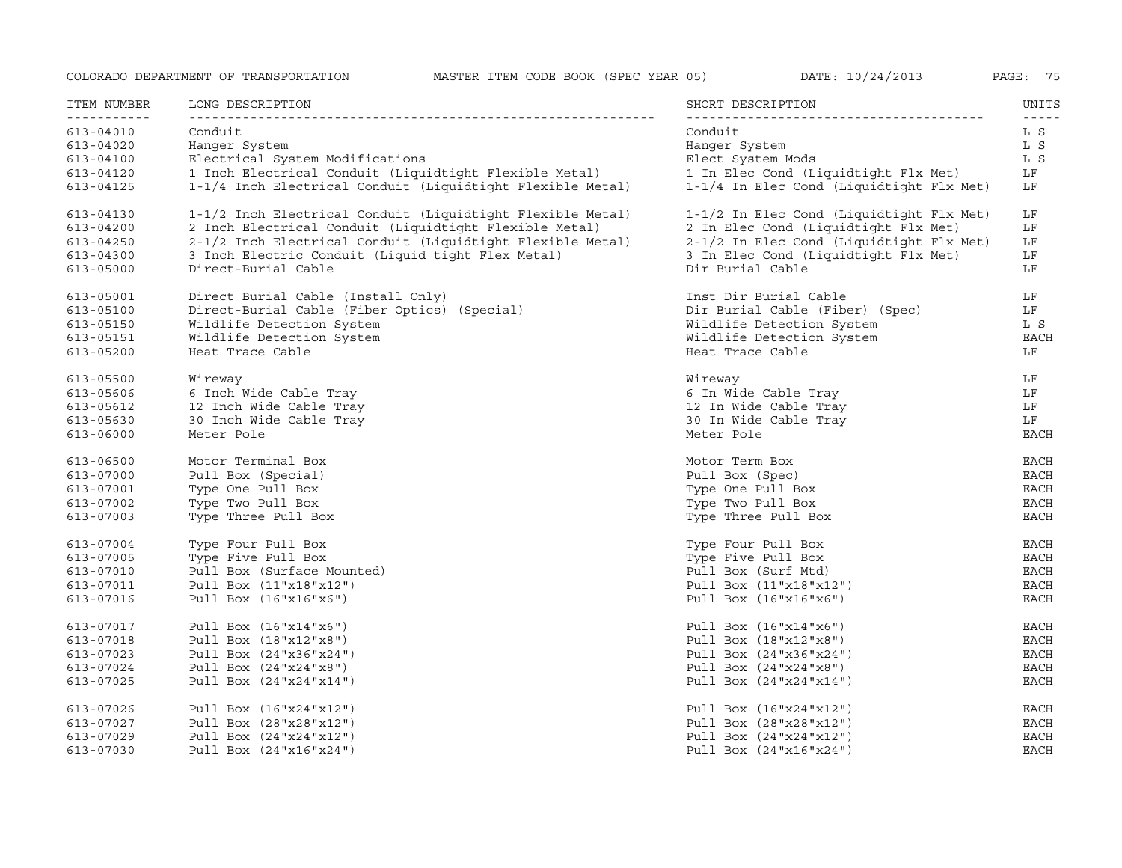| ITEM NUMBER              | LONG DESCRIPTION                                           | SHORT DESCRIPTION                        | UNITS<br>$- - - - -$ |
|--------------------------|------------------------------------------------------------|------------------------------------------|----------------------|
| -----------<br>613-04010 | Conduit                                                    | Conduit                                  | L S                  |
| 613-04020                | Hanger System                                              | Hanger System                            | L S                  |
| 613-04100                | Electrical System Modifications                            | Elect System Mods                        | L S                  |
| 613-04120                | 1 Inch Electrical Conduit (Liquidtight Flexible Metal)     | 1 In Elec Cond (Liquidtight Flx Met)     | LF                   |
| 613-04125                | 1-1/4 Inch Electrical Conduit (Liquidtight Flexible Metal) | 1-1/4 In Elec Cond (Liquidtight Flx Met) | LF                   |
| 613-04130                | 1-1/2 Inch Electrical Conduit (Liquidtight Flexible Metal) | 1-1/2 In Elec Cond (Liquidtight Flx Met) | LF                   |
| 613-04200                | 2 Inch Electrical Conduit (Liquidtight Flexible Metal)     | 2 In Elec Cond (Liquidtight Flx Met)     | LF                   |
| 613-04250                | 2-1/2 Inch Electrical Conduit (Liquidtight Flexible Metal) | 2-1/2 In Elec Cond (Liquidtight Flx Met) | LF                   |
| 613-04300                | 3 Inch Electric Conduit (Liquid tight Flex Metal)          | 3 In Elec Cond (Liquidtight Flx Met)     | LF                   |
| $613 - 05000$            | Direct-Burial Cable                                        | Dir Burial Cable                         | LF                   |
| 613-05001                | Direct Burial Cable (Install Only)                         | Inst Dir Burial Cable                    | LF                   |
| 613-05100                | Direct-Burial Cable (Fiber Optics) (Special)               | Dir Burial Cable (Fiber) (Spec)          | LF                   |
| 613-05150                | Wildlife Detection System                                  | Wildlife Detection System                | L S                  |
| $613 - 05151$            | Wildlife Detection System                                  | Wildlife Detection System                | <b>EACH</b>          |
| $613 - 05200$            | Heat Trace Cable                                           | Heat Trace Cable                         | LF                   |
|                          |                                                            |                                          |                      |
| 613-05500                | Wireway                                                    | Wireway                                  | LF                   |
| 613-05606                | 6 Inch Wide Cable Tray                                     | 6 In Wide Cable Tray                     | LF                   |
| 613-05612                | 12 Inch Wide Cable Tray                                    | 12 In Wide Cable Tray                    | LF                   |
| 613-05630                | 30 Inch Wide Cable Tray                                    | 30 In Wide Cable Tray                    | LF                   |
| 613-06000                | Meter Pole                                                 | Meter Pole                               | <b>EACH</b>          |
| 613-06500                | Motor Terminal Box                                         | Motor Term Box                           | <b>EACH</b>          |
| 613-07000                | Pull Box (Special)                                         | Pull Box (Spec)                          | <b>EACH</b>          |
| 613-07001                | Type One Pull Box                                          | Type One Pull Box                        | <b>EACH</b>          |
| 613-07002                | Type Two Pull Box                                          | Type Two Pull Box                        | <b>EACH</b>          |
| 613-07003                | Type Three Pull Box                                        | Type Three Pull Box                      | <b>EACH</b>          |
| 613-07004                | Type Four Pull Box                                         | Type Four Pull Box                       | <b>EACH</b>          |
| 613-07005                | Type Five Pull Box                                         | Type Five Pull Box                       | <b>EACH</b>          |
| 613-07010                | Pull Box (Surface Mounted)                                 | Pull Box (Surf Mtd)                      | <b>EACH</b>          |
| 613-07011                | Pull Box (11"x18"x12")                                     | Pull Box (11"x18"x12")                   | <b>EACH</b>          |
| 613-07016                | Pull Box (16"x16"x6")                                      | Pull Box (16"x16"x6")                    | <b>EACH</b>          |
| 613-07017                | Pull Box (16"x14"x6")                                      | Pull Box (16"x14"x6")                    | <b>EACH</b>          |
| 613-07018                | Pull Box (18"x12"x8")                                      | Pull Box $(18"x12"x8")$                  | <b>EACH</b>          |
| 613-07023                | Pull Box (24"x36"x24")                                     | Pull Box (24"x36"x24")                   | <b>EACH</b>          |
| 613-07024                | Pull Box (24"x24"x8")                                      | Pull Box $(24"x24"x8")$                  | <b>EACH</b>          |
| 613-07025                | Pull Box (24"x24"x14")                                     | Pull Box (24"x24"x14")                   | <b>EACH</b>          |
|                          |                                                            |                                          |                      |
| 613-07026                | Pull Box (16"x24"x12")                                     | Pull Box (16"x24"x12")                   | <b>EACH</b>          |
| 613-07027                | Pull Box (28"x28"x12")                                     | Pull Box (28"x28"x12")                   | EACH                 |
| 613-07029                | Pull Box (24"x24"x12")                                     | Pull Box $(24"x24"x12")$                 | <b>EACH</b>          |
| 613-07030                | Pull Box (24"x16"x24")                                     | Pull Box (24"x16"x24")                   | <b>EACH</b>          |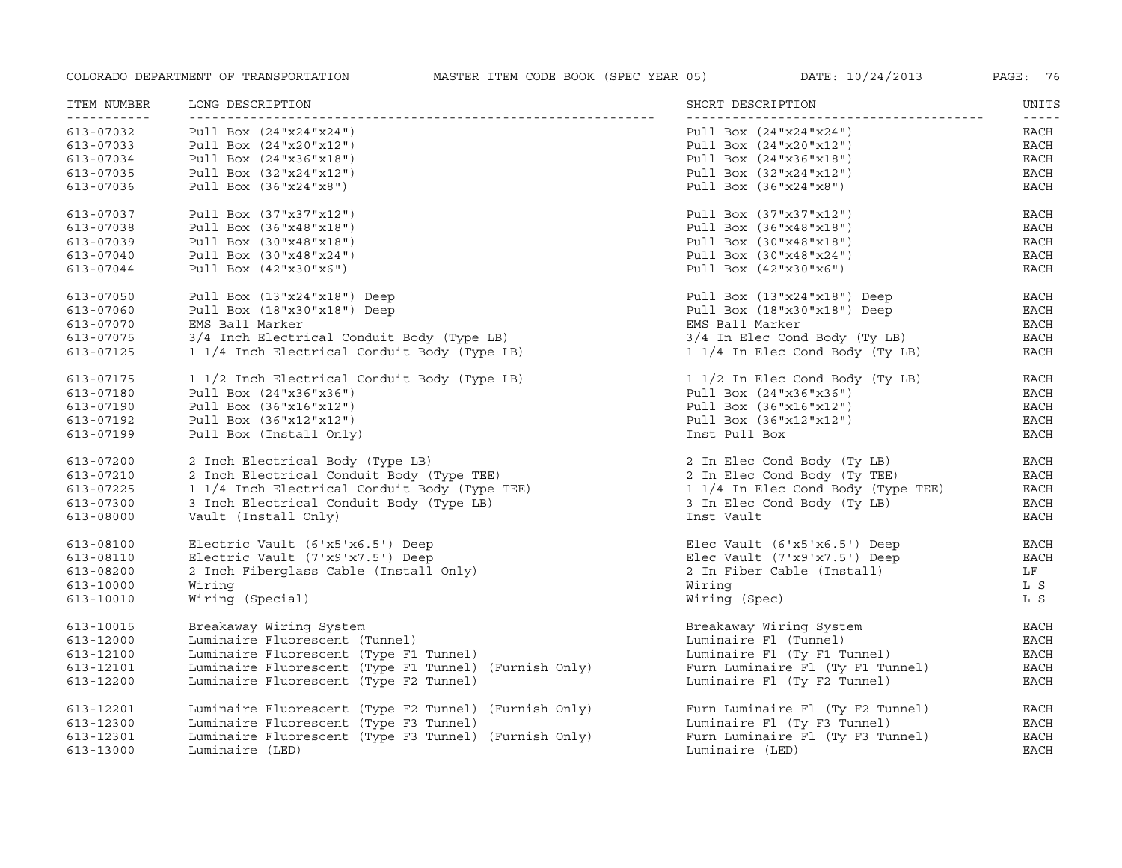| ITEM NUMBER<br><u> - - - - - - - - - - -</u> | LONG DESCRIPTION                                      | SHORT DESCRIPTION                  | UNITS<br>$- - - - -$ |
|----------------------------------------------|-------------------------------------------------------|------------------------------------|----------------------|
| 613-07032                                    | Pull Box (24"x24"x24")                                | Pull Box (24"x24"x24")             | EACH                 |
| 613-07033                                    | Pull Box (24"x20"x12")                                | Pull Box (24"x20"x12")             | EACH                 |
| 613-07034                                    | Pull Box (24"x36"x18")                                | Pull Box (24"x36"x18")             | EACH                 |
| 613-07035                                    | Pull Box (32"x24"x12")                                | Pull Box $(32"x24"x12")$           | EACH                 |
| 613-07036                                    | Pull Box (36"x24"x8")                                 | Pull Box $(36"x24"x8")$            | <b>EACH</b>          |
| 613-07037                                    | Pull Box (37"x37"x12")                                | Pull Box $(37"x37"x12")$           | EACH                 |
| 613-07038                                    | Pull Box (36"x48"x18")                                | Pull Box (36"x48"x18")             | EACH                 |
| 613-07039                                    | Pull Box (30"x48"x18")                                | Pull Box (30"x48"x18")             | <b>EACH</b>          |
| 613-07040                                    | Pull Box (30"x48"x24")                                | Pull Box (30"x48"x24")             | $_{\rm EACH}$        |
| 613-07044                                    | Pull Box (42"x30"x6")                                 | Pull Box $(42"x30"x6")$            | EACH                 |
|                                              |                                                       |                                    |                      |
| 613-07050                                    | Pull Box (13"x24"x18") Deep                           | Pull Box $(13"x24"x18")$ Deep      | EACH                 |
| 613-07060                                    | Pull Box $(18"x30"x18")$ Deep                         | Pull Box $(18"x30"x18")$ Deep      | EACH                 |
| 613-07070                                    | EMS Ball Marker                                       | EMS Ball Marker                    | EACH                 |
| 613-07075                                    | 3/4 Inch Electrical Conduit Body (Type LB)            | 3/4 In Elec Cond Body (Ty LB)      | $_{\rm EACH}$        |
| 613-07125                                    | 1 1/4 Inch Electrical Conduit Body (Type LB)          | 1 1/4 In Elec Cond Body (Ty LB)    | EACH                 |
| 613-07175                                    | 1 1/2 Inch Electrical Conduit Body (Type LB)          | 1 1/2 In Elec Cond Body (Ty LB)    | EACH                 |
| 613-07180                                    | Pull Box (24"x36"x36")                                | Pull Box $(24"x36"x36")$           | EACH                 |
| 613-07190                                    | Pull Box (36"x16"x12")                                | Pull Box (36"x16"x12")             | $_{\rm EACH}$        |
| 613-07192                                    | Pull Box (36"x12"x12")                                | Pull Box $(36"x12"x12")$           | EACH                 |
| 613-07199                                    | Pull Box (Install Only)                               | Inst Pull Box                      | EACH                 |
|                                              |                                                       |                                    |                      |
| 613-07200                                    | 2 Inch Electrical Body (Type LB)                      | 2 In Elec Cond Body (Ty LB)        | EACH                 |
| 613-07210                                    | 2 Inch Electrical Conduit Body (Type TEE)             | 2 In Elec Cond Body (Ty TEE)       | EACH                 |
| 613-07225                                    | 1 1/4 Inch Electrical Conduit Body (Type TEE)         | 1 1/4 In Elec Cond Body (Type TEE) | EACH                 |
| 613-07300                                    | 3 Inch Electrical Conduit Body (Type LB)              | 3 In Elec Cond Body (Ty LB)        | EACH                 |
| 613-08000                                    | Vault (Install Only)                                  | Inst Vault                         | <b>EACH</b>          |
| 613-08100                                    | Electric Vault (6'x5'x6.5') Deep                      | Elec Vault (6'x5'x6.5') Deep       | <b>EACH</b>          |
| 613-08110                                    | Electric Vault (7'x9'x7.5') Deep                      | Elec Vault (7'x9'x7.5') Deep       | <b>EACH</b>          |
| 613-08200                                    | 2 Inch Fiberglass Cable (Install Only)                | 2 In Fiber Cable (Install)         | LF                   |
| 613-10000                                    | Wiring                                                | Wiring                             | L S                  |
| 613-10010                                    | Wiring (Special)                                      | Wiring (Spec)                      | L S                  |
| 613-10015                                    | Breakaway Wiring System                               | Breakaway Wiring System            | EACH                 |
| 613-12000                                    | Luminaire Fluorescent (Tunnel)                        | Luminaire Fl (Tunnel)              | EACH                 |
| 613-12100                                    | Luminaire Fluorescent (Type F1 Tunnel)                | Luminaire Fl (Ty F1 Tunnel)        | $_{\rm EACH}$        |
| 613-12101                                    | Luminaire Fluorescent (Type F1 Tunnel) (Furnish Only) | Furn Luminaire Fl (Ty F1 Tunnel)   | EACH                 |
|                                              |                                                       |                                    |                      |
| 613-12200                                    | Luminaire Fluorescent (Type F2 Tunnel)                | Luminaire Fl (Ty F2 Tunnel)        | <b>EACH</b>          |
| 613-12201                                    | Luminaire Fluorescent (Type F2 Tunnel) (Furnish Only) | Furn Luminaire Fl (Ty F2 Tunnel)   | EACH                 |
| 613-12300                                    | Luminaire Fluorescent (Type F3 Tunnel)                | Luminaire Fl (Ty F3 Tunnel)        | <b>EACH</b>          |
| 613-12301                                    | Luminaire Fluorescent (Type F3 Tunnel) (Furnish Only) | Furn Luminaire Fl (Ty F3 Tunnel)   | <b>EACH</b>          |
| 613-13000                                    | Luminaire (LED)                                       | Luminaire (LED)                    | <b>EACH</b>          |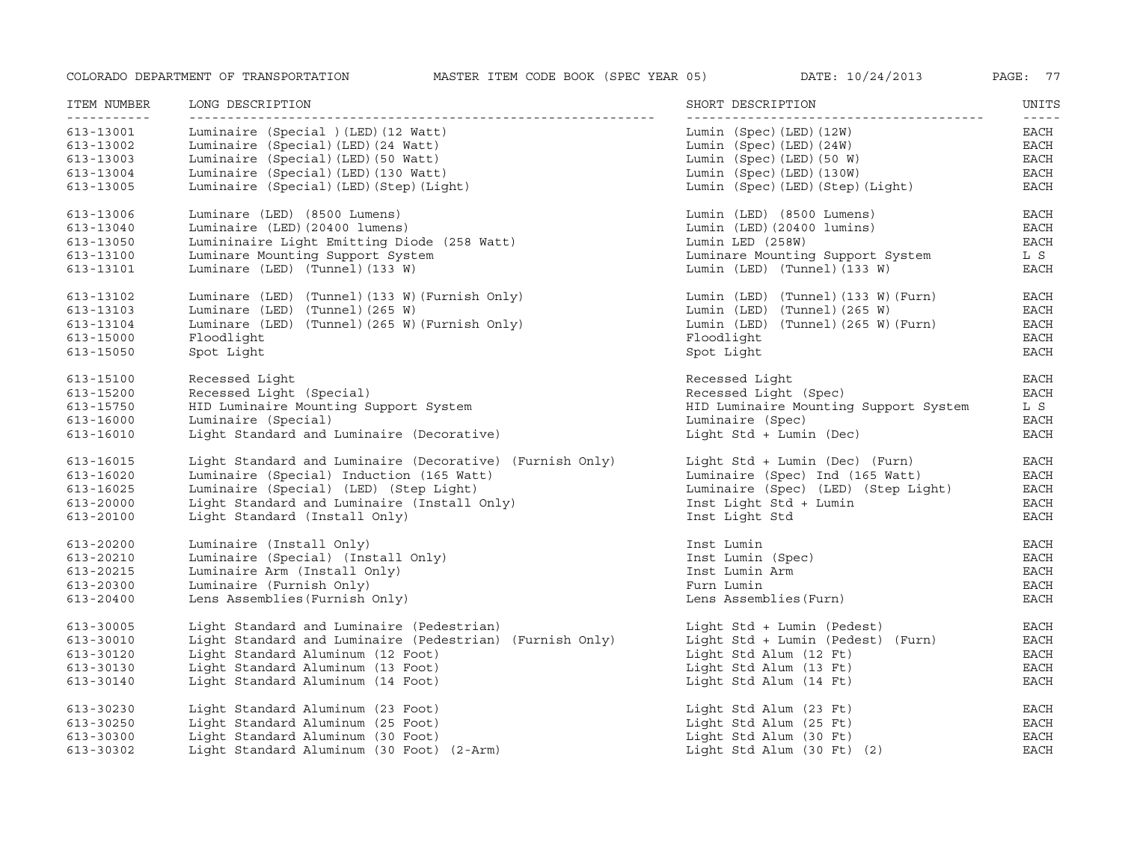| ITEM NUMBER                                                                  | LONG DESCRIPTION                                                                                                                                                                                       | SHORT DESCRIPTION                                                                                                                                   | UNITS                                                                                                                                                                                                                                                                                                                                                                                                                                         |
|------------------------------------------------------------------------------|--------------------------------------------------------------------------------------------------------------------------------------------------------------------------------------------------------|-----------------------------------------------------------------------------------------------------------------------------------------------------|-----------------------------------------------------------------------------------------------------------------------------------------------------------------------------------------------------------------------------------------------------------------------------------------------------------------------------------------------------------------------------------------------------------------------------------------------|
| -----------<br>613-13001<br>613-13002<br>613-13003<br>613-13004<br>613-13005 | Luminaire (Special ) (LED) (12 Watt)<br>Luminaire (Special) (LED) (24 Watt)<br>Luminaire (Special) (LED) (50 Watt)<br>Luminaire (Special) (LED) (130 Watt)<br>Luminaire (Special) (LED) (Step) (Light) | Lumin (Spec) (LED) (12W)<br>Lumin (Spec) (LED) (24W)<br>Lumin (Spec) (LED) (50 W)<br>Lumin (Spec) (LED) (130W)<br>Lumin (Spec) (LED) (Step) (Light) | $\frac{1}{2} \frac{1}{2} \frac{1}{2} \frac{1}{2} \frac{1}{2} \frac{1}{2} \frac{1}{2} \frac{1}{2} \frac{1}{2} \frac{1}{2} \frac{1}{2} \frac{1}{2} \frac{1}{2} \frac{1}{2} \frac{1}{2} \frac{1}{2} \frac{1}{2} \frac{1}{2} \frac{1}{2} \frac{1}{2} \frac{1}{2} \frac{1}{2} \frac{1}{2} \frac{1}{2} \frac{1}{2} \frac{1}{2} \frac{1}{2} \frac{1}{2} \frac{1}{2} \frac{1}{2} \frac{1}{2} \frac{$<br>EACH<br>EACH<br>EACH<br>$_{\rm EACH}$<br>EACH |
| 613-13006                                                                    | Luminare (LED) (8500 Lumens)                                                                                                                                                                           | Lumin (LED) (8500 Lumens)                                                                                                                           | <b>EACH</b>                                                                                                                                                                                                                                                                                                                                                                                                                                   |
| 613-13040                                                                    | Luminaire (LED) (20400 lumens)                                                                                                                                                                         | Lumin (LED) (20400 lumins)                                                                                                                          | $_{\rm EACH}$                                                                                                                                                                                                                                                                                                                                                                                                                                 |
| 613-13050                                                                    | Lumininaire Light Emitting Diode (258 Watt)                                                                                                                                                            | Lumin LED (258W)                                                                                                                                    | EACH                                                                                                                                                                                                                                                                                                                                                                                                                                          |
| 613-13100                                                                    | Luminare Mounting Support System                                                                                                                                                                       | Luminare Mounting Support System                                                                                                                    | L S                                                                                                                                                                                                                                                                                                                                                                                                                                           |
| 613-13101                                                                    | Luminare (LED) (Tunnel) (133 W)                                                                                                                                                                        | Lumin (LED) (Tunnel) (133 W)                                                                                                                        | <b>EACH</b>                                                                                                                                                                                                                                                                                                                                                                                                                                   |
| 613-13102                                                                    | Luminare (LED) (Tunnel) (133 W) (Furnish Only)                                                                                                                                                         | Lumin (LED) (Tunnel) (133 W) (Furn)                                                                                                                 | EACH                                                                                                                                                                                                                                                                                                                                                                                                                                          |
| 613-13103                                                                    | Luminare (LED) (Tunnel) (265 W)                                                                                                                                                                        | Lumin (LED) (Tunnel) (265 W)                                                                                                                        | EACH                                                                                                                                                                                                                                                                                                                                                                                                                                          |
| 613-13104                                                                    | Luminare (LED) (Tunnel) (265 W) (Furnish Only)                                                                                                                                                         | Lumin (LED) (Tunnel) (265 W) (Furn)                                                                                                                 | $_{\rm EACH}$                                                                                                                                                                                                                                                                                                                                                                                                                                 |
| 613-15000                                                                    | Floodlight                                                                                                                                                                                             | Floodlight                                                                                                                                          | <b>EACH</b>                                                                                                                                                                                                                                                                                                                                                                                                                                   |
| 613-15050                                                                    | Spot Light                                                                                                                                                                                             | Spot Light                                                                                                                                          | EACH                                                                                                                                                                                                                                                                                                                                                                                                                                          |
| 613-15100                                                                    | Recessed Light                                                                                                                                                                                         | Recessed Light                                                                                                                                      | <b>EACH</b>                                                                                                                                                                                                                                                                                                                                                                                                                                   |
| 613-15200                                                                    | Recessed Light (Special)                                                                                                                                                                               | Recessed Light (Spec)                                                                                                                               | EACH                                                                                                                                                                                                                                                                                                                                                                                                                                          |
| 613-15750                                                                    | HID Luminaire Mounting Support System                                                                                                                                                                  | HID Luminaire Mounting Support System                                                                                                               | L S                                                                                                                                                                                                                                                                                                                                                                                                                                           |
| 613-16000                                                                    | Luminaire (Special)                                                                                                                                                                                    | Luminaire (Spec)                                                                                                                                    | <b>EACH</b>                                                                                                                                                                                                                                                                                                                                                                                                                                   |
| 613-16010                                                                    | Light Standard and Luminaire (Decorative)                                                                                                                                                              | Light Std + Lumin (Dec)                                                                                                                             | EACH                                                                                                                                                                                                                                                                                                                                                                                                                                          |
| 613-16015                                                                    | Light Standard and Luminaire (Decorative) (Furnish Only)                                                                                                                                               | Light Std + Lumin (Dec) (Furn)                                                                                                                      | <b>EACH</b>                                                                                                                                                                                                                                                                                                                                                                                                                                   |
| 613-16020                                                                    | Luminaire (Special) Induction (165 Watt)                                                                                                                                                               | Luminaire (Spec) Ind (165 Watt)                                                                                                                     | $_{\rm EACH}$                                                                                                                                                                                                                                                                                                                                                                                                                                 |
| 613-16025                                                                    | Luminaire (Special) (LED) (Step Light)                                                                                                                                                                 | Luminaire (Spec) (LED) (Step Light)                                                                                                                 | <b>EACH</b>                                                                                                                                                                                                                                                                                                                                                                                                                                   |
| 613-20000                                                                    | Light Standard and Luminaire (Install Only)                                                                                                                                                            | Inst Light Std + Lumin                                                                                                                              | EACH                                                                                                                                                                                                                                                                                                                                                                                                                                          |
| 613-20100                                                                    | Light Standard (Install Only)                                                                                                                                                                          | Inst Light Std                                                                                                                                      | EACH                                                                                                                                                                                                                                                                                                                                                                                                                                          |
| 613-20200                                                                    | Luminaire (Install Only)                                                                                                                                                                               | Inst Lumin                                                                                                                                          | EACH                                                                                                                                                                                                                                                                                                                                                                                                                                          |
| 613-20210                                                                    | Luminaire (Special) (Install Only)                                                                                                                                                                     | Inst Lumin (Spec)                                                                                                                                   | <b>EACH</b>                                                                                                                                                                                                                                                                                                                                                                                                                                   |
| 613-20215                                                                    | Luminaire Arm (Install Only)                                                                                                                                                                           | Inst Lumin Arm                                                                                                                                      | <b>EACH</b>                                                                                                                                                                                                                                                                                                                                                                                                                                   |
| 613-20300                                                                    | Luminaire (Furnish Only)                                                                                                                                                                               | Furn Lumin                                                                                                                                          | <b>EACH</b>                                                                                                                                                                                                                                                                                                                                                                                                                                   |
| 613-20400                                                                    | Lens Assemblies (Furnish Only)                                                                                                                                                                         | Lens Assemblies (Furn)                                                                                                                              | <b>EACH</b>                                                                                                                                                                                                                                                                                                                                                                                                                                   |
| 613-30005                                                                    | Light Standard and Luminaire (Pedestrian)                                                                                                                                                              | Light Std + Lumin (Pedest)                                                                                                                          | EACH                                                                                                                                                                                                                                                                                                                                                                                                                                          |
| 613-30010                                                                    | Light Standard and Luminaire (Pedestrian) (Furnish Only)                                                                                                                                               | Light Std + Lumin (Pedest) (Furn)                                                                                                                   | EACH                                                                                                                                                                                                                                                                                                                                                                                                                                          |
| 613-30120                                                                    | Light Standard Aluminum (12 Foot)                                                                                                                                                                      | Light Std Alum (12 Ft)                                                                                                                              | <b>EACH</b>                                                                                                                                                                                                                                                                                                                                                                                                                                   |
| 613-30130                                                                    | Light Standard Aluminum (13 Foot)                                                                                                                                                                      | Light Std Alum (13 Ft)                                                                                                                              | <b>EACH</b>                                                                                                                                                                                                                                                                                                                                                                                                                                   |
| 613-30140                                                                    | Light Standard Aluminum (14 Foot)                                                                                                                                                                      | Light Std Alum (14 Ft)                                                                                                                              | <b>EACH</b>                                                                                                                                                                                                                                                                                                                                                                                                                                   |
| 613-30230                                                                    | Light Standard Aluminum (23 Foot)                                                                                                                                                                      | Light Std Alum (23 Ft)                                                                                                                              | EACH                                                                                                                                                                                                                                                                                                                                                                                                                                          |
| 613-30250                                                                    | Light Standard Aluminum (25 Foot)                                                                                                                                                                      | Light Std Alum (25 Ft)                                                                                                                              | EACH                                                                                                                                                                                                                                                                                                                                                                                                                                          |
| 613-30300                                                                    | Light Standard Aluminum (30 Foot)                                                                                                                                                                      | Light Std Alum (30 Ft)                                                                                                                              | <b>EACH</b>                                                                                                                                                                                                                                                                                                                                                                                                                                   |
| 613-30302                                                                    | Light Standard Aluminum (30 Foot) (2-Arm)                                                                                                                                                              | Light Std Alum $(30 \text{ Ft})$ $(2)$                                                                                                              | <b>EACH</b>                                                                                                                                                                                                                                                                                                                                                                                                                                   |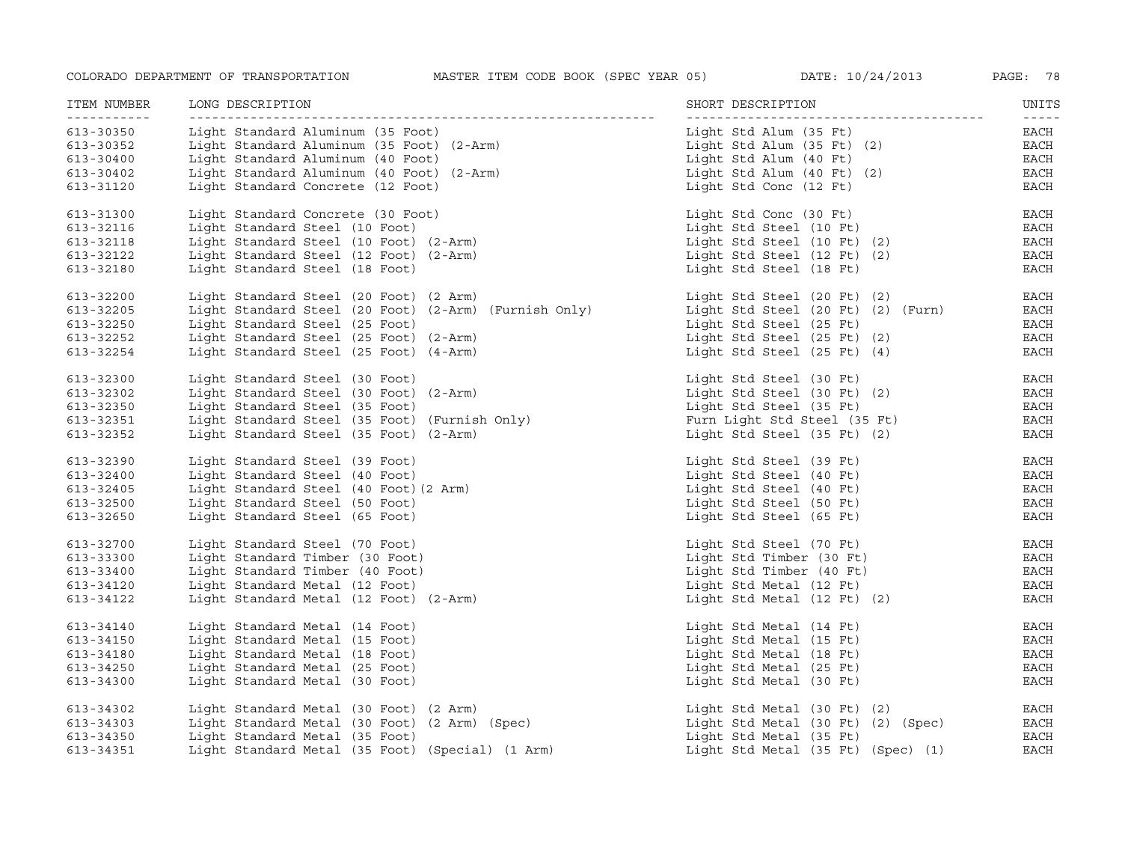| ITEM NUMBER<br>----------- | LONG DESCRIPTION                                      | SHORT DESCRIPTION                  | UNITS<br>$- - - - -$ |
|----------------------------|-------------------------------------------------------|------------------------------------|----------------------|
| 613-30350                  | Light Standard Aluminum (35 Foot)                     | Light Std Alum (35 Ft)             | EACH                 |
| 613-30352                  | Light Standard Aluminum (35 Foot) (2-Arm)             | Light Std Alum (35 Ft) (2)         | EACH                 |
| 613-30400                  | Light Standard Aluminum (40 Foot)                     | Light Std Alum (40 Ft)             | EACH                 |
| 613-30402                  | Light Standard Aluminum (40 Foot) (2-Arm)             | Light Std Alum (40 Ft) (2)         | <b>EACH</b>          |
| 613-31120                  | Light Standard Concrete (12 Foot)                     | Light Std Conc (12 Ft)             | EACH                 |
| 613-31300                  | Light Standard Concrete (30 Foot)                     | Light Std Conc (30 Ft)             | <b>EACH</b>          |
| 613-32116                  | Light Standard Steel (10 Foot)                        | Light Std Steel (10 Ft)            | $_{\rm EACH}$        |
| 613-32118                  | Light Standard Steel (10 Foot) (2-Arm)                | Light Std Steel (10 Ft) (2)        | EACH                 |
| 613-32122                  | Light Standard Steel (12 Foot) (2-Arm)                | Light Std Steel (12 Ft) (2)        | EACH                 |
| 613-32180                  | Light Standard Steel (18 Foot)                        | Light Std Steel (18 Ft)            | $_{\rm EACH}$        |
| 613-32200                  | Light Standard Steel (20 Foot) (2 Arm)                | Light Std Steel (20 Ft) (2)        | EACH                 |
| 613-32205                  | Light Standard Steel (20 Foot) (2-Arm) (Furnish Only) | Light Std Steel (20 Ft) (2) (Furn) | <b>EACH</b>          |
| 613-32250                  | Light Standard Steel (25 Foot)                        | Light Std Steel (25 Ft)            | EACH                 |
| 613-32252                  | Light Standard Steel (25 Foot) (2-Arm)                | Light Std Steel (25 Ft) (2)        | <b>EACH</b>          |
| 613-32254                  | Light Standard Steel (25 Foot) (4-Arm)                | Light Std Steel (25 Ft) (4)        | EACH                 |
| 613-32300                  | Light Standard Steel (30 Foot)                        | Light Std Steel (30 Ft)            | EACH                 |
| 613-32302                  | Light Standard Steel (30 Foot) (2-Arm)                | Light Std Steel (30 Ft) (2)        | <b>EACH</b>          |
| 613-32350                  | Light Standard Steel (35 Foot)                        | Light Std Steel (35 Ft)            | EACH                 |
| 613-32351                  | Light Standard Steel (35 Foot) (Furnish Only)         | Furn Light Std Steel (35 Ft)       | EACH                 |
| 613-32352                  | Light Standard Steel (35 Foot) (2-Arm)                | Light Std Steel (35 Ft) (2)        | <b>EACH</b>          |
| 613-32390                  | Light Standard Steel (39 Foot)                        | Light Std Steel (39 Ft)            | EACH                 |
| 613-32400                  | Light Standard Steel (40 Foot)                        | Light Std Steel (40 Ft)            | $_{\rm EACH}$        |
| 613-32405                  | Light Standard Steel (40 Foot) (2 Arm)                | Light Std Steel (40 Ft)            | EACH                 |
| 613-32500                  | Light Standard Steel (50 Foot)                        | Light Std Steel $(50 \text{ Ft})$  | EACH                 |
| 613-32650                  | Light Standard Steel (65 Foot)                        | Light Std Steel (65 Ft)            | <b>EACH</b>          |
| 613-32700                  | Light Standard Steel (70 Foot)                        | Light Std Steel (70 Ft)            | EACH                 |
| 613-33300                  | Light Standard Timber (30 Foot)                       | Light Std Timber (30 Ft)           | <b>EACH</b>          |
| 613-33400                  | Light Standard Timber (40 Foot)                       | Light Std Timber (40 Ft)           | EACH                 |
| 613-34120                  | Light Standard Metal (12 Foot)                        | Light Std Metal (12 Ft)            | EACH                 |
| 613-34122                  | Light Standard Metal (12 Foot) (2-Arm)                | Light Std Metal (12 Ft) (2)        | <b>EACH</b>          |
| 613-34140                  | Light Standard Metal (14 Foot)                        | Light Std Metal (14 Ft)            | EACH                 |
| 613-34150                  | Light Standard Metal (15 Foot)                        | Light Std Metal (15 Ft)            | EACH                 |
| 613-34180                  | Light Standard Metal (18 Foot)                        | Light Std Metal (18 Ft)            | EACH                 |
| 613-34250                  | Light Standard Metal (25 Foot)                        | Light Std Metal (25 Ft)            | <b>EACH</b>          |
| 613-34300                  | Light Standard Metal (30 Foot)                        | Light Std Metal (30 Ft)            | $_{\rm EACH}$        |
| 613-34302                  | Light Standard Metal (30 Foot) (2 Arm)                | Light Std Metal (30 Ft) (2)        | EACH                 |
| 613-34303                  | Light Standard Metal (30 Foot) (2 Arm) (Spec)         | Light Std Metal (30 Ft) (2) (Spec) | EACH                 |
| 613-34350                  | Light Standard Metal (35 Foot)                        | Light Std Metal (35 Ft)            | <b>EACH</b>          |
| 613-34351                  | Light Standard Metal (35 Foot) (Special) (1 Arm)      | Light Std Metal (35 Ft) (Spec) (1) | <b>EACH</b>          |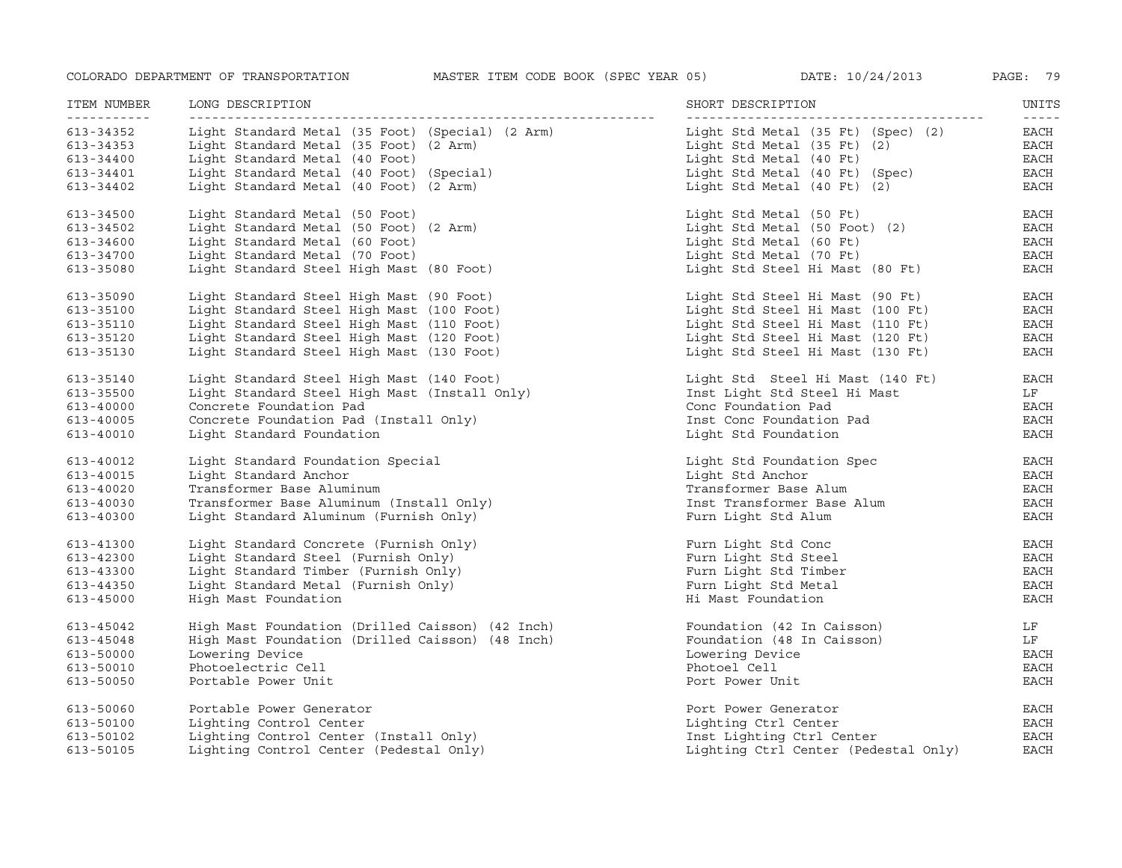| ITEM NUMBER<br>----------- | LONG DESCRIPTION                                 | SHORT DESCRIPTION                    | UNITS<br>$- - - - -$ |
|----------------------------|--------------------------------------------------|--------------------------------------|----------------------|
| 613-34352                  | Light Standard Metal (35 Foot) (Special) (2 Arm) | Light Std Metal (35 Ft) (Spec) (2)   | EACH                 |
| 613-34353                  | Light Standard Metal (35 Foot) (2 Arm)           | Light Std Metal (35 Ft) (2)          | EACH                 |
| 613-34400                  | Light Standard Metal (40 Foot)                   | Light Std Metal (40 Ft)              | EACH                 |
| 613-34401                  | Light Standard Metal (40 Foot) (Special)         | Light Std Metal (40 Ft) (Spec)       | EACH                 |
| 613-34402                  | Light Standard Metal (40 Foot) (2 Arm)           | Light Std Metal (40 Ft) (2)          | <b>EACH</b>          |
| 613-34500                  | Light Standard Metal (50 Foot)                   | Light Std Metal (50 Ft)              | EACH                 |
| 613-34502                  | Light Standard Metal (50 Foot) (2 Arm)           | Light Std Metal (50 Foot) (2)        | EACH                 |
| 613-34600                  | Light Standard Metal (60 Foot)                   | Light Std Metal (60 Ft)              | <b>EACH</b>          |
| 613-34700                  | Light Standard Metal (70 Foot)                   | Light Std Metal (70 Ft)              | $_{\rm EACH}$        |
| 613-35080                  | Light Standard Steel High Mast (80 Foot)         | Light Std Steel Hi Mast (80 Ft)      | <b>EACH</b>          |
| 613-35090                  | Light Standard Steel High Mast (90 Foot)         | Light Std Steel Hi Mast (90 Ft)      | EACH                 |
| 613-35100                  | Light Standard Steel High Mast (100 Foot)        | Light Std Steel Hi Mast (100 Ft)     | EACH                 |
| 613-35110                  | Light Standard Steel High Mast (110 Foot)        | Light Std Steel Hi Mast (110 Ft)     | EACH                 |
| 613-35120                  | Light Standard Steel High Mast (120 Foot)        | Light Std Steel Hi Mast (120 Ft)     | EACH                 |
| 613-35130                  | Light Standard Steel High Mast (130 Foot)        | Light Std Steel Hi Mast (130 Ft)     | <b>EACH</b>          |
| 613-35140                  | Light Standard Steel High Mast (140 Foot)        | Light Std Steel Hi Mast (140 Ft)     | EACH                 |
| 613-35500                  | Light Standard Steel High Mast (Install Only)    | Inst Light Std Steel Hi Mast         | LF                   |
| 613-40000                  | Concrete Foundation Pad                          | Conc Foundation Pad                  | EACH                 |
| 613-40005                  | Concrete Foundation Pad (Install Only)           | Inst Conc Foundation Pad             | EACH                 |
| 613-40010                  | Light Standard Foundation                        | Light Std Foundation                 | EACH                 |
| 613-40012                  | Light Standard Foundation Special                | Light Std Foundation Spec            | EACH                 |
| 613-40015                  | Light Standard Anchor                            | Light Std Anchor                     | EACH                 |
| 613-40020                  | Transformer Base Aluminum                        | Transformer Base Alum                | EACH                 |
| 613-40030                  | Transformer Base Aluminum (Install Only)         | Inst Transformer Base Alum           | EACH                 |
| 613-40300                  | Light Standard Aluminum (Furnish Only)           | Furn Light Std Alum                  | <b>EACH</b>          |
| 613-41300                  | Light Standard Concrete (Furnish Only)           | Furn Light Std Conc                  | EACH                 |
| 613-42300                  | Light Standard Steel (Furnish Only)              | Furn Light Std Steel                 | <b>EACH</b>          |
| 613-43300                  | Light Standard Timber (Furnish Only)             | Furn Light Std Timber                | <b>EACH</b>          |
| 613-44350                  | Light Standard Metal (Furnish Only)              | Furn Light Std Metal                 | <b>EACH</b>          |
| 613-45000                  | High Mast Foundation                             | Hi Mast Foundation                   | <b>EACH</b>          |
| 613-45042                  | High Mast Foundation (Drilled Caisson) (42 Inch) | Foundation (42 In Caisson)           | LF                   |
| 613-45048                  | High Mast Foundation (Drilled Caisson) (48 Inch) | Foundation (48 In Caisson)           | LF                   |
| 613-50000                  | Lowering Device                                  | Lowering Device                      | EACH                 |
| 613-50010                  | Photoelectric Cell                               | Photoel Cell                         | <b>EACH</b>          |
| 613-50050                  | Portable Power Unit                              | Port Power Unit                      | <b>EACH</b>          |
| 613-50060                  | Portable Power Generator                         | Port Power Generator                 | EACH                 |
| 613-50100                  | Lighting Control Center                          | Lighting Ctrl Center                 | EACH                 |
| 613-50102                  | Lighting Control Center (Install Only)           | Inst Lighting Ctrl Center            | <b>EACH</b>          |
| 613-50105                  | Lighting Control Center (Pedestal Only)          | Lighting Ctrl Center (Pedestal Only) | <b>EACH</b>          |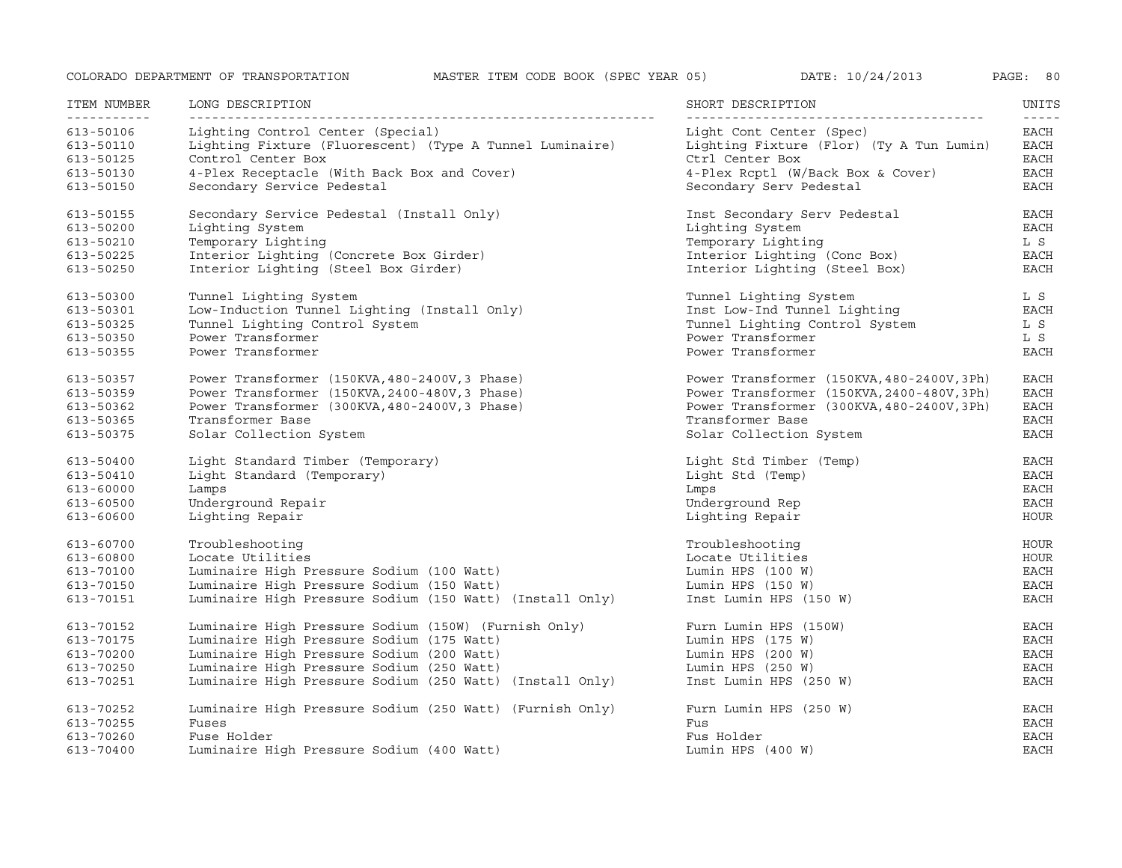| ATE : |  |  | 10/24/2013 |
|-------|--|--|------------|
|-------|--|--|------------|

| ITEM NUMBER                                           | LONG DESCRIPTION                                                                                                                                                   | SHORT DESCRIPTION                                                                                                            | UNITS                                        |
|-------------------------------------------------------|--------------------------------------------------------------------------------------------------------------------------------------------------------------------|------------------------------------------------------------------------------------------------------------------------------|----------------------------------------------|
| .<br>613-50106<br>613-50110<br>613-50125<br>613-50130 | Lighting Control Center (Special)<br>Lighting Fixture (Fluorescent) (Type A Tunnel Luminaire)<br>Control Center Box<br>4-Plex Receptacle (With Back Box and Cover) | Light Cont Center (Spec)<br>Lighting Fixture (Flor) (Ty A Tun Lumin)<br>Ctrl Center Box<br>4-Plex Rcptl (W/Back Box & Cover) | -----<br>EACH<br>EACH<br>EACH<br><b>EACH</b> |
| 613-50150                                             | Secondary Service Pedestal                                                                                                                                         | Secondary Serv Pedestal                                                                                                      | EACH                                         |
| 613-50155                                             | Secondary Service Pedestal (Install Only)                                                                                                                          | Inst Secondary Serv Pedestal                                                                                                 | <b>EACH</b>                                  |
| 613-50200                                             | Lighting System                                                                                                                                                    | Lighting System                                                                                                              | EACH                                         |
| 613-50210                                             | Temporary Lighting                                                                                                                                                 | Temporary Lighting                                                                                                           | L S                                          |
| 613-50225                                             | Interior Lighting (Concrete Box Girder)                                                                                                                            | Interior Lighting (Conc Box)                                                                                                 | EACH                                         |
| 613-50250                                             | Interior Lighting (Steel Box Girder)                                                                                                                               | Interior Lighting (Steel Box)                                                                                                | <b>EACH</b>                                  |
| 613-50300                                             | Tunnel Lighting System                                                                                                                                             | Tunnel Lighting System                                                                                                       | L S                                          |
| 613-50301                                             | Low-Induction Tunnel Lighting (Install Only)                                                                                                                       | Inst Low-Ind Tunnel Lighting                                                                                                 | <b>EACH</b>                                  |
| 613-50325                                             | Tunnel Lighting Control System                                                                                                                                     | Tunnel Lighting Control System                                                                                               | L S                                          |
| 613-50350                                             | Power Transformer                                                                                                                                                  | Power Transformer                                                                                                            | L S                                          |
| 613-50355                                             | Power Transformer                                                                                                                                                  | Power Transformer                                                                                                            | <b>EACH</b>                                  |
| 613-50357                                             | Power Transformer (150KVA, 480-2400V, 3 Phase)                                                                                                                     | Power Transformer (150KVA, 480-2400V, 3Ph)                                                                                   | <b>EACH</b>                                  |
| 613-50359                                             | Power Transformer (150KVA, 2400-480V, 3 Phase)                                                                                                                     | Power Transformer (150KVA, 2400-480V, 3Ph)                                                                                   | <b>EACH</b>                                  |
| 613-50362                                             | Power Transformer (300KVA, 480-2400V, 3 Phase)                                                                                                                     | Power Transformer (300KVA, 480-2400V, 3Ph)                                                                                   | <b>EACH</b>                                  |
| 613-50365                                             | Transformer Base                                                                                                                                                   | Transformer Base                                                                                                             | EACH                                         |
| 613-50375                                             | Solar Collection System                                                                                                                                            | Solar Collection System                                                                                                      | <b>EACH</b>                                  |
| 613-50400                                             | Light Standard Timber (Temporary)                                                                                                                                  | Light Std Timber (Temp)                                                                                                      | <b>EACH</b>                                  |
| $613 - 50410$                                         | Light Standard (Temporary)                                                                                                                                         | Light Std (Temp)                                                                                                             | <b>EACH</b>                                  |
| 613-60000                                             | Lamps                                                                                                                                                              | Lmps                                                                                                                         | <b>EACH</b>                                  |
| 613-60500                                             | Underground Repair                                                                                                                                                 | Underground Rep                                                                                                              | <b>EACH</b>                                  |
| 613-60600                                             | Lighting Repair                                                                                                                                                    | Lighting Repair                                                                                                              | <b>HOUR</b>                                  |
| 613-60700                                             | Troubleshooting                                                                                                                                                    | Troubleshooting                                                                                                              | <b>HOUR</b>                                  |
| 613-60800                                             | Locate Utilities                                                                                                                                                   | Locate Utilities                                                                                                             | <b>HOUR</b>                                  |
| 613-70100                                             | Luminaire High Pressure Sodium (100 Watt)                                                                                                                          | Lumin HPS $(100 W)$                                                                                                          | <b>EACH</b>                                  |
| 613-70150                                             | Luminaire High Pressure Sodium (150 Watt)                                                                                                                          | Lumin HPS $(150 W)$                                                                                                          | <b>EACH</b>                                  |
| 613-70151                                             | Luminaire High Pressure Sodium (150 Watt) (Install Only)                                                                                                           | Inst Lumin HPS (150 W)                                                                                                       | <b>EACH</b>                                  |
| 613-70152                                             | Luminaire High Pressure Sodium (150W) (Furnish Only)                                                                                                               | Furn Lumin HPS (150W)                                                                                                        | <b>EACH</b>                                  |
| 613-70175                                             | Luminaire High Pressure Sodium (175 Watt)                                                                                                                          | Lumin HPS $(175 W)$                                                                                                          | <b>EACH</b>                                  |
| 613-70200                                             | Luminaire High Pressure Sodium (200 Watt)                                                                                                                          | Lumin HPS $(200 W)$                                                                                                          | <b>EACH</b>                                  |
| 613-70250                                             | Luminaire High Pressure Sodium (250 Watt)                                                                                                                          | Lumin HPS $(250 W)$                                                                                                          | <b>EACH</b>                                  |
| 613-70251                                             | Luminaire High Pressure Sodium (250 Watt) (Install Only)                                                                                                           | Inst Lumin HPS (250 W)                                                                                                       | <b>EACH</b>                                  |
| 613-70252                                             | Luminaire High Pressure Sodium (250 Watt) (Furnish Only)                                                                                                           | Furn Lumin HPS (250 W)                                                                                                       | <b>EACH</b>                                  |
| 613-70255                                             | Fuses                                                                                                                                                              | Fus                                                                                                                          | <b>EACH</b>                                  |
| 613-70260                                             | Fuse Holder                                                                                                                                                        | Fus Holder                                                                                                                   | <b>EACH</b>                                  |
| 613-70400                                             | Luminaire High Pressure Sodium (400 Watt)                                                                                                                          | Lumin HPS $(400 W)$                                                                                                          | <b>EACH</b>                                  |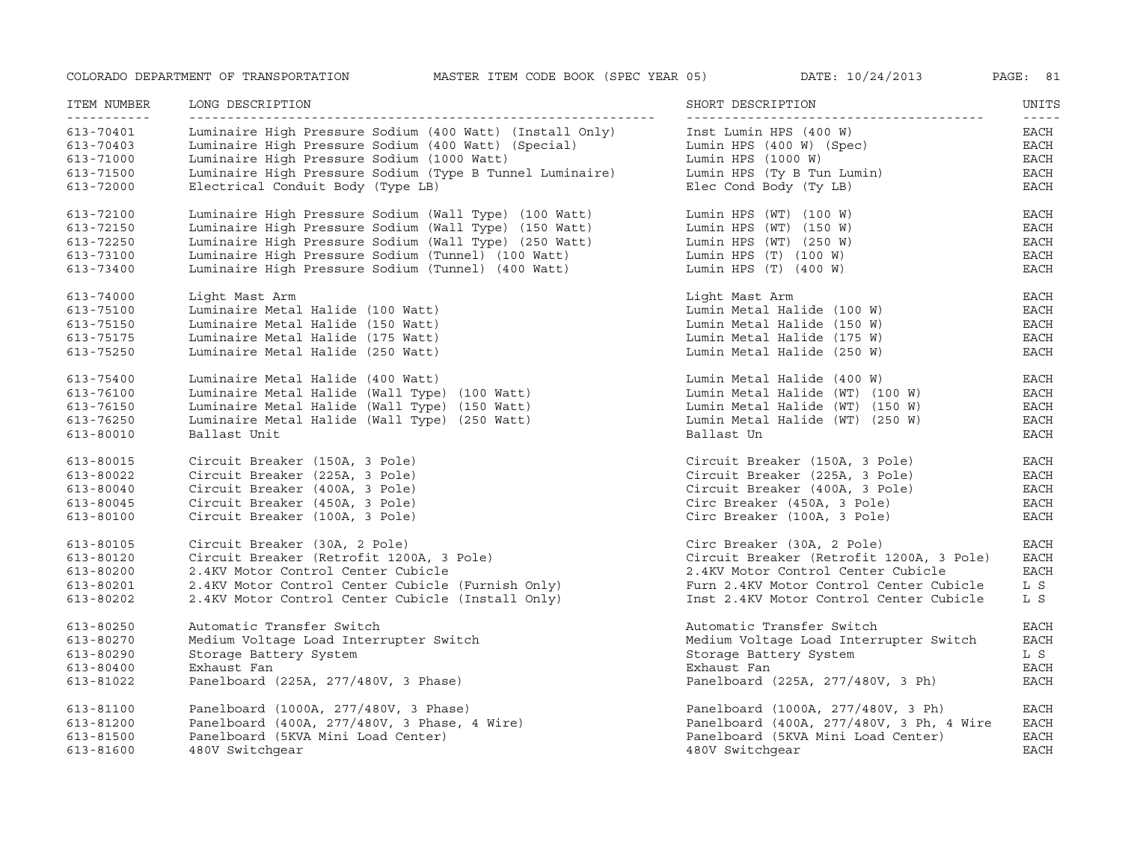| ITEM NUMBER<br><u>__________</u> | LONG DESCRIPTION                                         | SHORT DESCRIPTION<br>-------------------- | UNITS<br>$- - - - -$ |
|----------------------------------|----------------------------------------------------------|-------------------------------------------|----------------------|
| 613-70401                        | Luminaire High Pressure Sodium (400 Watt) (Install Only) | Inst Lumin HPS (400 W)                    | EACH                 |
| 613-70403                        | Luminaire High Pressure Sodium (400 Watt) (Special)      | Lumin HPS (400 W) (Spec)                  | EACH                 |
| 613-71000                        | Luminaire High Pressure Sodium (1000 Watt)               | Lumin HPS $(1000 W)$                      | <b>EACH</b>          |
| 613-71500                        | Luminaire High Pressure Sodium (Type B Tunnel Luminaire) | Lumin HPS (Ty B Tun Lumin)                | <b>EACH</b>          |
| 613-72000                        | Electrical Conduit Body (Type LB)                        | Elec Cond Body (Ty LB)                    | EACH                 |
| 613-72100                        | Luminaire High Pressure Sodium (Wall Type) (100 Watt)    | Lumin HPS (WT) (100 W)                    | <b>EACH</b>          |
| 613-72150                        | Luminaire High Pressure Sodium (Wall Type) (150 Watt)    | Lumin HPS (WT) (150 W)                    | $_{\rm EACH}$        |
| 613-72250                        | Luminaire High Pressure Sodium (Wall Type) (250 Watt)    | Lumin HPS $(WT)$ (250 W)                  | EACH                 |
| 613-73100                        | Luminaire High Pressure Sodium (Tunnel) (100 Watt)       | Lumin HPS $(T)$ (100 W)                   | <b>EACH</b>          |
| 613-73400                        | Luminaire High Pressure Sodium (Tunnel) (400 Watt)       | Lumin HPS $(T)$ $(400 W)$                 | <b>EACH</b>          |
| 613-74000                        | Light Mast Arm                                           | Light Mast Arm                            | EACH                 |
| 613-75100                        | Luminaire Metal Halide (100 Watt)                        | Lumin Metal Halide (100 W)                | <b>EACH</b>          |
| 613-75150                        | Luminaire Metal Halide (150 Watt)                        | Lumin Metal Halide (150 W)                | <b>EACH</b>          |
| 613-75175                        | Luminaire Metal Halide (175 Watt)                        | Lumin Metal Halide (175 W)                | <b>EACH</b>          |
| 613-75250                        | Luminaire Metal Halide (250 Watt)                        | Lumin Metal Halide (250 W)                | <b>EACH</b>          |
| 613-75400                        | Luminaire Metal Halide (400 Watt)                        | Lumin Metal Halide (400 W)                | EACH                 |
| 613-76100                        | Luminaire Metal Halide (Wall Type) (100 Watt)            | Lumin Metal Halide (WT) (100 W)           | EACH                 |
| 613-76150                        | Luminaire Metal Halide (Wall Type) (150 Watt)            | Lumin Metal Halide (WT) (150 W)           | $_{\rm EACH}$        |
| 613-76250                        | Luminaire Metal Halide (Wall Type) (250 Watt)            | Lumin Metal Halide (WT) (250 W)           | <b>EACH</b>          |
| 613-80010                        | Ballast Unit                                             | Ballast Un                                | <b>EACH</b>          |
| 613-80015                        | Circuit Breaker (150A, 3 Pole)                           | Circuit Breaker (150A, 3 Pole)            | <b>EACH</b>          |
| 613-80022                        | Circuit Breaker (225A, 3 Pole)                           | Circuit Breaker (225A, 3 Pole)            | EACH                 |
| $613 - 80040$                    | Circuit Breaker (400A, 3 Pole)                           | Circuit Breaker (400A, 3 Pole)            | EACH                 |
| 613-80045                        | Circuit Breaker (450A, 3 Pole)                           | Circ Breaker (450A, 3 Pole)               | EACH                 |
| 613-80100                        | Circuit Breaker (100A, 3 Pole)                           | Circ Breaker (100A, 3 Pole)               | <b>EACH</b>          |
| 613-80105                        | Circuit Breaker (30A, 2 Pole)                            | Circ Breaker (30A, 2 Pole)                | EACH                 |
| 613-80120                        | Circuit Breaker (Retrofit 1200A, 3 Pole)                 | Circuit Breaker (Retrofit 1200A, 3 Pole)  | <b>EACH</b>          |
| 613-80200                        | 2.4KV Motor Control Center Cubicle                       | 2.4KV Motor Control Center Cubicle        | $_{\rm EACH}$        |
| 613-80201                        | 2.4KV Motor Control Center Cubicle (Furnish Only)        | Furn 2.4KV Motor Control Center Cubicle   | L S                  |
| 613-80202                        | 2.4KV Motor Control Center Cubicle (Install Only)        | Inst 2.4KV Motor Control Center Cubicle   | L S                  |
| 613-80250                        | Automatic Transfer Switch                                | Automatic Transfer Switch                 | EACH                 |
| 613-80270                        | Medium Voltage Load Interrupter Switch                   | Medium Voltage Load Interrupter Switch    | <b>EACH</b>          |
| 613-80290                        | Storage Battery System                                   | Storage Battery System                    | L S                  |
| 613-80400                        | Exhaust Fan                                              | Exhaust Fan                               | EACH                 |
| 613-81022                        | Panelboard (225A, 277/480V, 3 Phase)                     | Panelboard (225A, 277/480V, 3 Ph)         | $_{\rm EACH}$        |
| 613-81100                        | Panelboard (1000A, 277/480V, 3 Phase)                    | Panelboard (1000A, 277/480V, 3 Ph)        | EACH                 |
| 613-81200                        | Panelboard (400A, 277/480V, 3 Phase, 4 Wire)             | Panelboard (400A, 277/480V, 3 Ph, 4 Wire  | EACH                 |
| 613-81500                        | Panelboard (5KVA Mini Load Center)                       | Panelboard (5KVA Mini Load Center)        | <b>EACH</b>          |
| 613-81600                        | 480V Switchgear                                          | 480V Switchgear                           | <b>EACH</b>          |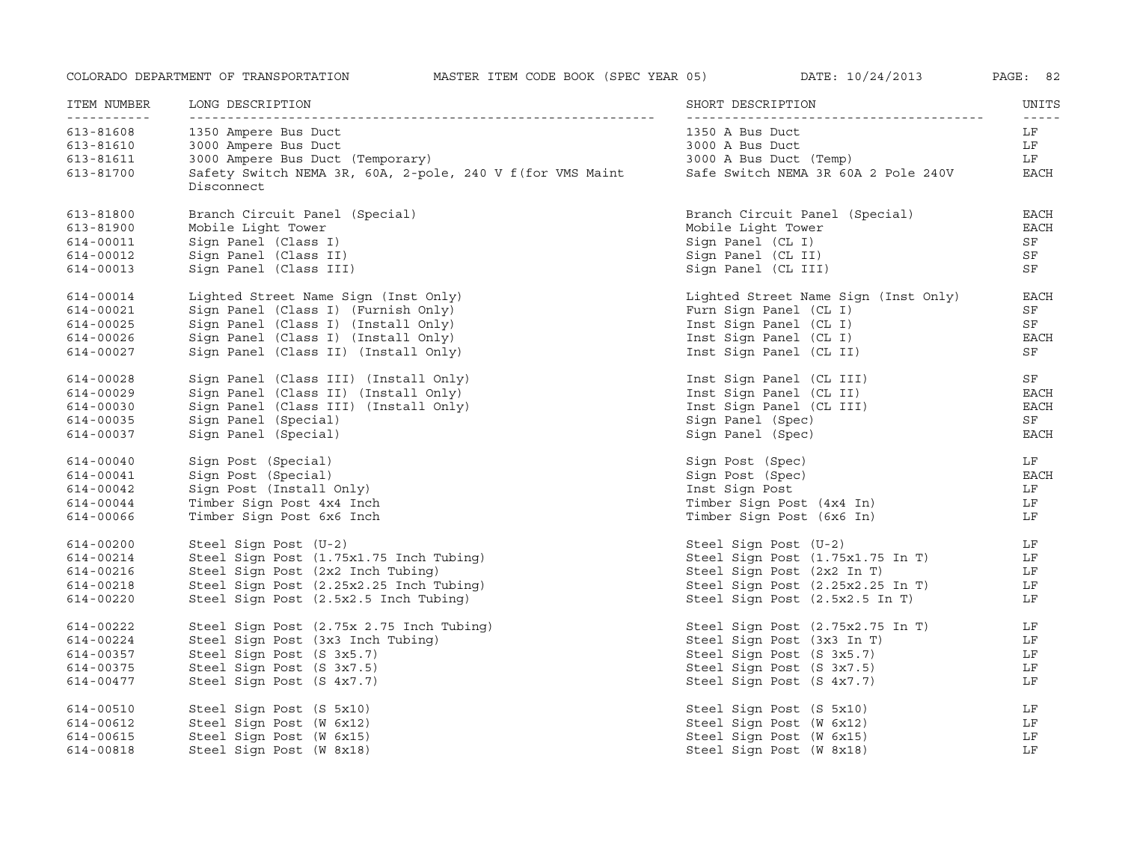| ITEM NUMBER<br>----------- | LONG DESCRIPTION                                                         | SHORT DESCRIPTION                    | UNITS               |
|----------------------------|--------------------------------------------------------------------------|--------------------------------------|---------------------|
| 613-81608                  | 1350 Ampere Bus Duct                                                     | 1350 A Bus Duct                      | $- - - - - -$<br>LF |
| 613-81610                  | 3000 Ampere Bus Duct                                                     | 3000 A Bus Duct                      | LF                  |
| 613-81611                  | 3000 Ampere Bus Duct (Temporary)                                         | 3000 A Bus Duct (Temp)               | LF                  |
| 613-81700                  | Safety Switch NEMA 3R, 60A, 2-pole, 240 V f (for VMS Maint<br>Disconnect | Safe Switch NEMA 3R 60A 2 Pole 240V  | EACH                |
| 613-81800                  | Branch Circuit Panel (Special)                                           | Branch Circuit Panel (Special)       | <b>EACH</b>         |
| 613-81900                  | Mobile Light Tower                                                       | Mobile Light Tower                   | EACH                |
| 614-00011                  | Sign Panel (Class I)                                                     | Sign Panel (CL I)                    | SF                  |
| 614-00012                  | Sign Panel (Class II)                                                    | Sign Panel (CL II)                   | SF                  |
| 614-00013                  | Sign Panel (Class III)                                                   | Sign Panel (CL III)                  | SF                  |
| 614-00014                  | Lighted Street Name Sign (Inst Only)                                     | Lighted Street Name Sign (Inst Only) | <b>EACH</b>         |
| 614-00021                  | Sign Panel (Class I) (Furnish Only)                                      | Furn Sign Panel (CL I)               | SF                  |
| 614-00025                  | Sign Panel (Class I) (Install Only)                                      | Inst Sign Panel (CL I)               | ${\rm SF}$          |
| 614-00026                  | Sign Panel (Class I) (Install Only)                                      | Inst Sign Panel (CL I)               | EACH                |
| 614-00027                  | Sign Panel (Class II) (Install Only)                                     | Inst Sign Panel (CL II)              | SF                  |
| 614-00028                  | Sign Panel (Class III) (Install Only)                                    | Inst Sign Panel (CL III)             | ${\rm SF}$          |
| 614-00029                  | Sign Panel (Class II) (Install Only)                                     | Inst Sign Panel (CL II)              | EACH                |
| 614-00030                  | Sign Panel (Class III) (Install Only)                                    | Inst Sign Panel (CL III)             | EACH                |
| 614-00035                  | Sign Panel (Special)                                                     | Sign Panel (Spec)                    | $\rm SF$            |
| 614-00037                  | Sign Panel (Special)                                                     | Sign Panel (Spec)                    | EACH                |
| 614-00040                  | Sign Post (Special)                                                      | Sign Post (Spec)                     | LF                  |
| 614-00041                  | Sign Post (Special)                                                      | Sign Post (Spec)                     | $_{\rm EACH}$       |
| 614-00042                  | Sign Post (Install Only)                                                 | Inst Sign Post                       | LF                  |
| 614-00044                  | Timber Sign Post 4x4 Inch                                                | Timber Sign Post (4x4 In)            | LF                  |
| 614-00066                  | Timber Sign Post 6x6 Inch                                                | Timber Sign Post (6x6 In)            | LF                  |
| 614-00200                  | Steel Sign Post (U-2)                                                    | Steel Sign Post (U-2)                | LF                  |
| 614-00214                  | Steel Sign Post (1.75x1.75 Inch Tubing)                                  | Steel Sign Post (1.75x1.75 In T)     | LF                  |
| 614-00216                  | Steel Sign Post (2x2 Inch Tubing)                                        | Steel Sign Post (2x2 In T)           | LF                  |
| 614-00218                  | Steel Sign Post (2.25x2.25 Inch Tubing)                                  | Steel Sign Post (2.25x2.25 In T)     | LF                  |
| 614-00220                  | Steel Sign Post (2.5x2.5 Inch Tubing)                                    | Steel Sign Post (2.5x2.5 In T)       | LF                  |
| 614-00222                  | Steel Sign Post (2.75x 2.75 Inch Tubing)                                 | Steel Sign Post (2.75x2.75 In T)     | LF                  |
| 614-00224                  | Steel Sign Post (3x3 Inch Tubing)                                        | Steel Sign Post (3x3 In T)           | LF                  |
| 614-00357                  | Steel Sign Post (S 3x5.7)                                                | Steel Sign Post (S 3x5.7)            | LF                  |
| 614-00375                  | Steel Sign Post (S 3x7.5)                                                | Steel Sign Post (S 3x7.5)            | LF                  |
| 614-00477                  | Steel Sign Post (S 4x7.7)                                                | Steel Sign Post (S 4x7.7)            | LF                  |
| 614-00510                  | Steel Sign Post (S 5x10)                                                 | Steel Sign Post (S 5x10)             | LF                  |
| 614-00612                  | Steel Sign Post (W 6x12)                                                 | Steel Sign Post (W 6x12)             | LF                  |
| 614-00615                  | Steel Sign Post (W 6x15)                                                 | Steel Sign Post (W 6x15)             | LF                  |
| 614-00818                  | Steel Sign Post (W 8x18)                                                 | Steel Sign Post (W 8x18)             | LF                  |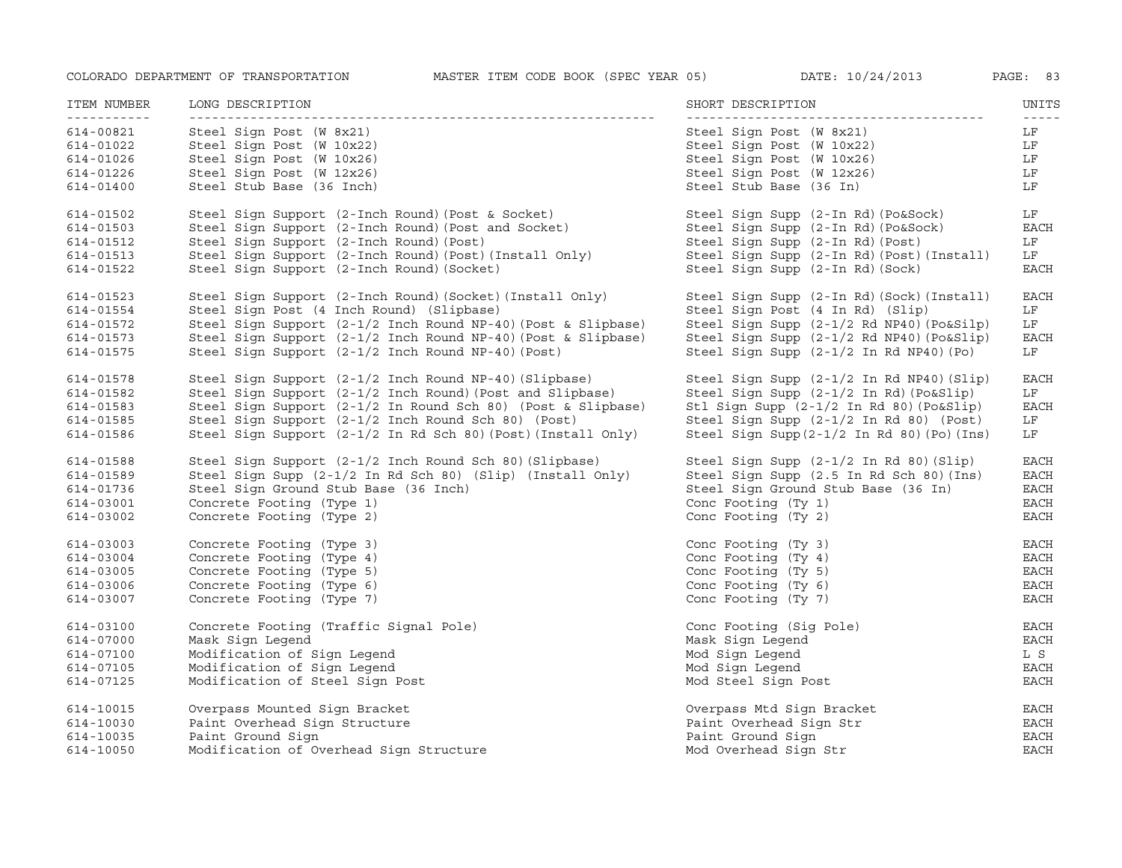| ITEM NUMBER<br>- - - - - - - - - - - | LONG DESCRIPTION                                                                  | SHORT DESCRIPTION                                | UNITS         |
|--------------------------------------|-----------------------------------------------------------------------------------|--------------------------------------------------|---------------|
| 614-00821                            | Steel Sign Post (W 8x21)                                                          | Steel Sign Post (W 8x21)                         | LF            |
| 614-01022                            | Steel Sign Post (W 10x22)                                                         | Steel Sign Post (W 10x22)                        | LF            |
| 614-01026                            | Steel Sign Post (W 10x26)                                                         | Steel Sign Post (W 10x26)                        | LF            |
| 614-01226                            | Steel Sign Post (W 12x26)                                                         | Steel Sign Post (W 12x26)                        | LF            |
| 614-01400                            | Steel Stub Base (36 Inch)                                                         | Steel Stub Base (36 In)                          | LF            |
| 614-01502                            | Steel Sign Support $(2\text{-}Inch$ Round) (Post & Socket)                        | Steel Sign Supp (2-In Rd) (Po&Sock)              | LF            |
| 614-01503                            | Steel Sign Support (2-Inch Round) (Post and Socket)                               | Steel Sign Supp (2-In Rd) (Po&Sock)              | <b>EACH</b>   |
| 614-01512                            | Steel Sign Support (2-Inch Round) (Post)                                          | Steel Sign Supp (2-In Rd) (Post)                 | LF            |
| 614-01513                            | Steel Sign Support (2-Inch Round) (Post) (Install Only)                           | Steel Sign Supp (2-In Rd) (Post) (Install)       | LF            |
| 614-01522                            | Steel Sign Support (2-Inch Round) (Socket)                                        | Steel Sign Supp (2-In Rd) (Sock)                 | <b>EACH</b>   |
| 614-01523                            | Steel Sign Support (2-Inch Round) (Socket) (Install Only)                         | Steel Sign Supp (2-In Rd) (Sock) (Install)       | EACH          |
| 614-01554                            | Steel Sign Post (4 Inch Round) (Slipbase)                                         | Steel Sign Post (4 In Rd) (Slip)                 | LF            |
| 614-01572                            | Steel Sign Support (2-1/2 Inch Round NP-40) (Post & Slipbase)                     | Steel Sign Supp (2-1/2 Rd NP40) (Po&Silp)        | LF            |
| 614-01573                            | Steel Sign Support (2-1/2 Inch Round NP-40) (Post & Slipbase)                     | Steel Sign Supp (2-1/2 Rd NP40) (Po&Slip)        | <b>EACH</b>   |
| 614-01575                            | Steel Sign Support (2-1/2 Inch Round NP-40) (Post)                                | Steel Sign Supp (2-1/2 In Rd NP40) (Po)          | LF            |
| 614-01578                            | Steel Sign Support $(2-1/2 \text{ inch Round NP-40})$ (Slipbase)                  | Steel Sign Supp (2-1/2 In Rd NP40) (Slip)        | EACH          |
| 614-01582                            | Steel Sign Support (2-1/2 Inch Round) (Post and Slipbase)                         | Steel Sign Supp (2-1/2 In Rd) (Po&Slip)          | LF            |
| 614-01583                            | Steel Sign Support (2-1/2 In Round Sch 80) (Post & Slipbase)                      | Stl Sign Supp (2-1/2 In Rd 80) (Po&Slip)         | EACH          |
| 614-01585                            | Steel Sign Support (2-1/2 Inch Round Sch 80) (Post)                               | Steel Sign Supp (2-1/2 In Rd 80) (Post)          | LF            |
| 614-01586                            | Steel Sign Support $(2-1/2 \text{ In } Rd \text{ Sch } 80)$ (Post) (Install Only) | Steel Sign Supp $(2-1/2$ In Rd 80 $)$ (Po) (Ins) | LF            |
| 614-01588                            | Steel Sign Support $(2-1/2 \text{ inch Round Sch } 80)$ (Slipbase)                | Steel Sign Supp (2-1/2 In Rd 80) (Slip)          | EACH          |
| 614-01589                            | Steel Sign Supp $(2-1/2 \text{ In } Rd \text{ Sch } 80)$ (Slip) (Install Only)    | Steel Sign Supp (2.5 In Rd Sch 80) (Ins)         | EACH          |
| 614-01736                            | Steel Sign Ground Stub Base (36 Inch)                                             | Steel Sign Ground Stub Base (36 In)              | EACH          |
| 614-03001                            | Concrete Footing (Type 1)                                                         | Conc Footing (Ty 1)                              | EACH          |
| 614-03002                            | Concrete Footing (Type 2)                                                         | Conc Footing (Ty 2)                              | <b>EACH</b>   |
| 614-03003                            | Concrete Footing (Type 3)                                                         | Conc Footing (Ty 3)                              | <b>EACH</b>   |
| 614-03004                            | Concrete Footing (Type 4)                                                         | Conc Footing (Ty 4)                              | $_{\rm EACH}$ |
| 614-03005                            | Concrete Footing (Type 5)                                                         | Conc Footing (Ty 5)                              | $_{\rm EACH}$ |
| 614-03006                            | Concrete Footing (Type 6)                                                         | Conc Footing (Ty 6)                              | <b>EACH</b>   |
| 614-03007                            | Concrete Footing (Type 7)                                                         | Conc Footing (Ty 7)                              | <b>EACH</b>   |
| 614-03100                            | Concrete Footing (Traffic Signal Pole)                                            | Conc Footing (Sig Pole)                          | EACH          |
| 614-07000                            | Mask Sign Legend                                                                  | Mask Sign Legend                                 | EACH          |
| 614-07100                            | Modification of Sign Legend                                                       | Mod Sign Legend                                  | L S           |
| 614-07105                            | Modification of Sign Legend                                                       | Mod Sign Legend                                  | <b>EACH</b>   |
| 614-07125                            | Modification of Steel Sign Post                                                   | Mod Steel Sign Post                              | <b>EACH</b>   |
| 614-10015                            | Overpass Mounted Sign Bracket                                                     | Overpass Mtd Sign Bracket                        | EACH          |
| 614-10030                            | Paint Overhead Sign Structure                                                     | Paint Overhead Sign Str                          | EACH          |
| 614-10035                            | Paint Ground Sign                                                                 | Paint Ground Sign                                | <b>EACH</b>   |
| 614-10050                            | Modification of Overhead Sign Structure                                           | Mod Overhead Sign Str                            | <b>EACH</b>   |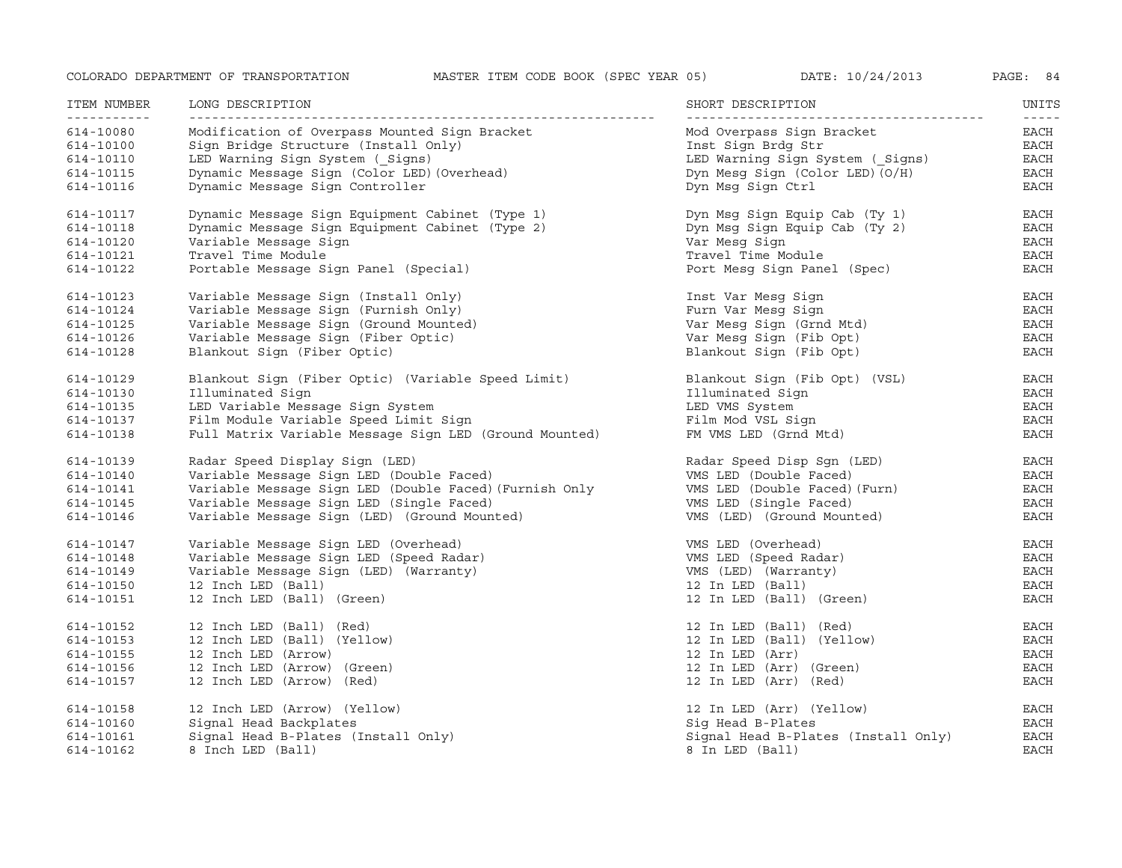| ITEM NUMBER | LONG DESCRIPTION                                       | SHORT DESCRIPTION                   | UNITS<br>$- - - - -$ |
|-------------|--------------------------------------------------------|-------------------------------------|----------------------|
| 614-10080   | Modification of Overpass Mounted Sign Bracket          | Mod Overpass Sign Bracket           | EACH                 |
| 614-10100   | Sign Bridge Structure (Install Only)                   | Inst Sign Brdg Str                  | EACH                 |
| 614-10110   | LED Warning Sign System ( Signs)                       | LED Warning Sign System ( Signs)    | EACH                 |
| 614-10115   | Dynamic Message Sign (Color LED) (Overhead)            | Dyn Mesg Sign (Color LED) $(0/H)$   | EACH                 |
| 614-10116   | Dynamic Message Sign Controller                        | Dyn Msg Sign Ctrl                   | EACH                 |
| 614-10117   | Dynamic Message Sign Equipment Cabinet (Type 1)        | Dyn Msg Sign Equip Cab (Ty 1)       | EACH                 |
| 614-10118   | Dynamic Message Sign Equipment Cabinet (Type 2)        | Dyn Msg Sign Equip Cab (Ty 2)       | EACH                 |
| 614-10120   | Variable Message Sign                                  | Var Mesg Sign                       | EACH                 |
| 614-10121   | Travel Time Module                                     | Travel Time Module                  | EACH                 |
| 614-10122   | Portable Message Sign Panel (Special)                  | Port Mesg Sign Panel (Spec)         | EACH                 |
| 614-10123   | Variable Message Sign (Install Only)                   | Inst Var Mesg Sign                  | EACH                 |
| 614-10124   | Variable Message Sign (Furnish Only)                   | Furn Var Mesq Siqn                  | EACH                 |
| 614-10125   | Variable Message Sign (Ground Mounted)                 | Var Mesq Siqn (Grnd Mtd)            | EACH                 |
| 614-10126   | Variable Message Sign (Fiber Optic)                    | Var Mesg Sign (Fib Opt)             | EACH                 |
| 614-10128   | Blankout Sign (Fiber Optic)                            | Blankout Sign (Fib Opt)             | EACH                 |
| 614-10129   | Blankout Sign (Fiber Optic) (Variable Speed Limit)     | Blankout Sign (Fib Opt) (VSL)       | EACH                 |
| 614-10130   | Illuminated Sign                                       | Illuminated Sign                    | EACH                 |
| 614-10135   | LED Variable Message Sign System                       | LED VMS System                      | EACH                 |
| 614-10137   | Film Module Variable Speed Limit Sign                  | Film Mod VSL Sign                   | EACH                 |
| 614-10138   | Full Matrix Variable Message Sign LED (Ground Mounted) | FM VMS LED (Grnd Mtd)               | EACH                 |
| 614-10139   | Radar Speed Display Sign (LED)                         | Radar Speed Disp Sgn (LED)          | EACH                 |
| 614-10140   | Variable Message Sign LED (Double Faced)               | VMS LED (Double Faced)              | EACH                 |
| 614-10141   | Variable Message Sign LED (Double Faced) (Furnish Only | VMS LED (Double Faced) (Furn)       | EACH                 |
| 614-10145   | Variable Message Sign LED (Single Faced)               | VMS LED (Single Faced)              | EACH                 |
| 614-10146   | Variable Message Sign (LED) (Ground Mounted)           | VMS (LED) (Ground Mounted)          | EACH                 |
| 614-10147   | Variable Message Sign LED (Overhead)                   | VMS LED (Overhead)                  | EACH                 |
| 614-10148   | Variable Message Sign LED (Speed Radar)                | VMS LED (Speed Radar)               | EACH                 |
| 614-10149   | Variable Message Sign (LED) (Warranty)                 | VMS (LED) (Warranty)                | EACH                 |
| 614-10150   | 12 Inch LED (Ball)                                     | 12 In LED (Ball)                    | $_{\rm EACH}$        |
| 614-10151   | 12 Inch LED (Ball) (Green)                             | 12 In LED (Ball) (Green)            | EACH                 |
| 614-10152   | 12 Inch LED (Ball) (Red)                               | 12 In LED (Ball) (Red)              | EACH                 |
| 614-10153   | 12 Inch LED (Ball) (Yellow)                            | 12 In LED (Ball) (Yellow)           | EACH                 |
| 614-10155   | 12 Inch LED (Arrow)                                    | 12 In LED (Arr)                     | EACH                 |
| 614-10156   | 12 Inch LED (Arrow) (Green)                            | 12 In LED (Arr) (Green)             | EACH                 |
| 614-10157   | 12 Inch LED (Arrow) (Red)                              | 12 In LED (Arr) (Red)               | EACH                 |
| 614-10158   | 12 Inch LED (Arrow) (Yellow)                           | 12 In LED (Arr) (Yellow)            | EACH                 |
| 614-10160   | Signal Head Backplates                                 | Sig Head B-Plates                   | EACH                 |
| 614-10161   | Signal Head B-Plates (Install Only)                    | Signal Head B-Plates (Install Only) | <b>EACH</b>          |
| 614-10162   | 8 Inch LED (Ball)                                      | 8 In LED (Ball)                     | <b>EACH</b>          |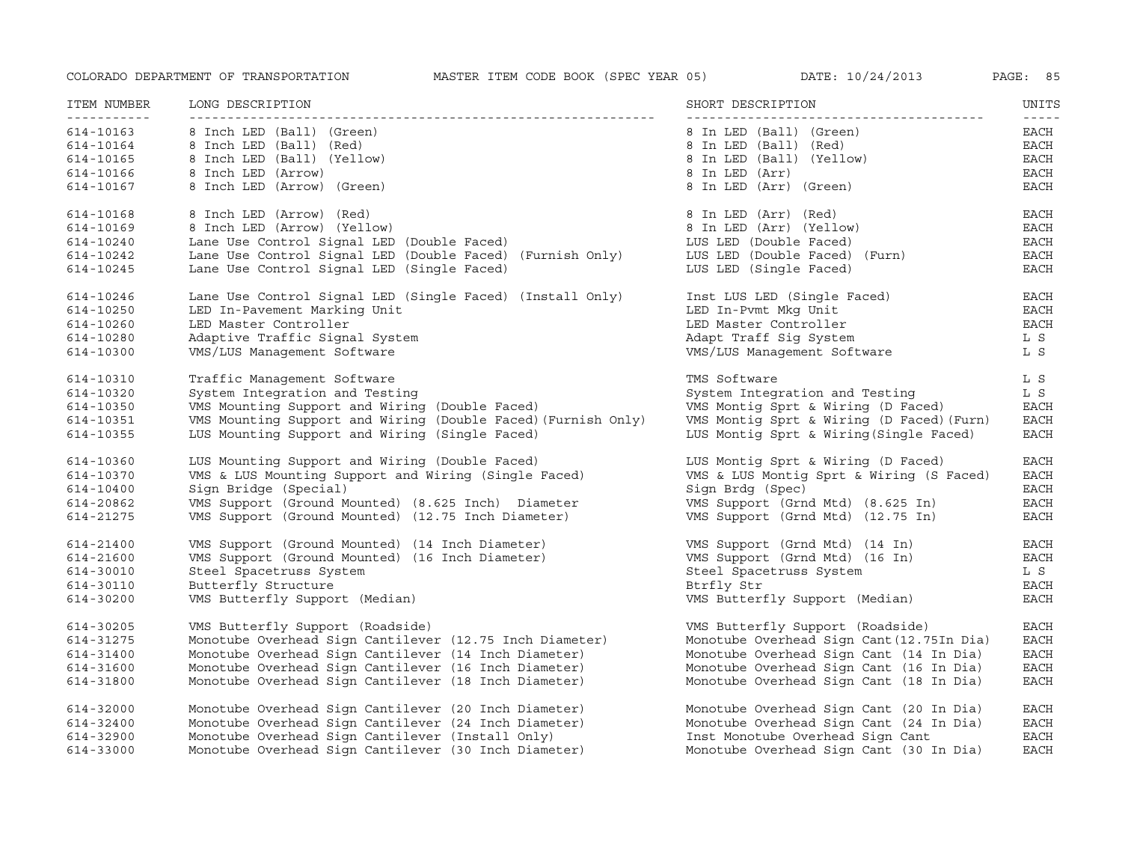| ITEM NUMBER<br>----------- | LONG DESCRIPTION                                              | SHORT DESCRIPTION                         | UNITS<br>$- - - - -$ |
|----------------------------|---------------------------------------------------------------|-------------------------------------------|----------------------|
| 614-10163                  | 8 Inch LED (Ball) (Green)                                     | 8 In LED (Ball) (Green)                   | EACH                 |
| 614-10164                  | 8 Inch LED (Ball) (Red)                                       | 8 In LED (Ball) (Red)                     | EACH                 |
| 614-10165                  | 8 Inch LED (Ball) (Yellow)                                    | 8 In LED (Ball) (Yellow)                  | $_{\rm EACH}$        |
| 614-10166                  | 8 Inch LED (Arrow)                                            | 8 In LED (Arr)                            | EACH                 |
| 614-10167                  | 8 Inch LED (Arrow) (Green)                                    | 8 In LED (Arr) (Green)                    | EACH                 |
| 614-10168                  | 8 Inch LED (Arrow) (Red)                                      | 8 In LED (Arr) (Red)                      | EACH                 |
| 614-10169                  | 8 Inch LED (Arrow) (Yellow)                                   | 8 In LED (Arr) (Yellow)                   | EACH                 |
| 614-10240                  | Lane Use Control Signal LED (Double Faced)                    | LUS LED (Double Faced)                    | EACH                 |
| 614-10242                  | Lane Use Control Signal LED (Double Faced) (Furnish Only)     | LUS LED (Double Faced) (Furn)             | EACH                 |
| 614-10245                  | Lane Use Control Signal LED (Single Faced)                    | LUS LED (Single Faced)                    | <b>EACH</b>          |
| 614-10246                  | Lane Use Control Signal LED (Single Faced) (Install Only)     | Inst LUS LED (Single Faced)               | <b>EACH</b>          |
| 614-10250                  | LED In-Pavement Marking Unit                                  | LED In-Pvmt Mkg Unit                      | <b>EACH</b>          |
| 614-10260                  | LED Master Controller                                         | LED Master Controller                     | <b>EACH</b>          |
| 614-10280                  | Adaptive Traffic Signal System                                | Adapt Traff Sig System                    | L S                  |
| 614-10300                  | VMS/LUS Management Software                                   | VMS/LUS Management Software               | L S                  |
| 614-10310                  | Traffic Management Software                                   | TMS Software                              | L S                  |
| 614-10320                  | System Integration and Testing                                | System Integration and Testing            | L S                  |
| 614-10350                  | VMS Mounting Support and Wiring (Double Faced)                | VMS Montig Sprt & Wiring (D Faced)        | EACH                 |
| 614-10351                  | VMS Mounting Support and Wiring (Double Faced) (Furnish Only) | VMS Montiq Sprt & Wiring (D Faced) (Furn) | <b>EACH</b>          |
| 614-10355                  | LUS Mounting Support and Wiring (Single Faced)                | LUS Montiq Sprt & Wiring (Single Faced)   | EACH                 |
| 614-10360                  | LUS Mounting Support and Wiring (Double Faced)                | LUS Montig Sprt & Wiring (D Faced)        | <b>EACH</b>          |
| 614-10370                  | VMS & LUS Mounting Support and Wiring (Single Faced)          | VMS & LUS Montig Sprt & Wiring (S Faced)  | $_{\rm EACH}$        |
| 614-10400                  | Sign Bridge (Special)                                         | Sign Brdg (Spec)                          | $_{\rm EACH}$        |
| 614-20862                  | VMS Support (Ground Mounted) (8.625 Inch) Diameter            | VMS Support (Grnd Mtd) (8.625 In)         | EACH                 |
| 614-21275                  | VMS Support (Ground Mounted) (12.75 Inch Diameter)            | VMS Support (Grnd Mtd) (12.75 In)         | <b>EACH</b>          |
| 614-21400                  | VMS Support (Ground Mounted) (14 Inch Diameter)               | VMS Support (Grnd Mtd) (14 In)            | <b>EACH</b>          |
| 614-21600                  | VMS Support (Ground Mounted) (16 Inch Diameter)               | VMS Support (Grnd Mtd) (16 In)            | EACH                 |
| 614-30010                  | Steel Spacetruss System                                       | Steel Spacetruss System                   | L S                  |
| 614-30110                  | Butterfly Structure                                           | Btrfly Str                                | <b>EACH</b>          |
| 614-30200                  | VMS Butterfly Support (Median)                                | VMS Butterfly Support (Median)            | EACH                 |
| 614-30205                  | VMS Butterfly Support (Roadside)                              | VMS Butterfly Support (Roadside)          | EACH                 |
| 614-31275                  | Monotube Overhead Sign Cantilever (12.75 Inch Diameter)       | Monotube Overhead Sign Cant (12.75In Dia) | <b>EACH</b>          |
| 614-31400                  | Monotube Overhead Sign Cantilever (14 Inch Diameter)          | Monotube Overhead Sign Cant (14 In Dia)   | EACH                 |
| 614-31600                  | Monotube Overhead Sign Cantilever (16 Inch Diameter)          | Monotube Overhead Sign Cant (16 In Dia)   | EACH                 |
| 614-31800                  | Monotube Overhead Sign Cantilever (18 Inch Diameter)          | Monotube Overhead Sign Cant (18 In Dia)   | EACH                 |
| 614-32000                  | Monotube Overhead Sign Cantilever (20 Inch Diameter)          | Monotube Overhead Sign Cant (20 In Dia)   | <b>EACH</b>          |
| 614-32400                  | Monotube Overhead Sign Cantilever (24 Inch Diameter)          | Monotube Overhead Sign Cant (24 In Dia)   | EACH                 |
| 614-32900                  | Monotube Overhead Sign Cantilever (Install Only)              | Inst Monotube Overhead Sign Cant          | <b>EACH</b>          |
| 614-33000                  | Monotube Overhead Sign Cantilever (30 Inch Diameter)          | Monotube Overhead Sign Cant (30 In Dia)   | <b>EACH</b>          |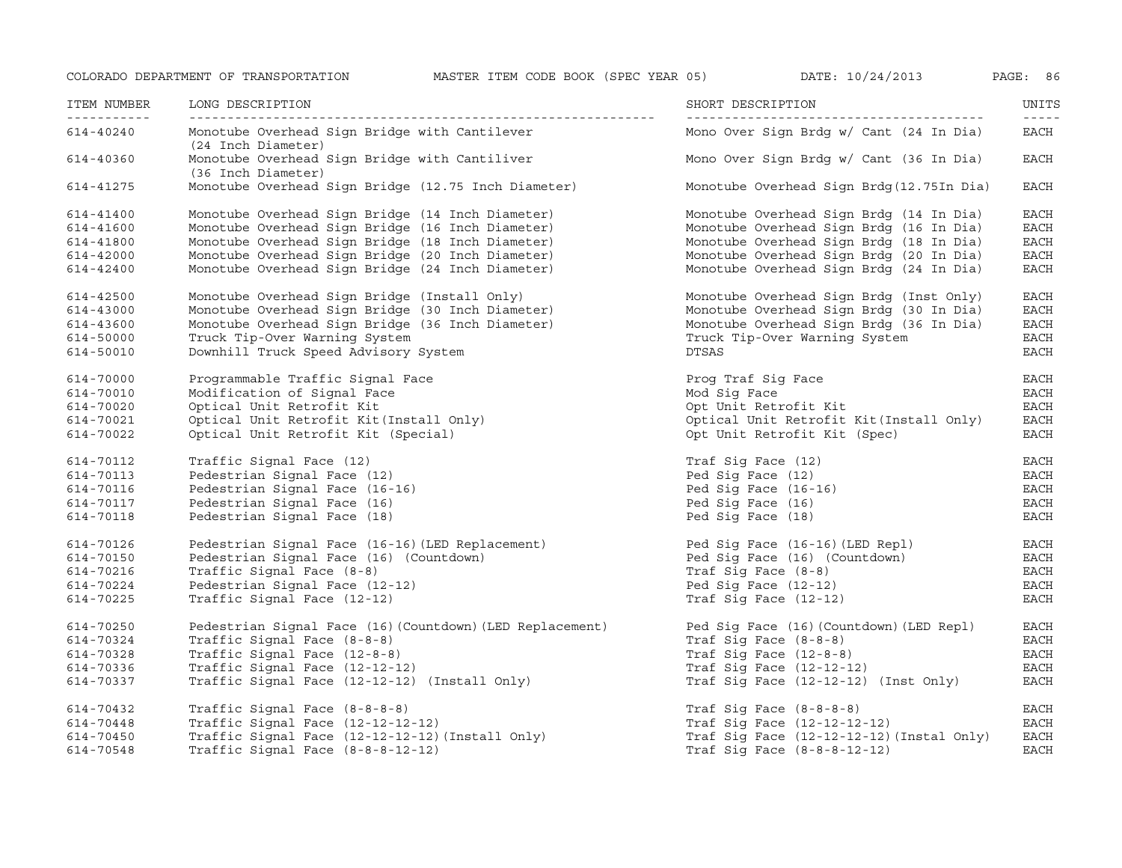ITEM NUMBER

-----------

614-40360

614-41800

614-43000

614-70000

614-43600

614-50000

614-50010

614-70010

614-70020

614-70021

614-70022

614-70112

614-70113

614-70116

614-70117

614-70118

614-70126

614-70150

614-70216

614-70224

614-70324

614-70328

614-70336

614-70225

614-70250

614-70337

614-40240

COLORADO DEPARTMENT OF TRANSPORTATION MASTER ITEM CODE BOOK (SPEC YEAR 05) DATE: 10/24/2013 PAGE: 86

 NUMBER LONG DESCRIPTION SHORT DESCRIPTION UNITS ------------------------------------------------------------- --------------------------------------- ----- Monotube Overhead Sign Bridge with Cantilever None Mono Over Sign Brdg w/ Cant (24 In Dia) BACH (24 Inch Diameter) Monotube Overhead Sign Bridge with Cantiliver Mono Over Sign Brdg w/ Cant (36 In Dia) EACH (36 Inch Diameter) 614-41275 Monotube Overhead Sign Bridge (12.75 Inch Diameter) Monotube Overhead Sign Brdg(12.75In Dia) EACH 614-41400 Monotube Overhead Sign Bridge (14 Inch Diameter) Monotube Overhead Sign Brdg (14 In Dia) EACH 614-41600 Monotube Overhead Sign Bridge (16 Inch Diameter) Monotube Overhead Sign Brdg (16 In Dia) EACH Monotube Overhead Sign Bridge (16 Inch Diameter) Monotube Overhead Sign Brdg (16 In Dia) EACH<br>Monotube Overhead Sign Bridge (20 Inch Diameter) Monotube Overhead Sign Brdg (18 In Dia) EACH<br>Monotube Overhead Sign Bridge (24 614-42000 Monotube Overhead Sign Bridge (20 Inch Diameter) Monotube Overhead Sign Brdg (20 In Dia) EACH 614-42400 Monotube Overhead Sign Bridge (24 Inch Diameter) Monotube Overhead Sign Brdg (24 In Dia) EACH 614-42500 Monotube Overhead Sign Bridge (Install Only) Monotube Overhead Sign Brdg (Inst Only) EACH Monotube Overhead Sign Bridge (30 Inch Diameter) Monotube Overhead Sign Brdg (30 In Dia) EACH Monotube Overhead Sign Bridge (36 Inch Diameter) Monotube Overhead Sign Brdg (36 In Dia) EACH 0 Truck Tip-Over Warning System Truck Tip-Over Warning System EACH Downhill Truck Speed Advisory System and the DTSAS DTSAS EACH Programmable Traffic Signal Face Prog Traf Sig Face EACH 0 Modification of Signal Face Mod Sig Face EACH Optical Unit Retrofit Kit Opt Unit Retrofit Kit EACH Optical Unit Retrofit Kit(Install Only) Optical Unit Retrofit Kit(Install Only) EACH Optical Unit Retrofit Kit (Special) Opt Unit Retrofit Kit (Spec) EACH Traffic Signal Face (12) Traf Sig Face (12) EACH Pedestrian Signal Face (12) Ped Sig Face (12) EACH Pedestrian Signal Face (16-16) Ped Sig Face (16-16) EACH 7 Pedestrian Signal Face(16) Ped Sig Face(16) EACH Pedestrian Signal Face (18) Ped Sig Face (18) EACH Pedestrian Signal Face (16-16)(LED Replacement) Ped Sig Face (16-16)(LED Repl) EACH Pedestrian Signal Face (16) (Countdown) Ped Sig Face (16) (Countdown) EACH Traffic Signal Face (8-8) Traf Sig Face (8-8) EACH Pedestrian Signal Face (12-12) Ped Sig Face (12-12) EACH Traffic Signal Face (12-12) Traf Sig Face (12-12) EACH Pedestrian Signal Face (16)(Countdown)(LED Replacement) Ped Sig Face (16)(Countdown)(LED Repl) EACH Traffic Signal Face (8-8-8) Traf Sig Face (8-8-8) EACH Traffic Signal Face (12-8-8) Traf Sig Face (12-8-8) EACH Traffic Signal Face (12-12-12) Traf Sig Face (12-12-12) EACH Traffic Signal Face (12-12-12) (Install Only) Traf Sig Face (12-12-12) (Inst Only) EACH

614-70432 Traffic Signal Face (8-8-8-8) Traf Sig Face (8-8-8-8) EACH 614-70448 Traffic Signal Face (12-12-12-12) Traf Sig Face (12-12-12-12) EACH 614-70450 Traffic Signal Face (12-12-12-12)(Install Only) Traf Sig Face (12-12-12-12)(Instal Only) EACH 614-70548Traffic Signal Face (8-8-8-12-12) Traf Sig Face (8-8-8-12-12) EACH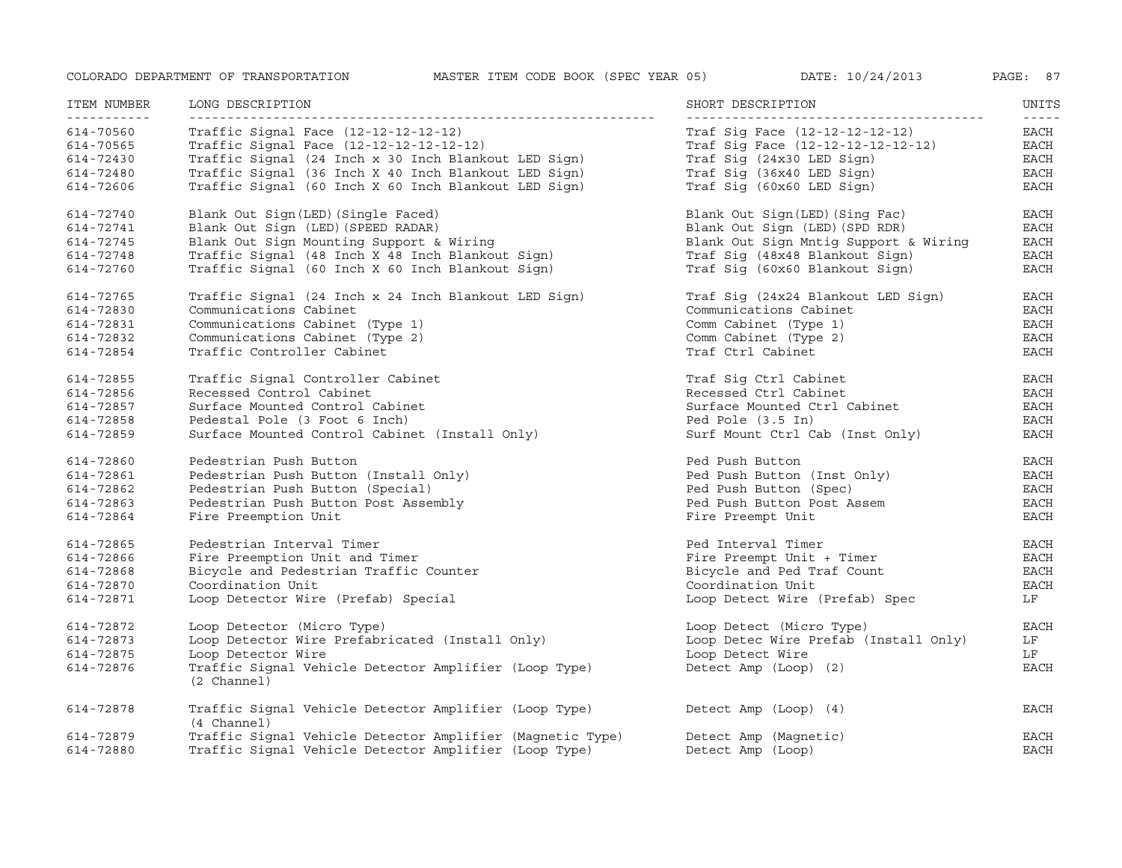| ITEM NUMBER                                      | LONG DESCRIPTION                                                                                                                                                                           | SHORT DESCRIPTION                                                                                              | UNITS<br>$- - - - -$            |
|--------------------------------------------------|--------------------------------------------------------------------------------------------------------------------------------------------------------------------------------------------|----------------------------------------------------------------------------------------------------------------|---------------------------------|
| 614-70560                                        | Traffic Signal Face (12-12-12-12-12)                                                                                                                                                       | Traf Sig Face (12-12-12-12-12)                                                                                 | EACH                            |
| 614-70565                                        | Traffic Signal Face (12-12-12-12-12-12)                                                                                                                                                    | Traf Sig Face (12-12-12-12-12-12)                                                                              | EACH                            |
| 614-72430                                        | Traffic Signal (24 Inch x 30 Inch Blankout LED Sign)                                                                                                                                       | Traf Sig (24x30 LED Sign)                                                                                      | $_{\rm EACH}$                   |
| 614-72480                                        | Traffic Signal (36 Inch X 40 Inch Blankout LED Sign)                                                                                                                                       | Traf Sig (36x40 LED Sign)                                                                                      | <b>EACH</b>                     |
| 614-72606                                        | Traffic Signal (60 Inch X 60 Inch Blankout LED Sign)                                                                                                                                       | Traf Sig (60x60 LED Sign)                                                                                      | <b>EACH</b>                     |
| 614-72740                                        | Blank Out Sign(LED) (Single Faced)                                                                                                                                                         | Blank Out Sign(LED) (Sing Fac)                                                                                 | EACH                            |
| 614-72741                                        | Blank Out Sign (LED) (SPEED RADAR)                                                                                                                                                         | Blank Out Sign (LED) (SPD RDR)                                                                                 | $_{\rm EACH}$                   |
| 614-72745                                        | Blank Out Sign Mounting Support & Wiring                                                                                                                                                   | Blank Out Sign Mntig Support & Wiring                                                                          | <b>EACH</b>                     |
| 614-72748                                        | Traffic Signal (48 Inch X 48 Inch Blankout Sign)                                                                                                                                           | Traf Sig (48x48 Blankout Sign)                                                                                 | <b>EACH</b>                     |
| 614-72760                                        | Traffic Signal (60 Inch X 60 Inch Blankout Sign)                                                                                                                                           | Traf Sig (60x60 Blankout Sign)                                                                                 | <b>EACH</b>                     |
| 614-72765                                        | Traffic Signal (24 Inch x 24 Inch Blankout LED Sign)                                                                                                                                       | Traf Sig (24x24 Blankout LED Sign)                                                                             | EACH                            |
| 614-72830                                        | Communications Cabinet                                                                                                                                                                     | Communications Cabinet                                                                                         | <b>EACH</b>                     |
| 614-72831                                        | Communications Cabinet (Type 1)                                                                                                                                                            | Comm Cabinet (Type 1)                                                                                          | <b>EACH</b>                     |
| 614-72832                                        | Communications Cabinet (Type 2)                                                                                                                                                            | Comm Cabinet (Type 2)                                                                                          | <b>EACH</b>                     |
| 614-72854                                        | Traffic Controller Cabinet                                                                                                                                                                 | Traf Ctrl Cabinet                                                                                              | <b>EACH</b>                     |
| 614-72855                                        | Traffic Signal Controller Cabinet                                                                                                                                                          | Traf Sig Ctrl Cabinet                                                                                          | EACH                            |
| 614-72856                                        | Recessed Control Cabinet                                                                                                                                                                   | Recessed Ctrl Cabinet                                                                                          | EACH                            |
| 614-72857                                        | Surface Mounted Control Cabinet                                                                                                                                                            | Surface Mounted Ctrl Cabinet                                                                                   | <b>EACH</b>                     |
| 614-72858                                        | Pedestal Pole (3 Foot 6 Inch)                                                                                                                                                              | Ped Pole (3.5 In)                                                                                              | <b>EACH</b>                     |
| 614-72859                                        | Surface Mounted Control Cabinet (Install Only)                                                                                                                                             | Surf Mount Ctrl Cab (Inst Only)                                                                                | EACH                            |
| 614-72860                                        | Pedestrian Push Button                                                                                                                                                                     | Ped Push Button                                                                                                | <b>EACH</b>                     |
| 614-72861                                        | Pedestrian Push Button (Install Only)                                                                                                                                                      | Ped Push Button (Inst Only)                                                                                    | <b>EACH</b>                     |
| 614-72862                                        | Pedestrian Push Button (Special)                                                                                                                                                           | Ped Push Button (Spec)                                                                                         | <b>EACH</b>                     |
| 614-72863                                        | Pedestrian Push Button Post Assembly                                                                                                                                                       | Ped Push Button Post Assem                                                                                     | EACH                            |
| 614-72864                                        | Fire Preemption Unit                                                                                                                                                                       | Fire Preempt Unit                                                                                              | EACH                            |
| 614-72865                                        | Pedestrian Interval Timer                                                                                                                                                                  | Ped Interval Timer                                                                                             | <b>EACH</b>                     |
| 614-72866                                        | Fire Preemption Unit and Timer                                                                                                                                                             | Fire Preempt Unit + Timer                                                                                      | <b>EACH</b>                     |
| 614-72868                                        | Bicycle and Pedestrian Traffic Counter                                                                                                                                                     | Bicycle and Ped Traf Count                                                                                     | <b>EACH</b>                     |
| 614-72870                                        | Coordination Unit                                                                                                                                                                          | Coordination Unit                                                                                              | EACH                            |
| 614-72871                                        | Loop Detector Wire (Prefab) Special                                                                                                                                                        | Loop Detect Wire (Prefab) Spec                                                                                 | LF                              |
| 614-72872<br>614-72873<br>614-72875<br>614-72876 | Loop Detector (Micro Type)<br>Loop Detector Wire Prefabricated (Install Only)<br>Loop Detector Wire<br>Traffic Signal Vehicle Detector Amplifier (Loop Type)<br>(2 Channel)                | Loop Detect (Micro Type)<br>Loop Detec Wire Prefab (Install Only)<br>Loop Detect Wire<br>Detect Amp (Loop) (2) | <b>EACH</b><br>LF<br>LF<br>EACH |
| 614-72878<br>614-72879<br>614-72880              | Traffic Signal Vehicle Detector Amplifier (Loop Type)<br>(4 Channel)<br>Traffic Signal Vehicle Detector Amplifier (Magnetic Type)<br>Traffic Signal Vehicle Detector Amplifier (Loop Type) | Detect Amp (Loop) (4)<br>Detect Amp (Magnetic)<br>Detect Amp (Loop)                                            | EACH<br>EACH<br><b>EACH</b>     |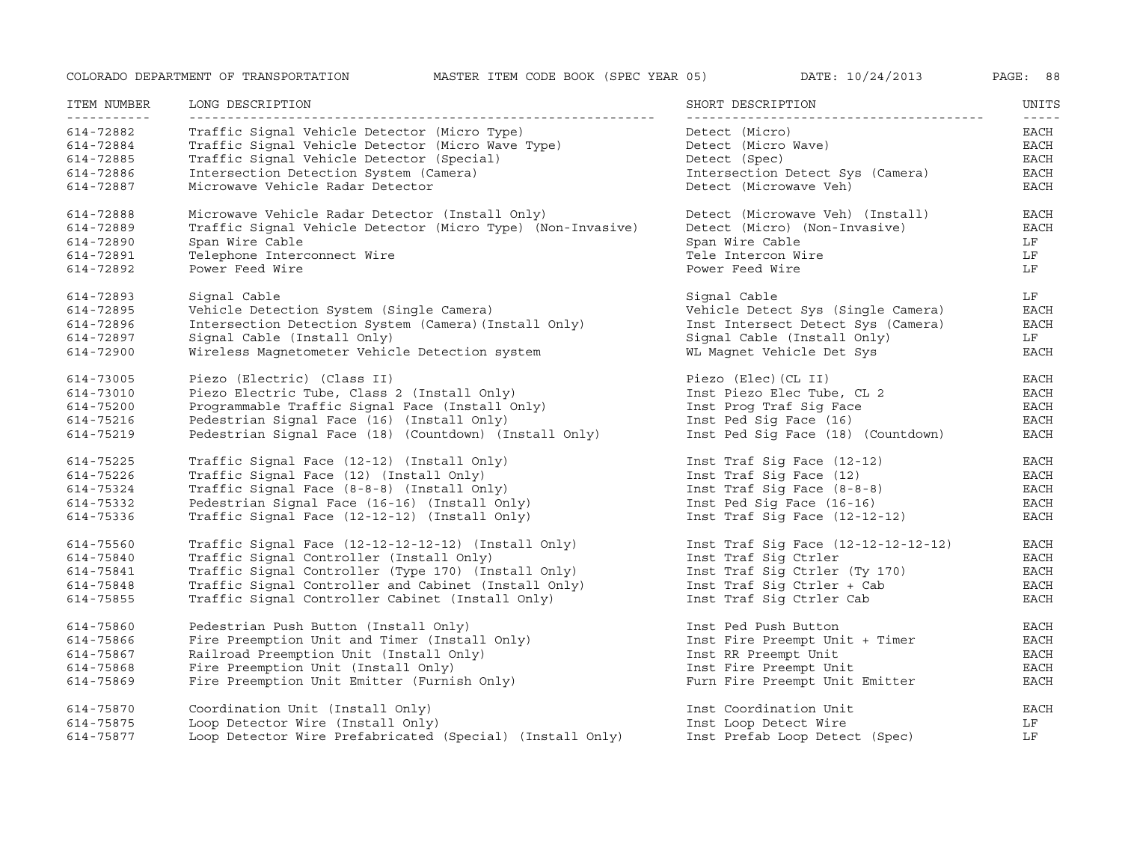| ITEM NUMBER | LONG DESCRIPTION                                            | SHORT DESCRIPTION                   | UNITS               |
|-------------|-------------------------------------------------------------|-------------------------------------|---------------------|
| 614-72882   | Traffic Signal Vehicle Detector (Micro Type)                | Detect (Micro)                      | $- - - - -$<br>EACH |
| 614-72884   | Traffic Signal Vehicle Detector (Micro Wave Type)           | Detect (Micro Wave)                 | EACH                |
| 614-72885   | Traffic Signal Vehicle Detector (Special)                   | Detect (Spec)                       | EACH                |
| 614-72886   | Intersection Detection System (Camera)                      | Intersection Detect Sys (Camera)    | <b>EACH</b>         |
| 614-72887   | Microwave Vehicle Radar Detector                            | Detect (Microwave Veh)              | <b>EACH</b>         |
| 614-72888   | Microwave Vehicle Radar Detector (Install Only)             | Detect (Microwave Veh) (Install)    | <b>EACH</b>         |
| 614-72889   | Traffic Signal Vehicle Detector (Micro Type) (Non-Invasive) | Detect (Micro) (Non-Invasive)       | <b>EACH</b>         |
| 614-72890   | Span Wire Cable                                             | Span Wire Cable                     | LF                  |
| 614-72891   | Telephone Interconnect Wire                                 | Tele Intercon Wire                  | LF                  |
| 614-72892   | Power Feed Wire                                             | Power Feed Wire                     | LF                  |
| 614-72893   | Signal Cable                                                | Signal Cable                        | LF                  |
| 614-72895   | Vehicle Detection System (Single Camera)                    | Vehicle Detect Sys (Single Camera)  | $_{\rm EACH}$       |
| 614-72896   | Intersection Detection System (Camera) (Install Only)       | Inst Intersect Detect Sys (Camera)  | EACH                |
| 614-72897   | Signal Cable (Install Only)                                 | Signal Cable (Install Only)         | LF                  |
| 614-72900   | Wireless Magnetometer Vehicle Detection system              | WL Magnet Vehicle Det Sys           | <b>EACH</b>         |
| 614-73005   | Piezo (Electric) (Class II)                                 | Piezo (Elec) (CL II)                | EACH                |
| 614-73010   | Piezo Electric Tube, Class 2 (Install Only)                 | Inst Piezo Elec Tube, CL 2          | <b>EACH</b>         |
| 614-75200   | Programmable Traffic Signal Face (Install Only)             | Inst Prog Traf Sig Face             | EACH                |
| 614-75216   | Pedestrian Signal Face (16) (Install Only)                  | Inst Ped Sig Face (16)              | EACH                |
| 614-75219   | Pedestrian Signal Face (18) (Countdown) (Install Only)      | Inst Ped Sig Face (18) (Countdown)  | <b>EACH</b>         |
| 614-75225   | Traffic Signal Face (12-12) (Install Only)                  | Inst Traf Sig Face (12-12)          | <b>EACH</b>         |
| 614-75226   | Traffic Signal Face (12) (Install Only)                     | Inst Traf Sig Face (12)             | $_{\rm EACH}$       |
| 614-75324   | Traffic Signal Face (8-8-8) (Install Only)                  | Inst Traf Sig Face (8-8-8)          | EACH                |
| 614-75332   | Pedestrian Signal Face (16-16) (Install Only)               | Inst Ped Sig Face (16-16)           | EACH                |
| 614-75336   | Traffic Signal Face (12-12-12) (Install Only)               | Inst Traf Sig Face (12-12-12)       | <b>EACH</b>         |
| 614-75560   | Traffic Signal Face $(12-12-12-12-12)$ (Install Only)       | Inst Traf Sig Face (12-12-12-12-12) | EACH                |
| 614-75840   | Traffic Signal Controller (Install Only)                    | Inst Traf Sig Ctrler                | <b>EACH</b>         |
| 614-75841   | Traffic Signal Controller (Type 170) (Install Only)         | Inst Traf Sig Ctrler (Ty 170)       | <b>EACH</b>         |
| 614-75848   | Traffic Signal Controller and Cabinet (Install Only)        | Inst Traf Sig Ctrler + Cab          | <b>EACH</b>         |
| 614-75855   | Traffic Signal Controller Cabinet (Install Only)            | Inst Traf Sig Ctrler Cab            | EACH                |
| 614-75860   | Pedestrian Push Button (Install Only)                       | Inst Ped Push Button                | <b>EACH</b>         |
| 614-75866   | Fire Preemption Unit and Timer (Install Only)               | Inst Fire Preempt Unit + Timer      | $_{\rm EACH}$       |
| 614-75867   | Railroad Preemption Unit (Install Only)                     | Inst RR Preempt Unit                | <b>EACH</b>         |
| 614-75868   | Fire Preemption Unit (Install Only)                         | Inst Fire Preempt Unit              | <b>EACH</b>         |
| 614-75869   | Fire Preemption Unit Emitter (Furnish Only)                 | Furn Fire Preempt Unit Emitter      | <b>EACH</b>         |
| 614-75870   | Coordination Unit (Install Only)                            | Inst Coordination Unit              | EACH                |
| 614-75875   | Loop Detector Wire (Install Only)                           | Inst Loop Detect Wire               | LF                  |
| 614-75877   | Loop Detector Wire Prefabricated (Special) (Install Only)   | Inst Prefab Loop Detect (Spec)      | LF                  |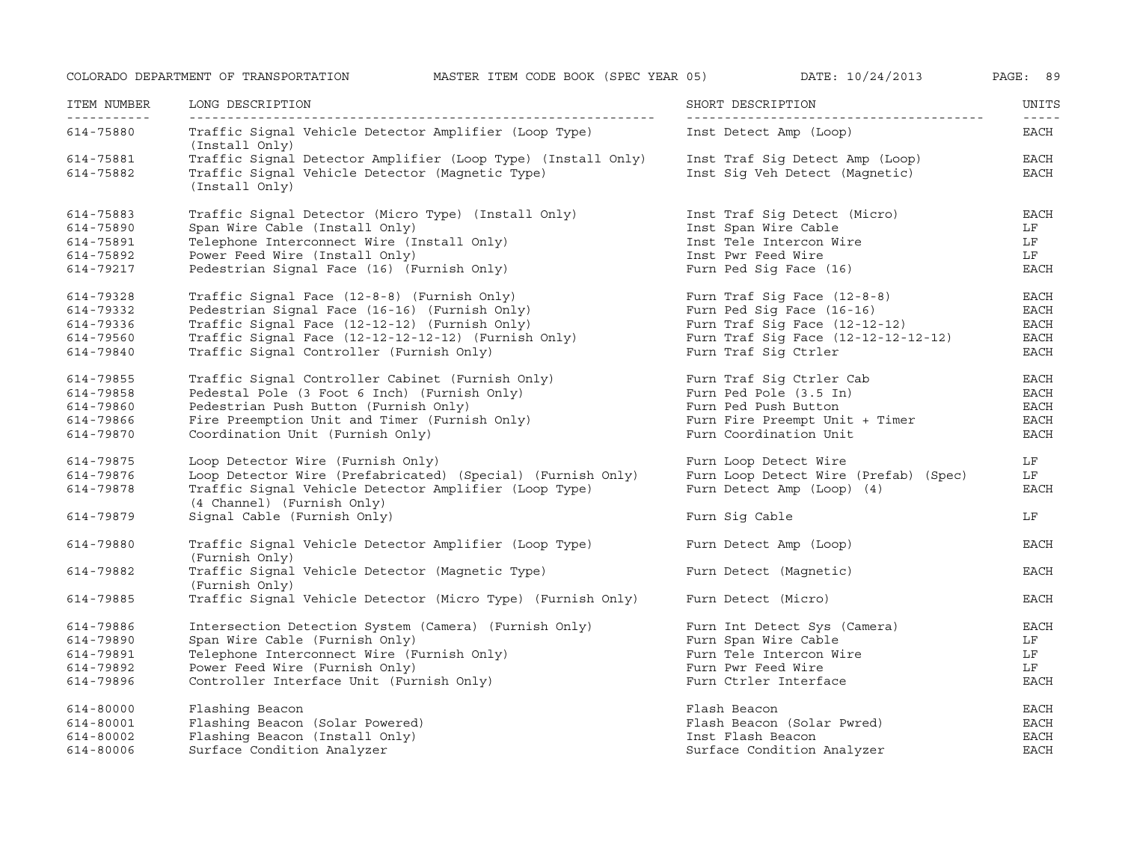ITEM NUMBER NUMBER LONG DESCRIPTION SHORT DESCRIPTION UNITS ----------- ------------------------------------------------------------- --------------------------------------- ----- 614-75880 Traffic Signal Vehicle Detector Amplifier (Loop Type) Inst Detect Amp (Loop) EACH (Install Only) 614-75881 Traffic Signal Detector Amplifier (Loop Type) (Install Only) Inst Traf Sig Detect Amp (Loop) EACH 614-75882 Traffic Signal Vehicle Detector (Magnetic Type) Inst Sig Veh Detect (Magnetic) EACH (Install Only) 614-75883 Traffic Signal Detector (Micro Type) (Install Only) Inst Traf Sig Detect (Micro) EACH 614-75890 Span Wire Cable (Install Only) Inst Span Wire Cable LF 614-75891 Telephone Interconnect Wire (Install Only) Inst Tele Intercon Wire LF 614-75892 Power Feed Wire (Install Only) Inst Pwr Feed Wire LF 614-79217 Pedestrian Signal Face (16) (Furnish Only) Furn Ped Sig Face (16) EACH 614-79328 Traffic Signal Face (12-8-8) (Furnish Only) Furn Traf Sig Face (12-8-8) EACH 614-79332 Pedestrian Signal Face (16-16) (Furnish Only) Furn Ped Sig Face (16-16) EACH 614-79336 Traffic Signal Face (12-12-12) (Furnish Only) Furn Traf Sig Face (12-12-12) EACH 614-79560 Traffic Signal Face (12-12-12-12-12) (Furnish Only) Furn Traf Sig Face (12-12-12-12-12) EACH 614-79840 Traffic Signal Controller (Furnish Only) Furn Traf Sig Ctrler EACH 614-79855 Traffic Signal Controller Cabinet (Furnish Only) Furn Traf Sig Ctrler Cab EACH 614-79858 Pedestal Pole (3 Foot 6 Inch) (Furnish Only) Furn Ped Pole (3.5 In) EACH 614-79860 Pedestrian Push Button (Furnish Only) Furn Ped Push Button EACH 614-79866 Fire Preemption Unit and Timer (Furnish Only) Furn Fire Preempt Unit <sup>+</sup> Timer EACH 614-79870 Coordination Unit (Furnish Only) Furn Coordination Unit EACH 614-79875 Loop Detector Wire (Furnish Only) Furn Loop Detect Wire LF 614-79876 Loop Detector Wire (Prefabricated) (Special) (Furnish Only) Furn Loop Detect Wire (Prefab) (Spec) LF 614-79878 Traffic Signal Vehicle Detector Amplifier (Loop Type) Furn Detect Amp (Loop) (4) EACH (4 Channel) (Furnish Only) 614-79879 Signal Cable (Furnish Only) Furn Sig Cable LF 614-79880 Traffic Signal Vehicle Detector Amplifier (Loop Type) Furn Detect Amp (Loop) EACH (Furnish Only) 614-79882 Traffic Signal Vehicle Detector (Magnetic Type) Furn Detect (Magnetic) EACH (Furnish Only) 614-79885 Traffic Signal Vehicle Detector (Micro Type) (Furnish Only) Furn Detect (Micro) EACH 614-79886 Intersection Detection System (Camera) (Furnish Only) Furn Int Detect Sys (Camera) EACH 614-79890 Span Wire Cable (Furnish Only) Furn Span Wire Cable LF 614-79891Span Wire Cable (Furnish Only) Furn Span Wire Cable All Form of the U.S. of the U.S. of the U.S. of the U.S. o<br>Telephone Interconnect Wire (Furnish Only) Furn Tele Intercon Wire All Form Tele Intercon Wire All Form I.S. O<br> 614-79892 Power Feed Wire (Furnish Only) Furn Pwr Feed Wire LF 614-79896Controller Interface Unit (Furnish Only) Furn Ctrler Interface EACH 614-80000 Flashing Beacon Flash Beacon EACH 614-80001 Flashing Beacon (Solar Powered) Flash Beacon (Solar Pwred) EACH 614-80002 Flashing Beacon (Install Only) Inst Flash Beacon EACH 614-80006 Surface Condition Analyzer Surface Condition Analyzer EACH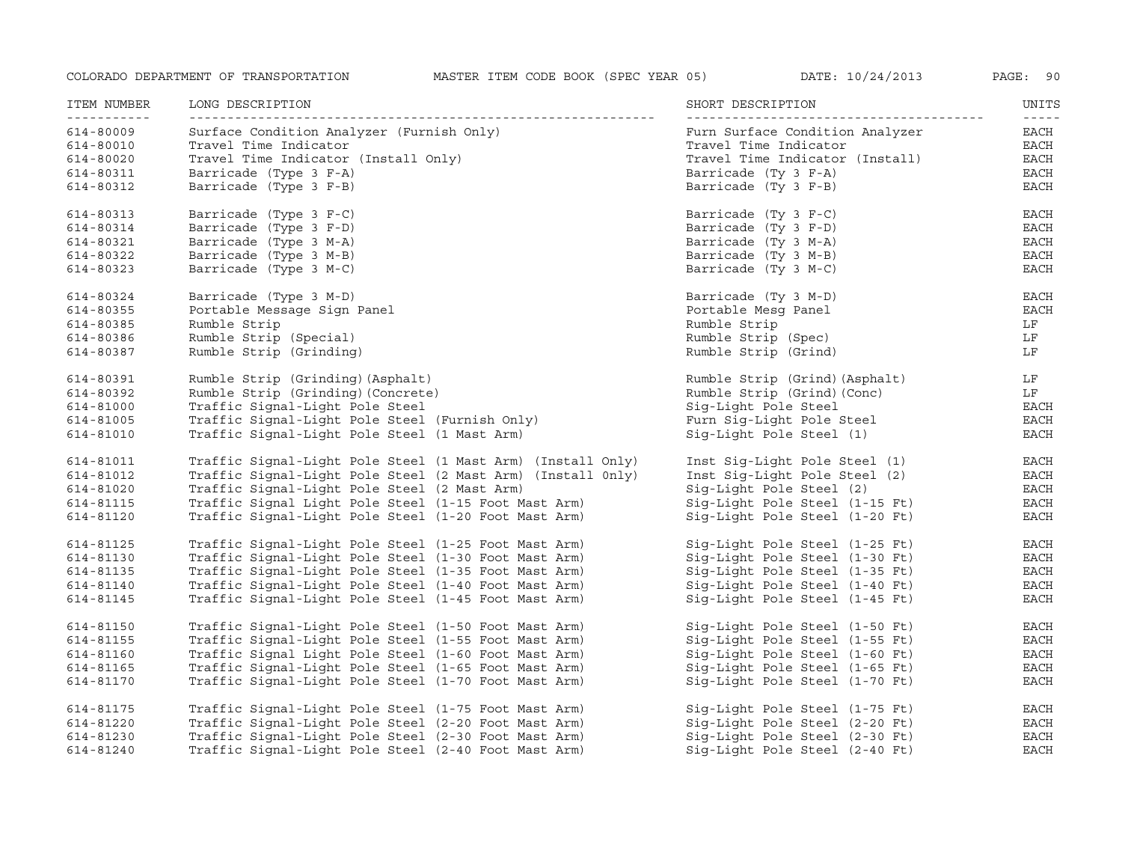| ITEM NUMBER<br>- - - - - - - - - - -                          | LONG DESCRIPTION                                                                                                                                               | SHORT DESCRIPTION                                                                                                                           | UNITS<br>$- - - - - -$               |
|---------------------------------------------------------------|----------------------------------------------------------------------------------------------------------------------------------------------------------------|---------------------------------------------------------------------------------------------------------------------------------------------|--------------------------------------|
| 614-80009<br>614-80010<br>614-80020<br>614-80311<br>614-80312 | Surface Condition Analyzer (Furnish Only)<br>Travel Time Indicator<br>Travel Time Indicator (Install Only)<br>Barricade (Type 3 F-A)<br>Barricade (Type 3 F-B) | Furn Surface Condition Analyzer<br>Travel Time Indicator<br>Travel Time Indicator (Install)<br>Barricade (Ty 3 F-A)<br>Barricade (Ty 3 F-B) | EACH<br>EACH<br>EACH<br>EACH<br>EACH |
| 614-80313                                                     | Barricade (Type 3 F-C)                                                                                                                                         | Barricade (Ty 3 F-C)                                                                                                                        | EACH                                 |
| 614-80314                                                     | Barricade (Type 3 F-D)                                                                                                                                         | Barricade (Ty 3 F-D)                                                                                                                        | EACH                                 |
| 614-80321<br>614-80322                                        | Barricade (Type 3 M-A)<br>Barricade (Type 3 M-B)                                                                                                               | Barricade (Ty 3 M-A)<br>Barricade (Ty 3 M-B)                                                                                                | EACH<br><b>EACH</b>                  |
| 614-80323                                                     | Barricade (Type 3 M-C)                                                                                                                                         | Barricade (Ty 3 M-C)                                                                                                                        | <b>EACH</b>                          |
| 614-80324                                                     | Barricade (Type 3 M-D)                                                                                                                                         | Barricade (Ty 3 M-D)                                                                                                                        | EACH                                 |
| 614-80355                                                     | Portable Message Sign Panel                                                                                                                                    | Portable Mesg Panel                                                                                                                         | <b>EACH</b>                          |
| 614-80385                                                     | Rumble Strip                                                                                                                                                   | Rumble Strip                                                                                                                                | LF                                   |
| 614-80386                                                     | Rumble Strip (Special)                                                                                                                                         | Rumble Strip (Spec)                                                                                                                         | LF                                   |
| 614-80387                                                     | Rumble Strip (Grinding)                                                                                                                                        | Rumble Strip (Grind)                                                                                                                        | LF                                   |
| 614-80391                                                     | Rumble Strip (Grinding) (Asphalt)                                                                                                                              | Rumble Strip (Grind) (Asphalt)                                                                                                              | LF                                   |
| 614-80392                                                     | Rumble Strip (Grinding) (Concrete)                                                                                                                             | Rumble Strip (Grind) (Conc)                                                                                                                 | LF                                   |
| 614-81000                                                     | Traffic Signal-Light Pole Steel                                                                                                                                | Sig-Light Pole Steel                                                                                                                        | EACH                                 |
| 614-81005                                                     | Traffic Signal-Light Pole Steel (Furnish Only)                                                                                                                 | Furn Sig-Light Pole Steel                                                                                                                   | <b>EACH</b>                          |
| 614-81010                                                     | Traffic Signal-Light Pole Steel (1 Mast Arm)                                                                                                                   | Sig-Light Pole Steel (1)                                                                                                                    | <b>EACH</b>                          |
| 614-81011                                                     | Traffic Signal-Light Pole Steel (1 Mast Arm) (Install Only)                                                                                                    | Inst Sig-Light Pole Steel (1)                                                                                                               | EACH                                 |
| 614-81012                                                     | Traffic Signal-Light Pole Steel (2 Mast Arm) (Install 0nly)                                                                                                    | Inst Sig-Light Pole Steel (2)                                                                                                               | EACH                                 |
| 614-81020                                                     | Traffic Signal-Light Pole Steel (2 Mast Arm)                                                                                                                   | Sig-Light Pole Steel (2)                                                                                                                    | EACH                                 |
| 614-81115                                                     | Traffic Signal Light Pole Steel (1-15 Foot Mast Arm)                                                                                                           | Sig-Light Pole Steel (1-15 Ft)                                                                                                              | <b>EACH</b>                          |
| 614-81120                                                     | Traffic Signal-Light Pole Steel (1-20 Foot Mast Arm)                                                                                                           | Sig-Light Pole Steel (1-20 Ft)                                                                                                              | <b>EACH</b>                          |
| 614-81125                                                     | Traffic Signal-Light Pole Steel (1-25 Foot Mast Arm)                                                                                                           | Sig-Light Pole Steel (1-25 Ft)                                                                                                              | EACH                                 |
| 614-81130                                                     | Traffic Signal-Light Pole Steel (1-30 Foot Mast Arm)                                                                                                           | Sig-Light Pole Steel (1-30 Ft)                                                                                                              | EACH                                 |
| 614-81135                                                     | Traffic Signal-Light Pole Steel (1-35 Foot Mast Arm)                                                                                                           | Sig-Light Pole Steel (1-35 Ft)                                                                                                              | EACH                                 |
| 614-81140                                                     | Traffic Signal-Light Pole Steel (1-40 Foot Mast Arm)                                                                                                           | Sig-Light Pole Steel (1-40 Ft)                                                                                                              | <b>EACH</b>                          |
| 614-81145                                                     | Traffic Signal-Light Pole Steel (1-45 Foot Mast Arm)                                                                                                           | Sig-Light Pole Steel (1-45 Ft)                                                                                                              | EACH                                 |
| 614-81150                                                     | Traffic Signal-Light Pole Steel (1-50 Foot Mast Arm)                                                                                                           | Sig-Light Pole Steel (1-50 Ft)                                                                                                              | EACH                                 |
| 614-81155                                                     | Traffic Signal-Light Pole Steel (1-55 Foot Mast Arm)                                                                                                           | Sig-Light Pole Steel (1-55 Ft)                                                                                                              | EACH                                 |
| 614-81160                                                     | Traffic Signal Light Pole Steel (1-60 Foot Mast Arm)                                                                                                           | Sig-Light Pole Steel (1-60 Ft)                                                                                                              | EACH                                 |
| 614-81165                                                     | Traffic Signal-Light Pole Steel (1-65 Foot Mast Arm)                                                                                                           | Sig-Light Pole Steel (1-65 Ft)                                                                                                              | EACH                                 |
| 614-81170                                                     | Traffic Signal-Light Pole Steel (1-70 Foot Mast Arm)                                                                                                           | Sig-Light Pole Steel (1-70 Ft)                                                                                                              | EACH                                 |
| 614-81175                                                     | Traffic Signal-Light Pole Steel (1-75 Foot Mast Arm)                                                                                                           | Sig-Light Pole Steel (1-75 Ft)                                                                                                              | EACH                                 |
| 614-81220                                                     | Traffic Signal-Light Pole Steel (2-20 Foot Mast Arm)                                                                                                           | Sig-Light Pole Steel (2-20 Ft)                                                                                                              | EACH                                 |
| 614-81230                                                     | Traffic Signal-Light Pole Steel (2-30 Foot Mast Arm)                                                                                                           | Sig-Light Pole Steel (2-30 Ft)                                                                                                              | $_{\rm EACH}$                        |
| 614-81240                                                     | Traffic Signal-Light Pole Steel (2-40 Foot Mast Arm)                                                                                                           | Sig-Light Pole Steel (2-40 Ft)                                                                                                              | <b>EACH</b>                          |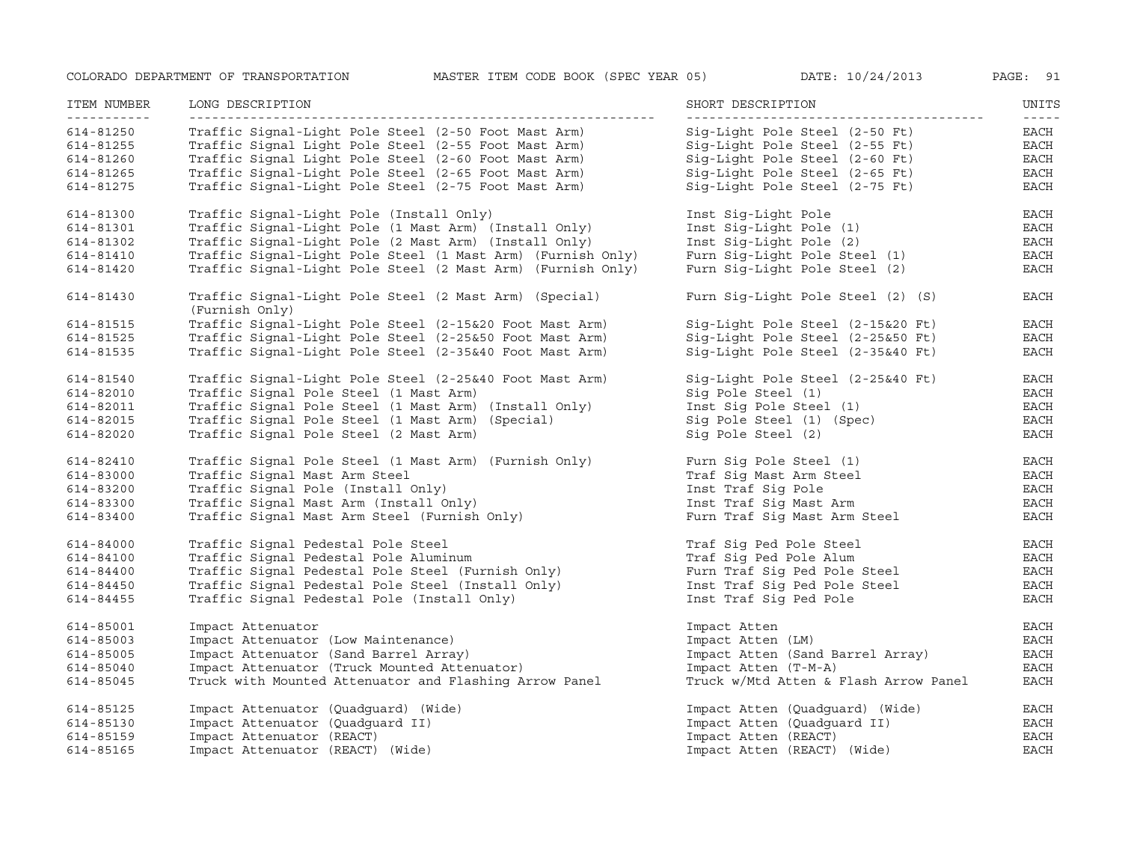| ITEM NUMBER<br>___________ | LONG DESCRIPTION                                                         | SHORT DESCRIPTION                     | UNITS<br>$- - - - - -$ |
|----------------------------|--------------------------------------------------------------------------|---------------------------------------|------------------------|
| 614-81250                  | Traffic Signal-Light Pole Steel (2-50 Foot Mast Arm)                     | Sig-Light Pole Steel (2-50 Ft)        | EACH                   |
| 614-81255                  | Traffic Signal Light Pole Steel (2-55 Foot Mast Arm)                     | Sig-Light Pole Steel (2-55 Ft)        | EACH                   |
| 614-81260                  | Traffic Signal Light Pole Steel (2-60 Foot Mast Arm)                     | Sig-Light Pole Steel (2-60 Ft)        | <b>EACH</b>            |
| 614-81265                  | Traffic Signal-Light Pole Steel (2-65 Foot Mast Arm)                     | Sig-Light Pole Steel (2-65 Ft)        | <b>EACH</b>            |
| 614-81275                  | Traffic Signal-Light Pole Steel (2-75 Foot Mast Arm)                     | Sig-Light Pole Steel (2-75 Ft)        | EACH                   |
| 614-81300                  | Traffic Signal-Light Pole (Install Only)                                 | Inst Sig-Light Pole                   | <b>EACH</b>            |
| 614-81301                  | Traffic Signal-Light Pole (1 Mast Arm) (Install Only)                    | Inst Sig-Light Pole (1)               | $_{\rm EACH}$          |
| 614-81302                  | Traffic Signal-Light Pole (2 Mast Arm) (Install Only)                    | Inst Sig-Light Pole (2)               | EACH                   |
| 614-81410                  | Traffic Signal-Light Pole Steel (1 Mast Arm) (Furnish Only)              | Furn Sig-Light Pole Steel (1)         | EACH                   |
| 614-81420                  | Traffic Signal-Light Pole Steel (2 Mast Arm) (Furnish Only)              | Furn Sig-Light Pole Steel (2)         | <b>EACH</b>            |
| 614-81430                  | Traffic Signal-Light Pole Steel (2 Mast Arm) (Special)<br>(Furnish Only) | Furn Sig-Light Pole Steel (2) (S)     | EACH                   |
| 614-81515                  | Traffic Signal-Light Pole Steel (2-15&20 Foot Mast Arm)                  | Sig-Light Pole Steel (2-15&20 Ft)     | EACH                   |
| 614-81525                  | Traffic Signal-Light Pole Steel (2-25&50 Foot Mast Arm)                  | Sig-Light Pole Steel (2-25&50 Ft)     | $_{\rm EACH}$          |
| 614-81535                  | Traffic Signal-Light Pole Steel (2-35&40 Foot Mast Arm)                  | Sig-Light Pole Steel (2-35&40 Ft)     | $_{\rm EACH}$          |
| 614-81540                  | Traffic Signal-Light Pole Steel (2-25&40 Foot Mast Arm)                  | Sig-Light Pole Steel (2-25&40 Ft)     | EACH                   |
| 614-82010                  | Traffic Signal Pole Steel (1 Mast Arm)                                   | Sig Pole Steel (1)                    | EACH                   |
| 614-82011                  | Traffic Signal Pole Steel (1 Mast Arm) (Install Only)                    | Inst Sig Pole Steel (1)               | EACH                   |
| 614-82015                  | Traffic Signal Pole Steel (1 Mast Arm) (Special)                         | Sig Pole Steel (1) (Spec)             | EACH                   |
| 614-82020                  | Traffic Signal Pole Steel (2 Mast Arm)                                   | Sig Pole Steel (2)                    | EACH                   |
| 614-82410                  | Traffic Signal Pole Steel (1 Mast Arm) (Furnish Only)                    | Furn Sig Pole Steel (1)               | EACH                   |
| 614-83000                  | Traffic Signal Mast Arm Steel                                            | Traf Sig Mast Arm Steel               | <b>EACH</b>            |
| 614-83200                  | Traffic Signal Pole (Install Only)                                       | Inst Traf Sig Pole                    | EACH                   |
| 614-83300                  | Traffic Signal Mast Arm (Install Only)                                   | Inst Traf Sig Mast Arm                | EACH                   |
| 614-83400                  | Traffic Signal Mast Arm Steel (Furnish Only)                             | Furn Traf Sig Mast Arm Steel          | <b>EACH</b>            |
| 614-84000                  | Traffic Signal Pedestal Pole Steel                                       | Traf Sig Ped Pole Steel               | EACH                   |
| 614-84100                  | Traffic Signal Pedestal Pole Aluminum                                    | Traf Sig Ped Pole Alum                | <b>EACH</b>            |
| 614-84400                  | Traffic Signal Pedestal Pole Steel (Furnish Only)                        | Furn Traf Sig Ped Pole Steel          | EACH                   |
| 614-84450                  | Traffic Signal Pedestal Pole Steel (Install Only)                        | Inst Traf Sig Ped Pole Steel          | EACH                   |
| 614-84455                  | Traffic Signal Pedestal Pole (Install Only)                              | Inst Traf Sig Ped Pole                | EACH                   |
| 614-85001                  | Impact Attenuator                                                        | Impact Atten                          | EACH                   |
| 614-85003                  | Impact Attenuator (Low Maintenance)                                      | Impact Atten (LM)                     | <b>EACH</b>            |
| 614-85005                  | Impact Attenuator (Sand Barrel Array)                                    | Impact Atten (Sand Barrel Array)      | <b>EACH</b>            |
| 614-85040                  | Impact Attenuator (Truck Mounted Attenuator)                             | Impact Atten (T-M-A)                  | <b>EACH</b>            |
| 614-85045                  | Truck with Mounted Attenuator and Flashing Arrow Panel                   | Truck w/Mtd Atten & Flash Arrow Panel | $_{\rm EACH}$          |
| 614-85125                  | Impact Attenuator (Quadguard) (Wide)                                     | Impact Atten (Quadquard) (Wide)       | EACH                   |
| 614-85130                  | Impact Attenuator (Quadguard II)                                         | Impact Atten (Quadguard II)           | EACH                   |
| 614-85159                  | Impact Attenuator (REACT)                                                | Impact Atten (REACT)                  | <b>EACH</b>            |
| 614-85165                  | Impact Attenuator (REACT) (Wide)                                         | Impact Atten (REACT) (Wide)           | <b>EACH</b>            |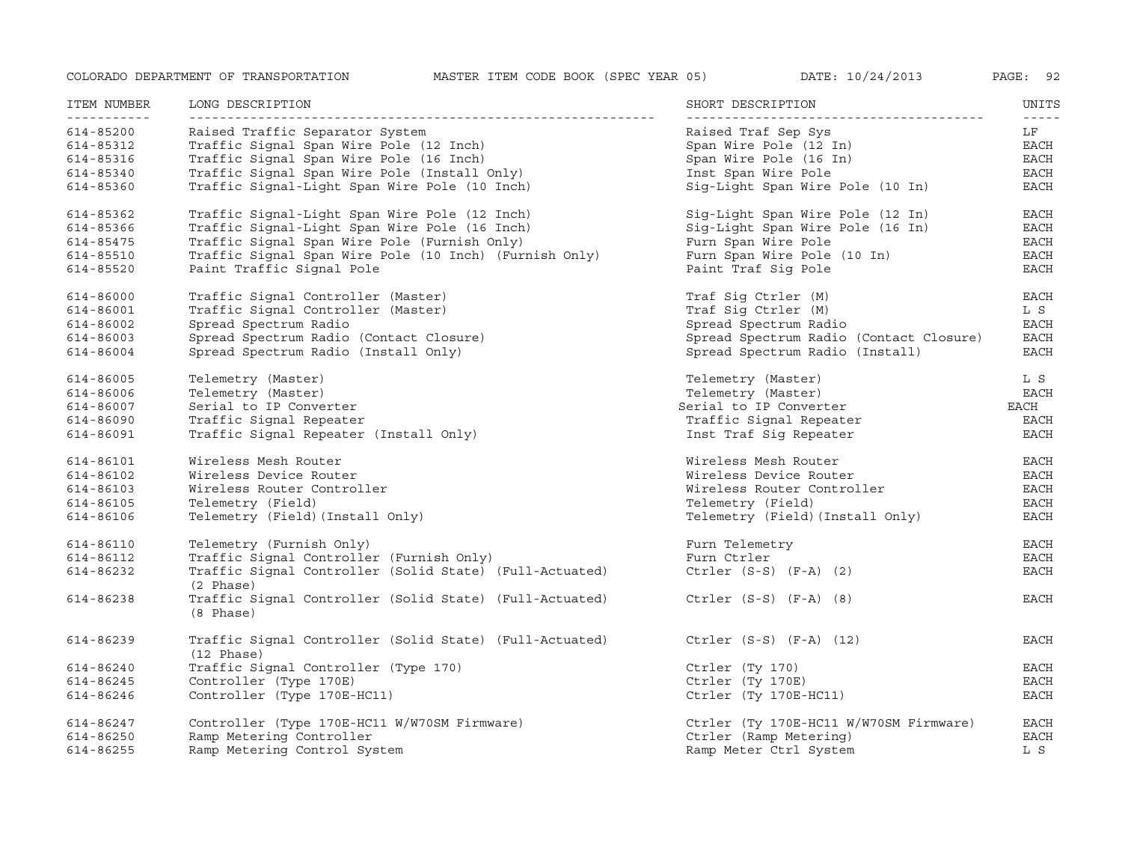| ITEM NUMBER | LONG DESCRIPTION                                                                | SHORT DESCRIPTION                       | UNITS             |
|-------------|---------------------------------------------------------------------------------|-----------------------------------------|-------------------|
| 614-85200   | Raised Traffic Separator System                                                 | Raised Traf Sep Sys                     | $- - - - -$<br>LF |
| 614-85312   | Traffic Signal Span Wire Pole (12 Inch)                                         | Span Wire Pole (12 In)                  | EACH              |
| 614-85316   | Traffic Signal Span Wire Pole (16 Inch)                                         | Span Wire Pole (16 In)                  | EACH              |
| 614-85340   | Traffic Signal Span Wire Pole (Install Only)                                    | Inst Span Wire Pole                     | EACH              |
| 614-85360   | Traffic Signal-Light Span Wire Pole (10 Inch)                                   | Sig-Light Span Wire Pole (10 In)        | EACH              |
| 614-85362   | Traffic Signal-Light Span Wire Pole (12 Inch)                                   | Sig-Light Span Wire Pole (12 In)        | <b>EACH</b>       |
| 614-85366   | Traffic Signal-Light Span Wire Pole (16 Inch)                                   | Sig-Light Span Wire Pole (16 In)        | EACH              |
| 614-85475   | Traffic Signal Span Wire Pole (Furnish Only)                                    | Furn Span Wire Pole                     | EACH              |
| 614-85510   | Traffic Signal Span Wire Pole (10 Inch) (Furnish Only)                          | Furn Span Wire Pole (10 In)             | EACH              |
| 614-85520   | Paint Traffic Signal Pole                                                       | Paint Traf Sig Pole                     | <b>EACH</b>       |
| 614-86000   | Traffic Signal Controller (Master)                                              | Traf Sig Ctrler (M)                     | <b>EACH</b>       |
| 614-86001   | Traffic Signal Controller (Master)                                              | Traf Sig Ctrler (M)                     | L S               |
| 614-86002   | Spread Spectrum Radio                                                           | Spread Spectrum Radio                   | EACH              |
| 614-86003   | Spread Spectrum Radio (Contact Closure)                                         | Spread Spectrum Radio (Contact Closure) | EACH              |
| 614-86004   | Spread Spectrum Radio (Install Only)                                            | Spread Spectrum Radio (Install)         | <b>EACH</b>       |
| 614-86005   | Telemetry (Master)                                                              | Telemetry (Master)                      | L S               |
| 614-86006   | Telemetry (Master)                                                              | Telemetry (Master)                      | EACH              |
| 614-86007   | Serial to IP Converter                                                          | Serial to IP Converter                  | EACH              |
| 614-86090   | Traffic Signal Repeater                                                         | Traffic Signal Repeater                 | EACH              |
| 614-86091   | Traffic Signal Repeater (Install Only)                                          | Inst Traf Sig Repeater                  | EACH              |
| 614-86101   | Wireless Mesh Router                                                            | Wireless Mesh Router                    | EACH              |
| 614-86102   | Wireless Device Router                                                          | Wireless Device Router                  | EACH              |
| 614-86103   | Wireless Router Controller                                                      | Wireless Router Controller              | EACH              |
| 614-86105   | Telemetry (Field)                                                               | Telemetry (Field)                       | EACH              |
| 614-86106   | Telemetry (Field) (Install Only)                                                | Telemetry (Field) (Install Only)        | <b>EACH</b>       |
| 614-86110   | Telemetry (Furnish Only)                                                        | Furn Telemetry                          | EACH              |
| 614-86112   | Traffic Signal Controller (Furnish Only)                                        | Furn Ctrler                             | EACH              |
| 614-86232   | Traffic Signal Controller (Solid State) (Full-Actuated)<br>(2 Phase)            | Ctrler $(S-S)$ $(F-A)$ $(2)$            | EACH              |
| 614-86238   | Traffic Signal Controller (Solid State) (Full-Actuated)<br>(8 Phase)            | Ctrler $(S-S)$ $(F-A)$ $(8)$            | EACH              |
| 614-86239   | Traffic Signal Controller (Solid State) (Full-Actuated)<br>$(12 \text{ Phase})$ | Ctrler $(S-S)$ $(F-A)$ $(12)$           | EACH              |
| 614-86240   | Traffic Signal Controller (Type 170)                                            | Ctrler (Ty 170)                         | EACH              |
| 614-86245   | Controller (Type 170E)                                                          | Ctrler (Ty 170E)                        | EACH              |
| 614-86246   | Controller (Type 170E-HC11)                                                     | Ctrler (Ty 170E-HC11)                   | EACH              |
| 614-86247   | Controller (Type 170E-HC11 W/W70SM Firmware)                                    | Ctrler (Ty 170E-HC11 W/W70SM Firmware)  | <b>EACH</b>       |
| 614-86250   | Ramp Metering Controller                                                        | Ctrler (Ramp Metering)                  | <b>EACH</b>       |
| 614-86255   | Ramp Metering Control System                                                    | Ramp Meter Ctrl System                  | L S               |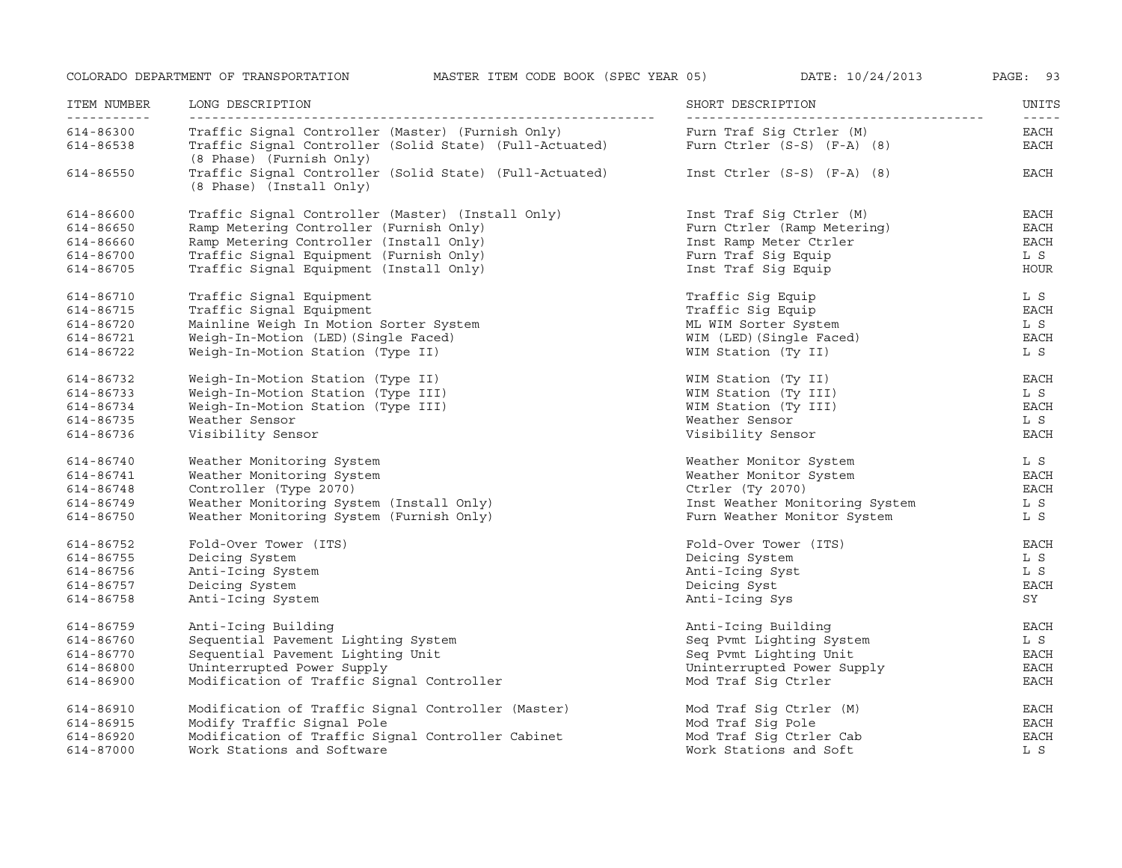| ITEM NUMBER<br>------------ | LONG DESCRIPTION                                                                    | SHORT DESCRIPTION                | UNITS               |
|-----------------------------|-------------------------------------------------------------------------------------|----------------------------------|---------------------|
| 614-86300                   | Traffic Siqnal Controller (Master) (Furnish Only)                                   | Furn Traf Sig Ctrler (M)         | $- - - - -$<br>EACH |
| 614-86538                   | Traffic Signal Controller (Solid State) (Full-Actuated)<br>(8 Phase) (Furnish Only) | Furn $Ctrler(S-S)$ $(F-A)$ $(8)$ | EACH                |
| 614-86550                   | Traffic Signal Controller (Solid State) (Full-Actuated)<br>(8 Phase) (Install Only) | Inst $Ctrler(S-S)$ $(F-A)$ (8)   | EACH                |
| 614-86600                   | Traffic Signal Controller (Master) (Install Only)                                   | Inst Traf Sig Ctrler (M)         | EACH                |
| 614-86650                   | Ramp Metering Controller (Furnish Only)                                             | Furn Ctrler (Ramp Metering)      | EACH                |
| 614-86660                   | Ramp Metering Controller (Install Only)                                             | Inst Ramp Meter Ctrler           | EACH                |
| 614-86700                   | Traffic Signal Equipment (Furnish Only)                                             | Furn Traf Sig Equip              | L S                 |
| 614-86705                   | Traffic Signal Equipment (Install Only)                                             | Inst Traf Sig Equip              | <b>HOUR</b>         |
| 614-86710                   | Traffic Signal Equipment                                                            | Traffic Sig Equip                | L S                 |
| 614-86715                   | Traffic Signal Equipment                                                            | Traffic Sig Equip                | <b>EACH</b>         |
| 614-86720                   | Mainline Weigh In Motion Sorter System                                              | ML WIM Sorter System             | L S                 |
| 614-86721                   | Weigh-In-Motion (LED) (Single Faced)                                                | WIM (LED) (Single Faced)         | <b>EACH</b>         |
| 614-86722                   | Weigh-In-Motion Station (Type II)                                                   | WIM Station (Ty II)              | L S                 |
| 614-86732                   | Weigh-In-Motion Station (Type II)                                                   | WIM Station (Ty II)              | EACH                |
| 614-86733                   | Weigh-In-Motion Station (Type III)                                                  | WIM Station (Ty III)             | L S                 |
| 614-86734                   | Weigh-In-Motion Station (Type III)                                                  | WIM Station (Ty III)             | EACH                |
| 614-86735                   | Weather Sensor                                                                      | Weather Sensor                   | L S                 |
| 614-86736                   | Visibility Sensor                                                                   | Visibility Sensor                | <b>EACH</b>         |
| 614-86740                   | Weather Monitoring System                                                           | Weather Monitor System           | L S                 |
| 614-86741                   | Weather Monitoring System                                                           | Weather Monitor System           | EACH                |
| 614-86748                   | Controller (Type 2070)                                                              | Ctrler (Ty 2070)                 | <b>EACH</b>         |
| 614-86749                   | Weather Monitoring System (Install Only)                                            | Inst Weather Monitoring System   | L S                 |
| 614-86750                   | Weather Monitoring System (Furnish Only)                                            | Furn Weather Monitor System      | L S                 |
| 614-86752                   | Fold-Over Tower (ITS)                                                               | Fold-Over Tower (ITS)            | EACH                |
| 614-86755                   | Deicing System                                                                      | Deicing System                   | L S                 |
| 614-86756                   | Anti-Icing System                                                                   | Anti-Icing Syst                  | L S                 |
| 614-86757                   | Deicing System                                                                      | Deicing Syst                     | EACH                |
| 614-86758                   | Anti-Icing System                                                                   | Anti-Icing Sys                   | SY                  |
| 614-86759                   | Anti-Icing Building                                                                 | Anti-Icing Building              | EACH                |
| 614-86760                   | Sequential Pavement Lighting System                                                 | Seq Pvmt Lighting System         | L S                 |
| 614-86770                   | Sequential Pavement Lighting Unit                                                   | Seq Pvmt Lighting Unit           | <b>EACH</b>         |
| 614-86800                   | Uninterrupted Power Supply                                                          | Uninterrupted Power Supply       | EACH                |
| 614-86900                   | Modification of Traffic Signal Controller                                           | Mod Traf Sig Ctrler              | EACH                |
| 614-86910                   | Modification of Traffic Signal Controller (Master)                                  | Mod Traf Sig Ctrler (M)          | <b>EACH</b>         |
| 614-86915                   | Modify Traffic Signal Pole                                                          | Mod Traf Sig Pole                | <b>EACH</b>         |
| 614-86920                   | Modification of Traffic Signal Controller Cabinet                                   | Mod Traf Sig Ctrler Cab          | <b>EACH</b>         |
| 614-87000                   | Work Stations and Software                                                          | Work Stations and Soft           | L S                 |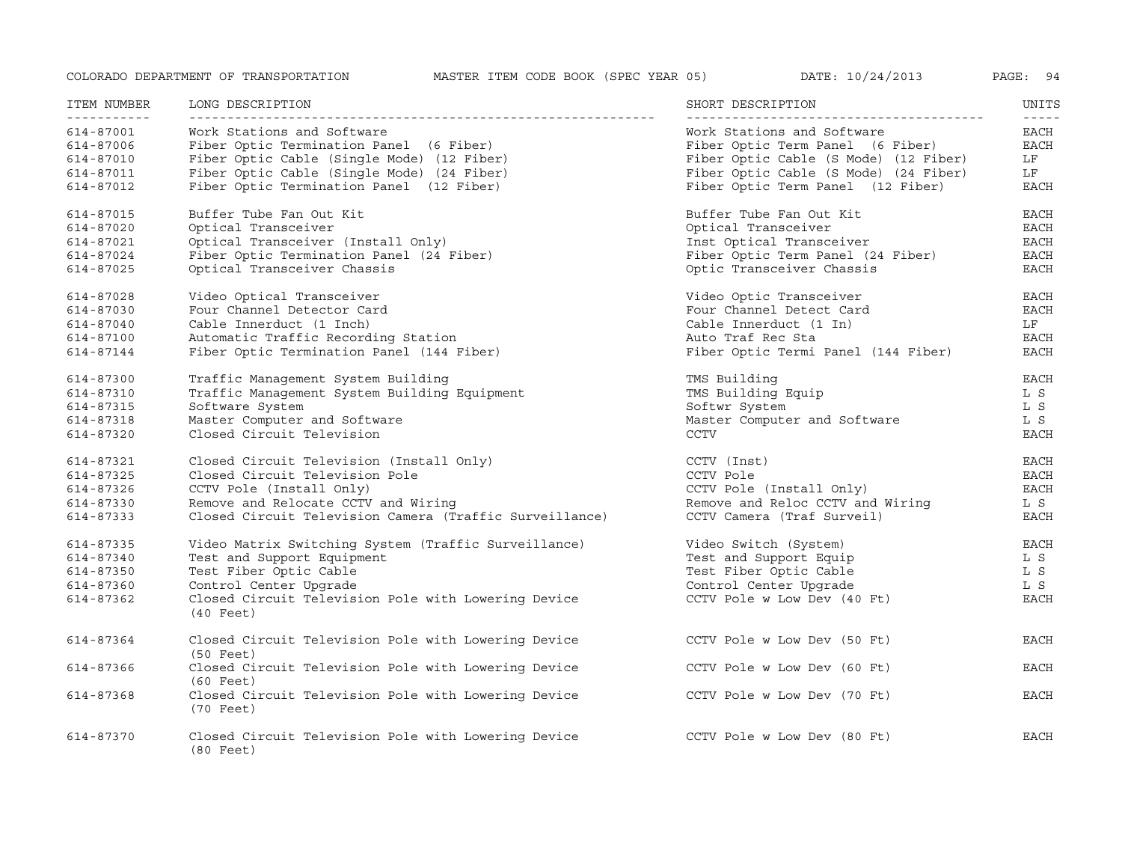| ITEM NUMBER<br><u>___________</u>                             | LONG DESCRIPTION                                                                                                                                                                                              | SHORT DESCRIPTION                                                                                                                                                                     | UNITS<br>$- - - - -$                                      |
|---------------------------------------------------------------|---------------------------------------------------------------------------------------------------------------------------------------------------------------------------------------------------------------|---------------------------------------------------------------------------------------------------------------------------------------------------------------------------------------|-----------------------------------------------------------|
| 614-87001<br>614-87006<br>614-87010<br>614-87011<br>614-87012 | Work Stations and Software<br>Fiber Optic Termination Panel (6 Fiber)<br>Fiber Optic Cable (Single Mode) (12 Fiber)<br>Fiber Optic Cable (Single Mode) (24 Fiber)<br>Fiber Optic Termination Panel (12 Fiber) | Work Stations and Software<br>Fiber Optic Term Panel (6 Fiber)<br>Fiber Optic Cable (S Mode) (12 Fiber)<br>Fiber Optic Cable (S Mode) (24 Fiber)<br>Fiber Optic Term Panel (12 Fiber) | <b>EACH</b><br>EACH<br>LF<br>LF<br>EACH                   |
| 614-87015<br>614-87020<br>614-87021<br>614-87024<br>614-87025 | Buffer Tube Fan Out Kit<br>Optical Transceiver<br>Optical Transceiver (Install Only)<br>Fiber Optic Termination Panel (24 Fiber)<br>Optical Transceiver Chassis                                               | Buffer Tube Fan Out Kit<br>Optical Transceiver<br>Inst Optical Transceiver<br>Fiber Optic Term Panel (24 Fiber)<br>Optic Transceiver Chassis                                          | EACH<br>EACH<br><b>EACH</b><br><b>EACH</b><br><b>EACH</b> |
| 614-87028<br>614-87030<br>614-87040<br>614-87100<br>614-87144 | Video Optical Transceiver<br>Four Channel Detector Card<br>Cable Innerduct (1 Inch)<br>Automatic Traffic Recording Station<br>Fiber Optic Termination Panel (144 Fiber)                                       | Video Optic Transceiver<br>Four Channel Detect Card<br>Cable Innerduct (1 In)<br>Auto Traf Rec Sta<br>Fiber Optic Termi Panel (144 Fiber)                                             | EACH<br>EACH<br>LF<br>EACH<br>EACH                        |
| 614-87300<br>614-87310<br>614-87315<br>614-87318<br>614-87320 | Traffic Management System Building<br>Traffic Management System Building Equipment<br>Software System<br>Master Computer and Software<br>Closed Circuit Television                                            | TMS Building<br>TMS Building Equip<br>Softwr System<br>Master Computer and Software<br><b>CCTV</b>                                                                                    | <b>EACH</b><br>L S<br>L S<br>L S<br><b>EACH</b>           |
| 614-87321<br>614-87325<br>614-87326<br>614-87330<br>614-87333 | Closed Circuit Television (Install Only)<br>Closed Circuit Television Pole<br>CCTV Pole (Install Only)<br>Remove and Relocate CCTV and Wiring<br>Closed Circuit Television Camera (Traffic Surveillance)      | CCTV (Inst)<br>CCTV Pole<br>CCTV Pole (Install Only)<br>Remove and Reloc CCTV and Wiring<br>CCTV Camera (Traf Surveil)                                                                | EACH<br>EACH<br>EACH<br>L S<br><b>EACH</b>                |
| 614-87335<br>614-87340<br>614-87350<br>614-87360<br>614-87362 | Video Matrix Switching System (Traffic Surveillance)<br>Test and Support Equipment<br>Test Fiber Optic Cable<br>Control Center Upgrade<br>Closed Circuit Television Pole with Lowering Device<br>$(40$ Feet)  | Video Switch (System)<br>Test and Support Equip<br>Test Fiber Optic Cable<br>Control Center Upgrade<br>CCTV Pole w Low Dev (40 Ft)                                                    | EACH<br>L S<br>L S<br>L S<br>EACH                         |
| 614-87364                                                     | Closed Circuit Television Pole with Lowering Device<br>$(50$ Feet)                                                                                                                                            | CCTV Pole w Low Dev (50 Ft)                                                                                                                                                           | EACH                                                      |
| 614-87366                                                     | Closed Circuit Television Pole with Lowering Device<br>$(60$ Feet)                                                                                                                                            | CCTV Pole w Low Dev (60 Ft)                                                                                                                                                           | EACH                                                      |
| 614-87368                                                     | Closed Circuit Television Pole with Lowering Device<br>$(70$ Feet)                                                                                                                                            | CCTV Pole w Low Dev (70 Ft)                                                                                                                                                           | EACH                                                      |
| 614-87370                                                     | Closed Circuit Television Pole with Lowering Device<br>$(80 \text{ feet})$                                                                                                                                    | CCTV Pole w Low Dev (80 Ft)                                                                                                                                                           | <b>EACH</b>                                               |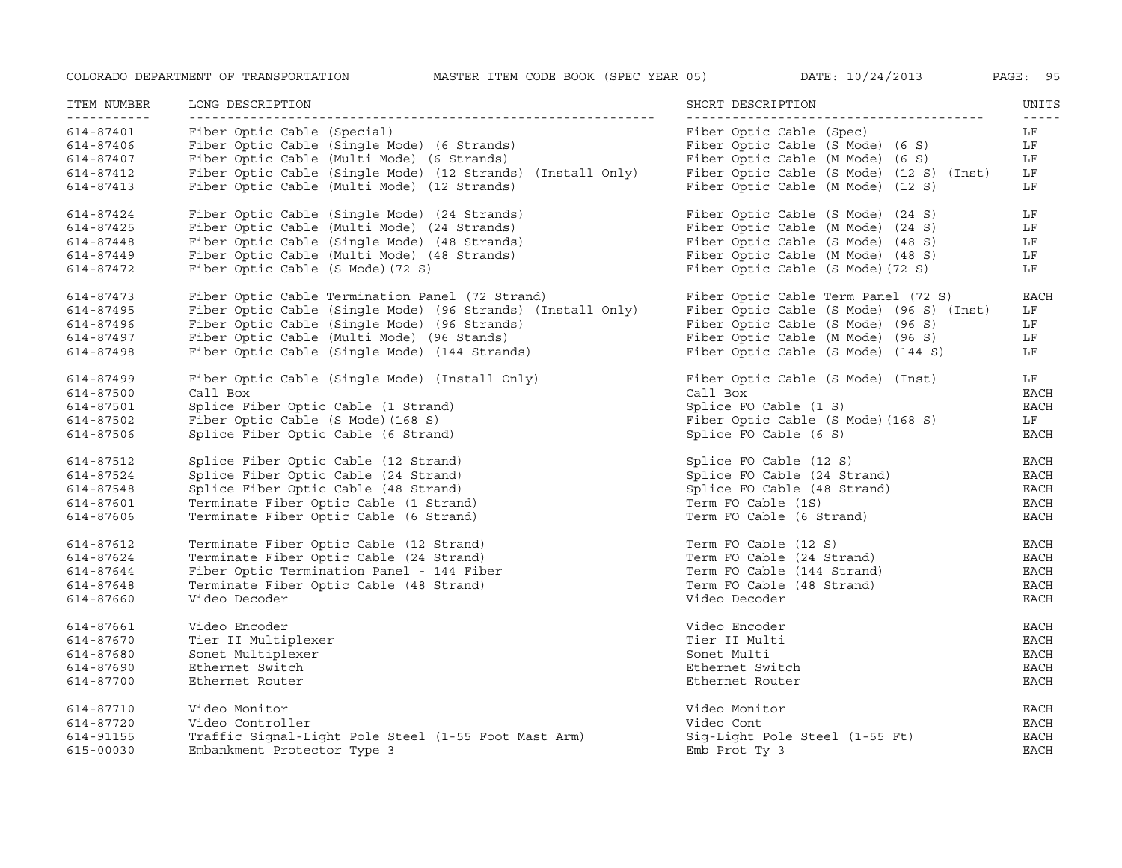| ITEM NUMBER<br><u> - - - - - - - - - - -</u> | LONG DESCRIPTION                                            | SHORT DESCRIPTION                        | UNITS<br>$- - - - -$ |
|----------------------------------------------|-------------------------------------------------------------|------------------------------------------|----------------------|
| 614-87401                                    | Fiber Optic Cable (Special)                                 | Fiber Optic Cable (Spec)                 | LF                   |
| 614-87406                                    | Fiber Optic Cable (Single Mode) (6 Strands)                 | Fiber Optic Cable (S Mode) (6 S)         | LF                   |
| 614-87407                                    | Fiber Optic Cable (Multi Mode) (6 Strands)                  | Fiber Optic Cable (M Mode) (6 S)         | LF                   |
| 614-87412                                    | Fiber Optic Cable (Single Mode) (12 Strands) (Install Only) | Fiber Optic Cable (S Mode) (12 S) (Inst) | LF                   |
| 614-87413                                    | Fiber Optic Cable (Multi Mode) (12 Strands)                 | Fiber Optic Cable (M Mode) (12 S)        | LF                   |
| 614-87424                                    | Fiber Optic Cable (Single Mode) (24 Strands)                | Fiber Optic Cable (S Mode) (24 S)        | LF                   |
| 614-87425                                    | Fiber Optic Cable (Multi Mode) (24 Strands)                 | Fiber Optic Cable (M Mode) (24 S)        | LF                   |
| 614-87448                                    | Fiber Optic Cable (Single Mode) (48 Strands)                | Fiber Optic Cable (S Mode) (48 S)        | LF                   |
| 614-87449                                    | Fiber Optic Cable (Multi Mode) (48 Strands)                 | Fiber Optic Cable (M Mode) (48 S)        | LF                   |
| 614-87472                                    | Fiber Optic Cable (S Mode) (72 S)                           | Fiber Optic Cable (S Mode) (72 S)        | LF                   |
| 614-87473                                    | Fiber Optic Cable Termination Panel (72 Strand)             | Fiber Optic Cable Term Panel (72 S)      | EACH                 |
| 614-87495                                    | Fiber Optic Cable (Single Mode) (96 Strands) (Install Only) | Fiber Optic Cable (S Mode) (96 S) (Inst) | LF                   |
| 614-87496                                    | Fiber Optic Cable (Single Mode) (96 Strands)                | Fiber Optic Cable (S Mode) (96 S)        | LF                   |
| 614-87497                                    | Fiber Optic Cable (Multi Mode) (96 Stands)                  | Fiber Optic Cable (M Mode) (96 S)        | LF                   |
| 614-87498                                    | Fiber Optic Cable (Single Mode) (144 Strands)               | Fiber Optic Cable (S Mode) (144 S)       | LF                   |
| 614-87499                                    | Fiber Optic Cable (Single Mode) (Install Only)              | Fiber Optic Cable (S Mode) (Inst)        | LF                   |
| 614-87500                                    | Call Box                                                    | Call Box                                 | EACH                 |
| 614-87501                                    | Splice Fiber Optic Cable (1 Strand)                         | Splice FO Cable (1 S)                    | <b>EACH</b>          |
| 614-87502                                    | Fiber Optic Cable (S Mode) (168 S)                          | Fiber Optic Cable (S Mode) (168 S)       | LF                   |
| 614-87506                                    | Splice Fiber Optic Cable (6 Strand)                         | Splice FO Cable (6 S)                    | <b>EACH</b>          |
| 614-87512                                    | Splice Fiber Optic Cable (12 Strand)                        | Splice FO Cable (12 S)                   | <b>EACH</b>          |
| 614-87524                                    | Splice Fiber Optic Cable (24 Strand)                        | Splice FO Cable (24 Strand)              | EACH                 |
| 614-87548                                    | Splice Fiber Optic Cable (48 Strand)                        | Splice FO Cable (48 Strand)              | EACH                 |
| 614-87601                                    | Terminate Fiber Optic Cable (1 Strand)                      | Term FO Cable (1S)                       | EACH                 |
| 614-87606                                    | Terminate Fiber Optic Cable (6 Strand)                      | Term FO Cable (6 Strand)                 | <b>EACH</b>          |
| 614-87612                                    | Terminate Fiber Optic Cable (12 Strand)                     | Term FO Cable (12 S)                     | EACH                 |
| 614-87624                                    | Terminate Fiber Optic Cable (24 Strand)                     | Term FO Cable (24 Strand)                | <b>EACH</b>          |
| 614-87644                                    | Fiber Optic Termination Panel - 144 Fiber                   | Term FO Cable (144 Strand)               | EACH                 |
| 614-87648                                    | Terminate Fiber Optic Cable (48 Strand)                     | Term FO Cable (48 Strand)                | <b>EACH</b>          |
| 614-87660                                    | Video Decoder                                               | Video Decoder                            | <b>EACH</b>          |
| 614-87661                                    | Video Encoder                                               | Video Encoder                            | EACH                 |
| 614-87670                                    | Tier II Multiplexer                                         | Tier II Multi                            | EACH                 |
| 614-87680                                    | Sonet Multiplexer                                           | Sonet Multi                              | EACH                 |
| 614-87690                                    | Ethernet Switch                                             | Ethernet Switch                          | EACH                 |
| 614-87700                                    | Ethernet Router                                             | Ethernet Router                          | <b>EACH</b>          |
| 614-87710                                    | Video Monitor                                               | Video Monitor                            | <b>EACH</b>          |
| 614-87720                                    | Video Controller                                            | Video Cont                               | EACH                 |
| 614-91155                                    | Traffic Signal-Light Pole Steel (1-55 Foot Mast Arm)        | Sig-Light Pole Steel (1-55 Ft)           | <b>EACH</b>          |
| 615-00030                                    | Embankment Protector Type 3                                 | Emb Prot Ty 3                            | <b>EACH</b>          |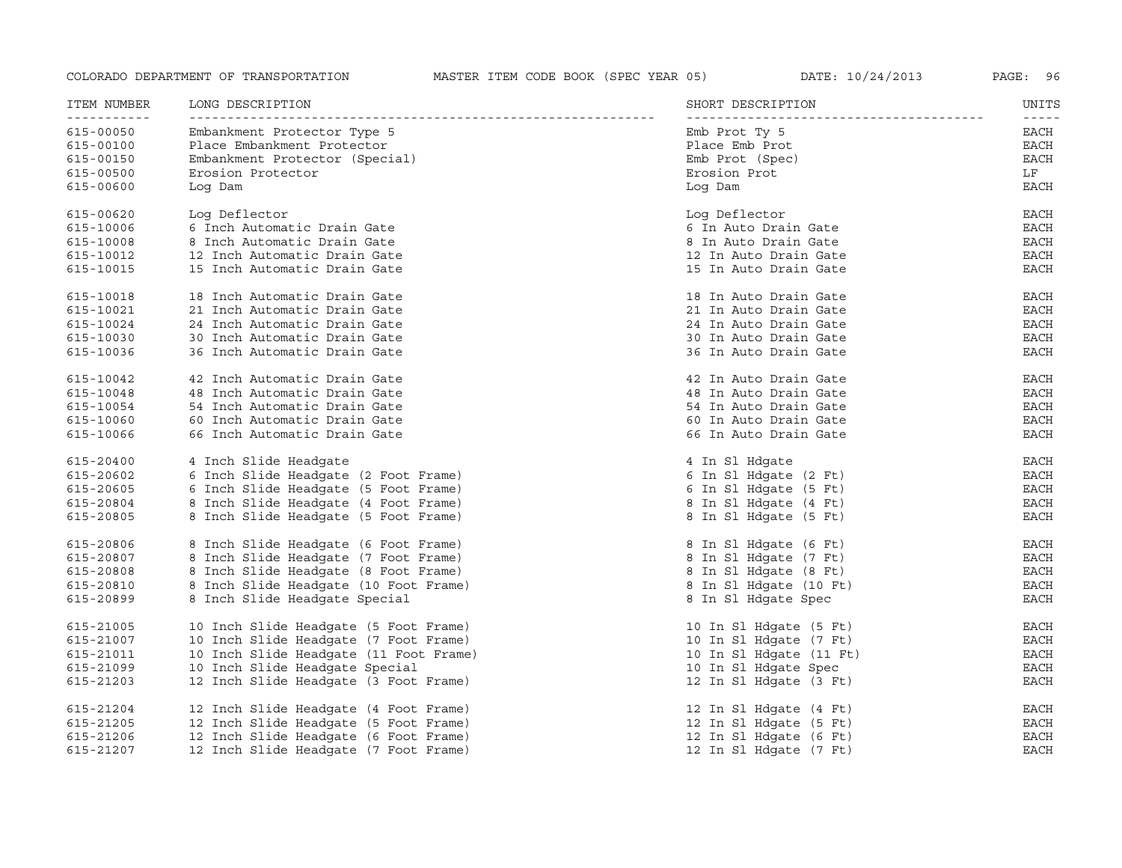| ITEM NUMBER | LONG DESCRIPTION                       | SHORT DESCRIPTION       | UNITS                                                                                                                                                                                                                                                                                                                                                                                                       |
|-------------|----------------------------------------|-------------------------|-------------------------------------------------------------------------------------------------------------------------------------------------------------------------------------------------------------------------------------------------------------------------------------------------------------------------------------------------------------------------------------------------------------|
| 615-00050   | Embankment Protector Type 5            | Emb Prot Ty 5           | $\frac{1}{2} \frac{1}{2} \frac{1}{2} \frac{1}{2} \frac{1}{2} \frac{1}{2} \frac{1}{2} \frac{1}{2} \frac{1}{2} \frac{1}{2} \frac{1}{2} \frac{1}{2} \frac{1}{2} \frac{1}{2} \frac{1}{2} \frac{1}{2} \frac{1}{2} \frac{1}{2} \frac{1}{2} \frac{1}{2} \frac{1}{2} \frac{1}{2} \frac{1}{2} \frac{1}{2} \frac{1}{2} \frac{1}{2} \frac{1}{2} \frac{1}{2} \frac{1}{2} \frac{1}{2} \frac{1}{2} \frac{$<br><b>EACH</b> |
| 615-00100   | Place Embankment Protector             | Place Emb Prot          | <b>EACH</b>                                                                                                                                                                                                                                                                                                                                                                                                 |
| 615-00150   | Embankment Protector (Special)         | Emb Prot (Spec)         | <b>EACH</b>                                                                                                                                                                                                                                                                                                                                                                                                 |
| 615-00500   | Erosion Protector                      | Erosion Prot            | LF                                                                                                                                                                                                                                                                                                                                                                                                          |
| 615-00600   | Log Dam                                | Log Dam                 | <b>EACH</b>                                                                                                                                                                                                                                                                                                                                                                                                 |
| 615-00620   | Log Deflector                          | Log Deflector           | EACH                                                                                                                                                                                                                                                                                                                                                                                                        |
| 615-10006   | 6 Inch Automatic Drain Gate            | 6 In Auto Drain Gate    | EACH                                                                                                                                                                                                                                                                                                                                                                                                        |
| 615-10008   | 8 Inch Automatic Drain Gate            | 8 In Auto Drain Gate    | EACH                                                                                                                                                                                                                                                                                                                                                                                                        |
| 615-10012   | 12 Inch Automatic Drain Gate           | 12 In Auto Drain Gate   | <b>EACH</b>                                                                                                                                                                                                                                                                                                                                                                                                 |
| 615-10015   | 15 Inch Automatic Drain Gate           | 15 In Auto Drain Gate   | <b>EACH</b>                                                                                                                                                                                                                                                                                                                                                                                                 |
| 615-10018   | 18 Inch Automatic Drain Gate           | 18 In Auto Drain Gate   | EACH                                                                                                                                                                                                                                                                                                                                                                                                        |
| 615-10021   | 21 Inch Automatic Drain Gate           | 21 In Auto Drain Gate   | <b>EACH</b>                                                                                                                                                                                                                                                                                                                                                                                                 |
| 615-10024   | 24 Inch Automatic Drain Gate           | 24 In Auto Drain Gate   | <b>EACH</b>                                                                                                                                                                                                                                                                                                                                                                                                 |
| 615-10030   | 30 Inch Automatic Drain Gate           | 30 In Auto Drain Gate   | <b>EACH</b>                                                                                                                                                                                                                                                                                                                                                                                                 |
| 615-10036   | 36 Inch Automatic Drain Gate           | 36 In Auto Drain Gate   | EACH                                                                                                                                                                                                                                                                                                                                                                                                        |
| 615-10042   | 42 Inch Automatic Drain Gate           | 42 In Auto Drain Gate   | EACH                                                                                                                                                                                                                                                                                                                                                                                                        |
| 615-10048   | 48 Inch Automatic Drain Gate           | 48 In Auto Drain Gate   | EACH                                                                                                                                                                                                                                                                                                                                                                                                        |
| 615-10054   | 54 Inch Automatic Drain Gate           | 54 In Auto Drain Gate   | <b>EACH</b>                                                                                                                                                                                                                                                                                                                                                                                                 |
| 615-10060   | 60 Inch Automatic Drain Gate           | 60 In Auto Drain Gate   | EACH                                                                                                                                                                                                                                                                                                                                                                                                        |
| 615-10066   | 66 Inch Automatic Drain Gate           | 66 In Auto Drain Gate   | EACH                                                                                                                                                                                                                                                                                                                                                                                                        |
| 615-20400   | 4 Inch Slide Headgate                  | 4 In Sl Hdgate          | <b>EACH</b>                                                                                                                                                                                                                                                                                                                                                                                                 |
| 615-20602   | 6 Inch Slide Headqate (2 Foot Frame)   | 6 In Sl Hdqate (2 Ft)   | <b>EACH</b>                                                                                                                                                                                                                                                                                                                                                                                                 |
| 615-20605   | 6 Inch Slide Headgate (5 Foot Frame)   | 6 In Sl Hdgate (5 Ft)   | EACH                                                                                                                                                                                                                                                                                                                                                                                                        |
| 615-20804   | 8 Inch Slide Headgate (4 Foot Frame)   | 8 In Sl Hdqate (4 Ft)   | <b>EACH</b>                                                                                                                                                                                                                                                                                                                                                                                                 |
| 615-20805   | 8 Inch Slide Headgate (5 Foot Frame)   | 8 In Sl Hdgate (5 Ft)   | EACH                                                                                                                                                                                                                                                                                                                                                                                                        |
| 615-20806   | 8 Inch Slide Headgate (6 Foot Frame)   | 8 In Sl Hdgate (6 Ft)   | EACH                                                                                                                                                                                                                                                                                                                                                                                                        |
| 615-20807   | 8 Inch Slide Headgate (7 Foot Frame)   | 8 In Sl Hdgate (7 Ft)   | EACH                                                                                                                                                                                                                                                                                                                                                                                                        |
| 615-20808   | 8 Inch Slide Headgate (8 Foot Frame)   | 8 In Sl Hdgate (8 Ft)   | EACH                                                                                                                                                                                                                                                                                                                                                                                                        |
| 615-20810   | 8 Inch Slide Headqate (10 Foot Frame)  | 8 In Sl Hdqate (10 Ft)  | <b>EACH</b>                                                                                                                                                                                                                                                                                                                                                                                                 |
| 615-20899   | 8 Inch Slide Headgate Special          | 8 In Sl Hdgate Spec     | EACH                                                                                                                                                                                                                                                                                                                                                                                                        |
| 615-21005   | 10 Inch Slide Headgate (5 Foot Frame)  | 10 In Sl Hdgate (5 Ft)  | EACH                                                                                                                                                                                                                                                                                                                                                                                                        |
| 615-21007   | 10 Inch Slide Headgate (7 Foot Frame)  | 10 In Sl Hdqate (7 Ft)  | EACH                                                                                                                                                                                                                                                                                                                                                                                                        |
| 615-21011   | 10 Inch Slide Headgate (11 Foot Frame) | 10 In Sl Hdgate (11 Ft) | EACH                                                                                                                                                                                                                                                                                                                                                                                                        |
| 615-21099   | 10 Inch Slide Headgate Special         | 10 In Sl Hdgate Spec    | EACH                                                                                                                                                                                                                                                                                                                                                                                                        |
| 615-21203   | 12 Inch Slide Headgate (3 Foot Frame)  | 12 In Sl Hdgate (3 Ft)  | EACH                                                                                                                                                                                                                                                                                                                                                                                                        |
| 615-21204   | 12 Inch Slide Headgate (4 Foot Frame)  | 12 In Sl Hdgate (4 Ft)  | EACH                                                                                                                                                                                                                                                                                                                                                                                                        |
| 615-21205   | 12 Inch Slide Headgate (5 Foot Frame)  | 12 In Sl Hdgate (5 Ft)  | EACH                                                                                                                                                                                                                                                                                                                                                                                                        |
| 615-21206   | 12 Inch Slide Headgate (6 Foot Frame)  | 12 In Sl Hdgate (6 Ft)  | <b>EACH</b>                                                                                                                                                                                                                                                                                                                                                                                                 |
| 615-21207   | 12 Inch Slide Headgate (7 Foot Frame)  | 12 In Sl Hdgate (7 Ft)  | <b>EACH</b>                                                                                                                                                                                                                                                                                                                                                                                                 |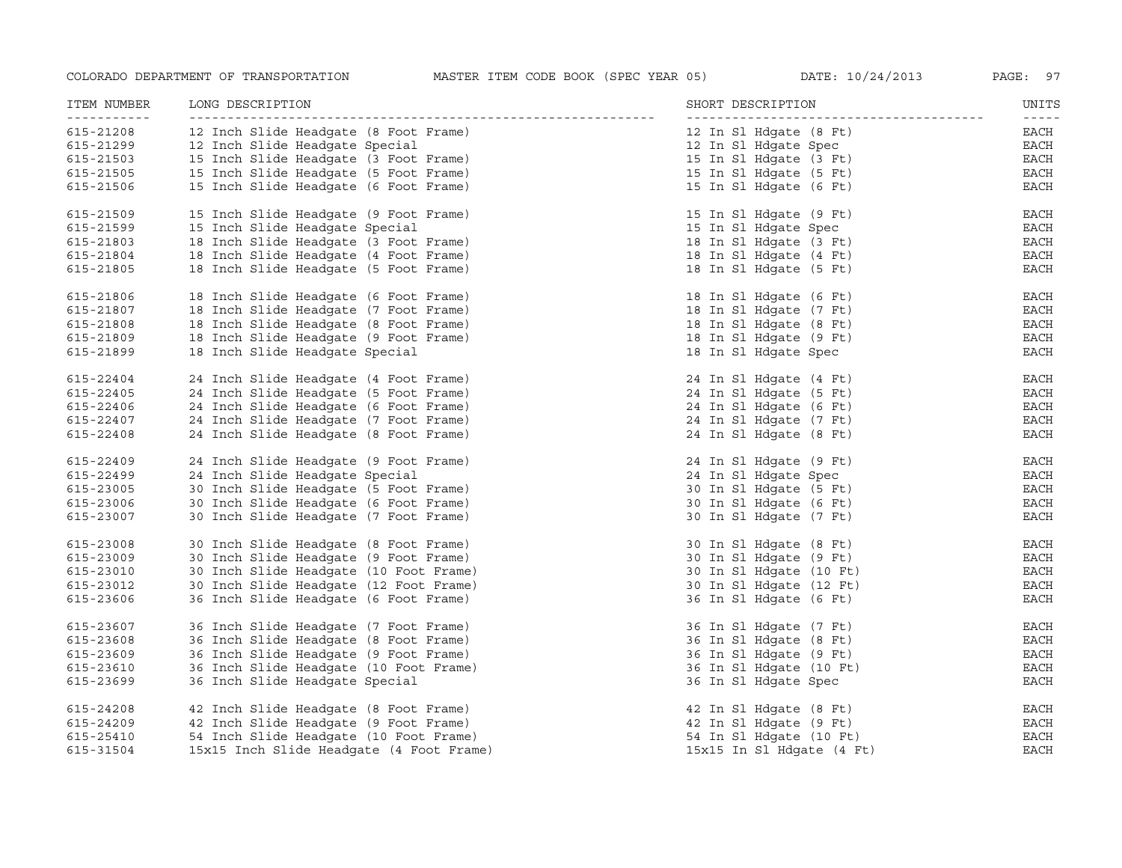| ITEM NUMBER<br>----------- | LONG DESCRIPTION                         | SHORT DESCRIPTION         | UNITS<br>$- - - - - -$ |
|----------------------------|------------------------------------------|---------------------------|------------------------|
| 615-21208                  | 12 Inch Slide Headgate (8 Foot Frame)    | 12 In Sl Hdqate (8 Ft)    | EACH                   |
| 615-21299                  | 12 Inch Slide Headgate Special           | 12 In Sl Hdgate Spec      | EACH                   |
| 615-21503                  | 15 Inch Slide Headgate (3 Foot Frame)    | 15 In Sl Hdqate (3 Ft)    | EACH                   |
| 615-21505                  | 15 Inch Slide Headgate (5 Foot Frame)    | 15 In Sl Hdgate (5 Ft)    | EACH                   |
| 615-21506                  | 15 Inch Slide Headgate (6 Foot Frame)    | 15 In Sl Hdgate (6 Ft)    | EACH                   |
| 615-21509                  | 15 Inch Slide Headgate (9 Foot Frame)    | 15 In Sl Hdgate (9 Ft)    | EACH                   |
| 615-21599                  | 15 Inch Slide Headgate Special           | 15 In Sl Hdgate Spec      | EACH                   |
| 615-21803                  | 18 Inch Slide Headgate (3 Foot Frame)    | 18 In Sl Hdgate (3 Ft)    | EACH                   |
| 615-21804                  | 18 Inch Slide Headgate (4 Foot Frame)    | 18 In Sl Hdgate (4 Ft)    | EACH                   |
| 615-21805                  | 18 Inch Slide Headgate (5 Foot Frame)    | 18 In Sl Hdgate (5 Ft)    | EACH                   |
| 615-21806                  | 18 Inch Slide Headgate (6 Foot Frame)    | 18 In Sl Hdgate (6 Ft)    | EACH                   |
| 615-21807                  | 18 Inch Slide Headgate (7 Foot Frame)    | 18 In Sl Hdgate (7 Ft)    | EACH                   |
| 615-21808                  | 18 Inch Slide Headgate (8 Foot Frame)    | 18 In Sl Hdqate (8 Ft)    | EACH                   |
| 615-21809                  | 18 Inch Slide Headgate (9 Foot Frame)    | 18 In Sl Hdqate (9 Ft)    | EACH                   |
| 615-21899                  | 18 Inch Slide Headgate Special           | 18 In Sl Hdqate Spec      | EACH                   |
| 615-22404                  | 24 Inch Slide Headgate (4 Foot Frame)    | 24 In Sl Hdqate (4 Ft)    | EACH                   |
| 615-22405                  | 24 Inch Slide Headgate (5 Foot Frame)    | 24 In Sl Hdgate (5 Ft)    | EACH                   |
| 615-22406                  | 24 Inch Slide Headgate (6 Foot Frame)    | 24 In Sl Hdgate (6 Ft)    | EACH                   |
| 615-22407                  | 24 Inch Slide Headgate (7 Foot Frame)    | 24 In Sl Hdgate (7 Ft)    | EACH                   |
| 615-22408                  | 24 Inch Slide Headgate (8 Foot Frame)    | 24 In Sl Hdgate (8 Ft)    | EACH                   |
| 615-22409                  | 24 Inch Slide Headgate (9 Foot Frame)    | 24 In Sl Hdgate (9 Ft)    | EACH                   |
| 615-22499                  | 24 Inch Slide Headgate Special           | 24 In Sl Hdgate Spec      | EACH                   |
| 615-23005                  | 30 Inch Slide Headgate (5 Foot Frame)    | 30 In Sl Hdgate (5 Ft)    | EACH                   |
| 615-23006                  | 30 Inch Slide Headgate (6 Foot Frame)    | 30 In Sl Hdgate (6 Ft)    | EACH                   |
| 615-23007                  | 30 Inch Slide Headgate (7 Foot Frame)    | 30 In Sl Hdgate (7 Ft)    | EACH                   |
| 615-23008                  | 30 Inch Slide Headgate (8 Foot Frame)    | 30 In Sl Hdqate (8 Ft)    | EACH                   |
| 615-23009                  | 30 Inch Slide Headqate (9 Foot Frame)    | 30 In Sl Hdqate (9 Ft)    | EACH                   |
| 615-23010                  | 30 Inch Slide Headgate (10 Foot Frame)   | 30 In Sl Hdqate (10 Ft)   | EACH                   |
| 615-23012                  | 30 Inch Slide Headgate (12 Foot Frame)   | 30 In Sl Hdqate (12 Ft)   | EACH                   |
| 615-23606                  | 36 Inch Slide Headgate (6 Foot Frame)    | 36 In Sl Hdgate (6 Ft)    | EACH                   |
| 615-23607                  | 36 Inch Slide Headgate (7 Foot Frame)    | 36 In Sl Hdgate (7 Ft)    | EACH                   |
| 615-23608                  | 36 Inch Slide Headgate (8 Foot Frame)    | 36 In Sl Hdgate (8 Ft)    | EACH                   |
| 615-23609                  | 36 Inch Slide Headgate (9 Foot Frame)    | 36 In Sl Hdgate (9 Ft)    | EACH                   |
| 615-23610                  | 36 Inch Slide Headgate (10 Foot Frame)   | 36 In Sl Hdgate (10 Ft)   | EACH                   |
| 615-23699                  | 36 Inch Slide Headgate Special           | 36 In Sl Hdgate Spec      | EACH                   |
| 615-24208                  | 42 Inch Slide Headgate (8 Foot Frame)    | 42 In Sl Hdgate (8 Ft)    | EACH                   |
| 615-24209                  | 42 Inch Slide Headgate (9 Foot Frame)    | 42 In Sl Hdgate (9 Ft)    | EACH                   |
| 615-25410                  | 54 Inch Slide Headqate (10 Foot Frame)   | 54 In Sl Hdqate (10 Ft)   | <b>EACH</b>            |
| 615-31504                  | 15x15 Inch Slide Headgate (4 Foot Frame) | 15x15 In Sl Hdqate (4 Ft) | EACH                   |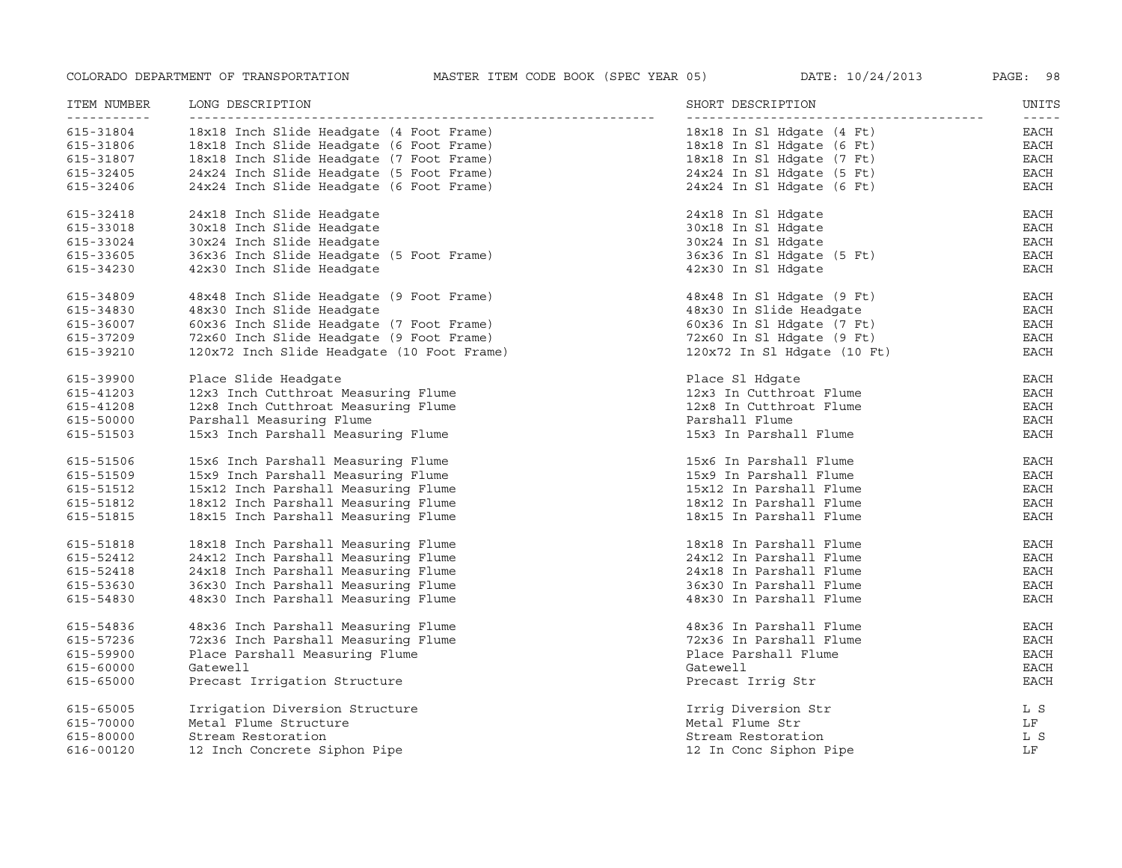| ITEM NUMBER<br>----------- | LONG DESCRIPTION                           | SHORT DESCRIPTION           | UNITS<br>$\frac{1}{2} \frac{1}{2} \frac{1}{2} \frac{1}{2} \frac{1}{2} \frac{1}{2} \frac{1}{2} \frac{1}{2} \frac{1}{2} \frac{1}{2} \frac{1}{2} \frac{1}{2} \frac{1}{2} \frac{1}{2} \frac{1}{2} \frac{1}{2} \frac{1}{2} \frac{1}{2} \frac{1}{2} \frac{1}{2} \frac{1}{2} \frac{1}{2} \frac{1}{2} \frac{1}{2} \frac{1}{2} \frac{1}{2} \frac{1}{2} \frac{1}{2} \frac{1}{2} \frac{1}{2} \frac{1}{2} \frac{$ |
|----------------------------|--------------------------------------------|-----------------------------|-------------------------------------------------------------------------------------------------------------------------------------------------------------------------------------------------------------------------------------------------------------------------------------------------------------------------------------------------------------------------------------------------------|
| 615-31804                  | 18x18 Inch Slide Headqate (4 Foot Frame)   | 18x18 In Sl Hdqate (4 Ft)   | EACH                                                                                                                                                                                                                                                                                                                                                                                                  |
| 615-31806                  | 18x18 Inch Slide Headqate (6 Foot Frame)   | 18x18 In Sl Hdqate (6 Ft)   | EACH                                                                                                                                                                                                                                                                                                                                                                                                  |
| 615-31807                  | 18x18 Inch Slide Headgate (7 Foot Frame)   | 18x18 In Sl Hdqate (7 Ft)   | EACH                                                                                                                                                                                                                                                                                                                                                                                                  |
| 615-32405                  | 24x24 Inch Slide Headgate (5 Foot Frame)   | $24x24$ In Sl Hdqate (5 Ft) | <b>EACH</b>                                                                                                                                                                                                                                                                                                                                                                                           |
| 615-32406                  | 24x24 Inch Slide Headgate (6 Foot Frame)   | 24x24 In Sl Hdgate (6 Ft)   | <b>EACH</b>                                                                                                                                                                                                                                                                                                                                                                                           |
| 615-32418                  | 24x18 Inch Slide Headgate                  | 24x18 In Sl Hdgate          | EACH                                                                                                                                                                                                                                                                                                                                                                                                  |
| 615-33018                  | 30x18 Inch Slide Headqate                  | 30x18 In Sl Hdqate          | EACH                                                                                                                                                                                                                                                                                                                                                                                                  |
| 615-33024                  | 30x24 Inch Slide Headgate                  | 30x24 In Sl Hdqate          | $_{\rm EACH}$                                                                                                                                                                                                                                                                                                                                                                                         |
| 615-33605                  | 36x36 Inch Slide Headgate (5 Foot Frame)   | 36x36 In Sl Hdqate (5 Ft)   | <b>EACH</b>                                                                                                                                                                                                                                                                                                                                                                                           |
| 615-34230                  | 42x30 Inch Slide Headgate                  | 42x30 In Sl Hdgate          | <b>EACH</b>                                                                                                                                                                                                                                                                                                                                                                                           |
| 615-34809                  | 48x48 Inch Slide Headgate (9 Foot Frame)   | 48x48 In Sl Hdgate (9 Ft)   | <b>EACH</b>                                                                                                                                                                                                                                                                                                                                                                                           |
| 615-34830                  | 48x30 Inch Slide Headqate                  | 48x30 In Slide Headqate     | EACH                                                                                                                                                                                                                                                                                                                                                                                                  |
| 615-36007                  | 60x36 Inch Slide Headgate (7 Foot Frame)   | 60x36 In Sl Hdqate (7 Ft)   | EACH                                                                                                                                                                                                                                                                                                                                                                                                  |
| 615-37209                  | 72x60 Inch Slide Headgate (9 Foot Frame)   | 72x60 In Sl Hdqate (9 Ft)   | <b>EACH</b>                                                                                                                                                                                                                                                                                                                                                                                           |
| 615-39210                  | 120x72 Inch Slide Headgate (10 Foot Frame) | 120x72 In Sl Hdgate (10 Ft) | <b>EACH</b>                                                                                                                                                                                                                                                                                                                                                                                           |
| 615-39900                  | Place Slide Headqate                       | Place Sl Hdqate             | EACH                                                                                                                                                                                                                                                                                                                                                                                                  |
| 615-41203                  | 12x3 Inch Cutthroat Measuring Flume        | 12x3 In Cutthroat Flume     | EACH                                                                                                                                                                                                                                                                                                                                                                                                  |
| 615-41208                  | 12x8 Inch Cutthroat Measuring Flume        | 12x8 In Cutthroat Flume     | EACH                                                                                                                                                                                                                                                                                                                                                                                                  |
| 615-50000                  | Parshall Measuring Flume                   | Parshall Flume              | <b>EACH</b>                                                                                                                                                                                                                                                                                                                                                                                           |
| 615-51503                  | 15x3 Inch Parshall Measuring Flume         | 15x3 In Parshall Flume      | EACH                                                                                                                                                                                                                                                                                                                                                                                                  |
| 615-51506                  | 15x6 Inch Parshall Measuring Flume         | 15x6 In Parshall Flume      | <b>EACH</b>                                                                                                                                                                                                                                                                                                                                                                                           |
| 615-51509                  | 15x9 Inch Parshall Measuring Flume         | 15x9 In Parshall Flume      | <b>EACH</b>                                                                                                                                                                                                                                                                                                                                                                                           |
| 615-51512                  | 15x12 Inch Parshall Measuring Flume        | 15x12 In Parshall Flume     | EACH                                                                                                                                                                                                                                                                                                                                                                                                  |
| 615-51812                  | 18x12 Inch Parshall Measuring Flume        | 18x12 In Parshall Flume     | EACH                                                                                                                                                                                                                                                                                                                                                                                                  |
| 615-51815                  | 18x15 Inch Parshall Measuring Flume        | 18x15 In Parshall Flume     | <b>EACH</b>                                                                                                                                                                                                                                                                                                                                                                                           |
| 615-51818                  | 18x18 Inch Parshall Measuring Flume        | 18x18 In Parshall Flume     | EACH                                                                                                                                                                                                                                                                                                                                                                                                  |
| 615-52412                  | 24x12 Inch Parshall Measuring Flume        | 24x12 In Parshall Flume     | <b>EACH</b>                                                                                                                                                                                                                                                                                                                                                                                           |
| 615-52418                  | 24x18 Inch Parshall Measuring Flume        | 24x18 In Parshall Flume     | $_{\rm EACH}$                                                                                                                                                                                                                                                                                                                                                                                         |
| 615-53630                  | 36x30 Inch Parshall Measuring Flume        | 36x30 In Parshall Flume     | <b>EACH</b>                                                                                                                                                                                                                                                                                                                                                                                           |
| 615-54830                  | 48x30 Inch Parshall Measuring Flume        | 48x30 In Parshall Flume     | <b>EACH</b>                                                                                                                                                                                                                                                                                                                                                                                           |
| 615-54836                  | 48x36 Inch Parshall Measuring Flume        | 48x36 In Parshall Flume     | <b>EACH</b>                                                                                                                                                                                                                                                                                                                                                                                           |
| 615-57236                  | 72x36 Inch Parshall Measuring Flume        | 72x36 In Parshall Flume     | EACH                                                                                                                                                                                                                                                                                                                                                                                                  |
| 615-59900                  | Place Parshall Measuring Flume             | Place Parshall Flume        | EACH                                                                                                                                                                                                                                                                                                                                                                                                  |
| 615-60000                  | Gatewell                                   | Gatewell                    | <b>EACH</b>                                                                                                                                                                                                                                                                                                                                                                                           |
| 615-65000                  | Precast Irrigation Structure               | Precast Irrig Str           | <b>EACH</b>                                                                                                                                                                                                                                                                                                                                                                                           |
| 615-65005                  | Irrigation Diversion Structure             | Irrig Diversion Str         | L S                                                                                                                                                                                                                                                                                                                                                                                                   |
| 615-70000                  | Metal Flume Structure                      | Metal Flume Str             | LF                                                                                                                                                                                                                                                                                                                                                                                                    |
| 615-80000                  | Stream Restoration                         | Stream Restoration          | L S                                                                                                                                                                                                                                                                                                                                                                                                   |
| 616-00120                  | 12 Inch Concrete Siphon Pipe               | 12 In Conc Siphon Pipe      | LF                                                                                                                                                                                                                                                                                                                                                                                                    |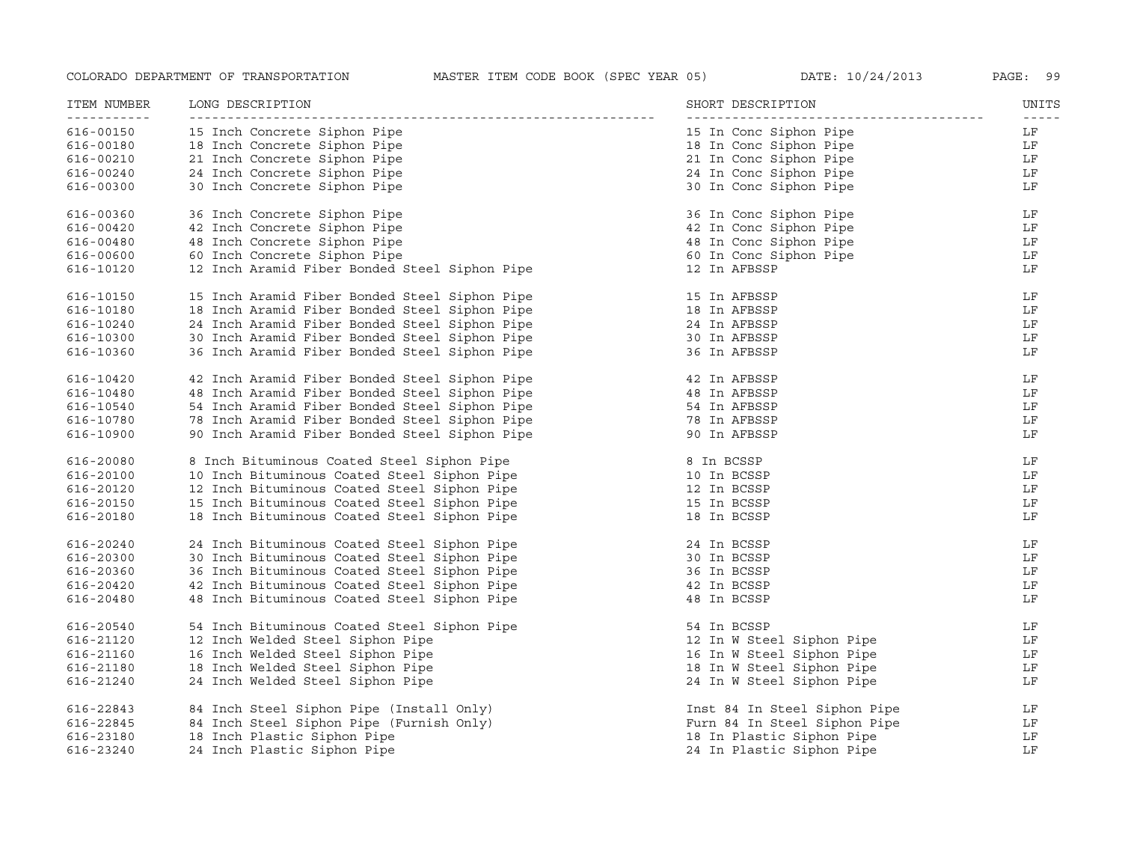| ITEM NUMBER<br>----------- | LONG DESCRIPTION                              | SHORT DESCRIPTION            | UNITS<br>$- - - - -$ |
|----------------------------|-----------------------------------------------|------------------------------|----------------------|
| 616-00150                  | 15 Inch Concrete Siphon Pipe                  | 15 In Conc Siphon Pipe       | LF                   |
| 616-00180                  | 18 Inch Concrete Siphon Pipe                  | 18 In Conc Siphon Pipe       | LF                   |
| 616-00210                  | 21 Inch Concrete Siphon Pipe                  | 21 In Conc Siphon Pipe       | LF                   |
| 616-00240                  | 24 Inch Concrete Siphon Pipe                  | 24 In Conc Siphon Pipe       | LF                   |
| 616-00300                  | 30 Inch Concrete Siphon Pipe                  | 30 In Conc Siphon Pipe       | LF                   |
| 616-00360                  | 36 Inch Concrete Siphon Pipe                  | 36 In Conc Siphon Pipe       | LF                   |
| 616-00420                  | 42 Inch Concrete Siphon Pipe                  | 42 In Conc Siphon Pipe       | LF                   |
| 616-00480                  | 48 Inch Concrete Siphon Pipe                  | 48 In Conc Siphon Pipe       | LF                   |
| 616-00600                  | 60 Inch Concrete Siphon Pipe                  | 60 In Conc Siphon Pipe       | LF                   |
| 616-10120                  | 12 Inch Aramid Fiber Bonded Steel Siphon Pipe | 12 In AFBSSP                 | LF                   |
| 616-10150                  | 15 Inch Aramid Fiber Bonded Steel Siphon Pipe | 15 In AFBSSP                 | LF                   |
| 616-10180                  | 18 Inch Aramid Fiber Bonded Steel Siphon Pipe | 18 In AFBSSP                 | LF                   |
| 616-10240                  | 24 Inch Aramid Fiber Bonded Steel Siphon Pipe | 24 In AFBSSP                 | LF                   |
| 616-10300                  | 30 Inch Aramid Fiber Bonded Steel Siphon Pipe | 30 In AFBSSP                 | LF                   |
| 616-10360                  | 36 Inch Aramid Fiber Bonded Steel Siphon Pipe | 36 In AFBSSP                 | LF                   |
| 616-10420                  | 42 Inch Aramid Fiber Bonded Steel Siphon Pipe | 42 In AFBSSP                 | LF                   |
| 616-10480                  | 48 Inch Aramid Fiber Bonded Steel Siphon Pipe | 48 In AFBSSP                 | LF                   |
| 616-10540                  | 54 Inch Aramid Fiber Bonded Steel Siphon Pipe | 54 In AFBSSP                 | LF                   |
| 616-10780                  | 78 Inch Aramid Fiber Bonded Steel Siphon Pipe | 78 In AFBSSP                 | LF                   |
| 616-10900                  | 90 Inch Aramid Fiber Bonded Steel Siphon Pipe | 90 In AFBSSP                 | LF                   |
| 616-20080                  | 8 Inch Bituminous Coated Steel Siphon Pipe    | 8 In BCSSP                   | LF                   |
| 616-20100                  | 10 Inch Bituminous Coated Steel Siphon Pipe   | 10 In BCSSP                  | LF                   |
| 616-20120                  | 12 Inch Bituminous Coated Steel Siphon Pipe   | 12 In BCSSP                  | LF                   |
| 616-20150                  | 15 Inch Bituminous Coated Steel Siphon Pipe   | 15 In BCSSP                  | LF                   |
| 616-20180                  | 18 Inch Bituminous Coated Steel Siphon Pipe   | 18 In BCSSP                  | LF                   |
| 616-20240                  | 24 Inch Bituminous Coated Steel Siphon Pipe   | 24 In BCSSP                  | LF                   |
| 616-20300                  | 30 Inch Bituminous Coated Steel Siphon Pipe   | 30 In BCSSP                  | LF                   |
| 616-20360                  | 36 Inch Bituminous Coated Steel Siphon Pipe   | 36 In BCSSP                  | LF                   |
| 616-20420                  | 42 Inch Bituminous Coated Steel Siphon Pipe   | 42 In BCSSP                  | LF                   |
| 616-20480                  | 48 Inch Bituminous Coated Steel Siphon Pipe   | 48 In BCSSP                  | LF                   |
| 616-20540                  | 54 Inch Bituminous Coated Steel Siphon Pipe   | 54 In BCSSP                  | LF                   |
| 616-21120                  | 12 Inch Welded Steel Siphon Pipe              | 12 In W Steel Siphon Pipe    | LF                   |
| 616-21160                  | 16 Inch Welded Steel Siphon Pipe              | 16 In W Steel Siphon Pipe    | LF                   |
| 616-21180                  | 18 Inch Welded Steel Siphon Pipe              | 18 In W Steel Siphon Pipe    | LF                   |
| 616-21240                  | 24 Inch Welded Steel Siphon Pipe              | 24 In W Steel Siphon Pipe    | LF                   |
| 616-22843                  | 84 Inch Steel Siphon Pipe (Install Only)      | Inst 84 In Steel Siphon Pipe | LF                   |
| 616-22845                  | 84 Inch Steel Siphon Pipe (Furnish Only)      | Furn 84 In Steel Siphon Pipe | LF                   |
| 616-23180                  | 18 Inch Plastic Siphon Pipe                   | 18 In Plastic Siphon Pipe    | LF                   |
| 616-23240                  | 24 Inch Plastic Siphon Pipe                   | 24 In Plastic Siphon Pipe    | LF                   |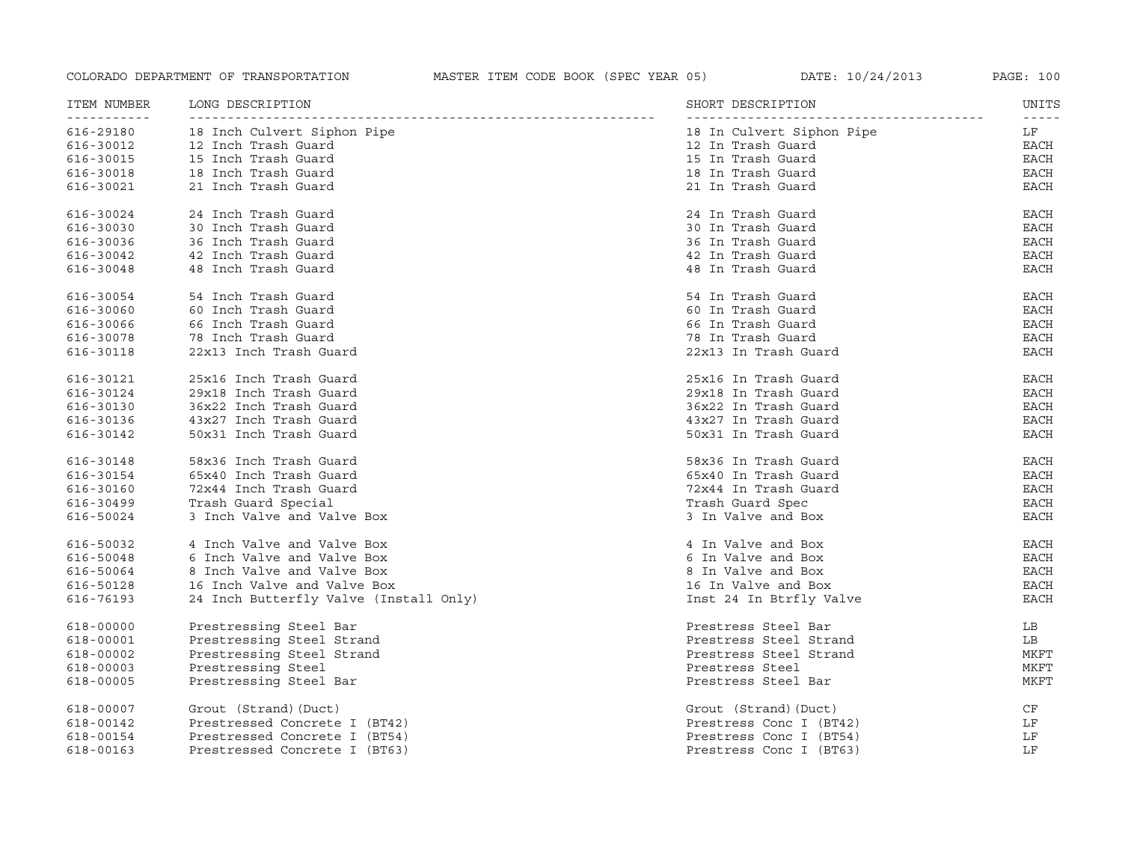| ITEM NUMBER | LONG DESCRIPTION                       | SHORT DESCRIPTION         | UNITS<br>$- - - - - -$ |
|-------------|----------------------------------------|---------------------------|------------------------|
| 616-29180   | 18 Inch Culvert Siphon Pipe            | 18 In Culvert Siphon Pipe | LF                     |
| 616-30012   | 12 Inch Trash Guard                    | 12 In Trash Guard         | EACH                   |
| 616-30015   | 15 Inch Trash Guard                    | 15 In Trash Guard         | <b>EACH</b>            |
| 616-30018   | 18 Inch Trash Guard                    | 18 In Trash Guard         | <b>EACH</b>            |
| 616-30021   | 21 Inch Trash Guard                    | 21 In Trash Guard         | EACH                   |
| 616-30024   | 24 Inch Trash Guard                    | 24 In Trash Guard         | <b>EACH</b>            |
| 616-30030   | 30 Inch Trash Guard                    | 30 In Trash Guard         | <b>EACH</b>            |
| 616-30036   | 36 Inch Trash Guard                    | 36 In Trash Guard         | <b>EACH</b>            |
| 616-30042   | 42 Inch Trash Guard                    | 42 In Trash Guard         | <b>EACH</b>            |
| 616-30048   | 48 Inch Trash Guard                    | 48 In Trash Guard         | <b>EACH</b>            |
| 616-30054   | 54 Inch Trash Guard                    | 54 In Trash Guard         | EACH                   |
| 616-30060   | 60 Inch Trash Guard                    | 60 In Trash Guard         | EACH                   |
| 616-30066   | 66 Inch Trash Guard                    | 66 In Trash Guard         | <b>EACH</b>            |
| 616-30078   | 78 Inch Trash Guard                    | 78 In Trash Guard         | <b>EACH</b>            |
| 616-30118   | 22x13 Inch Trash Guard                 | 22x13 In Trash Guard      | EACH                   |
| 616-30121   | 25x16 Inch Trash Guard                 | 25x16 In Trash Guard      | EACH                   |
| 616-30124   | 29x18 Inch Trash Guard                 | 29x18 In Trash Guard      | EACH                   |
| 616-30130   | 36x22 Inch Trash Guard                 | 36x22 In Trash Guard      | <b>EACH</b>            |
| 616-30136   | 43x27 Inch Trash Guard                 | 43x27 In Trash Guard      | <b>EACH</b>            |
| 616-30142   | 50x31 Inch Trash Guard                 | 50x31 In Trash Guard      | <b>EACH</b>            |
| 616-30148   | 58x36 Inch Trash Guard                 | 58x36 In Trash Guard      | EACH                   |
| 616-30154   | 65x40 Inch Trash Guard                 | 65x40 In Trash Guard      | EACH                   |
| 616-30160   | 72x44 Inch Trash Guard                 | 72x44 In Trash Guard      | EACH                   |
| 616-30499   | Trash Guard Special                    | Trash Guard Spec          | <b>EACH</b>            |
| 616-50024   | 3 Inch Valve and Valve Box             | 3 In Valve and Box        | <b>EACH</b>            |
| 616-50032   | 4 Inch Valve and Valve Box             | 4 In Valve and Box        | EACH                   |
| 616-50048   | 6 Inch Valve and Valve Box             | 6 In Valve and Box        | <b>EACH</b>            |
| 616-50064   | 8 Inch Valve and Valve Box             | 8 In Valve and Box        | <b>EACH</b>            |
| 616-50128   | 16 Inch Valve and Valve Box            | 16 In Valve and Box       | <b>EACH</b>            |
| 616-76193   | 24 Inch Butterfly Valve (Install Only) | Inst 24 In Btrfly Valve   | EACH                   |
| 618-00000   | Prestressing Steel Bar                 | Prestress Steel Bar       | LB                     |
| 618-00001   | Prestressing Steel Strand              | Prestress Steel Strand    | LB                     |
| 618-00002   | Prestressing Steel Strand              | Prestress Steel Strand    | MKFT                   |
| 618-00003   | Prestressing Steel                     | Prestress Steel           | MKFT                   |
| 618-00005   | Prestressing Steel Bar                 | Prestress Steel Bar       | MKFT                   |
| 618-00007   | Grout (Strand) (Duct)                  | Grout (Strand) (Duct)     | CF                     |
| 618-00142   | Prestressed Concrete I (BT42)          | Prestress Conc I (BT42)   | LF                     |
| 618-00154   | Prestressed Concrete I (BT54)          | Prestress Conc I (BT54)   | LF                     |
| 618-00163   | Prestressed Concrete I (BT63)          | Prestress Conc I (BT63)   | LF                     |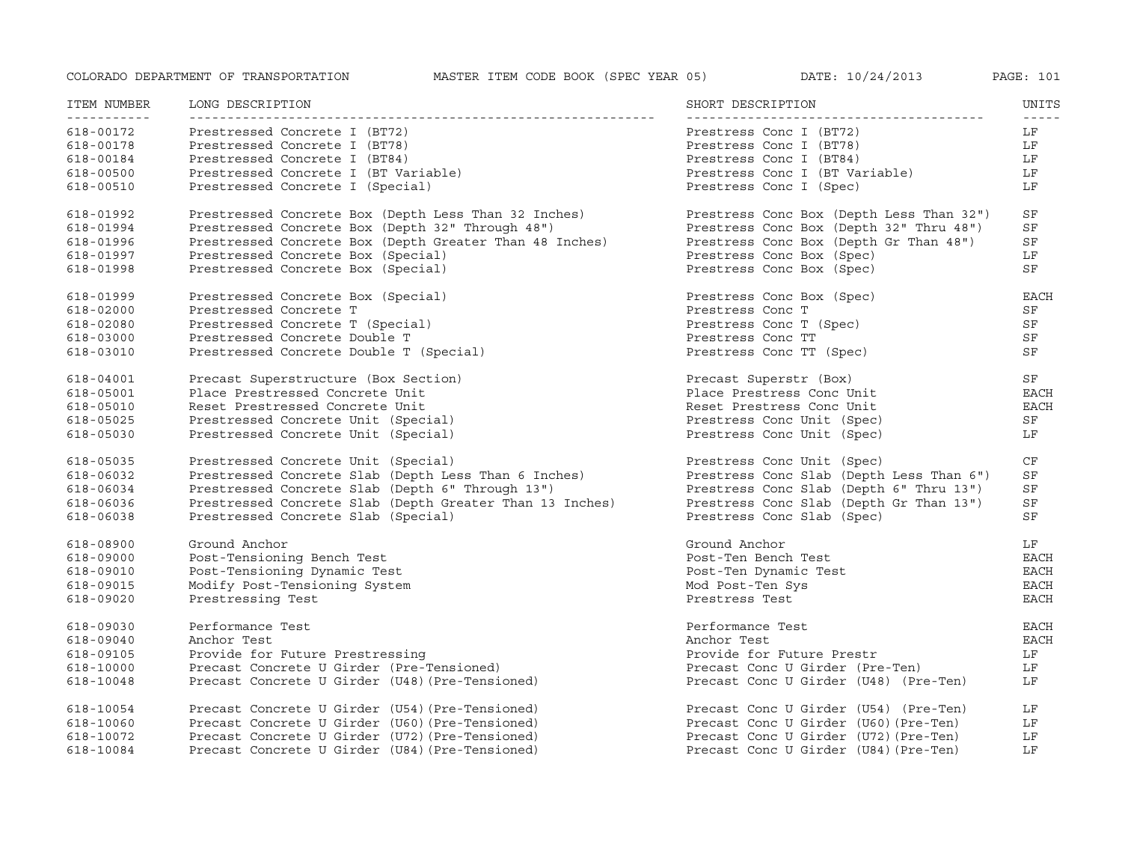| ITEM NUMBER<br><u> - - - - - - - - - - -</u> | LONG DESCRIPTION                                         | SHORT DESCRIPTION                        | UNITS       |
|----------------------------------------------|----------------------------------------------------------|------------------------------------------|-------------|
| 618-00172                                    | Prestressed Concrete I (BT72)                            | Prestress Conc I (BT72)                  | LF          |
| 618-00178                                    | Prestressed Concrete I (BT78)                            | Prestress Conc I (BT78)                  | LF          |
| 618-00184                                    | Prestressed Concrete I (BT84)                            | Prestress Conc I (BT84)                  | LF          |
| 618-00500                                    | Prestressed Concrete I (BT Variable)                     | Prestress Conc I (BT Variable)           | LF          |
| 618-00510                                    | Prestressed Concrete I (Special)                         | Prestress Conc I (Spec)                  | LF          |
| 618-01992                                    | Prestressed Concrete Box (Depth Less Than 32 Inches)     | Prestress Conc Box (Depth Less Than 32") | SF          |
| 618-01994                                    | Prestressed Concrete Box (Depth 32" Through 48")         | Prestress Conc Box (Depth 32" Thru 48")  | SF          |
| 618-01996                                    | Prestressed Concrete Box (Depth Greater Than 48 Inches)  | Prestress Conc Box (Depth Gr Than 48")   | SF          |
| 618-01997                                    | Prestressed Concrete Box (Special)                       | Prestress Conc Box (Spec)                | LF          |
| 618-01998                                    | Prestressed Concrete Box (Special)                       | Prestress Conc Box (Spec)                | SF          |
| 618-01999                                    | Prestressed Concrete Box (Special)                       | Prestress Conc Box (Spec)                | <b>EACH</b> |
| 618-02000                                    | Prestressed Concrete T                                   | Prestress Conc T                         | SF          |
| 618-02080                                    | Prestressed Concrete T (Special)                         | Prestress Conc T (Spec)                  | SF          |
| 618-03000                                    | Prestressed Concrete Double T                            | Prestress Conc TT                        | SF          |
| 618-03010                                    | Prestressed Concrete Double T (Special)                  | Prestress Conc TT (Spec)                 | SF          |
| 618-04001                                    | Precast Superstructure (Box Section)                     | Precast Superstr (Box)                   | SF          |
| 618-05001                                    | Place Prestressed Concrete Unit                          | Place Prestress Conc Unit                | EACH        |
| 618-05010                                    | Reset Prestressed Concrete Unit                          | Reset Prestress Conc Unit                | EACH        |
| 618-05025                                    | Prestressed Concrete Unit (Special)                      | Prestress Conc Unit (Spec)               | SF          |
| 618-05030                                    | Prestressed Concrete Unit (Special)                      | Prestress Conc Unit (Spec)               | LF          |
| 618-05035                                    | Prestressed Concrete Unit (Special)                      | Prestress Conc Unit (Spec)               | CF          |
| 618-06032                                    | Prestressed Concrete Slab (Depth Less Than 6 Inches)     | Prestress Conc Slab (Depth Less Than 6") | SF          |
| 618-06034                                    | Prestressed Concrete Slab (Depth 6" Through 13")         | Prestress Conc Slab (Depth 6" Thru 13")  | SF          |
| 618-06036                                    | Prestressed Concrete Slab (Depth Greater Than 13 Inches) | Prestress Conc Slab (Depth Gr Than 13")  | SF          |
| 618-06038                                    | Prestressed Concrete Slab (Special)                      | Prestress Conc Slab (Spec)               | SF          |
| 618-08900                                    | Ground Anchor                                            | Ground Anchor                            | LF          |
| 618-09000                                    | Post-Tensioning Bench Test                               | Post-Ten Bench Test                      | EACH        |
| 618-09010                                    | Post-Tensioning Dynamic Test                             | Post-Ten Dynamic Test                    | <b>EACH</b> |
| 618-09015                                    | Modify Post-Tensioning System                            | Mod Post-Ten Sys                         | <b>EACH</b> |
| 618-09020                                    | Prestressing Test                                        | Prestress Test                           | <b>EACH</b> |
| 618-09030                                    | Performance Test                                         | Performance Test                         | <b>EACH</b> |
| 618-09040                                    | Anchor Test                                              | Anchor Test                              | <b>EACH</b> |
| 618-09105                                    | Provide for Future Prestressing                          | Provide for Future Prestr                | LF          |
| 618-10000                                    | Precast Concrete U Girder (Pre-Tensioned)                | Precast Conc U Girder (Pre-Ten)          | LF          |
| 618-10048                                    | Precast Concrete U Girder (U48) (Pre-Tensioned)          | Precast Conc U Girder (U48) (Pre-Ten)    | LF          |
| 618-10054                                    | Precast Concrete U Girder (U54) (Pre-Tensioned)          | Precast Conc U Girder (U54) (Pre-Ten)    | LF          |
| 618-10060                                    | Precast Concrete U Girder (U60) (Pre-Tensioned)          | Precast Conc U Girder (U60) (Pre-Ten)    | LF          |
| 618-10072                                    | Precast Concrete U Girder (U72) (Pre-Tensioned)          | Precast Conc U Girder (U72) (Pre-Ten)    | LF          |
| 618-10084                                    | Precast Concrete U Girder (U84) (Pre-Tensioned)          | Precast Conc U Girder (U84) (Pre-Ten)    | LF          |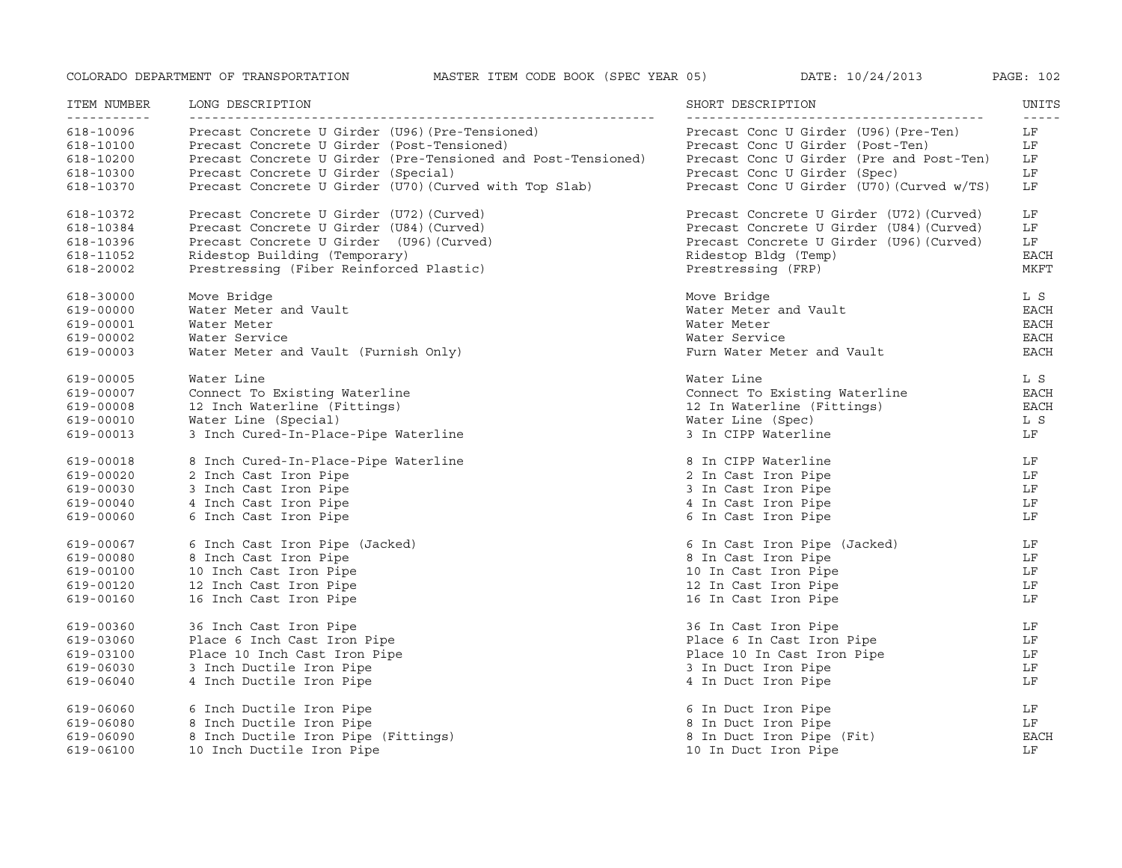| ITEM NUMBER<br>----------- | LONG DESCRIPTION                                             | SHORT DESCRIPTION                         | UNITS<br>$\frac{1}{2}$ |
|----------------------------|--------------------------------------------------------------|-------------------------------------------|------------------------|
| 618-10096                  | Precast Concrete U Girder (U96) (Pre-Tensioned)              | Precast Conc U Girder (U96) (Pre-Ten)     | LF                     |
| 618-10100                  | Precast Concrete U Girder (Post-Tensioned)                   | Precast Conc U Girder (Post-Ten)          | LF                     |
| 618-10200                  | Precast Concrete U Girder (Pre-Tensioned and Post-Tensioned) | Precast Conc U Girder (Pre and Post-Ten)  | LF                     |
| 618-10300                  | Precast Concrete U Girder (Special)                          | Precast Conc U Girder (Spec)              | LF                     |
| 618-10370                  | Precast Concrete U Girder (U70) (Curved with Top Slab)       | Precast Conc U Girder (U70) (Curved w/TS) | LF                     |
| 618-10372                  | Precast Concrete U Girder (U72) (Curved)                     | Precast Concrete U Girder (U72) (Curved)  | LF                     |
| 618-10384                  | Precast Concrete U Girder (U84) (Curved)                     | Precast Concrete U Girder (U84) (Curved)  | LF                     |
| 618-10396                  | Precast Concrete U Girder (U96) (Curved)                     | Precast Concrete U Girder (U96) (Curved)  | LF                     |
| 618-11052                  | Ridestop Building (Temporary)                                | Ridestop Bldg (Temp)                      | <b>EACH</b>            |
| 618-20002                  | Prestressing (Fiber Reinforced Plastic)                      | Prestressing (FRP)                        | <b>MKFT</b>            |
| 618-30000                  | Move Bridge                                                  | Move Bridge                               | L S                    |
| 619-00000                  | Water Meter and Vault                                        | Water Meter and Vault                     | EACH                   |
| 619-00001                  | Water Meter                                                  | Water Meter                               | EACH                   |
| 619-00002                  | Water Service                                                | Water Service                             | EACH                   |
| 619-00003                  | Water Meter and Vault (Furnish Only)                         | Furn Water Meter and Vault                | EACH                   |
| 619-00005                  | Water Line                                                   | Water Line                                | L S                    |
| 619-00007                  | Connect To Existing Waterline                                | Connect To Existing Waterline             | <b>EACH</b>            |
| 619-00008                  | 12 Inch Waterline (Fittings)                                 | 12 In Waterline (Fittings)                | EACH                   |
| 619-00010                  | Water Line (Special)                                         | Water Line (Spec)                         | L S                    |
| 619-00013                  | 3 Inch Cured-In-Place-Pipe Waterline                         | 3 In CIPP Waterline                       | LF                     |
| 619-00018                  | 8 Inch Cured-In-Place-Pipe Waterline                         | 8 In CIPP Waterline                       | LF                     |
| 619-00020                  | 2 Inch Cast Iron Pipe                                        | 2 In Cast Iron Pipe                       | LF                     |
| 619-00030                  | 3 Inch Cast Iron Pipe                                        | 3 In Cast Iron Pipe                       | LF                     |
| 619-00040                  | 4 Inch Cast Iron Pipe                                        | 4 In Cast Iron Pipe                       | LF                     |
| 619-00060                  | 6 Inch Cast Iron Pipe                                        | 6 In Cast Iron Pipe                       | LF                     |
| 619-00067                  | 6 Inch Cast Iron Pipe (Jacked)                               | 6 In Cast Iron Pipe (Jacked)              | LF                     |
| 619-00080                  | 8 Inch Cast Iron Pipe                                        | 8 In Cast Iron Pipe                       | LF                     |
| 619-00100                  | 10 Inch Cast Iron Pipe                                       | 10 In Cast Iron Pipe                      | LF                     |
| 619-00120                  | 12 Inch Cast Iron Pipe                                       | 12 In Cast Iron Pipe                      | LF                     |
| 619-00160                  | 16 Inch Cast Iron Pipe                                       | 16 In Cast Iron Pipe                      | LF                     |
| 619-00360                  | 36 Inch Cast Iron Pipe                                       | 36 In Cast Iron Pipe                      | LF                     |
| 619-03060                  | Place 6 Inch Cast Iron Pipe                                  | Place 6 In Cast Iron Pipe                 | LF                     |
| 619-03100                  | Place 10 Inch Cast Iron Pipe                                 | Place 10 In Cast Iron Pipe                | LF                     |
| 619-06030                  | 3 Inch Ductile Iron Pipe                                     | 3 In Duct Iron Pipe                       | LF                     |
| 619-06040                  | 4 Inch Ductile Iron Pipe                                     | 4 In Duct Iron Pipe                       | LF                     |
| 619-06060                  | 6 Inch Ductile Iron Pipe                                     | 6 In Duct Iron Pipe                       | LF                     |
| 619-06080                  | 8 Inch Ductile Iron Pipe                                     | 8 In Duct Iron Pipe                       | LF                     |
| 619-06090                  | 8 Inch Ductile Iron Pipe (Fittings)                          | 8 In Duct Iron Pipe (Fit)                 | <b>EACH</b>            |
| 619-06100                  | 10 Inch Ductile Iron Pipe                                    | 10 In Duct Iron Pipe                      | LF                     |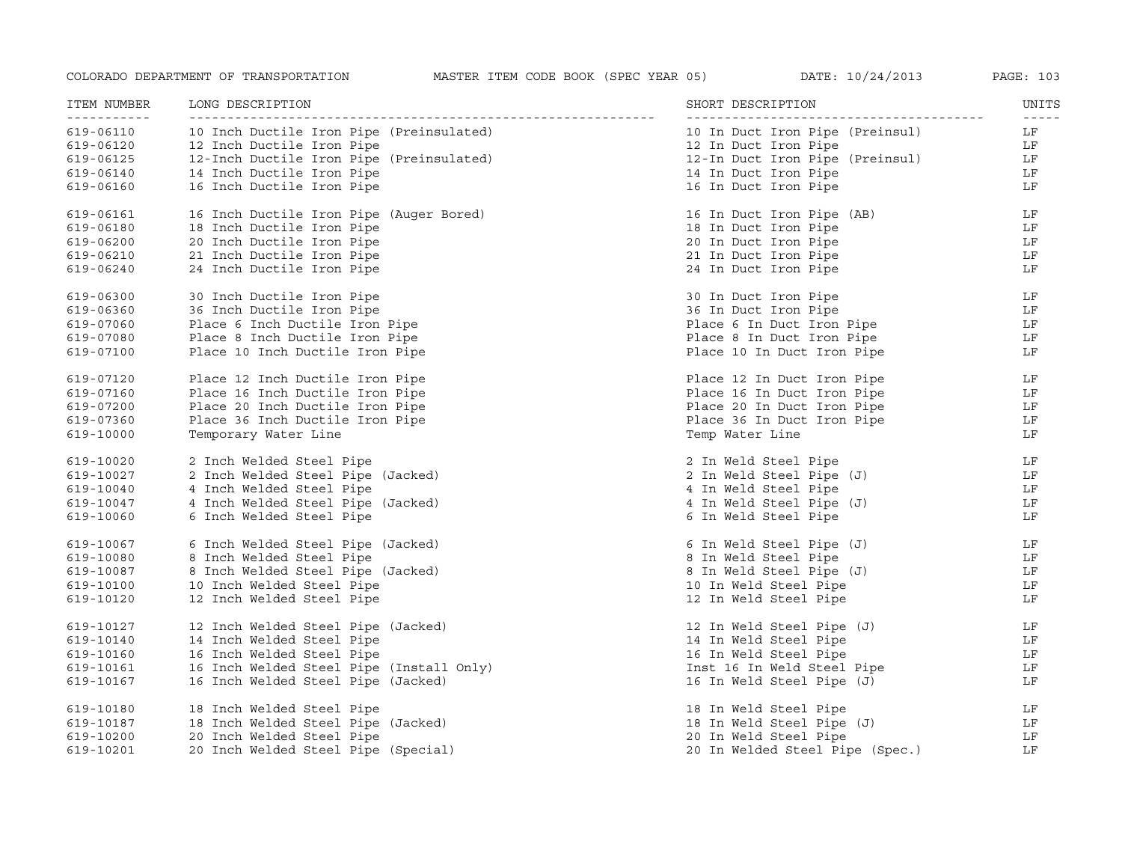| ITEM NUMBER              | LONG DESCRIPTION                         | SHORT DESCRIPTION               | UNITS               |
|--------------------------|------------------------------------------|---------------------------------|---------------------|
| -----------<br>619-06110 | 10 Inch Ductile Iron Pipe (Preinsulated) | 10 In Duct Iron Pipe (Preinsul) | $- - - - - -$<br>LF |
| 619-06120                | 12 Inch Ductile Iron Pipe                | 12 In Duct Iron Pipe            | LF                  |
| 619-06125                | 12-Inch Ductile Iron Pipe (Preinsulated) | 12-In Duct Iron Pipe (Preinsul) | LF                  |
| 619-06140                | 14 Inch Ductile Iron Pipe                | 14 In Duct Iron Pipe            | LF                  |
| 619-06160                | 16 Inch Ductile Iron Pipe                | 16 In Duct Iron Pipe            | LF                  |
| 619-06161                | 16 Inch Ductile Iron Pipe (Auger Bored)  | 16 In Duct Iron Pipe (AB)       | LF                  |
| 619-06180                | 18 Inch Ductile Iron Pipe                | 18 In Duct Iron Pipe            | LF                  |
| 619-06200                | 20 Inch Ductile Iron Pipe                | 20 In Duct Iron Pipe            | LF                  |
| 619-06210                | 21 Inch Ductile Iron Pipe                | 21 In Duct Iron Pipe            | LF                  |
| 619-06240                | 24 Inch Ductile Iron Pipe                | 24 In Duct Iron Pipe            | LF                  |
| 619-06300                | 30 Inch Ductile Iron Pipe                | 30 In Duct Iron Pipe            | LF                  |
| 619-06360                | 36 Inch Ductile Iron Pipe                | 36 In Duct Iron Pipe            | LF                  |
| 619-07060                | Place 6 Inch Ductile Iron Pipe           | Place 6 In Duct Iron Pipe       | LF                  |
| 619-07080                | Place 8 Inch Ductile Iron Pipe           | Place 8 In Duct Iron Pipe       | LF                  |
| 619-07100                | Place 10 Inch Ductile Iron Pipe          | Place 10 In Duct Iron Pipe      | LF                  |
| 619-07120                | Place 12 Inch Ductile Iron Pipe          | Place 12 In Duct Iron Pipe      | LF                  |
| 619-07160                | Place 16 Inch Ductile Iron Pipe          | Place 16 In Duct Iron Pipe      | LF                  |
| 619-07200                | Place 20 Inch Ductile Iron Pipe          | Place 20 In Duct Iron Pipe      | LF                  |
| 619-07360                | Place 36 Inch Ductile Iron Pipe          | Place 36 In Duct Iron Pipe      | LF                  |
| 619-10000                | Temporary Water Line                     | Temp Water Line                 | LF                  |
| 619-10020                | 2 Inch Welded Steel Pipe                 | 2 In Weld Steel Pipe            | LF                  |
| 619-10027                | 2 Inch Welded Steel Pipe (Jacked)        | 2 In Weld Steel Pipe (J)        | LF                  |
| 619-10040                | 4 Inch Welded Steel Pipe                 | 4 In Weld Steel Pipe            | LF                  |
| 619-10047                | 4 Inch Welded Steel Pipe (Jacked)        | 4 In Weld Steel Pipe (J)        | LF                  |
| 619-10060                | 6 Inch Welded Steel Pipe                 | 6 In Weld Steel Pipe            | LF                  |
| 619-10067                | 6 Inch Welded Steel Pipe (Jacked)        | 6 In Weld Steel Pipe (J)        | LF                  |
| 619-10080                | 8 Inch Welded Steel Pipe                 | 8 In Weld Steel Pipe            | LF                  |
| 619-10087                | 8 Inch Welded Steel Pipe (Jacked)        | 8 In Weld Steel Pipe (J)        | LF                  |
| 619-10100                | 10 Inch Welded Steel Pipe                | 10 In Weld Steel Pipe           | LF                  |
| 619-10120                | 12 Inch Welded Steel Pipe                | 12 In Weld Steel Pipe           | LF                  |
| 619-10127                | 12 Inch Welded Steel Pipe (Jacked)       | 12 In Weld Steel Pipe (J)       | LF                  |
| 619-10140                | 14 Inch Welded Steel Pipe                | 14 In Weld Steel Pipe           | LF                  |
| 619-10160                | 16 Inch Welded Steel Pipe                | 16 In Weld Steel Pipe           | LF                  |
| 619-10161                | 16 Inch Welded Steel Pipe (Install Only) | Inst 16 In Weld Steel Pipe      | LF                  |
| 619-10167                | 16 Inch Welded Steel Pipe (Jacked)       | 16 In Weld Steel Pipe (J)       | LF                  |
| 619-10180                | 18 Inch Welded Steel Pipe                | 18 In Weld Steel Pipe           | LF                  |
| 619-10187                | 18 Inch Welded Steel Pipe (Jacked)       | 18 In Weld Steel Pipe (J)       | LF                  |
| 619-10200                | 20 Inch Welded Steel Pipe                | 20 In Weld Steel Pipe           | LF                  |
| 619-10201                | 20 Inch Welded Steel Pipe (Special)      | 20 In Welded Steel Pipe (Spec.) | LF                  |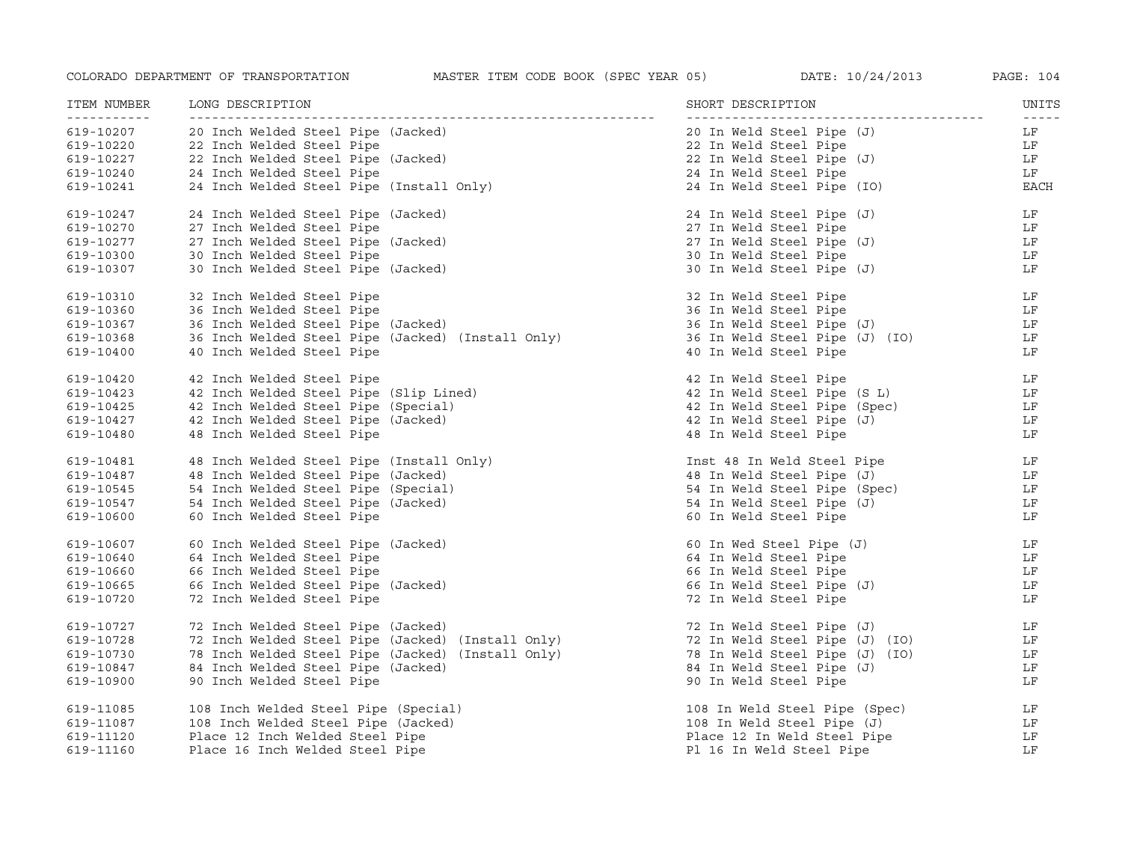| ITEM NUMBER<br>----------- | LONG DESCRIPTION                                                                                                                         | SHORT DESCRIPTION                                                                                                                             | UNITS                  |
|----------------------------|------------------------------------------------------------------------------------------------------------------------------------------|-----------------------------------------------------------------------------------------------------------------------------------------------|------------------------|
| 619-10207                  | 20 Inch Welded Steel Pipe (Jacked)                                                                                                       | 20 In Weld Steel Pipe (J)                                                                                                                     | LF                     |
| 619-10220                  |                                                                                                                                          | 22 In Weld Steel Pipe                                                                                                                         | LF                     |
| 619-10227                  |                                                                                                                                          | 22 In Weld Steel Pipe (J)                                                                                                                     | LF                     |
| 619-10240                  |                                                                                                                                          | 24 In Weld Steel Pipe                                                                                                                         | LF                     |
| 619-10241                  | 22 Inch Welded Steel Pipe<br>22 Inch Welded Steel Pipe<br>22 Inch Welded Steel Pipe (Jacked)<br>24 Inch Welded Steel Pipe (Install Only) | 24 In Weld Steel Pipe (IO)                                                                                                                    | EACH                   |
| 619-10247                  | 24 Inch Welded Steel Pipe (Jacked)                                                                                                       | 24 In Weld Steel Pipe (J)                                                                                                                     | LF                     |
| 619-10270                  | 27 Inch Welded Steel Pipe                                                                                                                | 27 In Weld Steel Pipe                                                                                                                         | LF                     |
| 619-10277                  | 27 Inch Welded Steel Pipe (Jacked)                                                                                                       | 27 In Weld Steel Pipe (J)                                                                                                                     | LF                     |
| 619-10300                  | 30 Inch Welded Steel Pipe                                                                                                                | 30 In Weld Steel Pipe                                                                                                                         | LF                     |
| 619-10307                  | 30 Inch Welded Steel Pipe (Jacked)                                                                                                       | 30 In Weld Steel Pipe (J)                                                                                                                     | LF                     |
| 619-10310                  | 32 Inch Welded Steel Pipe                                                                                                                | 32 In Weld Steel Pipe                                                                                                                         | LF                     |
| 619-10360                  | 36 Inch Welded Steel Pipe                                                                                                                |                                                                                                                                               | LF                     |
| 619-10367                  | 36 Inch Welded Steel Pipe<br>36 Inch Welded Steel Pipe (Jacked)<br>36 Inch Welded Steel Pipe (Jacked) (Install Only)                     | 36 In Weld Steel Pipe<br>36 In Weld Steel Pipe (J)<br>36 In Weld Steel Pipe (J) (IO)                                                          | LF                     |
| 619-10368                  |                                                                                                                                          |                                                                                                                                               | LF                     |
| 619-10400                  | 40 Inch Welded Steel Pipe                                                                                                                | 40 In Weld Steel Pipe                                                                                                                         | LF                     |
| 619-10420                  | 42 Inch Welded Steel Pipe                                                                                                                | 42 In Weld Steel Pipe<br>42 In Weld Steel Pipe (S L)                                                                                          | LF                     |
| 619-10423                  | 42 Inch Welded Steel Pipe (Slip Lined)                                                                                                   |                                                                                                                                               | LF                     |
| 619-10425                  | 42 Inch Welded Steel Pipe (Special)                                                                                                      | 42 In Weld Steel Pipe (Spec)<br>42 In Weld Steel Pipe (J)                                                                                     | LF                     |
| 619-10427                  | 42 Inch Welded Steel Pipe (Jacked)                                                                                                       | 42 In Weld Steel Pipe (J)                                                                                                                     | LF                     |
| 619-10480                  | 48 Inch Welded Steel Pipe                                                                                                                | 48 In Weld Steel Pipe                                                                                                                         | LF                     |
| 619-10481                  | 48 Inch Welded Steel Pipe (Install Only)                                                                                                 | Inst 48 In Weld Steel Pipe<br>48 In Weld Steel Pipe (J)<br>54 In Weld Steel Pipe (Spec)<br>54 In Weld Steel Pipe (J)<br>60 In Weld Steel Pipe | LF                     |
| 619-10487                  | 48 Inch Welded Steel Pipe (Jacked)                                                                                                       |                                                                                                                                               | LF                     |
| 619-10545                  | 54 Inch Welded Steel Pipe (Special)                                                                                                      |                                                                                                                                               | LF                     |
| 619-10547                  | 54 Inch Welded Steel Pipe (Jacked)                                                                                                       |                                                                                                                                               | LF                     |
| 619-10600                  | 60 Inch Welded Steel Pipe                                                                                                                | 60 In Weld Steel Pipe                                                                                                                         | LF                     |
| 619-10607                  | 60 Inch Welded Steel Pipe (Jacked)                                                                                                       | 60 In Wed Steel Pipe (J)                                                                                                                      | LF                     |
| 619-10640                  | 64 Inch Welded Steel Pipe                                                                                                                | 64 In Weld Steel Pipe                                                                                                                         | LF                     |
| 619-10660                  | 66 Inch Welded Steel Pipe                                                                                                                | 66 In Weld Steel Pipe                                                                                                                         | LF                     |
| 619-10665                  | 66 Inch Welded Steel Pipe (Jacked)                                                                                                       | 66 In Weld Steel Pipe (J)                                                                                                                     | LF                     |
| 619-10720                  | 72 Inch Welded Steel Pipe                                                                                                                | 72 In Weld Steel Pipe                                                                                                                         | LF                     |
| 619-10727                  | 72 Inch Welded Steel Pipe (Jacked)                                                                                                       | 72 In Weld Steel Pipe (J)<br>72 In Weld Steel Pipe (J) (IO)                                                                                   | LF                     |
| 619-10728                  | 72 Inch Welded Steel Pipe (Jacked) (Install Only)                                                                                        |                                                                                                                                               | LF                     |
| 619-10730                  | 78 Inch Welded Steel Pipe (Jacked) (Install Only)                                                                                        | 78 In Weld Steel Pipe (J) (IO)                                                                                                                | LF                     |
| 619-10847                  | 84 Inch Welded Steel Pipe (Jacked)                                                                                                       | 84 In Weld Steel Pipe (J)                                                                                                                     | LF                     |
| 619-10900                  | 90 Inch Welded Steel Pipe                                                                                                                | 90 In Weld Steel Pipe                                                                                                                         | LF                     |
| 619-11085                  | 108 Inch Welded Steel Pipe (Special)                                                                                                     | 108 In Weld Steel Pipe (Spec)                                                                                                                 | $\mathbf{L}\mathbf{F}$ |
| 619-11087                  | 108 Inch Welded Steel Pipe (Jacked)                                                                                                      | 108 In Weld Steel Pipe (J)                                                                                                                    | LF                     |
| 619-11120                  | Place 12 Inch Welded Steel Pipe                                                                                                          | Place 12 In Weld Steel Pipe                                                                                                                   | LF                     |
| 619-11160                  | Place 16 Inch Welded Steel Pipe                                                                                                          | Pl 16 In Weld Steel Pipe                                                                                                                      | LF                     |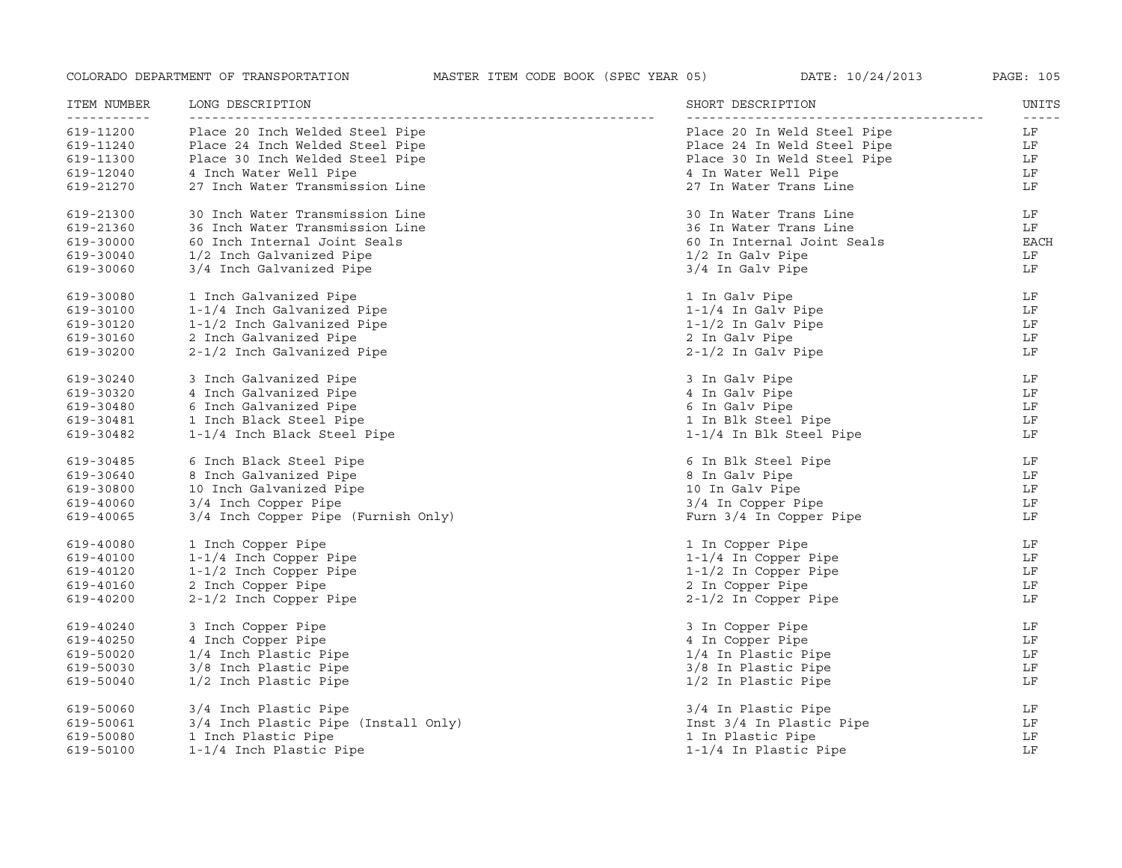| ITEM NUMBER                        | LONG DESCRIPTION                     | SHORT DESCRIPTION           | UNITS |
|------------------------------------|--------------------------------------|-----------------------------|-------|
| - - - - - - - - - - -<br>619-11200 | Place 20 Inch Welded Steel Pipe      | Place 20 In Weld Steel Pipe | LF    |
| 619-11240                          | Place 24 Inch Welded Steel Pipe      | Place 24 In Weld Steel Pipe | LF    |
| 619-11300                          | Place 30 Inch Welded Steel Pipe      | Place 30 In Weld Steel Pipe | LF    |
| 619-12040                          | 4 Inch Water Well Pipe               | 4 In Water Well Pipe        | LF    |
| 619-21270                          | 27 Inch Water Transmission Line      | 27 In Water Trans Line      | LF    |
| 619-21300                          | 30 Inch Water Transmission Line      | 30 In Water Trans Line      | LF    |
| 619-21360                          | 36 Inch Water Transmission Line      | 36 In Water Trans Line      | LF    |
| 619-30000                          | 60 Inch Internal Joint Seals         | 60 In Internal Joint Seals  | EACH  |
| 619-30040                          | 1/2 Inch Galvanized Pipe             | 1/2 In Galv Pipe            | LF    |
| 619-30060                          | 3/4 Inch Galvanized Pipe             | 3/4 In Galv Pipe            | LF    |
| 619-30080                          | 1 Inch Galvanized Pipe               | 1 In Galv Pipe              | LF    |
| 619-30100                          | 1-1/4 Inch Galvanized Pipe           | $1-1/4$ In Galv Pipe        | LF    |
| 619-30120                          | 1-1/2 Inch Galvanized Pipe           | $1-1/2$ In Galv Pipe        | LF    |
| 619-30160                          | 2 Inch Galvanized Pipe               | 2 In Galv Pipe              | LF    |
| 619-30200                          | 2-1/2 Inch Galvanized Pipe           | $2-1/2$ In Galv Pipe        | LF    |
| 619-30240                          | 3 Inch Galvanized Pipe               | 3 In Galv Pipe              | LF    |
| 619-30320                          | 4 Inch Galvanized Pipe               | 4 In Galv Pipe              | LF    |
| 619-30480                          | 6 Inch Galvanized Pipe               | 6 In Galv Pipe              | LF    |
| 619-30481                          | 1 Inch Black Steel Pipe              | 1 In Blk Steel Pipe         | LF    |
| 619-30482                          | 1-1/4 Inch Black Steel Pipe          | 1-1/4 In Blk Steel Pipe     | LF    |
| 619-30485                          | 6 Inch Black Steel Pipe              | 6 In Blk Steel Pipe         | LF    |
| 619-30640                          | 8 Inch Galvanized Pipe               | 8 In Galv Pipe              | LF    |
| 619-30800                          | 10 Inch Galvanized Pipe              | 10 In Galv Pipe             | LF    |
| 619-40060                          | 3/4 Inch Copper Pipe                 | 3/4 In Copper Pipe          | LF    |
| 619-40065                          | 3/4 Inch Copper Pipe (Furnish Only)  | Furn 3/4 In Copper Pipe     | LF    |
| 619-40080                          | 1 Inch Copper Pipe                   | 1 In Copper Pipe            | LF    |
| 619-40100                          | 1-1/4 Inch Copper Pipe               | 1-1/4 In Copper Pipe        | LF    |
| 619-40120                          | 1-1/2 Inch Copper Pipe               | 1-1/2 In Copper Pipe        | LF    |
| 619-40160                          | 2 Inch Copper Pipe                   | 2 In Copper Pipe            | LF    |
| 619-40200                          | 2-1/2 Inch Copper Pipe               | $2-1/2$ In Copper Pipe      | LF    |
| 619-40240                          | 3 Inch Copper Pipe                   | 3 In Copper Pipe            | LF    |
| 619-40250                          | 4 Inch Copper Pipe                   | 4 In Copper Pipe            | LF    |
| 619-50020                          | 1/4 Inch Plastic Pipe                | 1/4 In Plastic Pipe         | LF    |
| 619-50030                          | 3/8 Inch Plastic Pipe                | 3/8 In Plastic Pipe         | LF    |
| 619-50040                          | 1/2 Inch Plastic Pipe                | 1/2 In Plastic Pipe         | LF    |
| 619-50060                          | 3/4 Inch Plastic Pipe                | 3/4 In Plastic Pipe         | LF    |
| 619-50061                          | 3/4 Inch Plastic Pipe (Install Only) | Inst 3/4 In Plastic Pipe    | LF    |
| 619-50080                          | 1 Inch Plastic Pipe                  | 1 In Plastic Pipe           | LF    |
| 619-50100                          | 1-1/4 Inch Plastic Pipe              | 1-1/4 In Plastic Pipe       | LF    |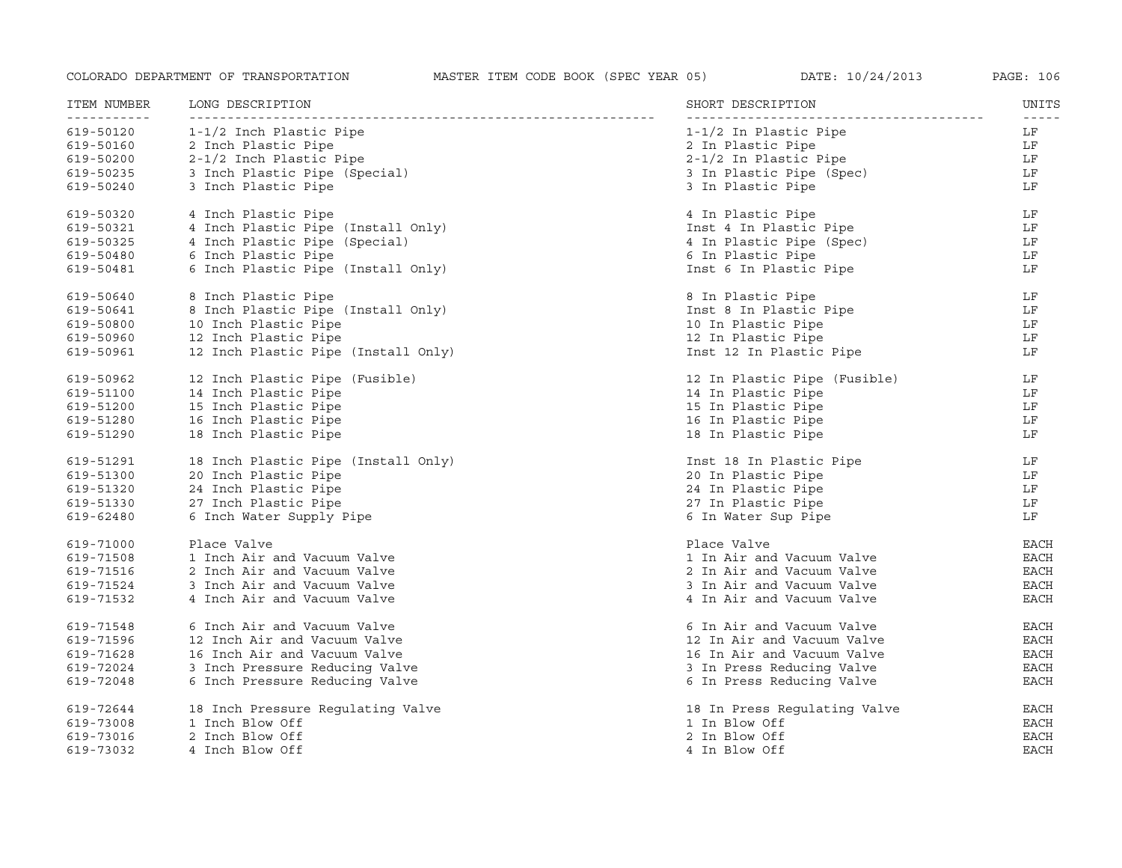| ITEM NUMBER<br>----------- | LONG DESCRIPTION                    | SHORT DESCRIPTION            | UNITS<br>$- - - - - -$ |
|----------------------------|-------------------------------------|------------------------------|------------------------|
| 619-50120                  | 1-1/2 Inch Plastic Pipe             | 1-1/2 In Plastic Pipe        | LF                     |
| 619-50160                  | 2 Inch Plastic Pipe                 | 2 In Plastic Pipe            | LF                     |
| 619-50200                  | 2-1/2 Inch Plastic Pipe             | $2-1/2$ In Plastic Pipe      | LF                     |
| 619-50235                  | 3 Inch Plastic Pipe (Special)       | 3 In Plastic Pipe (Spec)     | LF                     |
| 619-50240                  | 3 Inch Plastic Pipe                 | 3 In Plastic Pipe            | LF                     |
| 619-50320                  | 4 Inch Plastic Pipe                 | 4 In Plastic Pipe            | LF                     |
| 619-50321                  | 4 Inch Plastic Pipe (Install Only)  | Inst 4 In Plastic Pipe       | LF                     |
| 619-50325                  | 4 Inch Plastic Pipe (Special)       | 4 In Plastic Pipe (Spec)     | LF                     |
| 619-50480                  | 6 Inch Plastic Pipe                 | 6 In Plastic Pipe            | LF                     |
| 619-50481                  | 6 Inch Plastic Pipe (Install Only)  | Inst 6 In Plastic Pipe       | LF                     |
| 619-50640                  | 8 Inch Plastic Pipe                 | 8 In Plastic Pipe            | LF                     |
| 619-50641                  | 8 Inch Plastic Pipe (Install Only)  | Inst 8 In Plastic Pipe       | LF                     |
| 619-50800                  | 10 Inch Plastic Pipe                | 10 In Plastic Pipe           | LF                     |
| 619-50960                  | 12 Inch Plastic Pipe                | 12 In Plastic Pipe           | LF                     |
| 619-50961                  | 12 Inch Plastic Pipe (Install Only) | Inst 12 In Plastic Pipe      | LF                     |
| 619-50962                  | 12 Inch Plastic Pipe (Fusible)      | 12 In Plastic Pipe (Fusible) | LF                     |
| 619-51100                  | 14 Inch Plastic Pipe                | 14 In Plastic Pipe           | LF                     |
| 619-51200                  | 15 Inch Plastic Pipe                | 15 In Plastic Pipe           | LF                     |
| 619-51280                  | 16 Inch Plastic Pipe                | 16 In Plastic Pipe           | LF                     |
| 619-51290                  | 18 Inch Plastic Pipe                | 18 In Plastic Pipe           | LF                     |
| 619-51291                  | 18 Inch Plastic Pipe (Install Only) | Inst 18 In Plastic Pipe      | LF                     |
| 619-51300                  | 20 Inch Plastic Pipe                | 20 In Plastic Pipe           | LF                     |
| 619-51320                  | 24 Inch Plastic Pipe                | 24 In Plastic Pipe           | LF                     |
| 619-51330                  | 27 Inch Plastic Pipe                | 27 In Plastic Pipe           | LF                     |
| 619-62480                  | 6 Inch Water Supply Pipe            | 6 In Water Sup Pipe          | LF                     |
| 619-71000                  | Place Valve                         | Place Valve                  | <b>EACH</b>            |
| 619-71508                  | 1 Inch Air and Vacuum Valve         | 1 In Air and Vacuum Valve    | <b>EACH</b>            |
| 619-71516                  | 2 Inch Air and Vacuum Valve         | 2 In Air and Vacuum Valve    | EACH                   |
| 619-71524                  | 3 Inch Air and Vacuum Valve         | 3 In Air and Vacuum Valve    | <b>EACH</b>            |
| 619-71532                  | 4 Inch Air and Vacuum Valve         | 4 In Air and Vacuum Valve    | EACH                   |
| 619-71548                  | 6 Inch Air and Vacuum Valve         | 6 In Air and Vacuum Valve    | EACH                   |
| 619-71596                  | 12 Inch Air and Vacuum Valve        | 12 In Air and Vacuum Valve   | EACH                   |
| 619-71628                  | 16 Inch Air and Vacuum Valve        | 16 In Air and Vacuum Valve   | EACH                   |
| 619-72024                  | 3 Inch Pressure Reducing Valve      | 3 In Press Reducing Valve    | <b>EACH</b>            |
| 619-72048                  | 6 Inch Pressure Reducing Valve      | 6 In Press Reducing Valve    | <b>EACH</b>            |
| 619-72644                  | 18 Inch Pressure Regulating Valve   | 18 In Press Regulating Valve | EACH                   |
| 619-73008                  | 1 Inch Blow Off                     | 1 In Blow Off                | <b>EACH</b>            |
| 619-73016                  | 2 Inch Blow Off                     | 2 In Blow Off                | <b>EACH</b>            |
| 619-73032                  | 4 Inch Blow Off                     | 4 In Blow Off                | <b>EACH</b>            |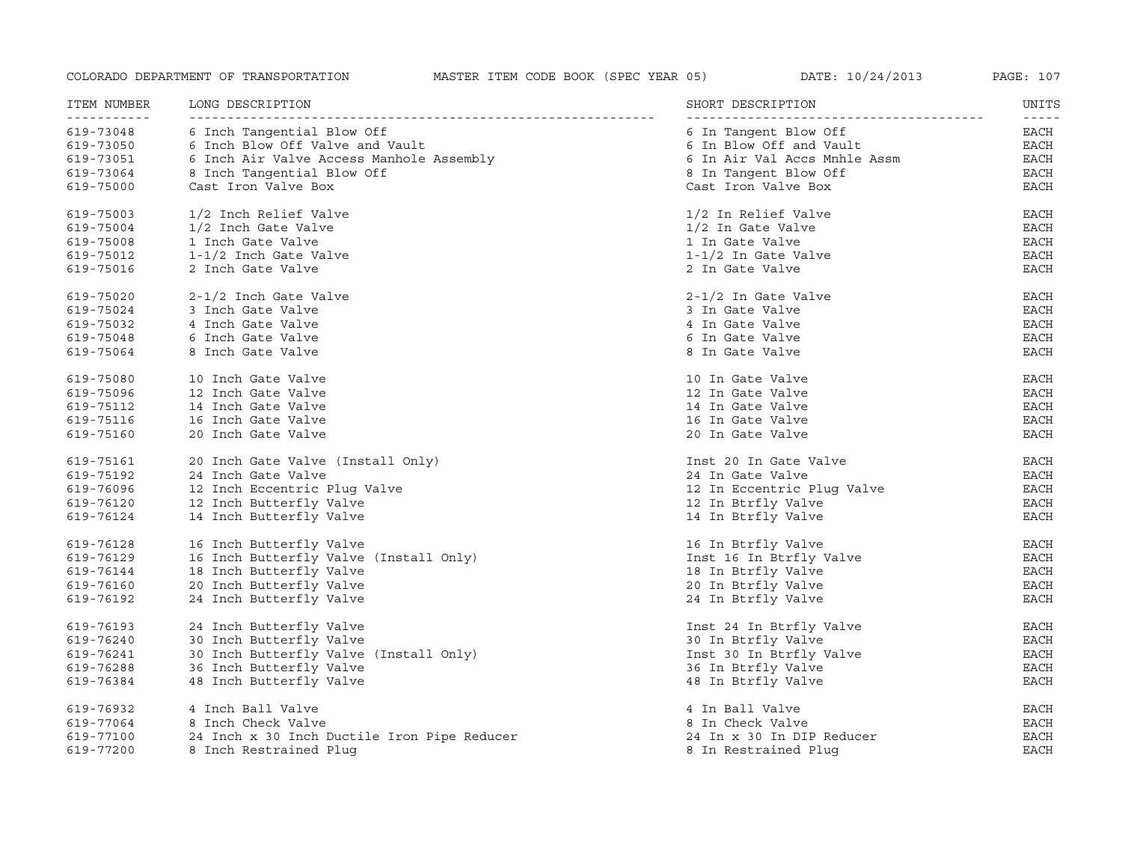| ITEM NUMBER              | LONG DESCRIPTION                            | SHORT DESCRIPTION            | UNITS                                                                                                                                                                                                                                                                                                                                                                                                |
|--------------------------|---------------------------------------------|------------------------------|------------------------------------------------------------------------------------------------------------------------------------------------------------------------------------------------------------------------------------------------------------------------------------------------------------------------------------------------------------------------------------------------------|
| -----------<br>619-73048 | 6 Inch Tangential Blow Off                  | 6 In Tangent Blow Off        | $\frac{1}{2} \frac{1}{2} \frac{1}{2} \frac{1}{2} \frac{1}{2} \frac{1}{2} \frac{1}{2} \frac{1}{2} \frac{1}{2} \frac{1}{2} \frac{1}{2} \frac{1}{2} \frac{1}{2} \frac{1}{2} \frac{1}{2} \frac{1}{2} \frac{1}{2} \frac{1}{2} \frac{1}{2} \frac{1}{2} \frac{1}{2} \frac{1}{2} \frac{1}{2} \frac{1}{2} \frac{1}{2} \frac{1}{2} \frac{1}{2} \frac{1}{2} \frac{1}{2} \frac{1}{2} \frac{1}{2} \frac{$<br>EACH |
| 619-73050                | 6 Inch Blow Off Valve and Vault             | 6 In Blow Off and Vault      | EACH                                                                                                                                                                                                                                                                                                                                                                                                 |
| 619-73051                | 6 Inch Air Valve Access Manhole Assembly    | 6 In Air Val Accs Mnhle Assm | EACH                                                                                                                                                                                                                                                                                                                                                                                                 |
| 619-73064                | 8 Inch Tangential Blow Off                  | 8 In Tangent Blow Off        | EACH                                                                                                                                                                                                                                                                                                                                                                                                 |
| 619-75000                | Cast Iron Valve Box                         | Cast Iron Valve Box          | EACH                                                                                                                                                                                                                                                                                                                                                                                                 |
| 619-75003                | 1/2 Inch Relief Valve                       | 1/2 In Relief Valve          | <b>EACH</b>                                                                                                                                                                                                                                                                                                                                                                                          |
| 619-75004                | 1/2 Inch Gate Valve                         | 1/2 In Gate Valve            | EACH                                                                                                                                                                                                                                                                                                                                                                                                 |
| 619-75008                | 1 Inch Gate Valve                           | 1 In Gate Valve              | <b>EACH</b>                                                                                                                                                                                                                                                                                                                                                                                          |
| 619-75012                | 1-1/2 Inch Gate Valve                       | $1-1/2$ In Gate Valve        | <b>EACH</b>                                                                                                                                                                                                                                                                                                                                                                                          |
| 619-75016                | 2 Inch Gate Valve                           | 2 In Gate Valve              | <b>EACH</b>                                                                                                                                                                                                                                                                                                                                                                                          |
| 619-75020                | 2-1/2 Inch Gate Valve                       | $2-1/2$ In Gate Valve        | <b>EACH</b>                                                                                                                                                                                                                                                                                                                                                                                          |
| 619-75024                | 3 Inch Gate Valve                           | 3 In Gate Valve              | <b>EACH</b>                                                                                                                                                                                                                                                                                                                                                                                          |
| 619-75032                | 4 Inch Gate Valve                           | 4 In Gate Valve              | <b>EACH</b>                                                                                                                                                                                                                                                                                                                                                                                          |
| 619-75048                | 6 Inch Gate Valve                           | 6 In Gate Valve              | <b>EACH</b>                                                                                                                                                                                                                                                                                                                                                                                          |
| 619-75064                | 8 Inch Gate Valve                           | 8 In Gate Valve              | <b>EACH</b>                                                                                                                                                                                                                                                                                                                                                                                          |
| 619-75080                | 10 Inch Gate Valve                          | 10 In Gate Valve             | <b>EACH</b>                                                                                                                                                                                                                                                                                                                                                                                          |
| 619-75096                | 12 Inch Gate Valve                          | 12 In Gate Valve             | <b>EACH</b>                                                                                                                                                                                                                                                                                                                                                                                          |
| 619-75112                | 14 Inch Gate Valve                          | 14 In Gate Valve             | <b>EACH</b>                                                                                                                                                                                                                                                                                                                                                                                          |
| 619-75116                | 16 Inch Gate Valve                          | 16 In Gate Valve             | <b>EACH</b>                                                                                                                                                                                                                                                                                                                                                                                          |
| 619-75160                | 20 Inch Gate Valve                          | 20 In Gate Valve             | <b>EACH</b>                                                                                                                                                                                                                                                                                                                                                                                          |
| 619-75161                | 20 Inch Gate Valve (Install Only)           | Inst 20 In Gate Valve        | <b>EACH</b>                                                                                                                                                                                                                                                                                                                                                                                          |
| 619-75192                | 24 Inch Gate Valve                          | 24 In Gate Valve             | EACH                                                                                                                                                                                                                                                                                                                                                                                                 |
| 619-76096                | 12 Inch Eccentric Plug Valve                | 12 In Eccentric Plug Valve   | <b>EACH</b>                                                                                                                                                                                                                                                                                                                                                                                          |
| 619-76120                | 12 Inch Butterfly Valve                     | 12 In Btrfly Valve           | <b>EACH</b>                                                                                                                                                                                                                                                                                                                                                                                          |
| 619-76124                | 14 Inch Butterfly Valve                     | 14 In Btrfly Valve           | <b>EACH</b>                                                                                                                                                                                                                                                                                                                                                                                          |
| 619-76128                | 16 Inch Butterfly Valve                     | 16 In Btrfly Valve           | <b>EACH</b>                                                                                                                                                                                                                                                                                                                                                                                          |
| 619-76129                | 16 Inch Butterfly Valve (Install Only)      | Inst 16 In Btrfly Valve      | EACH                                                                                                                                                                                                                                                                                                                                                                                                 |
| 619-76144                | 18 Inch Butterfly Valve                     | 18 In Btrfly Valve           | EACH                                                                                                                                                                                                                                                                                                                                                                                                 |
| 619-76160                | 20 Inch Butterfly Valve                     | 20 In Btrfly Valve           | <b>EACH</b>                                                                                                                                                                                                                                                                                                                                                                                          |
| 619-76192                | 24 Inch Butterfly Valve                     | 24 In Btrfly Valve           | <b>EACH</b>                                                                                                                                                                                                                                                                                                                                                                                          |
| 619-76193                | 24 Inch Butterfly Valve                     | Inst 24 In Btrfly Valve      | EACH                                                                                                                                                                                                                                                                                                                                                                                                 |
| 619-76240                | 30 Inch Butterfly Valve                     | 30 In Btrfly Valve           | EACH                                                                                                                                                                                                                                                                                                                                                                                                 |
| 619-76241                | 30 Inch Butterfly Valve (Install Only)      | Inst 30 In Btrfly Valve      | EACH                                                                                                                                                                                                                                                                                                                                                                                                 |
| 619-76288                | 36 Inch Butterfly Valve                     | 36 In Btrfly Valve           | <b>EACH</b>                                                                                                                                                                                                                                                                                                                                                                                          |
| 619-76384                | 48 Inch Butterfly Valve                     | 48 In Btrfly Valve           | <b>EACH</b>                                                                                                                                                                                                                                                                                                                                                                                          |
| 619-76932                | 4 Inch Ball Valve                           | 4 In Ball Valve              | EACH                                                                                                                                                                                                                                                                                                                                                                                                 |
| 619-77064                | 8 Inch Check Valve                          | 8 In Check Valve             | <b>EACH</b>                                                                                                                                                                                                                                                                                                                                                                                          |
| 619-77100                | 24 Inch x 30 Inch Ductile Iron Pipe Reducer | 24 In x 30 In DIP Reducer    | <b>EACH</b>                                                                                                                                                                                                                                                                                                                                                                                          |
| 619-77200                | 8 Inch Restrained Plug                      | 8 In Restrained Plug         | <b>EACH</b>                                                                                                                                                                                                                                                                                                                                                                                          |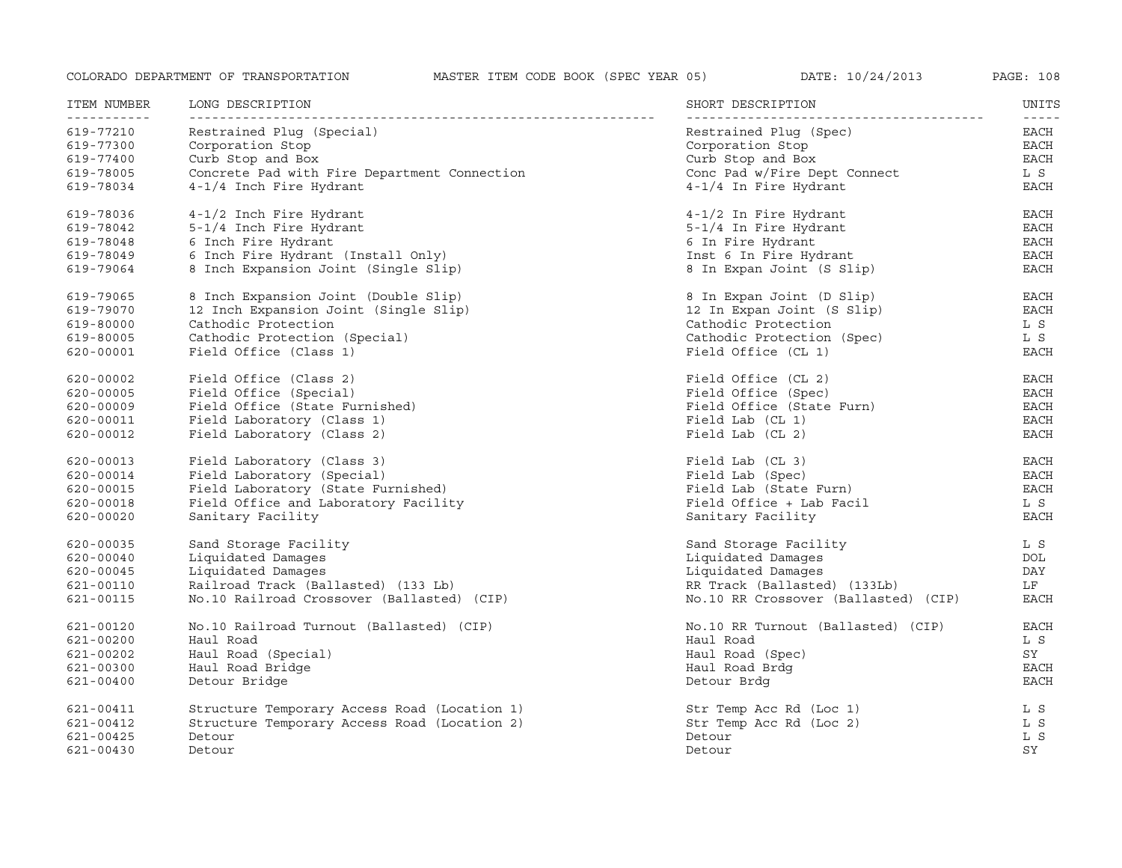| ITEM NUMBER<br><u> - - - - - - - - - - -</u> | LONG DESCRIPTION<br>___________________      | SHORT DESCRIPTION                    | UNITS                 |
|----------------------------------------------|----------------------------------------------|--------------------------------------|-----------------------|
| 619-77210                                    | Restrained Pluq (Special)                    | Restrained Pluq (Spec)               | $- - - - - -$<br>EACH |
| 619-77300                                    | Corporation Stop                             | Corporation Stop                     | EACH                  |
| 619-77400                                    | Curb Stop and Box                            | Curb Stop and Box                    | EACH                  |
| 619-78005                                    | Concrete Pad with Fire Department Connection | Conc Pad w/Fire Dept Connect         | L S                   |
| 619-78034                                    | 4-1/4 Inch Fire Hydrant                      | 4-1/4 In Fire Hydrant                | EACH                  |
| 619-78036                                    | 4-1/2 Inch Fire Hydrant                      | $4-1/2$ In Fire Hydrant              | <b>EACH</b>           |
| 619-78042                                    | 5-1/4 Inch Fire Hydrant                      | 5-1/4 In Fire Hydrant                | $_{\rm EACH}$         |
| 619-78048                                    | 6 Inch Fire Hydrant                          | 6 In Fire Hydrant                    | EACH                  |
| 619-78049                                    | 6 Inch Fire Hydrant (Install Only)           | Inst 6 In Fire Hydrant               | EACH                  |
| 619-79064                                    | 8 Inch Expansion Joint (Single Slip)         | 8 In Expan Joint (S Slip)            | <b>EACH</b>           |
| 619-79065                                    | 8 Inch Expansion Joint (Double Slip)         | 8 In Expan Joint (D Slip)            | EACH                  |
| 619-79070                                    | 12 Inch Expansion Joint (Single Slip)        | 12 In Expan Joint (S Slip)           | EACH                  |
| 619-80000                                    | Cathodic Protection                          | Cathodic Protection                  | L S                   |
| 619-80005                                    | Cathodic Protection (Special)                | Cathodic Protection (Spec)           | L S                   |
| 620-00001                                    | Field Office (Class 1)                       | Field Office (CL 1)                  | <b>EACH</b>           |
| 620-00002                                    | Field Office (Class 2)                       | Field Office (CL 2)                  | EACH                  |
| 620-00005                                    | Field Office (Special)                       | Field Office (Spec)                  | <b>EACH</b>           |
| 620-00009                                    | Field Office (State Furnished)               | Field Office (State Furn)            | <b>EACH</b>           |
| 620-00011                                    | Field Laboratory (Class 1)                   | Field Lab (CL 1)                     | EACH                  |
| 620-00012                                    | Field Laboratory (Class 2)                   | Field Lab (CL 2)                     | EACH                  |
| 620-00013                                    | Field Laboratory (Class 3)                   | Field Lab (CL 3)                     | <b>EACH</b>           |
| 620-00014                                    | Field Laboratory (Special)                   | Field Lab (Spec)                     | EACH                  |
| 620-00015                                    | Field Laboratory (State Furnished)           | Field Lab (State Furn)               | EACH                  |
| 620-00018                                    | Field Office and Laboratory Facility         | Field Office + Lab Facil             | L S                   |
| $620 - 00020$                                | Sanitary Facility                            | Sanitary Facility                    | <b>EACH</b>           |
| 620-00035                                    | Sand Storage Facility                        | Sand Storage Facility                | L S                   |
| $620 - 00040$                                | Liquidated Damages                           | Liquidated Damages                   | DOL                   |
| 620-00045                                    | Liquidated Damages                           | Liquidated Damaqes                   | DAY                   |
| 621-00110                                    | Railroad Track (Ballasted) (133 Lb)          | RR Track (Ballasted) (133Lb)         | LF                    |
| 621-00115                                    | No.10 Railroad Crossover (Ballasted) (CIP)   | No.10 RR Crossover (Ballasted) (CIP) | <b>EACH</b>           |
| 621-00120                                    | No.10 Railroad Turnout (Ballasted) (CIP)     | No.10 RR Turnout (Ballasted) (CIP)   | EACH                  |
| 621-00200                                    | Haul Road                                    | Haul Road                            | L S                   |
| 621-00202                                    | Haul Road (Special)                          | Haul Road (Spec)                     | SY                    |
| 621-00300                                    | Haul Road Bridge                             | Haul Road Brdg                       | EACH                  |
| 621-00400                                    | Detour Bridge                                | Detour Brdg                          | <b>EACH</b>           |
| 621-00411                                    | Structure Temporary Access Road (Location 1) | Str Temp Acc Rd (Loc 1)              | L S                   |
| 621-00412                                    | Structure Temporary Access Road (Location 2) | Str Temp Acc Rd (Loc 2)              | L S                   |
| 621-00425                                    | Detour                                       | Detour                               | L S                   |
| 621-00430                                    | Detour                                       | Detour                               | SY                    |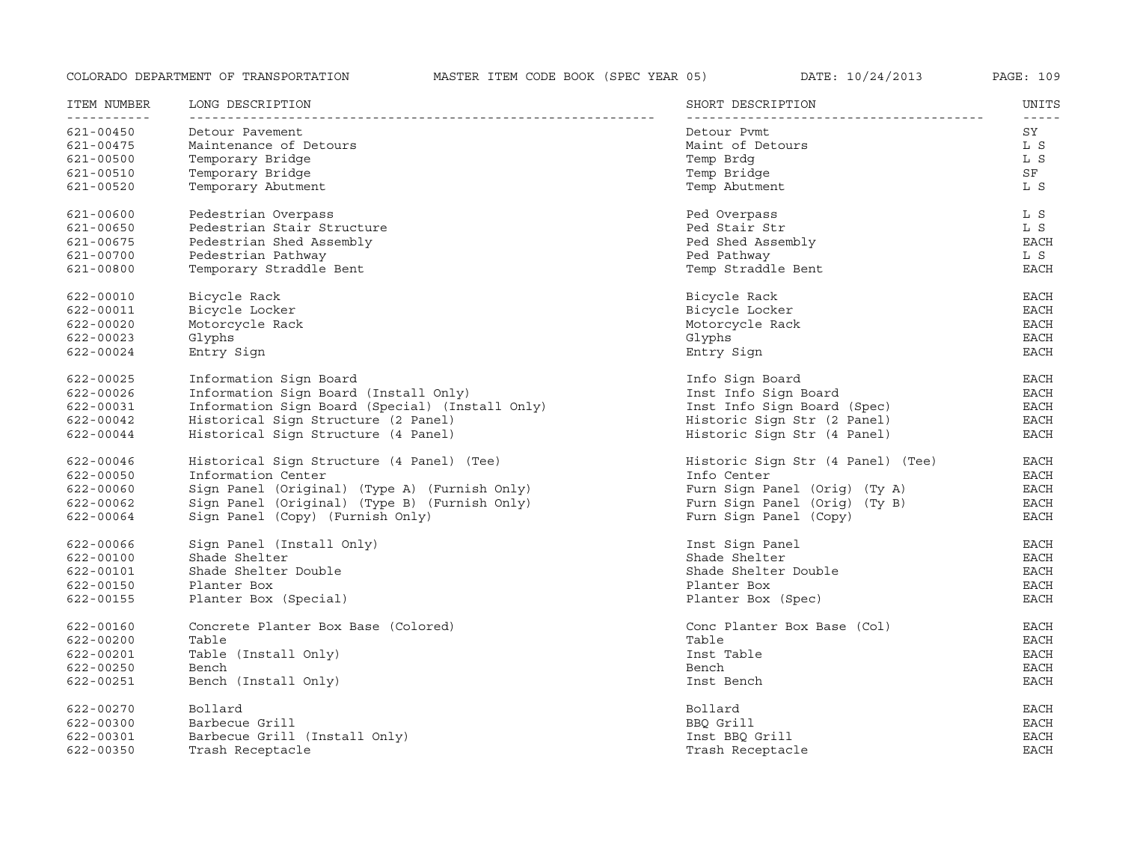| ITEM NUMBER   | LONG DESCRIPTION                                | SHORT DESCRIPTION                 | UNITS             |
|---------------|-------------------------------------------------|-----------------------------------|-------------------|
| 621-00450     | Detour Pavement                                 | Detour Pymt                       | $- - - - -$<br>SY |
| 621-00475     | Maintenance of Detours                          | Maint of Detours                  | L S               |
| 621-00500     | Temporary Bridge                                | Temp Brdg                         | L S               |
| 621-00510     | Temporary Bridge                                | Temp Bridge                       | SF                |
| 621-00520     | Temporary Abutment                              | Temp Abutment                     | L S               |
| 621-00600     | Pedestrian Overpass                             | Ped Overpass                      | L S               |
| 621-00650     | Pedestrian Stair Structure                      | Ped Stair Str                     | L S               |
| 621-00675     | Pedestrian Shed Assembly                        | Ped Shed Assembly                 | <b>EACH</b>       |
| 621-00700     | Pedestrian Pathway                              | Ped Pathway                       | L S               |
| 621-00800     | Temporary Straddle Bent                         | Temp Straddle Bent                | <b>EACH</b>       |
| 622-00010     | Bicycle Rack                                    | Bicycle Rack                      | EACH              |
| 622-00011     | Bicycle Locker                                  | Bicycle Locker                    | <b>EACH</b>       |
| 622-00020     | Motorcycle Rack                                 | Motorcycle Rack                   | <b>EACH</b>       |
| 622-00023     | Glyphs                                          | Glyphs                            | <b>EACH</b>       |
| 622-00024     | Entry Sign                                      | Entry Sign                        | <b>EACH</b>       |
| 622-00025     | Information Sign Board                          | Info Sign Board                   | EACH              |
| 622-00026     | Information Sign Board (Install Only)           | Inst Info Sign Board              | EACH              |
| 622-00031     | Information Sign Board (Special) (Install Only) | Inst Info Sign Board (Spec)       | <b>EACH</b>       |
| 622-00042     | Historical Sign Structure (2 Panel)             | Historic Sign Str (2 Panel)       | <b>EACH</b>       |
| 622-00044     | Historical Sign Structure (4 Panel)             | Historic Sign Str (4 Panel)       | $_{\rm EACH}$     |
| 622-00046     | Historical Sign Structure (4 Panel) (Tee)       | Historic Sign Str (4 Panel) (Tee) | EACH              |
| 622-00050     | Information Center                              | Info Center                       | EACH              |
| 622-00060     | Sign Panel (Original) (Type A) (Furnish Only)   | Furn Sign Panel (Orig) (Ty A)     | <b>EACH</b>       |
| 622-00062     | Sign Panel (Original) (Type B) (Furnish Only)   | Furn Sign Panel (Orig) (Ty B)     | <b>EACH</b>       |
| 622-00064     | Sign Panel (Copy) (Furnish Only)                | Furn Sign Panel (Copy)            | <b>EACH</b>       |
| 622-00066     | Sign Panel (Install Only)                       | Inst Sign Panel                   | <b>EACH</b>       |
| 622-00100     | Shade Shelter                                   | Shade Shelter                     | <b>EACH</b>       |
| 622-00101     | Shade Shelter Double                            | Shade Shelter Double              | <b>EACH</b>       |
| 622-00150     | Planter Box                                     | Planter Box                       | <b>EACH</b>       |
| 622-00155     | Planter Box (Special)                           | Planter Box (Spec)                | <b>EACH</b>       |
| 622-00160     | Concrete Planter Box Base (Colored)             | Conc Planter Box Base (Col)       | EACH              |
| 622-00200     | Table                                           | Table                             | EACH              |
| 622-00201     | Table (Install Only)                            | Inst Table                        | <b>EACH</b>       |
| 622-00250     | Bench                                           | Bench                             | <b>EACH</b>       |
| 622-00251     | Bench (Install Only)                            | Inst Bench                        | <b>EACH</b>       |
| 622-00270     | Bollard                                         | Bollard                           | EACH              |
| 622-00300     | Barbecue Grill                                  | BBO Grill                         | <b>EACH</b>       |
| $622 - 00301$ | Barbecue Grill (Install Only)                   | Inst BBQ Grill                    | <b>EACH</b>       |
| 622-00350     | Trash Receptacle                                | Trash Receptacle                  | <b>EACH</b>       |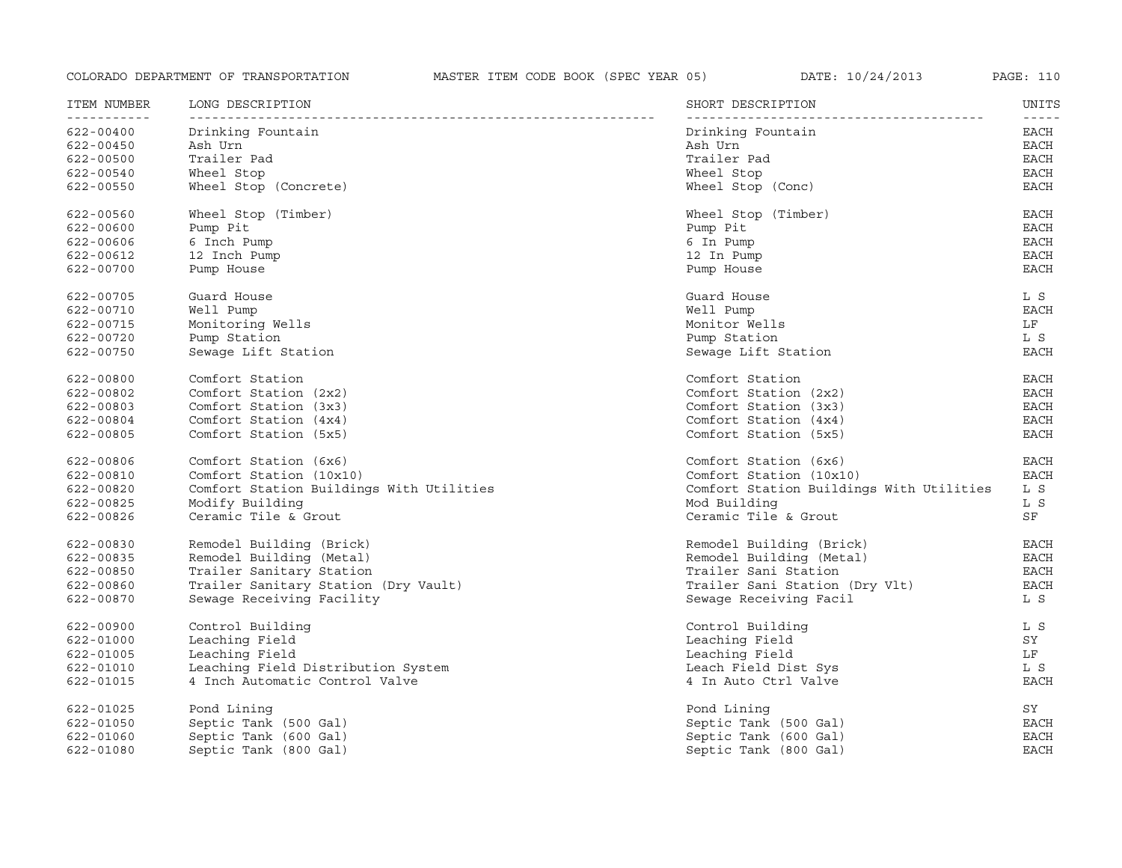| ITEM NUMBER              | LONG DESCRIPTION                         | SHORT DESCRIPTION                        | UNITS         |
|--------------------------|------------------------------------------|------------------------------------------|---------------|
| -----------<br>622-00400 | Drinking Fountain                        | Drinking Fountain                        | -----<br>EACH |
| 622-00450                | Ash Urn                                  | Ash Urn                                  | EACH          |
| 622-00500                | Trailer Pad                              | Trailer Pad                              | <b>EACH</b>   |
| 622-00540                | Wheel Stop                               | Wheel Stop                               | EACH          |
| 622-00550                | Wheel Stop (Concrete)                    | Wheel Stop (Conc)                        | <b>EACH</b>   |
| 622-00560                | Wheel Stop (Timber)                      | Wheel Stop (Timber)                      | <b>EACH</b>   |
| 622-00600                | Pump Pit                                 | Pump Pit                                 | <b>EACH</b>   |
| 622-00606                | 6 Inch Pump                              | 6 In Pump                                | <b>EACH</b>   |
| 622-00612                | 12 Inch Pump                             | 12 In Pump                               | <b>EACH</b>   |
| 622-00700                | Pump House                               | Pump House                               | <b>EACH</b>   |
| 622-00705                | Guard House                              | Guard House                              | L S           |
| 622-00710                | Well Pump                                | Well Pump                                | <b>EACH</b>   |
| 622-00715                | Monitoring Wells                         | Monitor Wells                            | LF            |
| 622-00720                | Pump Station                             | Pump Station                             | L S           |
| 622-00750                | Sewage Lift Station                      | Sewage Lift Station                      | <b>EACH</b>   |
| 622-00800                | Comfort Station                          | Comfort Station                          | <b>EACH</b>   |
| 622-00802                | Comfort Station (2x2)                    | Comfort Station (2x2)                    | <b>EACH</b>   |
| 622-00803                | Comfort Station (3x3)                    | Comfort Station (3x3)                    | <b>EACH</b>   |
| 622-00804                | Comfort Station (4x4)                    | Comfort Station (4x4)                    | <b>EACH</b>   |
| 622-00805                | Comfort Station (5x5)                    | Comfort Station (5x5)                    | <b>EACH</b>   |
| 622-00806                | Comfort Station (6x6)                    | Comfort Station (6x6)                    | <b>EACH</b>   |
| 622-00810                | Comfort Station (10x10)                  | Comfort Station (10x10)                  | <b>EACH</b>   |
| 622-00820                | Comfort Station Buildings With Utilities | Comfort Station Buildings With Utilities | L S           |
| 622-00825                | Modify Building                          | Mod Building                             | L S           |
| 622-00826                | Ceramic Tile & Grout                     | Ceramic Tile & Grout                     | SF            |
| 622-00830                | Remodel Building (Brick)                 | Remodel Building (Brick)                 | <b>EACH</b>   |
| 622-00835                | Remodel Building (Metal)                 | Remodel Building (Metal)                 | EACH          |
| 622-00850                | Trailer Sanitary Station                 | Trailer Sani Station                     | EACH          |
| 622-00860                | Trailer Sanitary Station (Dry Vault)     | Trailer Sani Station (Dry Vlt)           | <b>EACH</b>   |
| 622-00870                | Sewage Receiving Facility                | Sewage Receiving Facil                   | L S           |
| 622-00900                | Control Building                         | Control Building                         | L S           |
| 622-01000                | Leaching Field                           | Leaching Field                           | SY            |
| 622-01005                | Leaching Field                           | Leaching Field                           | LF            |
| 622-01010                | Leaching Field Distribution System       | Leach Field Dist Sys                     | L S           |
| 622-01015                | 4 Inch Automatic Control Valve           | 4 In Auto Ctrl Valve                     | <b>EACH</b>   |
| 622-01025                | Pond Lining                              | Pond Lining                              | SY            |
| 622-01050                | Septic Tank (500 Gal)                    | Septic Tank (500 Gal)                    | <b>EACH</b>   |
| 622-01060                | Septic Tank (600 Gal)                    | Septic Tank (600 Gal)                    | <b>EACH</b>   |
| 622-01080                | Septic Tank (800 Gal)                    | Septic Tank (800 Gal)                    | <b>EACH</b>   |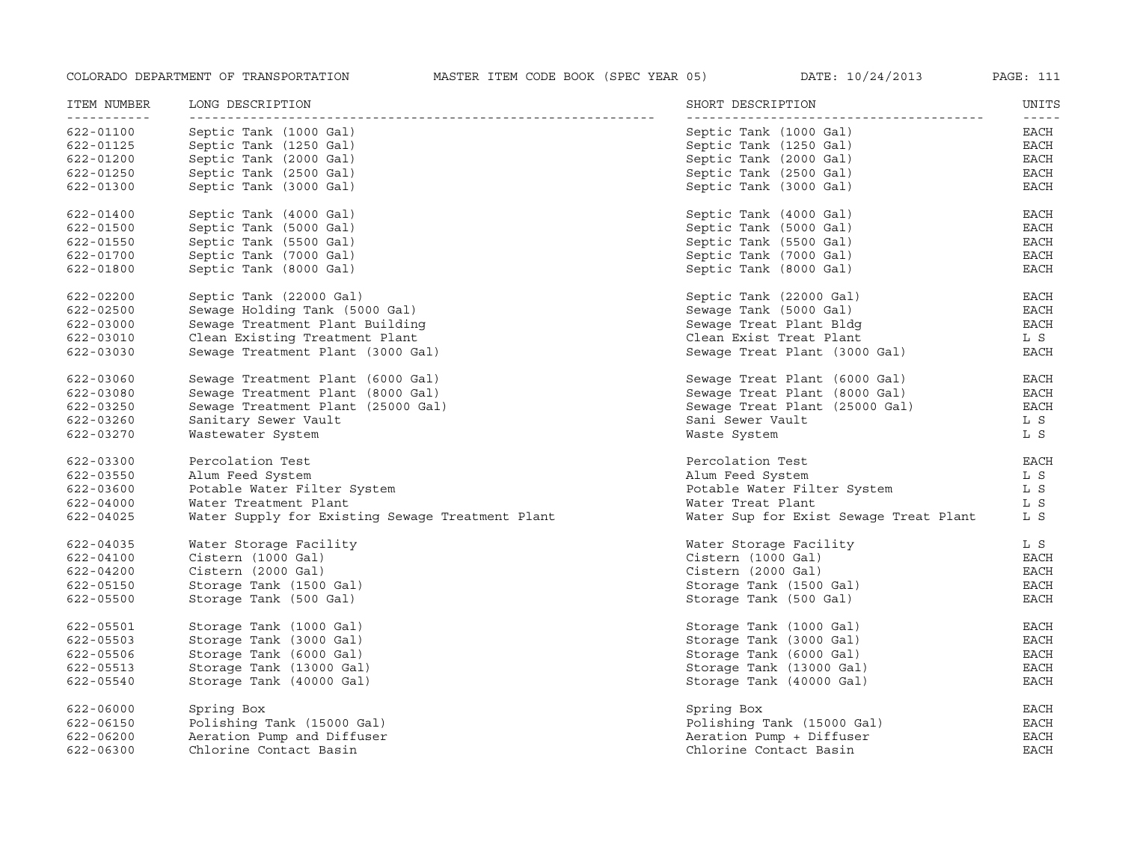| ITEM NUMBER<br>----------- | LONG DESCRIPTION                                 | SHORT DESCRIPTION                      | UNITS<br>$- - - - -$ |
|----------------------------|--------------------------------------------------|----------------------------------------|----------------------|
| 622-01100                  | Septic Tank (1000 Gal)                           | Septic Tank (1000 Gal)                 | EACH                 |
| 622-01125                  | Septic Tank (1250 Gal)                           | Septic Tank (1250 Gal)                 | EACH                 |
| 622-01200                  | Septic Tank (2000 Gal)                           | Septic Tank (2000 Gal)                 | EACH                 |
| 622-01250                  | Septic Tank (2500 Gal)                           | Septic Tank (2500 Gal)                 | EACH                 |
| 622-01300                  | Septic Tank (3000 Gal)                           | Septic Tank (3000 Gal)                 | <b>EACH</b>          |
| 622-01400                  | Septic Tank (4000 Gal)                           | Septic Tank (4000 Gal)                 | EACH                 |
| 622-01500                  | Septic Tank (5000 Gal)                           | Septic Tank (5000 Gal)                 | EACH                 |
| 622-01550                  | Septic Tank (5500 Gal)                           | Septic Tank (5500 Gal)                 | EACH                 |
| 622-01700                  | Septic Tank (7000 Gal)                           | Septic Tank (7000 Gal)                 | EACH                 |
| 622-01800                  | Septic Tank (8000 Gal)                           | Septic Tank (8000 Gal)                 | EACH                 |
| 622-02200                  | Septic Tank (22000 Gal)                          | Septic Tank (22000 Gal)                | EACH                 |
| 622-02500                  | Sewage Holding Tank (5000 Gal)                   | Sewage Tank (5000 Gal)                 | EACH                 |
| 622-03000                  | Sewage Treatment Plant Building                  | Sewaqe Treat Plant Bldq                | EACH                 |
| 622-03010                  | Clean Existing Treatment Plant                   | Clean Exist Treat Plant                | L S                  |
| 622-03030                  | Sewage Treatment Plant (3000 Gal)                | Sewage Treat Plant (3000 Gal)          | <b>EACH</b>          |
| 622-03060                  | Sewage Treatment Plant (6000 Gal)                | Sewage Treat Plant (6000 Gal)          | EACH                 |
| 622-03080                  | Sewage Treatment Plant (8000 Gal)                | Sewage Treat Plant (8000 Gal)          | <b>EACH</b>          |
| 622-03250                  | Sewage Treatment Plant (25000 Gal)               | Sewage Treat Plant (25000 Gal)         | EACH                 |
| 622-03260                  | Sanitary Sewer Vault                             | Sani Sewer Vault                       | L S                  |
| 622-03270                  | Wastewater System                                | Waste System                           | L S                  |
| 622-03300                  | Percolation Test                                 | Percolation Test                       | <b>EACH</b>          |
| 622-03550                  | Alum Feed System                                 | Alum Feed System                       | L S                  |
| 622-03600                  | Potable Water Filter System                      | Potable Water Filter System            | L S                  |
| 622-04000                  | Water Treatment Plant                            | Water Treat Plant                      | L S                  |
| 622-04025                  | Water Supply for Existing Sewage Treatment Plant | Water Sup for Exist Sewage Treat Plant | L S                  |
| 622-04035                  | Water Storage Facility                           | Water Storage Facility                 | L S                  |
| 622-04100                  | Cistern (1000 Gal)                               | Cistern (1000 Gal)                     | <b>EACH</b>          |
| 622-04200                  | Cistern (2000 Gal)                               | Cistern (2000 Gal)                     | EACH                 |
| 622-05150                  | Storage Tank (1500 Gal)                          | Storage Tank (1500 Gal)                | <b>EACH</b>          |
| 622-05500                  | Storage Tank (500 Gal)                           | Storage Tank (500 Gal)                 | <b>EACH</b>          |
| 622-05501                  | Storage Tank (1000 Gal)                          | Storage Tank (1000 Gal)                | EACH                 |
| 622-05503                  | Storage Tank (3000 Gal)                          | Storage Tank (3000 Gal)                | EACH                 |
| 622-05506                  | Storage Tank (6000 Gal)                          | Storage Tank (6000 Gal)                | <b>EACH</b>          |
| 622-05513                  | Storage Tank (13000 Gal)                         | Storage Tank (13000 Gal)               | <b>EACH</b>          |
| 622-05540                  | Storage Tank (40000 Gal)                         | Storage Tank (40000 Gal)               | <b>EACH</b>          |
| 622-06000                  | Spring Box                                       | Spring Box                             | EACH                 |
| 622-06150                  | Polishing Tank (15000 Gal)                       | Polishing Tank (15000 Gal)             | <b>EACH</b>          |
| 622-06200                  | Aeration Pump and Diffuser                       | Aeration Pump + Diffuser               | <b>EACH</b>          |
| 622-06300                  | Chlorine Contact Basin                           | Chlorine Contact Basin                 | <b>EACH</b>          |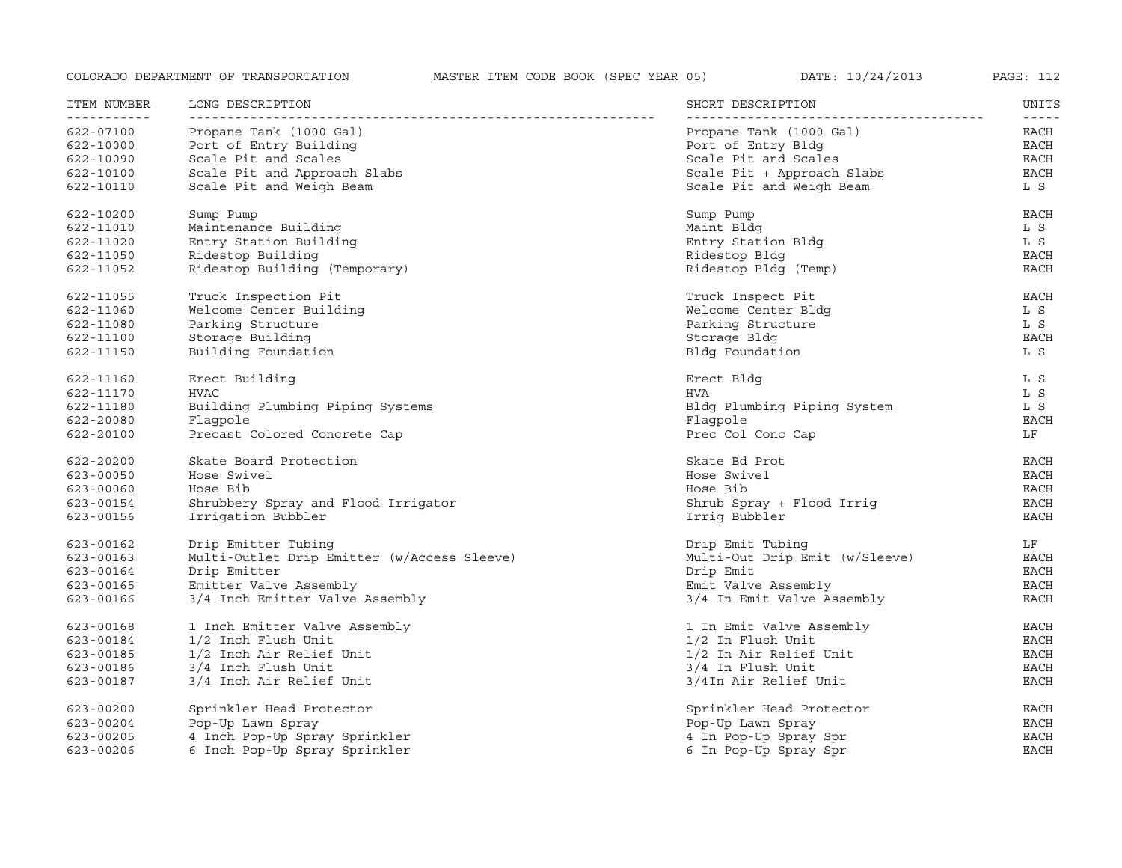| ITEM NUMBER<br>----------- | LONG DESCRIPTION                            | SHORT DESCRIPTION              | UNITS<br>$- - - - -$ |
|----------------------------|---------------------------------------------|--------------------------------|----------------------|
| 622-07100                  | Propane Tank (1000 Gal)                     | Propane Tank (1000 Gal)        | EACH                 |
| 622-10000                  | Port of Entry Building                      | Port of Entry Bldg             | EACH                 |
| 622-10090                  | Scale Pit and Scales                        | Scale Pit and Scales           | EACH                 |
| 622-10100                  | Scale Pit and Approach Slabs                | Scale Pit + Approach Slabs     | EACH                 |
| 622-10110                  | Scale Pit and Weigh Beam                    | Scale Pit and Weigh Beam       | L S                  |
| 622-10200                  | Sump Pump                                   | Sump Pump                      | <b>EACH</b>          |
| 622-11010                  | Maintenance Building                        | Maint Bldg                     | L S                  |
| 622-11020                  | Entry Station Building                      | Entry Station Bldg             | L S                  |
| 622-11050                  | Ridestop Building                           | Ridestop Bldg                  | EACH                 |
| 622-11052                  | Ridestop Building (Temporary)               | Ridestop Bldg (Temp)           | <b>EACH</b>          |
| 622-11055                  | Truck Inspection Pit                        | Truck Inspect Pit              | EACH                 |
| 622-11060                  | Welcome Center Building                     | Welcome Center Bldg            | L S                  |
| 622-11080                  | Parking Structure                           | Parking Structure              | L S                  |
| 622-11100                  | Storage Building                            | Storage Bldg                   | <b>EACH</b>          |
| 622-11150                  | Building Foundation                         | Bldg Foundation                | L S                  |
| 622-11160                  | Erect Building                              | Erect Bldg                     | L S                  |
| 622-11170                  | <b>HVAC</b>                                 | HVA                            | L S                  |
| 622-11180                  | Building Plumbing Piping Systems            | Bldg Plumbing Piping System    | L S                  |
| 622-20080                  | Flagpole                                    | Flagpole                       | EACH                 |
| 622-20100                  | Precast Colored Concrete Cap                | Prec Col Conc Cap              | LF                   |
| 622-20200                  | Skate Board Protection                      | Skate Bd Prot                  | EACH                 |
| 623-00050                  | Hose Swivel                                 | Hose Swivel                    | EACH                 |
| 623-00060                  | Hose Bib                                    | Hose Bib                       | EACH                 |
| 623-00154                  | Shrubbery Spray and Flood Irrigator         | Shrub Spray + Flood Irrig      | EACH                 |
| 623-00156                  | Irrigation Bubbler                          | Irrig Bubbler                  | <b>EACH</b>          |
| 623-00162                  | Drip Emitter Tubing                         | Drip Emit Tubing               | LF                   |
| 623-00163                  | Multi-Outlet Drip Emitter (w/Access Sleeve) | Multi-Out Drip Emit (w/Sleeve) | <b>EACH</b>          |
| 623-00164                  | Drip Emitter                                | Drip Emit                      | EACH                 |
| 623-00165                  | Emitter Valve Assembly                      | Emit Valve Assembly            | EACH                 |
| 623-00166                  | 3/4 Inch Emitter Valve Assembly             | 3/4 In Emit Valve Assembly     | <b>EACH</b>          |
| 623-00168                  | 1 Inch Emitter Valve Assembly               | 1 In Emit Valve Assembly       | EACH                 |
| 623-00184                  | 1/2 Inch Flush Unit                         | $1/2$ In Flush Unit            | EACH                 |
| 623-00185                  | 1/2 Inch Air Relief Unit                    | 1/2 In Air Relief Unit         | EACH                 |
| 623-00186                  | 3/4 Inch Flush Unit                         | 3/4 In Flush Unit              | <b>EACH</b>          |
| 623-00187                  | 3/4 Inch Air Relief Unit                    | 3/4In Air Relief Unit          | <b>EACH</b>          |
| 623-00200                  | Sprinkler Head Protector                    | Sprinkler Head Protector       | EACH                 |
| 623-00204                  | Pop-Up Lawn Spray                           | Pop-Up Lawn Spray              | <b>EACH</b>          |
| $623 - 00205$              | 4 Inch Pop-Up Spray Sprinkler               | 4 In Pop-Up Spray Spr          | <b>EACH</b>          |
| $623 - 00206$              | 6 Inch Pop-Up Spray Sprinkler               | 6 In Pop-Up Spray Spr          | <b>EACH</b>          |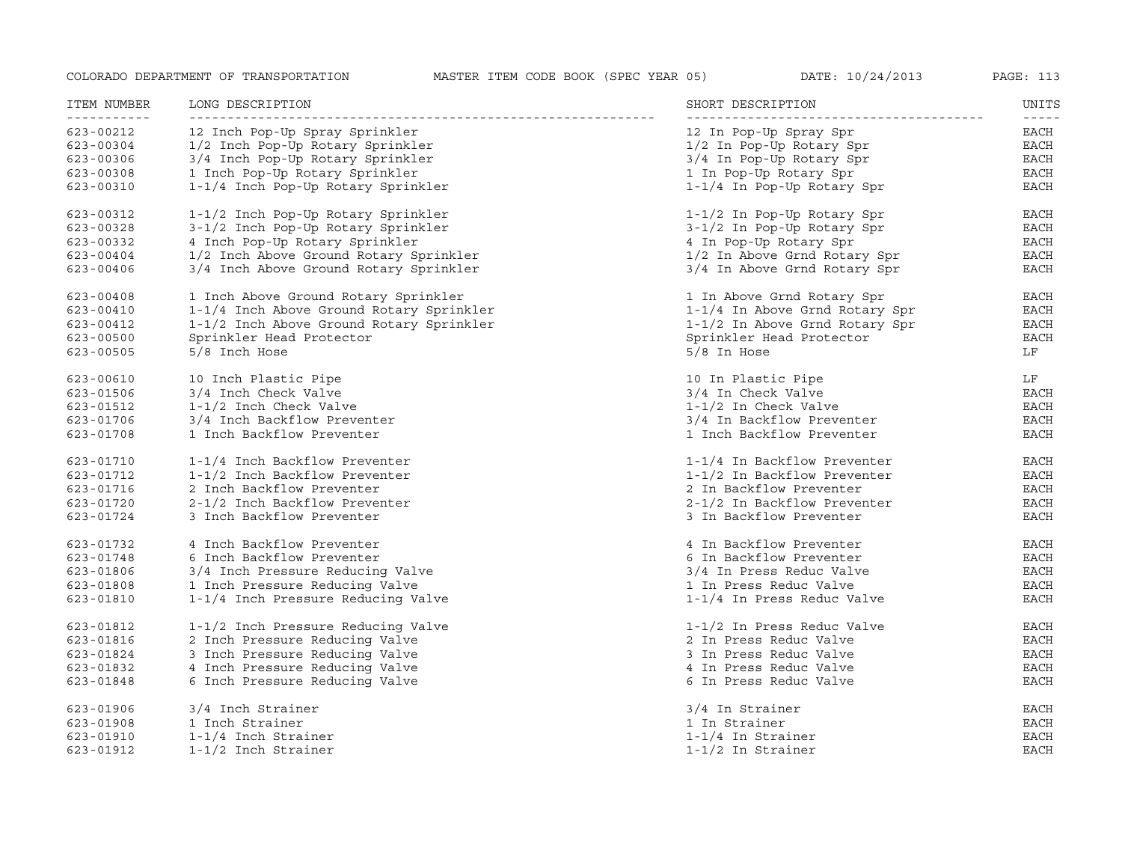| ITEM NUMBER<br><u> - - - - - - - - - - -</u> | LONG DESCRIPTION                                                     | SHORT DESCRIPTION                                    | UNITS<br>$- - - - - -$     |
|----------------------------------------------|----------------------------------------------------------------------|------------------------------------------------------|----------------------------|
| 623-00212                                    | 12 Inch Pop-Up Spray Sprinkler                                       | 12 In Pop-Up Spray Spr                               | EACH                       |
| 623-00304                                    | 1/2 Inch Pop-Up Rotary Sprinkler                                     | 1/2 In Pop-Up Rotary Spr                             | EACH                       |
| 623-00306                                    | 3/4 Inch Pop-Up Rotary Sprinkler                                     | 3/4 In Pop-Up Rotary Spr                             | EACH                       |
| 623-00308                                    | 1 Inch Pop-Up Rotary Sprinkler                                       | 1 In Pop-Up Rotary Spr                               | EACH                       |
| 623-00310                                    | 1-1/4 Inch Pop-Up Rotary Sprinkler                                   | 1-1/4 In Pop-Up Rotary Spr                           | EACH                       |
| 623-00312                                    | 1-1/2 Inch Pop-Up Rotary Sprinkler                                   | $1-1/2$ In Pop-Up Rotary Spr                         | EACH                       |
| 623-00328                                    | 3-1/2 Inch Pop-Up Rotary Sprinkler                                   | 3-1/2 In Pop-Up Rotary Spr                           | EACH                       |
| 623-00332                                    | 4 Inch Pop-Up Rotary Sprinkler                                       | 4 In Pop-Up Rotary Spr                               | EACH                       |
| 623-00404                                    | 1/2 Inch Above Ground Rotary Sprinkler                               | 1/2 In Above Grnd Rotary Spr                         | EACH                       |
| 623-00406                                    | 3/4 Inch Above Ground Rotary Sprinkler                               | 3/4 In Above Grnd Rotary Spr                         | EACH                       |
| 623-00408                                    | 1 Inch Above Ground Rotary Sprinkler                                 | 1 In Above Grnd Rotary Spr                           | EACH                       |
| 623-00410                                    | 1-1/4 Inch Above Ground Rotary Sprinkler                             | 1-1/4 In Above Grnd Rotary Spr                       | <b>EACH</b>                |
| $623 - 00412$                                | 1-1/2 Inch Above Ground Rotary Sprinkler                             | 1-1/2 In Above Grnd Rotary Spr                       | <b>EACH</b>                |
| $623 - 00500$                                | Sprinkler Head Protector                                             | Sprinkler Head Protector                             | EACH                       |
| $623 - 00505$                                | 5/8 Inch Hose                                                        | $5/8$ In Hose                                        | LF                         |
| 623-00610                                    | 10 Inch Plastic Pipe                                                 | 10 In Plastic Pipe                                   | LF                         |
| 623-01506                                    | 3/4 Inch Check Valve                                                 | 3/4 In Check Valve                                   | EACH                       |
| 623-01512                                    | 1-1/2 Inch Check Valve                                               | $1-1/2$ In Check Valve                               | EACH                       |
| 623-01706                                    | 3/4 Inch Backflow Preventer                                          | 3/4 In Backflow Preventer                            | EACH                       |
| 623-01708                                    | 1 Inch Backflow Preventer                                            | 1 Inch Backflow Preventer                            | <b>EACH</b>                |
| 623-01710                                    | 1-1/4 Inch Backflow Preventer                                        | 1-1/4 In Backflow Preventer                          | EACH                       |
| 623-01712                                    | 1-1/2 Inch Backflow Preventer                                        | 1-1/2 In Backflow Preventer                          | EACH                       |
| 623-01716                                    | 2 Inch Backflow Preventer                                            | 2 In Backflow Preventer                              | EACH                       |
| 623-01720                                    | 2-1/2 Inch Backflow Preventer                                        | 2-1/2 In Backflow Preventer                          | EACH                       |
| 623-01724                                    | 3 Inch Backflow Preventer                                            | 3 In Backflow Preventer                              | <b>EACH</b>                |
| 623-01732                                    | 4 Inch Backflow Preventer                                            | 4 In Backflow Preventer                              | EACH                       |
| 623-01748                                    | 6 Inch Backflow Preventer                                            | 6 In Backflow Preventer                              | EACH                       |
| 623-01806                                    | 3/4 Inch Pressure Reducing Valve                                     | 3/4 In Press Reduc Valve                             | EACH                       |
| 623-01808<br>623-01810                       | 1 Inch Pressure Reducing Valve<br>1-1/4 Inch Pressure Reducing Valve | 1 In Press Reduc Valve<br>1-1/4 In Press Reduc Valve | <b>EACH</b><br><b>EACH</b> |
|                                              |                                                                      |                                                      |                            |
| 623-01812                                    | 1-1/2 Inch Pressure Reducing Valve                                   | 1-1/2 In Press Reduc Valve                           | EACH                       |
| 623-01816                                    | 2 Inch Pressure Reducing Valve                                       | 2 In Press Reduc Valve                               | EACH                       |
| 623-01824                                    | 3 Inch Pressure Reducing Valve                                       | 3 In Press Reduc Valve                               | <b>EACH</b>                |
| 623-01832                                    | 4 Inch Pressure Reducing Valve                                       | 4 In Press Reduc Valve                               | EACH                       |
| 623-01848                                    | 6 Inch Pressure Reducing Valve                                       | 6 In Press Reduc Valve                               | <b>EACH</b>                |
| 623-01906                                    | 3/4 Inch Strainer                                                    | 3/4 In Strainer                                      | EACH                       |
| 623-01908                                    | 1 Inch Strainer                                                      | 1 In Strainer                                        | EACH                       |
| 623-01910                                    | $1-1/4$ Inch Strainer                                                | $1-1/4$ In Strainer                                  | <b>EACH</b>                |
| 623-01912                                    | $1-1/2$ Inch Strainer                                                | $1-1/2$ In Strainer                                  | <b>EACH</b>                |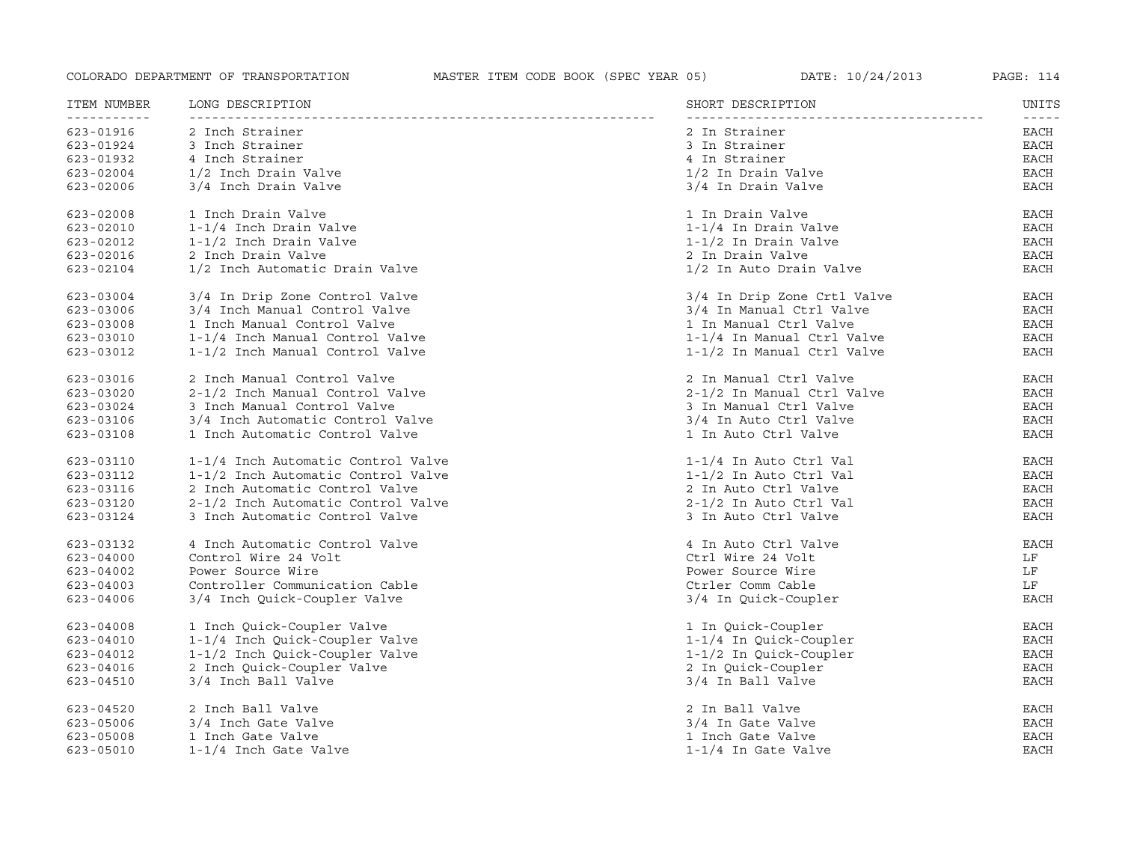| ITEM NUMBER<br>. | LONG DESCRIPTION                   | SHORT DESCRIPTION           | UNITS<br>$- - - - -$ |
|------------------|------------------------------------|-----------------------------|----------------------|
| 623-01916        | 2 Inch Strainer                    | 2 In Strainer               | EACH                 |
| 623-01924        | 3 Inch Strainer                    | 3 In Strainer               | EACH                 |
| 623-01932        | 4 Inch Strainer                    | 4 In Strainer               | EACH                 |
| $623 - 02004$    | 1/2 Inch Drain Valve               | 1/2 In Drain Valve          | EACH                 |
| 623-02006        | 3/4 Inch Drain Valve               | 3/4 In Drain Valve          | <b>EACH</b>          |
| 623-02008        | 1 Inch Drain Valve                 | 1 In Drain Valve            | <b>EACH</b>          |
| 623-02010        | 1-1/4 Inch Drain Valve             | 1-1/4 In Drain Valve        | EACH                 |
| 623-02012        | 1-1/2 Inch Drain Valve             | $1-1/2$ In Drain Valve      | <b>EACH</b>          |
| 623-02016        | 2 Inch Drain Valve                 | 2 In Drain Valve            | <b>EACH</b>          |
| 623-02104        | 1/2 Inch Automatic Drain Valve     | 1/2 In Auto Drain Valve     | EACH                 |
| 623-03004        | 3/4 In Drip Zone Control Valve     | 3/4 In Drip Zone Crtl Valve | EACH                 |
| 623-03006        | 3/4 Inch Manual Control Valve      | 3/4 In Manual Ctrl Valve    | <b>EACH</b>          |
| 623-03008        | 1 Inch Manual Control Valve        | 1 In Manual Ctrl Valve      | <b>EACH</b>          |
| 623-03010        | 1-1/4 Inch Manual Control Valve    | 1-1/4 In Manual Ctrl Valve  | EACH                 |
| 623-03012        | 1-1/2 Inch Manual Control Valve    | 1-1/2 In Manual Ctrl Valve  | <b>EACH</b>          |
| 623-03016        | 2 Inch Manual Control Valve        | 2 In Manual Ctrl Valve      | EACH                 |
| 623-03020        | 2-1/2 Inch Manual Control Valve    | 2-1/2 In Manual Ctrl Valve  | EACH                 |
| 623-03024        | 3 Inch Manual Control Valve        | 3 In Manual Ctrl Valve      | <b>EACH</b>          |
| 623-03106        | 3/4 Inch Automatic Control Valve   | 3/4 In Auto Ctrl Valve      | <b>EACH</b>          |
| 623-03108        | 1 Inch Automatic Control Valve     | 1 In Auto Ctrl Valve        | <b>EACH</b>          |
| 623-03110        | 1-1/4 Inch Automatic Control Valve | 1-1/4 In Auto Ctrl Val      | EACH                 |
| 623-03112        | 1-1/2 Inch Automatic Control Valve | 1-1/2 In Auto Ctrl Val      | <b>EACH</b>          |
| 623-03116        | 2 Inch Automatic Control Valve     | 2 In Auto Ctrl Valve        | <b>EACH</b>          |
| 623-03120        | 2-1/2 Inch Automatic Control Valve | 2-1/2 In Auto Ctrl Val      | EACH                 |
| 623-03124        | 3 Inch Automatic Control Valve     | 3 In Auto Ctrl Valve        | EACH                 |
| 623-03132        | 4 Inch Automatic Control Valve     | 4 In Auto Ctrl Valve        | <b>EACH</b>          |
| $623 - 04000$    | Control Wire 24 Volt               | Ctrl Wire 24 Volt           | LF                   |
| 623-04002        | Power Source Wire                  | Power Source Wire           | LF                   |
| 623-04003        | Controller Communication Cable     | Ctrler Comm Cable           | LF                   |
| 623-04006        | 3/4 Inch Quick-Coupler Valve       | 3/4 In Quick-Coupler        | <b>EACH</b>          |
| 623-04008        | 1 Inch Quick-Coupler Valve         | 1 In Quick-Coupler          | EACH                 |
| 623-04010        | 1-1/4 Inch Quick-Coupler Valve     | 1-1/4 In Quick-Coupler      | EACH                 |
| 623-04012        | 1-1/2 Inch Quick-Coupler Valve     | 1-1/2 In Quick-Coupler      | <b>EACH</b>          |
| 623-04016        | 2 Inch Quick-Coupler Valve         | 2 In Quick-Coupler          | <b>EACH</b>          |
| 623-04510        | 3/4 Inch Ball Valve                | 3/4 In Ball Valve           | <b>EACH</b>          |
| 623-04520        | 2 Inch Ball Valve                  | 2 In Ball Valve             | <b>EACH</b>          |
| 623-05006        | 3/4 Inch Gate Valve                | 3/4 In Gate Valve           | <b>EACH</b>          |
| 623-05008        | 1 Inch Gate Valve                  | 1 Inch Gate Valve           | <b>EACH</b>          |
| $623 - 05010$    | 1-1/4 Inch Gate Valve              | $1-1/4$ In Gate Valve       | <b>EACH</b>          |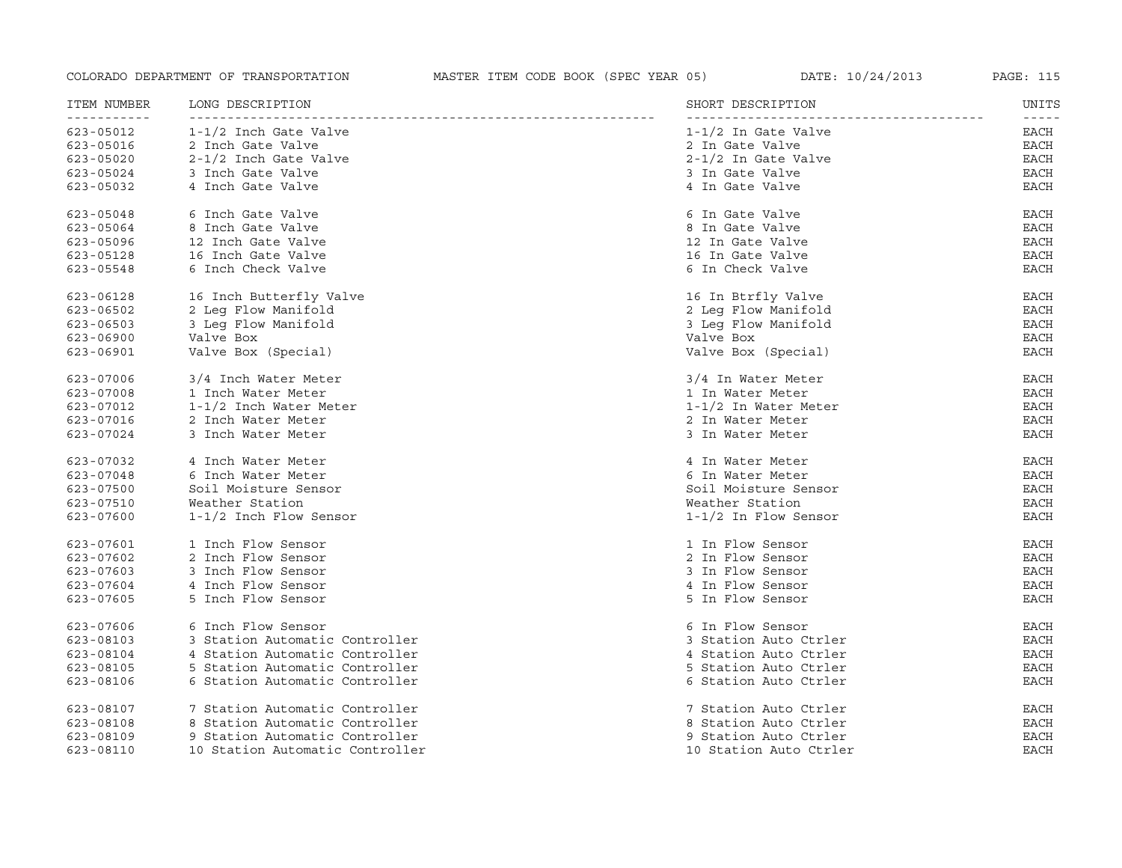| ITEM NUMBER   | LONG DESCRIPTION                | SHORT DESCRIPTION      | UNITS         |
|---------------|---------------------------------|------------------------|---------------|
| $623 - 05012$ | 1-1/2 Inch Gate Valve           | 1-1/2 In Gate Valve    | -----<br>EACH |
| 623-05016     | 2 Inch Gate Valve               | 2 In Gate Valve        | EACH          |
| 623-05020     | 2-1/2 Inch Gate Valve           | $2-1/2$ In Gate Valve  | EACH          |
| 623-05024     | 3 Inch Gate Valve               | 3 In Gate Valve        | <b>EACH</b>   |
| 623-05032     | 4 Inch Gate Valve               | 4 In Gate Valve        | <b>EACH</b>   |
| 623-05048     | 6 Inch Gate Valve               | 6 In Gate Valve        | EACH          |
| 623-05064     | 8 Inch Gate Valve               | 8 In Gate Valve        | <b>EACH</b>   |
| 623-05096     | 12 Inch Gate Valve              | 12 In Gate Valve       | <b>EACH</b>   |
| 623-05128     | 16 Inch Gate Valve              | 16 In Gate Valve       | EACH          |
| 623-05548     | 6 Inch Check Valve              | 6 In Check Valve       | EACH          |
| 623-06128     | 16 Inch Butterfly Valve         | 16 In Btrfly Valve     | EACH          |
| 623-06502     | 2 Leq Flow Manifold             | 2 Leg Flow Manifold    | EACH          |
| 623-06503     | 3 Leq Flow Manifold             | 3 Leq Flow Manifold    | EACH          |
| 623-06900     | Valve Box                       | Valve Box              | <b>EACH</b>   |
| 623-06901     | Valve Box (Special)             | Valve Box (Special)    | <b>EACH</b>   |
| 623-07006     | 3/4 Inch Water Meter            | 3/4 In Water Meter     | EACH          |
| 623-07008     | 1 Inch Water Meter              | 1 In Water Meter       | EACH          |
| 623-07012     | 1-1/2 Inch Water Meter          | 1-1/2 In Water Meter   | <b>EACH</b>   |
| 623-07016     | 2 Inch Water Meter              | 2 In Water Meter       | EACH          |
| 623-07024     | 3 Inch Water Meter              | 3 In Water Meter       | EACH          |
| 623-07032     | 4 Inch Water Meter              | 4 In Water Meter       | EACH          |
| 623-07048     | 6 Inch Water Meter              | 6 In Water Meter       | EACH          |
| $623 - 07500$ | Soil Moisture Sensor            | Soil Moisture Sensor   | <b>EACH</b>   |
| 623-07510     | Weather Station                 | Weather Station        | <b>EACH</b>   |
| 623-07600     | $1-1/2$ Inch Flow Sensor        | $1-1/2$ In Flow Sensor | <b>EACH</b>   |
| 623-07601     | 1 Inch Flow Sensor              | 1 In Flow Sensor       | EACH          |
| 623-07602     | 2 Inch Flow Sensor              | 2 In Flow Sensor       | <b>EACH</b>   |
| 623-07603     | 3 Inch Flow Sensor              | 3 In Flow Sensor       | <b>EACH</b>   |
| 623-07604     | 4 Inch Flow Sensor              | 4 In Flow Sensor       | <b>EACH</b>   |
| 623-07605     | 5 Inch Flow Sensor              | 5 In Flow Sensor       | EACH          |
| 623-07606     | 6 Inch Flow Sensor              | 6 In Flow Sensor       | EACH          |
| 623-08103     | 3 Station Automatic Controller  | 3 Station Auto Ctrler  | <b>EACH</b>   |
| 623-08104     | 4 Station Automatic Controller  | 4 Station Auto Ctrler  | <b>EACH</b>   |
| 623-08105     | 5 Station Automatic Controller  | 5 Station Auto Ctrler  | <b>EACH</b>   |
| 623-08106     | 6 Station Automatic Controller  | 6 Station Auto Ctrler  | <b>EACH</b>   |
| 623-08107     | 7 Station Automatic Controller  | 7 Station Auto Ctrler  | EACH          |
| 623-08108     | 8 Station Automatic Controller  | 8 Station Auto Ctrler  | EACH          |
| 623-08109     | 9 Station Automatic Controller  | 9 Station Auto Ctrler  | <b>EACH</b>   |
| 623-08110     | 10 Station Automatic Controller | 10 Station Auto Ctrler | <b>EACH</b>   |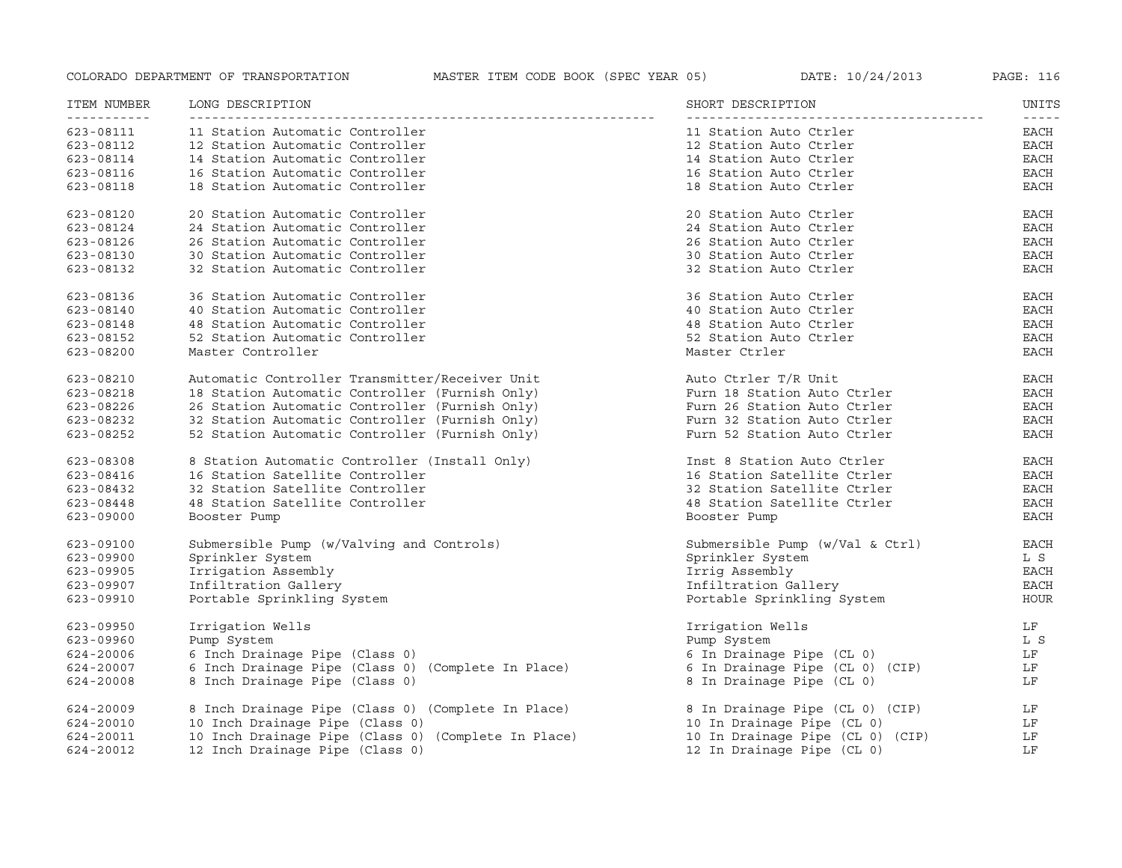| ITEM NUMBER | LONG DESCRIPTION                                    | SHORT DESCRIPTION                 | UNITS                                                                                                                                                                                                                                                                                                                                                                                                |
|-------------|-----------------------------------------------------|-----------------------------------|------------------------------------------------------------------------------------------------------------------------------------------------------------------------------------------------------------------------------------------------------------------------------------------------------------------------------------------------------------------------------------------------------|
| 623-08111   | 11 Station Automatic Controller                     | 11 Station Auto Ctrler            | $\frac{1}{2} \frac{1}{2} \frac{1}{2} \frac{1}{2} \frac{1}{2} \frac{1}{2} \frac{1}{2} \frac{1}{2} \frac{1}{2} \frac{1}{2} \frac{1}{2} \frac{1}{2} \frac{1}{2} \frac{1}{2} \frac{1}{2} \frac{1}{2} \frac{1}{2} \frac{1}{2} \frac{1}{2} \frac{1}{2} \frac{1}{2} \frac{1}{2} \frac{1}{2} \frac{1}{2} \frac{1}{2} \frac{1}{2} \frac{1}{2} \frac{1}{2} \frac{1}{2} \frac{1}{2} \frac{1}{2} \frac{$<br>EACH |
| 623-08112   | 12 Station Automatic Controller                     | 12 Station Auto Ctrler            | EACH                                                                                                                                                                                                                                                                                                                                                                                                 |
| 623-08114   | 14 Station Automatic Controller                     | 14 Station Auto Ctrler            | <b>EACH</b>                                                                                                                                                                                                                                                                                                                                                                                          |
| 623-08116   | 16 Station Automatic Controller                     | 16 Station Auto Ctrler            | EACH                                                                                                                                                                                                                                                                                                                                                                                                 |
| 623-08118   | 18 Station Automatic Controller                     | 18 Station Auto Ctrler            | <b>EACH</b>                                                                                                                                                                                                                                                                                                                                                                                          |
| 623-08120   | 20 Station Automatic Controller                     | 20 Station Auto Ctrler            | EACH                                                                                                                                                                                                                                                                                                                                                                                                 |
| 623-08124   | 24 Station Automatic Controller                     | 24 Station Auto Ctrler            | <b>EACH</b>                                                                                                                                                                                                                                                                                                                                                                                          |
| 623-08126   | 26 Station Automatic Controller                     | 26 Station Auto Ctrler            | <b>EACH</b>                                                                                                                                                                                                                                                                                                                                                                                          |
| 623-08130   | 30 Station Automatic Controller                     | 30 Station Auto Ctrler            | <b>EACH</b>                                                                                                                                                                                                                                                                                                                                                                                          |
| 623-08132   | 32 Station Automatic Controller                     | 32 Station Auto Ctrler            | <b>EACH</b>                                                                                                                                                                                                                                                                                                                                                                                          |
| 623-08136   | 36 Station Automatic Controller                     | 36 Station Auto Ctrler            | EACH                                                                                                                                                                                                                                                                                                                                                                                                 |
| 623-08140   | 40 Station Automatic Controller                     | 40 Station Auto Ctrler            | <b>EACH</b>                                                                                                                                                                                                                                                                                                                                                                                          |
| 623-08148   | 48 Station Automatic Controller                     | 48 Station Auto Ctrler            | <b>EACH</b>                                                                                                                                                                                                                                                                                                                                                                                          |
| 623-08152   | 52 Station Automatic Controller                     | 52 Station Auto Ctrler            | <b>EACH</b>                                                                                                                                                                                                                                                                                                                                                                                          |
| 623-08200   | Master Controller                                   | Master Ctrler                     | <b>EACH</b>                                                                                                                                                                                                                                                                                                                                                                                          |
| 623-08210   | Automatic Controller Transmitter/Receiver Unit      | Auto Ctrler T/R Unit              | <b>EACH</b>                                                                                                                                                                                                                                                                                                                                                                                          |
| 623-08218   | 18 Station Automatic Controller (Furnish Only)      | Furn 18 Station Auto Ctrler       | EACH                                                                                                                                                                                                                                                                                                                                                                                                 |
| 623-08226   | 26 Station Automatic Controller (Furnish Only)      | Furn 26 Station Auto Ctrler       | <b>EACH</b>                                                                                                                                                                                                                                                                                                                                                                                          |
| 623-08232   | 32 Station Automatic Controller (Furnish Only)      | Furn 32 Station Auto Ctrler       | <b>EACH</b>                                                                                                                                                                                                                                                                                                                                                                                          |
| 623-08252   | 52 Station Automatic Controller (Furnish Only)      | Furn 52 Station Auto Ctrler       | <b>EACH</b>                                                                                                                                                                                                                                                                                                                                                                                          |
| 623-08308   | 8 Station Automatic Controller (Install Only)       | Inst 8 Station Auto Ctrler        | <b>EACH</b>                                                                                                                                                                                                                                                                                                                                                                                          |
| 623-08416   | 16 Station Satellite Controller                     | 16 Station Satellite Ctrler       | <b>EACH</b>                                                                                                                                                                                                                                                                                                                                                                                          |
| 623-08432   | 32 Station Satellite Controller                     | 32 Station Satellite Ctrler       | <b>EACH</b>                                                                                                                                                                                                                                                                                                                                                                                          |
| 623-08448   | 48 Station Satellite Controller                     | 48 Station Satellite Ctrler       | <b>EACH</b>                                                                                                                                                                                                                                                                                                                                                                                          |
| 623-09000   | Booster Pump                                        | Booster Pump                      | <b>EACH</b>                                                                                                                                                                                                                                                                                                                                                                                          |
| 623-09100   | Submersible Pump (w/Valving and Controls)           | Submersible Pump $(w/Val & Ctr1)$ | <b>EACH</b>                                                                                                                                                                                                                                                                                                                                                                                          |
| 623-09900   | Sprinkler System                                    | Sprinkler System                  | L S                                                                                                                                                                                                                                                                                                                                                                                                  |
| 623-09905   | Irrigation Assembly                                 | Irrig Assembly                    | EACH                                                                                                                                                                                                                                                                                                                                                                                                 |
| 623-09907   | Infiltration Gallery                                | Infiltration Gallery              | EACH                                                                                                                                                                                                                                                                                                                                                                                                 |
| 623-09910   | Portable Sprinkling System                          | Portable Sprinkling System        | HOUR                                                                                                                                                                                                                                                                                                                                                                                                 |
| 623-09950   | Irrigation Wells                                    | Irrigation Wells                  | LF                                                                                                                                                                                                                                                                                                                                                                                                   |
| 623-09960   | Pump System                                         | Pump System                       | L S                                                                                                                                                                                                                                                                                                                                                                                                  |
| 624-20006   | 6 Inch Drainage Pipe (Class 0)                      | 6 In Drainage Pipe (CL 0)         | LF                                                                                                                                                                                                                                                                                                                                                                                                   |
| 624-20007   | 6 Inch Drainage Pipe (Class 0) (Complete In Place)  | 6 In Drainage Pipe (CL 0) (CIP)   | LF                                                                                                                                                                                                                                                                                                                                                                                                   |
| 624-20008   | 8 Inch Drainage Pipe (Class 0)                      | 8 In Drainage Pipe (CL 0)         | LF                                                                                                                                                                                                                                                                                                                                                                                                   |
| 624-20009   | 8 Inch Drainage Pipe (Class 0) (Complete In Place)  | 8 In Drainage Pipe (CL 0) (CIP)   | LF                                                                                                                                                                                                                                                                                                                                                                                                   |
| 624-20010   | 10 Inch Drainage Pipe (Class 0)                     | 10 In Drainage Pipe (CL 0)        | LF                                                                                                                                                                                                                                                                                                                                                                                                   |
| 624-20011   | 10 Inch Drainage Pipe (Class 0) (Complete In Place) | 10 In Drainage Pipe (CL 0) (CIP)  | LF                                                                                                                                                                                                                                                                                                                                                                                                   |
| 624-20012   | 12 Inch Drainage Pipe (Class 0)                     | 12 In Drainage Pipe (CL 0)        | LF                                                                                                                                                                                                                                                                                                                                                                                                   |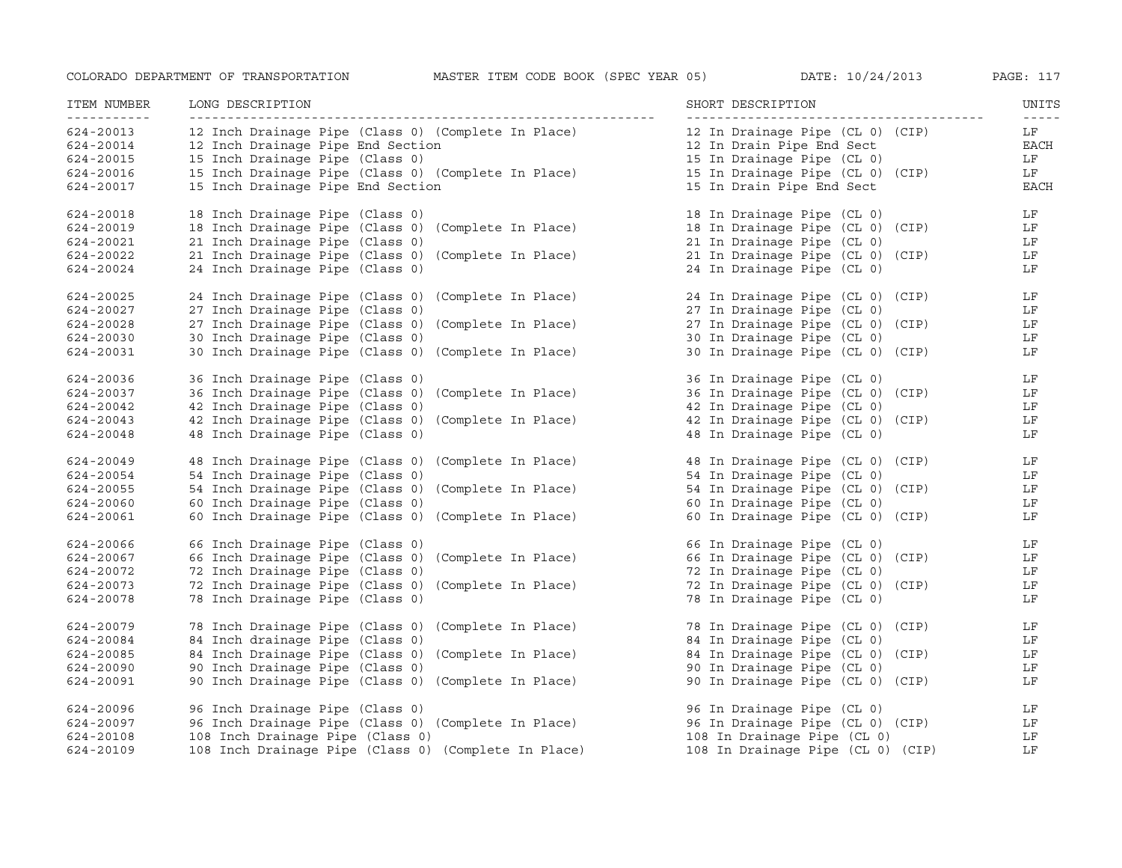| ITEM NUMBER<br><u> - - - - - - - - - - -</u> | LONG DESCRIPTION                                                                                           | SHORT DESCRIPTION                 | UNITS<br>$\frac{1}{2} \frac{1}{2} \frac{1}{2} \frac{1}{2} \frac{1}{2} \frac{1}{2} \frac{1}{2} \frac{1}{2} \frac{1}{2} \frac{1}{2} \frac{1}{2} \frac{1}{2} \frac{1}{2} \frac{1}{2} \frac{1}{2} \frac{1}{2} \frac{1}{2} \frac{1}{2} \frac{1}{2} \frac{1}{2} \frac{1}{2} \frac{1}{2} \frac{1}{2} \frac{1}{2} \frac{1}{2} \frac{1}{2} \frac{1}{2} \frac{1}{2} \frac{1}{2} \frac{1}{2} \frac{1}{2} \frac{$ |
|----------------------------------------------|------------------------------------------------------------------------------------------------------------|-----------------------------------|-------------------------------------------------------------------------------------------------------------------------------------------------------------------------------------------------------------------------------------------------------------------------------------------------------------------------------------------------------------------------------------------------------|
| 624-20013                                    | 12 Inch Drainage Pipe (Class 0) (Complete In Place)                                                        | 12 In Drainage Pipe (CL 0) (CIP)  | LF                                                                                                                                                                                                                                                                                                                                                                                                    |
| 624-20014                                    | 12 Inch Drainage Pipe End Section                                                                          | 12 In Drain Pipe End Sect         | EACH                                                                                                                                                                                                                                                                                                                                                                                                  |
| 624-20015                                    | 15 Inch Drainage Pipe (Class 0)                                                                            | 15 In Drainage Pipe (CL 0)        | LF                                                                                                                                                                                                                                                                                                                                                                                                    |
| 624-20016                                    | 15 Inch Drainage Pipe (Class 0) (Complete In Place)<br>15 Inch Drainage Pipe (Class 0) (Complete In Place) | 15 In Drainage Pipe (CL 0) (CIP)  | LF                                                                                                                                                                                                                                                                                                                                                                                                    |
| 624-20017                                    | 15 Inch Drainage Pipe End Section                                                                          | 15 In Drain Pipe End Sect         | <b>EACH</b>                                                                                                                                                                                                                                                                                                                                                                                           |
| 624-20018                                    | 18 Inch Drainage Pipe (Class 0)                                                                            | 18 In Drainage Pipe (CL 0)        | LF                                                                                                                                                                                                                                                                                                                                                                                                    |
| 624-20019                                    | 18 Inch Drainage Pipe (Class 0) (Complete In Place)                                                        | 18 In Drainage Pipe (CL 0) (CIP)  | LF                                                                                                                                                                                                                                                                                                                                                                                                    |
| 624-20021                                    | 21 Inch Drainage Pipe (Class 0)                                                                            | 21 In Drainage Pipe (CL 0)        | LF                                                                                                                                                                                                                                                                                                                                                                                                    |
| 624-20022                                    | 21 Inch Drainage Pipe (Class 0) (Complete In Place)                                                        | 21 In Drainage Pipe (CL 0) (CIP)  | LF                                                                                                                                                                                                                                                                                                                                                                                                    |
| 624-20024                                    | 24 Inch Drainage Pipe (Class 0)                                                                            | 24 In Drainage Pipe (CL 0)        | LF                                                                                                                                                                                                                                                                                                                                                                                                    |
| 624-20025                                    | 24 Inch Drainage Pipe (Class 0) (Complete In Place)                                                        | 24 In Drainage Pipe (CL 0) (CIP)  | LF                                                                                                                                                                                                                                                                                                                                                                                                    |
| 624-20027                                    | 27 Inch Drainage Pipe (Class 0)                                                                            | 27 In Drainage Pipe (CL 0)        | LF                                                                                                                                                                                                                                                                                                                                                                                                    |
| 624-20028                                    | 27 Inch Drainage Pipe (Class 0) (Complete In Place)                                                        | 27 In Drainage Pipe (CL 0) (CIP)  | LF                                                                                                                                                                                                                                                                                                                                                                                                    |
| 624-20030                                    | 30 Inch Drainage Pipe (Class 0)                                                                            | 30 In Drainage Pipe (CL 0)        | LF                                                                                                                                                                                                                                                                                                                                                                                                    |
| 624-20031                                    | 30 Inch Drainage Pipe (Class 0) (Complete In Place)                                                        | 30 In Drainage Pipe (CL 0) (CIP)  | LF                                                                                                                                                                                                                                                                                                                                                                                                    |
| 624-20036                                    | 36 Inch Drainage Pipe (Class 0)                                                                            | 36 In Drainage Pipe (CL 0)        | LF                                                                                                                                                                                                                                                                                                                                                                                                    |
| 624-20037                                    | 36 Inch Drainage Pipe (Class 0) (Complete In Place)                                                        | 36 In Drainage Pipe (CL 0) (CIP)  | LF                                                                                                                                                                                                                                                                                                                                                                                                    |
| 624-20042                                    | 42 Inch Drainage Pipe (Class 0)                                                                            | 42 In Drainage Pipe (CL 0)        | LF                                                                                                                                                                                                                                                                                                                                                                                                    |
| 624-20043                                    | 42 Inch Drainage Pipe (Class 0) (Complete In Place)                                                        | 42 In Drainage Pipe (CL 0) (CIP)  | LF                                                                                                                                                                                                                                                                                                                                                                                                    |
| 624-20048                                    | 48 Inch Drainage Pipe (Class 0)                                                                            | 48 In Drainage Pipe (CL 0)        | LF                                                                                                                                                                                                                                                                                                                                                                                                    |
| 624-20049                                    | 48 Inch Drainage Pipe (Class 0) (Complete In Place)                                                        | 48 In Drainage Pipe (CL 0) (CIP)  | LF                                                                                                                                                                                                                                                                                                                                                                                                    |
| 624-20054                                    | 54 Inch Drainage Pipe (Class 0)                                                                            | 54 In Drainage Pipe (CL 0)        | LF                                                                                                                                                                                                                                                                                                                                                                                                    |
| 624-20055                                    | 54 Inch Drainage Pipe (Class 0) (Complete In Place)                                                        | 54 In Drainage Pipe (CL 0) (CIP)  | LF                                                                                                                                                                                                                                                                                                                                                                                                    |
| 624-20060                                    | 60 Inch Drainage Pipe (Class 0)                                                                            | 60 In Drainage Pipe (CL 0)        | LF                                                                                                                                                                                                                                                                                                                                                                                                    |
| 624-20061                                    | 60 Inch Drainage Pipe (Class 0) (Complete In Place)                                                        | 60 In Drainage Pipe (CL 0) (CIP)  | LF                                                                                                                                                                                                                                                                                                                                                                                                    |
| 624-20066                                    | 66 Inch Drainage Pipe (Class 0)                                                                            | 66 In Drainage Pipe (CL 0)        | LF                                                                                                                                                                                                                                                                                                                                                                                                    |
| 624-20067                                    | 66 Inch Drainage Pipe (Class 0) (Complete In Place)                                                        | 66 In Drainage Pipe (CL 0) (CIP)  | LF                                                                                                                                                                                                                                                                                                                                                                                                    |
| 624-20072                                    | 72 Inch Drainage Pipe (Class 0)                                                                            | 72 In Drainage Pipe (CL 0)        | LF                                                                                                                                                                                                                                                                                                                                                                                                    |
| 624-20073                                    | 72 Inch Drainage Pipe (Class 0) (Complete In Place)                                                        | 72 In Drainage Pipe (CL 0) (CIP)  | LF                                                                                                                                                                                                                                                                                                                                                                                                    |
| 624-20078                                    | 78 Inch Drainage Pipe (Class 0)                                                                            | 78 In Drainage Pipe (CL 0)        | LF                                                                                                                                                                                                                                                                                                                                                                                                    |
| 624-20079                                    | 78 Inch Drainage Pipe (Class 0) (Complete In Place)                                                        | 78 In Drainage Pipe (CL 0) (CIP)  | LF                                                                                                                                                                                                                                                                                                                                                                                                    |
| 624-20084                                    | 84 Inch drainage Pipe (Class 0)                                                                            | 84 In Drainage Pipe (CL 0)        | LF                                                                                                                                                                                                                                                                                                                                                                                                    |
| 624-20085                                    | 84 Inch Drainage Pipe (Class 0) (Complete In Place)                                                        | 84 In Drainage Pipe (CL 0) (CIP)  | LF                                                                                                                                                                                                                                                                                                                                                                                                    |
| 624-20090                                    | 90 Inch Drainage Pipe (Class 0)                                                                            | 90 In Drainage Pipe (CL 0)        | LF                                                                                                                                                                                                                                                                                                                                                                                                    |
| 624-20091                                    | 90 Inch Drainage Pipe (Class 0) (Complete In Place)                                                        | 90 In Drainage Pipe (CL 0) (CIP)  | LF                                                                                                                                                                                                                                                                                                                                                                                                    |
| 624-20096                                    | 96 Inch Drainage Pipe (Class 0)                                                                            | 96 In Drainage Pipe (CL 0)        | LF                                                                                                                                                                                                                                                                                                                                                                                                    |
| 624-20097                                    | 96 Inch Drainage Pipe (Class 0) (Complete In Place)                                                        | 96 In Drainage Pipe (CL 0) (CIP)  | LF                                                                                                                                                                                                                                                                                                                                                                                                    |
| 624-20108                                    | 108 Inch Drainage Pipe (Class 0)                                                                           | 108 In Drainage Pipe (CL 0)       | LF                                                                                                                                                                                                                                                                                                                                                                                                    |
| 624-20109                                    | 108 Inch Drainage Pipe (Class 0) (Complete In Place)                                                       | 108 In Drainage Pipe (CL 0) (CIP) | LF                                                                                                                                                                                                                                                                                                                                                                                                    |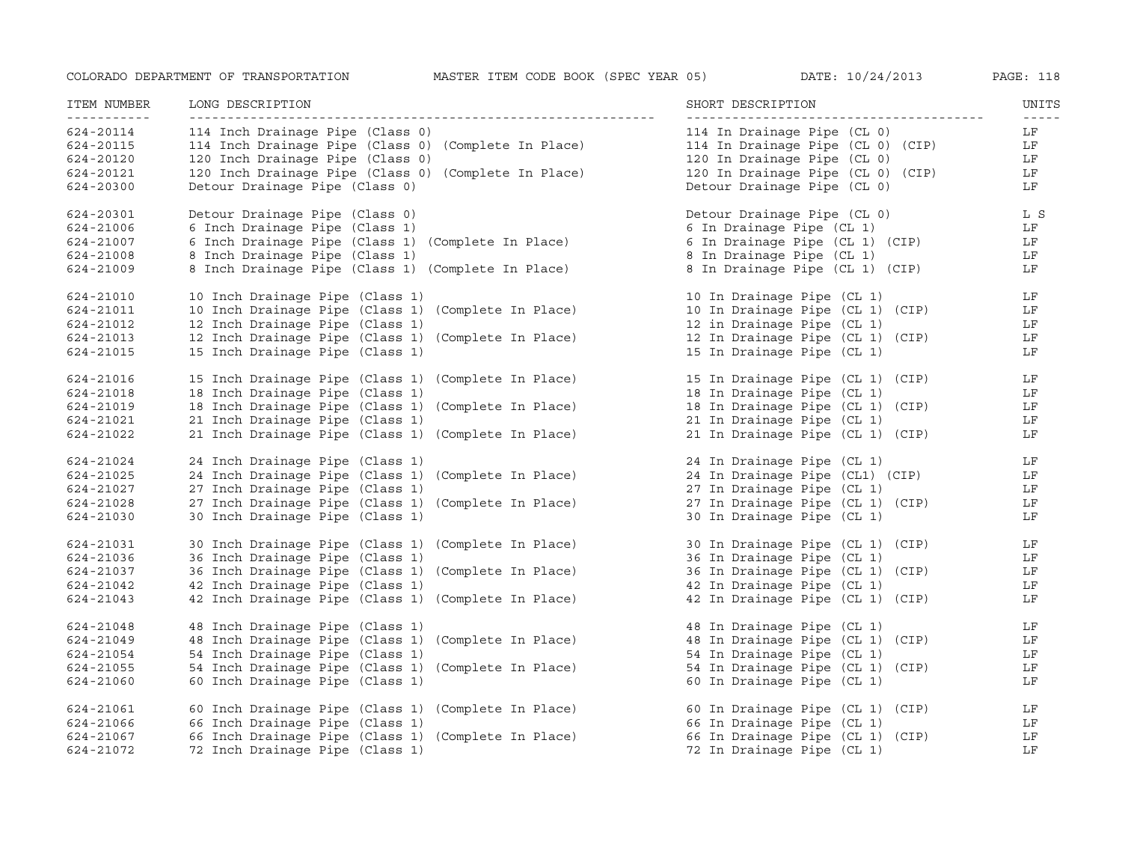| ITEM NUMBER<br>----------- | LONG DESCRIPTION                                     | SHORT DESCRIPTION                 | UNITS<br>$- - - - - -$ |
|----------------------------|------------------------------------------------------|-----------------------------------|------------------------|
| 624-20114                  | 114 Inch Drainage Pipe (Class 0)                     | 114 In Drainage Pipe (CL 0)       | LF                     |
| 624-20115                  | 114 Inch Drainage Pipe (Class 0) (Complete In Place) | 114 In Drainage Pipe (CL 0) (CIP) | LF                     |
| 624-20120                  | 120 Inch Drainage Pipe (Class 0)                     | 120 In Drainage Pipe (CL 0)       | LF                     |
| 624-20121                  | 120 Inch Drainage Pipe (Class 0) (Complete In Place) | 120 In Drainage Pipe (CL 0) (CIP) | LF                     |
| 624-20300                  | Detour Drainage Pipe (Class 0)                       | Detour Drainage Pipe (CL 0)       | LF                     |
| 624-20301                  | Detour Drainage Pipe (Class 0)                       | Detour Drainage Pipe (CL 0)       | L S                    |
| 624-21006                  | 6 Inch Drainage Pipe (Class 1)                       | 6 In Drainage Pipe (CL 1)         | LF                     |
| 624-21007                  | 6 Inch Drainage Pipe (Class 1) (Complete In Place)   | 6 In Drainage Pipe (CL 1) (CIP)   | LF                     |
| 624-21008                  | 8 Inch Drainage Pipe (Class 1)                       | 8 In Drainage Pipe (CL 1)         | LF                     |
| 624-21009                  | 8 Inch Drainage Pipe (Class 1) (Complete In Place)   | 8 In Drainage Pipe (CL 1) (CIP)   | LF                     |
| 624-21010                  | 10 Inch Drainage Pipe (Class 1)                      | 10 In Drainage Pipe (CL 1)        | LF                     |
| 624-21011                  | 10 Inch Drainage Pipe (Class 1) (Complete In Place)  | 10 In Drainage Pipe (CL 1) (CIP)  | LF                     |
| 624-21012                  | 12 Inch Drainage Pipe (Class 1)                      | 12 in Drainage Pipe (CL 1)        | LF                     |
| 624-21013                  | 12 Inch Drainage Pipe (Class 1) (Complete In Place)  | 12 In Drainage Pipe (CL 1) (CIP)  | LF                     |
| 624-21015                  | 15 Inch Drainage Pipe (Class 1)                      | 15 In Drainage Pipe (CL 1)        | LF                     |
| 624-21016                  | 15 Inch Drainage Pipe (Class 1) (Complete In Place)  | 15 In Drainage Pipe (CL 1) (CIP)  | $L_F$                  |
| 624-21018                  | 18 Inch Drainage Pipe (Class 1)                      | 18 In Drainage Pipe (CL 1)        | LF                     |
| 624-21019                  | 18 Inch Drainage Pipe (Class 1) (Complete In Place)  | 18 In Drainage Pipe (CL 1) (CIP)  | LF                     |
| 624-21021                  | 21 Inch Drainage Pipe (Class 1)                      | 21 In Drainage Pipe (CL 1)        | LF                     |
| 624-21022                  | 21 Inch Drainage Pipe (Class 1) (Complete In Place)  | 21 In Drainage Pipe (CL 1) (CIP)  | LF                     |
| 624-21024                  | 24 Inch Drainage Pipe (Class 1)                      | 24 In Drainage Pipe (CL 1)        | LF                     |
| 624-21025                  | 24 Inch Drainage Pipe (Class 1) (Complete In Place)  | 24 In Drainage Pipe (CL1) (CIP)   | LF                     |
| 624-21027                  | 27 Inch Drainage Pipe (Class 1)                      | 27 In Drainage Pipe (CL 1)        | LF                     |
| 624-21028                  | 27 Inch Drainage Pipe (Class 1) (Complete In Place)  | 27 In Drainage Pipe (CL 1) (CIP)  | LF                     |
| 624-21030                  | 30 Inch Drainage Pipe (Class 1)                      | 30 In Drainage Pipe (CL 1)        | LF                     |
| 624-21031                  | 30 Inch Drainage Pipe (Class 1) (Complete In Place)  | 30 In Drainage Pipe (CL 1) (CIP)  | LF                     |
| 624-21036                  | 36 Inch Drainage Pipe (Class 1)                      | 36 In Drainage Pipe (CL 1)        | LF                     |
| 624-21037                  | 36 Inch Drainage Pipe (Class 1) (Complete In Place)  | 36 In Drainage Pipe (CL 1) (CIP)  | LF                     |
| 624-21042                  | 42 Inch Drainage Pipe (Class 1)                      | 42 In Drainage Pipe (CL 1)        | LF                     |
| 624-21043                  | 42 Inch Drainage Pipe (Class 1) (Complete In Place)  | 42 In Drainage Pipe (CL 1) (CIP)  | LF                     |
| 624-21048                  | 48 Inch Drainage Pipe (Class 1)                      | 48 In Drainage Pipe (CL 1)        | LF                     |
| 624-21049                  | 48 Inch Drainage Pipe (Class 1) (Complete In Place)  | 48 In Drainage Pipe (CL 1) (CIP)  | LF                     |
| 624-21054                  | 54 Inch Drainage Pipe (Class 1)                      | 54 In Drainage Pipe (CL 1)        | LF                     |
| 624-21055                  | 54 Inch Drainage Pipe (Class 1) (Complete In Place)  | 54 In Drainage Pipe (CL 1) (CIP)  | LF                     |
| 624-21060                  | 60 Inch Drainage Pipe (Class 1)                      | 60 In Drainage Pipe (CL 1)        | LF                     |
| 624-21061                  | 60 Inch Drainage Pipe (Class 1) (Complete In Place)  | 60 In Drainage Pipe (CL 1) (CIP)  | LF                     |
| 624-21066                  | 66 Inch Drainage Pipe (Class 1)                      | 66 In Drainage Pipe (CL 1)        | LF                     |
| 624-21067                  | 66 Inch Drainage Pipe (Class 1) (Complete In Place)  | 66 In Drainage Pipe (CL 1) (CIP)  | LF                     |
| 624-21072                  | 72 Inch Drainage Pipe (Class 1)                      | 72 In Drainage Pipe (CL 1)        | LF                     |
|                            |                                                      |                                   |                        |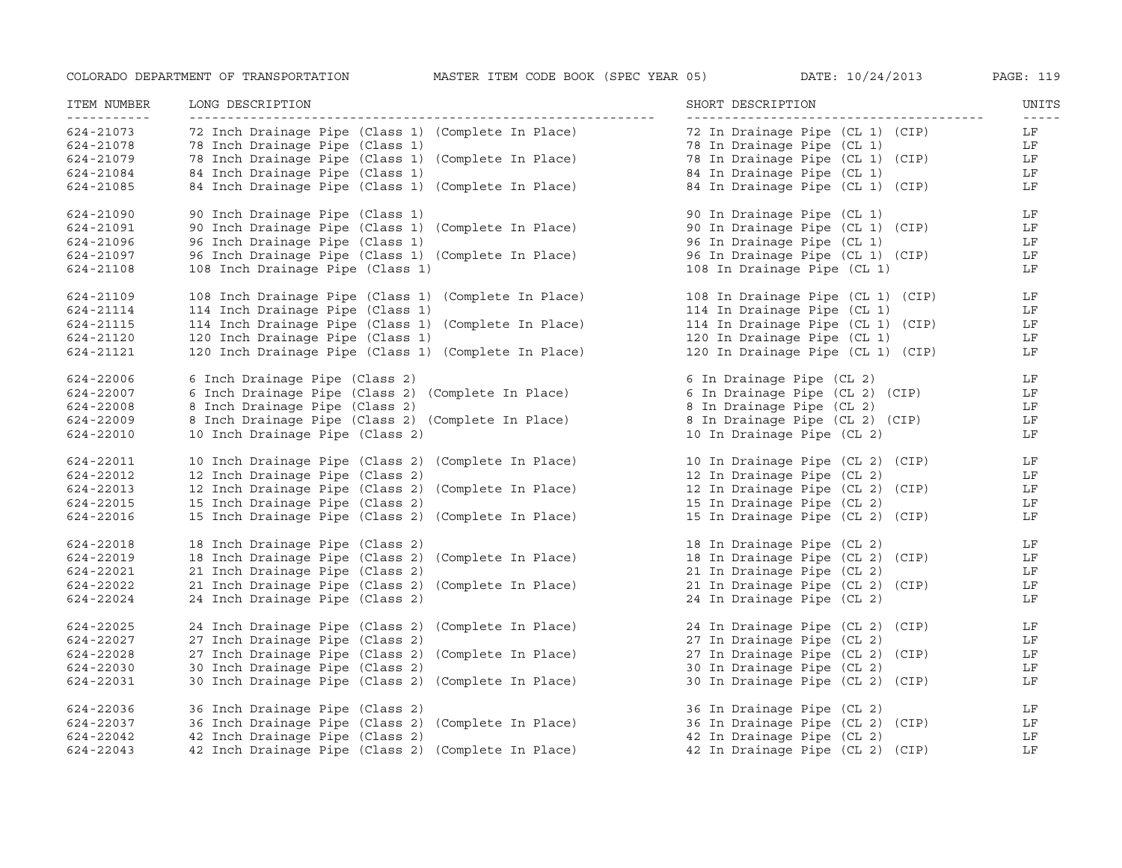| ITEM NUMBER<br>------------ | LONG DESCRIPTION                                     | SHORT DESCRIPTION                                            | UNITS               |
|-----------------------------|------------------------------------------------------|--------------------------------------------------------------|---------------------|
| 624-21073                   | 72 Inch Drainage Pipe (Class 1) (Complete In Place)  | 72 In Drainage Pipe (CL 1) (CIP)                             | $- - - - - -$<br>LF |
| 624-21078                   | 78 Inch Drainage Pipe (Class 1)                      | 78 In Drainage Pipe (CL 1)                                   | LF                  |
| 624-21079                   | 78 Inch Drainage Pipe (Class 1) (Complete In Place)  | 78 In Drainage Pipe (CL 1) (CIP)                             | LF                  |
| 624-21084                   | 84 Inch Drainage Pipe (Class 1)                      | 84 In Drainage Pipe (CL 1)                                   | LF                  |
| 624-21085                   | 84 Inch Drainage Pipe (Class 1) (Complete In Place)  | 84 In Drainage Pipe (CL 1) (CIP)                             | LF                  |
| 624-21090                   | 90 Inch Drainage Pipe (Class 1)                      | 90 In Drainage Pipe (CL 1)                                   | LF                  |
| 624-21091                   | 90 Inch Drainage Pipe (Class 1) (Complete In Place)  | 90 In Drainage Pipe (CL 1) (CIP)                             | LF                  |
| 624-21096                   | 96 Inch Drainage Pipe (Class 1)                      | 96 In Drainage Pipe (CL 1)                                   | LF                  |
| 624-21097                   | 96 Inch Drainage Pipe (Class 1) (Complete In Place)  | 96 In Drainage Pipe (CL 1) (CIP)                             | LF                  |
| 624-21108                   | 108 Inch Drainage Pipe (Class 1)                     | 108 In Drainage Pipe (CL 1)                                  | LF                  |
| 624-21109                   | 108 Inch Drainage Pipe (Class 1) (Complete In Place) | 108 In Drainage Pipe (CL 1) (CIP)                            | LF                  |
| 624-21114                   | 114 Inch Drainage Pipe (Class 1)                     | 114 In Drainage Pipe (CL 1)                                  | LF                  |
| 624-21115                   | 114 Inch Drainage Pipe (Class 1) (Complete In Place) | 114 In Drainage Pipe (CL 1) (CIP)                            | LF                  |
| 624-21120                   | 120 Inch Drainage Pipe (Class 1)                     | 120 In Drainage Pipe (CL 1)                                  | LF                  |
| 624-21121                   | 120 Inch Drainage Pipe (Class 1) (Complete In Place) | 120 In Drainage Pipe (CL 1) (CIP)                            | LF                  |
| 624-22006                   | 6 Inch Drainage Pipe (Class 2)                       | 6 In Drainage Pipe (CL 2)                                    | LF                  |
| 624-22007                   | 6 Inch Drainage Pipe (Class 2) (Complete In Place)   | 6 In Drainage Pipe (CL 2)<br>6 In Drainage Pipe (CL 2) (CIP) | LF                  |
| 624-22008                   | 8 Inch Drainage Pipe (Class 2)                       | 8 In Drainage Pipe (CL 2)<br>8 In Drainage Pipe (CL 2) (CIP) | LF                  |
| 624-22009                   | 8 Inch Drainage Pipe (Class 2) (Complete In Place)   |                                                              | LF                  |
| 624-22010                   | 10 Inch Drainage Pipe (Class 2)                      | 10 In Drainage Pipe (CL 2)                                   | LF                  |
| 624-22011                   | 10 Inch Drainage Pipe (Class 2) (Complete In Place)  | 10 In Drainage Pipe (CL 2) (CIP)                             | LF                  |
| 624-22012                   | 12 Inch Drainage Pipe (Class 2)                      | 12 In Drainage Pipe (CL 2)                                   | LF                  |
| 624-22013                   | 12 Inch Drainage Pipe (Class 2) (Complete In Place)  | 12 In Drainage Pipe (CL 2) (CIP)                             | LF                  |
| 624-22015                   | 15 Inch Drainage Pipe (Class 2)                      | 15 In Drainage Pipe (CL 2)                                   | LF                  |
| 624-22016                   | 15 Inch Drainage Pipe (Class 2) (Complete In Place)  | 15 In Drainage Pipe (CL 2) (CIP)                             | LF                  |
| 624-22018                   | 18 Inch Drainage Pipe (Class 2)                      | 18 In Drainage Pipe (CL 2)                                   | LF                  |
| 624-22019                   | 18 Inch Drainage Pipe (Class 2) (Complete In Place)  | 18 In Drainage Pipe (CL 2) (CIP)                             | LF                  |
| 624-22021                   | 21 Inch Drainage Pipe (Class 2)                      | 21 In Drainage Pipe (CL 2)                                   | LF                  |
| 624-22022                   | 21 Inch Drainage Pipe (Class 2) (Complete In Place)  | 21 In Drainage Pipe (CL 2) (CIP)                             | LF                  |
| 624-22024                   | 24 Inch Drainage Pipe (Class 2)                      | 24 In Drainage Pipe (CL 2)                                   | LF                  |
| 624-22025                   | 24 Inch Drainage Pipe (Class 2) (Complete In Place)  | 24 In Drainage Pipe (CL 2) (CIP)                             | $L_F$               |
| 624-22027                   | 27 Inch Drainage Pipe (Class 2)                      | 27 In Drainage Pipe (CL 2)                                   | LF                  |
| 624-22028                   | 27 Inch Drainage Pipe (Class 2) (Complete In Place)  | 27 In Drainage Pipe (CL 2) (CIP)                             | LF                  |
| 624-22030                   | 30 Inch Drainage Pipe (Class 2)                      | 30 In Drainage Pipe (CL 2)                                   | LF                  |
| 624-22031                   | 30 Inch Drainage Pipe (Class 2) (Complete In Place)  | 30 In Drainage Pipe (CL 2) (CIP)                             | LF                  |
| 624-22036                   | 36 Inch Drainage Pipe (Class 2)                      | 36 In Drainage Pipe (CL 2)                                   | LF                  |
| 624-22037                   | 36 Inch Drainage Pipe (Class 2) (Complete In Place)  | 36 In Drainage Pipe (CL 2) (CIP)                             | LF                  |
| 624-22042                   | 42 Inch Drainage Pipe (Class 2)                      | 42 In Drainage Pipe (CL 2)                                   | LF                  |
| 624-22043                   | 42 Inch Drainage Pipe (Class 2) (Complete In Place)  | 42 In Drainage Pipe (CL 2) (CIP)                             | LF                  |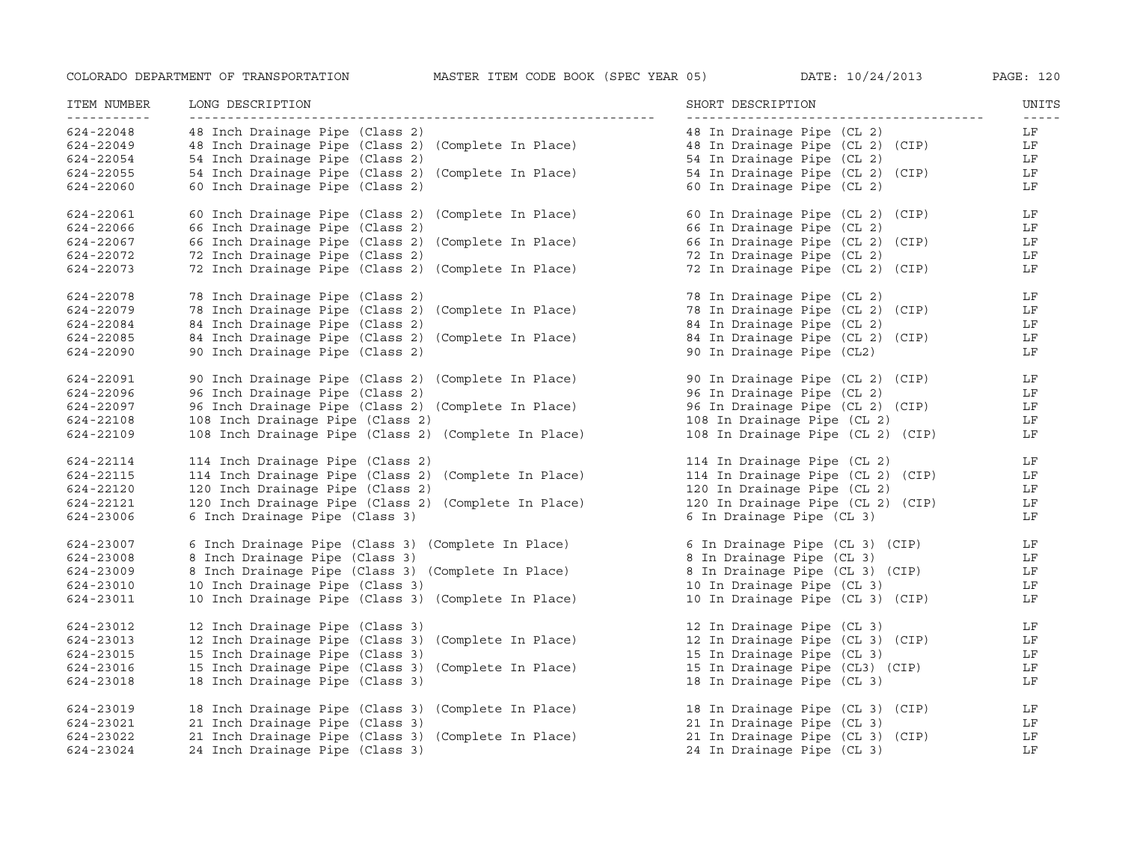| ITEM NUMBER<br><u>___________</u> | LONG DESCRIPTION                                     | SHORT DESCRIPTION                 | UNITS               |
|-----------------------------------|------------------------------------------------------|-----------------------------------|---------------------|
| 624-22048                         | 48 Inch Drainage Pipe (Class 2)                      | 48 In Drainage Pipe (CL 2)        | $- - - - - -$<br>LF |
| 624-22049                         | 48 Inch Drainage Pipe (Class 2) (Complete In Place)  | 48 In Drainage Pipe (CL 2) (CIP)  | LF                  |
| 624-22054                         | 54 Inch Drainage Pipe (Class 2)                      | 54 In Drainage Pipe (CL 2)        | LF                  |
| 624-22055                         | 54 Inch Drainage Pipe (Class 2) (Complete In Place)  | 54 In Drainage Pipe (CL 2) (CIP)  | LF                  |
| 624-22060                         | 60 Inch Drainage Pipe (Class 2)                      | 60 In Drainage Pipe (CL 2)        | LF                  |
| 624-22061                         | 60 Inch Drainage Pipe (Class 2) (Complete In Place)  | 60 In Drainage Pipe (CL 2) (CIP)  | LF                  |
| 624-22066                         | 66 Inch Drainage Pipe (Class 2)                      | 66 In Drainage Pipe (CL 2)        | LF                  |
| 624-22067                         | 66 Inch Drainage Pipe (Class 2) (Complete In Place)  | 66 In Drainage Pipe (CL 2) (CIP)  | LF                  |
| 624-22072                         | 72 Inch Drainage Pipe (Class 2)                      | 72 In Drainage Pipe (CL 2)        | LF                  |
| 624-22073                         | 72 Inch Drainage Pipe (Class 2) (Complete In Place)  | 72 In Drainage Pipe (CL 2) (CIP)  | LF                  |
| 624-22078                         | 78 Inch Drainage Pipe (Class 2)                      | 78 In Drainage Pipe (CL 2)        | LF                  |
| 624-22079                         | 78 Inch Drainage Pipe (Class 2) (Complete In Place)  | 78 In Drainage Pipe (CL 2) (CIP)  | LF                  |
| 624-22084                         | 84 Inch Drainage Pipe (Class 2)                      | 84 In Drainage Pipe (CL 2)        | LF                  |
| 624-22085                         | 84 Inch Drainage Pipe (Class 2) (Complete In Place)  | 84 In Drainage Pipe (CL 2) (CIP)  | LF                  |
| 624-22090                         | 90 Inch Drainage Pipe (Class 2)                      | 90 In Drainage Pipe (CL2)         | LF                  |
| 624-22091                         | 90 Inch Drainage Pipe (Class 2) (Complete In Place)  | 90 In Drainage Pipe (CL 2) (CIP)  | LF                  |
| 624-22096                         | 96 Inch Drainage Pipe (Class 2)                      | 96 In Drainage Pipe (CL 2)        | LF                  |
| 624-22097                         | 96 Inch Drainage Pipe (Class 2) (Complete In Place)  | 96 In Drainage Pipe (CL 2) (CIP)  | LF                  |
| 624-22108                         | 108 Inch Drainage Pipe (Class 2)                     | 108 In Drainage Pipe (CL 2)       | LF                  |
| 624-22109                         | 108 Inch Drainage Pipe (Class 2) (Complete In Place) | 108 In Drainage Pipe (CL 2) (CIP) | LF                  |
| 624-22114                         | 114 Inch Drainage Pipe (Class 2)                     | 114 In Drainage Pipe (CL 2)       | LF                  |
| 624-22115                         | 114 Inch Drainage Pipe (Class 2) (Complete In Place) | 114 In Drainage Pipe (CL 2) (CIP) | LF                  |
| 624-22120                         | 120 Inch Drainage Pipe (Class 2)                     | 120 In Drainage Pipe (CL 2)       | LF                  |
| 624-22121                         | 120 Inch Drainage Pipe (Class 2) (Complete In Place) | 120 In Drainage Pipe (CL 2) (CIP) | LF                  |
| 624-23006                         | 6 Inch Drainage Pipe (Class 3)                       | 6 In Drainage Pipe (CL 3)         | LF                  |
| 624-23007                         | 6 Inch Drainage Pipe (Class 3) (Complete In Place)   | 6 In Drainage Pipe (CL 3) (CIP)   | LF                  |
| 624-23008                         | 8 Inch Drainage Pipe (Class 3)                       | 8 In Drainage Pipe (CL 3)         | LF                  |
| 624-23009                         | 8 Inch Drainage Pipe (Class 3) (Complete In Place)   | 8 In Drainage Pipe (CL 3) (CIP)   | LF                  |
| 624-23010                         | 10 Inch Drainage Pipe (Class 3)                      | 10 In Drainage Pipe (CL 3)        | LF                  |
| 624-23011                         | 10 Inch Drainage Pipe (Class 3) (Complete In Place)  | 10 In Drainage Pipe (CL 3) (CIP)  | LF                  |
| 624-23012                         | 12 Inch Drainage Pipe (Class 3)                      | 12 In Drainage Pipe (CL 3)        | LF                  |
| 624-23013                         | 12 Inch Drainage Pipe (Class 3) (Complete In Place)  | 12 In Drainage Pipe (CL 3) (CIP)  | LF                  |
| 624-23015                         | 15 Inch Drainage Pipe (Class 3)                      | 15 In Drainage Pipe (CL 3)        | LF                  |
| 624-23016                         | 15 Inch Drainage Pipe (Class 3) (Complete In Place)  | 15 In Drainage Pipe (CL3) (CIP)   | LF                  |
| 624-23018                         | 18 Inch Drainage Pipe (Class 3)                      | 18 In Drainage Pipe (CL 3)        | LF                  |
| 624-23019                         | 18 Inch Drainage Pipe (Class 3) (Complete In Place)  | 18 In Drainage Pipe (CL 3) (CIP)  | LF                  |
| 624-23021                         | 21 Inch Drainage Pipe (Class 3)                      | 21 In Drainage Pipe (CL 3)        | LF                  |
| 624-23022                         | 21 Inch Drainage Pipe (Class 3) (Complete In Place)  | 21 In Drainage Pipe (CL 3) (CIP)  | LF                  |
| 624-23024                         | 24 Inch Drainage Pipe (Class 3)                      | 24 In Drainage Pipe (CL 3)        | LF                  |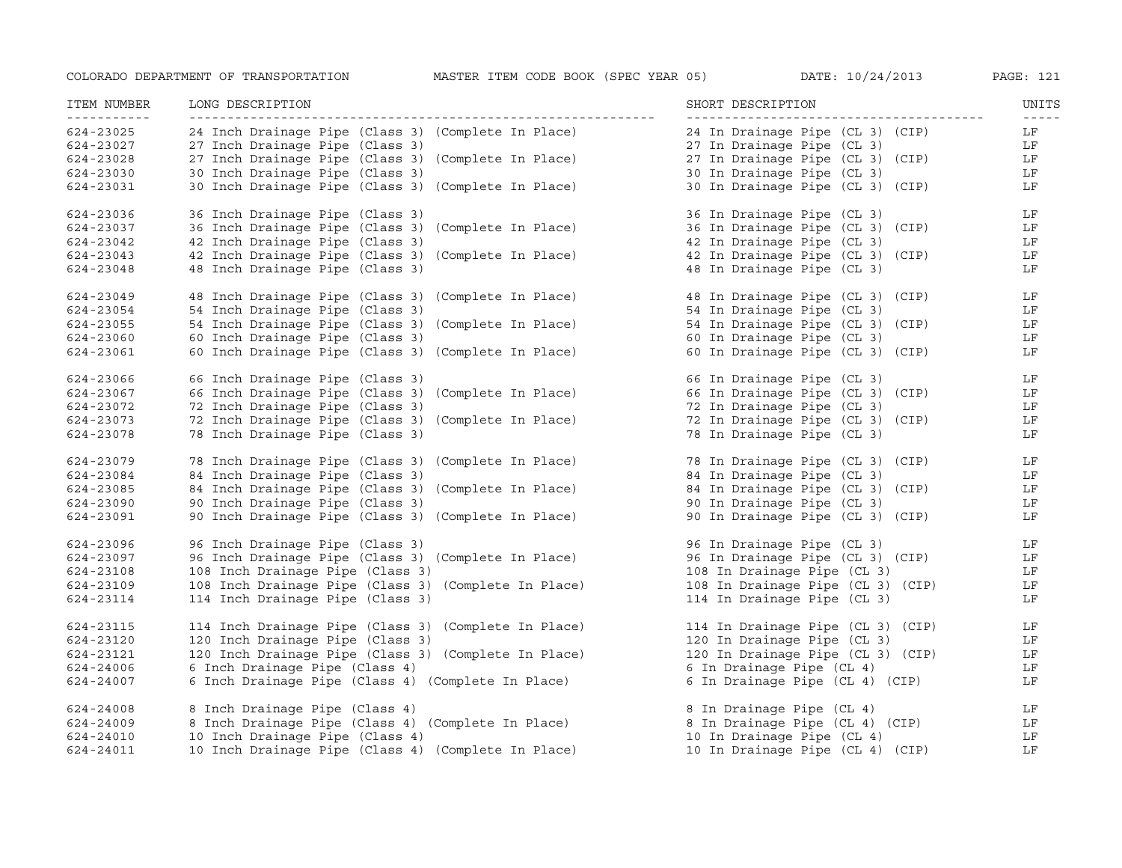| ITEM NUMBER<br>----------- | LONG DESCRIPTION                                     | SHORT DESCRIPTION                                                                            | UNITS<br>$\frac{1}{2} \frac{1}{2} \frac{1}{2} \frac{1}{2} \frac{1}{2} \frac{1}{2} \frac{1}{2} \frac{1}{2} \frac{1}{2} \frac{1}{2} \frac{1}{2} \frac{1}{2} \frac{1}{2} \frac{1}{2} \frac{1}{2} \frac{1}{2} \frac{1}{2} \frac{1}{2} \frac{1}{2} \frac{1}{2} \frac{1}{2} \frac{1}{2} \frac{1}{2} \frac{1}{2} \frac{1}{2} \frac{1}{2} \frac{1}{2} \frac{1}{2} \frac{1}{2} \frac{1}{2} \frac{1}{2} \frac{$ |
|----------------------------|------------------------------------------------------|----------------------------------------------------------------------------------------------|-------------------------------------------------------------------------------------------------------------------------------------------------------------------------------------------------------------------------------------------------------------------------------------------------------------------------------------------------------------------------------------------------------|
| 624-23025                  | 24 Inch Drainage Pipe (Class 3) (Complete In Place)  | 24 In Drainage Pipe (CL 3) (CIP)                                                             | LF                                                                                                                                                                                                                                                                                                                                                                                                    |
| 624-23027                  | 27 Inch Drainage Pipe (Class 3)                      | 27 In Drainage Pipe (CL 3)                                                                   | LF                                                                                                                                                                                                                                                                                                                                                                                                    |
| 624-23028                  | 27 Inch Drainage Pipe (Class 3) (Complete In Place)  | 27 In Drainage Pipe (CL 3) (CIP)<br>30 In Drainage Pipe (CL 3)                               | $$\,{\rm LF}$$                                                                                                                                                                                                                                                                                                                                                                                        |
| 624-23030                  | 30 Inch Drainage Pipe (Class 3)                      | 30 In Drainage Pipe (CL 3)                                                                   | LF                                                                                                                                                                                                                                                                                                                                                                                                    |
| 624-23031                  | 30 Inch Drainage Pipe (Class 3) (Complete In Place)  | 30 In Drainage Pipe (CL 3) (CIP)                                                             | LF                                                                                                                                                                                                                                                                                                                                                                                                    |
| 624-23036                  | 36 Inch Drainage Pipe (Class 3)                      | 36 In Drainage Pipe (CL 3)                                                                   | $L_F$                                                                                                                                                                                                                                                                                                                                                                                                 |
| 624-23037                  | 36 Inch Drainage Pipe (Class 3) (Complete In Place)  | 36 In Drainage Pipe (CL 3) (CIP)                                                             | LF                                                                                                                                                                                                                                                                                                                                                                                                    |
| 624-23042                  | 42 Inch Drainage Pipe (Class 3)                      | 42 In Drainage Pipe (CL 3)                                                                   | LF                                                                                                                                                                                                                                                                                                                                                                                                    |
| 624-23043                  | 42 Inch Drainage Pipe (Class 3) (Complete In Place)  | 42 In Drainage Pipe (CL 3) (CIP)                                                             | LF                                                                                                                                                                                                                                                                                                                                                                                                    |
| 624-23048                  | 48 Inch Drainage Pipe (Class 3)                      | 48 In Drainage Pipe (CL 3)                                                                   | LF                                                                                                                                                                                                                                                                                                                                                                                                    |
| 624-23049                  | 48 Inch Drainage Pipe (Class 3) (Complete In Place)  | 48 In Drainage Pipe (CL 3) (CIP) LF                                                          |                                                                                                                                                                                                                                                                                                                                                                                                       |
| 624-23054                  | 54 Inch Drainage Pipe (Class 3)                      | 54 In Drainage Pipe (CL 3)                                                                   | LF                                                                                                                                                                                                                                                                                                                                                                                                    |
| 624-23055                  | 54 Inch Drainage Pipe (Class 3) (Complete In Place)  | 54 In Drainage Pipe (CL 3) (CIP)                                                             | LF                                                                                                                                                                                                                                                                                                                                                                                                    |
| 624-23060                  | 60 Inch Drainage Pipe (Class 3)                      | 60 In Drainage Pipe (CL 3)                                                                   | LF                                                                                                                                                                                                                                                                                                                                                                                                    |
| 624-23061                  | 60 Inch Drainage Pipe (Class 3) (Complete In Place)  | 60 In Drainage Pipe (CL 3) (CIP)                                                             | LF                                                                                                                                                                                                                                                                                                                                                                                                    |
| 624-23066                  | 66 Inch Drainage Pipe (Class 3)                      | 66 In Drainage Pipe (CL 3)<br>66 In Drainage Pipe (CL 3)<br>66 In Drainage Pipe (CL 3) (CIP) | LF                                                                                                                                                                                                                                                                                                                                                                                                    |
| 624-23067                  | 66 Inch Drainage Pipe (Class 3) (Complete In Place)  |                                                                                              | LF                                                                                                                                                                                                                                                                                                                                                                                                    |
| 624-23072                  | 72 Inch Drainage Pipe (Class 3)                      | 72 In Drainage Pipe (CL 3)                                                                   | LF                                                                                                                                                                                                                                                                                                                                                                                                    |
| 624-23073                  | 72 Inch Drainage Pipe (Class 3) (Complete In Place)  | 72 In Drainage Pipe (CL 3) (CIP)                                                             | LF                                                                                                                                                                                                                                                                                                                                                                                                    |
| 624-23078                  | 78 Inch Drainage Pipe (Class 3)                      | 78 In Drainage Pipe (CL 3)                                                                   | LF                                                                                                                                                                                                                                                                                                                                                                                                    |
| 624-23079                  | 78 Inch Drainage Pipe (Class 3) (Complete In Place)  | 78 In Drainage Pipe (CL 3) (CIP) LF                                                          |                                                                                                                                                                                                                                                                                                                                                                                                       |
| 624-23084                  | 84 Inch Drainage Pipe (Class 3)                      | 84 In Drainage Pipe (CL 3)                                                                   | $L_F$                                                                                                                                                                                                                                                                                                                                                                                                 |
| 624-23085                  | 84 Inch Drainage Pipe (Class 3) (Complete In Place)  | 84 In Drainage Pipe (CL 3) (CIP) LF                                                          |                                                                                                                                                                                                                                                                                                                                                                                                       |
| 624-23090                  | 90 Inch Drainage Pipe (Class 3)                      | 90 In Drainage Pipe (CL 3)<br>90 In Drainage Pipe (CL 3) (CIP)                               | LF                                                                                                                                                                                                                                                                                                                                                                                                    |
| 624-23091                  | 90 Inch Drainage Pipe (Class 3) (Complete In Place)  |                                                                                              | LF                                                                                                                                                                                                                                                                                                                                                                                                    |
| 624-23096                  | 96 Inch Drainage Pipe (Class 3)                      | 96 In Drainage Pipe (CL 3)                                                                   | $L_F$                                                                                                                                                                                                                                                                                                                                                                                                 |
| 624-23097                  | 96 Inch Drainage Pipe (Class 3) (Complete In Place)  | 96 In Drainage Pipe (CL 3) (CIP)                                                             | LF                                                                                                                                                                                                                                                                                                                                                                                                    |
| 624-23108                  | 108 Inch Drainage Pipe (Class 3)                     | 108 In Drainage Pipe (CL 3)                                                                  | LF                                                                                                                                                                                                                                                                                                                                                                                                    |
| 624-23109                  | 108 Inch Drainage Pipe (Class 3) (Complete In Place) | 108 In Drainage Pipe (CL 3) (CIP) LF                                                         |                                                                                                                                                                                                                                                                                                                                                                                                       |
| 624-23114                  | 114 Inch Drainage Pipe (Class 3)                     | 114 In Drainage Pipe (CL 3)                                                                  | LF                                                                                                                                                                                                                                                                                                                                                                                                    |
| 624-23115                  | 114 Inch Drainage Pipe (Class 3) (Complete In Place) | 114 In Drainage Pipe (CL 3) (CIP)                                                            | $\mathbf{L}\mathbf{F}$                                                                                                                                                                                                                                                                                                                                                                                |
| 624-23120                  | 120 Inch Drainage Pipe (Class 3)                     | 120 In Drainage Pipe (CL 3)                                                                  | LF                                                                                                                                                                                                                                                                                                                                                                                                    |
| 624-23121                  | 120 Inch Drainage Pipe (Class 3) (Complete In Place) | 120 In Drainage Pipe (CL 3) (CIP) LF                                                         |                                                                                                                                                                                                                                                                                                                                                                                                       |
| 624-24006                  | 6 Inch Drainage Pipe (Class 4)                       | 6 In Drainage Pipe (CL 4)                                                                    | LF                                                                                                                                                                                                                                                                                                                                                                                                    |
| 624-24007                  | 6 Inch Drainage Pipe (Class 4) (Complete In Place)   | 6 In Drainage Pipe (CL 4) (CIP)                                                              | LF                                                                                                                                                                                                                                                                                                                                                                                                    |
| 624-24008                  | 8 Inch Drainage Pipe (Class 4)                       | 8 In Drainage Pipe (CL 4)                                                                    | LF                                                                                                                                                                                                                                                                                                                                                                                                    |
| 624-24009                  | 8 Inch Drainage Pipe (Class 4) (Complete In Place)   | 8 In Drainage Pipe (CL 4) (CIP)                                                              | LF                                                                                                                                                                                                                                                                                                                                                                                                    |
| 624-24010                  | 10 Inch Drainage Pipe (Class 4)                      | 10 In Drainage Pipe (CL 4)                                                                   | LF                                                                                                                                                                                                                                                                                                                                                                                                    |
| 624-24011                  | 10 Inch Drainage Pipe (Class 4) (Complete In Place)  | 10 In Drainage Pipe (CL 4) (CIP)                                                             | LF                                                                                                                                                                                                                                                                                                                                                                                                    |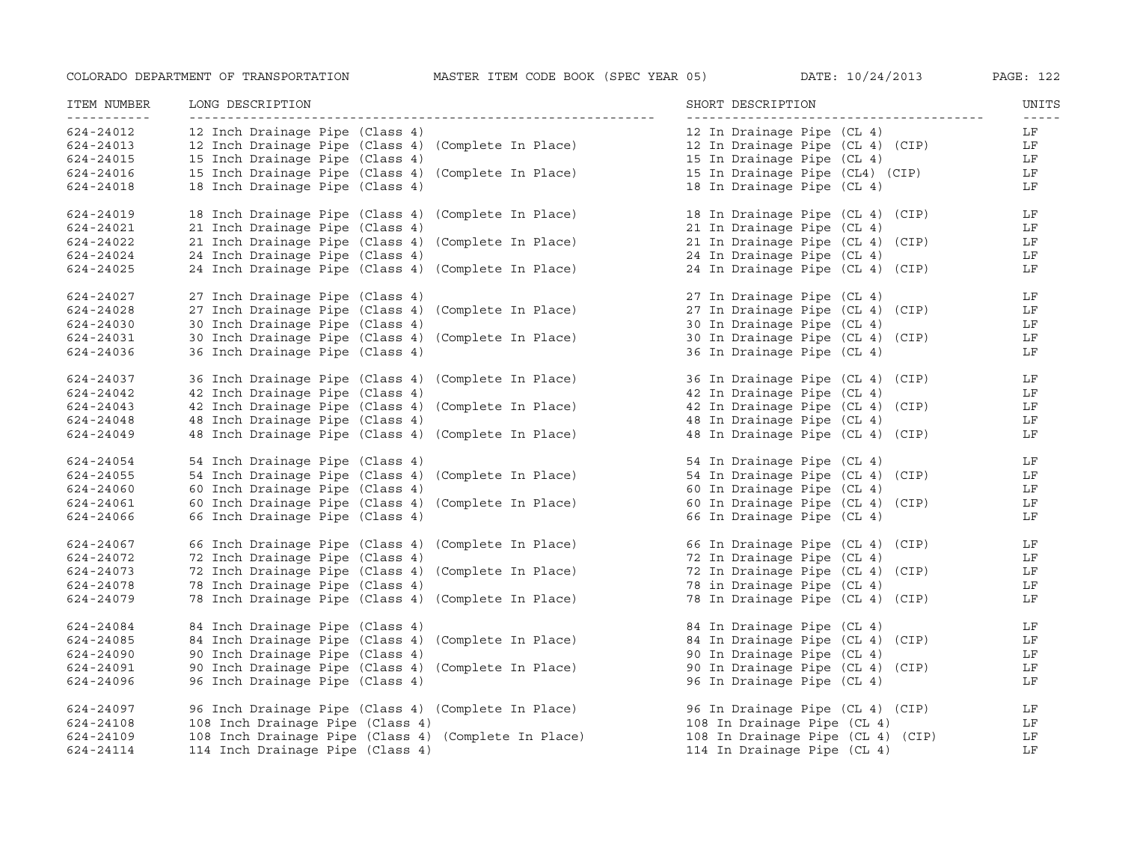| ITEM NUMBER<br>----------- | LONG DESCRIPTION                                       | SHORT DESCRIPTION                 | UNITS<br>$- - - - - -$ |
|----------------------------|--------------------------------------------------------|-----------------------------------|------------------------|
| 624-24012                  | 12 Inch Drainage Pipe (Class 4)                        | 12 In Drainage Pipe (CL 4)        | LF                     |
| 624-24013                  | (Complete In Place)<br>12 Inch Drainage Pipe (Class 4) | 12 In Drainage Pipe (CL 4) (CIP)  | LF                     |
| 624-24015                  | 15 Inch Drainage Pipe (Class 4)                        | 15 In Drainage Pipe (CL 4)        | LF                     |
| 624-24016                  | 15 Inch Drainage Pipe (Class 4) (Complete In Place)    | 15 In Drainage Pipe (CL4) (CIP)   | LF                     |
| 624-24018                  | 18 Inch Drainage Pipe (Class 4)                        | 18 In Drainage Pipe (CL 4)        | LF                     |
| 624-24019                  | 18 Inch Drainage Pipe (Class 4) (Complete In Place)    | 18 In Drainage Pipe (CL 4) (CIP)  | LF                     |
| 624-24021                  | 21 Inch Drainage Pipe (Class 4)                        | 21 In Drainage Pipe (CL 4)        | LF                     |
| 624-24022                  | 21 Inch Drainage Pipe (Class 4)<br>(Complete In Place) | 21 In Drainage Pipe (CL 4) (CIP)  | LF                     |
| 624-24024                  | 24 Inch Drainage Pipe (Class 4)                        | 24 In Drainage Pipe (CL 4)        | LF                     |
| 624-24025                  | 24 Inch Drainage Pipe (Class 4) (Complete In Place)    | 24 In Drainage Pipe (CL 4) (CIP)  | LF                     |
| 624-24027                  | 27 Inch Drainage Pipe (Class 4)                        | 27 In Drainage Pipe (CL 4)        | LF                     |
| 624-24028                  | 27 Inch Drainage Pipe (Class 4)<br>(Complete In Place) | 27 In Drainage Pipe (CL 4) (CIP)  | LF                     |
| 624-24030                  | 30 Inch Drainage Pipe (Class 4)                        | 30 In Drainage Pipe (CL 4)        | LF                     |
| 624-24031                  | 30 Inch Drainage Pipe (Class 4)<br>(Complete In Place) | 30 In Drainage Pipe (CL 4) (CIP)  | LF                     |
| 624-24036                  | 36 Inch Drainage Pipe (Class 4)                        | 36 In Drainage Pipe (CL 4)        | LF                     |
| 624-24037                  | 36 Inch Drainage Pipe (Class 4)<br>(Complete In Place) | 36 In Drainage Pipe (CL 4) (CIP)  | LF                     |
| 624-24042                  | 42 Inch Drainage Pipe (Class 4)                        | 42 In Drainage Pipe (CL 4)        | LF                     |
| 624-24043                  | 42 Inch Drainage Pipe (Class 4)<br>(Complete In Place) | 42 In Drainage Pipe (CL 4) (CIP)  | LF                     |
| 624-24048                  | 48 Inch Drainage Pipe (Class 4)                        | 48 In Drainage Pipe (CL 4)        | LF                     |
| 624-24049                  | 48 Inch Drainage Pipe (Class 4) (Complete In Place)    | 48 In Drainage Pipe (CL 4) (CIP)  | LF                     |
| 624-24054                  | 54 Inch Drainage Pipe (Class 4)                        | 54 In Drainage Pipe (CL 4)        | LF                     |
| 624-24055                  | 54 Inch Drainage Pipe (Class 4)<br>(Complete In Place) | 54 In Drainage Pipe (CL 4) (CIP)  | LF                     |
| 624-24060                  | 60 Inch Drainage Pipe (Class 4)                        | 60 In Drainage Pipe (CL 4)        | LF                     |
| 624-24061                  | 60 Inch Drainage Pipe (Class 4) (Complete In Place)    | 60 In Drainage Pipe (CL 4) (CIP)  | LF                     |
| 624-24066                  | 66 Inch Drainage Pipe (Class 4)                        | 66 In Drainage Pipe (CL 4)        | LF                     |
| 624-24067                  | 66 Inch Drainage Pipe (Class 4) (Complete In Place)    | 66 In Drainage Pipe (CL 4) (CIP)  | LF                     |
| 624-24072                  | 72 Inch Drainage Pipe (Class 4)                        | 72 In Drainage Pipe (CL 4)        | LF                     |
| 624-24073                  | 72 Inch Drainage Pipe (Class 4)<br>(Complete In Place) | 72 In Drainage Pipe (CL 4) (CIP)  | LF                     |
| 624-24078                  | 78 Inch Drainage Pipe (Class 4)                        | 78 in Drainage Pipe (CL 4)        | LF                     |
| 624-24079                  | 78 Inch Drainage Pipe (Class 4) (Complete In Place)    | 78 In Drainage Pipe (CL 4) (CIP)  | LF                     |
| 624-24084                  | 84 Inch Drainage Pipe (Class 4)                        | 84 In Drainage Pipe (CL 4)        | LF                     |
| 624-24085                  | 84 Inch Drainage Pipe (Class 4)<br>(Complete In Place) | 84 In Drainage Pipe (CL 4) (CIP)  | LF                     |
| 624-24090                  | 90 Inch Drainage Pipe (Class 4)                        | 90 In Drainage Pipe (CL 4)        | LF                     |
| 624-24091                  | 90 Inch Drainage Pipe (Class 4) (Complete In Place)    | 90 In Drainage Pipe (CL 4) (CIP)  | LF                     |
| 624-24096                  | 96 Inch Drainage Pipe (Class 4)                        | 96 In Drainage Pipe (CL 4)        | LF                     |
| 624-24097                  | 96 Inch Drainage Pipe (Class 4) (Complete In Place)    | 96 In Drainage Pipe (CL 4) (CIP)  | LF                     |
| 624-24108                  | 108 Inch Drainage Pipe (Class 4)                       | 108 In Drainage Pipe (CL 4)       | LF                     |
| 624-24109                  | 108 Inch Drainage Pipe (Class 4) (Complete In Place)   | 108 In Drainage Pipe (CL 4) (CIP) | LF                     |
| 624-24114                  | 114 Inch Drainage Pipe (Class 4)                       | 114 In Drainage Pipe (CL 4)       | LF                     |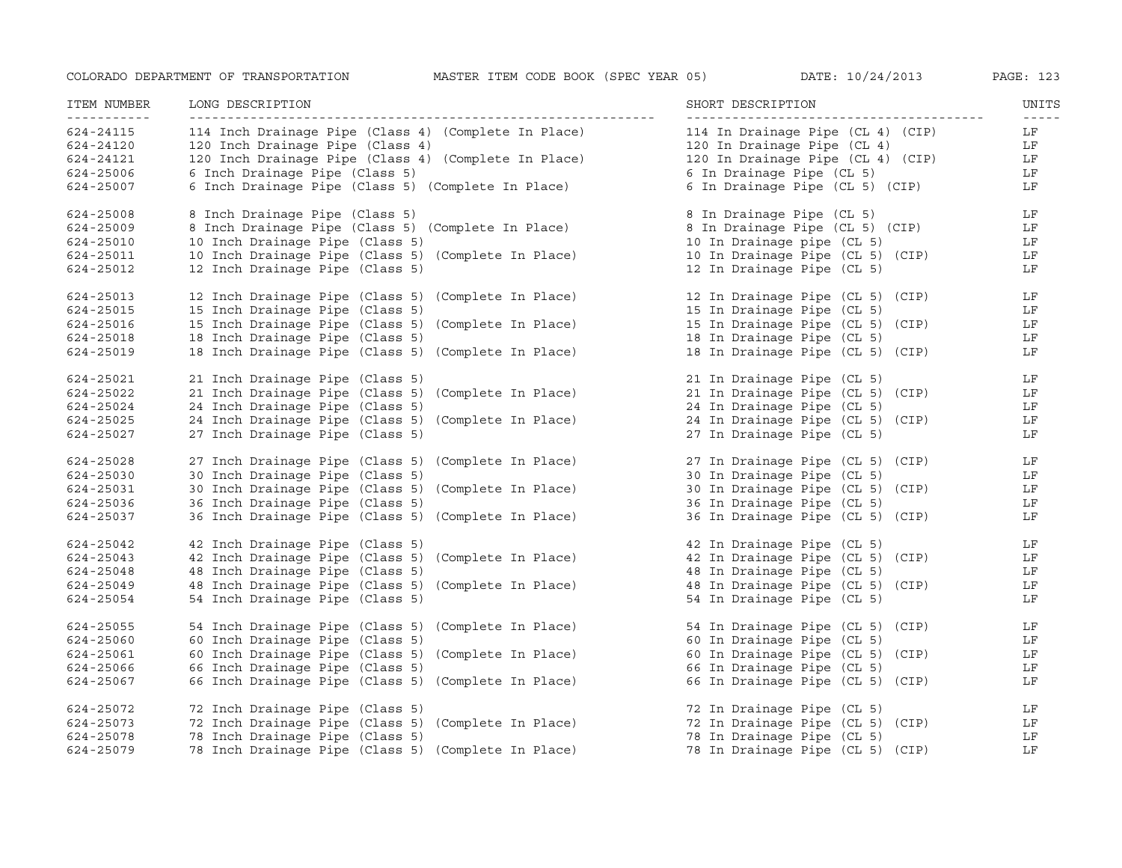| ITEM NUMBER<br>____________ | LONG DESCRIPTION                                     | SHORT DESCRIPTION                 | UNITS<br>$- - - - - -$    |
|-----------------------------|------------------------------------------------------|-----------------------------------|---------------------------|
| 624-24115                   | 114 Inch Drainage Pipe (Class 4) (Complete In Place) | 114 In Drainage Pipe (CL 4) (CIP) | LF                        |
| 624-24120                   | 120 Inch Drainage Pipe (Class 4)                     | 120 In Drainage Pipe (CL 4)       | LF                        |
| 624-24121                   | 120 Inch Drainage Pipe (Class 4) (Complete In Place) | 120 In Drainage Pipe (CL 4) (CIP) | LF                        |
| 624-25006                   | 6 Inch Drainage Pipe (Class 5)                       | 6 In Drainage Pipe (CL 5)         | LF                        |
| 624-25007                   | 6 Inch Drainage Pipe (Class 5) (Complete In Place)   | 6 In Drainage Pipe (CL 5) (CIP)   | LF                        |
| 624-25008                   | 8 Inch Drainage Pipe (Class 5)                       | 8 In Drainage Pipe (CL 5)         | LF                        |
| 624-25009                   | 8 Inch Drainage Pipe (Class 5) (Complete In Place)   | 8 In Drainage Pipe (CL 5) (CIP)   | LF                        |
| 624-25010                   | 10 Inch Drainage Pipe (Class 5)                      | 10 In Drainage pipe (CL 5)        | LF                        |
| 624-25011                   | 10 Inch Drainage Pipe (Class 5) (Complete In Place)  | 10 In Drainage Pipe (CL 5) (CIP)  | LF                        |
| 624-25012                   | 12 Inch Drainage Pipe (Class 5)                      | 12 In Drainage Pipe (CL 5)        | LF                        |
| 624-25013                   | 12 Inch Drainage Pipe (Class 5) (Complete In Place)  | 12 In Drainage Pipe (CL 5) (CIP)  | $\mathbf{L}$ $\mathbf{F}$ |
| 624-25015                   | 15 Inch Drainage Pipe (Class 5)                      | 15 In Drainage Pipe (CL 5)        | LF                        |
| 624-25016                   | 15 Inch Drainage Pipe (Class 5) (Complete In Place)  | 15 In Drainage Pipe (CL 5) (CIP)  | LF                        |
| 624-25018                   | 18 Inch Drainage Pipe (Class 5)                      | 18 In Drainage Pipe (CL 5)        | LF                        |
| 624-25019                   | 18 Inch Drainage Pipe (Class 5) (Complete In Place)  | 18 In Drainage Pipe (CL 5) (CIP)  | LF                        |
| 624-25021                   | 21 Inch Drainage Pipe (Class 5)                      | 21 In Drainage Pipe (CL 5)        | LF                        |
| 624-25022                   | 21 Inch Drainage Pipe (Class 5) (Complete In Place)  | 21 In Drainage Pipe (CL 5) (CIP)  | $L_F$                     |
| 624-25024                   | 24 Inch Drainage Pipe (Class 5)                      | 24 In Drainage Pipe (CL 5)        | LF                        |
| 624-25025                   | 24 Inch Drainage Pipe (Class 5) (Complete In Place)  | 24 In Drainage Pipe (CL 5) (CIP)  | LF                        |
| 624-25027                   | 27 Inch Drainage Pipe (Class 5)                      | 27 In Drainage Pipe (CL 5)        | LF                        |
| 624-25028                   | 27 Inch Drainage Pipe (Class 5) (Complete In Place)  | 27 In Drainage Pipe (CL 5) (CIP)  | LF                        |
| 624-25030                   | 30 Inch Drainage Pipe (Class 5)                      | 30 In Drainage Pipe (CL 5)        | LF                        |
| 624-25031                   | 30 Inch Drainage Pipe (Class 5) (Complete In Place)  | 30 In Drainage Pipe (CL 5) (CIP)  | LF                        |
| 624-25036                   | 36 Inch Drainage Pipe (Class 5)                      | 36 In Drainage Pipe (CL 5)        | LF                        |
| 624-25037                   | 36 Inch Drainage Pipe (Class 5) (Complete In Place)  | 36 In Drainage Pipe (CL 5) (CIP)  | LF                        |
| 624-25042                   | 42 Inch Drainage Pipe (Class 5)                      | 42 In Drainage Pipe (CL 5)        | LF                        |
| 624-25043                   | 42 Inch Drainage Pipe (Class 5) (Complete In Place)  | 42 In Drainage Pipe (CL 5) (CIP)  | LF                        |
| 624-25048                   | 48 Inch Drainage Pipe (Class 5)                      | 48 In Drainage Pipe (CL 5)        | LF                        |
| 624-25049                   | 48 Inch Drainage Pipe (Class 5) (Complete In Place)  | 48 In Drainage Pipe (CL 5) (CIP)  | LF                        |
| 624-25054                   | 54 Inch Drainage Pipe (Class 5)                      | 54 In Drainage Pipe (CL 5)        | LF                        |
| 624-25055                   | 54 Inch Drainage Pipe (Class 5) (Complete In Place)  | 54 In Drainage Pipe (CL 5) (CIP)  | LF                        |
| 624-25060                   | 60 Inch Drainage Pipe (Class 5)                      | 60 In Drainage Pipe (CL 5)        | LF                        |
| 624-25061                   | 60 Inch Drainage Pipe (Class 5) (Complete In Place)  | 60 In Drainage Pipe (CL 5) (CIP)  | LF                        |
| 624-25066                   | 66 Inch Drainage Pipe (Class 5)                      | 66 In Drainage Pipe (CL 5)        | LF                        |
| 624-25067                   | 66 Inch Drainage Pipe (Class 5) (Complete In Place)  | 66 In Drainage Pipe (CL 5) (CIP)  | LF                        |
| 624-25072                   | 72 Inch Drainage Pipe (Class 5)                      | 72 In Drainage Pipe (CL 5)        | LF                        |
| 624-25073                   | 72 Inch Drainage Pipe (Class 5) (Complete In Place)  | 72 In Drainage Pipe (CL 5) (CIP)  | LF                        |
| 624-25078                   | 78 Inch Drainage Pipe (Class 5)                      | 78 In Drainage Pipe (CL 5)        | LF                        |
| 624-25079                   | 78 Inch Drainage Pipe (Class 5) (Complete In Place)  | 78 In Drainage Pipe (CL 5) (CIP)  | LF                        |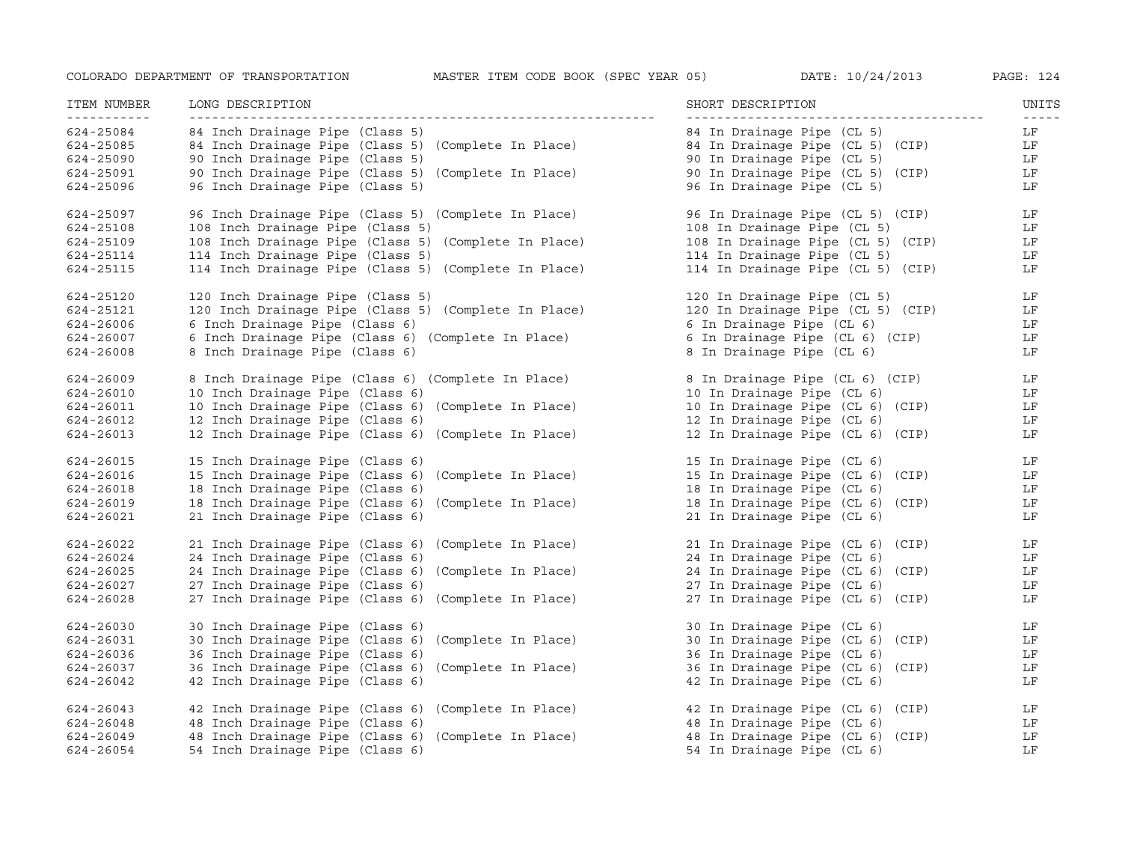| ITEM NUMBER<br><u>___________</u> | LONG DESCRIPTION                                     | SHORT DESCRIPTION                 | UNITS<br>$- - - - - -$ |
|-----------------------------------|------------------------------------------------------|-----------------------------------|------------------------|
| 624-25084                         | 84 Inch Drainage Pipe (Class 5)                      | 84 In Drainage Pipe (CL 5)        | LF                     |
| 624-25085                         | 84 Inch Drainage Pipe (Class 5) (Complete In Place)  | 84 In Drainage Pipe (CL 5) (CIP)  | LF                     |
| 624-25090                         | 90 Inch Drainage Pipe (Class 5)                      | 90 In Drainage Pipe (CL 5)        | LF                     |
| 624-25091                         | 90 Inch Drainage Pipe (Class 5) (Complete In Place)  | 90 In Drainage Pipe (CL 5) (CIP)  | LF                     |
| 624-25096                         | 96 Inch Drainage Pipe (Class 5)                      | 96 In Drainage Pipe (CL 5)        | LF                     |
| 624-25097                         | 96 Inch Drainage Pipe (Class 5) (Complete In Place)  | 96 In Drainage Pipe (CL 5) (CIP)  | LF                     |
| 624-25108                         | 108 Inch Drainage Pipe (Class 5)                     | 108 In Drainage Pipe (CL 5)       | LF                     |
| 624-25109                         | 108 Inch Drainage Pipe (Class 5) (Complete In Place) | 108 In Drainage Pipe (CL 5) (CIP) | LF                     |
| 624-25114                         | 114 Inch Drainage Pipe (Class 5)                     | 114 In Drainage Pipe (CL 5)       | LF                     |
| 624-25115                         | 114 Inch Drainage Pipe (Class 5) (Complete In Place) | 114 In Drainage Pipe (CL 5) (CIP) | LF                     |
| 624-25120                         | 120 Inch Drainage Pipe (Class 5)                     | 120 In Drainage Pipe (CL 5)       | LF                     |
| 624-25121                         | 120 Inch Drainage Pipe (Class 5) (Complete In Place) | 120 In Drainage Pipe (CL 5) (CIP) | LF                     |
| 624-26006                         | 6 Inch Drainage Pipe (Class 6)                       | 6 In Drainage Pipe (CL 6)         | LF                     |
| 624-26007                         | 6 Inch Drainage Pipe (Class 6) (Complete In Place)   | 6 In Drainage Pipe (CL 6) (CIP)   | LF                     |
| 624-26008                         | 8 Inch Drainage Pipe (Class 6)                       | 8 In Drainage Pipe (CL 6)         | LF                     |
| 624-26009                         | 8 Inch Drainage Pipe (Class 6) (Complete In Place)   | 8 In Drainage Pipe (CL 6) (CIP)   | LF                     |
| 624-26010                         | 10 Inch Drainage Pipe (Class 6)                      | 10 In Drainage Pipe (CL 6)        | LF                     |
| 624-26011                         | 10 Inch Drainage Pipe (Class 6) (Complete In Place)  | 10 In Drainage Pipe (CL 6) (CIP)  | LF                     |
| 624-26012                         | 12 Inch Drainage Pipe (Class 6)                      | 12 In Drainage Pipe (CL 6)        | LF                     |
| 624-26013                         | 12 Inch Drainage Pipe (Class 6) (Complete In Place)  | 12 In Drainage Pipe (CL 6) (CIP)  | LF                     |
| 624-26015                         | 15 Inch Drainage Pipe (Class 6)                      | 15 In Drainage Pipe (CL 6)        | LF                     |
| 624-26016                         | 15 Inch Drainage Pipe (Class 6) (Complete In Place)  | 15 In Drainage Pipe (CL 6) (CIP)  | LF                     |
| 624-26018                         | 18 Inch Drainage Pipe (Class 6)                      | 18 In Drainage Pipe (CL 6)        | LF                     |
| 624-26019                         | 18 Inch Drainage Pipe (Class 6) (Complete In Place)  | 18 In Drainage Pipe (CL 6) (CIP)  | LF                     |
| 624-26021                         | 21 Inch Drainage Pipe (Class 6)                      | 21 In Drainage Pipe (CL 6)        | LF                     |
| 624-26022                         | 21 Inch Drainage Pipe (Class 6) (Complete In Place)  | 21 In Drainage Pipe (CL 6) (CIP)  | LF                     |
| 624-26024                         | 24 Inch Drainage Pipe (Class 6)                      | 24 In Drainage Pipe (CL 6)        | LF                     |
| 624-26025                         | 24 Inch Drainage Pipe (Class 6) (Complete In Place)  | 24 In Drainage Pipe (CL 6) (CIP)  | LF                     |
| 624-26027                         | 27 Inch Drainage Pipe (Class 6)                      | 27 In Drainage Pipe (CL 6)        | LF                     |
| 624-26028                         | 27 Inch Drainage Pipe (Class 6) (Complete In Place)  | 27 In Drainage Pipe (CL 6) (CIP)  | LF                     |
| 624-26030                         | 30 Inch Drainage Pipe (Class 6)                      | 30 In Drainage Pipe (CL 6)        | LF                     |
| 624-26031                         | 30 Inch Drainage Pipe (Class 6) (Complete In Place)  | 30 In Drainage Pipe (CL 6) (CIP)  | LF                     |
| 624-26036                         | 36 Inch Drainage Pipe (Class 6)                      | 36 In Drainage Pipe (CL 6)        | LF                     |
| 624-26037                         | 36 Inch Drainage Pipe (Class 6) (Complete In Place)  | 36 In Drainage Pipe (CL 6) (CIP)  | LF                     |
| 624-26042                         | 42 Inch Drainage Pipe (Class 6)                      | 42 In Drainage Pipe (CL 6)        | LF                     |
| 624-26043                         | 42 Inch Drainage Pipe (Class 6) (Complete In Place)  | 42 In Drainage Pipe (CL 6) (CIP)  | LF                     |
| 624-26048                         | 48 Inch Drainage Pipe (Class 6)                      | 48 In Drainage Pipe (CL 6)        | LF                     |
| 624-26049                         | 48 Inch Drainage Pipe (Class 6) (Complete In Place)  | 48 In Drainage Pipe (CL 6) (CIP)  | LF                     |
| 624-26054                         | 54 Inch Drainage Pipe (Class 6)                      | 54 In Drainage Pipe (CL 6)        | LF                     |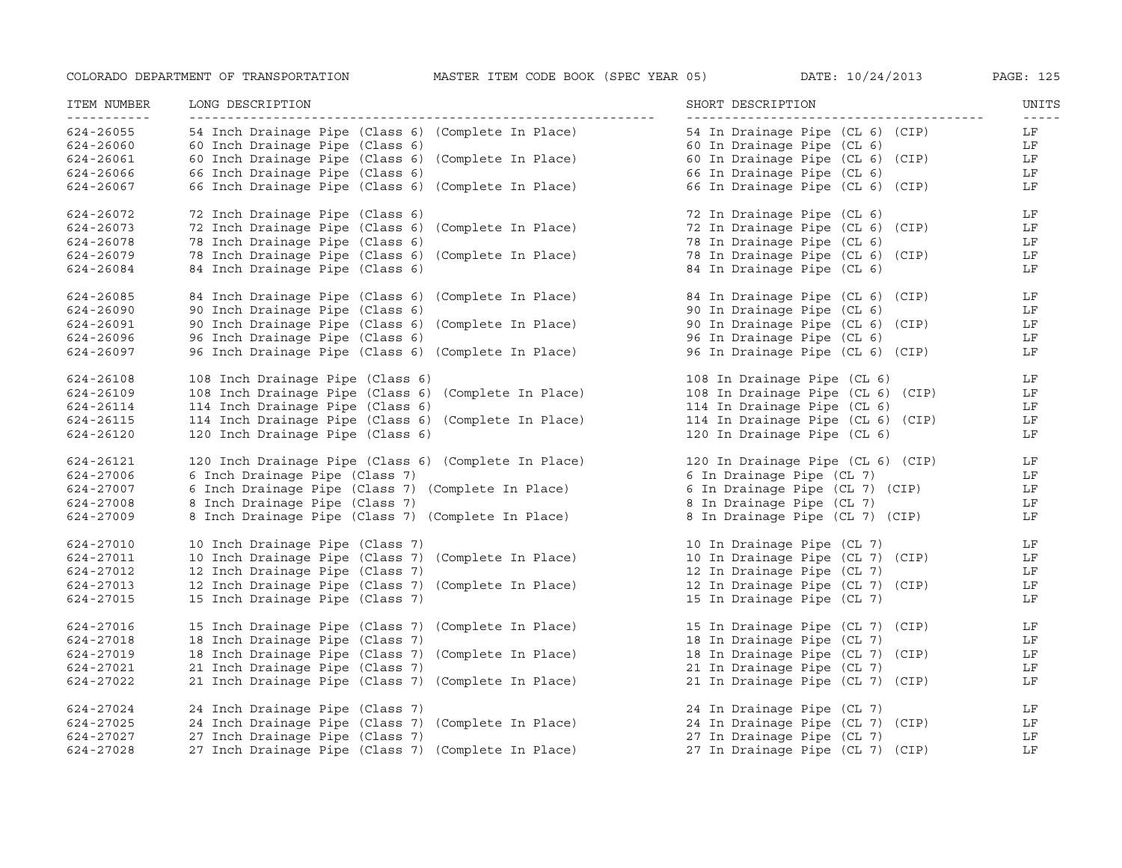| ITEM NUMBER<br>------------ | LONG DESCRIPTION                                     | SHORT DESCRIPTION                                            | UNITS<br>$- - - - - -$ |
|-----------------------------|------------------------------------------------------|--------------------------------------------------------------|------------------------|
| 624-26055                   | 54 Inch Drainage Pipe (Class 6) (Complete In Place)  | 54 In Drainage Pipe (CL 6) (CIP)                             | LF                     |
| 624-26060                   | 60 Inch Drainage Pipe (Class 6)                      | 60 In Drainage Pipe (CL 6)                                   | LF                     |
| 624-26061                   | 60 Inch Drainage Pipe (Class 6) (Complete In Place)  | 60 In Drainage Pipe (CL 6) (CIP)                             | LF                     |
| 624-26066                   | 66 Inch Drainage Pipe (Class 6)                      | 66 In Drainage Pipe (CL 6)                                   | LF                     |
| 624-26067                   | 66 Inch Drainage Pipe (Class 6) (Complete In Place)  | 66 In Drainage Pipe (CL 6) (CIP)                             | LF                     |
| 624-26072                   | 72 Inch Drainage Pipe (Class 6)                      | 72 In Drainage Pipe (CL 6)                                   | LF                     |
| 624-26073                   | 72 Inch Drainage Pipe (Class 6) (Complete In Place)  | 72 In Drainage Pipe (CL 6) (CIP)                             | LF                     |
| 624-26078                   | 78 Inch Drainage Pipe (Class 6)                      | 78 In Drainage Pipe (CL 6)                                   | LF                     |
| 624-26079                   | 78 Inch Drainage Pipe (Class 6) (Complete In Place)  | 78 In Drainage Pipe (CL 6) (CIP)                             | LF                     |
| 624-26084                   | 84 Inch Drainage Pipe (Class 6)                      | 84 In Drainage Pipe (CL 6)                                   | LF                     |
| 624-26085                   | 84 Inch Drainage Pipe (Class 6) (Complete In Place)  | 84 In Drainage Pipe (CL 6) (CIP)                             | LF                     |
| 624-26090                   | 90 Inch Drainage Pipe (Class 6)                      | 90 In Drainage Pipe (CL 6)                                   | LF                     |
| 624-26091                   | 90 Inch Drainage Pipe (Class 6) (Complete In Place)  | 90 In Drainage Pipe (CL 6) (CIP)                             | LF                     |
| 624-26096                   | 96 Inch Drainage Pipe (Class 6)                      | 96 In Drainage Pipe (CL 6)                                   | LF                     |
| 624-26097                   | 96 Inch Drainage Pipe (Class 6) (Complete In Place)  | 96 In Drainage Pipe (CL 6) (CIP)                             | LF                     |
| 624-26108                   | 108 Inch Drainage Pipe (Class 6)                     | 108 In Drainage Pipe (CL 6)                                  | LF                     |
| 624-26109                   | 108 Inch Drainage Pipe (Class 6) (Complete In Place) | 108 In Drainage Pipe (CL 6) (CIP)                            | LF                     |
| 624-26114                   | 114 Inch Drainage Pipe (Class 6)                     | 114 In Drainage Pipe (CL 6)                                  | LF                     |
| 624-26115                   | 114 Inch Drainage Pipe (Class 6) (Complete In Place) | 114 In Drainage Pipe (CL 6) (CIP)                            | LF                     |
| 624-26120                   | 120 Inch Drainage Pipe (Class 6)                     | 120 In Drainage Pipe (CL 6)                                  | LF                     |
| 624-26121                   | 120 Inch Drainage Pipe (Class 6) (Complete In Place) | 120 In Drainage Pipe (CL 6) (CIP)                            | LF                     |
| 624-27006                   | 6 Inch Drainage Pipe (Class 7)                       | 6 In Drainage Pipe (CL 7)                                    | LF                     |
| 624-27007                   | 6 Inch Drainage Pipe (Class 7) (Complete In Place)   | 6 In Drainage Pipe (CL 7) (CIP)                              | LF                     |
| 624-27008                   | 8 Inch Drainage Pipe (Class 7)                       |                                                              | LF                     |
| 624-27009                   | 8 Inch Drainage Pipe (Class 7) (Complete In Place)   | ø in Drainage Pipe (CL 7)<br>8 In Drainage Pipe (CL 7) (CIP) | LF                     |
| 624-27010                   | 10 Inch Drainage Pipe (Class 7)                      | 10 In Drainage Pipe (CL 7)                                   | LF                     |
| 624-27011                   | 10 Inch Drainage Pipe (Class 7) (Complete In Place)  | 10 In Drainage Pipe (CL 7) (CIP)                             | LF                     |
| 624-27012                   | 12 Inch Drainage Pipe (Class 7)                      | 12 In Drainage Pipe (CL 7)                                   | LF                     |
| 624-27013                   | 12 Inch Drainage Pipe (Class 7) (Complete In Place)  | 12 In Drainage Pipe (CL 7) (CIP)                             | LF                     |
| 624-27015                   | 15 Inch Drainage Pipe (Class 7)                      | 15 In Drainage Pipe (CL 7)                                   | LF                     |
| 624-27016                   | 15 Inch Drainage Pipe (Class 7) (Complete In Place)  | 15 In Drainage Pipe (CL 7) (CIP)                             | LF                     |
| 624-27018                   | 18 Inch Drainage Pipe (Class 7)                      | 18 In Drainage Pipe (CL 7)                                   | LF                     |
| 624-27019                   | 18 Inch Drainage Pipe (Class 7) (Complete In Place)  | 18 In Drainage Pipe (CL 7) (CIP)                             | LF                     |
| 624-27021                   | 21 Inch Drainage Pipe (Class 7)                      | 21 In Drainage Pipe (CL 7)                                   | LF                     |
| 624-27022                   | 21 Inch Drainage Pipe (Class 7) (Complete In Place)  | 21 In Drainage Pipe (CL 7) (CIP)                             | LF                     |
| 624-27024                   | 24 Inch Drainage Pipe (Class 7)                      | 24 In Drainage Pipe (CL 7)                                   | LF                     |
| 624-27025                   | 24 Inch Drainage Pipe (Class 7) (Complete In Place)  | 24 In Drainage Pipe (CL 7) (CIP)                             | LF                     |
| 624-27027                   | 27 Inch Drainage Pipe (Class 7)                      | 27 In Drainage Pipe (CL 7)                                   | LF                     |
| 624-27028                   | 27 Inch Drainage Pipe (Class 7) (Complete In Place)  | 27 In Drainage Pipe (CL 7) (CIP)                             | LF                     |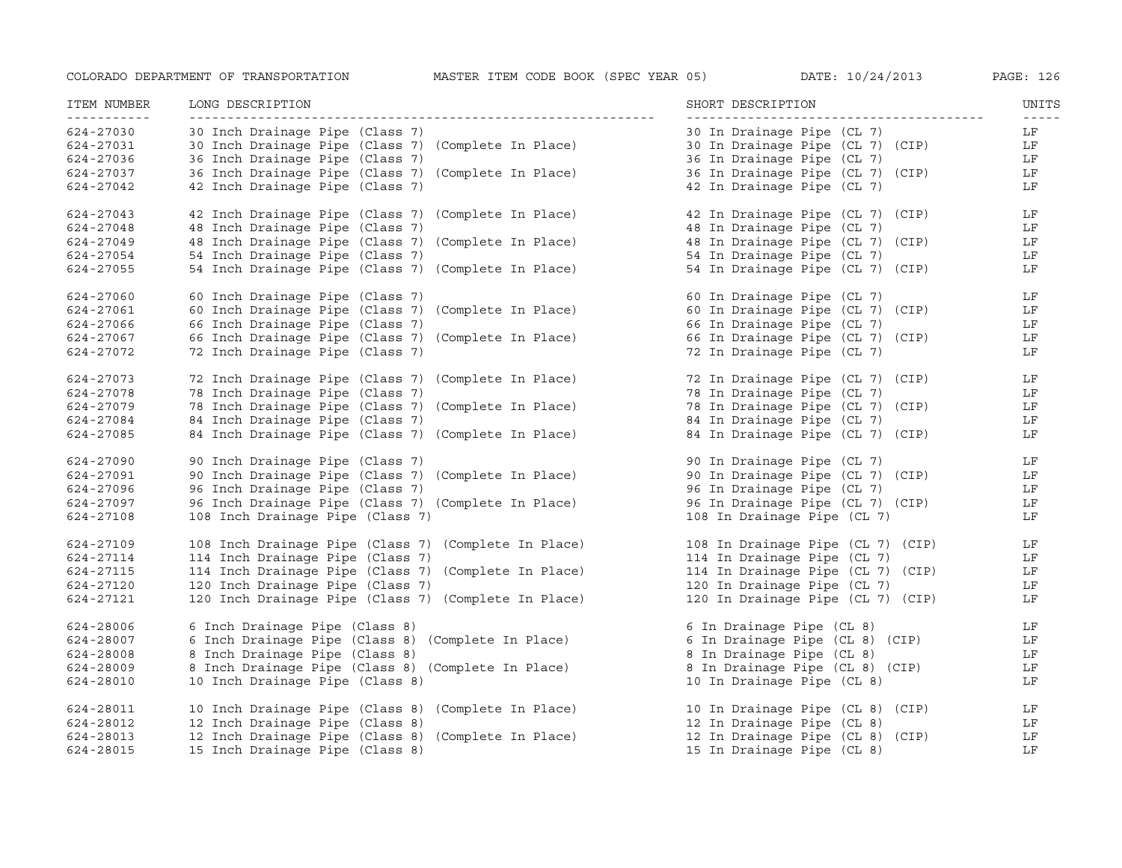| ITEM NUMBER<br>----------- | LONG DESCRIPTION                                     | SHORT DESCRIPTION                 | UNITS<br>$- - - - -$ |
|----------------------------|------------------------------------------------------|-----------------------------------|----------------------|
| 624-27030                  | 30 Inch Drainage Pipe (Class 7)                      | 30 In Drainage Pipe (CL 7)        | LF                   |
| 624-27031                  | 30 Inch Drainage Pipe (Class 7) (Complete In Place)  | 30 In Drainage Pipe (CL 7) (CIP)  | LF                   |
| 624-27036                  | 36 Inch Drainage Pipe (Class 7)                      | 36 In Drainage Pipe (CL 7)        | LF                   |
| 624-27037                  | 36 Inch Drainage Pipe (Class 7) (Complete In Place)  | 36 In Drainage Pipe (CL 7) (CIP)  | LF                   |
| 624-27042                  | 42 Inch Drainage Pipe (Class 7)                      | 42 In Drainage Pipe (CL 7)        | LF                   |
| 624-27043                  | 42 Inch Drainage Pipe (Class 7) (Complete In Place)  | 42 In Drainage Pipe (CL 7) (CIP)  | LF                   |
| 624-27048                  | 48 Inch Drainage Pipe (Class 7)                      | 48 In Drainage Pipe (CL 7)        | LF                   |
| 624-27049                  | 48 Inch Drainage Pipe (Class 7) (Complete In Place)  | 48 In Drainage Pipe (CL 7) (CIP)  | LF                   |
| 624-27054                  | 54 Inch Drainage Pipe (Class 7)                      | 54 In Drainage Pipe (CL 7)        | LF                   |
| 624-27055                  | 54 Inch Drainage Pipe (Class 7) (Complete In Place)  | 54 In Drainage Pipe (CL 7) (CIP)  | LF                   |
| 624-27060                  | 60 Inch Drainage Pipe (Class 7)                      | 60 In Drainage Pipe (CL 7)        | LF                   |
| 624-27061                  | 60 Inch Drainage Pipe (Class 7) (Complete In Place)  | 60 In Drainage Pipe (CL 7) (CIP)  | LF                   |
| 624-27066                  | 66 Inch Drainage Pipe (Class 7)                      | 66 In Drainage Pipe (CL 7)        | LF                   |
| 624-27067                  | 66 Inch Drainage Pipe (Class 7) (Complete In Place)  | 66 In Drainage Pipe (CL 7) (CIP)  | LF                   |
| 624-27072                  | 72 Inch Drainage Pipe (Class 7)                      | 72 In Drainage Pipe (CL 7)        | LF                   |
| 624-27073                  | 72 Inch Drainage Pipe (Class 7) (Complete In Place)  | 72 In Drainage Pipe (CL 7) (CIP)  | LF                   |
| 624-27078                  | 78 Inch Drainage Pipe (Class 7)                      | 78 In Drainage Pipe (CL 7)        | LF                   |
| 624-27079                  | 78 Inch Drainage Pipe (Class 7) (Complete In Place)  | 78 In Drainage Pipe (CL 7) (CIP)  | LF                   |
| 624-27084                  | 84 Inch Drainage Pipe (Class 7)                      | 84 In Drainage Pipe (CL 7)        | LF                   |
| 624-27085                  | 84 Inch Drainage Pipe (Class 7) (Complete In Place)  | 84 In Drainage Pipe (CL 7) (CIP)  | LF                   |
| 624-27090                  | 90 Inch Drainage Pipe (Class 7)                      | 90 In Drainage Pipe (CL 7)        | LF                   |
| 624-27091                  | 90 Inch Drainage Pipe (Class 7) (Complete In Place)  | 90 In Drainage Pipe (CL 7) (CIP)  | LF                   |
| 624-27096                  | 96 Inch Drainage Pipe (Class 7)                      | 96 In Drainage Pipe (CL 7)        | LF                   |
| 624-27097                  | 96 Inch Drainage Pipe (Class 7) (Complete In Place)  | 96 In Drainage Pipe (CL 7) (CIP)  | LF                   |
| 624-27108                  | 108 Inch Drainage Pipe (Class 7)                     | 108 In Drainage Pipe (CL 7)       | LF                   |
| 624-27109                  | 108 Inch Drainage Pipe (Class 7) (Complete In Place) | 108 In Drainage Pipe (CL 7) (CIP) | LF                   |
| 624-27114                  | 114 Inch Drainage Pipe (Class 7)                     | 114 In Drainage Pipe (CL 7)       | LF                   |
| 624-27115                  | 114 Inch Drainage Pipe (Class 7) (Complete In Place) | 114 In Drainage Pipe (CL 7) (CIP) | LF                   |
| 624-27120                  | 120 Inch Drainage Pipe (Class 7)                     | 120 In Drainage Pipe (CL 7)       | LF                   |
| 624-27121                  | 120 Inch Drainage Pipe (Class 7) (Complete In Place) | 120 In Drainage Pipe (CL 7) (CIP) | LF                   |
| 624-28006                  | 6 Inch Drainage Pipe (Class 8)                       | 6 In Drainage Pipe (CL 8)         | LF                   |
| 624-28007                  | 6 Inch Drainage Pipe (Class 8) (Complete In Place)   | 6 In Drainage Pipe (CL 8) (CIP)   | LF                   |
| 624-28008                  | 8 Inch Drainage Pipe (Class 8)                       | 8 In Drainage Pipe (CL 8)         | LF                   |
| 624-28009                  | 8 Inch Drainage Pipe (Class 8) (Complete In Place)   | 8 In Drainage Pipe (CL 8) (CIP)   | LF                   |
| 624-28010                  | 10 Inch Drainage Pipe (Class 8)                      | 10 In Drainage Pipe (CL 8)        | LF                   |
| 624-28011                  | 10 Inch Drainage Pipe (Class 8) (Complete In Place)  | 10 In Drainage Pipe (CL 8) (CIP)  | LF                   |
| 624-28012                  | 12 Inch Drainage Pipe (Class 8)                      | 12 In Drainage Pipe (CL 8)        | LF                   |
| 624-28013                  | 12 Inch Drainage Pipe (Class 8) (Complete In Place)  | 12 In Drainage Pipe (CL 8) (CIP)  | LF                   |
| 624-28015                  | 15 Inch Drainage Pipe (Class 8)                      | 15 In Drainage Pipe (CL 8)        | LF                   |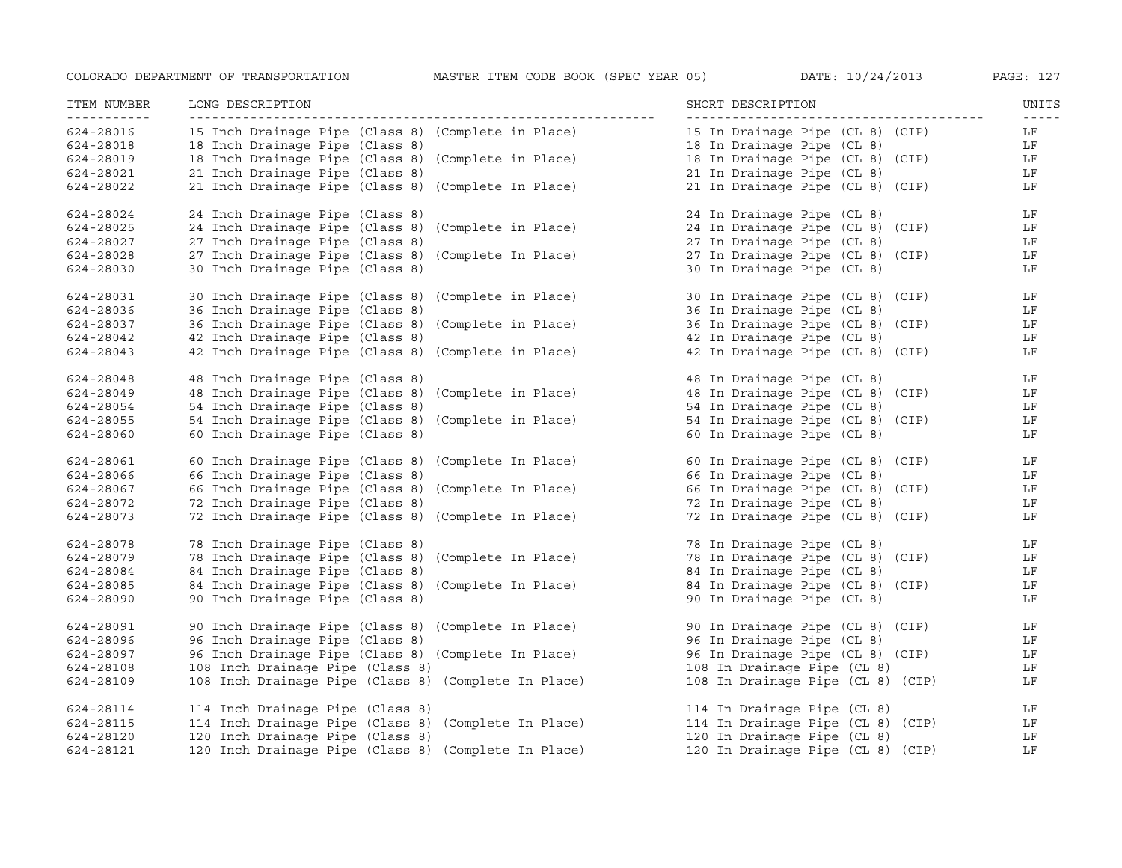| ITEM NUMBER<br>----------- | LONG DESCRIPTION                                     | SHORT DESCRIPTION                                              | UNITS<br>$\frac{1}{2} \frac{1}{2} \frac{1}{2} \frac{1}{2} \frac{1}{2} \frac{1}{2} \frac{1}{2} \frac{1}{2} \frac{1}{2} \frac{1}{2} \frac{1}{2} \frac{1}{2} \frac{1}{2} \frac{1}{2} \frac{1}{2} \frac{1}{2} \frac{1}{2} \frac{1}{2} \frac{1}{2} \frac{1}{2} \frac{1}{2} \frac{1}{2} \frac{1}{2} \frac{1}{2} \frac{1}{2} \frac{1}{2} \frac{1}{2} \frac{1}{2} \frac{1}{2} \frac{1}{2} \frac{1}{2} \frac{$ |
|----------------------------|------------------------------------------------------|----------------------------------------------------------------|-------------------------------------------------------------------------------------------------------------------------------------------------------------------------------------------------------------------------------------------------------------------------------------------------------------------------------------------------------------------------------------------------------|
| 624-28016                  | 15 Inch Drainage Pipe (Class 8) (Complete in Place)  | 15 In Drainage Pipe (CL 8) (CIP)                               | LF                                                                                                                                                                                                                                                                                                                                                                                                    |
| 624-28018                  | 18 Inch Drainage Pipe (Class 8)                      | 18 In Drainage Pipe (CL 8)                                     | LF                                                                                                                                                                                                                                                                                                                                                                                                    |
| 624-28019                  | 18 Inch Drainage Pipe (Class 8) (Complete in Place)  | 18 In Drainage Pipe (CL 8) (CIP)<br>21 In Drainage Pipe (CL 8) | LF                                                                                                                                                                                                                                                                                                                                                                                                    |
| 624-28021                  | 21 Inch Drainage Pipe (Class 8)                      | 21 In Drainage Pipe (CL 8)                                     | LF                                                                                                                                                                                                                                                                                                                                                                                                    |
| 624-28022                  | 21 Inch Drainage Pipe (Class 8) (Complete In Place)  | 21 In Drainage Pipe (CL 8) (CIP)                               | LF                                                                                                                                                                                                                                                                                                                                                                                                    |
| 624-28024                  | 24 Inch Drainage Pipe (Class 8)                      | 24 In Drainage Pipe (CL 8)                                     | LF                                                                                                                                                                                                                                                                                                                                                                                                    |
| 624-28025                  | 24 Inch Drainage Pipe (Class 8) (Complete in Place)  | 24 In Drainage Pipe (CL 8) (CIP)                               | LF                                                                                                                                                                                                                                                                                                                                                                                                    |
| 624-28027                  | 27 Inch Drainage Pipe (Class 8)                      | 27 In Drainage Pipe (CL 8)                                     | LF                                                                                                                                                                                                                                                                                                                                                                                                    |
| $624 - 28028$              | 27 Inch Drainage Pipe (Class 8) (Complete In Place)  | 27 In Drainage Pipe (CL 8) (CIP)                               | LF                                                                                                                                                                                                                                                                                                                                                                                                    |
| 624-28030                  | 30 Inch Drainage Pipe (Class 8)                      | 30 In Drainage Pipe (CL 8)                                     | LF                                                                                                                                                                                                                                                                                                                                                                                                    |
| 624-28031                  | 30 Inch Drainage Pipe (Class 8) (Complete in Place)  | 30 In Drainage Pipe (CL 8) (CIP)                               | LF                                                                                                                                                                                                                                                                                                                                                                                                    |
| 624-28036                  | 36 Inch Drainage Pipe (Class 8)                      | 36 In Drainage Pipe (CL 8)                                     | LF                                                                                                                                                                                                                                                                                                                                                                                                    |
| 624-28037                  | 36 Inch Drainage Pipe (Class 8) (Complete in Place)  | 36 In Drainage Pipe (CL 8) (CIP)                               | LF                                                                                                                                                                                                                                                                                                                                                                                                    |
| 624-28042                  | 42 Inch Drainage Pipe (Class 8)                      | 42 In Drainage Pipe (CL 8)                                     | LF                                                                                                                                                                                                                                                                                                                                                                                                    |
| 624-28043                  | 42 Inch Drainage Pipe (Class 8) (Complete in Place)  | 42 In Drainage Pipe (CL 8) (CIP)                               | LF                                                                                                                                                                                                                                                                                                                                                                                                    |
| 624-28048                  | 48 Inch Drainage Pipe (Class 8)                      | 48 In Drainage Pipe (CL 8)                                     | LF                                                                                                                                                                                                                                                                                                                                                                                                    |
| 624-28049                  | 48 Inch Drainage Pipe (Class 8) (Complete in Place)  | 48 In Drainage Pipe (CL 8) (CIP)                               | LF                                                                                                                                                                                                                                                                                                                                                                                                    |
| 624-28054                  | 54 Inch Drainage Pipe (Class 8)                      | 54 In Drainage Pipe (CL 8)                                     | LF                                                                                                                                                                                                                                                                                                                                                                                                    |
| 624-28055                  | 54 Inch Drainage Pipe (Class 8) (Complete in Place)  | 54 In Drainage Pipe (CL 8) (CIP)                               | LF                                                                                                                                                                                                                                                                                                                                                                                                    |
| 624-28060                  | 60 Inch Drainage Pipe (Class 8)                      | 60 In Drainage Pipe (CL 8)                                     | LF                                                                                                                                                                                                                                                                                                                                                                                                    |
| 624-28061                  | 60 Inch Drainage Pipe (Class 8) (Complete In Place)  | 60 In Drainage Pipe (CL 8) (CIP)                               | LF                                                                                                                                                                                                                                                                                                                                                                                                    |
| 624-28066                  | 66 Inch Drainage Pipe (Class 8)                      | 66 In Drainage Pipe (CL 8)                                     | LF                                                                                                                                                                                                                                                                                                                                                                                                    |
| 624-28067                  | 66 Inch Drainage Pipe (Class 8) (Complete In Place)  | 66 In Drainage Pipe (CL 8) (CIP)                               | LF                                                                                                                                                                                                                                                                                                                                                                                                    |
| 624-28072                  | 72 Inch Drainage Pipe (Class 8)                      | 72 In Drainage Pipe (CL 8)                                     | LF                                                                                                                                                                                                                                                                                                                                                                                                    |
| 624-28073                  | 72 Inch Drainage Pipe (Class 8) (Complete In Place)  | 72 In Drainage Pipe (CL 8) (CIP)                               | LF                                                                                                                                                                                                                                                                                                                                                                                                    |
| 624-28078                  | 78 Inch Drainage Pipe (Class 8)                      | 78 In Drainage Pipe (CL 8)                                     | LF                                                                                                                                                                                                                                                                                                                                                                                                    |
| 624-28079                  | 78 Inch Drainage Pipe (Class 8) (Complete In Place)  | 78 In Drainage Pipe (CL 8) (CIP)                               | LF                                                                                                                                                                                                                                                                                                                                                                                                    |
| 624-28084                  | 84 Inch Drainage Pipe (Class 8)                      | 84 In Drainage Pipe (CL 8)                                     | LF                                                                                                                                                                                                                                                                                                                                                                                                    |
| 624-28085                  | 84 Inch Drainage Pipe (Class 8) (Complete In Place)  | 84 In Drainage Pipe (CL 8) (CIP)                               | LF                                                                                                                                                                                                                                                                                                                                                                                                    |
| 624-28090                  | 90 Inch Drainage Pipe (Class 8)                      | 90 In Drainage Pipe (CL 8)                                     | LF                                                                                                                                                                                                                                                                                                                                                                                                    |
| 624-28091                  | 90 Inch Drainage Pipe (Class 8) (Complete In Place)  | 90 In Drainage Pipe (CL 8) (CIP)                               | LF                                                                                                                                                                                                                                                                                                                                                                                                    |
| 624-28096                  | 96 Inch Drainage Pipe (Class 8)                      | 96 In Drainage Pipe (CL 8)                                     | LF                                                                                                                                                                                                                                                                                                                                                                                                    |
| 624-28097                  | 96 Inch Drainage Pipe (Class 8) (Complete In Place)  | 96 In Drainage Pipe (CL 8) (CIP)                               | LF                                                                                                                                                                                                                                                                                                                                                                                                    |
| 624-28108                  | 108 Inch Drainage Pipe (Class 8)                     | 108 In Drainage Pipe (CL 8)                                    | LF                                                                                                                                                                                                                                                                                                                                                                                                    |
| 624-28109                  | 108 Inch Drainage Pipe (Class 8) (Complete In Place) | 108 In Drainage Pipe (CL 8) (CIP)                              | LF                                                                                                                                                                                                                                                                                                                                                                                                    |
| 624-28114                  | 114 Inch Drainage Pipe (Class 8)                     | 114 In Drainage Pipe (CL 8)                                    | LF                                                                                                                                                                                                                                                                                                                                                                                                    |
| 624-28115                  | 114 Inch Drainage Pipe (Class 8) (Complete In Place) | 114 In Drainage Pipe (CL 8) (CIP)                              | LF                                                                                                                                                                                                                                                                                                                                                                                                    |
| 624-28120                  | 120 Inch Drainage Pipe (Class 8)                     | 120 In Drainage Pipe (CL 8)                                    | LF                                                                                                                                                                                                                                                                                                                                                                                                    |
| 624-28121                  | 120 Inch Drainage Pipe (Class 8) (Complete In Place) | 120 In Drainage Pipe (CL 8) (CIP)                              | LF                                                                                                                                                                                                                                                                                                                                                                                                    |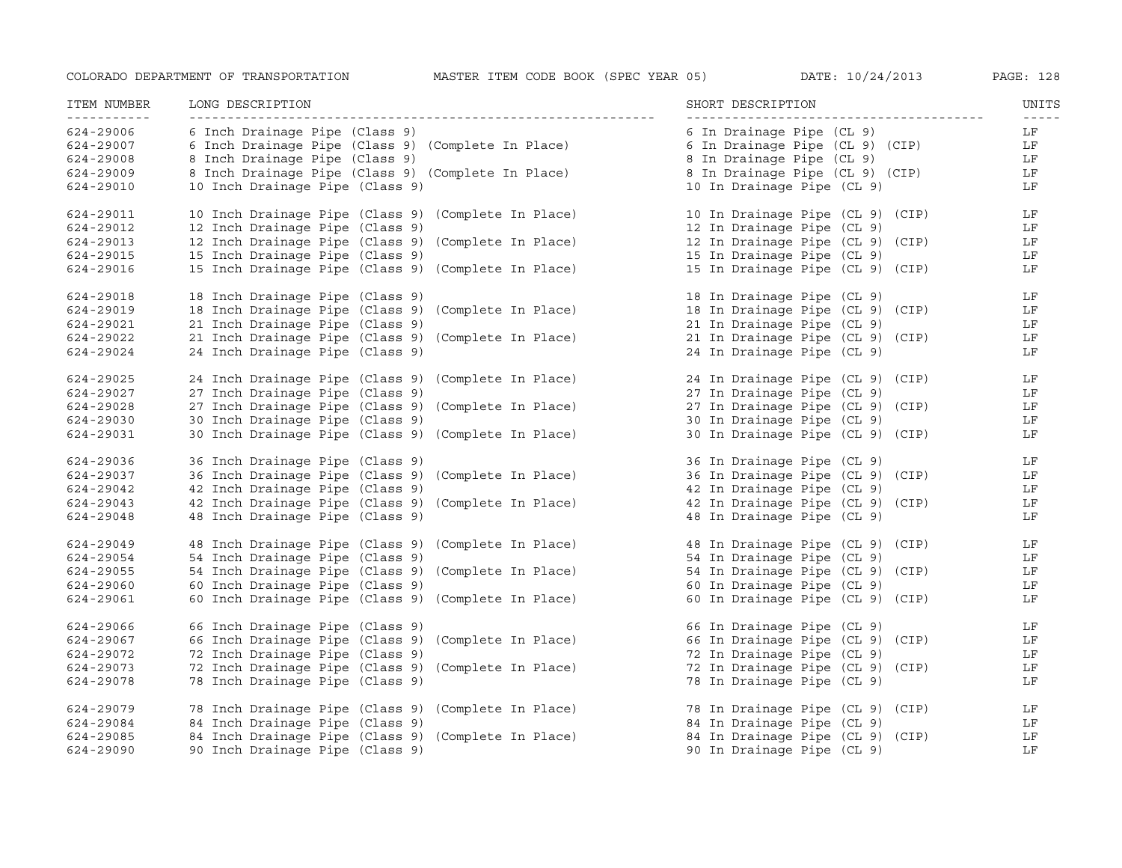| ITEM NUMBER<br>----------- | LONG DESCRIPTION                                    | SHORT DESCRIPTION                | UNITS<br>$\frac{1}{2} \frac{1}{2} \frac{1}{2} \frac{1}{2} \frac{1}{2} \frac{1}{2} \frac{1}{2} \frac{1}{2} \frac{1}{2} \frac{1}{2} \frac{1}{2} \frac{1}{2} \frac{1}{2} \frac{1}{2} \frac{1}{2} \frac{1}{2} \frac{1}{2} \frac{1}{2} \frac{1}{2} \frac{1}{2} \frac{1}{2} \frac{1}{2} \frac{1}{2} \frac{1}{2} \frac{1}{2} \frac{1}{2} \frac{1}{2} \frac{1}{2} \frac{1}{2} \frac{1}{2} \frac{1}{2} \frac{$ |
|----------------------------|-----------------------------------------------------|----------------------------------|-------------------------------------------------------------------------------------------------------------------------------------------------------------------------------------------------------------------------------------------------------------------------------------------------------------------------------------------------------------------------------------------------------|
| 624-29006                  | 6 Inch Drainage Pipe (Class 9)                      | 6 In Drainage Pipe (CL 9)        | LF                                                                                                                                                                                                                                                                                                                                                                                                    |
| 624-29007                  | 6 Inch Drainage Pipe (Class 9) (Complete In Place)  | 6 In Drainage Pipe (CL 9) (CIP)  | LF                                                                                                                                                                                                                                                                                                                                                                                                    |
| 624-29008                  | 8 Inch Drainage Pipe (Class 9)                      | 8 In Drainage Pipe (CL 9)        | LF                                                                                                                                                                                                                                                                                                                                                                                                    |
| 624-29009                  | 8 Inch Drainage Pipe (Class 9) (Complete In Place)  | 8 In Drainage Pipe (CL 9) (CIP)  | LF                                                                                                                                                                                                                                                                                                                                                                                                    |
| 624-29010                  | 10 Inch Drainage Pipe (Class 9)                     | 10 In Drainage Pipe (CL 9)       | LF                                                                                                                                                                                                                                                                                                                                                                                                    |
| 624-29011                  | 10 Inch Drainage Pipe (Class 9) (Complete In Place) | 10 In Drainage Pipe (CL 9) (CIP) | LF                                                                                                                                                                                                                                                                                                                                                                                                    |
| 624-29012                  | 12 Inch Drainage Pipe (Class 9)                     | 12 In Drainage Pipe (CL 9)       | LF                                                                                                                                                                                                                                                                                                                                                                                                    |
| 624-29013                  | 12 Inch Drainage Pipe (Class 9) (Complete In Place) | 12 In Drainage Pipe (CL 9) (CIP) | LF                                                                                                                                                                                                                                                                                                                                                                                                    |
| 624-29015                  | 15 Inch Drainage Pipe (Class 9)                     | 15 In Drainage Pipe (CL 9)       | LF                                                                                                                                                                                                                                                                                                                                                                                                    |
| 624-29016                  | 15 Inch Drainage Pipe (Class 9) (Complete In Place) | 15 In Drainage Pipe (CL 9) (CIP) | LF                                                                                                                                                                                                                                                                                                                                                                                                    |
| 624-29018                  | 18 Inch Drainage Pipe (Class 9)                     | 18 In Drainage Pipe (CL 9)       | LF                                                                                                                                                                                                                                                                                                                                                                                                    |
| 624-29019                  | 18 Inch Drainage Pipe (Class 9) (Complete In Place) | 18 In Drainage Pipe (CL 9) (CIP) | LF                                                                                                                                                                                                                                                                                                                                                                                                    |
| 624-29021                  | 21 Inch Drainage Pipe (Class 9)                     | 21 In Drainage Pipe (CL 9)       | LF                                                                                                                                                                                                                                                                                                                                                                                                    |
| 624-29022                  | 21 Inch Drainage Pipe (Class 9) (Complete In Place) | 21 In Drainage Pipe (CL 9) (CIP) | LF                                                                                                                                                                                                                                                                                                                                                                                                    |
| 624-29024                  | 24 Inch Drainage Pipe (Class 9)                     | 24 In Drainage Pipe (CL 9)       | LF                                                                                                                                                                                                                                                                                                                                                                                                    |
| 624-29025                  | 24 Inch Drainage Pipe (Class 9) (Complete In Place) | 24 In Drainage Pipe (CL 9) (CIP) | LF                                                                                                                                                                                                                                                                                                                                                                                                    |
| 624-29027                  | 27 Inch Drainage Pipe (Class 9)                     | 27 In Drainage Pipe (CL 9)       | LF                                                                                                                                                                                                                                                                                                                                                                                                    |
| 624-29028                  | 27 Inch Drainage Pipe (Class 9) (Complete In Place) | 27 In Drainage Pipe (CL 9) (CIP) | LF                                                                                                                                                                                                                                                                                                                                                                                                    |
| 624-29030                  | 30 Inch Drainage Pipe (Class 9)                     | 30 In Drainage Pipe (CL 9)       | LF                                                                                                                                                                                                                                                                                                                                                                                                    |
| 624-29031                  | 30 Inch Drainage Pipe (Class 9) (Complete In Place) | 30 In Drainage Pipe (CL 9) (CIP) | LF                                                                                                                                                                                                                                                                                                                                                                                                    |
| 624-29036                  | 36 Inch Drainage Pipe (Class 9)                     | 36 In Drainage Pipe (CL 9)       | LF                                                                                                                                                                                                                                                                                                                                                                                                    |
| 624-29037                  | 36 Inch Drainage Pipe (Class 9) (Complete In Place) | 36 In Drainage Pipe (CL 9) (CIP) | LF                                                                                                                                                                                                                                                                                                                                                                                                    |
| 624-29042                  | 42 Inch Drainage Pipe (Class 9)                     | 42 In Drainage Pipe (CL 9)       | LF                                                                                                                                                                                                                                                                                                                                                                                                    |
| 624-29043                  | 42 Inch Drainage Pipe (Class 9) (Complete In Place) | 42 In Drainage Pipe (CL 9) (CIP) | LF                                                                                                                                                                                                                                                                                                                                                                                                    |
| 624-29048                  | 48 Inch Drainage Pipe (Class 9)                     | 48 In Drainage Pipe (CL 9)       | LF                                                                                                                                                                                                                                                                                                                                                                                                    |
| 624-29049                  | 48 Inch Drainage Pipe (Class 9) (Complete In Place) | 48 In Drainage Pipe (CL 9) (CIP) | LF                                                                                                                                                                                                                                                                                                                                                                                                    |
| 624-29054                  | 54 Inch Drainage Pipe (Class 9)                     | 54 In Drainage Pipe (CL 9)       | LF                                                                                                                                                                                                                                                                                                                                                                                                    |
| 624-29055                  | 54 Inch Drainage Pipe (Class 9) (Complete In Place) | 54 In Drainage Pipe (CL 9) (CIP) | LF                                                                                                                                                                                                                                                                                                                                                                                                    |
| 624-29060                  | 60 Inch Drainage Pipe (Class 9)                     | 60 In Drainage Pipe (CL 9)       | LF                                                                                                                                                                                                                                                                                                                                                                                                    |
| 624-29061                  | 60 Inch Drainage Pipe (Class 9) (Complete In Place) | 60 In Drainage Pipe (CL 9) (CIP) | LF                                                                                                                                                                                                                                                                                                                                                                                                    |
| 624-29066                  | 66 Inch Drainage Pipe (Class 9)                     | 66 In Drainage Pipe (CL 9)       | LF                                                                                                                                                                                                                                                                                                                                                                                                    |
| 624-29067                  | 66 Inch Drainage Pipe (Class 9) (Complete In Place) | 66 In Drainage Pipe (CL 9) (CIP) | LF                                                                                                                                                                                                                                                                                                                                                                                                    |
| 624-29072                  | 72 Inch Drainage Pipe (Class 9)                     | 72 In Drainage Pipe (CL 9)       | LF                                                                                                                                                                                                                                                                                                                                                                                                    |
| 624-29073                  | 72 Inch Drainage Pipe (Class 9) (Complete In Place) | 72 In Drainage Pipe (CL 9) (CIP) | LF                                                                                                                                                                                                                                                                                                                                                                                                    |
| 624-29078                  | 78 Inch Drainage Pipe (Class 9)                     | 78 In Drainage Pipe (CL 9)       | LF                                                                                                                                                                                                                                                                                                                                                                                                    |
| 624-29079                  | 78 Inch Drainage Pipe (Class 9) (Complete In Place) | 78 In Drainage Pipe (CL 9) (CIP) | LF                                                                                                                                                                                                                                                                                                                                                                                                    |
| 624-29084                  | 84 Inch Drainage Pipe (Class 9)                     | 84 In Drainage Pipe (CL 9)       | LF                                                                                                                                                                                                                                                                                                                                                                                                    |
| 624-29085                  | 84 Inch Drainage Pipe (Class 9) (Complete In Place) | 84 In Drainage Pipe (CL 9) (CIP) | LF                                                                                                                                                                                                                                                                                                                                                                                                    |
| 624-29090                  | 90 Inch Drainage Pipe (Class 9)                     | 90 In Drainage Pipe (CL 9)       | LF                                                                                                                                                                                                                                                                                                                                                                                                    |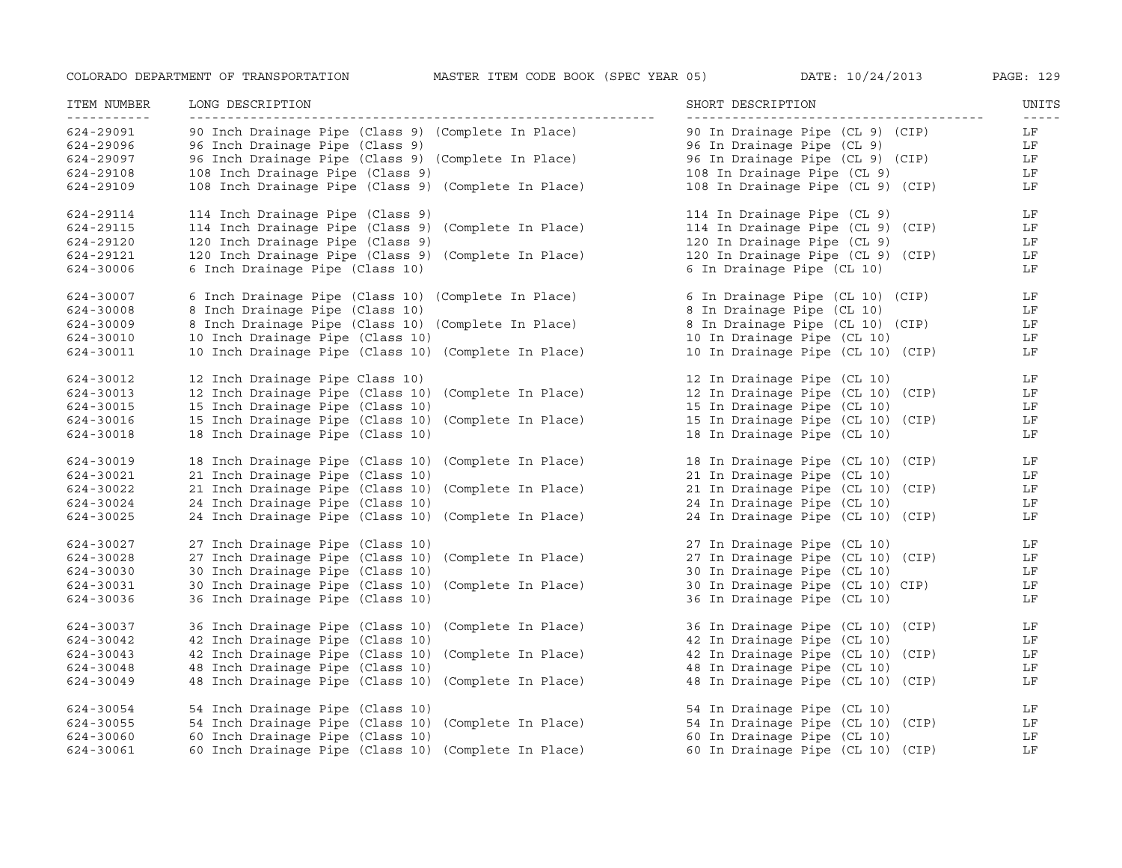| ITEM NUMBER<br><u>___________</u> | LONG DESCRIPTION                                     | SHORT DESCRIPTION                 | UNITS               |
|-----------------------------------|------------------------------------------------------|-----------------------------------|---------------------|
| 624-29091                         | 90 Inch Drainage Pipe (Class 9) (Complete In Place)  | 90 In Drainage Pipe (CL 9) (CIP)  | $- - - - - -$<br>LF |
| 624-29096                         | 96 Inch Drainage Pipe (Class 9)                      | 96 In Drainage Pipe (CL 9)        | LF                  |
| 624-29097                         | 96 Inch Drainage Pipe (Class 9) (Complete In Place)  | 96 In Drainage Pipe (CL 9) (CIP)  | LF                  |
| 624-29108                         | 108 Inch Drainage Pipe (Class 9)                     | 108 In Drainage Pipe (CL 9)       | LF                  |
| 624-29109                         | 108 Inch Drainage Pipe (Class 9) (Complete In Place) | 108 In Drainage Pipe (CL 9) (CIP) | LF                  |
| 624-29114                         | 114 Inch Drainage Pipe (Class 9)                     | 114 In Drainage Pipe (CL 9)       | LF                  |
| 624-29115                         | 114 Inch Drainage Pipe (Class 9) (Complete In Place) | 114 In Drainage Pipe (CL 9) (CIP) | LF                  |
| 624-29120                         | 120 Inch Drainage Pipe (Class 9)                     | 120 In Drainage Pipe (CL 9)       | LF                  |
| 624-29121                         | 120 Inch Drainage Pipe (Class 9) (Complete In Place) | 120 In Drainage Pipe (CL 9) (CIP) | LF                  |
| 624-30006                         | 6 Inch Drainage Pipe (Class 10)                      | 6 In Drainage Pipe (CL 10)        | LF                  |
| 624-30007                         | 6 Inch Drainage Pipe (Class 10) (Complete In Place)  | 6 In Drainage Pipe (CL 10) (CIP)  | LF                  |
| 624-30008                         | 8 Inch Drainage Pipe (Class 10)                      | 8 In Drainage Pipe (CL 10)        | LF                  |
| 624-30009                         | 8 Inch Drainage Pipe (Class 10) (Complete In Place)  | 8 In Drainage Pipe (CL 10) (CIP)  | LF                  |
| 624-30010                         | 10 Inch Drainage Pipe (Class 10)                     | 10 In Drainage Pipe (CL 10)       | LF                  |
| 624-30011                         | 10 Inch Drainage Pipe (Class 10) (Complete In Place) | 10 In Drainage Pipe (CL 10) (CIP) | LF                  |
| 624-30012                         | 12 Inch Drainage Pipe Class 10)                      | 12 In Drainage Pipe (CL 10)       | LF                  |
| 624-30013                         | 12 Inch Drainage Pipe (Class 10) (Complete In Place) | 12 In Drainage Pipe (CL 10) (CIP) | LF                  |
| 624-30015                         | 15 Inch Drainage Pipe (Class 10)                     | 15 In Drainage Pipe (CL 10)       | LF                  |
| 624-30016                         | 15 Inch Drainage Pipe (Class 10) (Complete In Place) | 15 In Drainage Pipe (CL 10) (CIP) | LF                  |
| 624-30018                         | 18 Inch Drainage Pipe (Class 10)                     | 18 In Drainage Pipe (CL 10)       | LF                  |
| 624-30019                         | 18 Inch Drainage Pipe (Class 10) (Complete In Place) | 18 In Drainage Pipe (CL 10) (CIP) | LF                  |
| 624-30021                         | 21 Inch Drainage Pipe (Class 10)                     | 21 In Drainage Pipe (CL 10)       | LF                  |
| 624-30022                         | 21 Inch Drainage Pipe (Class 10) (Complete In Place) | 21 In Drainage Pipe (CL 10) (CIP) | LF                  |
| 624-30024                         | 24 Inch Drainage Pipe (Class 10)                     | 24 In Drainage Pipe (CL 10)       | LF                  |
| 624-30025                         | 24 Inch Drainage Pipe (Class 10) (Complete In Place) | 24 In Drainage Pipe (CL 10) (CIP) | LF                  |
| 624-30027                         | 27 Inch Drainage Pipe (Class 10)                     | 27 In Drainage Pipe (CL 10)       | LF                  |
| 624-30028                         | 27 Inch Drainage Pipe (Class 10) (Complete In Place) | 27 In Drainage Pipe (CL 10) (CIP) | LF                  |
| 624-30030                         | 30 Inch Drainage Pipe (Class 10)                     | 30 In Drainage Pipe (CL 10)       | LF                  |
| 624-30031                         | 30 Inch Drainage Pipe (Class 10) (Complete In Place) | 30 In Drainage Pipe (CL 10) CIP)  | LF                  |
| 624-30036                         | 36 Inch Drainage Pipe (Class 10)                     | 36 In Drainage Pipe (CL 10)       | LF                  |
| 624-30037                         | 36 Inch Drainage Pipe (Class 10) (Complete In Place) | 36 In Drainage Pipe (CL 10) (CIP) | LF                  |
| 624-30042                         | 42 Inch Drainage Pipe (Class 10)                     | 42 In Drainage Pipe (CL 10)       | LF                  |
| 624-30043                         | 42 Inch Drainage Pipe (Class 10) (Complete In Place) | 42 In Drainage Pipe (CL 10) (CIP) | LF                  |
| 624-30048                         | 48 Inch Drainage Pipe (Class 10)                     | 48 In Drainage Pipe (CL 10)       | LF                  |
| 624-30049                         | 48 Inch Drainage Pipe (Class 10) (Complete In Place) | 48 In Drainage Pipe (CL 10) (CIP) | LF                  |
| 624-30054                         | 54 Inch Drainage Pipe (Class 10)                     | 54 In Drainage Pipe (CL 10)       | LF                  |
| 624-30055                         | 54 Inch Drainage Pipe (Class 10) (Complete In Place) | 54 In Drainage Pipe (CL 10) (CIP) | LF                  |
| 624-30060                         | 60 Inch Drainage Pipe (Class 10)                     | 60 In Drainage Pipe (CL 10)       | LF                  |
| 624-30061                         | 60 Inch Drainage Pipe (Class 10) (Complete In Place) | 60 In Drainage Pipe (CL 10) (CIP) | LF                  |
|                                   |                                                      |                                   |                     |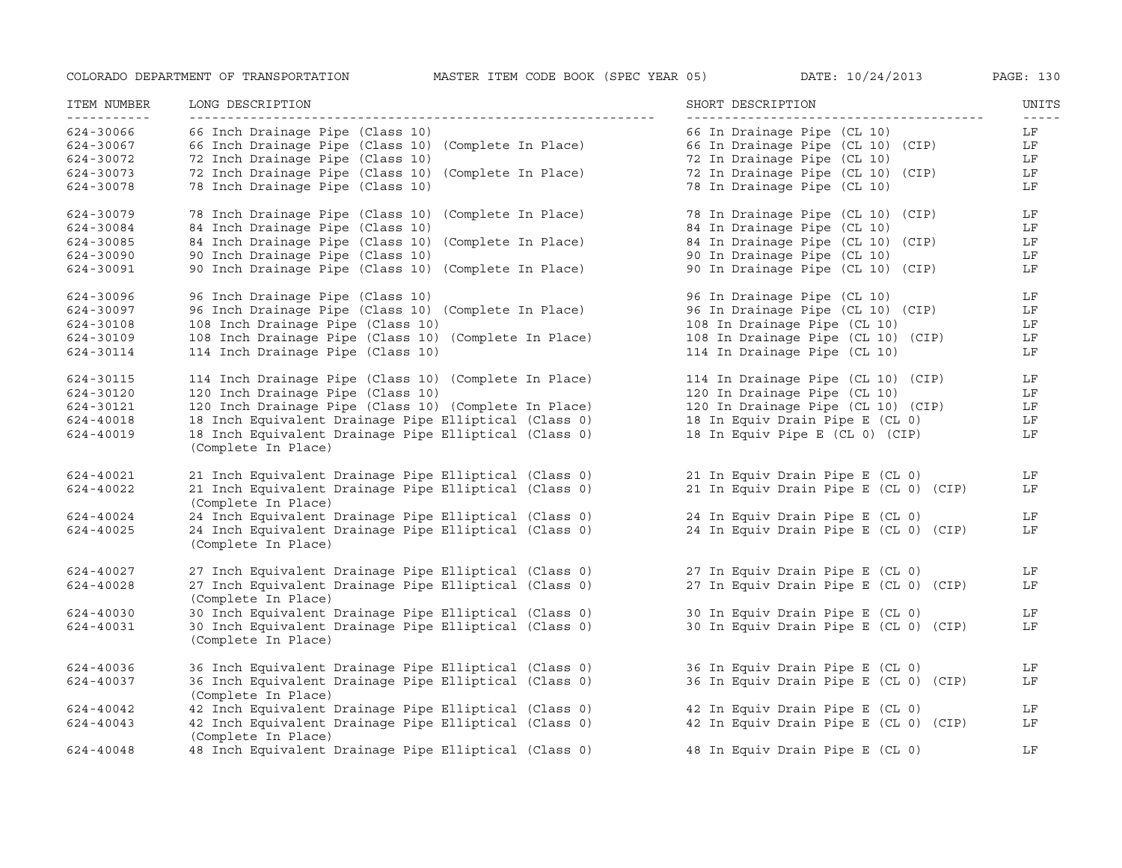| ITEM NUMBER                                        | LONG DESCRIPTION                                                                                                                                                        | SHORT DESCRIPTION                                                                                        | UNITS                                                                                                                                                                                                                                                                                                                                                                                                          |
|----------------------------------------------------|-------------------------------------------------------------------------------------------------------------------------------------------------------------------------|----------------------------------------------------------------------------------------------------------|----------------------------------------------------------------------------------------------------------------------------------------------------------------------------------------------------------------------------------------------------------------------------------------------------------------------------------------------------------------------------------------------------------------|
| -----------<br>624-30066<br>624-30067<br>624-30072 | 66 Inch Drainage Pipe (Class 10)<br>66 Inch Drainage Pipe (Class 10) (Complete In Place)<br>72 Inch Drainage Pipe (Class 10)                                            | 66 In Drainage Pipe (CL 10)<br>66 In Drainage Pipe (CL 10) (CIP)<br>72 In Drainage Pipe (CL 10)          | $\frac{1}{2} \frac{1}{2} \frac{1}{2} \frac{1}{2} \frac{1}{2} \frac{1}{2} \frac{1}{2} \frac{1}{2} \frac{1}{2} \frac{1}{2} \frac{1}{2} \frac{1}{2} \frac{1}{2} \frac{1}{2} \frac{1}{2} \frac{1}{2} \frac{1}{2} \frac{1}{2} \frac{1}{2} \frac{1}{2} \frac{1}{2} \frac{1}{2} \frac{1}{2} \frac{1}{2} \frac{1}{2} \frac{1}{2} \frac{1}{2} \frac{1}{2} \frac{1}{2} \frac{1}{2} \frac{1}{2} \frac{$<br>LF<br>LF<br>LF |
| 624-30073<br>624-30078                             | 72 Inch Drainage Pipe (Class 10) (Complete In Place)<br>78 Inch Drainage Pipe (Class 10)                                                                                | 72 In Drainage Pipe (CL 10) (CIP)<br>78 In Drainage Pipe (CL 10)                                         | LF<br>LF                                                                                                                                                                                                                                                                                                                                                                                                       |
| 624-30079<br>624-30084                             | 78 Inch Drainage Pipe (Class 10) (Complete In Place)<br>84 Inch Drainage Pipe (Class 10)                                                                                | 78 In Drainage Pipe (CL 10) (CIP)<br>84 In Drainage Pipe (CL 10)                                         | LF<br>LF                                                                                                                                                                                                                                                                                                                                                                                                       |
| 624-30085<br>624-30090<br>624-30091                | 84 Inch Drainage Pipe (Class 10) (Complete In Place)<br>90 Inch Drainage Pipe (Class 10)<br>90 Inch Drainage Pipe (Class 10) (Complete In Place)                        | 84 In Drainage Pipe (CL 10) (CIP)<br>90 In Drainage Pipe (CL 10)<br>90 In Drainage Pipe (CL 10) (CIP)    | LF<br>LF<br>LF                                                                                                                                                                                                                                                                                                                                                                                                 |
| 624-30096<br>624-30097                             | 96 Inch Drainage Pipe (Class 10)<br>96 Inch Drainage Pipe (Class 10) (Complete In Place)                                                                                | 96 In Drainage Pipe (CL 10)<br>96 In Drainage Pipe (CL 10) (CIP)                                         | LF<br>LF                                                                                                                                                                                                                                                                                                                                                                                                       |
| 624-30108<br>624-30109<br>624-30114                | 108 Inch Drainage Pipe (Class 10)<br>108 Inch Drainage Pipe (Class 10) (Complete In Place)<br>114 Inch Drainage Pipe (Class 10)                                         | 108 In Drainage Pipe (CL 10)<br>108 In Drainage Pipe (CL 10) (CIP)<br>114 In Drainage Pipe (CL 10)       | LF<br>LF<br>LF                                                                                                                                                                                                                                                                                                                                                                                                 |
| 624-30115<br>624-30120                             | 114 Inch Drainage Pipe (Class 10) (Complete In Place)<br>120 Inch Drainage Pipe (Class 10)                                                                              | 114 In Drainage Pipe (CL 10) (CIP)<br>120 In Drainage Pipe (CL 10)                                       | LF<br>LF                                                                                                                                                                                                                                                                                                                                                                                                       |
| 624-30121<br>624-40018<br>624-40019                | 120 Inch Drainage Pipe (Class 10) (Complete In Place)<br>18 Inch Equivalent Drainage Pipe Elliptical (Class 0)<br>18 Inch Equivalent Drainage Pipe Elliptical (Class 0) | 120 In Drainage Pipe (CL 10) (CIP)<br>18 In Equiv Drain Pipe E (CL 0)<br>18 In Equiv Pipe E (CL 0) (CIP) | LF<br>LF<br>LF                                                                                                                                                                                                                                                                                                                                                                                                 |
|                                                    | (Complete In Place)                                                                                                                                                     |                                                                                                          |                                                                                                                                                                                                                                                                                                                                                                                                                |
| 624-40021<br>624-40022                             | 21 Inch Equivalent Drainage Pipe Elliptical (Class 0)<br>21 Inch Equivalent Drainage Pipe Elliptical (Class 0)<br>(Complete In Place)                                   | 21 In Equiv Drain Pipe E (CL 0)<br>21 In Equiv Drain Pipe E (CL 0) (CIP)                                 | LF<br>LF                                                                                                                                                                                                                                                                                                                                                                                                       |
| 624-40024<br>624-40025                             | 24 Inch Equivalent Drainage Pipe Elliptical (Class 0)<br>24 Inch Equivalent Drainage Pipe Elliptical (Class 0)<br>(Complete In Place)                                   | 24 In Equiv Drain Pipe E (CL 0)<br>24 In Equiv Drain Pipe E (CL 0) (CIP)                                 | LF<br>LF                                                                                                                                                                                                                                                                                                                                                                                                       |
| 624-40027<br>624-40028                             | 27 Inch Equivalent Drainage Pipe Elliptical (Class 0)<br>27 Inch Equivalent Drainage Pipe Elliptical (Class 0)<br>(Complete In Place)                                   | 27 In Equiv Drain Pipe E (CL 0)<br>27 In Equiv Drain Pipe E (CL 0) (CIP)                                 | LF<br>LF                                                                                                                                                                                                                                                                                                                                                                                                       |
| 624-40030<br>624-40031                             | 30 Inch Equivalent Drainage Pipe Elliptical (Class 0)<br>30 Inch Equivalent Drainage Pipe Elliptical (Class 0)<br>(Complete In Place)                                   | 30 In Equiv Drain Pipe E (CL 0)<br>30 In Equiv Drain Pipe E (CL 0) (CIP)                                 | LF<br>LF                                                                                                                                                                                                                                                                                                                                                                                                       |
| 624-40036<br>624-40037                             | 36 Inch Equivalent Drainage Pipe Elliptical (Class 0)<br>36 Inch Equivalent Drainage Pipe Elliptical (Class 0)                                                          | 36 In Equiv Drain Pipe E (CL 0)<br>36 In Equiv Drain Pipe E (CL 0) (CIP)                                 | LF<br>LF                                                                                                                                                                                                                                                                                                                                                                                                       |
| 624-40042<br>624-40043                             | (Complete In Place)<br>42 Inch Equivalent Drainage Pipe Elliptical (Class 0)<br>42 Inch Equivalent Drainage Pipe Elliptical (Class 0)<br>(Complete In Place)            | 42 In Equiv Drain Pipe E (CL 0)<br>42 In Equiv Drain Pipe E (CL 0) (CIP)                                 | LF<br>LF                                                                                                                                                                                                                                                                                                                                                                                                       |
| 624-40048                                          | 48 Inch Equivalent Drainage Pipe Elliptical (Class 0)                                                                                                                   | 48 In Equiv Drain Pipe E (CL 0)                                                                          | LF                                                                                                                                                                                                                                                                                                                                                                                                             |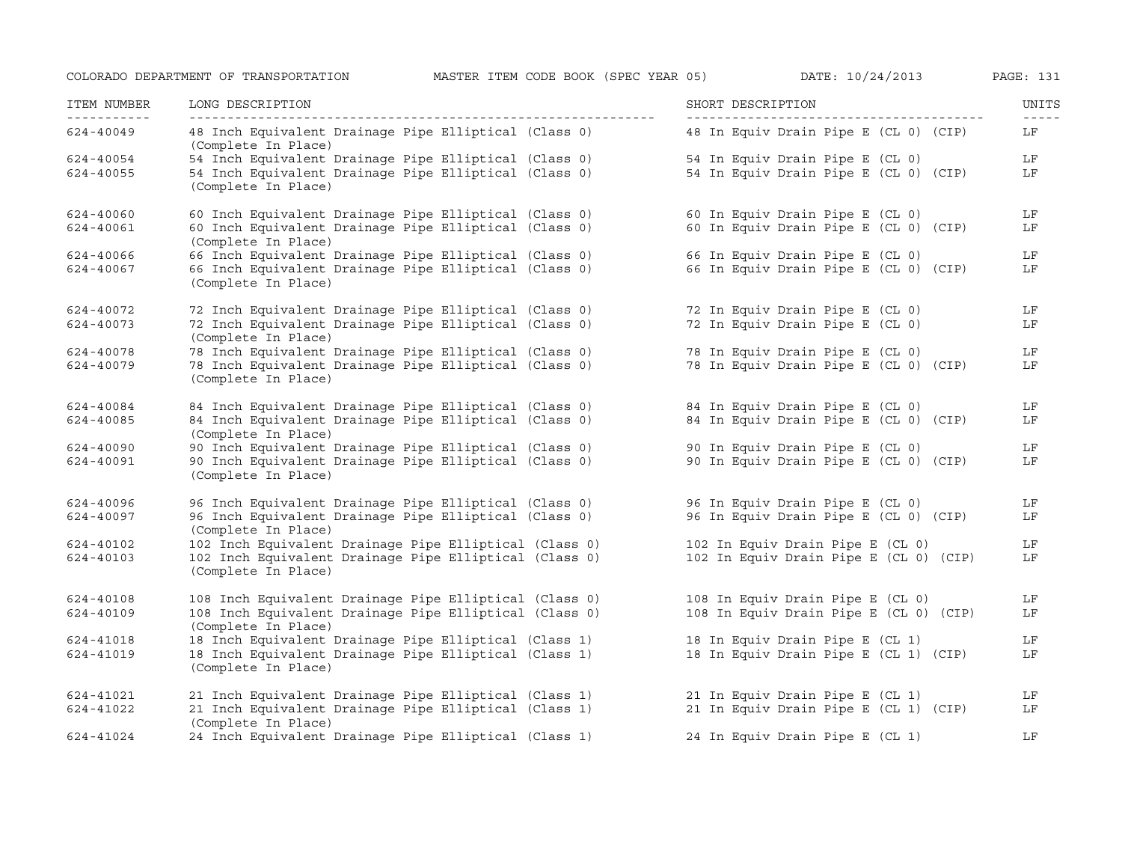| ITEM NUMBER | LONG DESCRIPTION                                                              | SHORT DESCRIPTION                      | UNITS |
|-------------|-------------------------------------------------------------------------------|----------------------------------------|-------|
| 624-40049   | 48 Inch Equivalent Drainage Pipe Elliptical (Class 0)<br>(Complete In Place)  | 48 In Equiv Drain Pipe E (CL 0) (CIP)  | LF    |
| 624-40054   | 54 Inch Equivalent Drainage Pipe Elliptical (Class 0)                         | 54 In Equiv Drain Pipe E (CL 0)        | LF    |
| 624-40055   | 54 Inch Equivalent Drainage Pipe Elliptical (Class 0)<br>(Complete In Place)  | 54 In Equiv Drain Pipe E (CL 0) (CIP)  | LF    |
| 624-40060   | 60 Inch Equivalent Drainage Pipe Elliptical (Class 0)                         | 60 In Equiv Drain Pipe E (CL 0)        | LF    |
| 624-40061   | 60 Inch Equivalent Drainage Pipe Elliptical (Class 0)<br>(Complete In Place)  | 60 In Equiv Drain Pipe E (CL 0) (CIP)  | LF    |
| 624-40066   | 66 Inch Equivalent Drainage Pipe Elliptical (Class 0)                         | 66 In Equiv Drain Pipe E (CL 0)        | LF    |
| 624-40067   | 66 Inch Equivalent Drainage Pipe Elliptical (Class 0)<br>(Complete In Place)  | 66 In Equiv Drain Pipe E (CL 0) (CIP)  | LF    |
| 624-40072   | 72 Inch Equivalent Drainage Pipe Elliptical (Class 0)                         | 72 In Equiv Drain Pipe E (CL 0)        | LF    |
| 624-40073   | 72 Inch Equivalent Drainage Pipe Elliptical (Class 0)<br>(Complete In Place)  | 72 In Equiv Drain Pipe E (CL 0)        | LF    |
| 624-40078   | 78 Inch Equivalent Drainage Pipe Elliptical (Class 0)                         | 78 In Equiv Drain Pipe E (CL 0)        | LF    |
| 624-40079   | 78 Inch Equivalent Drainage Pipe Elliptical (Class 0)<br>(Complete In Place)  | 78 In Equiv Drain Pipe E (CL 0) (CIP)  | LF    |
| 624-40084   | 84 Inch Equivalent Drainage Pipe Elliptical (Class 0)                         | 84 In Equiv Drain Pipe E (CL 0)        | LF    |
| 624-40085   | 84 Inch Equivalent Drainage Pipe Elliptical (Class 0)<br>(Complete In Place)  | 84 In Equiv Drain Pipe E (CL 0) (CIP)  | LF    |
| 624-40090   | 90 Inch Equivalent Drainage Pipe Elliptical (Class 0)                         | 90 In Equiv Drain Pipe E (CL 0)        | LF    |
| 624-40091   | 90 Inch Equivalent Drainage Pipe Elliptical (Class 0)<br>(Complete In Place)  | 90 In Equiv Drain Pipe E (CL 0) (CIP)  | LF    |
| 624-40096   | 96 Inch Equivalent Drainage Pipe Elliptical (Class 0)                         | 96 In Equiv Drain Pipe E (CL 0)        | LF    |
| 624-40097   | 96 Inch Equivalent Drainage Pipe Elliptical (Class 0)<br>(Complete In Place)  | 96 In Equiv Drain Pipe E (CL 0) (CIP)  | LF    |
| 624-40102   | 102 Inch Equivalent Drainage Pipe Elliptical (Class 0)                        | 102 In Equiv Drain Pipe E (CL 0)       | LF    |
| 624-40103   | 102 Inch Equivalent Drainage Pipe Elliptical (Class 0)<br>(Complete In Place) | 102 In Equiv Drain Pipe E (CL 0) (CIP) | LF    |
| 624-40108   | 108 Inch Equivalent Drainage Pipe Elliptical (Class 0)                        | 108 In Equiv Drain Pipe E (CL 0)       | LF    |
| 624-40109   | 108 Inch Equivalent Drainage Pipe Elliptical (Class 0)<br>(Complete In Place) | 108 In Equiv Drain Pipe E (CL 0) (CIP) | LF    |
| 624-41018   | 18 Inch Equivalent Drainage Pipe Elliptical (Class 1)                         | 18 In Equiv Drain Pipe E (CL 1)        | LF    |
| 624-41019   | 18 Inch Equivalent Drainage Pipe Elliptical (Class 1)<br>(Complete In Place)  | 18 In Equiv Drain Pipe E (CL 1) (CIP)  | LF    |
| 624-41021   | 21 Inch Equivalent Drainage Pipe Elliptical (Class 1)                         | 21 In Equiv Drain Pipe E (CL 1)        | LF    |
| 624-41022   | 21 Inch Equivalent Drainage Pipe Elliptical (Class 1)<br>(Complete In Place)  | 21 In Equiv Drain Pipe E (CL 1) (CIP)  | LF    |
| 624-41024   | 24 Inch Equivalent Drainage Pipe Elliptical (Class 1)                         | 24 In Equiv Drain Pipe E (CL 1)        | LF    |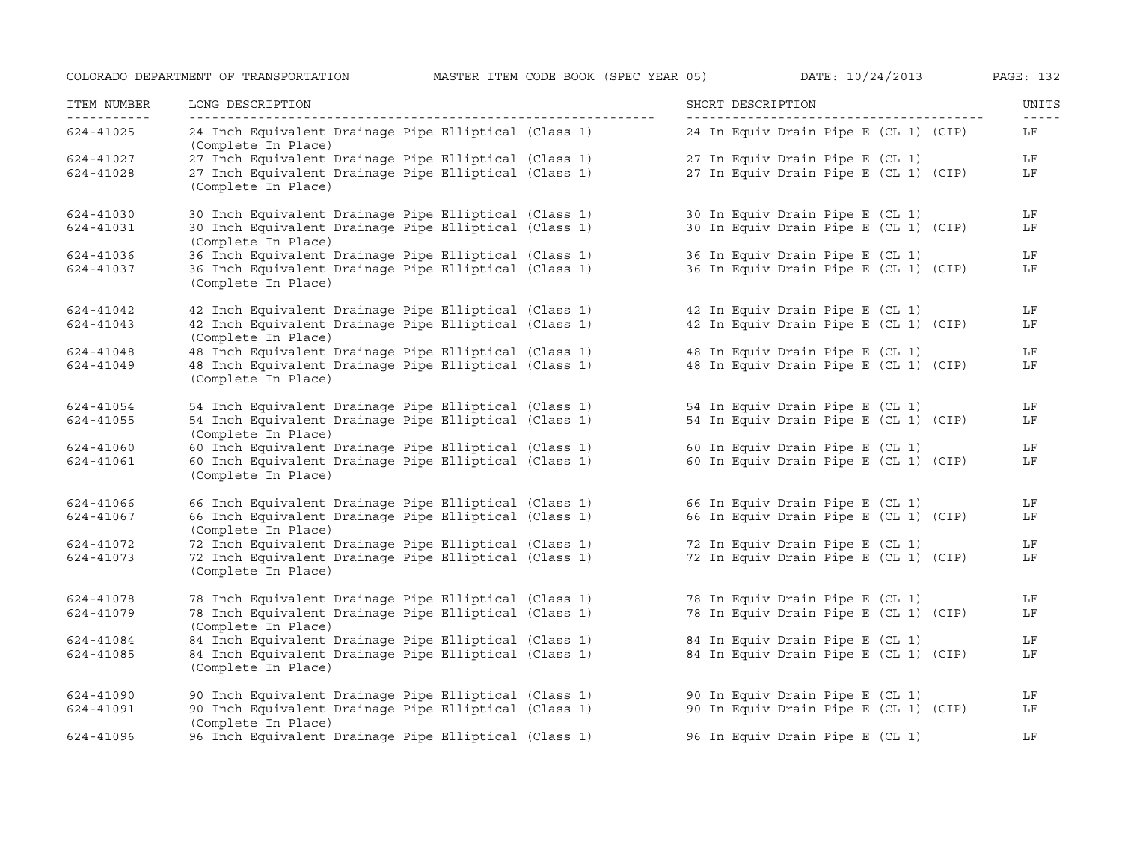| ITEM NUMBER | LONG DESCRIPTION                                                             | SHORT DESCRIPTION                     | UNITS<br>$\frac{1}{2} \frac{1}{2} \frac{1}{2} \frac{1}{2} \frac{1}{2} \frac{1}{2} \frac{1}{2} \frac{1}{2} \frac{1}{2} \frac{1}{2} \frac{1}{2} \frac{1}{2} \frac{1}{2} \frac{1}{2} \frac{1}{2} \frac{1}{2} \frac{1}{2} \frac{1}{2} \frac{1}{2} \frac{1}{2} \frac{1}{2} \frac{1}{2} \frac{1}{2} \frac{1}{2} \frac{1}{2} \frac{1}{2} \frac{1}{2} \frac{1}{2} \frac{1}{2} \frac{1}{2} \frac{1}{2} \frac{$ |
|-------------|------------------------------------------------------------------------------|---------------------------------------|-------------------------------------------------------------------------------------------------------------------------------------------------------------------------------------------------------------------------------------------------------------------------------------------------------------------------------------------------------------------------------------------------------|
| 624-41025   | 24 Inch Equivalent Drainage Pipe Elliptical (Class 1)<br>(Complete In Place) | 24 In Equiv Drain Pipe E (CL 1) (CIP) | LF                                                                                                                                                                                                                                                                                                                                                                                                    |
| 624-41027   | 27 Inch Equivalent Drainage Pipe Elliptical (Class 1)                        | 27 In Equiv Drain Pipe E (CL 1)       | LF                                                                                                                                                                                                                                                                                                                                                                                                    |
| 624-41028   | 27 Inch Equivalent Drainage Pipe Elliptical (Class 1)<br>(Complete In Place) | 27 In Equiv Drain Pipe E (CL 1) (CIP) | LF                                                                                                                                                                                                                                                                                                                                                                                                    |
| 624-41030   | 30 Inch Equivalent Drainage Pipe Elliptical (Class 1)                        | 30 In Equiv Drain Pipe E (CL 1)       | LF                                                                                                                                                                                                                                                                                                                                                                                                    |
| 624-41031   | 30 Inch Equivalent Drainage Pipe Elliptical (Class 1)<br>(Complete In Place) | 30 In Equiv Drain Pipe E (CL 1) (CIP) | LF                                                                                                                                                                                                                                                                                                                                                                                                    |
| 624-41036   | 36 Inch Equivalent Drainage Pipe Elliptical (Class 1)                        | 36 In Equiv Drain Pipe E (CL 1)       | LF                                                                                                                                                                                                                                                                                                                                                                                                    |
| 624-41037   | 36 Inch Equivalent Drainage Pipe Elliptical (Class 1)<br>(Complete In Place) | 36 In Equiv Drain Pipe E (CL 1) (CIP) | LF                                                                                                                                                                                                                                                                                                                                                                                                    |
| 624-41042   | 42 Inch Equivalent Drainage Pipe Elliptical (Class 1)                        | 42 In Equiv Drain Pipe E (CL 1)       | LF                                                                                                                                                                                                                                                                                                                                                                                                    |
| 624-41043   | 42 Inch Equivalent Drainage Pipe Elliptical (Class 1)<br>(Complete In Place) | 42 In Equiv Drain Pipe E (CL 1) (CIP) | LF                                                                                                                                                                                                                                                                                                                                                                                                    |
| 624-41048   | 48 Inch Equivalent Drainage Pipe Elliptical (Class 1)                        | 48 In Equiv Drain Pipe E (CL 1)       | LF                                                                                                                                                                                                                                                                                                                                                                                                    |
| 624-41049   | 48 Inch Equivalent Drainage Pipe Elliptical (Class 1)<br>(Complete In Place) | 48 In Equiv Drain Pipe E (CL 1) (CIP) | LF                                                                                                                                                                                                                                                                                                                                                                                                    |
| 624-41054   | 54 Inch Equivalent Drainage Pipe Elliptical (Class 1)                        | 54 In Equiv Drain Pipe E (CL 1)       | LF                                                                                                                                                                                                                                                                                                                                                                                                    |
| 624-41055   | 54 Inch Equivalent Drainage Pipe Elliptical (Class 1)<br>(Complete In Place) | 54 In Equiv Drain Pipe E (CL 1) (CIP) | LF                                                                                                                                                                                                                                                                                                                                                                                                    |
| 624-41060   | 60 Inch Equivalent Drainage Pipe Elliptical (Class 1)                        | 60 In Equiv Drain Pipe E (CL 1)       | LF                                                                                                                                                                                                                                                                                                                                                                                                    |
| 624-41061   | 60 Inch Equivalent Drainage Pipe Elliptical (Class 1)<br>(Complete In Place) | 60 In Equiv Drain Pipe E (CL 1) (CIP) | LF                                                                                                                                                                                                                                                                                                                                                                                                    |
| 624-41066   | 66 Inch Equivalent Drainage Pipe Elliptical (Class 1)                        | 66 In Equiv Drain Pipe E (CL 1)       | LF                                                                                                                                                                                                                                                                                                                                                                                                    |
| 624-41067   | 66 Inch Equivalent Drainage Pipe Elliptical (Class 1)<br>(Complete In Place) | 66 In Equiv Drain Pipe E (CL 1) (CIP) | LF                                                                                                                                                                                                                                                                                                                                                                                                    |
| 624-41072   | 72 Inch Equivalent Drainage Pipe Elliptical (Class 1)                        | 72 In Equiv Drain Pipe E (CL 1)       | LF                                                                                                                                                                                                                                                                                                                                                                                                    |
| 624-41073   | 72 Inch Equivalent Drainage Pipe Elliptical (Class 1)<br>(Complete In Place) | 72 In Equiv Drain Pipe E (CL 1) (CIP) | LF                                                                                                                                                                                                                                                                                                                                                                                                    |
| 624-41078   | 78 Inch Equivalent Drainage Pipe Elliptical (Class 1)                        | 78 In Equiv Drain Pipe E (CL 1)       | LF                                                                                                                                                                                                                                                                                                                                                                                                    |
| 624-41079   | 78 Inch Equivalent Drainage Pipe Elliptical (Class 1)<br>(Complete In Place) | 78 In Equiv Drain Pipe E (CL 1) (CIP) | LF                                                                                                                                                                                                                                                                                                                                                                                                    |
| 624-41084   | 84 Inch Equivalent Drainage Pipe Elliptical (Class 1)                        | 84 In Equiv Drain Pipe E (CL 1)       | LF                                                                                                                                                                                                                                                                                                                                                                                                    |
| 624-41085   | 84 Inch Equivalent Drainage Pipe Elliptical (Class 1)<br>(Complete In Place) | 84 In Equiv Drain Pipe E (CL 1) (CIP) | LF                                                                                                                                                                                                                                                                                                                                                                                                    |
| 624-41090   | 90 Inch Equivalent Drainage Pipe Elliptical (Class 1)                        | 90 In Equiv Drain Pipe E (CL 1)       | LF                                                                                                                                                                                                                                                                                                                                                                                                    |
| 624-41091   | 90 Inch Equivalent Drainage Pipe Elliptical (Class 1)<br>(Complete In Place) | 90 In Equiv Drain Pipe E (CL 1) (CIP) | LF                                                                                                                                                                                                                                                                                                                                                                                                    |
| 624-41096   | 96 Inch Equivalent Drainage Pipe Elliptical (Class 1)                        | 96 In Equiv Drain Pipe E (CL 1)       | LF                                                                                                                                                                                                                                                                                                                                                                                                    |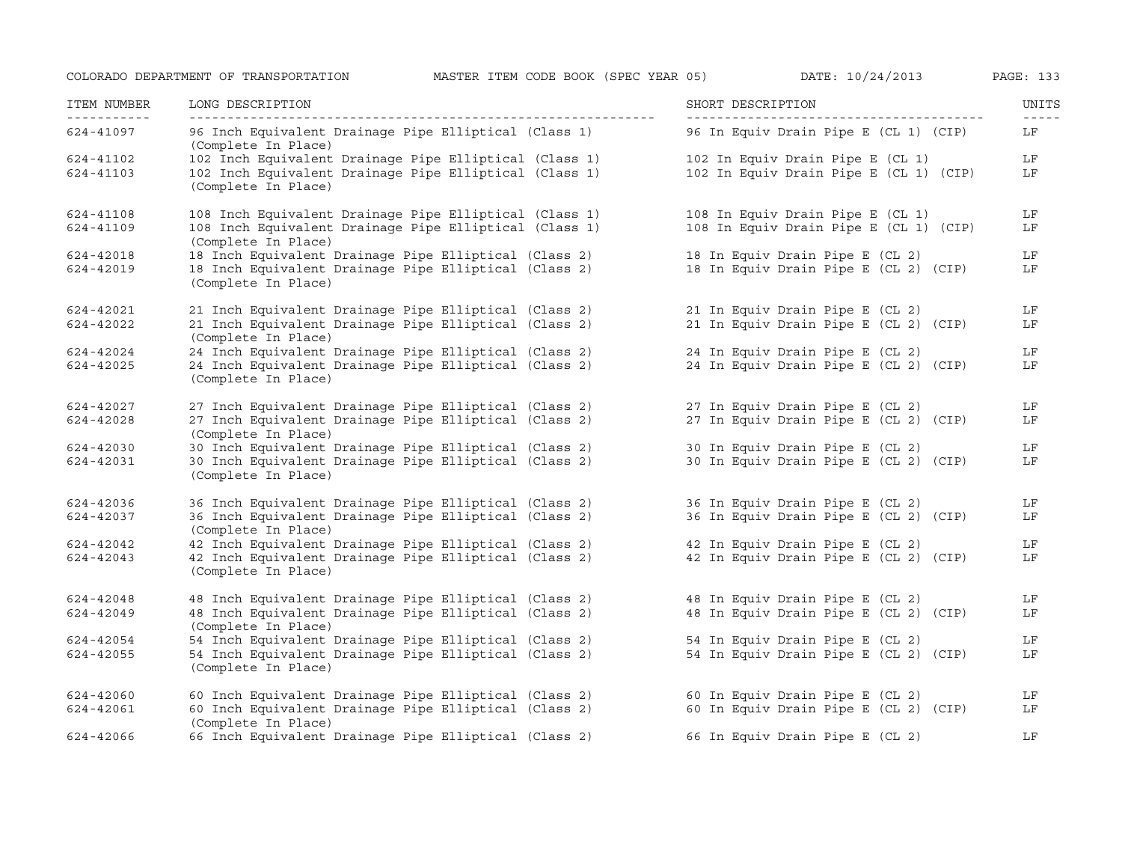| ITEM NUMBER<br>------------ | LONG DESCRIPTION<br>__________________                                        | SHORT DESCRIPTION                      | UNITS<br>$- - - - -$ |
|-----------------------------|-------------------------------------------------------------------------------|----------------------------------------|----------------------|
| 624-41097                   | 96 Inch Equivalent Drainage Pipe Elliptical (Class 1)<br>(Complete In Place)  | 96 In Equiv Drain Pipe E (CL 1) (CIP)  | LF                   |
| 624-41102                   | 102 Inch Equivalent Drainage Pipe Elliptical (Class 1)                        | 102 In Equiv Drain Pipe E (CL 1)       | LF                   |
| 624-41103                   | 102 Inch Equivalent Drainage Pipe Elliptical (Class 1)<br>(Complete In Place) | 102 In Equiv Drain Pipe E (CL 1) (CIP) | LF                   |
| 624-41108                   | 108 Inch Equivalent Drainage Pipe Elliptical (Class 1)                        | 108 In Equiv Drain Pipe E (CL 1)       | LF                   |
| 624-41109                   | 108 Inch Equivalent Drainage Pipe Elliptical (Class 1)<br>(Complete In Place) | 108 In Equiv Drain Pipe E (CL 1) (CIP) | LF                   |
| 624-42018                   | 18 Inch Equivalent Drainage Pipe Elliptical (Class 2)                         | 18 In Equiv Drain Pipe E (CL 2)        | LF                   |
| 624-42019                   | 18 Inch Equivalent Drainage Pipe Elliptical (Class 2)<br>(Complete In Place)  | 18 In Equiv Drain Pipe E (CL 2) (CIP)  | LF                   |
| 624-42021                   | 21 Inch Equivalent Drainage Pipe Elliptical (Class 2)                         | 21 In Equiv Drain Pipe E (CL 2)        | LF                   |
| 624-42022                   | 21 Inch Equivalent Drainage Pipe Elliptical (Class 2)<br>(Complete In Place)  | 21 In Equiv Drain Pipe E (CL 2) (CIP)  | LF                   |
| 624-42024                   | 24 Inch Equivalent Drainage Pipe Elliptical (Class 2)                         | 24 In Equiv Drain Pipe E (CL 2)        | LF                   |
| 624-42025                   | 24 Inch Equivalent Drainage Pipe Elliptical (Class 2)<br>(Complete In Place)  | 24 In Equiv Drain Pipe E (CL 2) (CIP)  | LF                   |
| 624-42027                   | 27 Inch Equivalent Drainage Pipe Elliptical (Class 2)                         | 27 In Equiv Drain Pipe E (CL 2)        | LF                   |
| 624-42028                   | 27 Inch Equivalent Drainage Pipe Elliptical (Class 2)<br>(Complete In Place)  | 27 In Equiv Drain Pipe E (CL 2) (CIP)  | LF                   |
| 624-42030                   | 30 Inch Equivalent Drainage Pipe Elliptical (Class 2)                         | 30 In Equiv Drain Pipe E (CL 2)        | LF                   |
| 624-42031                   | 30 Inch Equivalent Drainage Pipe Elliptical (Class 2)<br>(Complete In Place)  | 30 In Equiv Drain Pipe E (CL 2) (CIP)  | LF                   |
| 624-42036                   | 36 Inch Equivalent Drainage Pipe Elliptical (Class 2)                         | 36 In Equiv Drain Pipe E (CL 2)        | LF                   |
| 624-42037                   | 36 Inch Equivalent Drainage Pipe Elliptical (Class 2)<br>(Complete In Place)  | 36 In Equiv Drain Pipe E (CL 2) (CIP)  | LF                   |
| 624-42042                   | 42 Inch Equivalent Drainage Pipe Elliptical (Class 2)                         | 42 In Equiv Drain Pipe E (CL 2)        | LF                   |
| 624-42043                   | 42 Inch Equivalent Drainage Pipe Elliptical (Class 2)<br>(Complete In Place)  | 42 In Equiv Drain Pipe E (CL 2) (CIP)  | LF                   |
| 624-42048                   | 48 Inch Equivalent Drainage Pipe Elliptical (Class 2)                         | 48 In Equiv Drain Pipe E (CL 2)        | LF                   |
| 624-42049                   | 48 Inch Equivalent Drainage Pipe Elliptical (Class 2)<br>(Complete In Place)  | 48 In Equiv Drain Pipe E (CL 2) (CIP)  | LF                   |
| 624-42054                   | 54 Inch Equivalent Drainage Pipe Elliptical (Class 2)                         | 54 In Equiv Drain Pipe E (CL 2)        | LF                   |
| 624-42055                   | 54 Inch Equivalent Drainage Pipe Elliptical (Class 2)<br>(Complete In Place)  | 54 In Equiv Drain Pipe E (CL 2) (CIP)  | LF                   |
| 624-42060                   | 60 Inch Equivalent Drainage Pipe Elliptical (Class 2)                         | 60 In Equiv Drain Pipe E (CL 2)        | LF                   |
| 624-42061                   | 60 Inch Equivalent Drainage Pipe Elliptical (Class 2)<br>(Complete In Place)  | 60 In Equiv Drain Pipe E (CL 2) (CIP)  | LF                   |
| 624-42066                   | 66 Inch Equivalent Drainage Pipe Elliptical (Class 2)                         | 66 In Equiv Drain Pipe E (CL 2)        | LF                   |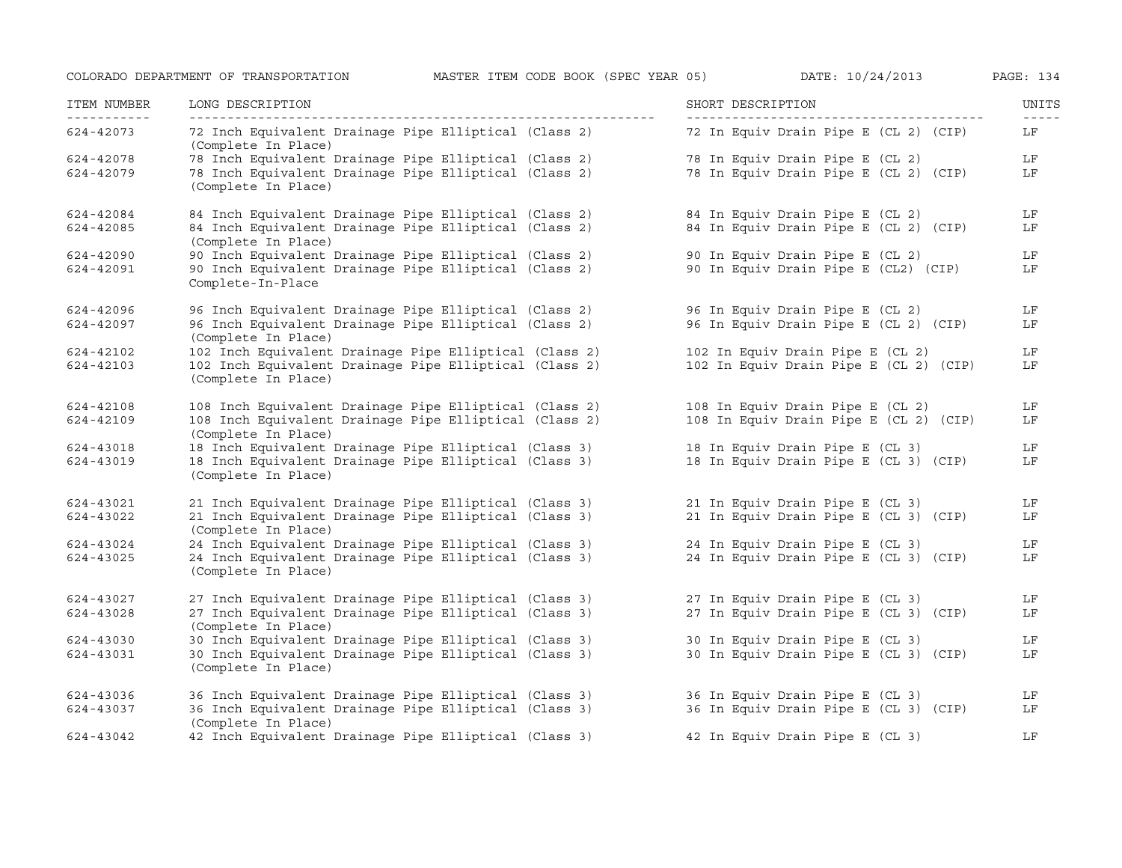| ITEM NUMBER<br>___________ | LONG DESCRIPTION                                                              | SHORT DESCRIPTION                      | UNITS<br>$- - - - -$ |
|----------------------------|-------------------------------------------------------------------------------|----------------------------------------|----------------------|
| 624-42073                  | 72 Inch Equivalent Drainage Pipe Elliptical (Class 2)<br>(Complete In Place)  | 72 In Equiv Drain Pipe E (CL 2) (CIP)  | LF                   |
| 624-42078                  | 78 Inch Equivalent Drainage Pipe Elliptical (Class 2)                         | 78 In Equiv Drain Pipe E (CL 2)        | LF                   |
| 624-42079                  | 78 Inch Equivalent Drainage Pipe Elliptical (Class 2)<br>(Complete In Place)  | 78 In Equiv Drain Pipe E (CL 2) (CIP)  | LF                   |
| 624-42084                  | 84 Inch Equivalent Drainage Pipe Elliptical (Class 2)                         | 84 In Equiv Drain Pipe E (CL 2)        | LF                   |
| 624-42085                  | 84 Inch Equivalent Drainage Pipe Elliptical (Class 2)<br>(Complete In Place)  | 84 In Equiv Drain Pipe E (CL 2) (CIP)  | LF                   |
| 624-42090                  | 90 Inch Equivalent Drainage Pipe Elliptical (Class 2)                         | 90 In Equiv Drain Pipe E (CL 2)        | LF                   |
| 624-42091                  | 90 Inch Equivalent Drainage Pipe Elliptical (Class 2)<br>Complete-In-Place    | 90 In Equiv Drain Pipe E (CL2) (CIP)   | LF                   |
| 624-42096                  | 96 Inch Equivalent Drainage Pipe Elliptical (Class 2)                         | 96 In Equiv Drain Pipe E (CL 2)        | LF                   |
| 624-42097                  | 96 Inch Equivalent Drainage Pipe Elliptical (Class 2)<br>(Complete In Place)  | 96 In Equiv Drain Pipe E (CL 2) (CIP)  | LF                   |
| 624-42102                  | 102 Inch Equivalent Drainage Pipe Elliptical (Class 2)                        | 102 In Equiv Drain Pipe E (CL 2)       | LF                   |
| 624-42103                  | 102 Inch Equivalent Drainage Pipe Elliptical (Class 2)<br>(Complete In Place) | 102 In Equiv Drain Pipe E (CL 2) (CIP) | LF                   |
| 624-42108                  | 108 Inch Equivalent Drainage Pipe Elliptical (Class 2)                        | 108 In Equiv Drain Pipe E (CL 2)       | LF                   |
| 624-42109                  | 108 Inch Equivalent Drainage Pipe Elliptical (Class 2)<br>(Complete In Place) | 108 In Equiv Drain Pipe E (CL 2) (CIP) | LF                   |
| 624-43018                  | 18 Inch Equivalent Drainage Pipe Elliptical (Class 3)                         | 18 In Equiv Drain Pipe E (CL 3)        | LF                   |
| 624-43019                  | 18 Inch Equivalent Drainage Pipe Elliptical (Class 3)<br>(Complete In Place)  | 18 In Equiv Drain Pipe E (CL 3) (CIP)  | LF                   |
| 624-43021                  | 21 Inch Equivalent Drainage Pipe Elliptical (Class 3)                         | 21 In Equiv Drain Pipe E (CL 3)        | LF                   |
| 624-43022                  | 21 Inch Equivalent Drainage Pipe Elliptical (Class 3)<br>(Complete In Place)  | 21 In Equiv Drain Pipe E (CL 3) (CIP)  | LF                   |
| 624-43024                  | 24 Inch Equivalent Drainage Pipe Elliptical (Class 3)                         | 24 In Equiv Drain Pipe E (CL 3)        | LF                   |
| 624-43025                  | 24 Inch Equivalent Drainage Pipe Elliptical (Class 3)<br>(Complete In Place)  | 24 In Equiv Drain Pipe E (CL 3) (CIP)  | LF                   |
| 624-43027                  | 27 Inch Equivalent Drainage Pipe Elliptical (Class 3)                         | 27 In Equiv Drain Pipe E (CL 3)        | LF                   |
| 624-43028                  | 27 Inch Equivalent Drainage Pipe Elliptical (Class 3)<br>(Complete In Place)  | 27 In Equiv Drain Pipe E (CL 3) (CIP)  | LF                   |
| 624-43030                  | 30 Inch Equivalent Drainage Pipe Elliptical (Class 3)                         | 30 In Equiv Drain Pipe E (CL 3)        | LF                   |
| 624-43031                  | 30 Inch Equivalent Drainage Pipe Elliptical (Class 3)<br>(Complete In Place)  | 30 In Equiv Drain Pipe E (CL 3) (CIP)  | LF                   |
| 624-43036                  | 36 Inch Equivalent Drainage Pipe Elliptical (Class 3)                         | 36 In Equiv Drain Pipe E (CL 3)        | LF                   |
| 624-43037                  | 36 Inch Equivalent Drainage Pipe Elliptical (Class 3)<br>(Complete In Place)  | 36 In Equiv Drain Pipe E (CL 3) (CIP)  | LF                   |
| 624-43042                  | 42 Inch Equivalent Drainage Pipe Elliptical (Class 3)                         | 42 In Equiv Drain Pipe E (CL 3)        | LF                   |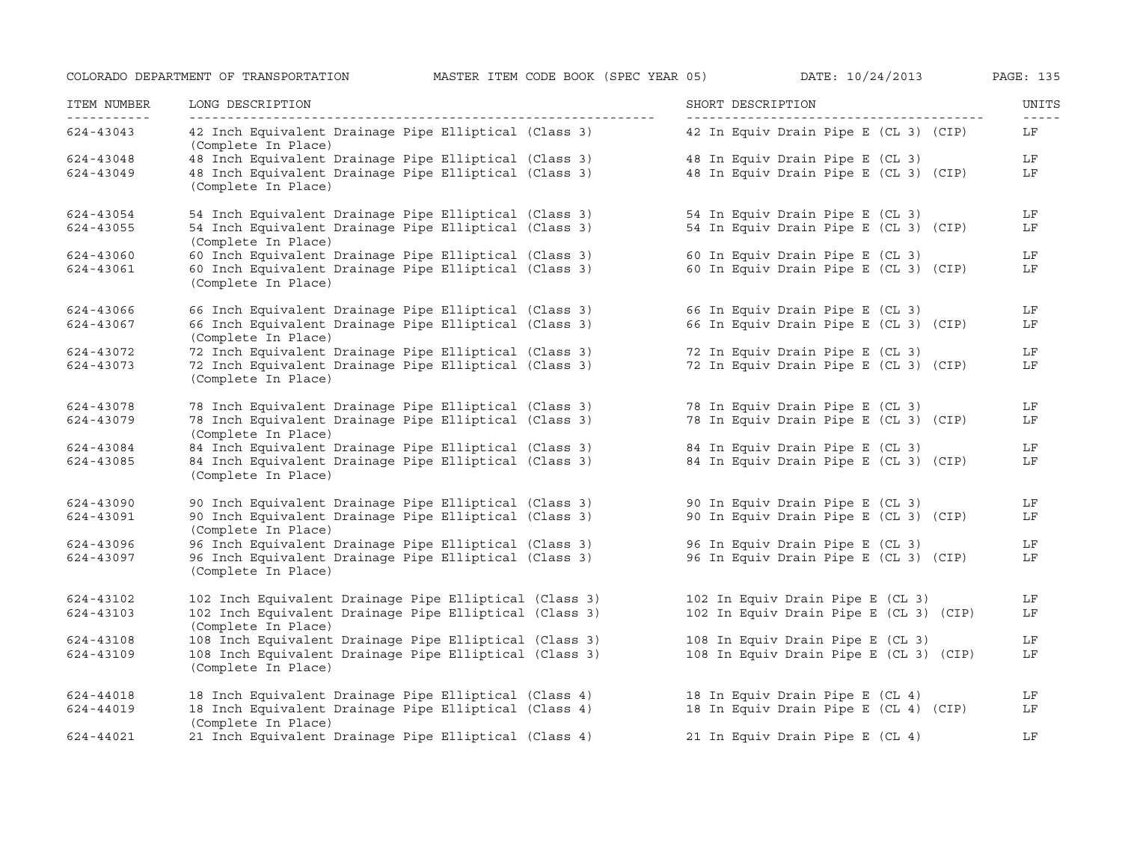| ITEM NUMBER<br>----------- | LONG DESCRIPTION                                                              | SHORT DESCRIPTION                      | UNITS<br>$- - - - -$ |
|----------------------------|-------------------------------------------------------------------------------|----------------------------------------|----------------------|
| 624-43043                  | 42 Inch Equivalent Drainage Pipe Elliptical (Class 3)<br>(Complete In Place)  | 42 In Equiv Drain Pipe E (CL 3) (CIP)  | LF                   |
| 624-43048                  | 48 Inch Equivalent Drainage Pipe Elliptical (Class 3)                         | 48 In Equiv Drain Pipe E (CL 3)        | LF                   |
| 624-43049                  | 48 Inch Equivalent Drainage Pipe Elliptical (Class 3)<br>(Complete In Place)  | 48 In Equiv Drain Pipe E (CL 3) (CIP)  | LF                   |
| 624-43054                  | 54 Inch Equivalent Drainage Pipe Elliptical (Class 3)                         | 54 In Equiv Drain Pipe E (CL 3)        | LF                   |
| 624-43055                  | 54 Inch Equivalent Drainage Pipe Elliptical (Class 3)<br>(Complete In Place)  | 54 In Equiv Drain Pipe E (CL 3) (CIP)  | LF                   |
| 624-43060                  | 60 Inch Equivalent Drainage Pipe Elliptical (Class 3)                         | 60 In Equiv Drain Pipe E (CL 3)        | LF                   |
| 624-43061                  | 60 Inch Equivalent Drainage Pipe Elliptical (Class 3)<br>(Complete In Place)  | 60 In Equiv Drain Pipe E (CL 3) (CIP)  | LF                   |
| 624-43066                  | 66 Inch Equivalent Drainage Pipe Elliptical (Class 3)                         | 66 In Equiv Drain Pipe E (CL 3)        | LF                   |
| 624-43067                  | 66 Inch Equivalent Drainage Pipe Elliptical (Class 3)<br>(Complete In Place)  | 66 In Equiv Drain Pipe E (CL 3) (CIP)  | LF                   |
| 624-43072                  | 72 Inch Equivalent Drainage Pipe Elliptical (Class 3)                         | 72 In Equiv Drain Pipe E (CL 3)        | LF                   |
| 624-43073                  | 72 Inch Equivalent Drainage Pipe Elliptical (Class 3)                         | 72 In Equiv Drain Pipe E (CL 3) (CIP)  | LF                   |
|                            | (Complete In Place)                                                           |                                        |                      |
| 624-43078                  | 78 Inch Equivalent Drainage Pipe Elliptical (Class 3)                         | 78 In Equiv Drain Pipe E (CL 3)        | LF                   |
| 624-43079                  | 78 Inch Equivalent Drainage Pipe Elliptical (Class 3)<br>(Complete In Place)  | 78 In Equiv Drain Pipe E (CL 3) (CIP)  | LF                   |
| 624-43084                  | 84 Inch Equivalent Drainage Pipe Elliptical (Class 3)                         | 84 In Equiv Drain Pipe E (CL 3)        | LF                   |
| 624-43085                  | 84 Inch Equivalent Drainage Pipe Elliptical (Class 3)<br>(Complete In Place)  | 84 In Equiv Drain Pipe E (CL 3) (CIP)  | LF                   |
| 624-43090                  | 90 Inch Equivalent Drainage Pipe Elliptical (Class 3)                         | 90 In Equiv Drain Pipe E (CL 3)        | LF                   |
| 624-43091                  | 90 Inch Equivalent Drainage Pipe Elliptical (Class 3)<br>(Complete In Place)  | 90 In Equiv Drain Pipe E (CL 3) (CIP)  | LF                   |
| 624-43096                  | 96 Inch Equivalent Drainage Pipe Elliptical (Class 3)                         | 96 In Equiv Drain Pipe E (CL 3)        | LF                   |
| 624-43097                  | 96 Inch Equivalent Drainage Pipe Elliptical (Class 3)<br>(Complete In Place)  | 96 In Equiv Drain Pipe E (CL 3) (CIP)  | LF                   |
| 624-43102                  | 102 Inch Equivalent Drainage Pipe Elliptical (Class 3)                        | 102 In Equiv Drain Pipe E (CL 3)       | LF                   |
| 624-43103                  | 102 Inch Equivalent Drainage Pipe Elliptical (Class 3)<br>(Complete In Place) | 102 In Equiv Drain Pipe E (CL 3) (CIP) | LF                   |
| 624-43108                  | 108 Inch Equivalent Drainage Pipe Elliptical (Class 3)                        | 108 In Equiv Drain Pipe E (CL 3)       | LF                   |
| 624-43109                  | 108 Inch Equivalent Drainage Pipe Elliptical (Class 3)<br>(Complete In Place) | 108 In Equiv Drain Pipe E (CL 3) (CIP) | LF                   |
| 624-44018                  | 18 Inch Equivalent Drainage Pipe Elliptical (Class 4)                         | 18 In Equiv Drain Pipe E (CL 4)        | LF                   |
| 624-44019                  | 18 Inch Equivalent Drainage Pipe Elliptical (Class 4)<br>(Complete In Place)  | 18 In Equiv Drain Pipe E (CL 4) (CIP)  | LF                   |
| 624-44021                  | 21 Inch Equivalent Drainage Pipe Elliptical (Class 4)                         | 21 In Equiv Drain Pipe E (CL 4)        | LF                   |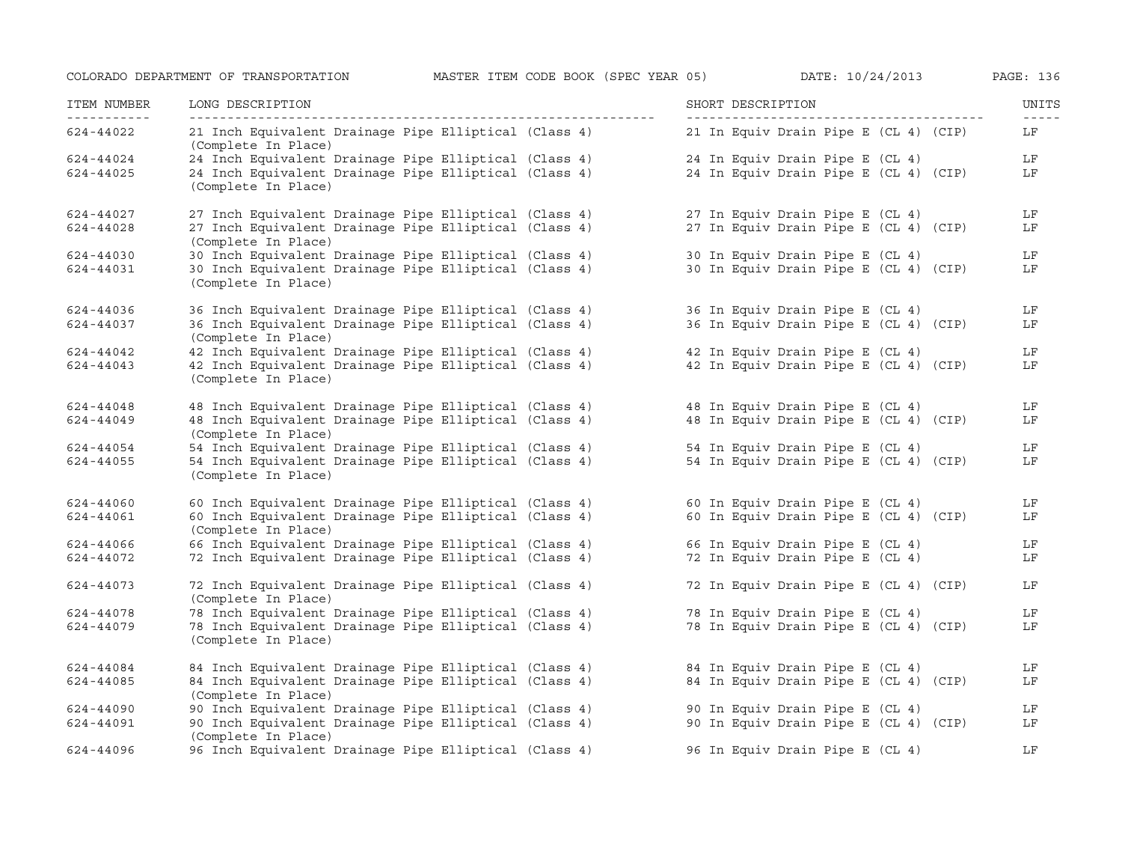| ITEM NUMBER<br>------------ | LONG DESCRIPTION<br>-----------------                                        | SHORT DESCRIPTION                     | UNITS<br>$\frac{1}{2} \frac{1}{2} \frac{1}{2} \frac{1}{2} \frac{1}{2} \frac{1}{2} \frac{1}{2} \frac{1}{2} \frac{1}{2} \frac{1}{2} \frac{1}{2} \frac{1}{2} \frac{1}{2} \frac{1}{2} \frac{1}{2} \frac{1}{2} \frac{1}{2} \frac{1}{2} \frac{1}{2} \frac{1}{2} \frac{1}{2} \frac{1}{2} \frac{1}{2} \frac{1}{2} \frac{1}{2} \frac{1}{2} \frac{1}{2} \frac{1}{2} \frac{1}{2} \frac{1}{2} \frac{1}{2} \frac{$ |
|-----------------------------|------------------------------------------------------------------------------|---------------------------------------|-------------------------------------------------------------------------------------------------------------------------------------------------------------------------------------------------------------------------------------------------------------------------------------------------------------------------------------------------------------------------------------------------------|
| 624-44022                   | 21 Inch Equivalent Drainage Pipe Elliptical (Class 4)<br>(Complete In Place) | 21 In Equiv Drain Pipe E (CL 4) (CIP) | LF                                                                                                                                                                                                                                                                                                                                                                                                    |
| 624-44024                   | 24 Inch Equivalent Drainage Pipe Elliptical (Class 4)                        | 24 In Equiv Drain Pipe E (CL 4)       | LF                                                                                                                                                                                                                                                                                                                                                                                                    |
| 624-44025                   | 24 Inch Equivalent Drainage Pipe Elliptical (Class 4)<br>(Complete In Place) | 24 In Equiv Drain Pipe E (CL 4) (CIP) | LF                                                                                                                                                                                                                                                                                                                                                                                                    |
| 624-44027                   | 27 Inch Equivalent Drainage Pipe Elliptical (Class 4)                        | 27 In Equiv Drain Pipe E (CL 4)       | LF                                                                                                                                                                                                                                                                                                                                                                                                    |
| 624-44028                   | 27 Inch Equivalent Drainage Pipe Elliptical (Class 4)<br>(Complete In Place) | 27 In Equiv Drain Pipe E (CL 4) (CIP) | LF                                                                                                                                                                                                                                                                                                                                                                                                    |
| 624-44030                   | 30 Inch Equivalent Drainage Pipe Elliptical (Class 4)                        | 30 In Equiv Drain Pipe E (CL 4)       | LF                                                                                                                                                                                                                                                                                                                                                                                                    |
| 624-44031                   | 30 Inch Equivalent Drainage Pipe Elliptical (Class 4)<br>(Complete In Place) | 30 In Equiv Drain Pipe E (CL 4) (CIP) | LF                                                                                                                                                                                                                                                                                                                                                                                                    |
| 624-44036                   | 36 Inch Equivalent Drainage Pipe Elliptical (Class 4)                        | 36 In Equiv Drain Pipe E (CL 4)       | LF                                                                                                                                                                                                                                                                                                                                                                                                    |
| 624-44037                   | 36 Inch Equivalent Drainage Pipe Elliptical (Class 4)<br>(Complete In Place) | 36 In Equiv Drain Pipe E (CL 4) (CIP) | LF                                                                                                                                                                                                                                                                                                                                                                                                    |
| 624-44042                   | 42 Inch Equivalent Drainage Pipe Elliptical (Class 4)                        | 42 In Equiv Drain Pipe E (CL 4)       | LF                                                                                                                                                                                                                                                                                                                                                                                                    |
| 624-44043                   | 42 Inch Equivalent Drainage Pipe Elliptical (Class 4)<br>(Complete In Place) | 42 In Equiv Drain Pipe E (CL 4) (CIP) | LF                                                                                                                                                                                                                                                                                                                                                                                                    |
| 624-44048                   | 48 Inch Equivalent Drainage Pipe Elliptical (Class 4)                        | 48 In Equiv Drain Pipe E (CL 4)       | LF                                                                                                                                                                                                                                                                                                                                                                                                    |
| 624-44049                   | 48 Inch Equivalent Drainage Pipe Elliptical (Class 4)<br>(Complete In Place) | 48 In Equiv Drain Pipe E (CL 4) (CIP) | LF                                                                                                                                                                                                                                                                                                                                                                                                    |
| 624-44054                   | 54 Inch Equivalent Drainage Pipe Elliptical (Class 4)                        | 54 In Equiv Drain Pipe E (CL 4)       | LF                                                                                                                                                                                                                                                                                                                                                                                                    |
| 624-44055                   | 54 Inch Equivalent Drainage Pipe Elliptical (Class 4)<br>(Complete In Place) | 54 In Equiv Drain Pipe E (CL 4) (CIP) | LF                                                                                                                                                                                                                                                                                                                                                                                                    |
| 624-44060                   | 60 Inch Equivalent Drainage Pipe Elliptical (Class 4)                        | 60 In Equiv Drain Pipe E (CL 4)       | LF                                                                                                                                                                                                                                                                                                                                                                                                    |
| 624-44061                   | 60 Inch Equivalent Drainage Pipe Elliptical (Class 4)<br>(Complete In Place) | 60 In Equiv Drain Pipe E (CL 4) (CIP) | LF                                                                                                                                                                                                                                                                                                                                                                                                    |
| 624-44066                   | 66 Inch Equivalent Drainage Pipe Elliptical (Class 4)                        | 66 In Equiv Drain Pipe E (CL 4)       | LF                                                                                                                                                                                                                                                                                                                                                                                                    |
| 624-44072                   | 72 Inch Equivalent Drainage Pipe Elliptical (Class 4)                        | 72 In Equiv Drain Pipe E (CL 4)       | LF                                                                                                                                                                                                                                                                                                                                                                                                    |
| 624-44073                   | 72 Inch Equivalent Drainage Pipe Elliptical (Class 4)<br>(Complete In Place) | 72 In Equiv Drain Pipe E (CL 4) (CIP) | LF                                                                                                                                                                                                                                                                                                                                                                                                    |
| 624-44078                   | 78 Inch Equivalent Drainage Pipe Elliptical (Class 4)                        | 78 In Equiv Drain Pipe E (CL 4)       | LF                                                                                                                                                                                                                                                                                                                                                                                                    |
| 624-44079                   | 78 Inch Equivalent Drainage Pipe Elliptical (Class 4)<br>(Complete In Place) | 78 In Equiv Drain Pipe E (CL 4) (CIP) | LF                                                                                                                                                                                                                                                                                                                                                                                                    |
| 624-44084                   | 84 Inch Equivalent Drainage Pipe Elliptical (Class 4)                        | 84 In Equiv Drain Pipe E (CL 4)       | LF                                                                                                                                                                                                                                                                                                                                                                                                    |
| 624-44085                   | 84 Inch Equivalent Drainage Pipe Elliptical (Class 4)<br>(Complete In Place) | 84 In Equiv Drain Pipe E (CL 4) (CIP) | LF                                                                                                                                                                                                                                                                                                                                                                                                    |
| 624-44090                   | 90 Inch Equivalent Drainage Pipe Elliptical (Class 4)                        | 90 In Equiv Drain Pipe E (CL 4)       | LF                                                                                                                                                                                                                                                                                                                                                                                                    |
| 624-44091                   | 90 Inch Equivalent Drainage Pipe Elliptical (Class 4)<br>(Complete In Place) | 90 In Equiv Drain Pipe E (CL 4) (CIP) | LF                                                                                                                                                                                                                                                                                                                                                                                                    |
| 624-44096                   | 96 Inch Equivalent Drainage Pipe Elliptical (Class 4)                        | 96 In Equiv Drain Pipe E (CL 4)       | LF                                                                                                                                                                                                                                                                                                                                                                                                    |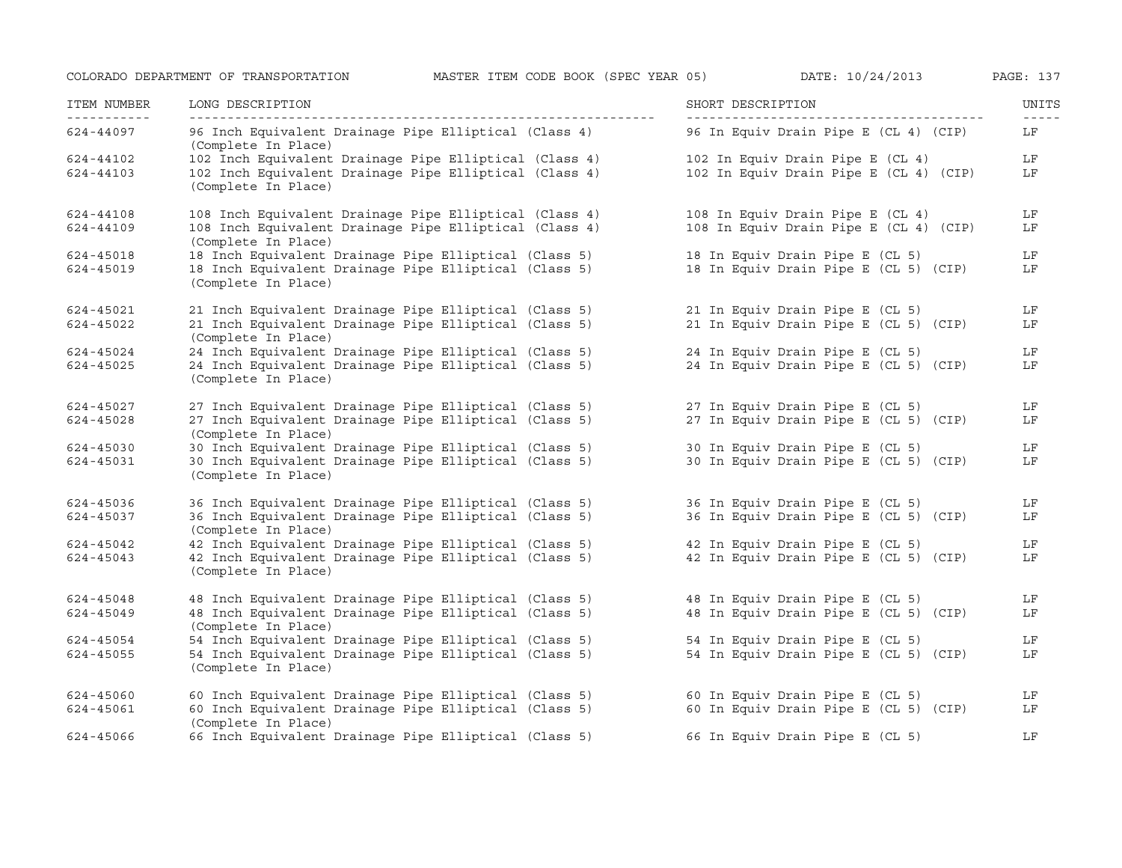| ITEM NUMBER<br>----------- | LONG DESCRIPTION<br>__________________                                        | SHORT DESCRIPTION                      | UNITS<br>$- - - - -$ |
|----------------------------|-------------------------------------------------------------------------------|----------------------------------------|----------------------|
| 624-44097                  | 96 Inch Equivalent Drainage Pipe Elliptical (Class 4)<br>(Complete In Place)  | 96 In Equiv Drain Pipe E (CL 4) (CIP)  | LF                   |
| 624-44102                  | 102 Inch Equivalent Drainage Pipe Elliptical (Class 4)                        | 102 In Equiv Drain Pipe E (CL 4)       | LF                   |
| 624-44103                  | 102 Inch Equivalent Drainage Pipe Elliptical (Class 4)<br>(Complete In Place) | 102 In Equiv Drain Pipe E (CL 4) (CIP) | LF                   |
| 624-44108                  | 108 Inch Equivalent Drainage Pipe Elliptical (Class 4)                        | 108 In Equiv Drain Pipe E (CL 4)       | LF                   |
| 624-44109                  | 108 Inch Equivalent Drainage Pipe Elliptical (Class 4)<br>(Complete In Place) | 108 In Equiv Drain Pipe E (CL 4) (CIP) | LF                   |
| 624-45018                  | 18 Inch Equivalent Drainage Pipe Elliptical (Class 5)                         | 18 In Equiv Drain Pipe E (CL 5)        | LF                   |
| 624-45019                  | 18 Inch Equivalent Drainage Pipe Elliptical (Class 5)<br>(Complete In Place)  | 18 In Equiv Drain Pipe E (CL 5) (CIP)  | LF                   |
| 624-45021                  | 21 Inch Equivalent Drainage Pipe Elliptical (Class 5)                         | 21 In Equiv Drain Pipe E (CL 5)        | LF                   |
| 624-45022                  | 21 Inch Equivalent Drainage Pipe Elliptical (Class 5)<br>(Complete In Place)  | 21 In Equiv Drain Pipe E (CL 5) (CIP)  | LF                   |
| 624-45024                  | 24 Inch Equivalent Drainage Pipe Elliptical (Class 5)                         | 24 In Equiv Drain Pipe E (CL 5)        | LF                   |
| 624-45025                  | 24 Inch Equivalent Drainage Pipe Elliptical (Class 5)<br>(Complete In Place)  | 24 In Equiv Drain Pipe E (CL 5) (CIP)  | LF                   |
| 624-45027                  | 27 Inch Equivalent Drainage Pipe Elliptical (Class 5)                         | 27 In Equiv Drain Pipe E (CL 5)        | LF                   |
| 624-45028                  | 27 Inch Equivalent Drainage Pipe Elliptical (Class 5)<br>(Complete In Place)  | 27 In Equiv Drain Pipe E (CL 5) (CIP)  | LF                   |
| 624-45030                  | 30 Inch Equivalent Drainage Pipe Elliptical (Class 5)                         | 30 In Equiv Drain Pipe E (CL 5)        | LF                   |
| 624-45031                  | 30 Inch Equivalent Drainage Pipe Elliptical (Class 5)<br>(Complete In Place)  | 30 In Equiv Drain Pipe E (CL 5) (CIP)  | LF                   |
| 624-45036                  | 36 Inch Equivalent Drainage Pipe Elliptical (Class 5)                         | 36 In Equiv Drain Pipe E (CL 5)        | LF                   |
| 624-45037                  | 36 Inch Equivalent Drainage Pipe Elliptical (Class 5)<br>(Complete In Place)  | 36 In Equiv Drain Pipe E (CL 5) (CIP)  | LF                   |
| 624-45042                  | 42 Inch Equivalent Drainage Pipe Elliptical (Class 5)                         | 42 In Equiv Drain Pipe E (CL 5)        | LF                   |
| 624-45043                  | 42 Inch Equivalent Drainage Pipe Elliptical (Class 5)<br>(Complete In Place)  | 42 In Equiv Drain Pipe E (CL 5) (CIP)  | LF                   |
| 624-45048                  | 48 Inch Equivalent Drainage Pipe Elliptical (Class 5)                         | 48 In Equiv Drain Pipe E (CL 5)        | LF                   |
| 624-45049                  | 48 Inch Equivalent Drainage Pipe Elliptical (Class 5)<br>(Complete In Place)  | 48 In Equiv Drain Pipe E (CL 5) (CIP)  | LF                   |
| 624-45054                  | 54 Inch Equivalent Drainage Pipe Elliptical (Class 5)                         | 54 In Equiv Drain Pipe E (CL 5)        | LF                   |
| 624-45055                  | 54 Inch Equivalent Drainage Pipe Elliptical (Class 5)<br>(Complete In Place)  | 54 In Equiv Drain Pipe E (CL 5) (CIP)  | LF                   |
| 624-45060                  | 60 Inch Equivalent Drainage Pipe Elliptical (Class 5)                         | 60 In Equiv Drain Pipe E (CL 5)        | LF                   |
| 624-45061                  | 60 Inch Equivalent Drainage Pipe Elliptical (Class 5)<br>(Complete In Place)  | 60 In Equiv Drain Pipe E (CL 5) (CIP)  | LF                   |
| 624-45066                  | 66 Inch Equivalent Drainage Pipe Elliptical (Class 5)                         | 66 In Equiv Drain Pipe E (CL 5)        | LF                   |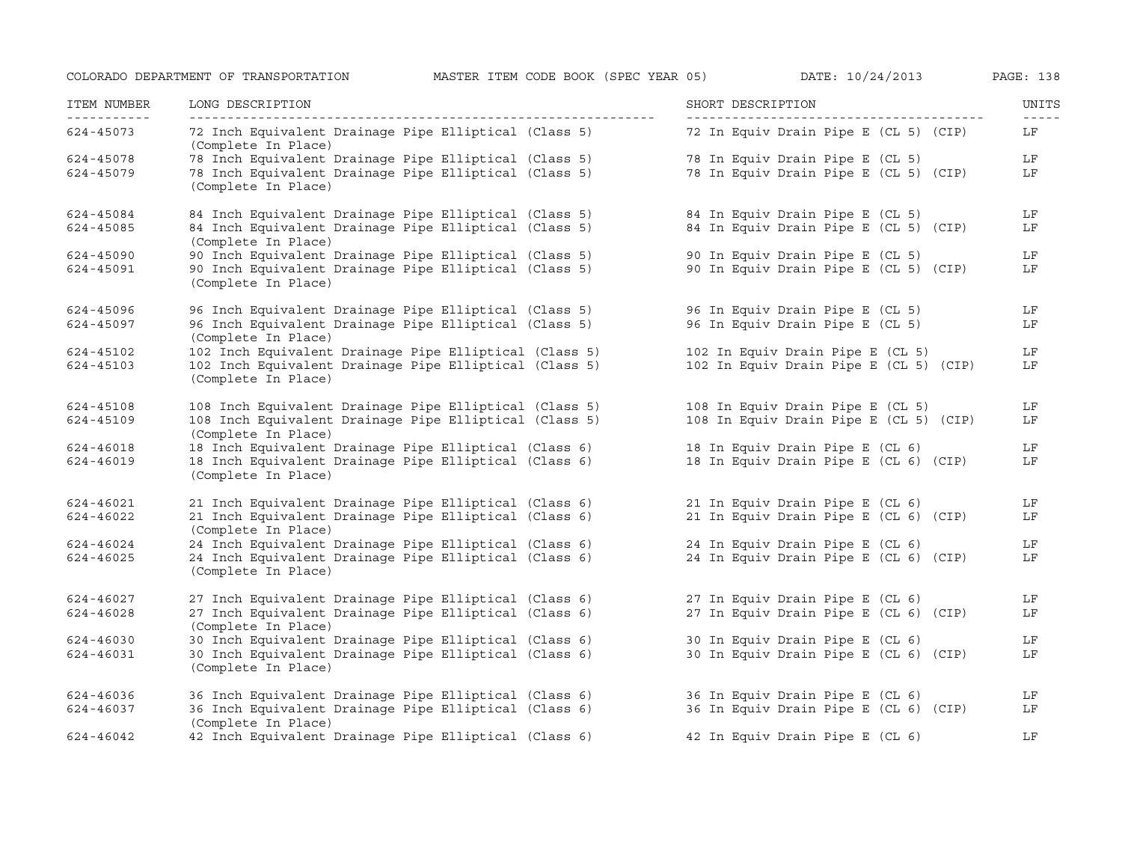| ITEM NUMBER<br>----------- | LONG DESCRIPTION                                                              | SHORT DESCRIPTION                      | UNITS<br>$- - - - -$ |
|----------------------------|-------------------------------------------------------------------------------|----------------------------------------|----------------------|
| 624-45073                  | 72 Inch Equivalent Drainage Pipe Elliptical (Class 5)<br>(Complete In Place)  | 72 In Equiv Drain Pipe E (CL 5) (CIP)  | LF                   |
| 624-45078                  | 78 Inch Equivalent Drainage Pipe Elliptical (Class 5)                         | 78 In Equiv Drain Pipe E (CL 5)        | LF                   |
| 624-45079                  | 78 Inch Equivalent Drainage Pipe Elliptical (Class 5)<br>(Complete In Place)  | 78 In Equiv Drain Pipe E (CL 5) (CIP)  | LF                   |
| 624-45084                  | 84 Inch Equivalent Drainage Pipe Elliptical (Class 5)                         | 84 In Equiv Drain Pipe E (CL 5)        | LF                   |
| 624-45085                  | 84 Inch Equivalent Drainage Pipe Elliptical (Class 5)<br>(Complete In Place)  | 84 In Equiv Drain Pipe E (CL 5) (CIP)  | LF                   |
| 624-45090                  | 90 Inch Equivalent Drainage Pipe Elliptical (Class 5)                         | 90 In Equiv Drain Pipe E (CL 5)        | LF                   |
| 624-45091                  | 90 Inch Equivalent Drainage Pipe Elliptical (Class 5)<br>(Complete In Place)  | 90 In Equiv Drain Pipe E (CL 5) (CIP)  | LF                   |
| 624-45096                  | 96 Inch Equivalent Drainage Pipe Elliptical (Class 5)                         | 96 In Equiv Drain Pipe E (CL 5)        | LF                   |
| 624-45097                  | 96 Inch Equivalent Drainage Pipe Elliptical (Class 5)<br>(Complete In Place)  | 96 In Equiv Drain Pipe E (CL 5)        | LF                   |
| 624-45102                  | 102 Inch Equivalent Drainage Pipe Elliptical (Class 5)                        | 102 In Equiv Drain Pipe E (CL 5)       | LF                   |
| 624-45103                  | 102 Inch Equivalent Drainage Pipe Elliptical (Class 5)<br>(Complete In Place) | 102 In Equiv Drain Pipe E (CL 5) (CIP) | LF                   |
| 624-45108                  | 108 Inch Equivalent Drainage Pipe Elliptical (Class 5)                        | 108 In Equiv Drain Pipe E (CL 5)       | LF                   |
| 624-45109                  | 108 Inch Equivalent Drainage Pipe Elliptical (Class 5)<br>(Complete In Place) | 108 In Equiv Drain Pipe E (CL 5) (CIP) | LF                   |
| 624-46018                  | 18 Inch Equivalent Drainage Pipe Elliptical (Class 6)                         | 18 In Equiv Drain Pipe E (CL 6)        | LF                   |
| 624-46019                  | 18 Inch Equivalent Drainage Pipe Elliptical (Class 6)<br>(Complete In Place)  | 18 In Equiv Drain Pipe E (CL 6) (CIP)  | LF                   |
| 624-46021                  | 21 Inch Equivalent Drainage Pipe Elliptical (Class 6)                         | 21 In Equiv Drain Pipe E (CL 6)        | LF                   |
| 624-46022                  | 21 Inch Equivalent Drainage Pipe Elliptical (Class 6)<br>(Complete In Place)  | 21 In Equiv Drain Pipe E (CL 6) (CIP)  | LF                   |
| 624-46024                  | 24 Inch Equivalent Drainage Pipe Elliptical (Class 6)                         | 24 In Equiv Drain Pipe E (CL 6)        | LF                   |
| 624-46025                  | 24 Inch Equivalent Drainage Pipe Elliptical (Class 6)<br>(Complete In Place)  | 24 In Equiv Drain Pipe E (CL 6) (CIP)  | LF                   |
| 624-46027                  | 27 Inch Equivalent Drainage Pipe Elliptical (Class 6)                         | 27 In Equiv Drain Pipe E (CL 6)        | LF                   |
| 624-46028                  | 27 Inch Equivalent Drainage Pipe Elliptical (Class 6)<br>(Complete In Place)  | 27 In Equiv Drain Pipe E (CL 6) (CIP)  | LF                   |
| 624-46030                  | 30 Inch Equivalent Drainage Pipe Elliptical (Class 6)                         | 30 In Equiv Drain Pipe E (CL 6)        | LF                   |
| 624-46031                  | 30 Inch Equivalent Drainage Pipe Elliptical (Class 6)<br>(Complete In Place)  | 30 In Equiv Drain Pipe E (CL 6) (CIP)  | LF                   |
| 624-46036                  | 36 Inch Equivalent Drainage Pipe Elliptical (Class 6)                         | 36 In Equiv Drain Pipe E (CL 6)        | LF                   |
| 624-46037                  | 36 Inch Equivalent Drainage Pipe Elliptical (Class 6)<br>(Complete In Place)  | 36 In Equiv Drain Pipe E (CL 6) (CIP)  | LF                   |
| 624-46042                  | 42 Inch Equivalent Drainage Pipe Elliptical (Class 6)                         | 42 In Equiv Drain Pipe E (CL 6)        | LF                   |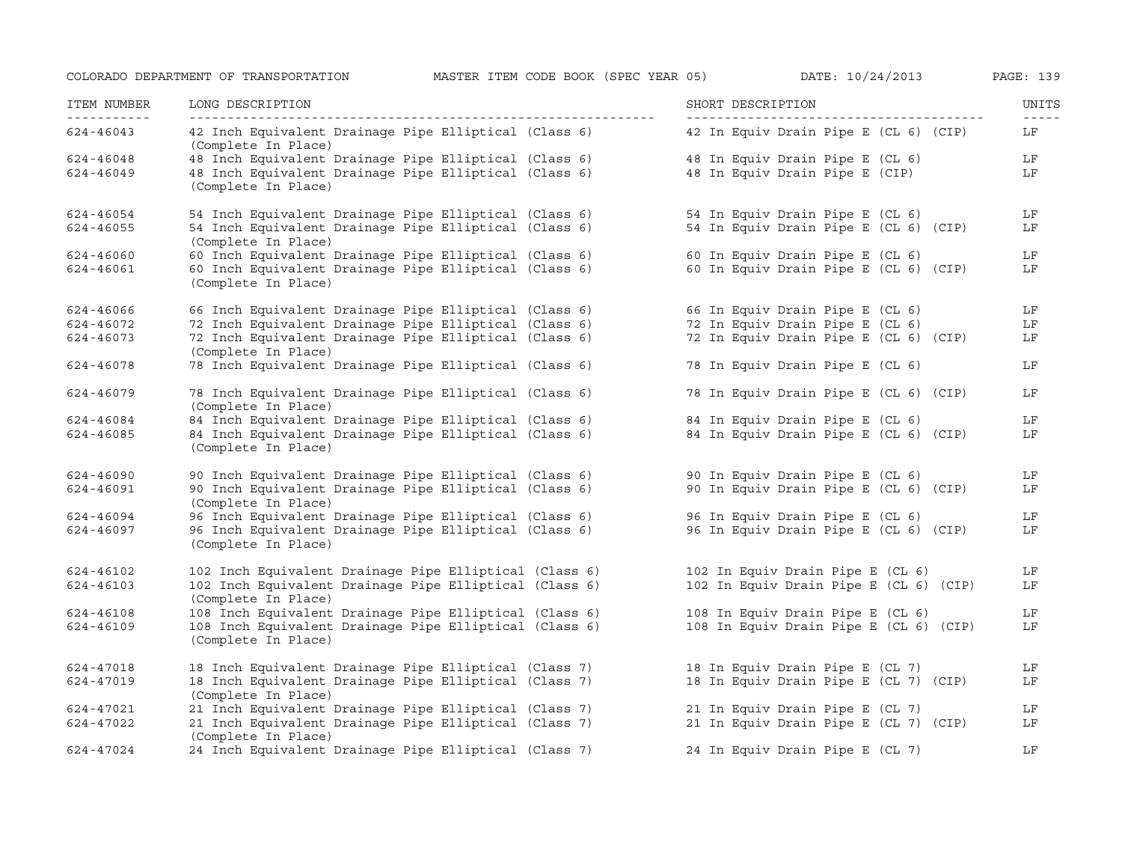| ITEM NUMBER<br>----------- | LONG DESCRIPTION                                                                      | SHORT DESCRIPTION                      | UNITS<br>$- - - - -$ |
|----------------------------|---------------------------------------------------------------------------------------|----------------------------------------|----------------------|
| 624-46043                  | 42 Inch Equivalent Drainage Pipe Elliptical (Class 6)<br>(Complete In Place)          | 42 In Equiv Drain Pipe E (CL 6) (CIP)  | LF                   |
| 624-46048                  | 48 Inch Equivalent Drainage Pipe Elliptical (Class 6)                                 | 48 In Equiv Drain Pipe E (CL 6)        | LF                   |
| 624-46049                  | 48 Inch Equivalent Drainage Pipe Elliptical (Class 6)<br>(Complete In Place)          | 48 In Equiv Drain Pipe E (CIP)         | LF                   |
| 624-46054                  | 54 Inch Equivalent Drainage Pipe Elliptical (Class 6)                                 | 54 In Equiv Drain Pipe E (CL 6)        | LF                   |
| 624-46055                  | 54 Inch Equivalent Drainage Pipe Elliptical (Class 6)<br>(Complete In Place)          | 54 In Equiv Drain Pipe E (CL 6) (CIP)  | LF                   |
| 624-46060                  | 60 Inch Equivalent Drainage Pipe Elliptical (Class 6)                                 | 60 In Equiv Drain Pipe E (CL 6)        | LF                   |
| 624-46061                  | 60 Inch Equivalent Drainage Pipe Elliptical (Class 6)<br>(Complete In Place)          | 60 In Equiv Drain Pipe E (CL 6) (CIP)  | LF                   |
| 624-46066                  | 66 Inch Equivalent Drainage Pipe Elliptical (Class 6)                                 | 66 In Equiv Drain Pipe E (CL 6)        | LF                   |
| 624-46072                  | 72 Inch Equivalent Drainage Pipe Elliptical (Class 6)                                 | 72 In Equiv Drain Pipe E (CL 6)        | LF                   |
| 624-46073                  | 72 Inch Equivalent Drainage Pipe Elliptical (Class 6)<br>(Complete In Place)          | 72 In Equiv Drain Pipe E (CL 6) (CIP)  | LF                   |
| 624-46078                  | 78 Inch Equivalent Drainage Pipe Elliptical (Class 6)                                 | 78 In Equiv Drain Pipe E (CL 6)        | LF                   |
| 624-46079                  | 78 Inch Equivalent Drainage Pipe Elliptical (Class 6)<br>(Complete In Place)          | 78 In Equiv Drain Pipe E (CL 6) (CIP)  | LF                   |
| 624-46084                  | 84 Inch Equivalent Drainage Pipe Elliptical (Class 6) 84 In Equiv Drain Pipe E (CL 6) |                                        | LF                   |
| 624-46085                  | 84 Inch Equivalent Drainage Pipe Elliptical (Class 6)<br>(Complete In Place)          | 84 In Equiv Drain Pipe E (CL 6) (CIP)  | LF                   |
| 624-46090                  | 90 Inch Equivalent Drainage Pipe Elliptical (Class 6) 90 In Equiv Drain Pipe E (CL 6) |                                        | LF                   |
| 624-46091                  | 90 Inch Equivalent Drainage Pipe Elliptical (Class 6)<br>(Complete In Place)          | 90 In Equiv Drain Pipe E (CL 6) (CIP)  | LF                   |
| 624-46094                  | 96 Inch Equivalent Drainage Pipe Elliptical (Class 6)                                 | 96 In Equiv Drain Pipe E (CL 6)        | LF                   |
| 624-46097                  | 96 Inch Equivalent Drainage Pipe Elliptical (Class 6)<br>(Complete In Place)          | 96 In Equiv Drain Pipe E (CL 6) (CIP)  | LF                   |
| 624-46102                  | 102 Inch Equivalent Drainage Pipe Elliptical (Class 6)                                | 102 In Equiv Drain Pipe E (CL 6)       | LF                   |
| 624-46103                  | 102 Inch Equivalent Drainage Pipe Elliptical (Class 6)<br>(Complete In Place)         | 102 In Equiv Drain Pipe E (CL 6) (CIP) | LF                   |
| 624-46108                  | 108 Inch Equivalent Drainage Pipe Elliptical (Class 6)                                | 108 In Equiv Drain Pipe E (CL 6)       | LF                   |
| 624-46109                  | 108 Inch Equivalent Drainage Pipe Elliptical (Class 6)<br>(Complete In Place)         | 108 In Equiv Drain Pipe E (CL 6) (CIP) | LF                   |
| 624-47018                  | 18 Inch Equivalent Drainage Pipe Elliptical (Class 7) 18 In Equiv Drain Pipe E (CL 7) |                                        | LF                   |
| 624-47019                  | 18 Inch Equivalent Drainage Pipe Elliptical (Class 7)<br>(Complete In Place)          | 18 In Equiv Drain Pipe E (CL 7) (CIP)  | LF                   |
| 624-47021                  | (Complete In Flate)<br>21 Inch Equivalent Drainage Pipe Elliptical (Class 7)          | 21 In Equiv Drain Pipe E (CL 7)        | LF                   |
| 624-47022                  | 21 Inch Equivalent Drainage Pipe Elliptical (Class 7)<br>(Complete In Place)          | 21 In Equiv Drain Pipe E (CL 7) (CIP)  | LF                   |
| 624-47024                  | 24 Inch Equivalent Drainage Pipe Elliptical (Class 7)                                 | 24 In Equiv Drain Pipe E (CL 7)        | LF                   |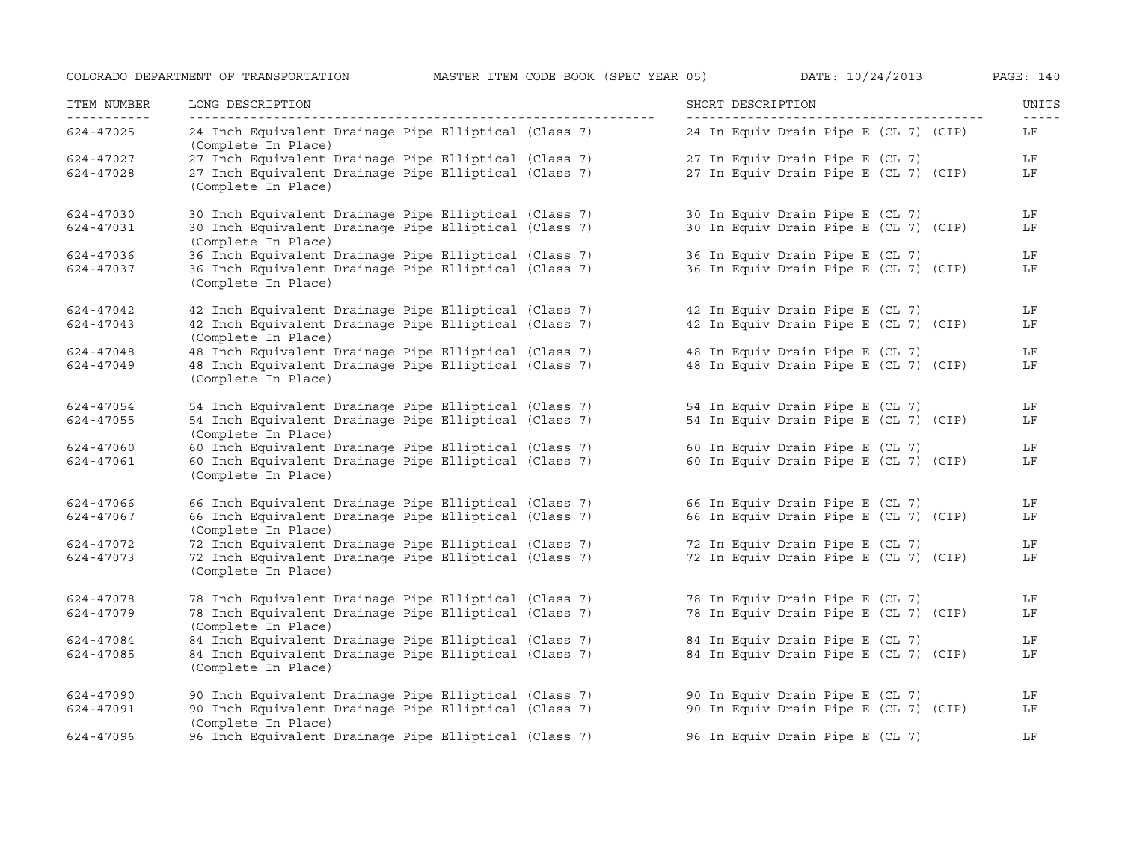| ITEM NUMBER<br>----------- | LONG DESCRIPTION<br>------------------                                                                         | SHORT DESCRIPTION                     | UNITS<br>$- - - - -$ |
|----------------------------|----------------------------------------------------------------------------------------------------------------|---------------------------------------|----------------------|
| 624-47025                  | 24 Inch Equivalent Drainage Pipe Elliptical (Class 7)<br>(Complete In Place)                                   | 24 In Equiv Drain Pipe E (CL 7) (CIP) | LF                   |
| 624-47027                  | 27 Inch Equivalent Drainage Pipe Elliptical (Class 7)<br>27 Inch Equivalent Drainage Pipe Elliptical (Class 7) | 27 In Equiv Drain Pipe E (CL 7)       | LF                   |
| 624-47028                  | (Complete In Place)                                                                                            | 27 In Equiv Drain Pipe E (CL 7) (CIP) | LF                   |
| 624-47030                  | 30 Inch Equivalent Drainage Pipe Elliptical (Class 7)                                                          | 30 In Equiv Drain Pipe E (CL 7)       | LF                   |
| 624-47031                  | 30 Inch Equivalent Drainage Pipe Elliptical (Class 7)<br>(Complete In Place)                                   | 30 In Equiv Drain Pipe E (CL 7) (CIP) | LF                   |
| 624-47036                  | 36 Inch Equivalent Drainage Pipe Elliptical (Class 7)                                                          | 36 In Equiv Drain Pipe E (CL 7)       | LF                   |
| 624-47037                  | 36 Inch Equivalent Drainage Pipe Elliptical (Class 7)<br>(Complete In Place)                                   | 36 In Equiv Drain Pipe E (CL 7) (CIP) | LF                   |
| 624-47042                  | 42 Inch Equivalent Drainage Pipe Elliptical (Class 7) 42 In Equiv Drain Pipe E (CL 7)                          |                                       | LF                   |
| 624-47043                  | 42 Inch Equivalent Drainage Pipe Elliptical (Class 7)<br>(Complete In Place)                                   | 42 In Equiv Drain Pipe E (CL 7) (CIP) | LF                   |
| 624-47048                  | 48 Inch Equivalent Drainage Pipe Elliptical (Class 7)                                                          | 48 In Equiv Drain Pipe E (CL 7)       | LF                   |
| 624-47049                  | 48 Inch Equivalent Drainage Pipe Elliptical (Class 7)<br>(Complete In Place)                                   | 48 In Equiv Drain Pipe E (CL 7) (CIP) | LF                   |
| 624-47054                  | 54 Inch Equivalent Drainage Pipe Elliptical (Class 7)                                                          | 54 In Equiv Drain Pipe E (CL 7)       | LF                   |
| 624-47055                  | 54 Inch Equivalent Drainage Pipe Elliptical (Class 7)<br>(Complete In Place)                                   | 54 In Equiv Drain Pipe E (CL 7) (CIP) | LF                   |
| 624-47060                  | 60 Inch Equivalent Drainage Pipe Elliptical (Class 7)                                                          | 60 In Equiv Drain Pipe E (CL 7)       | LF                   |
| 624-47061                  | 60 Inch Equivalent Drainage Pipe Elliptical (Class 7)<br>(Complete In Place)                                   | 60 In Equiv Drain Pipe E (CL 7) (CIP) | LF                   |
| 624-47066                  | 66 Inch Equivalent Drainage Pipe Elliptical (Class 7) 66 In Equiv Drain Pipe E (CL 7)                          |                                       | LF                   |
| 624-47067                  | 66 Inch Equivalent Drainage Pipe Elliptical (Class 7)<br>(Complete In Place)                                   | 66 In Equiv Drain Pipe E (CL 7) (CIP) | LF                   |
| 624-47072                  | 72 Inch Equivalent Drainage Pipe Elliptical (Class 7)                                                          | 72 In Equiv Drain Pipe E (CL 7)       | LF                   |
| 624-47073                  | 72 Inch Equivalent Drainage Pipe Elliptical (Class 7)<br>(Complete In Place)                                   | 72 In Equiv Drain Pipe E (CL 7) (CIP) | LF                   |
| 624-47078                  | 78 Inch Equivalent Drainage Pipe Elliptical (Class 7)                                                          | 78 In Equiv Drain Pipe E (CL 7)       | LF                   |
| 624-47079                  | 78 Inch Equivalent Drainage Pipe Elliptical (Class 7)<br>(Complete In Place)                                   | 78 In Equiv Drain Pipe E (CL 7) (CIP) | LF                   |
| 624-47084                  | 84 Inch Equivalent Drainage Pipe Elliptical (Class 7)                                                          | 84 In Equiv Drain Pipe E (CL 7)       | LF                   |
| 624-47085                  | 84 Inch Equivalent Drainage Pipe Elliptical (Class 7)<br>(Complete In Place)                                   | 84 In Equiv Drain Pipe E (CL 7) (CIP) | LF                   |
| 624-47090                  | 90 Inch Equivalent Drainage Pipe Elliptical (Class 7)                                                          | 90 In Equiv Drain Pipe E (CL 7)       | LF                   |
| 624-47091                  | 90 Inch Equivalent Drainage Pipe Elliptical (Class 7)<br>(Complete In Place)                                   | 90 In Equiv Drain Pipe E (CL 7) (CIP) | LF                   |
| 624-47096                  | 96 Inch Equivalent Drainage Pipe Elliptical (Class 7)                                                          | 96 In Equiv Drain Pipe E (CL 7)       | LF                   |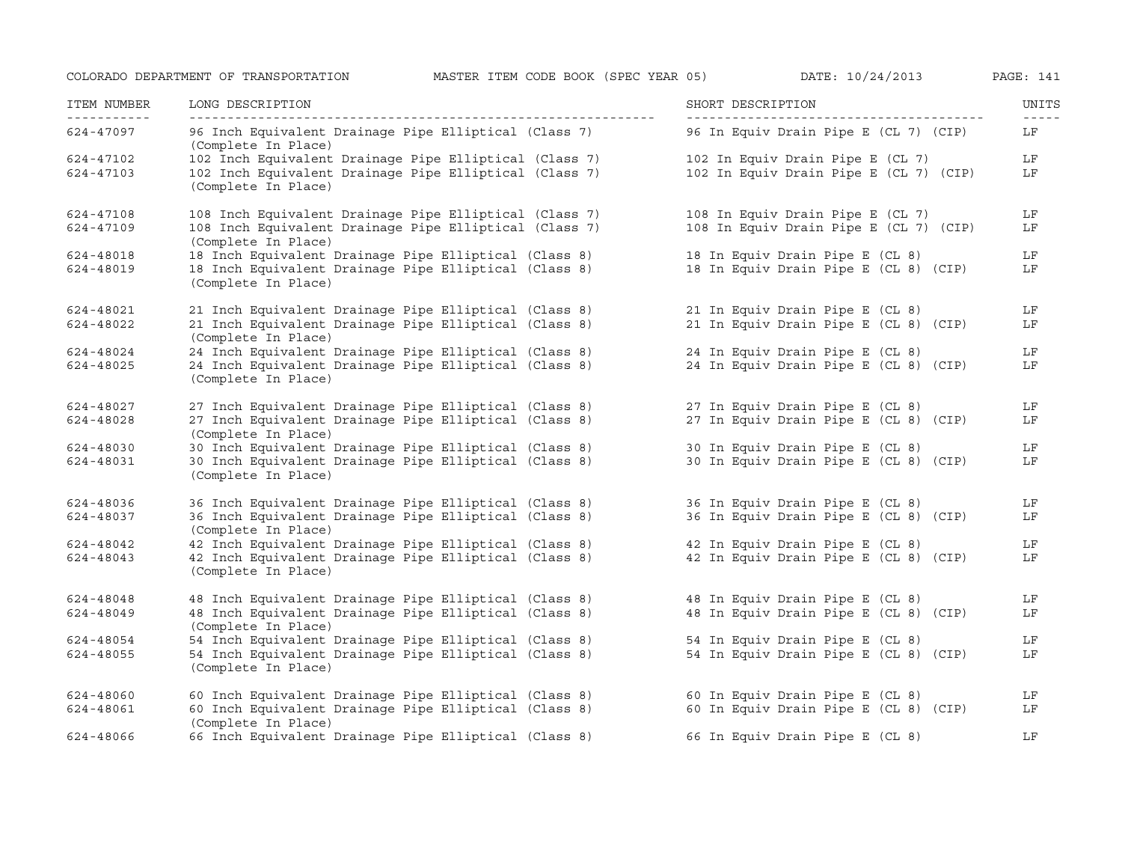| ITEM NUMBER | LONG DESCRIPTION                                                              | SHORT DESCRIPTION                      | UNITS<br>$- - - - -$ |
|-------------|-------------------------------------------------------------------------------|----------------------------------------|----------------------|
| 624-47097   | 96 Inch Equivalent Drainage Pipe Elliptical (Class 7)<br>(Complete In Place)  | 96 In Equiv Drain Pipe E (CL 7) (CIP)  | LF                   |
| 624-47102   | 102 Inch Equivalent Drainage Pipe Elliptical (Class 7)                        | 102 In Equiv Drain Pipe E (CL 7)       | LF                   |
| 624-47103   | 102 Inch Equivalent Drainage Pipe Elliptical (Class 7)<br>(Complete In Place) | 102 In Equiv Drain Pipe E (CL 7) (CIP) | LF                   |
| 624-47108   | 108 Inch Equivalent Drainage Pipe Elliptical (Class 7)                        | 108 In Equiv Drain Pipe E (CL 7)       | LF                   |
| 624-47109   | 108 Inch Equivalent Drainage Pipe Elliptical (Class 7)<br>(Complete In Place) | 108 In Equiv Drain Pipe E (CL 7) (CIP) | LF                   |
| 624-48018   | 18 Inch Equivalent Drainage Pipe Elliptical (Class 8)                         | 18 In Equiv Drain Pipe E (CL 8)        | LF                   |
| 624-48019   | 18 Inch Equivalent Drainage Pipe Elliptical (Class 8)<br>(Complete In Place)  | 18 In Equiv Drain Pipe E (CL 8) (CIP)  | LF                   |
| 624-48021   | 21 Inch Equivalent Drainage Pipe Elliptical (Class 8)                         | 21 In Equiv Drain Pipe E (CL 8)        | LF                   |
| 624-48022   | 21 Inch Equivalent Drainage Pipe Elliptical (Class 8)<br>(Complete In Place)  | 21 In Equiv Drain Pipe E (CL 8) (CIP)  | LF                   |
| 624-48024   | 24 Inch Equivalent Drainage Pipe Elliptical (Class 8)                         | 24 In Equiv Drain Pipe E (CL 8)        | LF                   |
| 624-48025   | 24 Inch Equivalent Drainage Pipe Elliptical (Class 8)<br>(Complete In Place)  | 24 In Equiv Drain Pipe E (CL 8) (CIP)  | LF                   |
| 624-48027   | 27 Inch Equivalent Drainage Pipe Elliptical (Class 8)                         | 27 In Equiv Drain Pipe E (CL 8)        | LF                   |
| 624-48028   | 27 Inch Equivalent Drainage Pipe Elliptical (Class 8)<br>(Complete In Place)  | 27 In Equiv Drain Pipe E (CL 8) (CIP)  | LF                   |
| 624-48030   | 30 Inch Equivalent Drainage Pipe Elliptical (Class 8)                         | 30 In Equiv Drain Pipe E (CL 8)        | LF                   |
| 624-48031   | 30 Inch Equivalent Drainage Pipe Elliptical (Class 8)<br>(Complete In Place)  | 30 In Equiv Drain Pipe E (CL 8) (CIP)  | LF                   |
| 624-48036   | 36 Inch Equivalent Drainage Pipe Elliptical (Class 8)                         | 36 In Equiv Drain Pipe E (CL 8)        | LF                   |
| 624-48037   | 36 Inch Equivalent Drainage Pipe Elliptical (Class 8)<br>(Complete In Place)  | 36 In Equiv Drain Pipe E (CL 8) (CIP)  | LF                   |
| 624-48042   | 42 Inch Equivalent Drainage Pipe Elliptical (Class 8)                         | 42 In Equiv Drain Pipe E (CL 8)        | LF                   |
| 624-48043   | 42 Inch Equivalent Drainage Pipe Elliptical (Class 8)<br>(Complete In Place)  | 42 In Equiv Drain Pipe E (CL 8) (CIP)  | LF                   |
| 624-48048   | 48 Inch Equivalent Drainage Pipe Elliptical (Class 8)                         | 48 In Equiv Drain Pipe E (CL 8)        | LF                   |
| 624-48049   | 48 Inch Equivalent Drainage Pipe Elliptical (Class 8)<br>(Complete In Place)  | 48 In Equiv Drain Pipe E (CL 8) (CIP)  | LF                   |
| 624-48054   | 54 Inch Equivalent Drainage Pipe Elliptical (Class 8)                         | 54 In Equiv Drain Pipe E (CL 8)        | LF                   |
| 624-48055   | 54 Inch Equivalent Drainage Pipe Elliptical (Class 8)<br>(Complete In Place)  | 54 In Equiv Drain Pipe E (CL 8) (CIP)  | LF                   |
| 624-48060   | 60 Inch Equivalent Drainage Pipe Elliptical (Class 8)                         | 60 In Equiv Drain Pipe E (CL 8)        | LF                   |
| 624-48061   | 60 Inch Equivalent Drainage Pipe Elliptical (Class 8)<br>(Complete In Place)  | 60 In Equiv Drain Pipe E (CL 8) (CIP)  | LF                   |
| 624-48066   | 66 Inch Equivalent Drainage Pipe Elliptical (Class 8)                         | 66 In Equiv Drain Pipe E (CL 8)        | LF                   |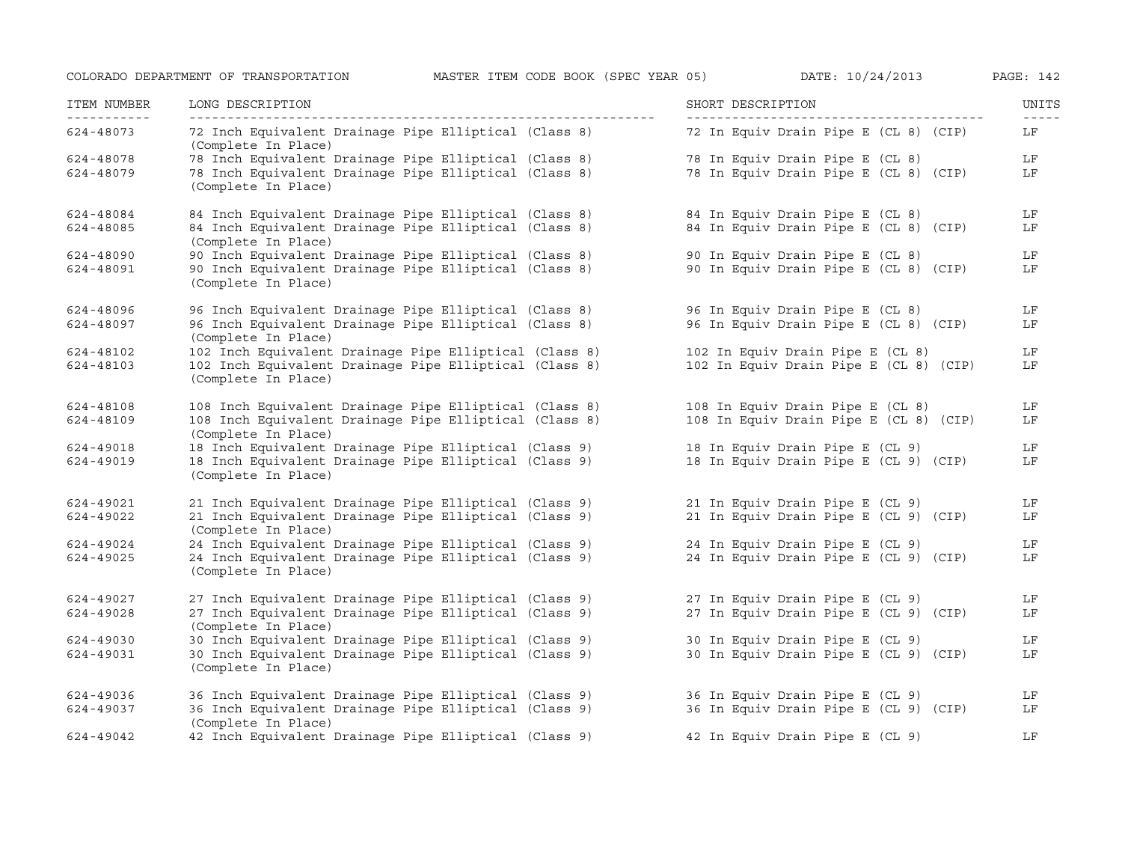| ITEM NUMBER<br>----------- | LONG DESCRIPTION                                                                                                                      | SHORT DESCRIPTION                      | UNITS<br>$- - - - -$ |
|----------------------------|---------------------------------------------------------------------------------------------------------------------------------------|----------------------------------------|----------------------|
| 624-48073                  | 72 Inch Equivalent Drainage Pipe Elliptical (Class 8)<br>(Complete In Place)                                                          | 72 In Equiv Drain Pipe E (CL 8) (CIP)  | LF                   |
| 624-48078                  |                                                                                                                                       | 78 In Equiv Drain Pipe E (CL 8)        | LF                   |
| 624-48079                  | 78 Inch Equivalent Drainage Pipe Elliptical (Class 8)<br>78 Inch Equivalent Drainage Pipe Elliptical (Class 8)<br>(Complete In Place) | 78 In Equiv Drain Pipe E (CL 8) (CIP)  | LF                   |
| 624-48084                  | 84 Inch Equivalent Drainage Pipe Elliptical (Class 8)                                                                                 | 84 In Equiv Drain Pipe E (CL 8)        | LF                   |
| 624-48085                  | 84 Inch Equivalent Drainage Pipe Elliptical (Class 8)<br>(Complete In Place)                                                          | 84 In Equiv Drain Pipe E (CL 8) (CIP)  | LF                   |
| 624-48090                  | 90 Inch Equivalent Drainage Pipe Elliptical (Class 8)                                                                                 | 90 In Equiv Drain Pipe E (CL 8)        | LF                   |
| 624-48091                  | 90 Inch Equivalent Drainage Pipe Elliptical (Class 8)<br>(Complete In Place)                                                          | 90 In Equiv Drain Pipe E (CL 8) (CIP)  | LF                   |
| 624-48096                  | 96 Inch Equivalent Drainage Pipe Elliptical (Class 8) 56 In Equiv Drain Pipe E (CL 8)                                                 |                                        | LF                   |
| 624-48097                  | 96 Inch Equivalent Drainage Pipe Elliptical (Class 8)<br>(Complete In Place)                                                          | 96 In Equiv Drain Pipe E (CL 8) (CIP)  | LF                   |
| 624-48102                  | 102 Inch Equivalent Drainage Pipe Elliptical (Class 8)                                                                                | 102 In Equiv Drain Pipe E (CL 8)       | LF                   |
| 624-48103                  | 102 Inch Equivalent Drainage Pipe Elliptical (Class 8)<br>(Complete In Place)                                                         | 102 In Equiv Drain Pipe E (CL 8) (CIP) | LF                   |
| 624-48108                  | 108 Inch Equivalent Drainage Pipe Elliptical (Class 8)                                                                                | 108 In Equiv Drain Pipe E (CL 8)       | LF                   |
| 624-48109                  | 108 Inch Equivalent Drainage Pipe Elliptical (Class 8)<br>(Complete In Place)                                                         | 108 In Equiv Drain Pipe E (CL 8) (CIP) | LF                   |
| 624-49018                  | 18 Inch Equivalent Drainage Pipe Elliptical (Class 9) 18 In Equiv Drain Pipe E (CL 9)                                                 |                                        | LF                   |
| 624-49019                  | 18 Inch Equivalent Drainage Pipe Elliptical (Class 9)<br>(Complete In Place)                                                          | 18 In Equiv Drain Pipe E (CL 9) (CIP)  | LF                   |
| 624-49021                  | 21 Inch Equivalent Drainage Pipe Elliptical (Class 9)                                                                                 | 21 In Equiv Drain Pipe E (CL 9)        | LF                   |
| 624-49022                  | 21 Inch Equivalent Drainage Pipe Elliptical (Class 9)<br>(Complete In Place)                                                          | 21 In Equiv Drain Pipe E (CL 9) (CIP)  | LF                   |
| 624-49024                  | 24 Inch Equivalent Drainage Pipe Elliptical (Class 9)                                                                                 | 24 In Equiv Drain Pipe E (CL 9)        | LF                   |
| 624-49025                  | 24 Inch Equivalent Drainage Pipe Elliptical (Class 9)<br>(Complete In Place)                                                          | 24 In Equiv Drain Pipe E (CL 9) (CIP)  | LF                   |
| 624-49027                  | 27 Inch Equivalent Drainage Pipe Elliptical (Class 9)                                                                                 | 27 In Equiv Drain Pipe E (CL 9)        | LF                   |
| 624-49028                  | 27 Inch Equivalent Drainage Pipe Elliptical (Class 9)<br>(Complete In Place)                                                          | 27 In Equiv Drain Pipe E (CL 9) (CIP)  | LF                   |
| 624-49030                  | 30 Inch Equivalent Drainage Pipe Elliptical (Class 9)                                                                                 | 30 In Equiv Drain Pipe E (CL 9)        | LF                   |
| 624-49031                  | 30 Inch Equivalent Drainage Pipe Elliptical (Class 9)<br>(Complete In Place)                                                          | 30 In Equiv Drain Pipe E (CL 9) (CIP)  | LF                   |
| 624-49036                  | 36 Inch Equivalent Drainage Pipe Elliptical (Class 9)<br>36 Inch Equivalent Drainage Pipe Elliptical (Class 9)                        | 36 In Equiv Drain Pipe E (CL 9)        | LF                   |
| 624-49037                  | (Complete In Place)                                                                                                                   | 36 In Equiv Drain Pipe E (CL 9) (CIP)  | LF                   |
| 624-49042                  | 42 Inch Equivalent Drainage Pipe Elliptical (Class 9)                                                                                 | 42 In Equiv Drain Pipe E (CL 9)        | LF                   |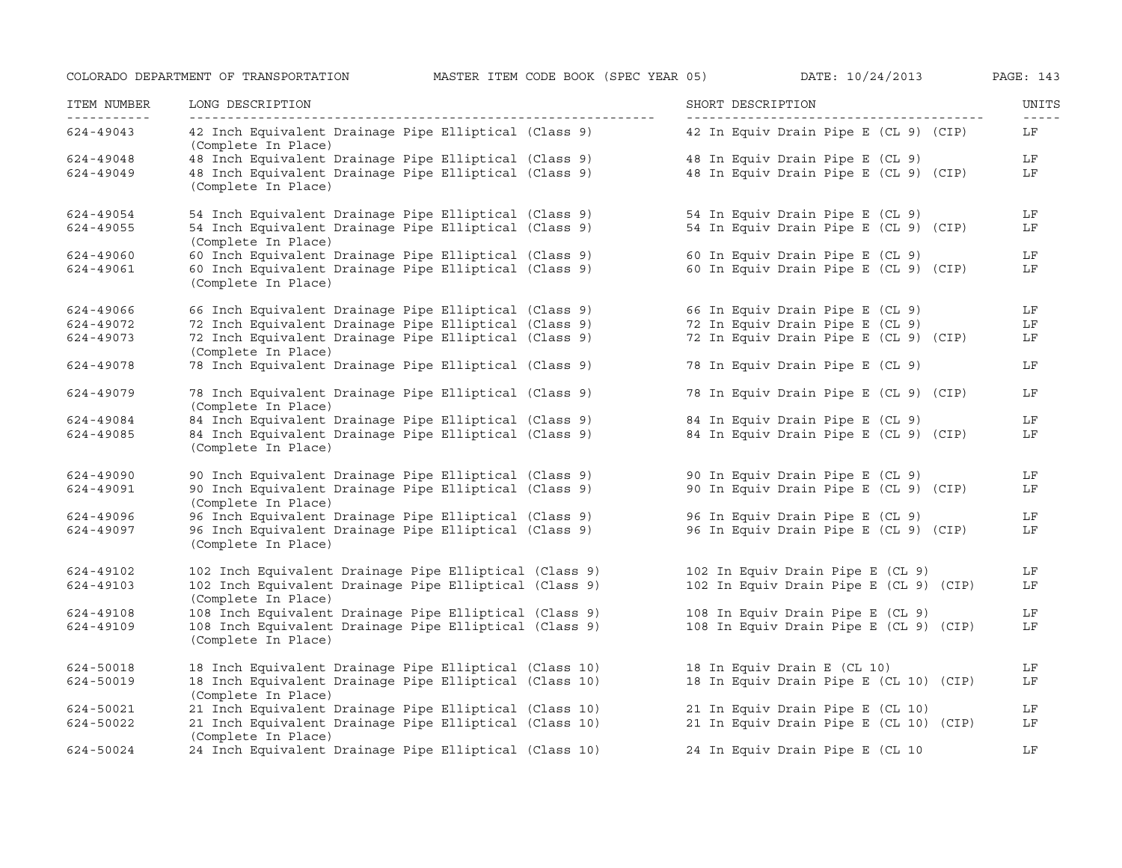| ITEM NUMBER<br>------------ | LONG DESCRIPTION<br>__________________                                        | SHORT DESCRIPTION                      | UNITS |
|-----------------------------|-------------------------------------------------------------------------------|----------------------------------------|-------|
| 624-49043                   | 42 Inch Equivalent Drainage Pipe Elliptical (Class 9)<br>(Complete In Place)  | 42 In Equiv Drain Pipe E (CL 9) (CIP)  | LF    |
| 624-49048                   | 48 Inch Equivalent Drainage Pipe Elliptical (Class 9)                         | 48 In Equiv Drain Pipe E (CL 9)        | LF    |
| 624-49049                   | 48 Inch Equivalent Drainage Pipe Elliptical (Class 9)<br>(Complete In Place)  | 48 In Equiv Drain Pipe E (CL 9) (CIP)  | LF    |
| 624-49054                   | 54 Inch Equivalent Drainage Pipe Elliptical (Class 9)                         | 54 In Equiv Drain Pipe E (CL 9)        | LF    |
| 624-49055                   | 54 Inch Equivalent Drainage Pipe Elliptical (Class 9)<br>(Complete In Place)  | 54 In Equiv Drain Pipe E (CL 9) (CIP)  | LF    |
| 624-49060                   | 60 Inch Equivalent Drainage Pipe Elliptical (Class 9)                         | 60 In Equiv Drain Pipe E (CL 9)        | LF    |
| 624-49061                   | 60 Inch Equivalent Drainage Pipe Elliptical (Class 9)<br>(Complete In Place)  | 60 In Equiv Drain Pipe E (CL 9) (CIP)  | LF    |
| 624-49066                   | 66 Inch Equivalent Drainage Pipe Elliptical (Class 9)                         | 66 In Equiv Drain Pipe E (CL 9)        | LF    |
| 624-49072                   | 72 Inch Equivalent Drainage Pipe Elliptical (Class 9)                         | 72 In Equiv Drain Pipe E (CL 9)        | LF    |
| 624-49073                   | 72 Inch Equivalent Drainage Pipe Elliptical (Class 9)<br>(Complete In Place)  | 72 In Equiv Drain Pipe E (CL 9) (CIP)  | LF    |
| 624-49078                   | 78 Inch Equivalent Drainage Pipe Elliptical (Class 9)                         | 78 In Equiv Drain Pipe E (CL 9)        | LF    |
| 624-49079                   | 78 Inch Equivalent Drainage Pipe Elliptical (Class 9)<br>(Complete In Place)  | 78 In Equiv Drain Pipe E (CL 9) (CIP)  | LF    |
| 624-49084                   | 84 Inch Equivalent Drainage Pipe Elliptical (Class 9)                         | 84 In Equiv Drain Pipe E (CL 9)        | LF    |
| 624-49085                   | 84 Inch Equivalent Drainage Pipe Elliptical (Class 9)<br>(Complete In Place)  | 84 In Equiv Drain Pipe E (CL 9) (CIP)  | LF    |
| 624-49090                   | 90 Inch Equivalent Drainage Pipe Elliptical (Class 9)                         | 90 In Equiv Drain Pipe E (CL 9)        | LF    |
| 624-49091                   | 90 Inch Equivalent Drainage Pipe Elliptical (Class 9)<br>(Complete In Place)  | 90 In Equiv Drain Pipe E (CL 9) (CIP)  | LF    |
| 624-49096                   | 96 Inch Equivalent Drainage Pipe Elliptical (Class 9)                         | 96 In Equiv Drain Pipe E (CL 9)        | LF    |
| 624-49097                   | 96 Inch Equivalent Drainage Pipe Elliptical (Class 9)<br>(Complete In Place)  | 96 In Equiv Drain Pipe E (CL 9) (CIP)  | LF    |
| 624-49102                   | 102 Inch Equivalent Drainage Pipe Elliptical (Class 9)                        | 102 In Equiv Drain Pipe E (CL 9)       | LF    |
| 624-49103                   | 102 Inch Equivalent Drainage Pipe Elliptical (Class 9)<br>(Complete In Place) | 102 In Equiv Drain Pipe E (CL 9) (CIP) | LF    |
| 624-49108                   | 108 Inch Equivalent Drainage Pipe Elliptical (Class 9)                        | 108 In Equiv Drain Pipe E (CL 9)       | LF    |
| 624-49109                   | 108 Inch Equivalent Drainage Pipe Elliptical (Class 9)<br>(Complete In Place) | 108 In Equiv Drain Pipe E (CL 9) (CIP) | LF    |
| 624-50018                   | 18 Inch Equivalent Drainage Pipe Elliptical (Class 10)                        | 18 In Equiv Drain E (CL 10)            | LF    |
| 624-50019                   | 18 Inch Equivalent Drainage Pipe Elliptical (Class 10)<br>(Complete In Place) | 18 In Equiv Drain Pipe E (CL 10) (CIP) | LF    |
| 624-50021                   | 21 Inch Equivalent Drainage Pipe Elliptical (Class 10)                        | 21 In Equiv Drain Pipe E (CL 10)       | LF    |
| 624-50022                   | 21 Inch Equivalent Drainage Pipe Elliptical (Class 10)<br>(Complete In Place) | 21 In Equiv Drain Pipe E (CL 10) (CIP) | LF    |
| 624-50024                   | 24 Inch Equivalent Drainage Pipe Elliptical (Class 10)                        | 24 In Equiv Drain Pipe E (CL 10        | LF    |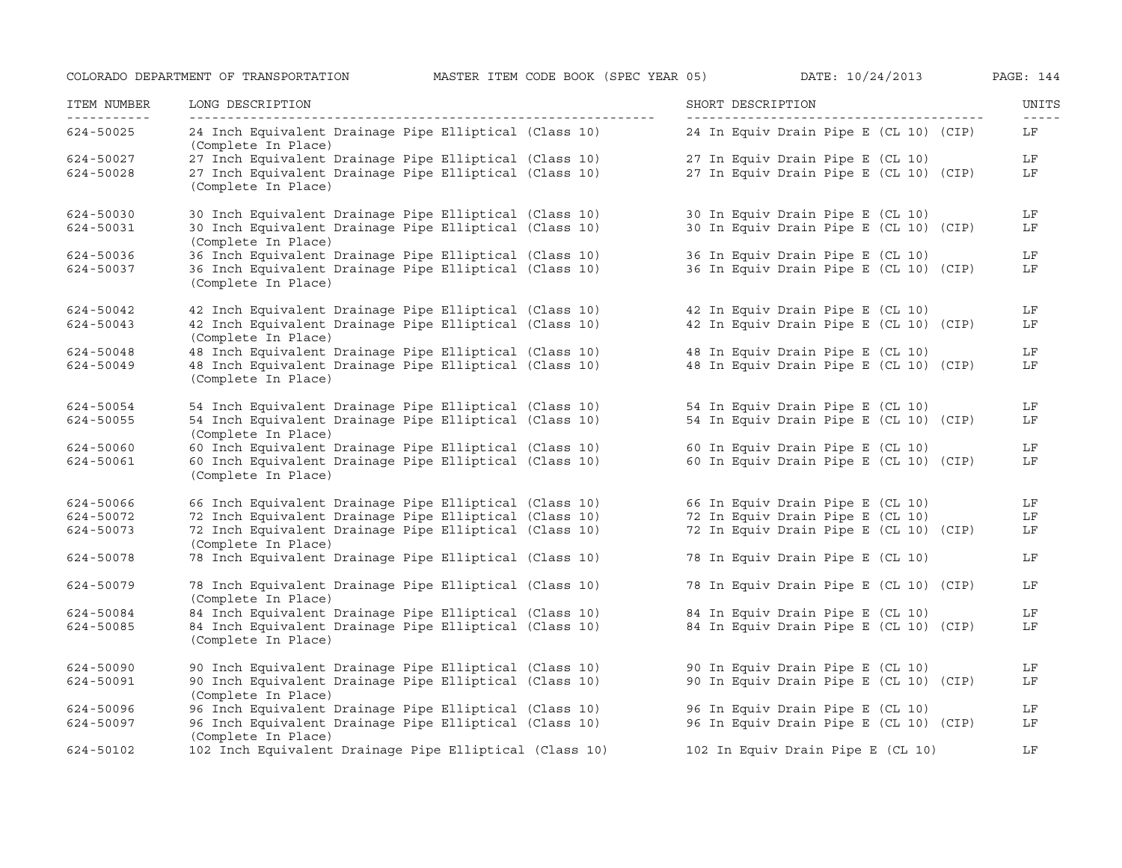| ITEM NUMBER<br>----------- | LONG DESCRIPTION                                                              | SHORT DESCRIPTION                      | UNITS<br>$\frac{1}{2}$ |
|----------------------------|-------------------------------------------------------------------------------|----------------------------------------|------------------------|
| 624-50025                  | 24 Inch Equivalent Drainage Pipe Elliptical (Class 10)<br>(Complete In Place) | 24 In Equiv Drain Pipe E (CL 10) (CIP) | LF                     |
| 624-50027                  | 27 Inch Equivalent Drainage Pipe Elliptical (Class 10)                        | 27 In Equiv Drain Pipe E (CL 10)       | LF                     |
| 624-50028                  | 27 Inch Equivalent Drainage Pipe Elliptical (Class 10)<br>(Complete In Place) | 27 In Equiv Drain Pipe E (CL 10) (CIP) | LF                     |
| 624-50030                  | 30 Inch Equivalent Drainage Pipe Elliptical (Class 10)                        | 30 In Equiv Drain Pipe E (CL 10)       | LF                     |
| 624-50031                  | 30 Inch Equivalent Drainage Pipe Elliptical (Class 10)<br>(Complete In Place) | 30 In Equiv Drain Pipe E (CL 10) (CIP) | LF                     |
| 624-50036                  | 36 Inch Equivalent Drainage Pipe Elliptical (Class 10)                        | 36 In Equiv Drain Pipe E (CL 10)       | LF                     |
| 624-50037                  | 36 Inch Equivalent Drainage Pipe Elliptical (Class 10)<br>(Complete In Place) | 36 In Equiv Drain Pipe E (CL 10) (CIP) | LF                     |
| 624-50042                  | 42 Inch Equivalent Drainage Pipe Elliptical (Class 10)                        | 42 In Equiv Drain Pipe E (CL 10)       | LF                     |
| 624-50043                  | 42 Inch Equivalent Drainage Pipe Elliptical (Class 10)<br>(Complete In Place) | 42 In Equiv Drain Pipe E (CL 10) (CIP) | LF                     |
| 624-50048                  | 48 Inch Equivalent Drainage Pipe Elliptical (Class 10)                        | 48 In Equiv Drain Pipe E (CL 10)       | LF                     |
| 624-50049                  | 48 Inch Equivalent Drainage Pipe Elliptical (Class 10)<br>(Complete In Place) | 48 In Equiv Drain Pipe E (CL 10) (CIP) | LF                     |
| 624-50054                  | 54 Inch Equivalent Drainage Pipe Elliptical (Class 10)                        | 54 In Equiv Drain Pipe E (CL 10)       | LF                     |
| 624-50055                  | 54 Inch Equivalent Drainage Pipe Elliptical (Class 10)<br>(Complete In Place) | 54 In Equiv Drain Pipe E (CL 10) (CIP) | LF                     |
| 624-50060                  | 60 Inch Equivalent Drainage Pipe Elliptical (Class 10)                        | 60 In Equiv Drain Pipe E (CL 10)       | LF                     |
| 624-50061                  | 60 Inch Equivalent Drainage Pipe Elliptical (Class 10)<br>(Complete In Place) | 60 In Equiv Drain Pipe E (CL 10) (CIP) | LF                     |
| 624-50066                  | 66 Inch Equivalent Drainage Pipe Elliptical (Class 10)                        | 66 In Equiv Drain Pipe E (CL 10)       | LF                     |
| 624-50072                  | 72 Inch Equivalent Drainage Pipe Elliptical (Class 10)                        | 72 In Equiv Drain Pipe E (CL 10)       | LF                     |
| 624-50073                  | 72 Inch Equivalent Drainage Pipe Elliptical (Class 10)<br>(Complete In Place) | 72 In Equiv Drain Pipe E (CL 10) (CIP) | LF                     |
| 624-50078                  | 78 Inch Equivalent Drainage Pipe Elliptical (Class 10)                        | 78 In Equiv Drain Pipe E (CL 10)       | LF                     |
| 624-50079                  | 78 Inch Equivalent Drainage Pipe Elliptical (Class 10)<br>(Complete In Place) | 78 In Equiv Drain Pipe E (CL 10) (CIP) | LF                     |
| 624-50084                  | 84 Inch Equivalent Drainage Pipe Elliptical (Class 10)                        | 84 In Equiv Drain Pipe E (CL 10)       | LF                     |
| 624-50085                  | 84 Inch Equivalent Drainage Pipe Elliptical (Class 10)<br>(Complete In Place) | 84 In Equiv Drain Pipe E (CL 10) (CIP) | LF                     |
| 624-50090                  | 90 Inch Equivalent Drainage Pipe Elliptical (Class 10)                        | 90 In Equiv Drain Pipe E (CL 10)       | LF                     |
| 624-50091                  | 90 Inch Equivalent Drainage Pipe Elliptical (Class 10)<br>(Complete In Place) | 90 In Equiv Drain Pipe E (CL 10) (CIP) | LF                     |
| 624-50096                  | 96 Inch Equivalent Drainage Pipe Elliptical (Class 10)                        | 96 In Equiv Drain Pipe E (CL 10)       | LF                     |
| 624-50097                  | 96 Inch Equivalent Drainage Pipe Elliptical (Class 10)<br>(Complete In Place) | 96 In Equiv Drain Pipe E (CL 10) (CIP) | LF                     |
| 624-50102                  | 102 Inch Equivalent Drainage Pipe Elliptical (Class 10)                       | 102 In Equiv Drain Pipe E (CL 10)      | LF                     |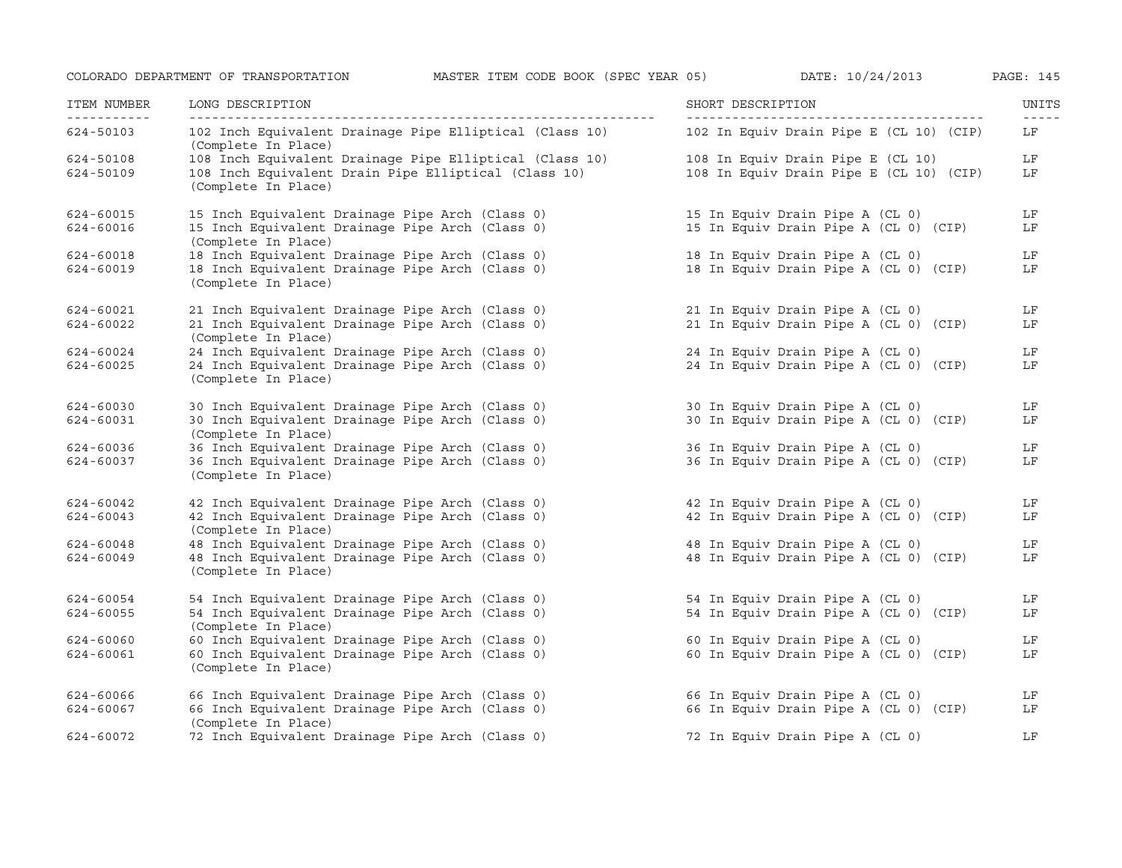| ITEM NUMBER | LONG DESCRIPTION                                                               | SHORT DESCRIPTION                       | UNITS<br>$- - - - -$ |
|-------------|--------------------------------------------------------------------------------|-----------------------------------------|----------------------|
| 624-50103   | 102 Inch Equivalent Drainage Pipe Elliptical (Class 10)<br>(Complete In Place) | 102 In Equiv Drain Pipe E (CL 10) (CIP) | LF                   |
| 624-50108   | 108 Inch Equivalent Drainage Pipe Elliptical (Class 10)                        | 108 In Equiv Drain Pipe E (CL 10)       | LF                   |
| 624-50109   | 108 Inch Equivalent Drain Pipe Elliptical (Class 10)<br>(Complete In Place)    | 108 In Equiv Drain Pipe E (CL 10) (CIP) | LF                   |
| 624-60015   | 15 Inch Equivalent Drainage Pipe Arch (Class 0)                                | 15 In Equiv Drain Pipe A (CL 0)         | LF                   |
| 624-60016   | 15 Inch Equivalent Drainage Pipe Arch (Class 0)<br>(Complete In Place)         | 15 In Equiv Drain Pipe A (CL 0) (CIP)   | LF                   |
| 624-60018   | 18 Inch Equivalent Drainage Pipe Arch (Class 0)                                | 18 In Equiv Drain Pipe A (CL 0)         | LF                   |
| 624-60019   | 18 Inch Equivalent Drainage Pipe Arch (Class 0)<br>(Complete In Place)         | 18 In Equiv Drain Pipe A (CL 0) (CIP)   | LF                   |
| 624-60021   | 21 Inch Equivalent Drainage Pipe Arch (Class 0)                                | 21 In Equiv Drain Pipe A (CL 0)         | LF                   |
| 624-60022   | 21 Inch Equivalent Drainage Pipe Arch (Class 0)<br>(Complete In Place)         | 21 In Equiv Drain Pipe A (CL 0) (CIP)   | LF                   |
| 624-60024   | 24 Inch Equivalent Drainage Pipe Arch (Class 0)                                | 24 In Equiv Drain Pipe A (CL 0)         | LF                   |
| 624-60025   | 24 Inch Equivalent Drainage Pipe Arch (Class 0)<br>(Complete In Place)         | 24 In Equiv Drain Pipe A (CL 0) (CIP)   | LF                   |
| 624-60030   | 30 Inch Equivalent Drainage Pipe Arch (Class 0)                                | 30 In Equiv Drain Pipe A (CL 0)         | LF                   |
| 624-60031   | 30 Inch Equivalent Drainage Pipe Arch (Class 0)<br>(Complete In Place)         | 30 In Equiv Drain Pipe A (CL 0) (CIP)   | LF                   |
| 624-60036   | 36 Inch Equivalent Drainage Pipe Arch (Class 0)                                | 36 In Equiv Drain Pipe A (CL 0)         | LF                   |
| 624-60037   | 36 Inch Equivalent Drainage Pipe Arch (Class 0)<br>(Complete In Place)         | 36 In Equiv Drain Pipe A (CL 0) (CIP)   | LF                   |
| 624-60042   | 42 Inch Equivalent Drainage Pipe Arch (Class 0)                                | 42 In Equiv Drain Pipe A (CL 0)         | LF                   |
| 624-60043   | 42 Inch Equivalent Drainage Pipe Arch (Class 0)<br>(Complete In Place)         | 42 In Equiv Drain Pipe A (CL 0) (CIP)   | LF                   |
| 624-60048   | 48 Inch Equivalent Drainage Pipe Arch (Class 0)                                | 48 In Equiv Drain Pipe A (CL 0)         | LF                   |
| 624-60049   | 48 Inch Equivalent Drainage Pipe Arch (Class 0)<br>(Complete In Place)         | 48 In Equiv Drain Pipe A (CL 0) (CIP)   | LF                   |
| 624-60054   | 54 Inch Equivalent Drainage Pipe Arch (Class 0)                                | 54 In Equiv Drain Pipe A (CL 0)         | LF                   |
| 624-60055   | 54 Inch Equivalent Drainage Pipe Arch (Class 0)<br>(Complete In Place)         | 54 In Equiv Drain Pipe A (CL 0) (CIP)   | LF                   |
| 624-60060   | 60 Inch Equivalent Drainage Pipe Arch (Class 0)                                | 60 In Equiv Drain Pipe A (CL 0)         | LF                   |
| 624-60061   | 60 Inch Equivalent Drainage Pipe Arch (Class 0)<br>(Complete In Place)         | 60 In Equiv Drain Pipe A (CL 0) (CIP)   | LF                   |
| 624-60066   | 66 Inch Equivalent Drainage Pipe Arch (Class 0)                                | 66 In Equiv Drain Pipe A (CL 0)         | LF                   |
| 624-60067   | 66 Inch Equivalent Drainage Pipe Arch (Class 0)<br>(Complete In Place)         | 66 In Equiv Drain Pipe A (CL 0) (CIP)   | LF                   |
| 624-60072   | 72 Inch Equivalent Drainage Pipe Arch (Class 0)                                | 72 In Equiv Drain Pipe A (CL 0)         | LF                   |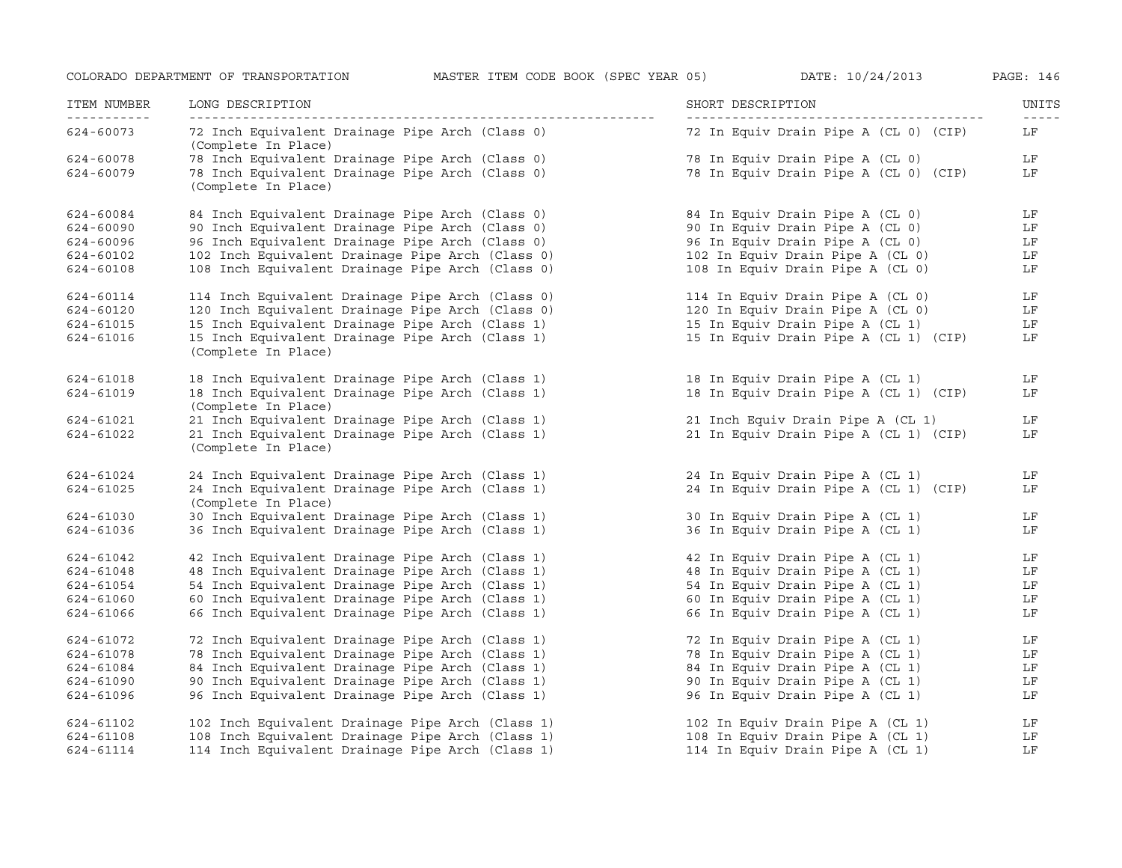| ITEM NUMBER | LONG DESCRIPTION                                                       | SHORT DESCRIPTION                     | UNITS |
|-------------|------------------------------------------------------------------------|---------------------------------------|-------|
| 624-60073   | 72 Inch Equivalent Drainage Pipe Arch (Class 0)<br>(Complete In Place) | 72 In Equiv Drain Pipe A (CL 0) (CIP) | LF    |
| 624-60078   | 78 Inch Equivalent Drainage Pipe Arch (Class 0)                        | 78 In Equiv Drain Pipe A (CL 0)       | LF    |
| 624-60079   | 78 Inch Equivalent Drainage Pipe Arch (Class 0)<br>(Complete In Place) | 78 In Equiv Drain Pipe A (CL 0) (CIP) | LF    |
| 624-60084   | 84 Inch Equivalent Drainage Pipe Arch (Class 0)                        | 84 In Equiv Drain Pipe A (CL 0)       | LF    |
| 624-60090   | 90 Inch Equivalent Drainage Pipe Arch (Class 0)                        | 90 In Equiv Drain Pipe A (CL 0)       | LF    |
| 624-60096   | 96 Inch Equivalent Drainage Pipe Arch (Class 0)                        | 96 In Equiv Drain Pipe A (CL 0)       | LF    |
| 624-60102   | 102 Inch Equivalent Drainage Pipe Arch (Class 0)                       | 102 In Equiv Drain Pipe A (CL 0)      | LF    |
| 624-60108   | 108 Inch Equivalent Drainage Pipe Arch (Class 0)                       | 108 In Equiv Drain Pipe A (CL 0)      | LF    |
| 624-60114   | 114 Inch Equivalent Drainage Pipe Arch (Class 0)                       | 114 In Equiv Drain Pipe A (CL 0)      | LF    |
| 624-60120   | 120 Inch Equivalent Drainage Pipe Arch (Class 0)                       | 120 In Equiv Drain Pipe A (CL 0)      | LF    |
| 624-61015   | 15 Inch Equivalent Drainage Pipe Arch (Class 1)                        | 15 In Equiv Drain Pipe A (CL 1)       | LF    |
| 624-61016   | 15 Inch Equivalent Drainage Pipe Arch (Class 1)<br>(Complete In Place) | 15 In Equiv Drain Pipe A (CL 1) (CIP) | LF    |
| 624-61018   | 18 Inch Equivalent Drainage Pipe Arch (Class 1)                        | 18 In Equiv Drain Pipe A (CL 1)       | LF    |
| 624-61019   | 18 Inch Equivalent Drainage Pipe Arch (Class 1)<br>(Complete In Place) | 18 In Equiv Drain Pipe A (CL 1) (CIP) | LF    |
| 624-61021   | 21 Inch Equivalent Drainage Pipe Arch (Class 1)                        | 21 Inch Equiv Drain Pipe A (CL 1)     | LF    |
| 624-61022   | 21 Inch Equivalent Drainage Pipe Arch (Class 1)<br>(Complete In Place) | 21 In Equiv Drain Pipe A (CL 1) (CIP) | LF    |
| 624-61024   | 24 Inch Equivalent Drainage Pipe Arch (Class 1)                        | 24 In Equiv Drain Pipe A (CL 1)       | LF    |
| 624-61025   | 24 Inch Equivalent Drainage Pipe Arch (Class 1)<br>(Complete In Place) | 24 In Equiv Drain Pipe A (CL 1) (CIP) | LF    |
| 624-61030   | 30 Inch Equivalent Drainage Pipe Arch (Class 1)                        | 30 In Equiv Drain Pipe A (CL 1)       | LF    |
| 624-61036   | 36 Inch Equivalent Drainage Pipe Arch (Class 1)                        | 36 In Equiv Drain Pipe A (CL 1)       | LF    |
| 624-61042   | 42 Inch Equivalent Drainage Pipe Arch (Class 1)                        | 42 In Equiv Drain Pipe A (CL 1)       | LF    |
| 624-61048   | 48 Inch Equivalent Drainage Pipe Arch (Class 1)                        | 48 In Equiv Drain Pipe A (CL 1)       | LF    |
| 624-61054   | 54 Inch Equivalent Drainage Pipe Arch (Class 1)                        | 54 In Equiv Drain Pipe A (CL 1)       | LF    |
| 624-61060   | 60 Inch Equivalent Drainage Pipe Arch (Class 1)                        | 60 In Equiv Drain Pipe A (CL 1)       | LF    |
| 624-61066   | 66 Inch Equivalent Drainage Pipe Arch (Class 1)                        | 66 In Equiv Drain Pipe A (CL 1)       | LF    |
| 624-61072   | 72 Inch Equivalent Drainage Pipe Arch (Class 1)                        | 72 In Equiv Drain Pipe A (CL 1)       | LF    |
| 624-61078   | 78 Inch Equivalent Drainage Pipe Arch (Class 1)                        | 78 In Equiv Drain Pipe A (CL 1)       | LF    |
| 624-61084   | 84 Inch Equivalent Drainage Pipe Arch (Class 1)                        | 84 In Equiv Drain Pipe A (CL 1)       | LF    |
| 624-61090   | 90 Inch Equivalent Drainage Pipe Arch (Class 1)                        | 90 In Equiv Drain Pipe A (CL 1)       | LF    |
| 624-61096   | 96 Inch Equivalent Drainage Pipe Arch (Class 1)                        | 96 In Equiv Drain Pipe A (CL 1)       | LF    |
| 624-61102   | 102 Inch Equivalent Drainage Pipe Arch (Class 1)                       | 102 In Equiv Drain Pipe A (CL 1)      | LF    |
| 624-61108   | 108 Inch Equivalent Drainage Pipe Arch (Class 1)                       | 108 In Equiv Drain Pipe A (CL 1)      | LF    |
| 624-61114   | 114 Inch Equivalent Drainage Pipe Arch (Class 1)                       | 114 In Equiv Drain Pipe A (CL 1)      | LF    |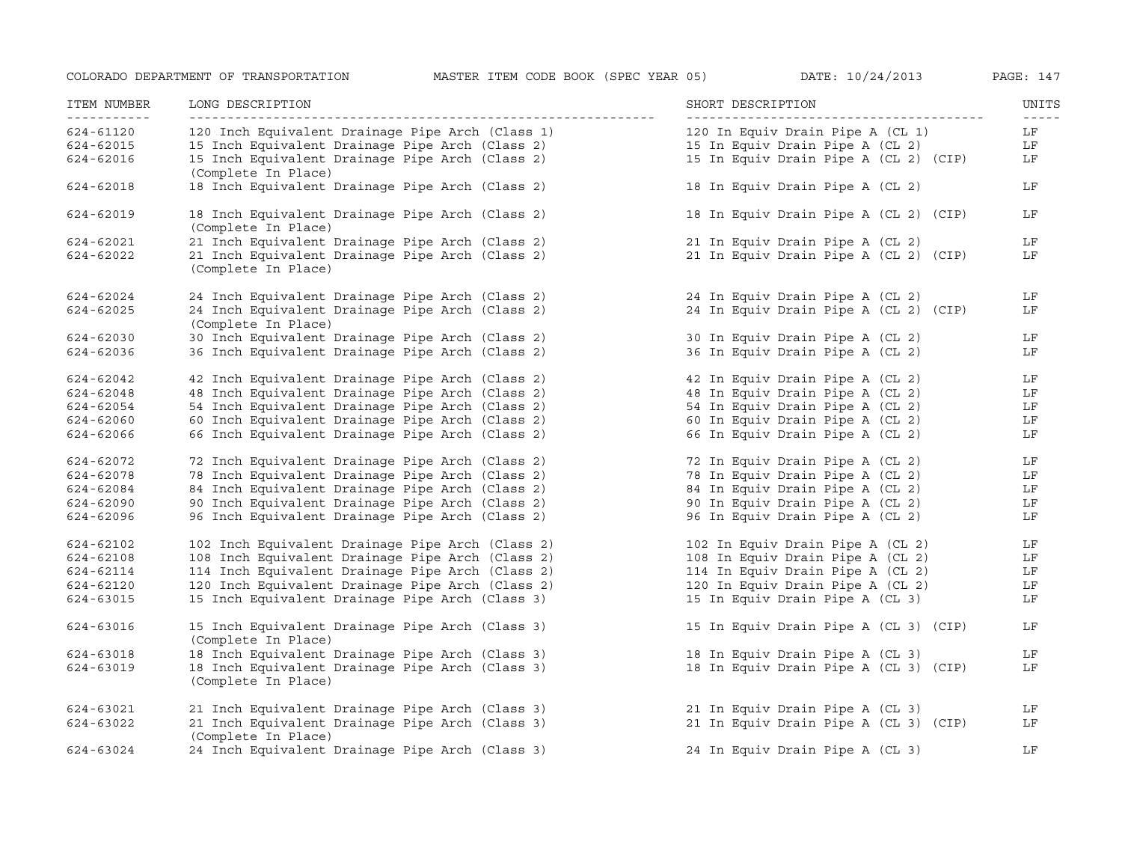| ITEM NUMBER<br>----------- | LONG DESCRIPTION<br>-----------------                                  | SHORT DESCRIPTION                     | UNITS<br>$\frac{1}{2} \frac{1}{2} \frac{1}{2} \frac{1}{2} \frac{1}{2} \frac{1}{2} \frac{1}{2} \frac{1}{2} \frac{1}{2} \frac{1}{2} \frac{1}{2} \frac{1}{2} \frac{1}{2} \frac{1}{2} \frac{1}{2} \frac{1}{2} \frac{1}{2} \frac{1}{2} \frac{1}{2} \frac{1}{2} \frac{1}{2} \frac{1}{2} \frac{1}{2} \frac{1}{2} \frac{1}{2} \frac{1}{2} \frac{1}{2} \frac{1}{2} \frac{1}{2} \frac{1}{2} \frac{1}{2} \frac{$ |
|----------------------------|------------------------------------------------------------------------|---------------------------------------|-------------------------------------------------------------------------------------------------------------------------------------------------------------------------------------------------------------------------------------------------------------------------------------------------------------------------------------------------------------------------------------------------------|
| 624-61120                  | 120 Inch Equivalent Drainage Pipe Arch (Class 1)                       | 120 In Equiv Drain Pipe A (CL 1)      | LF                                                                                                                                                                                                                                                                                                                                                                                                    |
| 624-62015                  | 15 Inch Equivalent Drainage Pipe Arch (Class 2)                        | 15 In Equiv Drain Pipe A (CL 2)       | LF                                                                                                                                                                                                                                                                                                                                                                                                    |
| 624-62016                  | 15 Inch Equivalent Drainage Pipe Arch (Class 2)<br>(Complete In Place) | 15 In Equiv Drain Pipe A (CL 2) (CIP) | LF                                                                                                                                                                                                                                                                                                                                                                                                    |
| $624 - 62018$              | 18 Inch Equivalent Drainage Pipe Arch (Class 2)                        | 18 In Equiv Drain Pipe A (CL 2)       | LF                                                                                                                                                                                                                                                                                                                                                                                                    |
| 624-62019                  | 18 Inch Equivalent Drainage Pipe Arch (Class 2)<br>(Complete In Place) | 18 In Equiv Drain Pipe A (CL 2) (CIP) | LF                                                                                                                                                                                                                                                                                                                                                                                                    |
| 624-62021                  | 21 Inch Equivalent Drainage Pipe Arch (Class 2)                        | 21 In Equiv Drain Pipe A (CL 2)       | LF                                                                                                                                                                                                                                                                                                                                                                                                    |
| 624-62022                  | 21 Inch Equivalent Drainage Pipe Arch (Class 2)<br>(Complete In Place) | 21 In Equiv Drain Pipe A (CL 2) (CIP) | LF                                                                                                                                                                                                                                                                                                                                                                                                    |
| 624-62024                  | 24 Inch Equivalent Drainage Pipe Arch (Class 2)                        | 24 In Equiv Drain Pipe A (CL 2)       | LF                                                                                                                                                                                                                                                                                                                                                                                                    |
| 624-62025                  | 24 Inch Equivalent Drainage Pipe Arch (Class 2)<br>(Complete In Place) | 24 In Equiv Drain Pipe A (CL 2) (CIP) | LF                                                                                                                                                                                                                                                                                                                                                                                                    |
| 624-62030                  | 30 Inch Equivalent Drainage Pipe Arch (Class 2)                        | 30 In Equiv Drain Pipe A (CL 2)       | LF                                                                                                                                                                                                                                                                                                                                                                                                    |
| 624-62036                  | 36 Inch Equivalent Drainage Pipe Arch (Class 2)                        | 36 In Equiv Drain Pipe A (CL 2)       | LF                                                                                                                                                                                                                                                                                                                                                                                                    |
| 624-62042                  | 42 Inch Equivalent Drainage Pipe Arch (Class 2)                        | 42 In Equiv Drain Pipe A (CL 2)       | LF                                                                                                                                                                                                                                                                                                                                                                                                    |
| 624-62048                  | 48 Inch Equivalent Drainage Pipe Arch (Class 2)                        | 48 In Equiv Drain Pipe A (CL 2)       | LF                                                                                                                                                                                                                                                                                                                                                                                                    |
| 624-62054                  | 54 Inch Equivalent Drainage Pipe Arch (Class 2)                        | 54 In Equiv Drain Pipe A (CL 2)       | LF                                                                                                                                                                                                                                                                                                                                                                                                    |
| 624-62060                  | 60 Inch Equivalent Drainage Pipe Arch (Class 2)                        | 60 In Equiv Drain Pipe A (CL 2)       | LF                                                                                                                                                                                                                                                                                                                                                                                                    |
| 624-62066                  | 66 Inch Equivalent Drainage Pipe Arch (Class 2)                        | 66 In Equiv Drain Pipe A (CL 2)       | LF                                                                                                                                                                                                                                                                                                                                                                                                    |
| 624-62072                  | 72 Inch Equivalent Drainage Pipe Arch (Class 2)                        | 72 In Equiv Drain Pipe A (CL 2)       | LF                                                                                                                                                                                                                                                                                                                                                                                                    |
| 624-62078                  | 78 Inch Equivalent Drainage Pipe Arch (Class 2)                        | 78 In Equiv Drain Pipe A (CL 2)       | LF                                                                                                                                                                                                                                                                                                                                                                                                    |
| 624-62084                  | 84 Inch Equivalent Drainage Pipe Arch (Class 2)                        | 84 In Equiv Drain Pipe A (CL 2)       | LF                                                                                                                                                                                                                                                                                                                                                                                                    |
| 624-62090                  | 90 Inch Equivalent Drainage Pipe Arch (Class 2)                        | 90 In Equiv Drain Pipe A (CL 2)       | LF                                                                                                                                                                                                                                                                                                                                                                                                    |
| 624-62096                  | 96 Inch Equivalent Drainage Pipe Arch (Class 2)                        | 96 In Equiv Drain Pipe A (CL 2)       | LF                                                                                                                                                                                                                                                                                                                                                                                                    |
| 624-62102                  | 102 Inch Equivalent Drainage Pipe Arch (Class 2)                       | 102 In Equiv Drain Pipe A (CL 2)      | LF                                                                                                                                                                                                                                                                                                                                                                                                    |
| 624-62108                  | 108 Inch Equivalent Drainage Pipe Arch (Class 2)                       | 108 In Equiv Drain Pipe A (CL 2)      | LF                                                                                                                                                                                                                                                                                                                                                                                                    |
| 624-62114                  | 114 Inch Equivalent Drainage Pipe Arch (Class 2)                       | 114 In Equiv Drain Pipe A (CL 2)      | LF                                                                                                                                                                                                                                                                                                                                                                                                    |
| 624-62120                  | 120 Inch Equivalent Drainage Pipe Arch (Class 2)                       | 120 In Equiv Drain Pipe A (CL 2)      | LF                                                                                                                                                                                                                                                                                                                                                                                                    |
| 624-63015                  | 15 Inch Equivalent Drainage Pipe Arch (Class 3)                        | 15 In Equiv Drain Pipe A (CL 3)       | LF                                                                                                                                                                                                                                                                                                                                                                                                    |
| 624-63016                  | 15 Inch Equivalent Drainage Pipe Arch (Class 3)<br>(Complete In Place) | 15 In Equiv Drain Pipe A (CL 3) (CIP) | LF                                                                                                                                                                                                                                                                                                                                                                                                    |
| 624-63018                  | 18 Inch Equivalent Drainage Pipe Arch (Class 3)                        | 18 In Equiv Drain Pipe A (CL 3)       | LF                                                                                                                                                                                                                                                                                                                                                                                                    |
| 624-63019                  | 18 Inch Equivalent Drainage Pipe Arch (Class 3)<br>(Complete In Place) | 18 In Equiv Drain Pipe A (CL 3) (CIP) | LF                                                                                                                                                                                                                                                                                                                                                                                                    |
| 624-63021                  | 21 Inch Equivalent Drainage Pipe Arch (Class 3)                        | 21 In Equiv Drain Pipe A (CL 3)       | LF                                                                                                                                                                                                                                                                                                                                                                                                    |
| 624-63022                  | 21 Inch Equivalent Drainage Pipe Arch (Class 3)<br>(Complete In Place) | 21 In Equiv Drain Pipe A (CL 3) (CIP) | LF                                                                                                                                                                                                                                                                                                                                                                                                    |
| 624-63024                  | 24 Inch Equivalent Drainage Pipe Arch (Class 3)                        | 24 In Equiv Drain Pipe A (CL 3)       | LF                                                                                                                                                                                                                                                                                                                                                                                                    |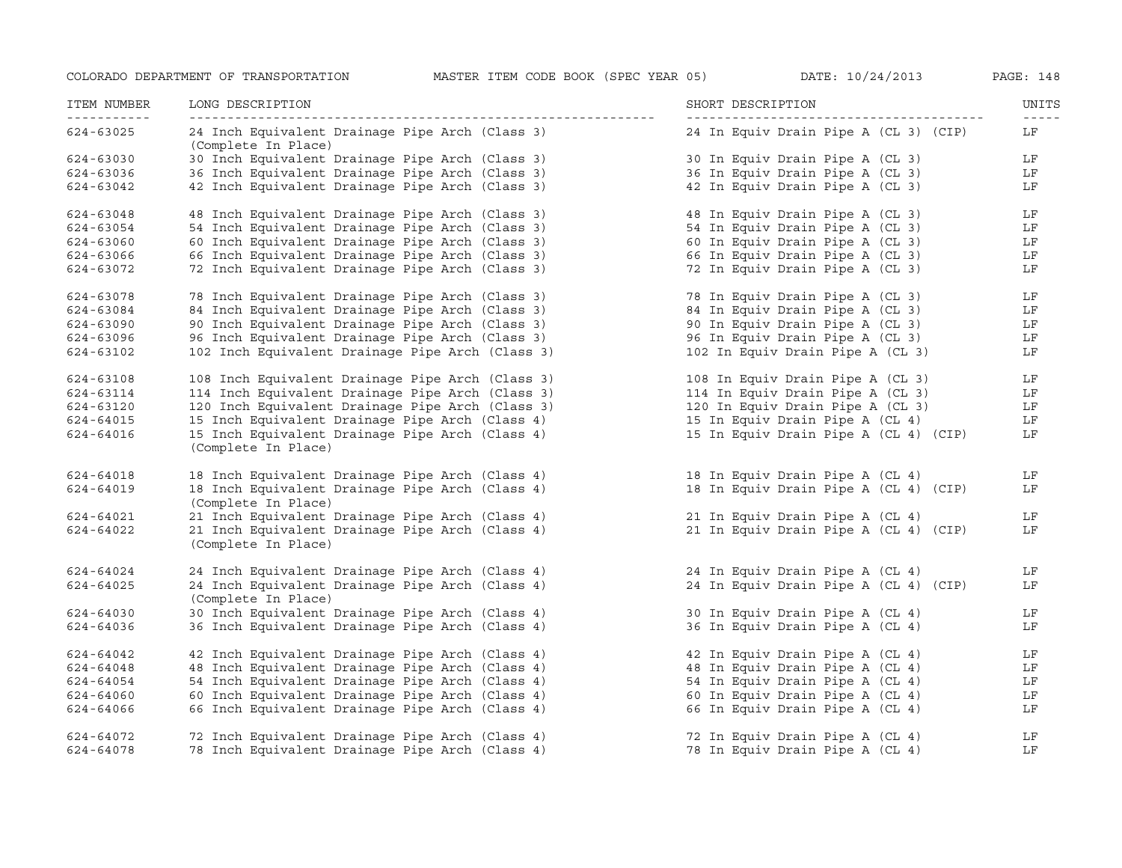| ITEM NUMBER<br>----------- | LONG DESCRIPTION<br>---------------                                    | SHORT DESCRIPTION<br>------------------- | UNITS       |
|----------------------------|------------------------------------------------------------------------|------------------------------------------|-------------|
|                            |                                                                        |                                          | $- - - - -$ |
| 624-63025                  | 24 Inch Equivalent Drainage Pipe Arch (Class 3)<br>(Complete In Place) | 24 In Equiv Drain Pipe A (CL 3) (CIP)    | LF          |
| 624-63030                  | 30 Inch Equivalent Drainage Pipe Arch (Class 3)                        | 30 In Equiv Drain Pipe A (CL 3)          | LF          |
| 624-63036                  | 36 Inch Equivalent Drainage Pipe Arch (Class 3)                        | 36 In Equiv Drain Pipe A (CL 3)          | LF          |
| 624-63042                  | 42 Inch Equivalent Drainage Pipe Arch (Class 3)                        | 42 In Equiv Drain Pipe A (CL 3)          | LF          |
| 624-63048                  | 48 Inch Equivalent Drainage Pipe Arch (Class 3)                        | 48 In Equiv Drain Pipe A (CL 3)          | LF          |
| 624-63054                  | 54 Inch Equivalent Drainage Pipe Arch (Class 3)                        | 54 In Equiv Drain Pipe A (CL 3)          | LF          |
| 624-63060                  | 60 Inch Equivalent Drainage Pipe Arch (Class 3)                        | 60 In Equiv Drain Pipe A (CL 3)          | LF          |
| 624-63066                  | 66 Inch Equivalent Drainage Pipe Arch (Class 3)                        | 66 In Equiv Drain Pipe A (CL 3)          | LF          |
| 624-63072                  | 72 Inch Equivalent Drainage Pipe Arch (Class 3)                        | 72 In Equiv Drain Pipe A (CL 3)          | LF          |
| 624-63078                  | 78 Inch Equivalent Drainage Pipe Arch (Class 3)                        | 78 In Equiv Drain Pipe A (CL 3)          | LF          |
| 624-63084                  | 84 Inch Equivalent Drainage Pipe Arch (Class 3)                        | 84 In Equiv Drain Pipe A (CL 3)          | LF          |
| 624-63090                  | 90 Inch Equivalent Drainage Pipe Arch (Class 3)                        | 90 In Equiv Drain Pipe A (CL 3)          | LF          |
| 624-63096                  | 96 Inch Equivalent Drainage Pipe Arch (Class 3)                        | 96 In Equiv Drain Pipe A (CL 3)          | LF          |
| 624-63102                  | 102 Inch Equivalent Drainage Pipe Arch (Class 3)                       | 102 In Equiv Drain Pipe A (CL 3)         | LF          |
| 624-63108                  | 108 Inch Equivalent Drainage Pipe Arch (Class 3)                       | 108 In Equiv Drain Pipe A (CL 3)         | LF          |
| 624-63114                  | 114 Inch Equivalent Drainage Pipe Arch (Class 3)                       | 114 In Equiv Drain Pipe A (CL 3)         | LF          |
| 624-63120                  | 120 Inch Equivalent Drainage Pipe Arch (Class 3)                       | 120 In Equiv Drain Pipe A (CL 3)         | LF          |
| 624-64015                  | 15 Inch Equivalent Drainage Pipe Arch (Class 4)                        | 15 In Equiv Drain Pipe A (CL 4)          | LF          |
| 624-64016                  | 15 Inch Equivalent Drainage Pipe Arch (Class 4)<br>(Complete In Place) | 15 In Equiv Drain Pipe A (CL 4) (CIP)    | LF          |
| 624-64018                  | 18 Inch Equivalent Drainage Pipe Arch (Class 4)                        | 18 In Equiv Drain Pipe A (CL 4)          | LF          |
| 624-64019                  | 18 Inch Equivalent Drainage Pipe Arch (Class 4)<br>(Complete In Place) | 18 In Equiv Drain Pipe A (CL 4) (CIP)    | LF          |
| 624-64021                  | 21 Inch Equivalent Drainage Pipe Arch (Class 4)                        | 21 In Equiv Drain Pipe A (CL 4)          | LF          |
| 624-64022                  | 21 Inch Equivalent Drainage Pipe Arch (Class 4)                        | 21 In Equiv Drain Pipe A (CL 4) (CIP)    | LF          |
|                            | (Complete In Place)                                                    |                                          |             |
| 624-64024                  | 24 Inch Equivalent Drainage Pipe Arch (Class 4)                        | 24 In Equiv Drain Pipe A (CL 4)          | LF          |
| 624-64025                  | 24 Inch Equivalent Drainage Pipe Arch (Class 4)<br>(Complete In Place) | 24 In Equiv Drain Pipe A (CL 4) (CIP)    | LF          |
|                            |                                                                        |                                          |             |
| 624-64030                  | 30 Inch Equivalent Drainage Pipe Arch (Class 4)                        | 30 In Equiv Drain Pipe A (CL 4)          | LF          |
| 624-64036                  | 36 Inch Equivalent Drainage Pipe Arch (Class 4)                        | 36 In Equiv Drain Pipe A (CL 4)          | LF          |
| 624-64042                  | 42 Inch Equivalent Drainage Pipe Arch (Class 4)                        | 42 In Equiv Drain Pipe A (CL 4)          | LF          |
| 624-64048                  | 48 Inch Equivalent Drainage Pipe Arch (Class 4)                        | 48 In Equiv Drain Pipe A (CL 4)          | LF          |
| 624-64054                  | 54 Inch Equivalent Drainage Pipe Arch (Class 4)                        | 54 In Equiv Drain Pipe A (CL 4)          | LF          |
| 624-64060                  | 60 Inch Equivalent Drainage Pipe Arch (Class 4)                        | 60 In Equiv Drain Pipe A (CL 4)          | LF          |
| 624-64066                  | 66 Inch Equivalent Drainage Pipe Arch (Class 4)                        | 66 In Equiv Drain Pipe A (CL 4)          | LF          |
| 624-64072                  | 72 Inch Equivalent Drainage Pipe Arch (Class 4)                        | 72 In Equiv Drain Pipe A (CL 4)          | LF          |
| 624-64078                  | 78 Inch Equivalent Drainage Pipe Arch (Class 4)                        | 78 In Equiv Drain Pipe A (CL 4)          | LF          |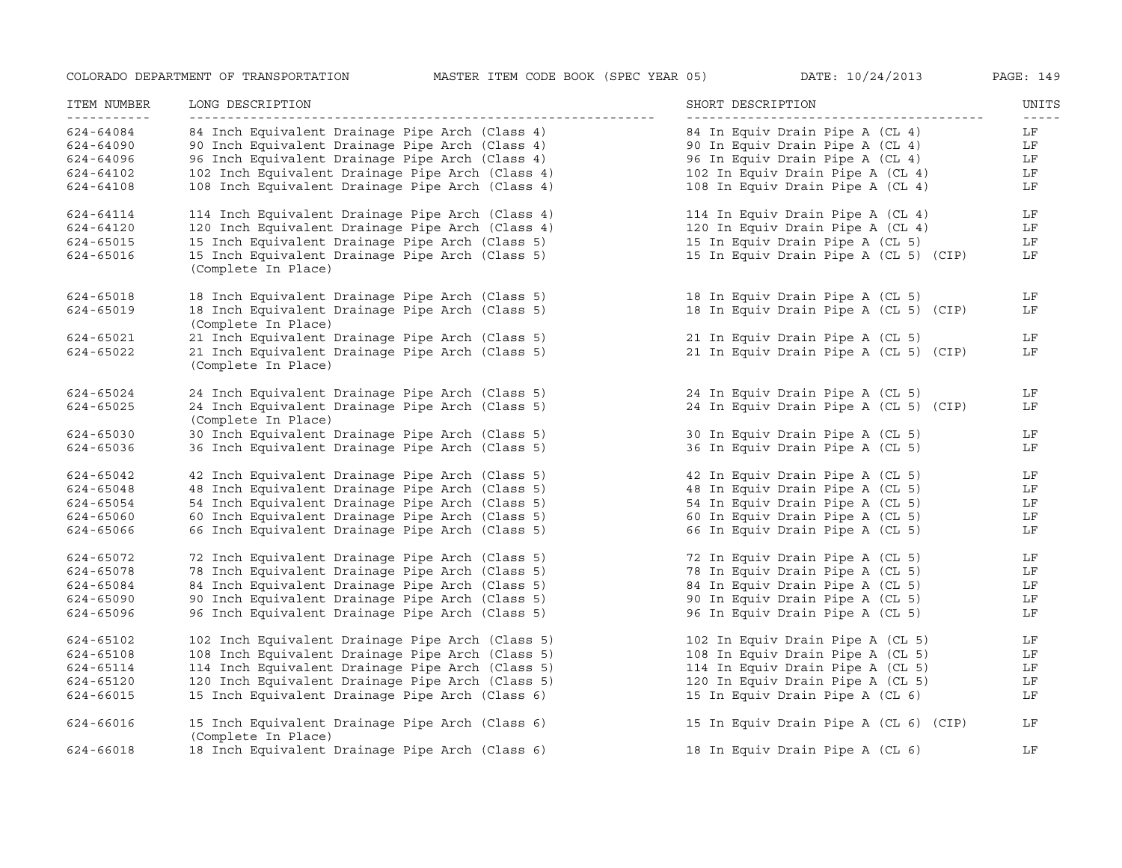| ITEM NUMBER | LONG DESCRIPTION                                                       | SHORT DESCRIPTION                     | UNITS |
|-------------|------------------------------------------------------------------------|---------------------------------------|-------|
| 624-64084   | 84 Inch Equivalent Drainage Pipe Arch (Class 4)                        | 84 In Equiv Drain Pipe A (CL 4)       | LF    |
| 624-64090   | 90 Inch Equivalent Drainage Pipe Arch (Class 4)                        | 90 In Equiv Drain Pipe A (CL 4)       | LF    |
| 624-64096   | 96 Inch Equivalent Drainage Pipe Arch (Class 4)                        | 96 In Equiv Drain Pipe A (CL 4)       | LF    |
| 624-64102   | 102 Inch Equivalent Drainage Pipe Arch (Class 4)                       | 102 In Equiv Drain Pipe A (CL 4)      | LF    |
| 624-64108   | 108 Inch Equivalent Drainage Pipe Arch (Class 4)                       | 108 In Equiv Drain Pipe A (CL 4)      | LF    |
| 624-64114   | 114 Inch Equivalent Drainage Pipe Arch (Class 4)                       | 114 In Equiv Drain Pipe A (CL 4)      | LF    |
| 624-64120   | 120 Inch Equivalent Drainage Pipe Arch (Class 4)                       | 120 In Equiv Drain Pipe A (CL 4)      | LF    |
| 624-65015   | 15 Inch Equivalent Drainage Pipe Arch (Class 5)                        | 15 In Equiv Drain Pipe A (CL 5)       | LF    |
| 624-65016   | 15 Inch Equivalent Drainage Pipe Arch (Class 5)<br>(Complete In Place) | 15 In Equiv Drain Pipe A (CL 5) (CIP) | LF    |
| 624-65018   | 18 Inch Equivalent Drainage Pipe Arch (Class 5)                        | 18 In Equiv Drain Pipe A (CL 5)       | LF    |
| 624-65019   | 18 Inch Equivalent Drainage Pipe Arch (Class 5)<br>(Complete In Place) | 18 In Equiv Drain Pipe A (CL 5) (CIP) | LF    |
| 624-65021   | 21 Inch Equivalent Drainage Pipe Arch (Class 5)                        | 21 In Equiv Drain Pipe A (CL 5)       | LF    |
| 624-65022   | 21 Inch Equivalent Drainage Pipe Arch (Class 5)<br>(Complete In Place) | 21 In Equiv Drain Pipe A (CL 5) (CIP) | LF    |
| 624-65024   | 24 Inch Equivalent Drainage Pipe Arch (Class 5)                        | 24 In Equiv Drain Pipe A (CL 5)       | LF    |
| 624-65025   | 24 Inch Equivalent Drainage Pipe Arch (Class 5)<br>(Complete In Place) | 24 In Equiv Drain Pipe A (CL 5) (CIP) | LF    |
| 624-65030   | 30 Inch Equivalent Drainage Pipe Arch (Class 5)                        | 30 In Equiv Drain Pipe A (CL 5)       | LF    |
| 624-65036   | 36 Inch Equivalent Drainage Pipe Arch (Class 5)                        | 36 In Equiv Drain Pipe A (CL 5)       | LF    |
| 624-65042   | 42 Inch Equivalent Drainage Pipe Arch (Class 5)                        | 42 In Equiv Drain Pipe A (CL 5)       | LF    |
| 624-65048   | 48 Inch Equivalent Drainage Pipe Arch (Class 5)                        | 48 In Equiv Drain Pipe A (CL 5)       | LF    |
| 624-65054   | 54 Inch Equivalent Drainage Pipe Arch (Class 5)                        | 54 In Equiv Drain Pipe A (CL 5)       | LF    |
| 624-65060   | 60 Inch Equivalent Drainage Pipe Arch (Class 5)                        | 60 In Equiv Drain Pipe A (CL 5)       | LF    |
| 624-65066   | 66 Inch Equivalent Drainage Pipe Arch (Class 5)                        | 66 In Equiv Drain Pipe A (CL 5)       | LF    |
| 624-65072   | 72 Inch Equivalent Drainage Pipe Arch (Class 5)                        | 72 In Equiv Drain Pipe A (CL 5)       | LF    |
| 624-65078   | 78 Inch Equivalent Drainage Pipe Arch (Class 5)                        | 78 In Equiv Drain Pipe A (CL 5)       | LF    |
| 624-65084   | 84 Inch Equivalent Drainage Pipe Arch (Class 5)                        | 84 In Equiv Drain Pipe A (CL 5)       | LF    |
| 624-65090   | 90 Inch Equivalent Drainage Pipe Arch (Class 5)                        | 90 In Equiv Drain Pipe A (CL 5)       | LF    |
| 624-65096   | 96 Inch Equivalent Drainage Pipe Arch (Class 5)                        | 96 In Equiv Drain Pipe A (CL 5)       | LF    |
| 624-65102   | 102 Inch Equivalent Drainage Pipe Arch (Class 5)                       | 102 In Equiv Drain Pipe A (CL 5)      | LF    |
| 624-65108   | 108 Inch Equivalent Drainage Pipe Arch (Class 5)                       | 108 In Equiv Drain Pipe A (CL 5)      | LF    |
| 624-65114   | 114 Inch Equivalent Drainage Pipe Arch (Class 5)                       | 114 In Equiv Drain Pipe A (CL 5)      | LF    |
| 624-65120   | 120 Inch Equivalent Drainage Pipe Arch (Class 5)                       | 120 In Equiv Drain Pipe A (CL 5)      | LF    |
| 624-66015   | 15 Inch Equivalent Drainage Pipe Arch (Class 6)                        | 15 In Equiv Drain Pipe A (CL 6)       | LF    |
| 624-66016   | 15 Inch Equivalent Drainage Pipe Arch (Class 6)<br>(Complete In Place) | 15 In Equiv Drain Pipe A (CL 6) (CIP) | LF    |
| 624-66018   | 18 Inch Equivalent Drainage Pipe Arch (Class 6)                        | 18 In Equiv Drain Pipe A (CL 6)       | LF    |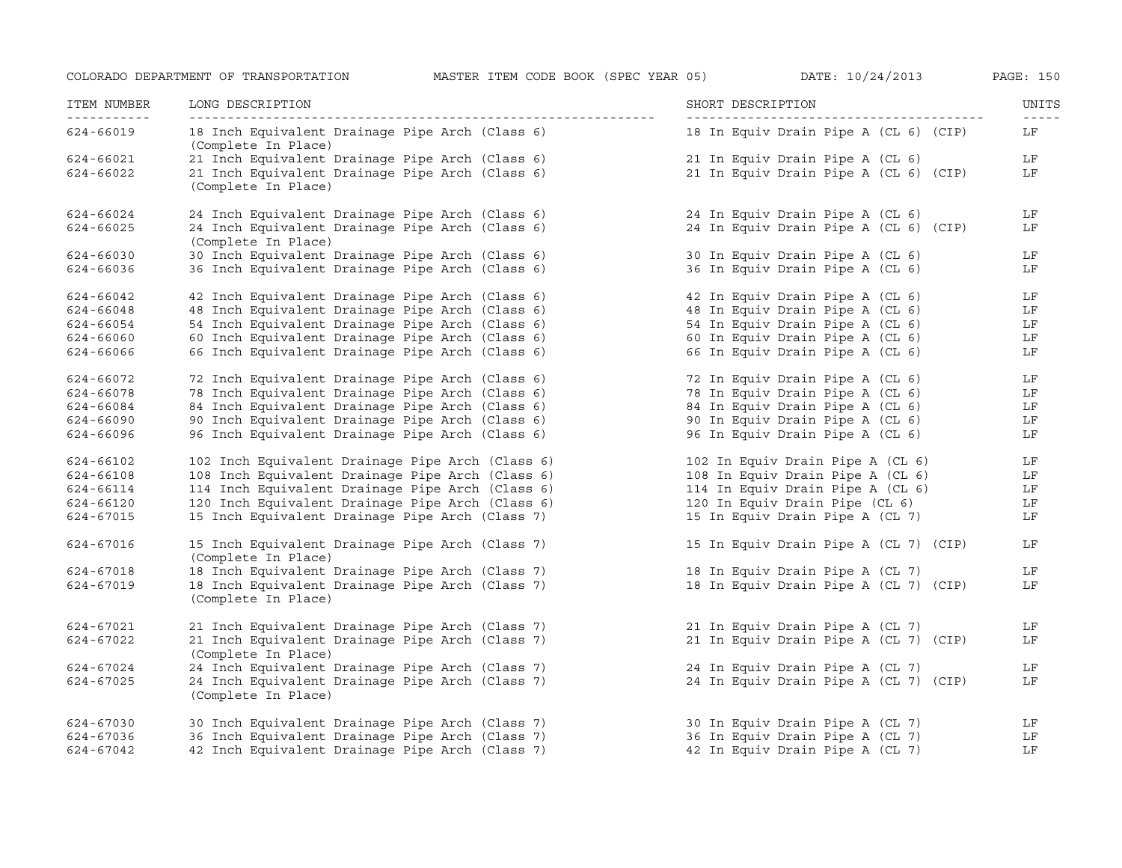| ITEM NUMBER<br><u> - - - - - - - - - - -</u> | LONG DESCRIPTION<br>------------------                                 | SHORT DESCRIPTION                     | UNITS<br>$- - - - -$ |
|----------------------------------------------|------------------------------------------------------------------------|---------------------------------------|----------------------|
| 624-66019                                    | 18 Inch Equivalent Drainage Pipe Arch (Class 6)<br>(Complete In Place) | 18 In Equiv Drain Pipe A (CL 6) (CIP) | LF                   |
| 624-66021                                    | 21 Inch Equivalent Drainage Pipe Arch (Class 6)                        | 21 In Equiv Drain Pipe A (CL 6)       | LF                   |
| 624-66022                                    | 21 Inch Equivalent Drainage Pipe Arch (Class 6)<br>(Complete In Place) | 21 In Equiv Drain Pipe A (CL 6) (CIP) | LF                   |
| 624-66024                                    | 24 Inch Equivalent Drainage Pipe Arch (Class 6)                        | 24 In Equiv Drain Pipe A (CL 6)       | LF                   |
| 624-66025                                    | 24 Inch Equivalent Drainage Pipe Arch (Class 6)<br>(Complete In Place) | 24 In Equiv Drain Pipe A (CL 6) (CIP) | LF                   |
| 624-66030                                    | 30 Inch Equivalent Drainage Pipe Arch (Class 6)                        | 30 In Equiv Drain Pipe A (CL 6)       | LF                   |
| 624-66036                                    | 36 Inch Equivalent Drainage Pipe Arch (Class 6)                        | 36 In Equiv Drain Pipe A (CL 6)       | LF                   |
| 624-66042                                    | 42 Inch Equivalent Drainage Pipe Arch (Class 6)                        | 42 In Equiv Drain Pipe A (CL 6)       | LF                   |
| 624-66048                                    | 48 Inch Equivalent Drainage Pipe Arch (Class 6)                        | 48 In Equiv Drain Pipe A (CL 6)       | LF                   |
| 624-66054                                    | 54 Inch Equivalent Drainage Pipe Arch (Class 6)                        | 54 In Equiv Drain Pipe A (CL 6)       | LF                   |
| 624-66060                                    | 60 Inch Equivalent Drainage Pipe Arch (Class 6)                        | 60 In Equiv Drain Pipe A (CL 6)       | LF                   |
| 624-66066                                    | 66 Inch Equivalent Drainage Pipe Arch (Class 6)                        | 66 In Equiv Drain Pipe A (CL 6)       | LF                   |
| 624-66072                                    | 72 Inch Equivalent Drainage Pipe Arch (Class 6)                        | 72 In Equiv Drain Pipe A (CL 6)       | LF                   |
| 624-66078                                    | 78 Inch Equivalent Drainage Pipe Arch (Class 6)                        | 78 In Equiv Drain Pipe A (CL 6)       | LF                   |
| 624-66084                                    | 84 Inch Equivalent Drainage Pipe Arch (Class 6)                        | 84 In Equiv Drain Pipe A (CL 6)       | LF                   |
| 624-66090                                    | 90 Inch Equivalent Drainage Pipe Arch (Class 6)                        | 90 In Equiv Drain Pipe A (CL 6)       | LF                   |
| 624-66096                                    | 96 Inch Equivalent Drainage Pipe Arch (Class 6)                        | 96 In Equiv Drain Pipe A (CL 6)       | LF                   |
| 624-66102                                    | 102 Inch Equivalent Drainage Pipe Arch (Class 6)                       | 102 In Equiv Drain Pipe A (CL 6)      | LF                   |
| 624-66108                                    | 108 Inch Equivalent Drainage Pipe Arch (Class 6)                       | 108 In Equiv Drain Pipe A (CL 6)      | LF                   |
| 624-66114                                    | 114 Inch Equivalent Drainage Pipe Arch (Class 6)                       | 114 In Equiv Drain Pipe A (CL 6)      | LF                   |
| 624-66120                                    | 120 Inch Equivalent Drainage Pipe Arch (Class 6)                       | 120 In Equiv Drain Pipe (CL 6)        | LF                   |
| 624-67015                                    | 15 Inch Equivalent Drainage Pipe Arch (Class 7)                        | 15 In Equiv Drain Pipe A (CL 7)       | LF                   |
| 624-67016                                    | 15 Inch Equivalent Drainage Pipe Arch (Class 7)<br>(Complete In Place) | 15 In Equiv Drain Pipe A (CL 7) (CIP) | LF                   |
| 624-67018                                    | 18 Inch Equivalent Drainage Pipe Arch (Class 7)                        | 18 In Equiv Drain Pipe A (CL 7)       | LF                   |
| 624-67019                                    | 18 Inch Equivalent Drainage Pipe Arch (Class 7)<br>(Complete In Place) | 18 In Equiv Drain Pipe A (CL 7) (CIP) | LF                   |
| 624-67021                                    | 21 Inch Equivalent Drainage Pipe Arch (Class 7)                        | 21 In Equiv Drain Pipe A (CL 7)       | LF                   |
| 624-67022                                    | 21 Inch Equivalent Drainage Pipe Arch (Class 7)<br>(Complete In Place) | 21 In Equiv Drain Pipe A (CL 7) (CIP) | LF                   |
| 624-67024                                    | 24 Inch Equivalent Drainage Pipe Arch (Class 7)                        | 24 In Equiv Drain Pipe A (CL 7)       | LF                   |
| 624-67025                                    | 24 Inch Equivalent Drainage Pipe Arch (Class 7)<br>(Complete In Place) | 24 In Equiv Drain Pipe A (CL 7) (CIP) | LF                   |
| 624-67030                                    | 30 Inch Equivalent Drainage Pipe Arch (Class 7)                        | 30 In Equiv Drain Pipe A (CL 7)       | LF                   |
| 624-67036                                    | 36 Inch Equivalent Drainage Pipe Arch (Class 7)                        | 36 In Equiv Drain Pipe A (CL 7)       | LF                   |
| 624-67042                                    | 42 Inch Equivalent Drainage Pipe Arch (Class 7)                        | 42 In Equiv Drain Pipe A (CL 7)       | LF                   |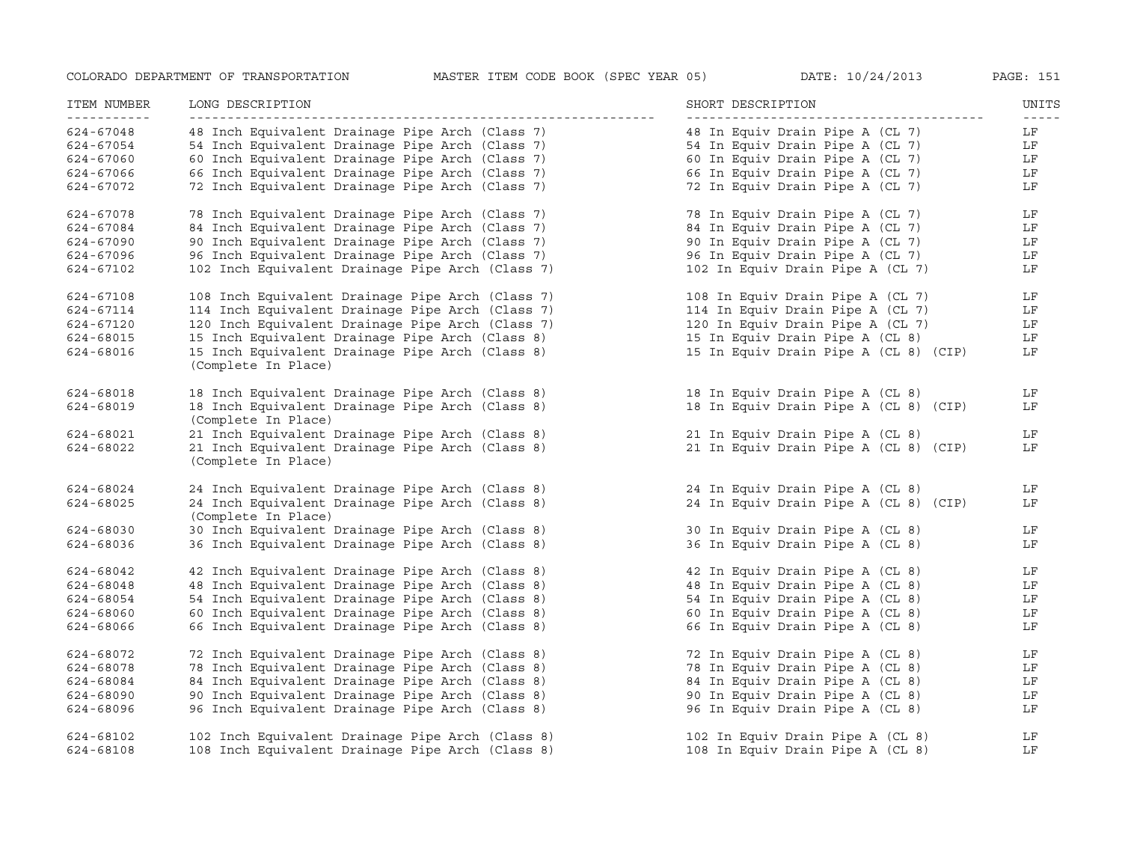| ITEM NUMBER | LONG DESCRIPTION                                                       | SHORT DESCRIPTION                     | UNITS                                                                                                                                                                                                                                                                                                                                                                                              |
|-------------|------------------------------------------------------------------------|---------------------------------------|----------------------------------------------------------------------------------------------------------------------------------------------------------------------------------------------------------------------------------------------------------------------------------------------------------------------------------------------------------------------------------------------------|
| 624-67048   | 48 Inch Equivalent Drainage Pipe Arch (Class 7)                        | 48 In Equiv Drain Pipe A (CL 7)       | $\frac{1}{2} \frac{1}{2} \frac{1}{2} \frac{1}{2} \frac{1}{2} \frac{1}{2} \frac{1}{2} \frac{1}{2} \frac{1}{2} \frac{1}{2} \frac{1}{2} \frac{1}{2} \frac{1}{2} \frac{1}{2} \frac{1}{2} \frac{1}{2} \frac{1}{2} \frac{1}{2} \frac{1}{2} \frac{1}{2} \frac{1}{2} \frac{1}{2} \frac{1}{2} \frac{1}{2} \frac{1}{2} \frac{1}{2} \frac{1}{2} \frac{1}{2} \frac{1}{2} \frac{1}{2} \frac{1}{2} \frac{$<br>LF |
| 624-67054   | 54 Inch Equivalent Drainage Pipe Arch (Class 7)                        | 54 In Equiv Drain Pipe A (CL 7)       | LF                                                                                                                                                                                                                                                                                                                                                                                                 |
| 624-67060   | 60 Inch Equivalent Drainage Pipe Arch (Class 7)                        | 60 In Equiv Drain Pipe A (CL 7)       | LF                                                                                                                                                                                                                                                                                                                                                                                                 |
| 624-67066   | 66 Inch Equivalent Drainage Pipe Arch (Class 7)                        | 66 In Equiv Drain Pipe A (CL 7)       | LF                                                                                                                                                                                                                                                                                                                                                                                                 |
| 624-67072   | 72 Inch Equivalent Drainage Pipe Arch (Class 7)                        | 72 In Equiv Drain Pipe A (CL 7)       | LF                                                                                                                                                                                                                                                                                                                                                                                                 |
| 624-67078   | 78 Inch Equivalent Drainage Pipe Arch (Class 7)                        | 78 In Equiv Drain Pipe A (CL 7)       | LF                                                                                                                                                                                                                                                                                                                                                                                                 |
| 624-67084   | 84 Inch Equivalent Drainage Pipe Arch (Class 7)                        | 84 In Equiv Drain Pipe A (CL 7)       | LF                                                                                                                                                                                                                                                                                                                                                                                                 |
| 624-67090   | 90 Inch Equivalent Drainage Pipe Arch (Class 7)                        | 90 In Equiv Drain Pipe A (CL 7)       | LF                                                                                                                                                                                                                                                                                                                                                                                                 |
| 624-67096   | 96 Inch Equivalent Drainage Pipe Arch (Class 7)                        | 96 In Equiv Drain Pipe A (CL 7)       | LF                                                                                                                                                                                                                                                                                                                                                                                                 |
| 624-67102   | 102 Inch Equivalent Drainage Pipe Arch (Class 7)                       | 102 In Equiv Drain Pipe A (CL 7)      | LF                                                                                                                                                                                                                                                                                                                                                                                                 |
| 624-67108   | 108 Inch Equivalent Drainage Pipe Arch (Class 7)                       | 108 In Equiv Drain Pipe A (CL 7)      | LF                                                                                                                                                                                                                                                                                                                                                                                                 |
| 624-67114   | 114 Inch Equivalent Drainage Pipe Arch (Class 7)                       | 114 In Equiv Drain Pipe A (CL 7)      | LF                                                                                                                                                                                                                                                                                                                                                                                                 |
| 624-67120   | 120 Inch Equivalent Drainage Pipe Arch (Class 7)                       | 120 In Equiv Drain Pipe A (CL 7)      | LF                                                                                                                                                                                                                                                                                                                                                                                                 |
| 624-68015   | 15 Inch Equivalent Drainage Pipe Arch (Class 8)                        | 15 In Equiv Drain Pipe A (CL 8)       | LF                                                                                                                                                                                                                                                                                                                                                                                                 |
| 624-68016   | 15 Inch Equivalent Drainage Pipe Arch (Class 8)<br>(Complete In Place) | 15 In Equiv Drain Pipe A (CL 8) (CIP) | LF                                                                                                                                                                                                                                                                                                                                                                                                 |
| 624-68018   | 18 Inch Equivalent Drainage Pipe Arch (Class 8)                        | 18 In Equiv Drain Pipe A (CL 8)       | LF                                                                                                                                                                                                                                                                                                                                                                                                 |
| 624-68019   | 18 Inch Equivalent Drainage Pipe Arch (Class 8)<br>(Complete In Place) | 18 In Equiv Drain Pipe A (CL 8) (CIP) | LF                                                                                                                                                                                                                                                                                                                                                                                                 |
| 624-68021   | 21 Inch Equivalent Drainage Pipe Arch (Class 8)                        | 21 In Equiv Drain Pipe A (CL 8)       | LF                                                                                                                                                                                                                                                                                                                                                                                                 |
| 624-68022   | 21 Inch Equivalent Drainage Pipe Arch (Class 8)<br>(Complete In Place) | 21 In Equiv Drain Pipe A (CL 8) (CIP) | LF                                                                                                                                                                                                                                                                                                                                                                                                 |
| 624-68024   | 24 Inch Equivalent Drainage Pipe Arch (Class 8)                        | 24 In Equiv Drain Pipe A (CL 8)       | LF                                                                                                                                                                                                                                                                                                                                                                                                 |
| 624-68025   | 24 Inch Equivalent Drainage Pipe Arch (Class 8)<br>(Complete In Place) | 24 In Equiv Drain Pipe A (CL 8) (CIP) | LF                                                                                                                                                                                                                                                                                                                                                                                                 |
| 624-68030   | 30 Inch Equivalent Drainage Pipe Arch (Class 8)                        | 30 In Equiv Drain Pipe A (CL 8)       | LF                                                                                                                                                                                                                                                                                                                                                                                                 |
| 624-68036   | 36 Inch Equivalent Drainage Pipe Arch (Class 8)                        | 36 In Equiv Drain Pipe A (CL 8)       | LF                                                                                                                                                                                                                                                                                                                                                                                                 |
| 624-68042   | 42 Inch Equivalent Drainage Pipe Arch (Class 8)                        | 42 In Equiv Drain Pipe A (CL 8)       | LF                                                                                                                                                                                                                                                                                                                                                                                                 |
| 624-68048   | 48 Inch Equivalent Drainage Pipe Arch (Class 8)                        | 48 In Equiv Drain Pipe A (CL 8)       | LF                                                                                                                                                                                                                                                                                                                                                                                                 |
| 624-68054   | 54 Inch Equivalent Drainage Pipe Arch (Class 8)                        | 54 In Equiv Drain Pipe A (CL 8)       | LF                                                                                                                                                                                                                                                                                                                                                                                                 |
| 624-68060   | 60 Inch Equivalent Drainage Pipe Arch (Class 8)                        | 60 In Equiv Drain Pipe A (CL 8)       | LF                                                                                                                                                                                                                                                                                                                                                                                                 |
| 624-68066   | 66 Inch Equivalent Drainage Pipe Arch (Class 8)                        | 66 In Equiv Drain Pipe A (CL 8)       | LF                                                                                                                                                                                                                                                                                                                                                                                                 |
| 624-68072   | 72 Inch Equivalent Drainage Pipe Arch (Class 8)                        | 72 In Equiv Drain Pipe A (CL 8)       | LF                                                                                                                                                                                                                                                                                                                                                                                                 |
| 624-68078   | 78 Inch Equivalent Drainage Pipe Arch (Class 8)                        | 78 In Equiv Drain Pipe A (CL 8)       | LF                                                                                                                                                                                                                                                                                                                                                                                                 |
| 624-68084   | 84 Inch Equivalent Drainage Pipe Arch (Class 8)                        | 84 In Equiv Drain Pipe A (CL 8)       | LF                                                                                                                                                                                                                                                                                                                                                                                                 |
| 624-68090   | 90 Inch Equivalent Drainage Pipe Arch (Class 8)                        | 90 In Equiv Drain Pipe A (CL 8)       | LF                                                                                                                                                                                                                                                                                                                                                                                                 |
| 624-68096   | 96 Inch Equivalent Drainage Pipe Arch (Class 8)                        | 96 In Equiv Drain Pipe A (CL 8)       | LF                                                                                                                                                                                                                                                                                                                                                                                                 |
| 624-68102   | 102 Inch Equivalent Drainage Pipe Arch (Class 8)                       | 102 In Equiv Drain Pipe A (CL 8)      | LF                                                                                                                                                                                                                                                                                                                                                                                                 |
| 624-68108   | 108 Inch Equivalent Drainage Pipe Arch (Class 8)                       | 108 In Equiv Drain Pipe A (CL 8)      | LF                                                                                                                                                                                                                                                                                                                                                                                                 |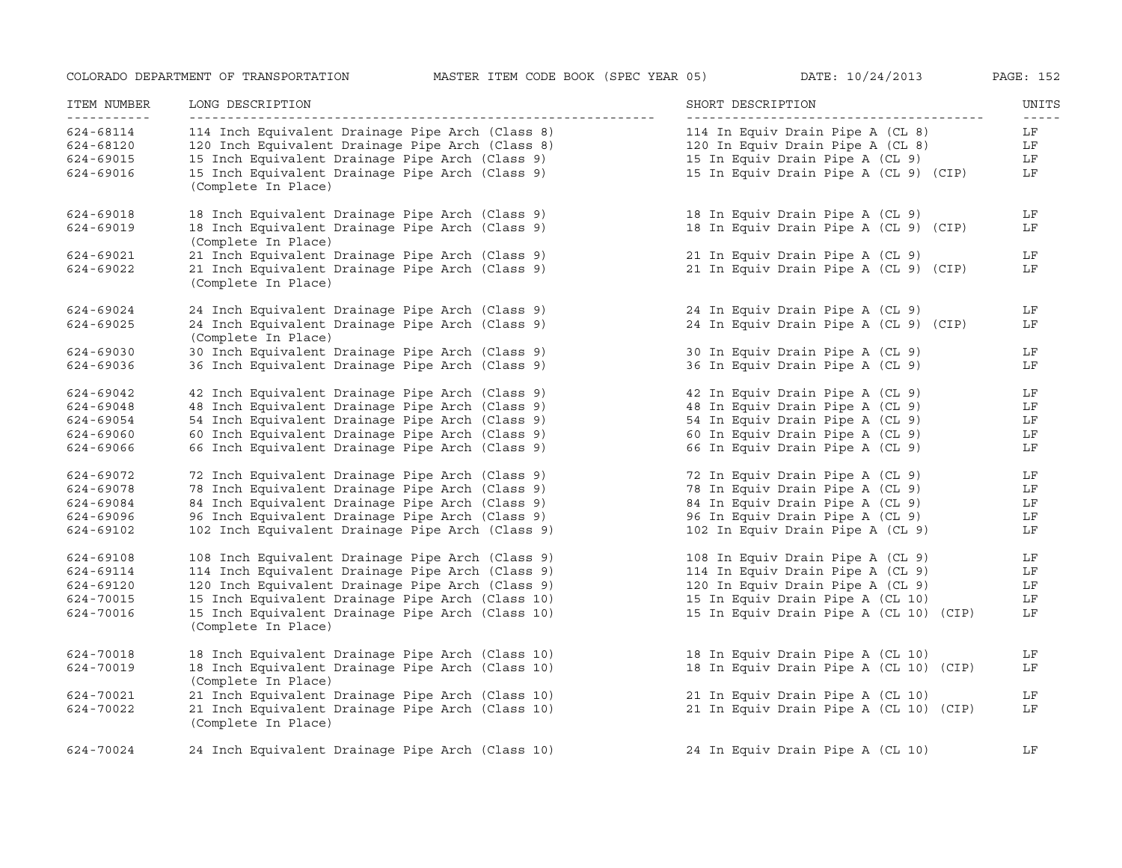| ITEM NUMBER            | LONG DESCRIPTION                                                                                     | SHORT DESCRIPTION                                                    | UNITS<br>$- - - - -$ |
|------------------------|------------------------------------------------------------------------------------------------------|----------------------------------------------------------------------|----------------------|
| 624-68114<br>624-68120 | 114 Inch Equivalent Drainage Pipe Arch (Class 8)<br>120 Inch Equivalent Drainage Pipe Arch (Class 8) | 114 In Equiv Drain Pipe A (CL 8)<br>120 In Equiv Drain Pipe A (CL 8) | LF<br>LF             |
| 624-69015              | 15 Inch Equivalent Drainage Pipe Arch (Class 9)                                                      | 15 In Equiv Drain Pipe A (CL 9)                                      | LF                   |
| 624-69016              | 15 Inch Equivalent Drainage Pipe Arch (Class 9)<br>(Complete In Place)                               | 15 In Equiv Drain Pipe A (CL 9) (CIP)                                | LF                   |
| 624-69018              | 18 Inch Equivalent Drainage Pipe Arch (Class 9)                                                      | 18 In Equiv Drain Pipe A (CL 9)                                      | LF                   |
| 624-69019              | 18 Inch Equivalent Drainage Pipe Arch (Class 9)<br>(Complete In Place)                               | 18 In Equiv Drain Pipe A (CL 9) (CIP)                                | LF                   |
| 624-69021              | 21 Inch Equivalent Drainage Pipe Arch (Class 9)                                                      | 21 In Equiv Drain Pipe A (CL 9)                                      | LF                   |
| 624-69022              | 21 Inch Equivalent Drainage Pipe Arch (Class 9)<br>(Complete In Place)                               | 21 In Equiv Drain Pipe A (CL 9) (CIP)                                | LF                   |
| 624-69024              | 24 Inch Equivalent Drainage Pipe Arch (Class 9)                                                      | 24 In Equiv Drain Pipe A (CL 9)                                      | LF                   |
| 624-69025              | 24 Inch Equivalent Drainage Pipe Arch (Class 9)<br>(Complete In Place)                               | 24 In Equiv Drain Pipe A (CL 9) (CIP)                                | LF                   |
| 624-69030              | 30 Inch Equivalent Drainage Pipe Arch (Class 9)                                                      | 30 In Equiv Drain Pipe A (CL 9)                                      | LF                   |
| 624-69036              | 36 Inch Equivalent Drainage Pipe Arch (Class 9)                                                      | 36 In Equiv Drain Pipe A (CL 9)                                      | LF                   |
| 624-69042              | 42 Inch Equivalent Drainage Pipe Arch (Class 9)                                                      | 42 In Equiv Drain Pipe A (CL 9)                                      | LF                   |
| 624-69048              | 48 Inch Equivalent Drainage Pipe Arch (Class 9)                                                      | 48 In Equiv Drain Pipe A (CL 9)                                      | LF                   |
| 624-69054              | 54 Inch Equivalent Drainage Pipe Arch (Class 9)                                                      | 54 In Equiv Drain Pipe A (CL 9)                                      | LF                   |
| 624-69060              | 60 Inch Equivalent Drainage Pipe Arch (Class 9)                                                      | 60 In Equiv Drain Pipe A (CL 9)                                      | LF                   |
| 624-69066              | 66 Inch Equivalent Drainage Pipe Arch (Class 9)                                                      | 66 In Equiv Drain Pipe A (CL 9)                                      | LF                   |
| 624-69072              | 72 Inch Equivalent Drainage Pipe Arch (Class 9)                                                      | 72 In Equiv Drain Pipe A (CL 9)                                      | LF                   |
| 624-69078              | 78 Inch Equivalent Drainage Pipe Arch (Class 9)                                                      | 78 In Equiv Drain Pipe A (CL 9)                                      | LF                   |
| 624-69084              | 84 Inch Equivalent Drainage Pipe Arch (Class 9)                                                      | 84 In Equiv Drain Pipe A (CL 9)                                      | LF                   |
| 624-69096              | 96 Inch Equivalent Drainage Pipe Arch (Class 9)                                                      | 96 In Equiv Drain Pipe A (CL 9)                                      | LF                   |
| 624-69102              | 102 Inch Equivalent Drainage Pipe Arch (Class 9)                                                     | 102 In Equiv Drain Pipe A (CL 9)                                     | LF                   |
| 624-69108              | 108 Inch Equivalent Drainage Pipe Arch (Class 9)                                                     | 108 In Equiv Drain Pipe A (CL 9)                                     | LF                   |
| 624-69114              | 114 Inch Equivalent Drainage Pipe Arch (Class 9)                                                     | 114 In Equiv Drain Pipe A (CL 9)                                     | LF                   |
| 624-69120              | 120 Inch Equivalent Drainage Pipe Arch (Class 9)                                                     | 120 In Equiv Drain Pipe A (CL 9)                                     | LF                   |
| 624-70015              | 15 Inch Equivalent Drainage Pipe Arch (Class 10)                                                     | 15 In Equiv Drain Pipe A (CL 10)                                     | LF                   |
| 624-70016              | 15 Inch Equivalent Drainage Pipe Arch (Class 10)<br>(Complete In Place)                              | 15 In Equiv Drain Pipe A (CL 10) (CIP)                               | LF                   |
| 624-70018              | 18 Inch Equivalent Drainage Pipe Arch (Class 10)                                                     | 18 In Equiv Drain Pipe A (CL 10)                                     | LF                   |
| 624-70019              | 18 Inch Equivalent Drainage Pipe Arch (Class 10)<br>(Complete In Place)                              | 18 In Equiv Drain Pipe A (CL 10) (CIP)                               | LF                   |
| 624-70021              | 21 Inch Equivalent Drainage Pipe Arch (Class 10)                                                     | 21 In Equiv Drain Pipe A (CL 10)                                     | LF                   |
| 624-70022              | 21 Inch Equivalent Drainage Pipe Arch (Class 10)                                                     | 21 In Equiv Drain Pipe A (CL 10) (CIP)                               | LF                   |
|                        | (Complete In Place)                                                                                  |                                                                      |                      |
| 624-70024              | 24 Inch Equivalent Drainage Pipe Arch (Class 10)                                                     | 24 In Equiv Drain Pipe A (CL 10)                                     | LF                   |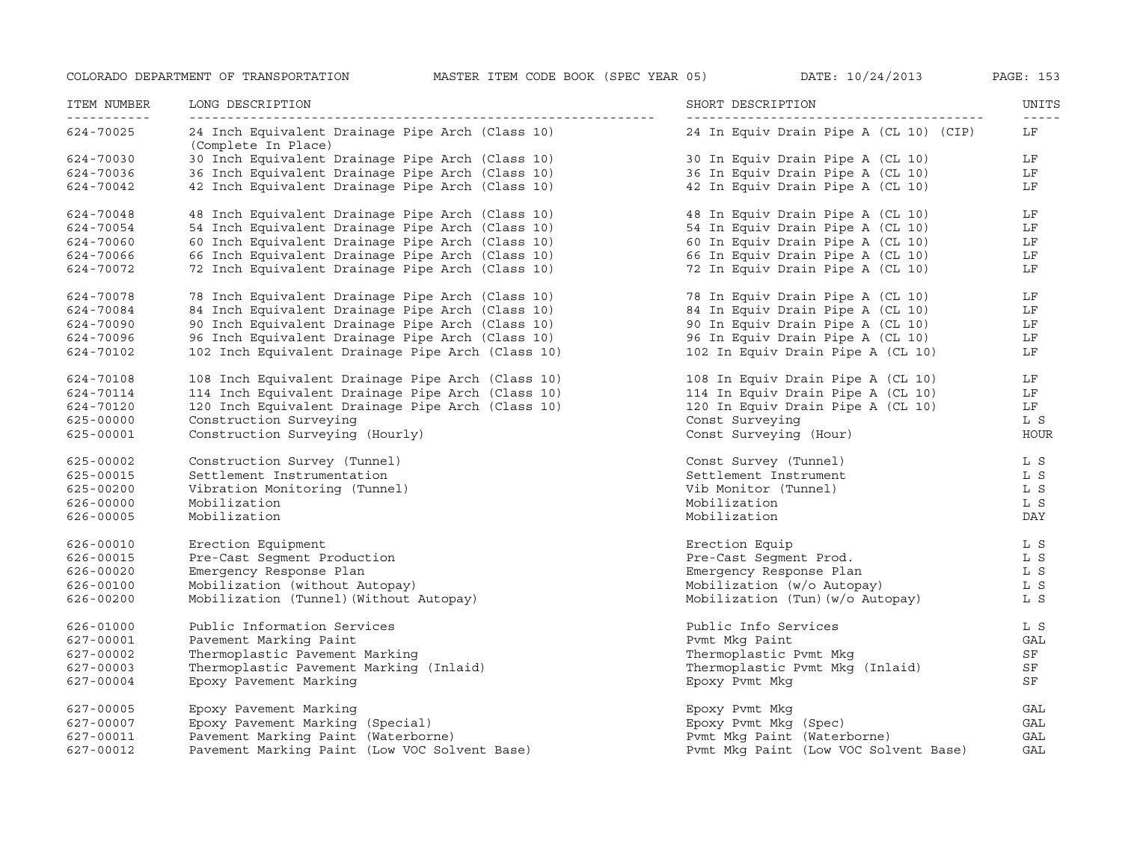| ITEM NUMBER | LONG DESCRIPTION                                                        | SHORT DESCRIPTION                      | UNITS             |
|-------------|-------------------------------------------------------------------------|----------------------------------------|-------------------|
| 624-70025   | 24 Inch Equivalent Drainage Pipe Arch (Class 10)<br>(Complete In Place) | 24 In Equiv Drain Pipe A (CL 10) (CIP) | $- - - - -$<br>LF |
| 624-70030   | 30 Inch Equivalent Drainage Pipe Arch (Class 10)                        | 30 In Equiv Drain Pipe A (CL 10)       | LF                |
| 624-70036   | 36 Inch Equivalent Drainage Pipe Arch (Class 10)                        | 36 In Equiv Drain Pipe A (CL 10)       | LF                |
| 624-70042   | 42 Inch Equivalent Drainage Pipe Arch (Class 10)                        | 42 In Equiv Drain Pipe A (CL 10)       | LF                |
| 624-70048   | 48 Inch Equivalent Drainage Pipe Arch (Class 10)                        | 48 In Equiv Drain Pipe A (CL 10)       | LF                |
| 624-70054   | 54 Inch Equivalent Drainage Pipe Arch (Class 10)                        | 54 In Equiv Drain Pipe A (CL 10)       | LF                |
| 624-70060   | 60 Inch Equivalent Drainage Pipe Arch (Class 10)                        | 60 In Equiv Drain Pipe A (CL 10)       | LF                |
| 624-70066   | 66 Inch Equivalent Drainage Pipe Arch (Class 10)                        | 66 In Equiv Drain Pipe A (CL 10)       | LF                |
| 624-70072   | 72 Inch Equivalent Drainage Pipe Arch (Class 10)                        | 72 In Equiv Drain Pipe A (CL 10)       | LF                |
| 624-70078   | 78 Inch Equivalent Drainage Pipe Arch (Class 10)                        | 78 In Equiv Drain Pipe A (CL 10)       | LF                |
| 624-70084   | 84 Inch Equivalent Drainage Pipe Arch (Class 10)                        | 84 In Equiv Drain Pipe A (CL 10)       | LF                |
| 624-70090   | 90 Inch Equivalent Drainage Pipe Arch (Class 10)                        | 90 In Equiv Drain Pipe A (CL 10)       | LF                |
| 624-70096   | 96 Inch Equivalent Drainage Pipe Arch (Class 10)                        | 96 In Equiv Drain Pipe A (CL 10)       | LF                |
| 624-70102   | 102 Inch Equivalent Drainage Pipe Arch (Class 10)                       | 102 In Equiv Drain Pipe A (CL 10)      | LF                |
| 624-70108   | 108 Inch Equivalent Drainage Pipe Arch (Class 10)                       | 108 In Equiv Drain Pipe A (CL 10)      | LF                |
| 624-70114   | 114 Inch Equivalent Drainage Pipe Arch (Class 10)                       | 114 In Equiv Drain Pipe A (CL 10)      | LF                |
| 624-70120   | 120 Inch Equivalent Drainage Pipe Arch (Class 10)                       | 120 In Equiv Drain Pipe A (CL 10)      | LF                |
| 625-00000   | Construction Surveying                                                  | Const Surveying                        | L S               |
| 625-00001   | Construction Surveying (Hourly)                                         | Const Surveying (Hour)                 | HOUR              |
| 625-00002   | Construction Survey (Tunnel)                                            | Const Survey (Tunnel)                  | L S               |
| 625-00015   | Settlement Instrumentation                                              | Settlement Instrument                  | L S               |
| 625-00200   | Vibration Monitoring (Tunnel)                                           | Vib Monitor (Tunnel)                   | L S               |
| 626-00000   | Mobilization                                                            | Mobilization                           | L S               |
| 626-00005   | Mobilization                                                            | Mobilization                           | DAY               |
| 626-00010   | Erection Equipment                                                      | Erection Equip                         | L S               |
| 626-00015   | Pre-Cast Segment Production                                             | Pre-Cast Segment Prod.                 | L S               |
| 626-00020   | Emergency Response Plan                                                 | Emergency Response Plan                | L S               |
| 626-00100   | Mobilization (without Autopay)                                          | Mobilization (w/o Autopay)             | L S               |
| 626-00200   | Mobilization (Tunnel) (Without Autopay)                                 | Mobilization (Tun) (w/o Autopay)       | L S               |
| 626-01000   | Public Information Services                                             | Public Info Services                   | L S               |
| 627-00001   | Pavement Marking Paint                                                  | Pvmt Mkg Paint                         | GAL               |
| 627-00002   | Thermoplastic Pavement Marking                                          | Thermoplastic Pvmt Mkg                 | SF                |
| 627-00003   | Thermoplastic Pavement Marking (Inlaid)                                 | Thermoplastic Pvmt Mkg (Inlaid)        | SF                |
| 627-00004   | Epoxy Pavement Marking                                                  | Epoxy Pvmt Mkg                         | SF                |
| 627-00005   | Epoxy Pavement Marking                                                  | Epoxy Pvmt Mkg                         | GAL               |
| 627-00007   | Epoxy Pavement Marking (Special)                                        | Epoxy Pvmt Mkg (Spec)                  | GAL               |
| 627-00011   | Pavement Marking Paint (Waterborne)                                     | Pymt Mkq Paint (Waterborne)            | GAL               |
| 627-00012   | Pavement Marking Paint (Low VOC Solvent Base)                           | Pvmt Mkg Paint (Low VOC Solvent Base)  | GAL               |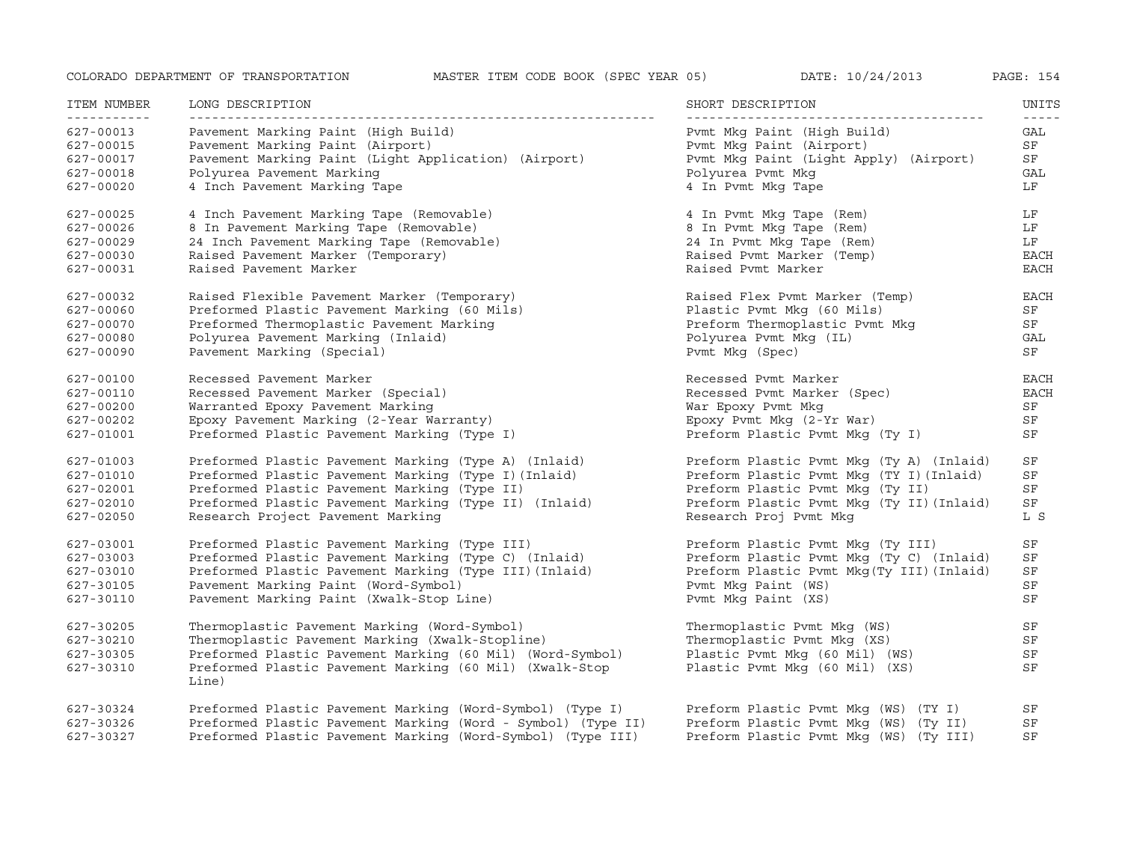| ITEM NUMBER<br><u> - - - - - - - - - - -</u> | LONG DESCRIPTION                                                 | SHORT DESCRIPTION                         | UNITS<br>$\frac{1}{2}$ |
|----------------------------------------------|------------------------------------------------------------------|-------------------------------------------|------------------------|
| 627-00013                                    | Pavement Marking Paint (High Build)                              | Pvmt Mkg Paint (High Build)               | GAL                    |
| 627-00015                                    | Pavement Marking Paint (Airport)                                 | Pymt Mkg Paint (Airport)                  | SF                     |
| 627-00017                                    | Pavement Marking Paint (Light Application) (Airport)             | Pvmt Mkg Paint (Light Apply) (Airport)    | SF                     |
| 627-00018                                    | Polyurea Pavement Marking                                        | Polyurea Pvmt Mkq                         | GAL                    |
| 627-00020                                    | 4 Inch Pavement Marking Tape                                     | 4 In Pvmt Mkg Tape                        | LF                     |
| 627-00025                                    | 4 Inch Pavement Marking Tape (Removable)                         | 4 In Pvmt Mkg Tape (Rem)                  | LF                     |
| 627-00026                                    | 8 In Pavement Marking Tape (Removable)                           | 8 In Pvmt Mkg Tape (Rem)                  | LF                     |
| 627-00029                                    | 24 Inch Pavement Marking Tape (Removable)                        | 24 In Pymt Mkg Tape (Rem)                 | LF                     |
| 627-00030                                    | Raised Pavement Marker (Temporary)                               | Raised Pymt Marker (Temp)                 | EACH                   |
| 627-00031                                    | Raised Pavement Marker                                           | Raised Pvmt Marker                        | EACH                   |
| 627-00032                                    | Raised Flexible Pavement Marker (Temporary)                      | Raised Flex Pvmt Marker (Temp)            | <b>EACH</b>            |
| 627-00060                                    | Preformed Plastic Pavement Marking (60 Mils)                     | Plastic Pymt Mkq (60 Mils)                | SF                     |
| 627-00070                                    | Preformed Thermoplastic Pavement Marking                         | Preform Thermoplastic Pvmt Mkq            | SF                     |
| 627-00080                                    | Polyurea Pavement Marking (Inlaid)                               | Polyurea Pvmt Mkg (IL)                    | GAL                    |
| 627-00090                                    | Pavement Marking (Special)                                       | Pvmt Mkg (Spec)                           | SF                     |
| 627-00100                                    | Recessed Pavement Marker                                         | Recessed Pymt Marker                      | EACH                   |
| 627-00110                                    | Recessed Pavement Marker (Special)                               | Recessed Pvmt Marker (Spec)               | <b>EACH</b>            |
| 627-00200                                    | Warranted Epoxy Pavement Marking                                 | War Epoxy Pvmt Mkg                        | SF                     |
| 627-00202                                    | Epoxy Pavement Marking (2-Year Warranty)                         | Epoxy Pvmt Mkq (2-Yr War)                 | SF                     |
| 627-01001                                    | Preformed Plastic Pavement Marking (Type I)                      | Preform Plastic Pvmt Mkg (Ty I)           | SF                     |
| 627-01003                                    | Preformed Plastic Pavement Marking (Type A) (Inlaid)             | Preform Plastic Pvmt Mkq (Ty A) (Inlaid)  | SF                     |
| 627-01010                                    | Preformed Plastic Pavement Marking (Type I) (Inlaid)             | Preform Plastic Pvmt Mkg (TY I) (Inlaid)  | SF                     |
| 627-02001                                    | Preformed Plastic Pavement Marking (Type II)                     | Preform Plastic Pvmt Mkq (Ty II)          | SF                     |
| 627-02010                                    | Preformed Plastic Pavement Marking (Type II) (Inlaid)            | Preform Plastic Pvmt Mkg (Ty II) (Inlaid) | SF                     |
| 627-02050                                    | Research Project Pavement Marking                                | Research Proj Pvmt Mkq                    | L S                    |
| 627-03001                                    | Preformed Plastic Pavement Marking (Type III)                    | Preform Plastic Pvmt Mkg (Ty III)         | SF                     |
| 627-03003                                    | Preformed Plastic Pavement Marking (Type C) (Inlaid)             | Preform Plastic Pvmt Mkg (Ty C) (Inlaid)  | SF                     |
| 627-03010                                    | Preformed Plastic Pavement Marking (Type III) (Inlaid)           | Preform Plastic Pvmt Mkg(Ty III) (Inlaid) | SF                     |
| 627-30105                                    | Pavement Marking Paint (Word-Symbol)                             | Pymt Mkq Paint (WS)                       | ${\rm SF}$             |
| 627-30110                                    | Pavement Marking Paint (Xwalk-Stop Line)                         | Pvmt Mkg Paint (XS)                       | SF                     |
| 627-30205                                    | Thermoplastic Pavement Marking (Word-Symbol)                     | Thermoplastic Pvmt Mkq (WS)               | SF                     |
| 627-30210                                    | Thermoplastic Pavement Marking (Xwalk-Stopline)                  | Thermoplastic Pvmt Mkg (XS)               | SF                     |
| 627-30305                                    | Preformed Plastic Pavement Marking (60 Mil) (Word-Symbol)        | Plastic Pvmt Mkq (60 Mil) (WS)            | SF                     |
| 627-30310                                    | Preformed Plastic Pavement Marking (60 Mil) (Xwalk-Stop<br>Line) | Plastic Pvmt Mkq (60 Mil) (XS)            | SF                     |
| 627-30324                                    | Preformed Plastic Pavement Marking (Word-Symbol) (Type I)        | Preform Plastic Pvmt Mkg (WS) (TY I)      | SF                     |
| 627-30326                                    | Preformed Plastic Pavement Marking (Word - Symbol) (Type II)     | Preform Plastic Pvmt Mkq (WS) (Ty II)     | SF                     |
| 627-30327                                    | Preformed Plastic Pavement Marking (Word-Symbol) (Type III)      | Preform Plastic Pymt Mkg (WS) (Ty III)    | SF                     |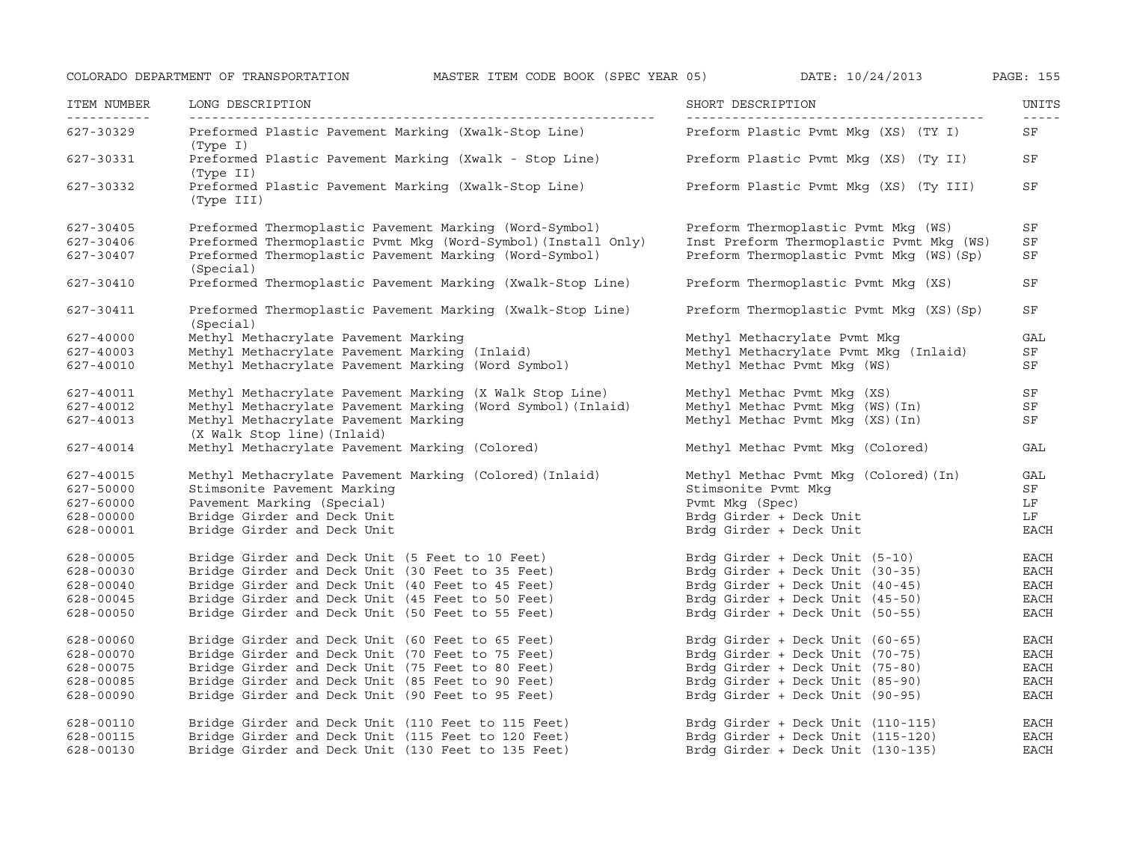| ITEM NUMBER | LONG DESCRIPTION                                                        | SHORT DESCRIPTION                        | UNITS<br>$- - - - -$ |
|-------------|-------------------------------------------------------------------------|------------------------------------------|----------------------|
| 627-30329   | Preformed Plastic Pavement Marking (Xwalk-Stop Line)<br>(Type I)        | Preform Plastic Pvmt Mkq (XS) (TY I)     | SF                   |
| 627-30331   | Preformed Plastic Pavement Marking (Xwalk - Stop Line)<br>(Type II)     | Preform Plastic Pvmt Mkg (XS) (Ty II)    | SF                   |
| 627-30332   | Preformed Plastic Pavement Marking (Xwalk-Stop Line)<br>(Type III)      | Preform Plastic Pvmt Mkq (XS) (Ty III)   | SF                   |
| 627-30405   | Preformed Thermoplastic Pavement Marking (Word-Symbol)                  | Preform Thermoplastic Pvmt Mkq (WS)      | SF                   |
| 627-30406   | Preformed Thermoplastic Pvmt Mkg (Word-Symbol) (Install Only)           | Inst Preform Thermoplastic Pvmt Mkg (WS) | SF                   |
| 627-30407   | Preformed Thermoplastic Pavement Marking (Word-Symbol)<br>(Special)     | Preform Thermoplastic Pvmt Mkq (WS) (Sp) | SF                   |
| 627-30410   | Preformed Thermoplastic Pavement Marking (Xwalk-Stop Line)              | Preform Thermoplastic Pvmt Mkq (XS)      | SF                   |
| 627-30411   | Preformed Thermoplastic Pavement Marking (Xwalk-Stop Line)<br>(Special) | Preform Thermoplastic Pvmt Mkg (XS) (Sp) | SF                   |
| 627-40000   | Methyl Methacrylate Pavement Marking                                    | Methyl Methacrylate Pymt Mkq             | GAL                  |
| 627-40003   | Methyl Methacrylate Pavement Marking (Inlaid)                           | Methyl Methacrylate Pvmt Mkg (Inlaid)    | SF                   |
| 627-40010   | Methyl Methacrylate Pavement Marking (Word Symbol)                      | Methyl Methac Pvmt Mkg (WS)              | SF                   |
| 627-40011   | Methyl Methacrylate Pavement Marking (X Walk Stop Line)                 | Methyl Methac Pvmt Mkq (XS)              | SF                   |
| 627-40012   | Methyl Methacrylate Pavement Marking (Word Symbol) (Inlaid)             | Methyl Methac Pvmt Mkg (WS) (In)         | SF                   |
| 627-40013   | Methyl Methacrylate Pavement Marking<br>(X Walk Stop line) (Inlaid)     | Methyl Methac Pvmt Mkq (XS) (In)         | SF                   |
| 627-40014   | Methyl Methacrylate Pavement Marking (Colored)                          | Methyl Methac Pvmt Mkg (Colored)         | GAL                  |
| 627-40015   | Methyl Methacrylate Pavement Marking (Colored) (Inlaid)                 | Methyl Methac Pvmt Mkq (Colored) (In)    | GAL                  |
| 627-50000   | Stimsonite Pavement Marking                                             | Stimsonite Pvmt Mkq                      | SF                   |
| 627-60000   | Pavement Marking (Special)                                              | Pvmt Mkq (Spec)                          | LF                   |
| 628-00000   | Bridge Girder and Deck Unit                                             | Brdg Girder + Deck Unit                  | LF                   |
| 628-00001   | Bridge Girder and Deck Unit                                             | Brdg Girder + Deck Unit                  | <b>EACH</b>          |
| 628-00005   | Bridge Girder and Deck Unit (5 Feet to 10 Feet)                         | Brdg Girder + Deck Unit (5-10)           | EACH                 |
| 628-00030   | Bridge Girder and Deck Unit (30 Feet to 35 Feet)                        | Brdg Girder + Deck Unit (30-35)          | EACH                 |
| 628-00040   | Bridge Girder and Deck Unit (40 Feet to 45 Feet)                        | Brdg Girder + Deck Unit (40-45)          | <b>EACH</b>          |
| 628-00045   | Bridge Girder and Deck Unit (45 Feet to 50 Feet)                        | Brdg Girder + Deck Unit (45-50)          | EACH                 |
| 628-00050   | Bridge Girder and Deck Unit (50 Feet to 55 Feet)                        | Brdg Girder + Deck Unit (50-55)          | EACH                 |
| 628-00060   | Bridge Girder and Deck Unit (60 Feet to 65 Feet)                        | Brdg Girder + Deck Unit (60-65)          | EACH                 |
| 628-00070   | Bridge Girder and Deck Unit (70 Feet to 75 Feet)                        | Brdg Girder + Deck Unit (70-75)          | EACH                 |
| 628-00075   | Bridge Girder and Deck Unit (75 Feet to 80 Feet)                        | Brdg Girder + Deck Unit (75-80)          | EACH                 |
| 628-00085   | Bridge Girder and Deck Unit (85 Feet to 90 Feet)                        | Brdg Girder + Deck Unit (85-90)          | <b>EACH</b>          |
| 628-00090   | Bridge Girder and Deck Unit (90 Feet to 95 Feet)                        | Brdg Girder + Deck Unit (90-95)          | $_{\rm EACH}$        |
| 628-00110   | Bridge Girder and Deck Unit (110 Feet to 115 Feet)                      | Brdg Girder + Deck Unit (110-115)        | EACH                 |
| 628-00115   | Bridge Girder and Deck Unit (115 Feet to 120 Feet)                      | Brdg Girder + Deck Unit (115-120)        | <b>EACH</b>          |
| 628-00130   | Bridge Girder and Deck Unit (130 Feet to 135 Feet)                      | Brdg Girder + Deck Unit (130-135)        | <b>EACH</b>          |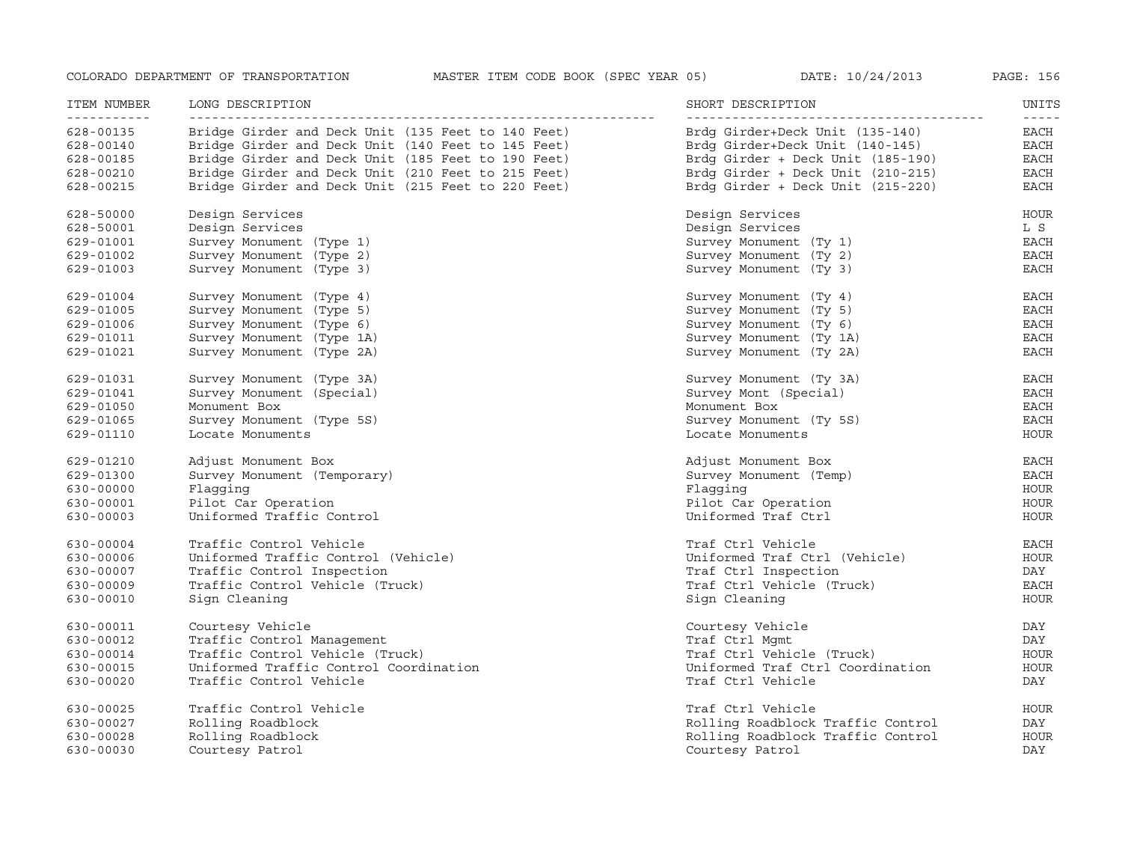| ITEM NUMBER<br>----------- | LONG DESCRIPTION                                   | SHORT DESCRIPTION<br>--------------- | UNITS<br>$- - - - -$ |
|----------------------------|----------------------------------------------------|--------------------------------------|----------------------|
| 628-00135                  | Bridge Girder and Deck Unit (135 Feet to 140 Feet) | Brdg Girder+Deck Unit (135-140)      | EACH                 |
| 628-00140                  | Bridge Girder and Deck Unit (140 Feet to 145 Feet) | Brdg Girder+Deck Unit (140-145)      | EACH                 |
| 628-00185                  | Bridge Girder and Deck Unit (185 Feet to 190 Feet) | Brdg Girder + Deck Unit (185-190)    | EACH                 |
| 628-00210                  | Bridge Girder and Deck Unit (210 Feet to 215 Feet) | Brdq Girder + Deck Unit (210-215)    | EACH                 |
| 628-00215                  | Bridge Girder and Deck Unit (215 Feet to 220 Feet) | Brdg Girder + Deck Unit (215-220)    | <b>EACH</b>          |
| 628-50000                  | Design Services                                    | Design Services                      | HOUR                 |
| $628 - 50001$              | Design Services                                    | Design Services                      | L S                  |
| 629-01001                  | Survey Monument (Type 1)                           | Survey Monument (Ty 1)               | EACH                 |
| 629-01002                  | Survey Monument (Type 2)                           | Survey Monument (Ty 2)               | EACH                 |
| 629-01003                  | Survey Monument (Type 3)                           | Survey Monument (Ty 3)               | <b>EACH</b>          |
| 629-01004                  | Survey Monument (Type 4)                           | Survey Monument (Ty 4)               | EACH                 |
| 629-01005                  | Survey Monument (Type 5)                           | Survey Monument (Ty 5)               | EACH                 |
| 629-01006                  | Survey Monument (Type 6)                           | Survey Monument (Ty 6)               | <b>EACH</b>          |
| 629-01011                  | Survey Monument (Type 1A)                          | Survey Monument (Ty 1A)              | EACH                 |
| 629-01021                  | Survey Monument (Type 2A)                          | Survey Monument (Ty 2A)              | EACH                 |
| 629-01031                  | Survey Monument (Type 3A)                          | Survey Monument (Ty 3A)              | EACH                 |
| 629-01041                  | Survey Monument (Special)                          | Survey Mont (Special)                | <b>EACH</b>          |
| 629-01050                  | Monument Box                                       | Monument Box                         | EACH                 |
| 629-01065                  | Survey Monument (Type 5S)                          | Survey Monument (Ty 5S)              | <b>EACH</b>          |
| 629-01110                  | Locate Monuments                                   | Locate Monuments                     | <b>HOUR</b>          |
| 629-01210                  | Adjust Monument Box                                | Adjust Monument Box                  | EACH                 |
| 629-01300                  | Survey Monument (Temporary)                        | Survey Monument (Temp)               | EACH                 |
| 630-00000                  | Flaqqinq                                           | Flaqqinq                             | <b>HOUR</b>          |
| 630-00001                  | Pilot Car Operation                                | Pilot Car Operation                  | HOUR                 |
| 630-00003                  | Uniformed Traffic Control                          | Uniformed Traf Ctrl                  | <b>HOUR</b>          |
| 630-00004                  | Traffic Control Vehicle                            | Traf Ctrl Vehicle                    | EACH                 |
| 630-00006                  | Uniformed Traffic Control (Vehicle)                | Uniformed Traf Ctrl (Vehicle)        | HOUR                 |
| 630-00007                  | Traffic Control Inspection                         | Traf Ctrl Inspection                 | DAY                  |
| 630-00009                  | Traffic Control Vehicle (Truck)                    | Traf Ctrl Vehicle (Truck)            | <b>EACH</b>          |
| 630-00010                  | Sign Cleaning                                      | Sign Cleaning                        | <b>HOUR</b>          |
| 630-00011                  | Courtesy Vehicle                                   | Courtesy Vehicle                     | DAY                  |
| 630-00012                  | Traffic Control Management                         | Traf Ctrl Mqmt                       | DAY                  |
| 630-00014                  | Traffic Control Vehicle (Truck)                    | Traf Ctrl Vehicle (Truck)            | <b>HOUR</b>          |
| 630-00015                  | Uniformed Traffic Control Coordination             | Uniformed Traf Ctrl Coordination     | <b>HOUR</b>          |
| 630-00020                  | Traffic Control Vehicle                            | Traf Ctrl Vehicle                    | DAY                  |
| 630-00025                  | Traffic Control Vehicle                            | Traf Ctrl Vehicle                    | <b>HOUR</b>          |
| 630-00027                  | Rolling Roadblock                                  | Rolling Roadblock Traffic Control    | DAY                  |
| 630-00028                  | Rolling Roadblock                                  | Rolling Roadblock Traffic Control    | <b>HOUR</b>          |
| 630-00030                  | Courtesy Patrol                                    | Courtesy Patrol                      | DAY                  |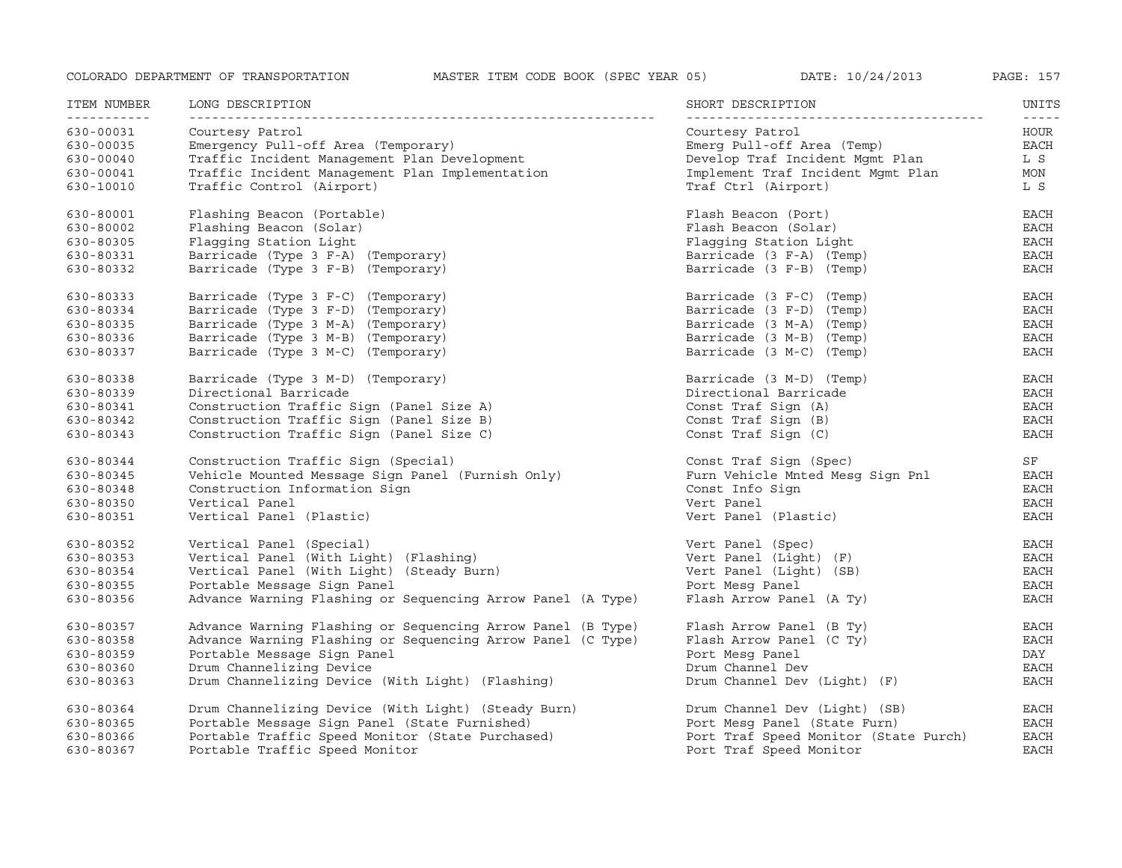| ITEM NUMBER<br><u> - - - - - - - - - - -</u> | LONG DESCRIPTION                                            | SHORT DESCRIPTION                     | UNITS<br>$- - - - -$ |
|----------------------------------------------|-------------------------------------------------------------|---------------------------------------|----------------------|
| 630-00031                                    | Courtesy Patrol                                             | Courtesy Patrol                       | HOUR                 |
| 630-00035                                    | Emergency Pull-off Area (Temporary)                         | Emerg Pull-off Area (Temp)            | EACH                 |
| 630-00040                                    | Traffic Incident Management Plan Development                | Develop Traf Incident Mqmt Plan       | L S                  |
| 630-00041                                    | Traffic Incident Management Plan Implementation             | Implement Traf Incident Mgmt Plan     | MON                  |
| 630-10010                                    | Traffic Control (Airport)                                   | Traf Ctrl (Airport)                   | L S                  |
| 630-80001                                    | Flashing Beacon (Portable)                                  | Flash Beacon (Port)                   | <b>EACH</b>          |
| 630-80002                                    | Flashing Beacon (Solar)                                     | Flash Beacon (Solar)                  | $_{\rm EACH}$        |
| 630-80305                                    | Flagging Station Light                                      | Flagging Station Light                | <b>EACH</b>          |
| 630-80331                                    | Barricade (Type 3 F-A) (Temporary)                          | Barricade (3 F-A) (Temp)              | EACH                 |
| 630-80332                                    | Barricade (Type 3 F-B) (Temporary)                          | Barricade (3 F-B) (Temp)              | <b>EACH</b>          |
| 630-80333                                    | Barricade (Type 3 F-C) (Temporary)                          | Barricade (3 F-C) (Temp)              | EACH                 |
| 630-80334                                    | Barricade (Type 3 F-D) (Temporary)                          | Barricade (3 F-D) (Temp)              | EACH                 |
| 630-80335                                    | Barricade (Type 3 M-A) (Temporary)                          | Barricade (3 M-A) (Temp)              | <b>EACH</b>          |
| 630-80336                                    | Barricade (Type 3 M-B) (Temporary)                          | Barricade (3 M-B) (Temp)              | <b>EACH</b>          |
| 630-80337                                    | Barricade (Type 3 M-C) (Temporary)                          | Barricade (3 M-C) (Temp)              | <b>EACH</b>          |
| 630-80338                                    | Barricade (Type 3 M-D) (Temporary)                          | Barricade (3 M-D) (Temp)              | EACH                 |
| 630-80339                                    | Directional Barricade                                       | Directional Barricade                 | EACH                 |
| 630-80341                                    | Construction Traffic Sign (Panel Size A)                    | Const Traf Sign (A)                   | EACH                 |
| 630-80342                                    | Construction Traffic Sign (Panel Size B)                    | Const Traf Sign (B)                   | <b>EACH</b>          |
| 630-80343                                    | Construction Traffic Sign (Panel Size C)                    | Const Traf Sign (C)                   | <b>EACH</b>          |
| 630-80344                                    | Construction Traffic Sign (Special)                         | Const Traf Sign (Spec)                | SF                   |
| 630-80345                                    | Vehicle Mounted Message Sign Panel (Furnish Only)           | Furn Vehicle Mnted Mesg Sign Pnl      | <b>EACH</b>          |
| 630-80348                                    | Construction Information Sign                               | Const Info Sign                       | EACH                 |
| 630-80350                                    | Vertical Panel                                              | Vert Panel                            | <b>EACH</b>          |
| 630-80351                                    | Vertical Panel (Plastic)                                    | Vert Panel (Plastic)                  | <b>EACH</b>          |
| 630-80352                                    | Vertical Panel (Special)                                    | Vert Panel (Spec)                     | EACH                 |
| 630-80353                                    | Vertical Panel (With Light) (Flashing)                      | Vert Panel (Light) (F)                | <b>EACH</b>          |
| 630-80354                                    | Vertical Panel (With Light) (Steady Burn)                   | Vert Panel (Light) (SB)               | <b>EACH</b>          |
| 630-80355                                    | Portable Message Sign Panel                                 | Port Mesq Panel                       | <b>EACH</b>          |
| 630-80356                                    | Advance Warning Flashing or Sequencing Arrow Panel (A Type) | Flash Arrow Panel (A Ty)              | <b>EACH</b>          |
| 630-80357                                    | Advance Warning Flashing or Sequencing Arrow Panel (B Type) | Flash Arrow Panel (B Ty)              | EACH                 |
| 630-80358                                    | Advance Warning Flashing or Sequencing Arrow Panel (C Type) | Flash Arrow Panel (C Ty)              | <b>EACH</b>          |
| 630-80359                                    | Portable Message Sign Panel                                 | Port Mesg Panel                       | DAY                  |
| 630-80360                                    | Drum Channelizing Device                                    | Drum Channel Dev                      | <b>EACH</b>          |
| 630-80363                                    | Drum Channelizing Device (With Light) (Flashing)            | Drum Channel Dev (Light) (F)          | $_{\rm EACH}$        |
| 630-80364                                    | Drum Channelizing Device (With Light) (Steady Burn)         | Drum Channel Dev (Light) (SB)         | EACH                 |
| 630-80365                                    | Portable Message Sign Panel (State Furnished)               | Port Mesg Panel (State Furn)          | EACH                 |
| 630-80366                                    | Portable Traffic Speed Monitor (State Purchased)            | Port Traf Speed Monitor (State Purch) | <b>EACH</b>          |
| 630-80367                                    | Portable Traffic Speed Monitor                              | Port Traf Speed Monitor               | <b>EACH</b>          |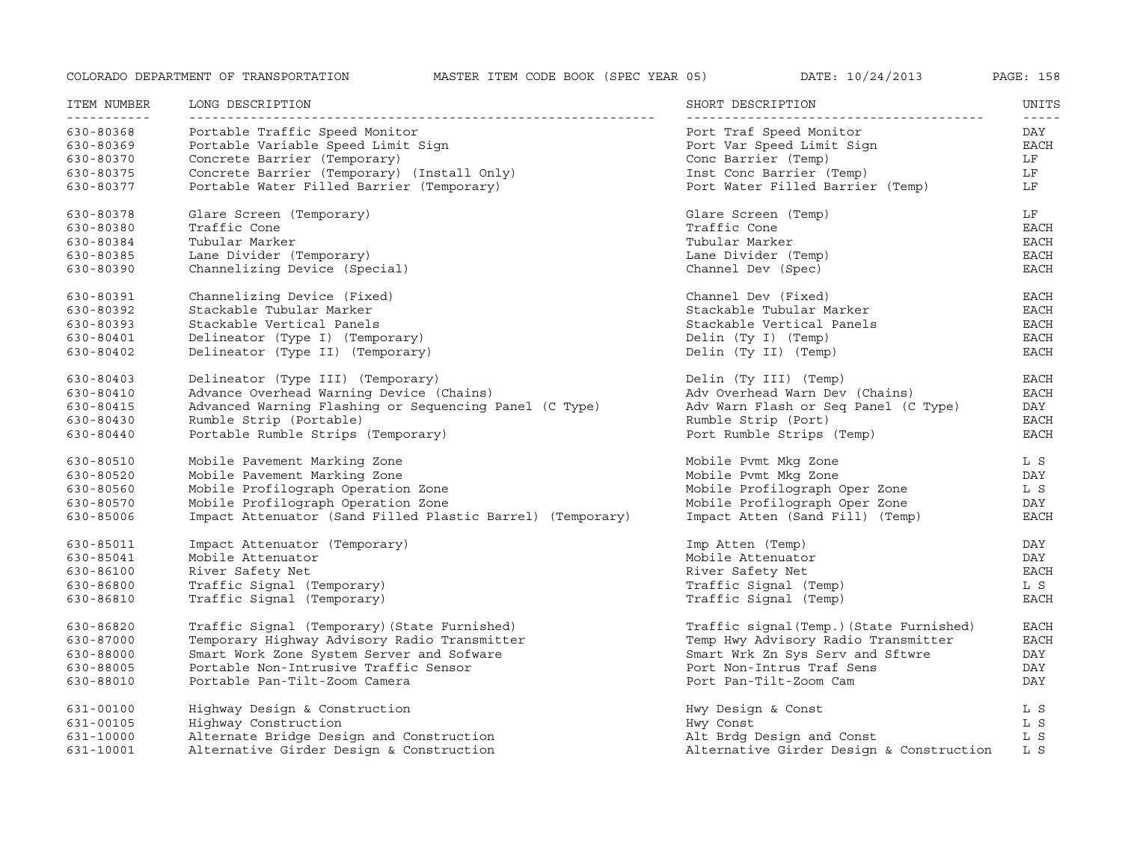| ITEM NUMBER              | LONG DESCRIPTION                                           | SHORT DESCRIPTION                        | UNITS                                                                                                                                                                                                                                                                                                                                                                                               |
|--------------------------|------------------------------------------------------------|------------------------------------------|-----------------------------------------------------------------------------------------------------------------------------------------------------------------------------------------------------------------------------------------------------------------------------------------------------------------------------------------------------------------------------------------------------|
| -----------<br>630-80368 | Portable Traffic Speed Monitor                             | Port Traf Speed Monitor                  | $\frac{1}{2} \frac{1}{2} \frac{1}{2} \frac{1}{2} \frac{1}{2} \frac{1}{2} \frac{1}{2} \frac{1}{2} \frac{1}{2} \frac{1}{2} \frac{1}{2} \frac{1}{2} \frac{1}{2} \frac{1}{2} \frac{1}{2} \frac{1}{2} \frac{1}{2} \frac{1}{2} \frac{1}{2} \frac{1}{2} \frac{1}{2} \frac{1}{2} \frac{1}{2} \frac{1}{2} \frac{1}{2} \frac{1}{2} \frac{1}{2} \frac{1}{2} \frac{1}{2} \frac{1}{2} \frac{1}{2} \frac{$<br>DAY |
| 630-80369                | Portable Variable Speed Limit Sign                         | Port Var Speed Limit Sign                | <b>EACH</b>                                                                                                                                                                                                                                                                                                                                                                                         |
| 630-80370                | Concrete Barrier (Temporary)                               | Conc Barrier (Temp)                      | LF                                                                                                                                                                                                                                                                                                                                                                                                  |
| 630-80375                | Concrete Barrier (Temporary) (Install Only)                | Inst Conc Barrier (Temp)                 | LF                                                                                                                                                                                                                                                                                                                                                                                                  |
| 630-80377                | Portable Water Filled Barrier (Temporary)                  | Port Water Filled Barrier (Temp)         | LF                                                                                                                                                                                                                                                                                                                                                                                                  |
| 630-80378                | Glare Screen (Temporary)                                   | Glare Screen (Temp)                      | LF                                                                                                                                                                                                                                                                                                                                                                                                  |
| 630-80380                | Traffic Cone                                               | Traffic Cone                             | EACH                                                                                                                                                                                                                                                                                                                                                                                                |
| 630-80384                | Tubular Marker                                             | Tubular Marker                           | EACH                                                                                                                                                                                                                                                                                                                                                                                                |
| 630-80385                | Lane Divider (Temporary)                                   | Lane Divider (Temp)                      | <b>EACH</b>                                                                                                                                                                                                                                                                                                                                                                                         |
| 630-80390                | Channelizing Device (Special)                              | Channel Dev (Spec)                       | <b>EACH</b>                                                                                                                                                                                                                                                                                                                                                                                         |
| 630-80391                | Channelizing Device (Fixed)                                | Channel Dev (Fixed)                      | EACH                                                                                                                                                                                                                                                                                                                                                                                                |
| 630-80392                | Stackable Tubular Marker                                   | Stackable Tubular Marker                 | EACH                                                                                                                                                                                                                                                                                                                                                                                                |
| 630-80393                | Stackable Vertical Panels                                  | Stackable Vertical Panels                | <b>EACH</b>                                                                                                                                                                                                                                                                                                                                                                                         |
| 630-80401                | Delineator (Type I) (Temporary)                            | Delin (Ty I) (Temp)                      | <b>EACH</b>                                                                                                                                                                                                                                                                                                                                                                                         |
| 630-80402                | Delineator (Type II) (Temporary)                           | Delin (Ty II) (Temp)                     | <b>EACH</b>                                                                                                                                                                                                                                                                                                                                                                                         |
| 630-80403                | Delineator (Type III) (Temporary)                          | Delin (Ty III) (Temp)                    | <b>EACH</b>                                                                                                                                                                                                                                                                                                                                                                                         |
| 630-80410                | Advance Overhead Warning Device (Chains)                   | Adv Overhead Warn Dev (Chains)           | <b>EACH</b>                                                                                                                                                                                                                                                                                                                                                                                         |
| 630-80415                | Advanced Warning Flashing or Sequencing Panel (C Type)     | Adv Warn Flash or Seq Panel (C Type)     | DAY                                                                                                                                                                                                                                                                                                                                                                                                 |
| 630-80430                | Rumble Strip (Portable)                                    | Rumble Strip (Port)                      | <b>EACH</b>                                                                                                                                                                                                                                                                                                                                                                                         |
| 630-80440                | Portable Rumble Strips (Temporary)                         | Port Rumble Strips (Temp)                | <b>EACH</b>                                                                                                                                                                                                                                                                                                                                                                                         |
| 630-80510                | Mobile Pavement Marking Zone                               | Mobile Pymt Mkg Zone                     | L S                                                                                                                                                                                                                                                                                                                                                                                                 |
| 630-80520                | Mobile Pavement Marking Zone                               | Mobile Pymt Mkg Zone                     | DAY                                                                                                                                                                                                                                                                                                                                                                                                 |
| 630-80560                | Mobile Profilograph Operation Zone                         | Mobile Profilograph Oper Zone            | L S                                                                                                                                                                                                                                                                                                                                                                                                 |
| 630-80570                | Mobile Profilograph Operation Zone                         | Mobile Profilograph Oper Zone            | DAY                                                                                                                                                                                                                                                                                                                                                                                                 |
| 630-85006                | Impact Attenuator (Sand Filled Plastic Barrel) (Temporary) | Impact Atten (Sand Fill) (Temp)          | <b>EACH</b>                                                                                                                                                                                                                                                                                                                                                                                         |
| 630-85011                | Impact Attenuator (Temporary)                              | Imp Atten (Temp)                         | DAY                                                                                                                                                                                                                                                                                                                                                                                                 |
| 630-85041                | Mobile Attenuator                                          | Mobile Attenuator                        | DAY                                                                                                                                                                                                                                                                                                                                                                                                 |
| 630-86100                | River Safety Net                                           | River Safety Net                         | <b>EACH</b>                                                                                                                                                                                                                                                                                                                                                                                         |
| 630-86800                | Traffic Signal (Temporary)                                 | Traffic Signal (Temp)                    | L S                                                                                                                                                                                                                                                                                                                                                                                                 |
| 630-86810                | Traffic Signal (Temporary)                                 | Traffic Signal (Temp)                    | <b>EACH</b>                                                                                                                                                                                                                                                                                                                                                                                         |
| 630-86820                | Traffic Signal (Temporary) (State Furnished)               | Traffic signal (Temp.) (State Furnished) | <b>EACH</b>                                                                                                                                                                                                                                                                                                                                                                                         |
| 630-87000                | Temporary Highway Advisory Radio Transmitter               | Temp Hwy Advisory Radio Transmitter      | <b>EACH</b>                                                                                                                                                                                                                                                                                                                                                                                         |
| 630-88000                | Smart Work Zone System Server and Sofware                  | Smart Wrk Zn Sys Serv and Sftwre         | DAY                                                                                                                                                                                                                                                                                                                                                                                                 |
| 630-88005                | Portable Non-Intrusive Traffic Sensor                      | Port Non-Intrus Traf Sens                | DAY                                                                                                                                                                                                                                                                                                                                                                                                 |
| 630-88010                | Portable Pan-Tilt-Zoom Camera                              | Port Pan-Tilt-Zoom Cam                   | DAY                                                                                                                                                                                                                                                                                                                                                                                                 |
| 631-00100                | Highway Design & Construction                              | Hwy Design & Const                       | L S                                                                                                                                                                                                                                                                                                                                                                                                 |
| 631-00105                | Highway Construction                                       | Hwy Const                                | L S                                                                                                                                                                                                                                                                                                                                                                                                 |
| 631-10000                | Alternate Bridge Design and Construction                   | Alt Brdg Design and Const                | L S                                                                                                                                                                                                                                                                                                                                                                                                 |
| 631-10001                | Alternative Girder Design & Construction                   | Alternative Girder Design & Construction | L S                                                                                                                                                                                                                                                                                                                                                                                                 |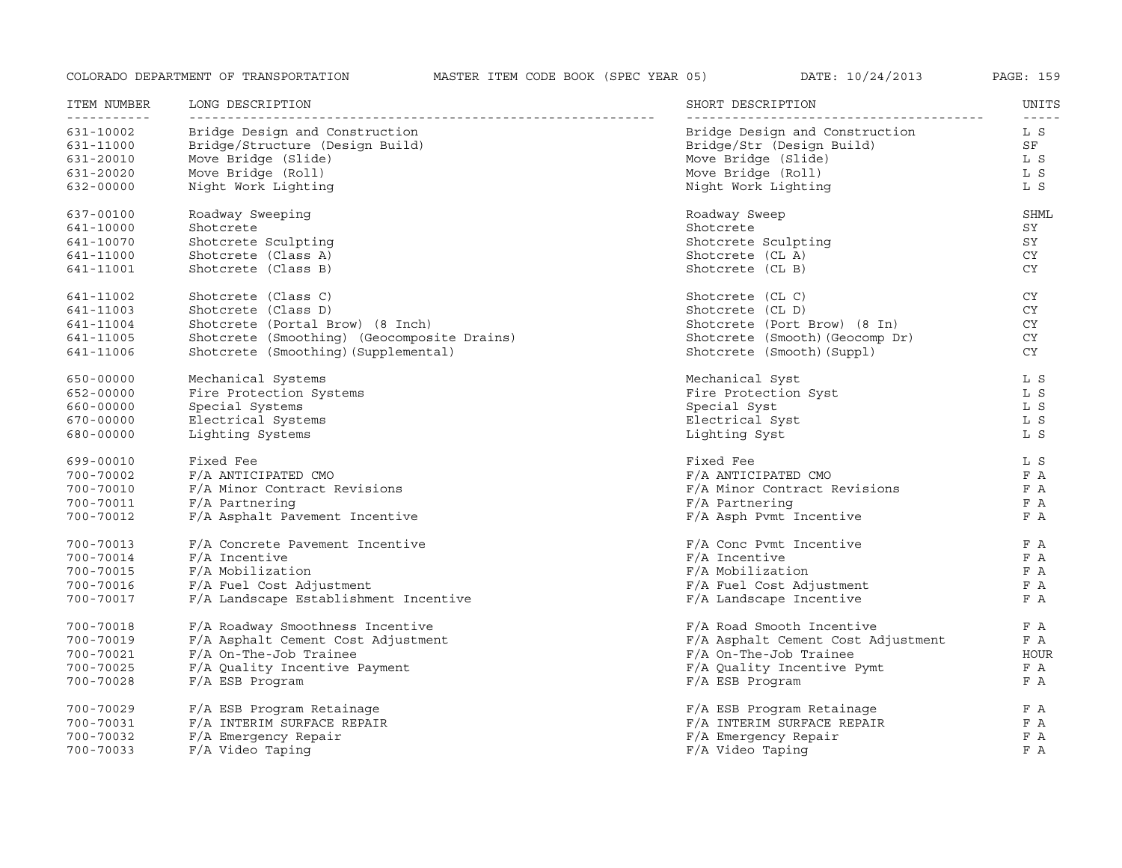| ITEM NUMBER<br>----------- | LONG DESCRIPTION<br>---------------------------- | SHORT DESCRIPTION                  | UNITS<br>$\frac{1}{2}$ |
|----------------------------|--------------------------------------------------|------------------------------------|------------------------|
| 631-10002                  | Bridge Design and Construction                   | Bridge Design and Construction     | L S                    |
| 631-11000                  | Bridge/Structure (Design Build)                  | Bridge/Str (Design Build)          | SF                     |
| 631-20010                  | Move Bridge (Slide)                              | Move Bridge (Slide)                | L S                    |
| 631-20020                  | Move Bridge (Roll)                               | Move Bridge (Roll)                 | L S                    |
| 632-00000                  | Night Work Lighting                              | Night Work Lighting                | L S                    |
| 637-00100                  | Roadway Sweeping                                 | Roadway Sweep                      | SHML                   |
| 641-10000                  | Shotcrete                                        | Shotcrete                          | SY                     |
| 641-10070                  | Shotcrete Sculpting                              | Shotcrete Sculpting                | SY                     |
| 641-11000                  | Shotcrete (Class A)                              | Shotcrete (CL A)                   | CY                     |
| 641-11001                  | Shotcrete (Class B)                              | Shotcrete (CL B)                   | <b>CY</b>              |
| 641-11002                  | Shotcrete (Class C)                              | Shotcrete (CL C)                   | CY                     |
| 641-11003                  | Shotcrete (Class D)                              | Shotcrete (CL D)                   | CY                     |
| 641-11004                  | Shotcrete (Portal Brow) (8 Inch)                 | Shotcrete (Port Brow) (8 In)       | CY                     |
| 641-11005                  | Shotcrete (Smoothing) (Geocomposite Drains)      | Shotcrete (Smooth) (Geocomp Dr)    | CY                     |
| 641-11006                  | Shotcrete (Smoothing) (Supplemental)             | Shotcrete (Smooth) (Suppl)         | CY                     |
| 650-00000                  | Mechanical Systems                               | Mechanical Syst                    | L S                    |
| 652-00000                  | Fire Protection Systems                          | Fire Protection Syst               | L S                    |
| 660-00000                  | Special Systems                                  | Special Syst                       | L S                    |
| 670-00000                  | Electrical Systems                               | Electrical Syst                    | L S                    |
| 680-00000                  | Lighting Systems                                 | Lighting Syst                      | L S                    |
| 699-00010                  | Fixed Fee                                        | Fixed Fee                          | L S                    |
| 700-70002                  | F/A ANTICIPATED CMO                              | F/A ANTICIPATED CMO                | F A                    |
| 700-70010                  | F/A Minor Contract Revisions                     | F/A Minor Contract Revisions       | F A                    |
| 700-70011                  | F/A Partnering                                   | $F/A$ Partnering                   | F A                    |
| 700-70012                  | F/A Asphalt Pavement Incentive                   | F/A Asph Pvmt Incentive            | F A                    |
| 700-70013                  | F/A Concrete Pavement Incentive                  | $F/A$ Conc Pvmt Incentive          | F A                    |
| 700-70014                  | $F/A$ Incentive                                  | $F/A$ Incentive                    | F A                    |
| 700-70015                  | F/A Mobilization                                 | F/A Mobilization                   | F A                    |
| 700-70016                  | F/A Fuel Cost Adjustment                         | F/A Fuel Cost Adjustment           | F A                    |
| 700-70017                  | F/A Landscape Establishment Incentive            | F/A Landscape Incentive            | F A                    |
| 700-70018                  | F/A Roadway Smoothness Incentive                 | F/A Road Smooth Incentive          | F A                    |
| 700-70019                  | F/A Asphalt Cement Cost Adjustment               | F/A Asphalt Cement Cost Adjustment | F A                    |
| 700-70021                  | F/A On-The-Job Trainee                           | $F/A$ On-The-Job Trainee           | HOUR                   |
| 700-70025                  | F/A Quality Incentive Payment                    | F/A Quality Incentive Pymt         | F A                    |
| 700-70028                  | F/A ESB Program                                  | F/A ESB Program                    | F A                    |
| 700-70029                  | F/A ESB Program Retainage                        | F/A ESB Program Retainage          | F A                    |
| 700-70031                  | F/A INTERIM SURFACE REPAIR                       | F/A INTERIM SURFACE REPAIR         | F A                    |
| 700-70032                  | F/A Emergency Repair                             | F/A Emergency Repair               | F A                    |
| 700-70033                  | F/A Video Taping                                 | F/A Video Taping                   | F A                    |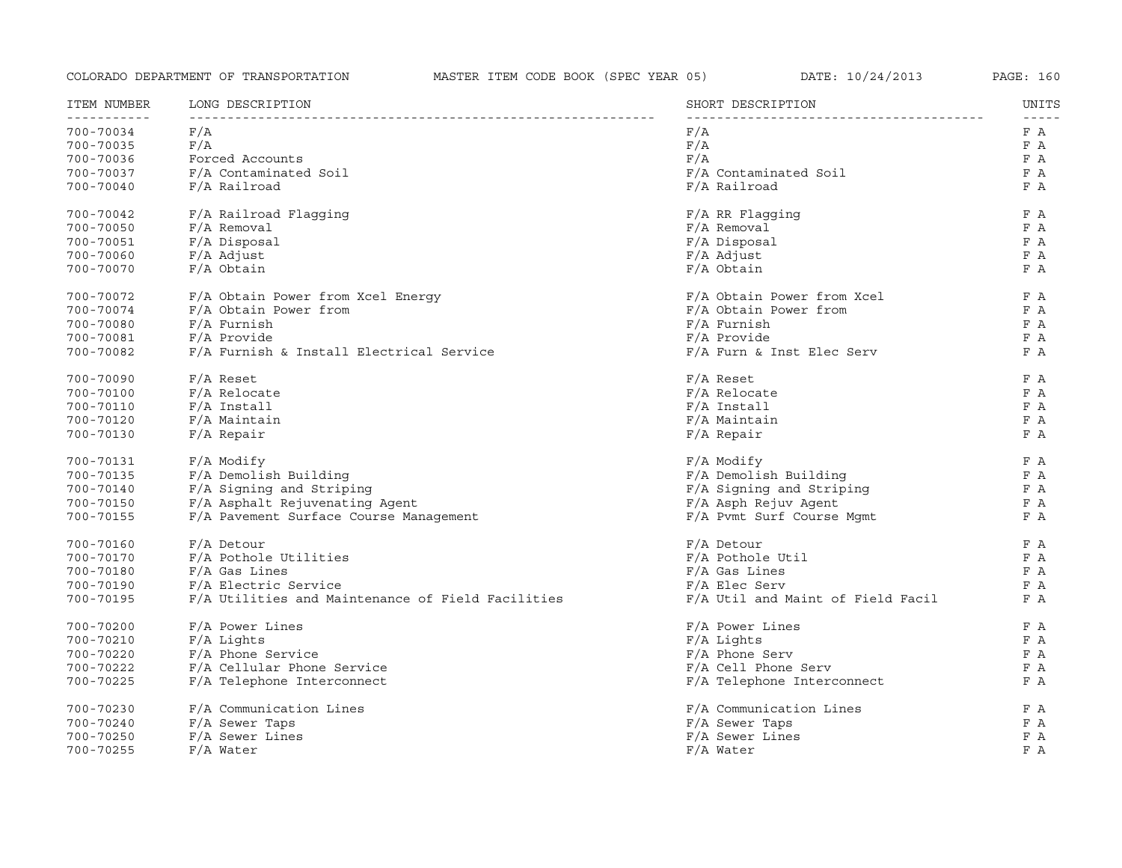| 700-70034<br>F/A<br>F/A<br>F/A<br>F/A<br>700-70035<br>Forced Accounts<br>F/A<br>700-70036<br>F/A Contaminated Soil<br>F/A Contaminated Soil<br>700-70037<br>700-70040<br>F/A Railroad<br>F/A Railroad<br>700-70042<br>F/A Railroad Flagging<br>$F/A$ RR Flagging<br>$F/A$ Removal<br>$F/A$ Removal<br>700-70050<br>F/A Disposal<br>700-70051<br>$F/A$ Disposal<br>$F/A$ Adjust<br>700-70060<br>$F/A$ Adjust<br>700-70070<br>$F/A$ Obtain<br>F/A Obtain<br>700-70072<br>F/A Obtain Power from Xcel Energy<br>F/A Obtain Power from Xcel<br>700-70074<br>F/A Obtain Power from<br>F/A Obtain Power from<br>F/A Furnish<br>F/A Furnish<br>700-70080<br>700-70081<br>F/A Provide<br>F/A Provide<br>F/A Furnish & Install Electrical Service<br>700-70082<br>$F/A$ Furn & Inst Elec Serv<br>700-70090<br>$F/A$ Reset<br>$F/A$ Reset<br>$F/A$ Relocate<br>$F/A$ Relocate<br>700-70100<br>700-70110<br>$F/A$ Install<br>$F/A$ Install<br>700-70120<br>F/A Maintain<br>F/A Maintain<br>700-70130<br>$F/A$ Repair<br>$F/A$ Repair<br>700-70131<br>$F/A$ Modify<br>$F/A$ Modify<br>F/A Demolish Building<br>F/A Demolish Building<br>700-70135<br>F/A Signing and Striping<br>700-70140<br>F/A Signing and Striping<br>F/A Asphalt Rejuvenating Agent<br>F/A Asph Rejuv Agent<br>700-70150<br>700-70155<br>F/A Pavement Surface Course Management<br>F/A Pvmt Surf Course Mgmt<br>F/A Detour<br>F/A Detour<br>700-70160<br>F/A Pothole Utilities<br>700-70170<br>F/A Pothole Util<br>700-70180<br>$F/A$ Gas Lines<br>F/A Gas Lines<br>F/A Electric Service<br>$F/A$ Elec Serv<br>700-70190<br>F/A Utilities and Maintenance of Field Facilities<br>F/A Util and Maint of Field Facil<br>700-70195<br>F/A Power Lines<br>700-70200<br>$F/A$ Power Lines<br>F/A Lights<br>700-70210<br>$F/A$ Lights<br>700-70220<br>F/A Phone Service<br>$F/A$ Phone Serv<br>F/A Cellular Phone Service<br>700-70222<br>$F/A$ Cell Phone Serv<br>700-70225<br>F/A Telephone Interconnect<br>F/A Telephone Interconnect<br>F/A Communication Lines<br>F/A Communication Lines<br>700-70230<br>F/A Sewer Taps<br>700-70240<br>F/A Sewer Taps<br>F/A Sewer Lines<br>F/A Sewer Lines<br>700-70250 | ITEM NUMBER  | LONG DESCRIPTION | SHORT DESCRIPTION | UNITS<br>----- |
|-------------------------------------------------------------------------------------------------------------------------------------------------------------------------------------------------------------------------------------------------------------------------------------------------------------------------------------------------------------------------------------------------------------------------------------------------------------------------------------------------------------------------------------------------------------------------------------------------------------------------------------------------------------------------------------------------------------------------------------------------------------------------------------------------------------------------------------------------------------------------------------------------------------------------------------------------------------------------------------------------------------------------------------------------------------------------------------------------------------------------------------------------------------------------------------------------------------------------------------------------------------------------------------------------------------------------------------------------------------------------------------------------------------------------------------------------------------------------------------------------------------------------------------------------------------------------------------------------------------------------------------------------------------------------------------------------------------------------------------------------------------------------------------------------------------------------------------------------------------------------------------------------------------------------------------------------------------------------------------------------------------------------------------------------------------------------------------------------------------------------------------------------------------------|--------------|------------------|-------------------|----------------|
|                                                                                                                                                                                                                                                                                                                                                                                                                                                                                                                                                                                                                                                                                                                                                                                                                                                                                                                                                                                                                                                                                                                                                                                                                                                                                                                                                                                                                                                                                                                                                                                                                                                                                                                                                                                                                                                                                                                                                                                                                                                                                                                                                                   | ------------ |                  |                   | F A            |
|                                                                                                                                                                                                                                                                                                                                                                                                                                                                                                                                                                                                                                                                                                                                                                                                                                                                                                                                                                                                                                                                                                                                                                                                                                                                                                                                                                                                                                                                                                                                                                                                                                                                                                                                                                                                                                                                                                                                                                                                                                                                                                                                                                   |              |                  |                   | F A            |
|                                                                                                                                                                                                                                                                                                                                                                                                                                                                                                                                                                                                                                                                                                                                                                                                                                                                                                                                                                                                                                                                                                                                                                                                                                                                                                                                                                                                                                                                                                                                                                                                                                                                                                                                                                                                                                                                                                                                                                                                                                                                                                                                                                   |              |                  |                   | F A            |
|                                                                                                                                                                                                                                                                                                                                                                                                                                                                                                                                                                                                                                                                                                                                                                                                                                                                                                                                                                                                                                                                                                                                                                                                                                                                                                                                                                                                                                                                                                                                                                                                                                                                                                                                                                                                                                                                                                                                                                                                                                                                                                                                                                   |              |                  |                   | F A            |
|                                                                                                                                                                                                                                                                                                                                                                                                                                                                                                                                                                                                                                                                                                                                                                                                                                                                                                                                                                                                                                                                                                                                                                                                                                                                                                                                                                                                                                                                                                                                                                                                                                                                                                                                                                                                                                                                                                                                                                                                                                                                                                                                                                   |              |                  |                   | F A            |
|                                                                                                                                                                                                                                                                                                                                                                                                                                                                                                                                                                                                                                                                                                                                                                                                                                                                                                                                                                                                                                                                                                                                                                                                                                                                                                                                                                                                                                                                                                                                                                                                                                                                                                                                                                                                                                                                                                                                                                                                                                                                                                                                                                   |              |                  |                   | F A            |
|                                                                                                                                                                                                                                                                                                                                                                                                                                                                                                                                                                                                                                                                                                                                                                                                                                                                                                                                                                                                                                                                                                                                                                                                                                                                                                                                                                                                                                                                                                                                                                                                                                                                                                                                                                                                                                                                                                                                                                                                                                                                                                                                                                   |              |                  |                   | F A            |
|                                                                                                                                                                                                                                                                                                                                                                                                                                                                                                                                                                                                                                                                                                                                                                                                                                                                                                                                                                                                                                                                                                                                                                                                                                                                                                                                                                                                                                                                                                                                                                                                                                                                                                                                                                                                                                                                                                                                                                                                                                                                                                                                                                   |              |                  |                   | F A            |
|                                                                                                                                                                                                                                                                                                                                                                                                                                                                                                                                                                                                                                                                                                                                                                                                                                                                                                                                                                                                                                                                                                                                                                                                                                                                                                                                                                                                                                                                                                                                                                                                                                                                                                                                                                                                                                                                                                                                                                                                                                                                                                                                                                   |              |                  |                   | F A            |
|                                                                                                                                                                                                                                                                                                                                                                                                                                                                                                                                                                                                                                                                                                                                                                                                                                                                                                                                                                                                                                                                                                                                                                                                                                                                                                                                                                                                                                                                                                                                                                                                                                                                                                                                                                                                                                                                                                                                                                                                                                                                                                                                                                   |              |                  |                   | F A            |
|                                                                                                                                                                                                                                                                                                                                                                                                                                                                                                                                                                                                                                                                                                                                                                                                                                                                                                                                                                                                                                                                                                                                                                                                                                                                                                                                                                                                                                                                                                                                                                                                                                                                                                                                                                                                                                                                                                                                                                                                                                                                                                                                                                   |              |                  |                   | F A            |
|                                                                                                                                                                                                                                                                                                                                                                                                                                                                                                                                                                                                                                                                                                                                                                                                                                                                                                                                                                                                                                                                                                                                                                                                                                                                                                                                                                                                                                                                                                                                                                                                                                                                                                                                                                                                                                                                                                                                                                                                                                                                                                                                                                   |              |                  |                   | F A            |
|                                                                                                                                                                                                                                                                                                                                                                                                                                                                                                                                                                                                                                                                                                                                                                                                                                                                                                                                                                                                                                                                                                                                                                                                                                                                                                                                                                                                                                                                                                                                                                                                                                                                                                                                                                                                                                                                                                                                                                                                                                                                                                                                                                   |              |                  |                   | F A            |
|                                                                                                                                                                                                                                                                                                                                                                                                                                                                                                                                                                                                                                                                                                                                                                                                                                                                                                                                                                                                                                                                                                                                                                                                                                                                                                                                                                                                                                                                                                                                                                                                                                                                                                                                                                                                                                                                                                                                                                                                                                                                                                                                                                   |              |                  |                   | F A            |
|                                                                                                                                                                                                                                                                                                                                                                                                                                                                                                                                                                                                                                                                                                                                                                                                                                                                                                                                                                                                                                                                                                                                                                                                                                                                                                                                                                                                                                                                                                                                                                                                                                                                                                                                                                                                                                                                                                                                                                                                                                                                                                                                                                   |              |                  |                   | F A            |
|                                                                                                                                                                                                                                                                                                                                                                                                                                                                                                                                                                                                                                                                                                                                                                                                                                                                                                                                                                                                                                                                                                                                                                                                                                                                                                                                                                                                                                                                                                                                                                                                                                                                                                                                                                                                                                                                                                                                                                                                                                                                                                                                                                   |              |                  |                   | F A            |
|                                                                                                                                                                                                                                                                                                                                                                                                                                                                                                                                                                                                                                                                                                                                                                                                                                                                                                                                                                                                                                                                                                                                                                                                                                                                                                                                                                                                                                                                                                                                                                                                                                                                                                                                                                                                                                                                                                                                                                                                                                                                                                                                                                   |              |                  |                   | F A            |
|                                                                                                                                                                                                                                                                                                                                                                                                                                                                                                                                                                                                                                                                                                                                                                                                                                                                                                                                                                                                                                                                                                                                                                                                                                                                                                                                                                                                                                                                                                                                                                                                                                                                                                                                                                                                                                                                                                                                                                                                                                                                                                                                                                   |              |                  |                   | F A            |
|                                                                                                                                                                                                                                                                                                                                                                                                                                                                                                                                                                                                                                                                                                                                                                                                                                                                                                                                                                                                                                                                                                                                                                                                                                                                                                                                                                                                                                                                                                                                                                                                                                                                                                                                                                                                                                                                                                                                                                                                                                                                                                                                                                   |              |                  |                   | F A            |
|                                                                                                                                                                                                                                                                                                                                                                                                                                                                                                                                                                                                                                                                                                                                                                                                                                                                                                                                                                                                                                                                                                                                                                                                                                                                                                                                                                                                                                                                                                                                                                                                                                                                                                                                                                                                                                                                                                                                                                                                                                                                                                                                                                   |              |                  |                   | F A            |
|                                                                                                                                                                                                                                                                                                                                                                                                                                                                                                                                                                                                                                                                                                                                                                                                                                                                                                                                                                                                                                                                                                                                                                                                                                                                                                                                                                                                                                                                                                                                                                                                                                                                                                                                                                                                                                                                                                                                                                                                                                                                                                                                                                   |              |                  |                   | F A            |
|                                                                                                                                                                                                                                                                                                                                                                                                                                                                                                                                                                                                                                                                                                                                                                                                                                                                                                                                                                                                                                                                                                                                                                                                                                                                                                                                                                                                                                                                                                                                                                                                                                                                                                                                                                                                                                                                                                                                                                                                                                                                                                                                                                   |              |                  |                   | F A            |
|                                                                                                                                                                                                                                                                                                                                                                                                                                                                                                                                                                                                                                                                                                                                                                                                                                                                                                                                                                                                                                                                                                                                                                                                                                                                                                                                                                                                                                                                                                                                                                                                                                                                                                                                                                                                                                                                                                                                                                                                                                                                                                                                                                   |              |                  |                   | F A            |
|                                                                                                                                                                                                                                                                                                                                                                                                                                                                                                                                                                                                                                                                                                                                                                                                                                                                                                                                                                                                                                                                                                                                                                                                                                                                                                                                                                                                                                                                                                                                                                                                                                                                                                                                                                                                                                                                                                                                                                                                                                                                                                                                                                   |              |                  |                   | F A            |
|                                                                                                                                                                                                                                                                                                                                                                                                                                                                                                                                                                                                                                                                                                                                                                                                                                                                                                                                                                                                                                                                                                                                                                                                                                                                                                                                                                                                                                                                                                                                                                                                                                                                                                                                                                                                                                                                                                                                                                                                                                                                                                                                                                   |              |                  |                   | F A            |
|                                                                                                                                                                                                                                                                                                                                                                                                                                                                                                                                                                                                                                                                                                                                                                                                                                                                                                                                                                                                                                                                                                                                                                                                                                                                                                                                                                                                                                                                                                                                                                                                                                                                                                                                                                                                                                                                                                                                                                                                                                                                                                                                                                   |              |                  |                   | F A            |
|                                                                                                                                                                                                                                                                                                                                                                                                                                                                                                                                                                                                                                                                                                                                                                                                                                                                                                                                                                                                                                                                                                                                                                                                                                                                                                                                                                                                                                                                                                                                                                                                                                                                                                                                                                                                                                                                                                                                                                                                                                                                                                                                                                   |              |                  |                   | F A            |
|                                                                                                                                                                                                                                                                                                                                                                                                                                                                                                                                                                                                                                                                                                                                                                                                                                                                                                                                                                                                                                                                                                                                                                                                                                                                                                                                                                                                                                                                                                                                                                                                                                                                                                                                                                                                                                                                                                                                                                                                                                                                                                                                                                   |              |                  |                   | F A            |
|                                                                                                                                                                                                                                                                                                                                                                                                                                                                                                                                                                                                                                                                                                                                                                                                                                                                                                                                                                                                                                                                                                                                                                                                                                                                                                                                                                                                                                                                                                                                                                                                                                                                                                                                                                                                                                                                                                                                                                                                                                                                                                                                                                   |              |                  |                   | F A            |
|                                                                                                                                                                                                                                                                                                                                                                                                                                                                                                                                                                                                                                                                                                                                                                                                                                                                                                                                                                                                                                                                                                                                                                                                                                                                                                                                                                                                                                                                                                                                                                                                                                                                                                                                                                                                                                                                                                                                                                                                                                                                                                                                                                   |              |                  |                   | F A            |
|                                                                                                                                                                                                                                                                                                                                                                                                                                                                                                                                                                                                                                                                                                                                                                                                                                                                                                                                                                                                                                                                                                                                                                                                                                                                                                                                                                                                                                                                                                                                                                                                                                                                                                                                                                                                                                                                                                                                                                                                                                                                                                                                                                   |              |                  |                   | F A            |
|                                                                                                                                                                                                                                                                                                                                                                                                                                                                                                                                                                                                                                                                                                                                                                                                                                                                                                                                                                                                                                                                                                                                                                                                                                                                                                                                                                                                                                                                                                                                                                                                                                                                                                                                                                                                                                                                                                                                                                                                                                                                                                                                                                   |              |                  |                   | F A            |
|                                                                                                                                                                                                                                                                                                                                                                                                                                                                                                                                                                                                                                                                                                                                                                                                                                                                                                                                                                                                                                                                                                                                                                                                                                                                                                                                                                                                                                                                                                                                                                                                                                                                                                                                                                                                                                                                                                                                                                                                                                                                                                                                                                   |              |                  |                   | F A            |
|                                                                                                                                                                                                                                                                                                                                                                                                                                                                                                                                                                                                                                                                                                                                                                                                                                                                                                                                                                                                                                                                                                                                                                                                                                                                                                                                                                                                                                                                                                                                                                                                                                                                                                                                                                                                                                                                                                                                                                                                                                                                                                                                                                   |              |                  |                   | F A            |
|                                                                                                                                                                                                                                                                                                                                                                                                                                                                                                                                                                                                                                                                                                                                                                                                                                                                                                                                                                                                                                                                                                                                                                                                                                                                                                                                                                                                                                                                                                                                                                                                                                                                                                                                                                                                                                                                                                                                                                                                                                                                                                                                                                   |              |                  |                   | F A            |
|                                                                                                                                                                                                                                                                                                                                                                                                                                                                                                                                                                                                                                                                                                                                                                                                                                                                                                                                                                                                                                                                                                                                                                                                                                                                                                                                                                                                                                                                                                                                                                                                                                                                                                                                                                                                                                                                                                                                                                                                                                                                                                                                                                   |              |                  |                   | F A            |
|                                                                                                                                                                                                                                                                                                                                                                                                                                                                                                                                                                                                                                                                                                                                                                                                                                                                                                                                                                                                                                                                                                                                                                                                                                                                                                                                                                                                                                                                                                                                                                                                                                                                                                                                                                                                                                                                                                                                                                                                                                                                                                                                                                   |              |                  |                   | F A            |
|                                                                                                                                                                                                                                                                                                                                                                                                                                                                                                                                                                                                                                                                                                                                                                                                                                                                                                                                                                                                                                                                                                                                                                                                                                                                                                                                                                                                                                                                                                                                                                                                                                                                                                                                                                                                                                                                                                                                                                                                                                                                                                                                                                   |              |                  |                   | F A            |
| 700-70255<br>$F/A$ Water<br>$F/A$ Water                                                                                                                                                                                                                                                                                                                                                                                                                                                                                                                                                                                                                                                                                                                                                                                                                                                                                                                                                                                                                                                                                                                                                                                                                                                                                                                                                                                                                                                                                                                                                                                                                                                                                                                                                                                                                                                                                                                                                                                                                                                                                                                           |              |                  |                   | F A            |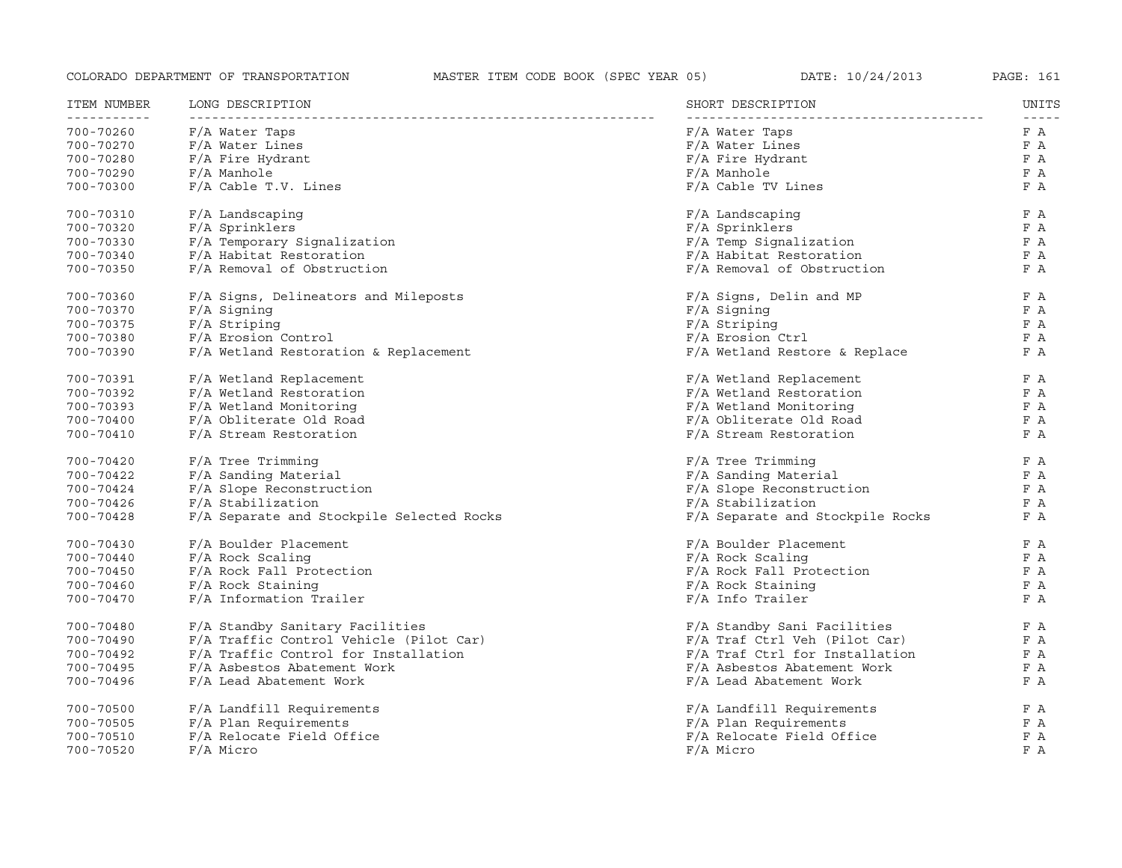| ITEM NUMBER   | LONG DESCRIPTION                          | SHORT DESCRIPTION                | UNITS |
|---------------|-------------------------------------------|----------------------------------|-------|
| 700-70260     | F/A Water Taps                            | F/A Water Taps                   | F A   |
| 700-70270     | F/A Water Lines                           | F/A Water Lines                  | F A   |
| 700-70280     | F/A Fire Hydrant                          | F/A Fire Hydrant                 | F A   |
| 700-70290     | F/A Manhole                               | F/A Manhole                      | F A   |
| 700-70300     | $F/A$ Cable T.V. Lines                    | F/A Cable TV Lines               | F A   |
| 700-70310     | $F/A$ Landscaping                         | F/A Landscaping                  | F A   |
| 700-70320     | F/A Sprinklers                            | F/A Sprinklers                   | F A   |
| 700-70330     | F/A Temporary Signalization               | F/A Temp Signalization           | F A   |
| 700-70340     | F/A Habitat Restoration                   | F/A Habitat Restoration          | F A   |
| 700-70350     | F/A Removal of Obstruction                | F/A Removal of Obstruction       | F A   |
| 700-70360     | F/A Signs, Delineators and Mileposts      | F/A Signs, Delin and MP          | F A   |
| 700-70370     | F/A Signing                               | F/A Signing                      | F A   |
| 700-70375     | F/A Striping                              | F/A Striping                     | F A   |
| 700-70380     | F/A Erosion Control                       | F/A Erosion Ctrl                 | F A   |
| 700-70390     | $F/A$ Wetland Restoration & Replacement   | $F/A$ Wetland Restore & Replace  | F A   |
| 700-70391     | F/A Wetland Replacement                   | F/A Wetland Replacement          | F A   |
| 700-70392     | F/A Wetland Restoration                   | F/A Wetland Restoration          | F A   |
| 700-70393     | F/A Wetland Monitoring                    | F/A Wetland Monitoring           | F A   |
| 700-70400     | F/A Obliterate Old Road                   | F/A Obliterate Old Road          | F A   |
| $700 - 70410$ | F/A Stream Restoration                    | F/A Stream Restoration           | F A   |
| 700-70420     | F/A Tree Trimming                         | F/A Tree Trimming                | F A   |
| 700-70422     | F/A Sanding Material                      | F/A Sanding Material             | F A   |
| 700-70424     | F/A Slope Reconstruction                  | F/A Slope Reconstruction         | F A   |
| 700-70426     | F/A Stabilization                         | F/A Stabilization                | F A   |
| 700-70428     | F/A Separate and Stockpile Selected Rocks | F/A Separate and Stockpile Rocks | F A   |
| 700-70430     | F/A Boulder Placement                     | F/A Boulder Placement            | F A   |
| 700-70440     | F/A Rock Scaling                          | F/A Rock Scaling                 | F A   |
| 700-70450     | F/A Rock Fall Protection                  | F/A Rock Fall Protection         | F A   |
| 700-70460     | F/A Rock Staining                         | F/A Rock Staining                | F A   |
| 700-70470     | F/A Information Trailer                   | F/A Info Trailer                 | F A   |
| 700-70480     | F/A Standby Sanitary Facilities           | F/A Standby Sani Facilities      | F A   |
| 700-70490     | F/A Traffic Control Vehicle (Pilot Car)   | F/A Traf Ctrl Veh (Pilot Car)    | F A   |
| 700-70492     | F/A Traffic Control for Installation      | F/A Traf Ctrl for Installation   | F A   |
| 700-70495     | F/A Asbestos Abatement Work               | F/A Asbestos Abatement Work      | F A   |
| 700-70496     | F/A Lead Abatement Work                   | F/A Lead Abatement Work          | F A   |
| 700-70500     | F/A Landfill Requirements                 | F/A Landfill Requirements        | F A   |
| 700-70505     | F/A Plan Requirements                     | F/A Plan Requirements            | F A   |
| 700-70510     | F/A Relocate Field Office                 | F/A Relocate Field Office        | F A   |
| 700-70520     | F/A Micro                                 | F/A Micro                        | F A   |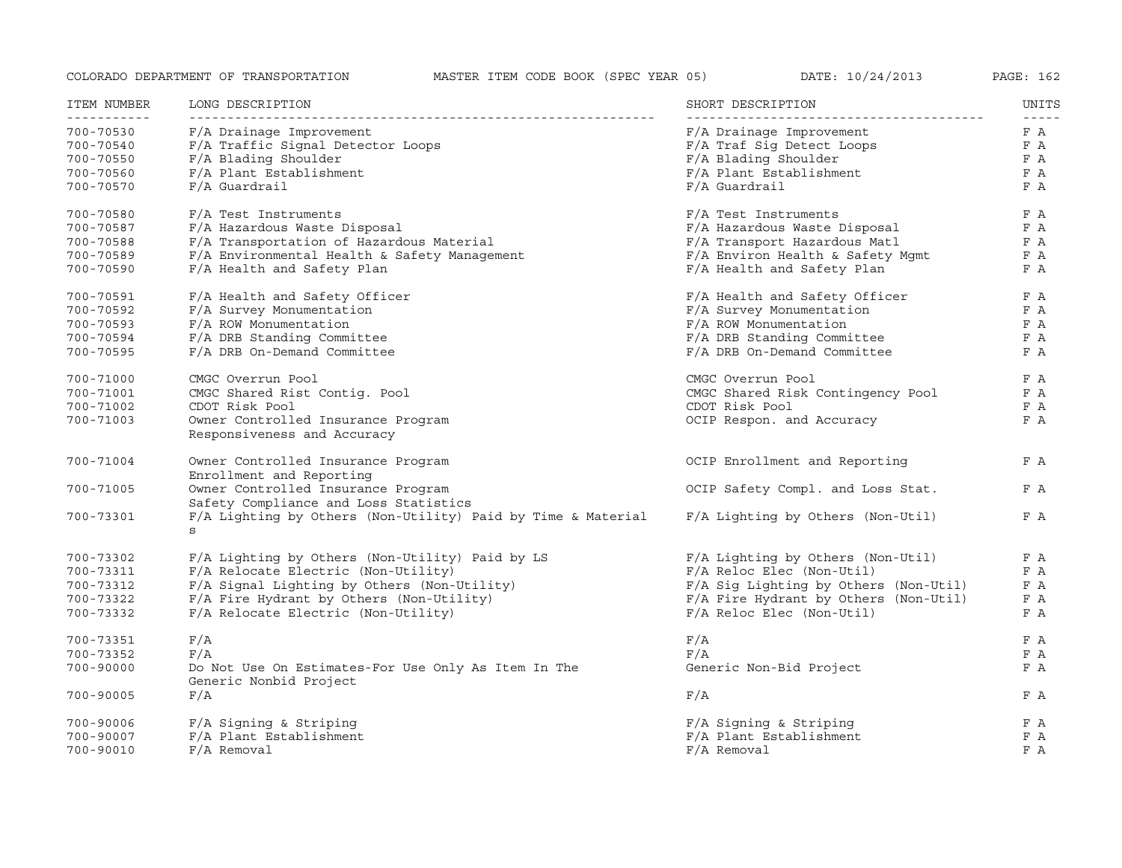| ITEM NUMBER              | LONG DESCRIPTION                                                              | SHORT DESCRIPTION                     | UNITS                |
|--------------------------|-------------------------------------------------------------------------------|---------------------------------------|----------------------|
| -----------<br>700-70530 | F/A Drainage Improvement                                                      | F/A Drainage Improvement              | $- - - - - -$<br>F A |
| 700-70540                | F/A Traffic Signal Detector Loops                                             | F/A Traf Sig Detect Loops             | F A                  |
| 700-70550                | F/A Blading Shoulder                                                          | F/A Blading Shoulder                  | F A                  |
| 700-70560                | F/A Plant Establishment                                                       | F/A Plant Establishment               | F A                  |
| 700-70570                | $F/A$ Guardrail                                                               | $F/A$ Guardrail                       | F A                  |
| 700-70580                | F/A Test Instruments                                                          | F/A Test Instruments                  | F A                  |
| 700-70587                | F/A Hazardous Waste Disposal                                                  | F/A Hazardous Waste Disposal          | F A                  |
| 700-70588                | F/A Transportation of Hazardous Material                                      | F/A Transport Hazardous Matl          | F A                  |
|                          | F/A Environmental Health & Safety Management                                  | F/A Environ Health & Safety Mqmt      | F A                  |
| 700-70589                | F/A Health and Safety Plan                                                    | F/A Health and Safety Plan            | F A                  |
| 700-70590                |                                                                               |                                       |                      |
| 700-70591                | F/A Health and Safety Officer                                                 | F/A Health and Safety Officer         | F A                  |
| 700-70592                | F/A Survey Monumentation                                                      | F/A Survey Monumentation              | F A                  |
| 700-70593                | F/A ROW Monumentation                                                         | F/A ROW Monumentation                 | F A                  |
| 700-70594                | F/A DRB Standing Committee                                                    | F/A DRB Standing Committee            | F A                  |
| 700-70595                | F/A DRB On-Demand Committee                                                   | F/A DRB On-Demand Committee           | F A                  |
| 700-71000                | CMGC Overrun Pool                                                             | CMGC Overrun Pool                     | F A                  |
| 700-71001                | CMGC Shared Rist Contig. Pool                                                 | CMGC Shared Risk Contingency Pool     | F A                  |
| 700-71002                | CDOT Risk Pool                                                                | CDOT Risk Pool                        | F A                  |
| 700-71003                | Owner Controlled Insurance Program<br>Responsiveness and Accuracy             | OCIP Respon. and Accuracy             | F A                  |
| 700-71004                | Owner Controlled Insurance Program<br>Enrollment and Reporting                | OCIP Enrollment and Reporting         | F A                  |
| 700-71005                | Owner Controlled Insurance Program<br>Safety Compliance and Loss Statistics   | OCIP Safety Compl. and Loss Stat.     | F A                  |
| 700-73301                | F/A Lighting by Others (Non-Utility) Paid by Time & Material<br>S             | F/A Lighting by Others (Non-Util)     | F A                  |
| 700-73302                | F/A Lighting by Others (Non-Utility) Paid by LS                               | F/A Lighting by Others (Non-Util)     | F A                  |
| 700-73311                | F/A Relocate Electric (Non-Utility)                                           | $F/A$ Reloc Elec (Non-Util)           | F A                  |
| 700-73312                | F/A Signal Lighting by Others (Non-Utility)                                   | F/A Sig Lighting by Others (Non-Util) | F A                  |
| 700-73322                | F/A Fire Hydrant by Others (Non-Utility)                                      | F/A Fire Hydrant by Others (Non-Util) | F A                  |
| 700-73332                | F/A Relocate Electric (Non-Utility)                                           | F/A Reloc Elec (Non-Util)             | F A                  |
| 700-73351                | F/A                                                                           | F/A                                   | F A                  |
| 700-73352                | F/A                                                                           | F/A                                   | F A                  |
| $700 - 90000$            | Do Not Use On Estimates-For Use Only As Item In The<br>Generic Nonbid Project | Generic Non-Bid Project               | F A                  |
| 700-90005                | F/A                                                                           | F/A                                   | F A                  |
| 700-90006                | F/A Signing & Striping                                                        | F/A Signing & Striping                | F A                  |
| 700-90007                | F/A Plant Establishment                                                       | F/A Plant Establishment               | F A                  |
| 700-90010                | $F/A$ Removal                                                                 | F/A Removal                           | F A                  |
|                          |                                                                               |                                       |                      |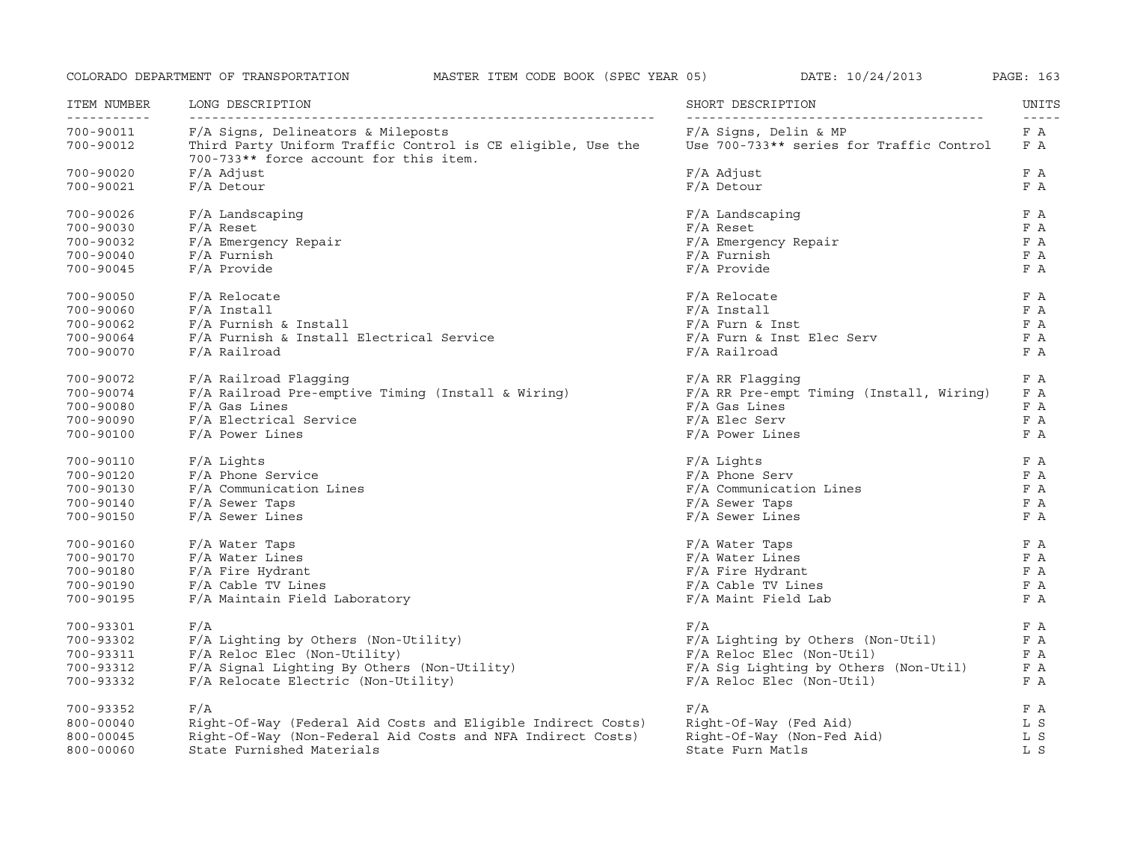| ITEM NUMBER              | LONG DESCRIPTION                                                                                      | SHORT DESCRIPTION                        | UNITS                             |
|--------------------------|-------------------------------------------------------------------------------------------------------|------------------------------------------|-----------------------------------|
| -----------<br>700-90011 | F/A Signs, Delineators & Mileposts                                                                    | F/A Signs, Delin & MP                    | $\omega = \omega = \omega$<br>F A |
| 700-90012                | Third Party Uniform Traffic Control is CE eligible, Use the<br>700-733** force account for this item. | Use 700-733** series for Traffic Control | F A                               |
| 700-90020                | F/A Adjust                                                                                            | $F/A$ Adjust                             | F A                               |
| 700-90021                | $F/A$ Detour                                                                                          | F/A Detour                               | F A                               |
| 700-90026                | F/A Landscaping                                                                                       | F/A Landscaping                          | F A                               |
| 700-90030                | $F/A$ Reset                                                                                           | $F/A$ Reset                              | F A                               |
| 700-90032                | F/A Emergency Repair                                                                                  | F/A Emergency Repair                     | F A                               |
| $700 - 90040$            | $F/A$ Furnish                                                                                         | $F/A$ Furnish                            | F A                               |
| 700-90045                | F/A Provide                                                                                           | F/A Provide                              | F A                               |
| 700-90050                | $F/A$ Relocate                                                                                        | $F/A$ Relocate                           | F A                               |
| 700-90060                | $F/A$ Install                                                                                         | $F/A$ Install                            | F A                               |
| 700-90062                | F/A Furnish & Install                                                                                 | $F/A$ Furn & Inst                        | F A                               |
| 700-90064                | F/A Furnish & Install Electrical Service                                                              | F/A Furn & Inst Elec Serv                | F A                               |
| 700-90070                | F/A Railroad                                                                                          | $F/A$ Railroad                           | F A                               |
| 700-90072                | F/A Railroad Flagging                                                                                 | $F/A$ RR Flaqqinq                        | F A                               |
| 700-90074                | F/A Railroad Pre-emptive Timing (Install & Wiring)                                                    | F/A RR Pre-empt Timing (Install, Wiring) | F A                               |
| 700-90080                | $F/A$ Gas Lines                                                                                       | $F/A$ Gas Lines                          | F A                               |
| 700-90090                | F/A Electrical Service                                                                                | $F/A$ Elec Serv                          | F A                               |
| 700-90100                | F/A Power Lines                                                                                       | $F/A$ Power Lines                        | F A                               |
| 700-90110                | F/A Lights                                                                                            | $F/A$ Lights                             | F A                               |
| 700-90120                | F/A Phone Service                                                                                     | F/A Phone Serv                           | F A                               |
| 700-90130                | F/A Communication Lines                                                                               | F/A Communication Lines                  | F A                               |
| 700-90140                | $F/A$ Sewer Taps                                                                                      | F/A Sewer Taps                           | F A                               |
| 700-90150                | F/A Sewer Lines                                                                                       | F/A Sewer Lines                          | F A                               |
| 700-90160                | F/A Water Taps                                                                                        | F/A Water Taps                           | F A                               |
| 700-90170                | $F/A$ Water Lines                                                                                     | F/A Water Lines                          | F A                               |
| 700-90180                | F/A Fire Hydrant                                                                                      | F/A Fire Hydrant                         | F A                               |
| 700-90190                | F/A Cable TV Lines                                                                                    | F/A Cable TV Lines                       | F A                               |
| 700-90195                | F/A Maintain Field Laboratory                                                                         | F/A Maint Field Lab                      | F A                               |
| 700-93301                | F/A                                                                                                   | F/A                                      | F A                               |
| 700-93302                | F/A Lighting by Others (Non-Utility)                                                                  | $F/A$ Lighting by Others (Non-Util)      | F A                               |
| 700-93311                | F/A Reloc Elec (Non-Utility)                                                                          | $F/A$ Reloc Elec (Non-Util)              | F A                               |
| 700-93312                | F/A Signal Lighting By Others (Non-Utility)                                                           | F/A Sig Lighting by Others (Non-Util)    | F A                               |
| 700-93332                | F/A Relocate Electric (Non-Utility)                                                                   | $F/A$ Reloc Elec (Non-Util)              | F A                               |
| 700-93352                | F/A                                                                                                   | F/A                                      | F A                               |
| $800 - 00040$            | Right-Of-Way (Federal Aid Costs and Eligible Indirect Costs)                                          | Right-Of-Way (Fed Aid)                   | L S                               |
| 800-00045                | Right-Of-Way (Non-Federal Aid Costs and NFA Indirect Costs)                                           | Right-Of-Way (Non-Fed Aid)               | L S                               |
| $800 - 00060$            | State Furnished Materials                                                                             | State Furn Matls                         | L S                               |